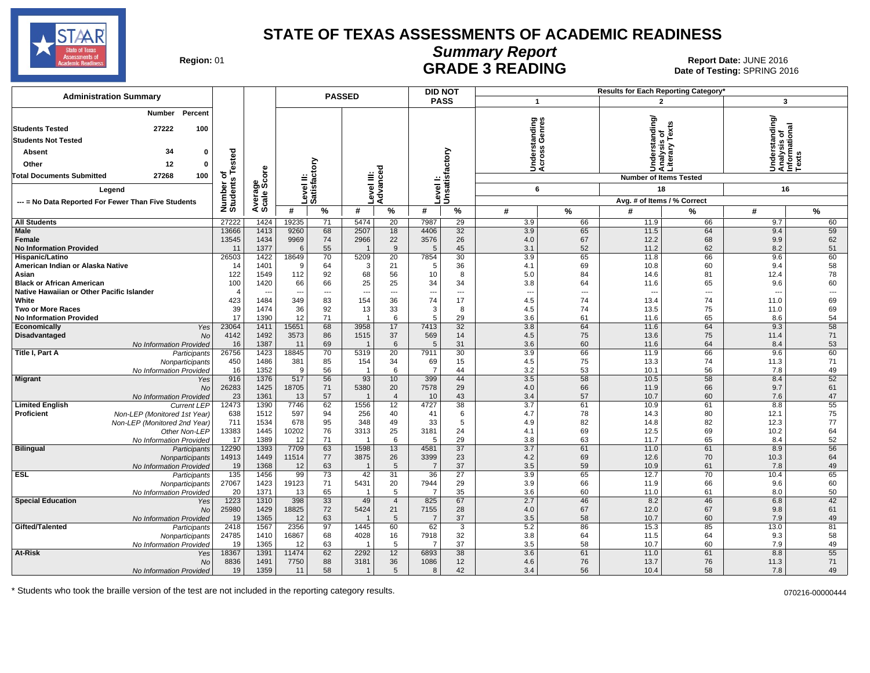

# **Summary Report**

Region: 01 **Region: 01 CALL CONSISTS ARE ADE 3 READING Date: JUNE 2016 Report Date: JUNE 2016** Date of Testing: SPRING 2016

| <b>Administration Summary</b>                                                                                                                                                                 |                                             |                                      |                                                     |                                                | <b>PASSED</b>                           |                             | <b>DID NOT</b>                 |                             |                                               |                               |                                        | <b>Results for Each Reporting Category</b>                                       |                                                                  |                                                  |
|-----------------------------------------------------------------------------------------------------------------------------------------------------------------------------------------------|---------------------------------------------|--------------------------------------|-----------------------------------------------------|------------------------------------------------|-----------------------------------------|-----------------------------|--------------------------------|-----------------------------|-----------------------------------------------|-------------------------------|----------------------------------------|----------------------------------------------------------------------------------|------------------------------------------------------------------|--------------------------------------------------|
|                                                                                                                                                                                               |                                             |                                      |                                                     |                                                |                                         |                             | <b>PASS</b>                    |                             | $\mathbf{1}$                                  |                               |                                        | $\overline{2}$                                                                   | 3                                                                |                                                  |
| Percent<br>Number<br><b>Students Tested</b><br>27222<br>100<br><b>Students Not Tested</b><br>34<br>$\Omega$<br>Absent<br>12<br>Other<br>0<br><b>Total Documents Submitted</b><br>27268<br>100 | Tested<br>৳                                 | ٥re                                  |                                                     | $\tilde{\epsilon}$<br> Level II:<br> Satisfact | ≝ ĕ                                     | ъ                           |                                | Unsatisfactory              | ත ග<br>anding<br>Inderst<br>cross<br>∢⊂       | Genres                        |                                        | Understanding/<br>Analysis of<br>Literary Texts<br><b>Number of Items Tested</b> | rstanding<br>Understandi<br>Analysis of<br>Informationa<br>Texts | ಸ                                                |
| Legend                                                                                                                                                                                        |                                             | န္တပ္ကိ                              |                                                     |                                                |                                         |                             | evel                           |                             | 6                                             |                               |                                        | 18                                                                               | 16                                                               |                                                  |
| --- = No Data Reported For Fewer Than Five Students                                                                                                                                           | Number of<br>Students                       | Average                              |                                                     |                                                | Level III:<br>Advance                   |                             |                                |                             |                                               |                               |                                        | Avg. # of Items / % Correct                                                      |                                                                  |                                                  |
|                                                                                                                                                                                               |                                             |                                      | #                                                   | $\%$                                           | #                                       | %                           | #                              | %                           | #                                             | $\frac{9}{6}$                 | #                                      | %                                                                                | #                                                                | $\frac{9}{6}$                                    |
| <b>All Students</b>                                                                                                                                                                           | 27222                                       | 1424                                 | 19235                                               | 71                                             | 5474                                    | 20                          | 7987                           | 29                          | 3.9                                           | 66                            | 11.9                                   | 66                                                                               | 9.7                                                              | 60                                               |
| Male<br>Female<br><b>No Information Provided</b>                                                                                                                                              | 13666<br>13545<br>11                        | 1413<br>1434<br>1377                 | 9260<br>9969<br>6                                   | 68<br>74<br>55                                 | 2507<br>2966<br>$\overline{\mathbf{1}}$ | 18<br>22<br>9               | 4406<br>3576<br>5              | 32<br>26<br>45              | 3.9<br>4.0<br>3.1                             | 65<br>67<br>52                | 11.5<br>12.2<br>11.2                   | 64<br>68<br>62                                                                   | 9.4<br>9.9<br>8.2                                                | 59<br>62<br>51                                   |
| Hispanic/Latino<br>American Indian or Alaska Native<br>Asian<br><b>Black or African American</b><br>Native Hawaiian or Other Pacific Islander                                                 | 26503<br>14<br>122<br>100<br>$\overline{4}$ | 1422<br>1401<br>1549<br>1420<br>--   | 18649<br>9<br>112<br>66<br>$\overline{\phantom{a}}$ | 70<br>64<br>92<br>66<br>---                    | 5209<br>3<br>68<br>25<br>$\overline{a}$ | 20<br>21<br>56<br>25<br>--- | 7854<br>5<br>10<br>34<br>---   | 30<br>36<br>8<br>34<br>---  | 3.9<br>4.1<br>5.0<br>3.8                      | 65<br>69<br>84<br>64<br>$---$ | 11.8<br>10.8<br>14.6<br>11.6<br>$\sim$ | 66<br>60<br>81<br>65<br>---                                                      | 9.6<br>9.4<br>12.4<br>9.6<br>$\overline{\phantom{a}}$            | 60<br>58<br>78<br>60<br>$\overline{\phantom{a}}$ |
| White<br><b>Two or More Races</b><br><b>No Information Provided</b>                                                                                                                           | 423<br>39<br>17                             | 1484<br>1474<br>1390                 | 349<br>36<br>12                                     | 83<br>92<br>71                                 | 154<br>13<br>-1                         | 36<br>33<br>6               | 74<br>3<br>5                   | 17<br>8<br>29               | $\overline{\phantom{a}}$<br>4.5<br>4.5<br>3.6 | 74<br>74<br>61                | 13.4<br>13.5<br>11.6                   | 74<br>75<br>65                                                                   | 11.0<br>11.0<br>8.6                                              | 69<br>69<br>54                                   |
| Economically<br>Yes<br>Disadvantaged<br><b>No</b>                                                                                                                                             | 23064<br>4142<br>16                         | 1411<br>1492<br>1387                 | 15651<br>3573<br>11                                 | 68<br>86<br>69                                 | 3958<br>1515<br>-1                      | 17<br>37<br>6               | 7413<br>569<br>5               | 32<br>14<br>31              | 3.8<br>4.5<br>3.6                             | 64<br>75<br>60                | 11.6<br>13.6<br>11.6                   | 64<br>75<br>64                                                                   | 9.3<br>11.4<br>8.4                                               | 58<br>71<br>53                                   |
| No Information Provided<br>Title I, Part A<br>Participants<br>Nonparticipants<br>No Information Provided                                                                                      | 26756<br>450<br>16                          | 1423<br>1486<br>1352                 | 18845<br>381<br>9                                   | 70<br>85<br>56                                 | 5319<br>154<br>-1                       | 20<br>34<br>6               | 7911<br>69<br>$\overline{7}$   | 30<br>15<br>44              | 3.9<br>4.5<br>3.2                             | 66<br>75<br>53                | 11.9<br>13.3<br>10.1                   | 66<br>74<br>56                                                                   | 9.6<br>11.3<br>7.8                                               | 60<br>71<br>49                                   |
| <b>Migrant</b><br>Yes<br><b>No</b><br>No Information Provided                                                                                                                                 | 916<br>26283<br>23                          | 1376<br>1425<br>1361                 | 517<br>18705<br>13                                  | 56<br>71<br>57                                 | 93<br>5380<br>-1                        | 10<br>20<br>$\overline{4}$  | 399<br>7578<br>10              | 44<br>29<br>43              | 3.5<br>4.0<br>3.4                             | 58<br>66<br>57                | 10.5<br>11.9<br>10.7                   | 58<br>66<br>60                                                                   | 8.4<br>9.7<br>7.6                                                | 52<br>61<br>47                                   |
| <b>Limited English</b><br><b>Current LEP</b><br>Proficient<br>Non-LEP (Monitored 1st Year)<br>Non-LEP (Monitored 2nd Year)<br>Other Non-LEP<br>No Information Provided                        | 12473<br>638<br>711<br>13383<br>17          | 1390<br>1512<br>1534<br>1445<br>1389 | 7746<br>597<br>678<br>10202<br>12                   | 62<br>94<br>95<br>76<br>71                     | 1556<br>256<br>348<br>3313<br>-1        | 12<br>40<br>49<br>25<br>6   | 4727<br>41<br>33<br>3181<br>5  | 38<br>6<br>5<br>24<br>29    | 3.7<br>4.7<br>4.9<br>4.1<br>3.8               | 61<br>78<br>82<br>69<br>63    | 10.9<br>14.3<br>14.8<br>12.5<br>11.7   | 61<br>80<br>82<br>69<br>65                                                       | 8.8<br>12.1<br>12.3<br>10.2<br>8.4                               | 55<br>75<br>77<br>64<br>52                       |
| <b>Bilingual</b><br>Participants<br>Nonparticipants<br>No Information Provided                                                                                                                | 12290<br>14913<br>19                        | 1393<br>1449<br>1368                 | 7709<br>11514<br>12                                 | 63<br>77<br>63                                 | 1598<br>3875<br>$\overline{1}$          | 13<br>26<br>5               | 4581<br>3399<br>$\overline{7}$ | $\overline{37}$<br>23<br>37 | 3.7<br>4.2<br>3.5                             | 61<br>69<br>59                | 11.0<br>12.6<br>10.9                   | 61<br>70<br>61                                                                   | 8.9<br>10.3<br>7.8                                               | 56<br>64<br>49                                   |
| <b>ESL</b><br>Participants<br>Nonparticipants<br>No Information Provided                                                                                                                      | 135<br>27067<br>20                          | 1456<br>1423<br>1371                 | 99<br>19123<br>13                                   | 73<br>71<br>65                                 | 42<br>5431                              | 31<br>20<br>5               | 36<br>7944<br>$\overline{7}$   | 27<br>29<br>35              | 3.9<br>3.9<br>3.6                             | 65<br>66<br>60                | 12.7<br>11.9<br>11.0                   | 70<br>66<br>61                                                                   | 10.4<br>9.6<br>8.0                                               | 65<br>60<br>50                                   |
| <b>Special Education</b><br>Yes<br>No<br>No Information Provided                                                                                                                              | 1223<br>25980<br>19                         | 1310<br>1429<br>1365                 | 398<br>18825<br>12                                  | 33<br>72<br>63                                 | 49<br>5424<br>-1                        | $\overline{4}$<br>21<br>5   | 825<br>7155<br>7               | 67<br>28<br>37              | 2.7<br>4.0<br>3.5                             | 46<br>67<br>58                | 8.2<br>12.0<br>10.7                    | 46<br>67<br>60                                                                   | 6.8<br>9.8<br>7.9                                                | 42<br>61<br>49                                   |
| Gifted/Talented<br>Participants<br>Nonparticipants<br>No Information Provided                                                                                                                 | 2418<br>24785<br>19                         | 1567<br>1410<br>1365                 | 2356<br>16867<br>12                                 | 97<br>68<br>63                                 | 1445<br>4028<br>-1                      | 60<br>16<br>5               | 62<br>7918<br>7                | 3<br>32<br>37               | 5.2<br>3.8<br>3.5                             | 86<br>64<br>58                | 15.3<br>11.5<br>10.7                   | 85<br>64<br>60                                                                   | 13.0<br>9.3<br>7.9                                               | 81<br>58<br>49                                   |
| At-Risk<br>Yes<br>No<br>No Information Provided                                                                                                                                               | 18367<br>8836<br>19                         | 1391<br>1491<br>1359                 | 11474<br>7750<br>11                                 | 62<br>88<br>58                                 | 2292<br>3181<br>$\overline{1}$          | 12<br>36<br>5               | 6893<br>1086<br>8              | 38<br>12<br>42              | 3.6<br>4.6<br>3.4                             | 61<br>76<br>56                | 11.0<br>13.7<br>10.4                   | 61<br>76<br>58                                                                   | 8.8<br>11.3<br>7.8                                               | 55<br>71<br>49                                   |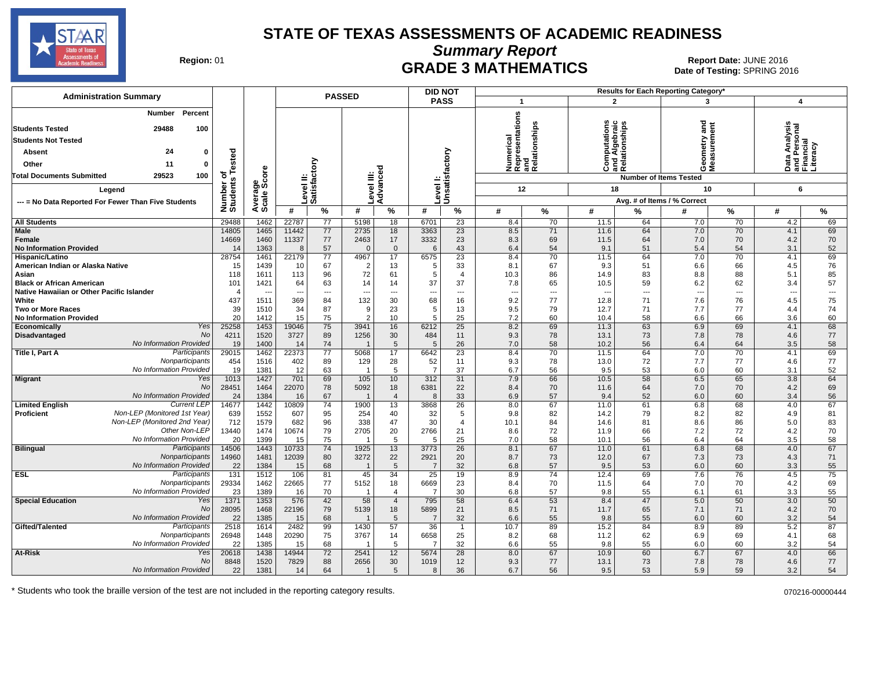

**Summary Report**

Region: 01 **Region: 01 CRADE 3 MATHEMATICS Date: JUNE 2016 Report Date: JUNE 2016 CRADE 3 MATHEMATICS** Date of Testing: SPRING 2016

| <b>PASSED</b><br><b>PASS</b><br>$\overline{2}$<br>3<br>$\overline{\mathbf{1}}$<br>$\boldsymbol{4}$<br>Percent<br>Number<br>Numerical<br>Representations<br>and<br>Relationships<br>and<br>elationships<br>$\mathbf{c}$<br>Data Analysis<br>and Personal<br>Financial<br>Computations<br>and Algebraic<br>Relationships<br><b>Students Tested</b><br>29488<br>100<br>etry<br><b>Students Not Tested</b><br>iteracy<br>Unsatisfactory<br>24<br>sted<br>Absent<br>0<br>eas<br>eas<br>δ<br>Other<br>11<br>0<br>نة<br>Advanced<br>ŎΣ<br>ge<br>Score<br>Satisfact<br>Satisfact<br>৳<br>Level III:<br>29523<br><b>Total Documents Submitted</b><br>100<br><b>Number of Items Tested</b><br>s<br>=<br><b>Levell:</b><br>Number<br>Students<br>evel<br>12<br>18<br>10<br>6<br>Legend<br>Average:<br>Avg. # of Items / % Correct<br>--- = No Data Reported For Fewer Than Five Students<br>#<br>%<br>%<br>#<br>$\%$<br>#<br>%<br>#<br>%<br>%<br>#<br>%<br>#<br>#<br>29488<br>22787<br>$\overline{77}$<br>5198<br>6701<br>23<br>64<br>7.0<br>4.2<br>69<br><b>All Students</b><br>1462<br>18<br>8.4<br>70<br>11.5<br>70<br><b>Male</b><br>14805<br>1465<br>11442<br>77<br>2735<br>18<br>3363<br>$\overline{23}$<br>71<br>64<br>7.0<br>69<br>8.5<br>11.6<br>70<br>4.1<br>14669<br>1460<br>11337<br>77<br>2463<br>17<br>3332<br>23<br>8.3<br>69<br>70<br>70<br>Female<br>11.5<br>64<br>7.0<br>4.2<br><b>No Information Provided</b><br>1363<br>57<br>$\mathbf{0}$<br>43<br>54<br>9.1<br>5.4<br>54<br>3.1<br>52<br>8<br>$\Omega$<br>6.4<br>51<br>14<br>6<br>22179<br>$\overline{77}$<br>23<br>69<br>28754<br>1461<br>4967<br>17<br>6575<br>70<br>11.5<br>64<br>7.0<br>70<br>Hispanic/Latino<br>8.4<br>4.1<br>76<br>15<br>1439<br>67<br>$\overline{2}$<br>13<br>33<br>8.1<br>67<br>9.3<br>51<br>6.6<br>66<br>4.5<br>American Indian or Alaska Native<br>10<br>5<br>72<br>85<br>1611<br>113<br>96<br>61<br>5<br>86<br>14.9<br>83<br>88<br>5.1<br>Asian<br>118<br>$\overline{4}$<br>10.3<br>8.8<br>57<br>101<br>1421<br>64<br>63<br>14<br>14<br>37<br>37<br>7.8<br>65<br>10.5<br>59<br>6.2<br>62<br>3.4<br><b>Black or African American</b><br>Native Hawaiian or Other Pacific Islander<br>---<br>4<br>$\overline{\phantom{a}}$<br>$\overline{\phantom{a}}$<br>$\overline{\phantom{a}}$<br>---<br>---<br>$\overline{\phantom{a}}$<br>$---$<br>$\overline{\phantom{a}}$<br>$\overline{a}$<br>$\overline{\phantom{a}}$<br>437<br>75<br>White<br>1511<br>369<br>84<br>132<br>30<br>68<br>16<br>9.2<br>77<br>12.8<br>71<br>76<br>4.5<br>7.6<br>39<br>34<br>87<br>23<br>74<br><b>Two or More Races</b><br>1510<br>9<br>5<br>13<br>9.5<br>79<br>12.7<br>71<br>7.7<br>77<br>4.4<br>20<br>15<br>75<br>$\overline{2}$<br>10<br>25<br>7.2<br>66<br>60<br><b>No Information Provided</b><br>1412<br>5<br>60<br>10.4<br>58<br>6.6<br>3.6<br>25258<br>19046<br>75<br>3941<br>16<br>25<br>8.2<br>69<br>11.3<br>63<br>6.9<br>69<br>4.1<br>68<br>Yes<br>1453<br>6212<br>Economically<br><b>No</b><br>77<br>4211<br>1520<br>3727<br>89<br>30<br>484<br>9.3<br>78<br>13.1<br>73<br>78<br>Disadvantaged<br>1256<br>11<br>7.8<br>4.6<br>No Information Provided<br>58<br>1400<br>74<br>5<br>26<br>7.0<br>58<br>10.2<br>56<br>64<br>3.5<br>19<br>14<br>5<br>6.4<br>Participants<br>22373<br>77<br>23<br>70<br>69<br>29015<br>1462<br>17<br>6642<br>8.4<br>70<br>11.5<br>64<br>7.0<br>4.1<br>Title I, Part A<br>5068<br>77<br>Nonparticipants<br>454<br>1516<br>402<br>89<br>129<br>28<br>52<br>11<br>9.3<br>78<br>13.0<br>72<br>7.7<br>77<br>4.6<br>No Information Provided<br>37<br>52<br>19<br>1381<br>12<br>63<br>5<br>$\overline{7}$<br>6.7<br>56<br>9.5<br>53<br>6.0<br>60<br>3.1<br>$\overline{1}$<br>1013<br>1427<br>701<br>69<br>$\overline{31}$<br>66<br>10.5<br>58<br>6.5<br>65<br>3.8<br>64<br>Yes<br>105<br>10<br>7.9<br>Migrant<br>312<br><b>No</b><br>22070<br>22<br>69<br>28451<br>1464<br>78<br>5092<br>18<br>6381<br>8.4<br>70<br>11.6<br>64<br>7.0<br>70<br>4.2<br>67<br>33<br>56<br>No Information Provided<br>24<br>1384<br>16<br>$\overline{4}$<br>6.9<br>57<br>9.4<br>52<br>6.0<br>60<br>3.4<br>8<br>$\mathbf{1}$<br>14677<br>67<br><b>Current LEP</b><br>1442<br>10809<br>74<br>26<br>67<br>11.0<br>61<br>6.8<br>68<br>4.0<br><b>Limited English</b><br>1900<br>13<br>3868<br>8.0<br>Non-LEP (Monitored 1st Year)<br>639<br>1552<br>95<br>32<br>82<br>81<br><b>Proficient</b><br>607<br>254<br>40<br>5<br>9.8<br>82<br>14.2<br>79<br>8.2<br>4.9<br>Non-LEP (Monitored 2nd Year)<br>1579<br>682<br>96<br>338<br>47<br>30<br>86<br>5.0<br>83<br>712<br>$\overline{4}$<br>10.1<br>84<br>14.6<br>81<br>8.6<br>Other Non-LEP<br>79<br>20<br>70<br>13440<br>1474<br>10674<br>21<br>72<br>7.2<br>72<br>2705<br>2766<br>8.6<br>11.9<br>66<br>4.2<br>58<br>No Information Provided<br>20<br>1399<br>75<br>5<br>25<br>58<br>10.1<br>64<br>3.5<br>15<br>7.0<br>56<br>6.4<br>5<br><b>Bilingual</b><br>14506<br>1443<br>10733<br>74<br>1925<br>13<br>3773<br>26<br>8.1<br>67<br>11.0<br>61<br>6.8<br>68<br>4.0<br>67<br>Participants<br>22<br>20<br>71<br>Nonparticipants<br>14960<br>1481<br>80<br>8.7<br>73<br>7.3<br>73<br>12039<br>3272<br>2921<br>12.0<br>67<br>4.3<br>No Information Provided<br>55<br>22<br>1384<br>68<br>5<br>32<br>6.8<br>57<br>9.5<br>53<br>6.0<br>60<br>3.3<br>15<br><b>ESL</b><br>Participants<br>1512<br>19<br>74<br>12.4<br>76<br>75<br>131<br>106<br>81<br>45<br>34<br>25<br>8.9<br>69<br>7.6<br>4.5<br>Nonparticipants<br>77<br>69<br>29334<br>1462<br>22665<br>5152<br>18<br>6669<br>23<br>8.4<br>70<br>11.5<br>64<br>7.0<br>70<br>4.2<br>No Information Provided<br>1389<br>70<br>30<br>57<br>55<br>23<br>16<br>6.8<br>9.8<br>55<br>6.1<br>61<br>3.3<br>$\overline{4}$<br>7<br>1353<br>576<br>42<br>$\overline{4}$<br>58<br>53<br>8.4<br>47<br>5.0<br>50<br>3.0<br>50<br><b>Special Education</b><br>Yes<br>1371<br>58<br>795<br>6.4<br><b>No</b><br>28095<br>79<br>21<br>71<br>70<br>1468<br>22196<br>5139<br>18<br>5899<br>8.5<br>71<br>11.7<br>65<br>7.1<br>4.2<br>No Information Provided<br>1385<br>68<br>32<br>55<br>54<br>22<br>15<br>5<br>6.6<br>9.8<br>55<br>6.0<br>60<br>3.2<br>7<br>2518<br>1614<br>2482<br>99<br>1430<br>57<br>10.7<br>89<br>15.2<br>84<br>8.9<br>89<br>5.2<br>87<br>Gifted/Talented<br>Participants<br>36<br>$\overline{1}$<br>75<br>68<br>14<br>25<br>68<br>62<br>69<br>Nonparticipants<br>26948<br>1448<br>20290<br>3767<br>6658<br>8.2<br>11.2<br>6.9<br>4.1<br>No Information Provideo<br>1385<br>68<br>32<br>55<br>54<br>22<br>15<br>5<br>6.6<br>9.8<br>55<br>6.0<br>60<br>3.2<br>7<br>72<br>28<br>66<br>At-Risk<br>Yes<br>20618<br>1438<br>14944<br>2541<br>12<br>67<br>10.9<br>60<br>6.7<br>67<br>4.0<br>5674<br>8.0<br>No<br>8848<br>1520<br>7829<br>88<br>2656<br>30<br>12<br>77<br>78<br>77<br>1019<br>9.3<br>13.1<br>73<br>7.8<br>4.6<br>No Information Provided<br>22<br>1381<br>14<br>64<br>5<br>36<br>6.7<br>56<br>9.5<br>53<br>5.9<br>59<br>3.2<br>54<br>8<br>1 | <b>Administration Summary</b> |  |  |  | <b>DID NOT</b> |  |  | Results for Each Reporting Category' |  |  |
|-------------------------------------------------------------------------------------------------------------------------------------------------------------------------------------------------------------------------------------------------------------------------------------------------------------------------------------------------------------------------------------------------------------------------------------------------------------------------------------------------------------------------------------------------------------------------------------------------------------------------------------------------------------------------------------------------------------------------------------------------------------------------------------------------------------------------------------------------------------------------------------------------------------------------------------------------------------------------------------------------------------------------------------------------------------------------------------------------------------------------------------------------------------------------------------------------------------------------------------------------------------------------------------------------------------------------------------------------------------------------------------------------------------------------------------------------------------------------------------------------------------------------------------------------------------------------------------------------------------------------------------------------------------------------------------------------------------------------------------------------------------------------------------------------------------------------------------------------------------------------------------------------------------------------------------------------------------------------------------------------------------------------------------------------------------------------------------------------------------------------------------------------------------------------------------------------------------------------------------------------------------------------------------------------------------------------------------------------------------------------------------------------------------------------------------------------------------------------------------------------------------------------------------------------------------------------------------------------------------------------------------------------------------------------------------------------------------------------------------------------------------------------------------------------------------------------------------------------------------------------------------------------------------------------------------------------------------------------------------------------------------------------------------------------------------------------------------------------------------------------------------------------------------------------------------------------------------------------------------------------------------------------------------------------------------------------------------------------------------------------------------------------------------------------------------------------------------------------------------------------------------------------------------------------------------------------------------------------------------------------------------------------------------------------------------------------------------------------------------------------------------------------------------------------------------------------------------------------------------------------------------------------------------------------------------------------------------------------------------------------------------------------------------------------------------------------------------------------------------------------------------------------------------------------------------------------------------------------------------------------------------------------------------------------------------------------------------------------------------------------------------------------------------------------------------------------------------------------------------------------------------------------------------------------------------------------------------------------------------------------------------------------------------------------------------------------------------------------------------------------------------------------------------------------------------------------------------------------------------------------------------------------------------------------------------------------------------------------------------------------------------------------------------------------------------------------------------------------------------------------------------------------------------------------------------------------------------------------------------------------------------------------------------------------------------------------------------------------------------------------------------------------------------------------------------------------------------------------------------------------------------------------------------------------------------------------------------------------------------------------------------------------------------------------------------------------------------------------------------------------------------------------------------------------------------------------------------------------------------------------------------------------------------------------------------------------------------------------------------------------------------------------------------------------------------------------------------------------------------------------------------------------------------------------------------------------------------------------------------------------------------------------------------------------------------------------------------------------------------------------------------------------------------------------------------------------------------------------------------------------------------------------------------------------------------------------------------------------------------------------------------------------------------------------------------------------------------------------------------------------------------------------------------------------------------------------------------------------------------------------------------------------------------------|-------------------------------|--|--|--|----------------|--|--|--------------------------------------|--|--|
|                                                                                                                                                                                                                                                                                                                                                                                                                                                                                                                                                                                                                                                                                                                                                                                                                                                                                                                                                                                                                                                                                                                                                                                                                                                                                                                                                                                                                                                                                                                                                                                                                                                                                                                                                                                                                                                                                                                                                                                                                                                                                                                                                                                                                                                                                                                                                                                                                                                                                                                                                                                                                                                                                                                                                                                                                                                                                                                                                                                                                                                                                                                                                                                                                                                                                                                                                                                                                                                                                                                                                                                                                                                                                                                                                                                                                                                                                                                                                                                                                                                                                                                                                                                                                                                                                                                                                                                                                                                                                                                                                                                                                                                                                                                                                                                                                                                                                                                                                                                                                                                                                                                                                                                                                                                                                                                                                                                                                                                                                                                                                                                                                                                                                                                                                                                                                                                                                                                                                                                                                                                                                                                                                                                                                                                                                                                                                                                                                                                                                                                                                                                                                                                                                                                                                                                                                                                                                                                   |                               |  |  |  |                |  |  |                                      |  |  |
|                                                                                                                                                                                                                                                                                                                                                                                                                                                                                                                                                                                                                                                                                                                                                                                                                                                                                                                                                                                                                                                                                                                                                                                                                                                                                                                                                                                                                                                                                                                                                                                                                                                                                                                                                                                                                                                                                                                                                                                                                                                                                                                                                                                                                                                                                                                                                                                                                                                                                                                                                                                                                                                                                                                                                                                                                                                                                                                                                                                                                                                                                                                                                                                                                                                                                                                                                                                                                                                                                                                                                                                                                                                                                                                                                                                                                                                                                                                                                                                                                                                                                                                                                                                                                                                                                                                                                                                                                                                                                                                                                                                                                                                                                                                                                                                                                                                                                                                                                                                                                                                                                                                                                                                                                                                                                                                                                                                                                                                                                                                                                                                                                                                                                                                                                                                                                                                                                                                                                                                                                                                                                                                                                                                                                                                                                                                                                                                                                                                                                                                                                                                                                                                                                                                                                                                                                                                                                                                   |                               |  |  |  |                |  |  |                                      |  |  |
|                                                                                                                                                                                                                                                                                                                                                                                                                                                                                                                                                                                                                                                                                                                                                                                                                                                                                                                                                                                                                                                                                                                                                                                                                                                                                                                                                                                                                                                                                                                                                                                                                                                                                                                                                                                                                                                                                                                                                                                                                                                                                                                                                                                                                                                                                                                                                                                                                                                                                                                                                                                                                                                                                                                                                                                                                                                                                                                                                                                                                                                                                                                                                                                                                                                                                                                                                                                                                                                                                                                                                                                                                                                                                                                                                                                                                                                                                                                                                                                                                                                                                                                                                                                                                                                                                                                                                                                                                                                                                                                                                                                                                                                                                                                                                                                                                                                                                                                                                                                                                                                                                                                                                                                                                                                                                                                                                                                                                                                                                                                                                                                                                                                                                                                                                                                                                                                                                                                                                                                                                                                                                                                                                                                                                                                                                                                                                                                                                                                                                                                                                                                                                                                                                                                                                                                                                                                                                                                   |                               |  |  |  |                |  |  |                                      |  |  |
|                                                                                                                                                                                                                                                                                                                                                                                                                                                                                                                                                                                                                                                                                                                                                                                                                                                                                                                                                                                                                                                                                                                                                                                                                                                                                                                                                                                                                                                                                                                                                                                                                                                                                                                                                                                                                                                                                                                                                                                                                                                                                                                                                                                                                                                                                                                                                                                                                                                                                                                                                                                                                                                                                                                                                                                                                                                                                                                                                                                                                                                                                                                                                                                                                                                                                                                                                                                                                                                                                                                                                                                                                                                                                                                                                                                                                                                                                                                                                                                                                                                                                                                                                                                                                                                                                                                                                                                                                                                                                                                                                                                                                                                                                                                                                                                                                                                                                                                                                                                                                                                                                                                                                                                                                                                                                                                                                                                                                                                                                                                                                                                                                                                                                                                                                                                                                                                                                                                                                                                                                                                                                                                                                                                                                                                                                                                                                                                                                                                                                                                                                                                                                                                                                                                                                                                                                                                                                                                   |                               |  |  |  |                |  |  |                                      |  |  |
|                                                                                                                                                                                                                                                                                                                                                                                                                                                                                                                                                                                                                                                                                                                                                                                                                                                                                                                                                                                                                                                                                                                                                                                                                                                                                                                                                                                                                                                                                                                                                                                                                                                                                                                                                                                                                                                                                                                                                                                                                                                                                                                                                                                                                                                                                                                                                                                                                                                                                                                                                                                                                                                                                                                                                                                                                                                                                                                                                                                                                                                                                                                                                                                                                                                                                                                                                                                                                                                                                                                                                                                                                                                                                                                                                                                                                                                                                                                                                                                                                                                                                                                                                                                                                                                                                                                                                                                                                                                                                                                                                                                                                                                                                                                                                                                                                                                                                                                                                                                                                                                                                                                                                                                                                                                                                                                                                                                                                                                                                                                                                                                                                                                                                                                                                                                                                                                                                                                                                                                                                                                                                                                                                                                                                                                                                                                                                                                                                                                                                                                                                                                                                                                                                                                                                                                                                                                                                                                   |                               |  |  |  |                |  |  |                                      |  |  |
|                                                                                                                                                                                                                                                                                                                                                                                                                                                                                                                                                                                                                                                                                                                                                                                                                                                                                                                                                                                                                                                                                                                                                                                                                                                                                                                                                                                                                                                                                                                                                                                                                                                                                                                                                                                                                                                                                                                                                                                                                                                                                                                                                                                                                                                                                                                                                                                                                                                                                                                                                                                                                                                                                                                                                                                                                                                                                                                                                                                                                                                                                                                                                                                                                                                                                                                                                                                                                                                                                                                                                                                                                                                                                                                                                                                                                                                                                                                                                                                                                                                                                                                                                                                                                                                                                                                                                                                                                                                                                                                                                                                                                                                                                                                                                                                                                                                                                                                                                                                                                                                                                                                                                                                                                                                                                                                                                                                                                                                                                                                                                                                                                                                                                                                                                                                                                                                                                                                                                                                                                                                                                                                                                                                                                                                                                                                                                                                                                                                                                                                                                                                                                                                                                                                                                                                                                                                                                                                   |                               |  |  |  |                |  |  |                                      |  |  |
|                                                                                                                                                                                                                                                                                                                                                                                                                                                                                                                                                                                                                                                                                                                                                                                                                                                                                                                                                                                                                                                                                                                                                                                                                                                                                                                                                                                                                                                                                                                                                                                                                                                                                                                                                                                                                                                                                                                                                                                                                                                                                                                                                                                                                                                                                                                                                                                                                                                                                                                                                                                                                                                                                                                                                                                                                                                                                                                                                                                                                                                                                                                                                                                                                                                                                                                                                                                                                                                                                                                                                                                                                                                                                                                                                                                                                                                                                                                                                                                                                                                                                                                                                                                                                                                                                                                                                                                                                                                                                                                                                                                                                                                                                                                                                                                                                                                                                                                                                                                                                                                                                                                                                                                                                                                                                                                                                                                                                                                                                                                                                                                                                                                                                                                                                                                                                                                                                                                                                                                                                                                                                                                                                                                                                                                                                                                                                                                                                                                                                                                                                                                                                                                                                                                                                                                                                                                                                                                   |                               |  |  |  |                |  |  |                                      |  |  |
|                                                                                                                                                                                                                                                                                                                                                                                                                                                                                                                                                                                                                                                                                                                                                                                                                                                                                                                                                                                                                                                                                                                                                                                                                                                                                                                                                                                                                                                                                                                                                                                                                                                                                                                                                                                                                                                                                                                                                                                                                                                                                                                                                                                                                                                                                                                                                                                                                                                                                                                                                                                                                                                                                                                                                                                                                                                                                                                                                                                                                                                                                                                                                                                                                                                                                                                                                                                                                                                                                                                                                                                                                                                                                                                                                                                                                                                                                                                                                                                                                                                                                                                                                                                                                                                                                                                                                                                                                                                                                                                                                                                                                                                                                                                                                                                                                                                                                                                                                                                                                                                                                                                                                                                                                                                                                                                                                                                                                                                                                                                                                                                                                                                                                                                                                                                                                                                                                                                                                                                                                                                                                                                                                                                                                                                                                                                                                                                                                                                                                                                                                                                                                                                                                                                                                                                                                                                                                                                   |                               |  |  |  |                |  |  |                                      |  |  |
|                                                                                                                                                                                                                                                                                                                                                                                                                                                                                                                                                                                                                                                                                                                                                                                                                                                                                                                                                                                                                                                                                                                                                                                                                                                                                                                                                                                                                                                                                                                                                                                                                                                                                                                                                                                                                                                                                                                                                                                                                                                                                                                                                                                                                                                                                                                                                                                                                                                                                                                                                                                                                                                                                                                                                                                                                                                                                                                                                                                                                                                                                                                                                                                                                                                                                                                                                                                                                                                                                                                                                                                                                                                                                                                                                                                                                                                                                                                                                                                                                                                                                                                                                                                                                                                                                                                                                                                                                                                                                                                                                                                                                                                                                                                                                                                                                                                                                                                                                                                                                                                                                                                                                                                                                                                                                                                                                                                                                                                                                                                                                                                                                                                                                                                                                                                                                                                                                                                                                                                                                                                                                                                                                                                                                                                                                                                                                                                                                                                                                                                                                                                                                                                                                                                                                                                                                                                                                                                   |                               |  |  |  |                |  |  |                                      |  |  |
|                                                                                                                                                                                                                                                                                                                                                                                                                                                                                                                                                                                                                                                                                                                                                                                                                                                                                                                                                                                                                                                                                                                                                                                                                                                                                                                                                                                                                                                                                                                                                                                                                                                                                                                                                                                                                                                                                                                                                                                                                                                                                                                                                                                                                                                                                                                                                                                                                                                                                                                                                                                                                                                                                                                                                                                                                                                                                                                                                                                                                                                                                                                                                                                                                                                                                                                                                                                                                                                                                                                                                                                                                                                                                                                                                                                                                                                                                                                                                                                                                                                                                                                                                                                                                                                                                                                                                                                                                                                                                                                                                                                                                                                                                                                                                                                                                                                                                                                                                                                                                                                                                                                                                                                                                                                                                                                                                                                                                                                                                                                                                                                                                                                                                                                                                                                                                                                                                                                                                                                                                                                                                                                                                                                                                                                                                                                                                                                                                                                                                                                                                                                                                                                                                                                                                                                                                                                                                                                   |                               |  |  |  |                |  |  |                                      |  |  |
|                                                                                                                                                                                                                                                                                                                                                                                                                                                                                                                                                                                                                                                                                                                                                                                                                                                                                                                                                                                                                                                                                                                                                                                                                                                                                                                                                                                                                                                                                                                                                                                                                                                                                                                                                                                                                                                                                                                                                                                                                                                                                                                                                                                                                                                                                                                                                                                                                                                                                                                                                                                                                                                                                                                                                                                                                                                                                                                                                                                                                                                                                                                                                                                                                                                                                                                                                                                                                                                                                                                                                                                                                                                                                                                                                                                                                                                                                                                                                                                                                                                                                                                                                                                                                                                                                                                                                                                                                                                                                                                                                                                                                                                                                                                                                                                                                                                                                                                                                                                                                                                                                                                                                                                                                                                                                                                                                                                                                                                                                                                                                                                                                                                                                                                                                                                                                                                                                                                                                                                                                                                                                                                                                                                                                                                                                                                                                                                                                                                                                                                                                                                                                                                                                                                                                                                                                                                                                                                   |                               |  |  |  |                |  |  |                                      |  |  |
|                                                                                                                                                                                                                                                                                                                                                                                                                                                                                                                                                                                                                                                                                                                                                                                                                                                                                                                                                                                                                                                                                                                                                                                                                                                                                                                                                                                                                                                                                                                                                                                                                                                                                                                                                                                                                                                                                                                                                                                                                                                                                                                                                                                                                                                                                                                                                                                                                                                                                                                                                                                                                                                                                                                                                                                                                                                                                                                                                                                                                                                                                                                                                                                                                                                                                                                                                                                                                                                                                                                                                                                                                                                                                                                                                                                                                                                                                                                                                                                                                                                                                                                                                                                                                                                                                                                                                                                                                                                                                                                                                                                                                                                                                                                                                                                                                                                                                                                                                                                                                                                                                                                                                                                                                                                                                                                                                                                                                                                                                                                                                                                                                                                                                                                                                                                                                                                                                                                                                                                                                                                                                                                                                                                                                                                                                                                                                                                                                                                                                                                                                                                                                                                                                                                                                                                                                                                                                                                   |                               |  |  |  |                |  |  |                                      |  |  |
|                                                                                                                                                                                                                                                                                                                                                                                                                                                                                                                                                                                                                                                                                                                                                                                                                                                                                                                                                                                                                                                                                                                                                                                                                                                                                                                                                                                                                                                                                                                                                                                                                                                                                                                                                                                                                                                                                                                                                                                                                                                                                                                                                                                                                                                                                                                                                                                                                                                                                                                                                                                                                                                                                                                                                                                                                                                                                                                                                                                                                                                                                                                                                                                                                                                                                                                                                                                                                                                                                                                                                                                                                                                                                                                                                                                                                                                                                                                                                                                                                                                                                                                                                                                                                                                                                                                                                                                                                                                                                                                                                                                                                                                                                                                                                                                                                                                                                                                                                                                                                                                                                                                                                                                                                                                                                                                                                                                                                                                                                                                                                                                                                                                                                                                                                                                                                                                                                                                                                                                                                                                                                                                                                                                                                                                                                                                                                                                                                                                                                                                                                                                                                                                                                                                                                                                                                                                                                                                   |                               |  |  |  |                |  |  |                                      |  |  |
|                                                                                                                                                                                                                                                                                                                                                                                                                                                                                                                                                                                                                                                                                                                                                                                                                                                                                                                                                                                                                                                                                                                                                                                                                                                                                                                                                                                                                                                                                                                                                                                                                                                                                                                                                                                                                                                                                                                                                                                                                                                                                                                                                                                                                                                                                                                                                                                                                                                                                                                                                                                                                                                                                                                                                                                                                                                                                                                                                                                                                                                                                                                                                                                                                                                                                                                                                                                                                                                                                                                                                                                                                                                                                                                                                                                                                                                                                                                                                                                                                                                                                                                                                                                                                                                                                                                                                                                                                                                                                                                                                                                                                                                                                                                                                                                                                                                                                                                                                                                                                                                                                                                                                                                                                                                                                                                                                                                                                                                                                                                                                                                                                                                                                                                                                                                                                                                                                                                                                                                                                                                                                                                                                                                                                                                                                                                                                                                                                                                                                                                                                                                                                                                                                                                                                                                                                                                                                                                   |                               |  |  |  |                |  |  |                                      |  |  |
|                                                                                                                                                                                                                                                                                                                                                                                                                                                                                                                                                                                                                                                                                                                                                                                                                                                                                                                                                                                                                                                                                                                                                                                                                                                                                                                                                                                                                                                                                                                                                                                                                                                                                                                                                                                                                                                                                                                                                                                                                                                                                                                                                                                                                                                                                                                                                                                                                                                                                                                                                                                                                                                                                                                                                                                                                                                                                                                                                                                                                                                                                                                                                                                                                                                                                                                                                                                                                                                                                                                                                                                                                                                                                                                                                                                                                                                                                                                                                                                                                                                                                                                                                                                                                                                                                                                                                                                                                                                                                                                                                                                                                                                                                                                                                                                                                                                                                                                                                                                                                                                                                                                                                                                                                                                                                                                                                                                                                                                                                                                                                                                                                                                                                                                                                                                                                                                                                                                                                                                                                                                                                                                                                                                                                                                                                                                                                                                                                                                                                                                                                                                                                                                                                                                                                                                                                                                                                                                   |                               |  |  |  |                |  |  |                                      |  |  |
|                                                                                                                                                                                                                                                                                                                                                                                                                                                                                                                                                                                                                                                                                                                                                                                                                                                                                                                                                                                                                                                                                                                                                                                                                                                                                                                                                                                                                                                                                                                                                                                                                                                                                                                                                                                                                                                                                                                                                                                                                                                                                                                                                                                                                                                                                                                                                                                                                                                                                                                                                                                                                                                                                                                                                                                                                                                                                                                                                                                                                                                                                                                                                                                                                                                                                                                                                                                                                                                                                                                                                                                                                                                                                                                                                                                                                                                                                                                                                                                                                                                                                                                                                                                                                                                                                                                                                                                                                                                                                                                                                                                                                                                                                                                                                                                                                                                                                                                                                                                                                                                                                                                                                                                                                                                                                                                                                                                                                                                                                                                                                                                                                                                                                                                                                                                                                                                                                                                                                                                                                                                                                                                                                                                                                                                                                                                                                                                                                                                                                                                                                                                                                                                                                                                                                                                                                                                                                                                   |                               |  |  |  |                |  |  |                                      |  |  |
|                                                                                                                                                                                                                                                                                                                                                                                                                                                                                                                                                                                                                                                                                                                                                                                                                                                                                                                                                                                                                                                                                                                                                                                                                                                                                                                                                                                                                                                                                                                                                                                                                                                                                                                                                                                                                                                                                                                                                                                                                                                                                                                                                                                                                                                                                                                                                                                                                                                                                                                                                                                                                                                                                                                                                                                                                                                                                                                                                                                                                                                                                                                                                                                                                                                                                                                                                                                                                                                                                                                                                                                                                                                                                                                                                                                                                                                                                                                                                                                                                                                                                                                                                                                                                                                                                                                                                                                                                                                                                                                                                                                                                                                                                                                                                                                                                                                                                                                                                                                                                                                                                                                                                                                                                                                                                                                                                                                                                                                                                                                                                                                                                                                                                                                                                                                                                                                                                                                                                                                                                                                                                                                                                                                                                                                                                                                                                                                                                                                                                                                                                                                                                                                                                                                                                                                                                                                                                                                   |                               |  |  |  |                |  |  |                                      |  |  |
|                                                                                                                                                                                                                                                                                                                                                                                                                                                                                                                                                                                                                                                                                                                                                                                                                                                                                                                                                                                                                                                                                                                                                                                                                                                                                                                                                                                                                                                                                                                                                                                                                                                                                                                                                                                                                                                                                                                                                                                                                                                                                                                                                                                                                                                                                                                                                                                                                                                                                                                                                                                                                                                                                                                                                                                                                                                                                                                                                                                                                                                                                                                                                                                                                                                                                                                                                                                                                                                                                                                                                                                                                                                                                                                                                                                                                                                                                                                                                                                                                                                                                                                                                                                                                                                                                                                                                                                                                                                                                                                                                                                                                                                                                                                                                                                                                                                                                                                                                                                                                                                                                                                                                                                                                                                                                                                                                                                                                                                                                                                                                                                                                                                                                                                                                                                                                                                                                                                                                                                                                                                                                                                                                                                                                                                                                                                                                                                                                                                                                                                                                                                                                                                                                                                                                                                                                                                                                                                   |                               |  |  |  |                |  |  |                                      |  |  |
|                                                                                                                                                                                                                                                                                                                                                                                                                                                                                                                                                                                                                                                                                                                                                                                                                                                                                                                                                                                                                                                                                                                                                                                                                                                                                                                                                                                                                                                                                                                                                                                                                                                                                                                                                                                                                                                                                                                                                                                                                                                                                                                                                                                                                                                                                                                                                                                                                                                                                                                                                                                                                                                                                                                                                                                                                                                                                                                                                                                                                                                                                                                                                                                                                                                                                                                                                                                                                                                                                                                                                                                                                                                                                                                                                                                                                                                                                                                                                                                                                                                                                                                                                                                                                                                                                                                                                                                                                                                                                                                                                                                                                                                                                                                                                                                                                                                                                                                                                                                                                                                                                                                                                                                                                                                                                                                                                                                                                                                                                                                                                                                                                                                                                                                                                                                                                                                                                                                                                                                                                                                                                                                                                                                                                                                                                                                                                                                                                                                                                                                                                                                                                                                                                                                                                                                                                                                                                                                   |                               |  |  |  |                |  |  |                                      |  |  |
|                                                                                                                                                                                                                                                                                                                                                                                                                                                                                                                                                                                                                                                                                                                                                                                                                                                                                                                                                                                                                                                                                                                                                                                                                                                                                                                                                                                                                                                                                                                                                                                                                                                                                                                                                                                                                                                                                                                                                                                                                                                                                                                                                                                                                                                                                                                                                                                                                                                                                                                                                                                                                                                                                                                                                                                                                                                                                                                                                                                                                                                                                                                                                                                                                                                                                                                                                                                                                                                                                                                                                                                                                                                                                                                                                                                                                                                                                                                                                                                                                                                                                                                                                                                                                                                                                                                                                                                                                                                                                                                                                                                                                                                                                                                                                                                                                                                                                                                                                                                                                                                                                                                                                                                                                                                                                                                                                                                                                                                                                                                                                                                                                                                                                                                                                                                                                                                                                                                                                                                                                                                                                                                                                                                                                                                                                                                                                                                                                                                                                                                                                                                                                                                                                                                                                                                                                                                                                                                   |                               |  |  |  |                |  |  |                                      |  |  |
|                                                                                                                                                                                                                                                                                                                                                                                                                                                                                                                                                                                                                                                                                                                                                                                                                                                                                                                                                                                                                                                                                                                                                                                                                                                                                                                                                                                                                                                                                                                                                                                                                                                                                                                                                                                                                                                                                                                                                                                                                                                                                                                                                                                                                                                                                                                                                                                                                                                                                                                                                                                                                                                                                                                                                                                                                                                                                                                                                                                                                                                                                                                                                                                                                                                                                                                                                                                                                                                                                                                                                                                                                                                                                                                                                                                                                                                                                                                                                                                                                                                                                                                                                                                                                                                                                                                                                                                                                                                                                                                                                                                                                                                                                                                                                                                                                                                                                                                                                                                                                                                                                                                                                                                                                                                                                                                                                                                                                                                                                                                                                                                                                                                                                                                                                                                                                                                                                                                                                                                                                                                                                                                                                                                                                                                                                                                                                                                                                                                                                                                                                                                                                                                                                                                                                                                                                                                                                                                   |                               |  |  |  |                |  |  |                                      |  |  |
|                                                                                                                                                                                                                                                                                                                                                                                                                                                                                                                                                                                                                                                                                                                                                                                                                                                                                                                                                                                                                                                                                                                                                                                                                                                                                                                                                                                                                                                                                                                                                                                                                                                                                                                                                                                                                                                                                                                                                                                                                                                                                                                                                                                                                                                                                                                                                                                                                                                                                                                                                                                                                                                                                                                                                                                                                                                                                                                                                                                                                                                                                                                                                                                                                                                                                                                                                                                                                                                                                                                                                                                                                                                                                                                                                                                                                                                                                                                                                                                                                                                                                                                                                                                                                                                                                                                                                                                                                                                                                                                                                                                                                                                                                                                                                                                                                                                                                                                                                                                                                                                                                                                                                                                                                                                                                                                                                                                                                                                                                                                                                                                                                                                                                                                                                                                                                                                                                                                                                                                                                                                                                                                                                                                                                                                                                                                                                                                                                                                                                                                                                                                                                                                                                                                                                                                                                                                                                                                   |                               |  |  |  |                |  |  |                                      |  |  |
|                                                                                                                                                                                                                                                                                                                                                                                                                                                                                                                                                                                                                                                                                                                                                                                                                                                                                                                                                                                                                                                                                                                                                                                                                                                                                                                                                                                                                                                                                                                                                                                                                                                                                                                                                                                                                                                                                                                                                                                                                                                                                                                                                                                                                                                                                                                                                                                                                                                                                                                                                                                                                                                                                                                                                                                                                                                                                                                                                                                                                                                                                                                                                                                                                                                                                                                                                                                                                                                                                                                                                                                                                                                                                                                                                                                                                                                                                                                                                                                                                                                                                                                                                                                                                                                                                                                                                                                                                                                                                                                                                                                                                                                                                                                                                                                                                                                                                                                                                                                                                                                                                                                                                                                                                                                                                                                                                                                                                                                                                                                                                                                                                                                                                                                                                                                                                                                                                                                                                                                                                                                                                                                                                                                                                                                                                                                                                                                                                                                                                                                                                                                                                                                                                                                                                                                                                                                                                                                   |                               |  |  |  |                |  |  |                                      |  |  |
|                                                                                                                                                                                                                                                                                                                                                                                                                                                                                                                                                                                                                                                                                                                                                                                                                                                                                                                                                                                                                                                                                                                                                                                                                                                                                                                                                                                                                                                                                                                                                                                                                                                                                                                                                                                                                                                                                                                                                                                                                                                                                                                                                                                                                                                                                                                                                                                                                                                                                                                                                                                                                                                                                                                                                                                                                                                                                                                                                                                                                                                                                                                                                                                                                                                                                                                                                                                                                                                                                                                                                                                                                                                                                                                                                                                                                                                                                                                                                                                                                                                                                                                                                                                                                                                                                                                                                                                                                                                                                                                                                                                                                                                                                                                                                                                                                                                                                                                                                                                                                                                                                                                                                                                                                                                                                                                                                                                                                                                                                                                                                                                                                                                                                                                                                                                                                                                                                                                                                                                                                                                                                                                                                                                                                                                                                                                                                                                                                                                                                                                                                                                                                                                                                                                                                                                                                                                                                                                   |                               |  |  |  |                |  |  |                                      |  |  |
|                                                                                                                                                                                                                                                                                                                                                                                                                                                                                                                                                                                                                                                                                                                                                                                                                                                                                                                                                                                                                                                                                                                                                                                                                                                                                                                                                                                                                                                                                                                                                                                                                                                                                                                                                                                                                                                                                                                                                                                                                                                                                                                                                                                                                                                                                                                                                                                                                                                                                                                                                                                                                                                                                                                                                                                                                                                                                                                                                                                                                                                                                                                                                                                                                                                                                                                                                                                                                                                                                                                                                                                                                                                                                                                                                                                                                                                                                                                                                                                                                                                                                                                                                                                                                                                                                                                                                                                                                                                                                                                                                                                                                                                                                                                                                                                                                                                                                                                                                                                                                                                                                                                                                                                                                                                                                                                                                                                                                                                                                                                                                                                                                                                                                                                                                                                                                                                                                                                                                                                                                                                                                                                                                                                                                                                                                                                                                                                                                                                                                                                                                                                                                                                                                                                                                                                                                                                                                                                   |                               |  |  |  |                |  |  |                                      |  |  |
|                                                                                                                                                                                                                                                                                                                                                                                                                                                                                                                                                                                                                                                                                                                                                                                                                                                                                                                                                                                                                                                                                                                                                                                                                                                                                                                                                                                                                                                                                                                                                                                                                                                                                                                                                                                                                                                                                                                                                                                                                                                                                                                                                                                                                                                                                                                                                                                                                                                                                                                                                                                                                                                                                                                                                                                                                                                                                                                                                                                                                                                                                                                                                                                                                                                                                                                                                                                                                                                                                                                                                                                                                                                                                                                                                                                                                                                                                                                                                                                                                                                                                                                                                                                                                                                                                                                                                                                                                                                                                                                                                                                                                                                                                                                                                                                                                                                                                                                                                                                                                                                                                                                                                                                                                                                                                                                                                                                                                                                                                                                                                                                                                                                                                                                                                                                                                                                                                                                                                                                                                                                                                                                                                                                                                                                                                                                                                                                                                                                                                                                                                                                                                                                                                                                                                                                                                                                                                                                   |                               |  |  |  |                |  |  |                                      |  |  |
|                                                                                                                                                                                                                                                                                                                                                                                                                                                                                                                                                                                                                                                                                                                                                                                                                                                                                                                                                                                                                                                                                                                                                                                                                                                                                                                                                                                                                                                                                                                                                                                                                                                                                                                                                                                                                                                                                                                                                                                                                                                                                                                                                                                                                                                                                                                                                                                                                                                                                                                                                                                                                                                                                                                                                                                                                                                                                                                                                                                                                                                                                                                                                                                                                                                                                                                                                                                                                                                                                                                                                                                                                                                                                                                                                                                                                                                                                                                                                                                                                                                                                                                                                                                                                                                                                                                                                                                                                                                                                                                                                                                                                                                                                                                                                                                                                                                                                                                                                                                                                                                                                                                                                                                                                                                                                                                                                                                                                                                                                                                                                                                                                                                                                                                                                                                                                                                                                                                                                                                                                                                                                                                                                                                                                                                                                                                                                                                                                                                                                                                                                                                                                                                                                                                                                                                                                                                                                                                   |                               |  |  |  |                |  |  |                                      |  |  |
|                                                                                                                                                                                                                                                                                                                                                                                                                                                                                                                                                                                                                                                                                                                                                                                                                                                                                                                                                                                                                                                                                                                                                                                                                                                                                                                                                                                                                                                                                                                                                                                                                                                                                                                                                                                                                                                                                                                                                                                                                                                                                                                                                                                                                                                                                                                                                                                                                                                                                                                                                                                                                                                                                                                                                                                                                                                                                                                                                                                                                                                                                                                                                                                                                                                                                                                                                                                                                                                                                                                                                                                                                                                                                                                                                                                                                                                                                                                                                                                                                                                                                                                                                                                                                                                                                                                                                                                                                                                                                                                                                                                                                                                                                                                                                                                                                                                                                                                                                                                                                                                                                                                                                                                                                                                                                                                                                                                                                                                                                                                                                                                                                                                                                                                                                                                                                                                                                                                                                                                                                                                                                                                                                                                                                                                                                                                                                                                                                                                                                                                                                                                                                                                                                                                                                                                                                                                                                                                   |                               |  |  |  |                |  |  |                                      |  |  |
|                                                                                                                                                                                                                                                                                                                                                                                                                                                                                                                                                                                                                                                                                                                                                                                                                                                                                                                                                                                                                                                                                                                                                                                                                                                                                                                                                                                                                                                                                                                                                                                                                                                                                                                                                                                                                                                                                                                                                                                                                                                                                                                                                                                                                                                                                                                                                                                                                                                                                                                                                                                                                                                                                                                                                                                                                                                                                                                                                                                                                                                                                                                                                                                                                                                                                                                                                                                                                                                                                                                                                                                                                                                                                                                                                                                                                                                                                                                                                                                                                                                                                                                                                                                                                                                                                                                                                                                                                                                                                                                                                                                                                                                                                                                                                                                                                                                                                                                                                                                                                                                                                                                                                                                                                                                                                                                                                                                                                                                                                                                                                                                                                                                                                                                                                                                                                                                                                                                                                                                                                                                                                                                                                                                                                                                                                                                                                                                                                                                                                                                                                                                                                                                                                                                                                                                                                                                                                                                   |                               |  |  |  |                |  |  |                                      |  |  |
|                                                                                                                                                                                                                                                                                                                                                                                                                                                                                                                                                                                                                                                                                                                                                                                                                                                                                                                                                                                                                                                                                                                                                                                                                                                                                                                                                                                                                                                                                                                                                                                                                                                                                                                                                                                                                                                                                                                                                                                                                                                                                                                                                                                                                                                                                                                                                                                                                                                                                                                                                                                                                                                                                                                                                                                                                                                                                                                                                                                                                                                                                                                                                                                                                                                                                                                                                                                                                                                                                                                                                                                                                                                                                                                                                                                                                                                                                                                                                                                                                                                                                                                                                                                                                                                                                                                                                                                                                                                                                                                                                                                                                                                                                                                                                                                                                                                                                                                                                                                                                                                                                                                                                                                                                                                                                                                                                                                                                                                                                                                                                                                                                                                                                                                                                                                                                                                                                                                                                                                                                                                                                                                                                                                                                                                                                                                                                                                                                                                                                                                                                                                                                                                                                                                                                                                                                                                                                                                   |                               |  |  |  |                |  |  |                                      |  |  |
|                                                                                                                                                                                                                                                                                                                                                                                                                                                                                                                                                                                                                                                                                                                                                                                                                                                                                                                                                                                                                                                                                                                                                                                                                                                                                                                                                                                                                                                                                                                                                                                                                                                                                                                                                                                                                                                                                                                                                                                                                                                                                                                                                                                                                                                                                                                                                                                                                                                                                                                                                                                                                                                                                                                                                                                                                                                                                                                                                                                                                                                                                                                                                                                                                                                                                                                                                                                                                                                                                                                                                                                                                                                                                                                                                                                                                                                                                                                                                                                                                                                                                                                                                                                                                                                                                                                                                                                                                                                                                                                                                                                                                                                                                                                                                                                                                                                                                                                                                                                                                                                                                                                                                                                                                                                                                                                                                                                                                                                                                                                                                                                                                                                                                                                                                                                                                                                                                                                                                                                                                                                                                                                                                                                                                                                                                                                                                                                                                                                                                                                                                                                                                                                                                                                                                                                                                                                                                                                   |                               |  |  |  |                |  |  |                                      |  |  |
|                                                                                                                                                                                                                                                                                                                                                                                                                                                                                                                                                                                                                                                                                                                                                                                                                                                                                                                                                                                                                                                                                                                                                                                                                                                                                                                                                                                                                                                                                                                                                                                                                                                                                                                                                                                                                                                                                                                                                                                                                                                                                                                                                                                                                                                                                                                                                                                                                                                                                                                                                                                                                                                                                                                                                                                                                                                                                                                                                                                                                                                                                                                                                                                                                                                                                                                                                                                                                                                                                                                                                                                                                                                                                                                                                                                                                                                                                                                                                                                                                                                                                                                                                                                                                                                                                                                                                                                                                                                                                                                                                                                                                                                                                                                                                                                                                                                                                                                                                                                                                                                                                                                                                                                                                                                                                                                                                                                                                                                                                                                                                                                                                                                                                                                                                                                                                                                                                                                                                                                                                                                                                                                                                                                                                                                                                                                                                                                                                                                                                                                                                                                                                                                                                                                                                                                                                                                                                                                   |                               |  |  |  |                |  |  |                                      |  |  |
|                                                                                                                                                                                                                                                                                                                                                                                                                                                                                                                                                                                                                                                                                                                                                                                                                                                                                                                                                                                                                                                                                                                                                                                                                                                                                                                                                                                                                                                                                                                                                                                                                                                                                                                                                                                                                                                                                                                                                                                                                                                                                                                                                                                                                                                                                                                                                                                                                                                                                                                                                                                                                                                                                                                                                                                                                                                                                                                                                                                                                                                                                                                                                                                                                                                                                                                                                                                                                                                                                                                                                                                                                                                                                                                                                                                                                                                                                                                                                                                                                                                                                                                                                                                                                                                                                                                                                                                                                                                                                                                                                                                                                                                                                                                                                                                                                                                                                                                                                                                                                                                                                                                                                                                                                                                                                                                                                                                                                                                                                                                                                                                                                                                                                                                                                                                                                                                                                                                                                                                                                                                                                                                                                                                                                                                                                                                                                                                                                                                                                                                                                                                                                                                                                                                                                                                                                                                                                                                   |                               |  |  |  |                |  |  |                                      |  |  |
|                                                                                                                                                                                                                                                                                                                                                                                                                                                                                                                                                                                                                                                                                                                                                                                                                                                                                                                                                                                                                                                                                                                                                                                                                                                                                                                                                                                                                                                                                                                                                                                                                                                                                                                                                                                                                                                                                                                                                                                                                                                                                                                                                                                                                                                                                                                                                                                                                                                                                                                                                                                                                                                                                                                                                                                                                                                                                                                                                                                                                                                                                                                                                                                                                                                                                                                                                                                                                                                                                                                                                                                                                                                                                                                                                                                                                                                                                                                                                                                                                                                                                                                                                                                                                                                                                                                                                                                                                                                                                                                                                                                                                                                                                                                                                                                                                                                                                                                                                                                                                                                                                                                                                                                                                                                                                                                                                                                                                                                                                                                                                                                                                                                                                                                                                                                                                                                                                                                                                                                                                                                                                                                                                                                                                                                                                                                                                                                                                                                                                                                                                                                                                                                                                                                                                                                                                                                                                                                   |                               |  |  |  |                |  |  |                                      |  |  |
|                                                                                                                                                                                                                                                                                                                                                                                                                                                                                                                                                                                                                                                                                                                                                                                                                                                                                                                                                                                                                                                                                                                                                                                                                                                                                                                                                                                                                                                                                                                                                                                                                                                                                                                                                                                                                                                                                                                                                                                                                                                                                                                                                                                                                                                                                                                                                                                                                                                                                                                                                                                                                                                                                                                                                                                                                                                                                                                                                                                                                                                                                                                                                                                                                                                                                                                                                                                                                                                                                                                                                                                                                                                                                                                                                                                                                                                                                                                                                                                                                                                                                                                                                                                                                                                                                                                                                                                                                                                                                                                                                                                                                                                                                                                                                                                                                                                                                                                                                                                                                                                                                                                                                                                                                                                                                                                                                                                                                                                                                                                                                                                                                                                                                                                                                                                                                                                                                                                                                                                                                                                                                                                                                                                                                                                                                                                                                                                                                                                                                                                                                                                                                                                                                                                                                                                                                                                                                                                   |                               |  |  |  |                |  |  |                                      |  |  |
|                                                                                                                                                                                                                                                                                                                                                                                                                                                                                                                                                                                                                                                                                                                                                                                                                                                                                                                                                                                                                                                                                                                                                                                                                                                                                                                                                                                                                                                                                                                                                                                                                                                                                                                                                                                                                                                                                                                                                                                                                                                                                                                                                                                                                                                                                                                                                                                                                                                                                                                                                                                                                                                                                                                                                                                                                                                                                                                                                                                                                                                                                                                                                                                                                                                                                                                                                                                                                                                                                                                                                                                                                                                                                                                                                                                                                                                                                                                                                                                                                                                                                                                                                                                                                                                                                                                                                                                                                                                                                                                                                                                                                                                                                                                                                                                                                                                                                                                                                                                                                                                                                                                                                                                                                                                                                                                                                                                                                                                                                                                                                                                                                                                                                                                                                                                                                                                                                                                                                                                                                                                                                                                                                                                                                                                                                                                                                                                                                                                                                                                                                                                                                                                                                                                                                                                                                                                                                                                   |                               |  |  |  |                |  |  |                                      |  |  |
|                                                                                                                                                                                                                                                                                                                                                                                                                                                                                                                                                                                                                                                                                                                                                                                                                                                                                                                                                                                                                                                                                                                                                                                                                                                                                                                                                                                                                                                                                                                                                                                                                                                                                                                                                                                                                                                                                                                                                                                                                                                                                                                                                                                                                                                                                                                                                                                                                                                                                                                                                                                                                                                                                                                                                                                                                                                                                                                                                                                                                                                                                                                                                                                                                                                                                                                                                                                                                                                                                                                                                                                                                                                                                                                                                                                                                                                                                                                                                                                                                                                                                                                                                                                                                                                                                                                                                                                                                                                                                                                                                                                                                                                                                                                                                                                                                                                                                                                                                                                                                                                                                                                                                                                                                                                                                                                                                                                                                                                                                                                                                                                                                                                                                                                                                                                                                                                                                                                                                                                                                                                                                                                                                                                                                                                                                                                                                                                                                                                                                                                                                                                                                                                                                                                                                                                                                                                                                                                   |                               |  |  |  |                |  |  |                                      |  |  |
|                                                                                                                                                                                                                                                                                                                                                                                                                                                                                                                                                                                                                                                                                                                                                                                                                                                                                                                                                                                                                                                                                                                                                                                                                                                                                                                                                                                                                                                                                                                                                                                                                                                                                                                                                                                                                                                                                                                                                                                                                                                                                                                                                                                                                                                                                                                                                                                                                                                                                                                                                                                                                                                                                                                                                                                                                                                                                                                                                                                                                                                                                                                                                                                                                                                                                                                                                                                                                                                                                                                                                                                                                                                                                                                                                                                                                                                                                                                                                                                                                                                                                                                                                                                                                                                                                                                                                                                                                                                                                                                                                                                                                                                                                                                                                                                                                                                                                                                                                                                                                                                                                                                                                                                                                                                                                                                                                                                                                                                                                                                                                                                                                                                                                                                                                                                                                                                                                                                                                                                                                                                                                                                                                                                                                                                                                                                                                                                                                                                                                                                                                                                                                                                                                                                                                                                                                                                                                                                   |                               |  |  |  |                |  |  |                                      |  |  |
|                                                                                                                                                                                                                                                                                                                                                                                                                                                                                                                                                                                                                                                                                                                                                                                                                                                                                                                                                                                                                                                                                                                                                                                                                                                                                                                                                                                                                                                                                                                                                                                                                                                                                                                                                                                                                                                                                                                                                                                                                                                                                                                                                                                                                                                                                                                                                                                                                                                                                                                                                                                                                                                                                                                                                                                                                                                                                                                                                                                                                                                                                                                                                                                                                                                                                                                                                                                                                                                                                                                                                                                                                                                                                                                                                                                                                                                                                                                                                                                                                                                                                                                                                                                                                                                                                                                                                                                                                                                                                                                                                                                                                                                                                                                                                                                                                                                                                                                                                                                                                                                                                                                                                                                                                                                                                                                                                                                                                                                                                                                                                                                                                                                                                                                                                                                                                                                                                                                                                                                                                                                                                                                                                                                                                                                                                                                                                                                                                                                                                                                                                                                                                                                                                                                                                                                                                                                                                                                   |                               |  |  |  |                |  |  |                                      |  |  |
|                                                                                                                                                                                                                                                                                                                                                                                                                                                                                                                                                                                                                                                                                                                                                                                                                                                                                                                                                                                                                                                                                                                                                                                                                                                                                                                                                                                                                                                                                                                                                                                                                                                                                                                                                                                                                                                                                                                                                                                                                                                                                                                                                                                                                                                                                                                                                                                                                                                                                                                                                                                                                                                                                                                                                                                                                                                                                                                                                                                                                                                                                                                                                                                                                                                                                                                                                                                                                                                                                                                                                                                                                                                                                                                                                                                                                                                                                                                                                                                                                                                                                                                                                                                                                                                                                                                                                                                                                                                                                                                                                                                                                                                                                                                                                                                                                                                                                                                                                                                                                                                                                                                                                                                                                                                                                                                                                                                                                                                                                                                                                                                                                                                                                                                                                                                                                                                                                                                                                                                                                                                                                                                                                                                                                                                                                                                                                                                                                                                                                                                                                                                                                                                                                                                                                                                                                                                                                                                   |                               |  |  |  |                |  |  |                                      |  |  |
|                                                                                                                                                                                                                                                                                                                                                                                                                                                                                                                                                                                                                                                                                                                                                                                                                                                                                                                                                                                                                                                                                                                                                                                                                                                                                                                                                                                                                                                                                                                                                                                                                                                                                                                                                                                                                                                                                                                                                                                                                                                                                                                                                                                                                                                                                                                                                                                                                                                                                                                                                                                                                                                                                                                                                                                                                                                                                                                                                                                                                                                                                                                                                                                                                                                                                                                                                                                                                                                                                                                                                                                                                                                                                                                                                                                                                                                                                                                                                                                                                                                                                                                                                                                                                                                                                                                                                                                                                                                                                                                                                                                                                                                                                                                                                                                                                                                                                                                                                                                                                                                                                                                                                                                                                                                                                                                                                                                                                                                                                                                                                                                                                                                                                                                                                                                                                                                                                                                                                                                                                                                                                                                                                                                                                                                                                                                                                                                                                                                                                                                                                                                                                                                                                                                                                                                                                                                                                                                   |                               |  |  |  |                |  |  |                                      |  |  |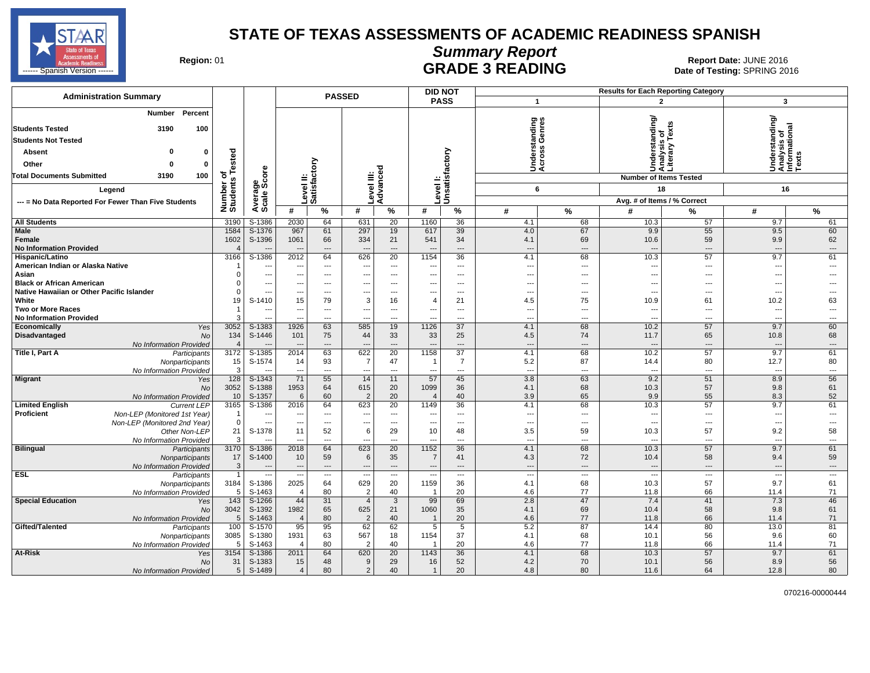

# **Summary Report**

Region: 01 **Region: 01 CALL CONSISTS ARE ADE 3 READING Date: JUNE 2016 Report Date: JUNE 2016** 

| <b>Administration Summary</b>                                                            |                       |                    |                          |                          | <b>PASSED</b>            |                        | <b>DID NOT</b>           |                          |                                 |                          | <b>Results for Each Reporting Category</b> |                                                 |                                                                                 |                                |
|------------------------------------------------------------------------------------------|-----------------------|--------------------|--------------------------|--------------------------|--------------------------|------------------------|--------------------------|--------------------------|---------------------------------|--------------------------|--------------------------------------------|-------------------------------------------------|---------------------------------------------------------------------------------|--------------------------------|
|                                                                                          |                       |                    |                          |                          |                          |                        |                          | <b>PASS</b>              | $\mathbf{1}$                    |                          |                                            | $\overline{2}$                                  | 3                                                                               |                                |
| Percent<br>Number<br><b>Students Tested</b><br>3190<br>100<br><b>Students Not Tested</b> |                       |                    |                          |                          |                          |                        |                          |                          | tanding<br>Genres               |                          |                                            | Understanding/<br>Analysis of<br>Literary Texts | rstanding/<br>ysis of<br>Understanding<br>Analysis of<br>Informational<br>Texts |                                |
|                                                                                          |                       |                    |                          |                          |                          |                        |                          |                          | Ţ,                              | ပ္စ                      |                                            |                                                 |                                                                                 |                                |
| ŋ<br>$\Omega$<br>Absent                                                                  | ested                 |                    |                          |                          |                          |                        |                          | factory                  | es<br>cros                      |                          |                                            |                                                 |                                                                                 |                                |
| Other<br>$\Omega$<br>$\mathbf{0}$                                                        |                       |                    |                          | δ                        |                          | т                      |                          |                          | ⊃⋖                              |                          |                                            |                                                 |                                                                                 |                                |
| <b>Total Documents Submitted</b><br>3190<br>100                                          | ۴<br>৳                | <b>e</b>           |                          | Level II:<br> Satisfact  |                          | Level III:<br>Advancec |                          |                          |                                 |                          |                                            | <b>Number of Items Tested</b>                   |                                                                                 |                                |
| Legend                                                                                   |                       | ౚఄఴఀ               |                          |                          |                          |                        |                          | Leven<br>Unsatisf        | 6                               |                          |                                            | 18                                              | 16                                                                              |                                |
|                                                                                          |                       |                    |                          |                          |                          |                        | evel                     |                          |                                 |                          |                                            |                                                 |                                                                                 |                                |
| --- = No Data Reported For Fewer Than Five Students                                      | Number of<br>Students | Averag<br>Scale    |                          |                          |                          |                        |                          |                          |                                 |                          | Avg. # of Items / % Correct                |                                                 |                                                                                 |                                |
|                                                                                          |                       |                    | #                        | %                        | #                        | %                      | #                        | $\overline{\gamma}$      | #                               | $\frac{9}{6}$            | #                                          | %                                               | #                                                                               | $\%$                           |
| <b>All Students</b>                                                                      | 3190                  | S-1386             | 2030                     | 64                       | 631                      | 20                     | 1160                     | 36                       | 4.1                             | 68                       | 10.3                                       | 57                                              | 9.7                                                                             | 61                             |
| Male<br>Female                                                                           | 1584<br>1602          | S-1376<br>S-1396   | 967<br>1061              | 61<br>66                 | 297<br>334               | 19<br>21               | 617<br>541               | 39<br>34                 | 4.0<br>4.1                      | 67<br>69                 | 9.9<br>10.6                                | 55<br>59                                        | 9.5<br>9.9                                                                      | 60<br>62                       |
| <b>No Information Provided</b>                                                           |                       |                    |                          | $\overline{\phantom{a}}$ | $\overline{a}$           | ---                    |                          | ---                      | $\overline{a}$                  | $\overline{\phantom{a}}$ |                                            | ---                                             | $\overline{a}$                                                                  | $\cdots$                       |
| Hispanic/Latino                                                                          | 3166                  | S-1386             | 2012                     | 64                       | 626                      | 20                     | 1154                     | 36                       | 4.1                             | 68                       | 10.3                                       | 57                                              | 9.7                                                                             | 61                             |
| American Indian or Alaska Native                                                         |                       | ---                | ---                      | $\qquad \qquad \cdots$   | ---                      | ---                    |                          | $\cdots$                 | $\overline{\phantom{a}}$        | $\qquad \qquad \cdots$   | $\sim$                                     | $\qquad \qquad \cdots$                          | ---                                                                             | ---                            |
| Asian                                                                                    | O                     | ---                | ---                      | ---                      | $---$                    | ---                    |                          | ---                      | $\overline{a}$                  | ---                      |                                            | ---                                             | $\overline{a}$                                                                  |                                |
| <b>Black or African American</b>                                                         | n                     | ---                | ---                      | $---$                    | $---$                    | $\cdots$               | ---                      | $---$                    | ---                             | $---$                    | $\sim$                                     | $\overline{a}$                                  | ---                                                                             |                                |
| Native Hawaiian or Other Pacific Islander                                                | $\Omega$              | ---                | ---                      | $\qquad \qquad \cdots$   | ---                      | ---                    |                          | ---                      | $\overline{\phantom{a}}$        | ---                      | $\sim$                                     | ---                                             | ---                                                                             |                                |
| White<br><b>Two or More Races</b>                                                        | 19                    | S-1410<br>---      | 15<br>$---$              | 79<br>$---$              | 3<br>$\overline{a}$      | 16<br>$---$            | 4<br>$\overline{a}$      | 21<br>$---$              | 4.5<br>$\overline{\phantom{a}}$ | 75<br>$\overline{a}$     | 10.9<br>$\sim$                             | 61<br>$\overline{a}$                            | 10.2<br>$\overline{a}$                                                          | 63<br>$\overline{\phantom{a}}$ |
| <b>No Information Provided</b>                                                           | 3                     |                    |                          | $\overline{\phantom{a}}$ |                          | $\overline{a}$         |                          | $\overline{a}$           | $\overline{\phantom{a}}$        | $\overline{a}$           | $\overline{\phantom{a}}$                   | ---                                             |                                                                                 | ---                            |
| Economically<br>Yes                                                                      | 3052                  | $S-1383$           | 1926                     | 63                       | 585                      | 19                     | 1126                     | 37                       | 4.1                             | 68                       | 10.2                                       | 57                                              | 9.7                                                                             | 60                             |
| Disadvantaged<br><b>No</b>                                                               | 134                   | S-1446             | 101                      | 75                       | 44                       | 33                     | 33                       | 25                       | 4.5                             | 74                       | 11.7                                       | 65                                              | 10.8                                                                            | 68                             |
| No Information Provided                                                                  |                       |                    |                          | ---                      |                          | ---                    |                          | ---                      | $\overline{\phantom{a}}$        |                          |                                            | ---                                             |                                                                                 | $\cdots$                       |
| Title I, Part A<br>Participants                                                          | 3172                  | S-1385             | 2014                     | 63                       | 622                      | 20                     | 1158                     | 37                       | 4.1                             | 68                       | 10.2                                       | 57                                              | 9.7                                                                             | 61                             |
| Nonparticipants                                                                          | 15                    | S-1574             | 14                       | 93                       | $\overline{7}$           | 47                     | $\overline{1}$           | 7                        | 5.2                             | 87                       | 14.4                                       | 80                                              | 12.7                                                                            | 80                             |
| No Information Provided                                                                  | 3                     |                    | ---                      | ---                      | ---                      | ---                    | ---                      | ---                      | $\overline{\phantom{a}}$        | ---                      | $\sim$                                     | ---                                             | $\overline{\phantom{a}}$                                                        | $\overline{\phantom{a}}$       |
| <b>Migrant</b><br>Yes<br>No                                                              | 128<br>3052           | $S-1343$<br>S-1388 | 71<br>1953               | 55<br>64                 | 14<br>615                | 11<br>20               | 57<br>1099               | 45<br>36                 | 3.8<br>4.1                      | 63<br>68                 | 9.2<br>10.3                                | 51<br>57                                        | 8.9<br>9.8                                                                      | 56<br>61                       |
| No Information Provided                                                                  | 10                    | S-1357             | 6                        | 60                       | $\overline{2}$           | 20                     | $\overline{4}$           | 40                       | 3.9                             | 65                       | 9.9                                        | 55                                              | 8.3                                                                             | 52                             |
| <b>Limited English</b><br><b>Current LEP</b>                                             | 3165                  | S-1386             | 2016                     | 64                       | 623                      | 20                     | 1149                     | 36                       | 4.1                             | 68                       | 10.3                                       | 57                                              | 9.7                                                                             | 61                             |
| Proficient<br>Non-LEP (Monitored 1st Year)                                               | -1                    | --                 | ---                      | $\qquad \qquad \cdots$   | ---                      | $\qquad \qquad \cdots$ |                          | ---                      | $\overline{\phantom{a}}$        | ---                      | $\overline{\phantom{a}}$                   | ---                                             | ---                                                                             | $\overline{a}$                 |
| Non-LEP (Monitored 2nd Year)                                                             | $\Omega$              | ---                | $\hspace{0.05cm} \cdots$ | ---                      | $\hspace{0.05cm} \ldots$ | $\cdots$               | ---                      | $\cdots$                 | $\overline{\phantom{a}}$        | $\hspace{0.05cm} \ldots$ | $\sim$                                     | ---                                             | $\hspace{0.05cm} \cdots$                                                        | ---                            |
| Other Non-LEP                                                                            | 21                    | S-1378             | 11                       | 52                       | 6                        | 29                     | 10                       | 48                       | 3.5                             | 59                       | 10.3                                       | 57                                              | 9.2                                                                             | 58                             |
| No Information Provided                                                                  | 3                     |                    | ---                      | $\overline{\phantom{a}}$ | ---                      | ---                    | ---                      | $\cdots$                 | $\overline{\phantom{a}}$        | $\overline{\phantom{a}}$ | $\overline{\phantom{a}}$                   | ---                                             | ---                                                                             | $\overline{\phantom{a}}$       |
| <b>Bilingual</b><br>Participants                                                         | 3170<br>17            | S-1386<br>S-1400   | 2018<br>10               | 64<br>59                 | 623<br>6                 | $\overline{20}$<br>35  | 1152<br>$\overline{7}$   | 36<br>41                 | 4.1<br>4.3                      | 68<br>72                 | 10.3<br>10.4                               | 57<br>58                                        | 9.7<br>9.4                                                                      | 61<br>59                       |
| Nonparticipants<br><b>No Information Provided</b>                                        | 3                     |                    | $\overline{\phantom{a}}$ | $\overline{\phantom{a}}$ | $---$                    | $---$                  | $\overline{\phantom{a}}$ | $---$                    | $\overline{\phantom{a}}$        | $---$                    | $\sim$                                     | $\overline{a}$                                  | $\overline{\phantom{a}}$                                                        | $---$                          |
| <b>ESL</b><br>Participants                                                               | $\overline{1}$        | ---                | $\scriptstyle\cdots$     | ---                      | $\overline{\phantom{a}}$ | $\cdots$               | $\overline{\phantom{a}}$ | $\overline{\phantom{a}}$ | $\overline{\phantom{a}}$        | $\overline{\phantom{a}}$ | $\overline{\phantom{a}}$                   | $\overline{\phantom{a}}$                        | $\overline{\phantom{a}}$                                                        | $\overline{\phantom{a}}$       |
| Nonparticipants                                                                          | 3184                  | S-1386             | 2025                     | 64                       | 629                      | 20                     | 1159                     | 36                       | 4.1                             | 68                       | 10.3                                       | 57                                              | 9.7                                                                             | 61                             |
| No Information Provided                                                                  | 5                     | S-1463             | $\overline{4}$           | 80                       | $\overline{2}$           | 40                     | -1                       | 20                       | 4.6                             | 77                       | 11.8                                       | 66                                              | 11.4                                                                            | 71                             |
| <b>Special Education</b><br>Yes                                                          | 143                   | S-1266             | 44                       | 31                       | $\overline{4}$           | $\mathbf{3}$           | 99                       | 69                       | 2.8                             | 47                       | 7.4                                        | 41                                              | 7.3                                                                             | 46                             |
| No                                                                                       | 3042                  | S-1392             | 1982                     | 65                       | 625                      | 21                     | 1060                     | 35                       | 4.1                             | 69                       | 10.4                                       | 58                                              | 9.8                                                                             | 61                             |
| No Information Provided                                                                  | 5                     | S-1463             | $\overline{4}$           | 80                       | $\overline{2}$           | 40                     | $\overline{\mathbf{1}}$  | 20                       | 4.6                             | 77                       | 11.8                                       | 66                                              | 11.4                                                                            | 71                             |
| Gifted/Talented<br>Participants                                                          | 100<br>3085           | $S-1570$<br>S-1380 | 95<br>1931               | 95<br>63                 | 62<br>567                | 62<br>18               | $\overline{5}$<br>1154   | 5<br>37                  | 5.2<br>4.1                      | 87<br>68                 | 14.4<br>10.1                               | 80<br>56                                        | 13.0<br>9.6                                                                     | 81<br>60                       |
| Nonparticipants<br>No Information Provided                                               | 5                     | S-1463             | $\overline{4}$           | 80                       | $\overline{2}$           | 40                     | -1                       | 20                       | 4.6                             | 77                       | 11.8                                       | 66                                              | 11.4                                                                            | 71                             |
| At-Risk<br>Yes                                                                           | 3154                  | S-1386             | 2011                     | 64                       | 620                      | 20                     | 1143                     | 36                       | 4.1                             | 68                       | 10.3                                       | 57                                              | 9.7                                                                             | 61                             |
| No                                                                                       | 31                    | S-1383             | 15                       | 48                       | 9                        | 29                     | 16                       | 52                       | 4.2                             | 70                       | 10.1                                       | 56                                              | 8.9                                                                             | 56                             |
| No Information Provided                                                                  | 5                     | S-1489             | $\overline{4}$           | 80                       | 2                        | 40                     | $\mathbf{1}$             | 20                       | 4.8                             | 80                       | 11.6                                       | 64                                              | 12.8                                                                            | 80                             |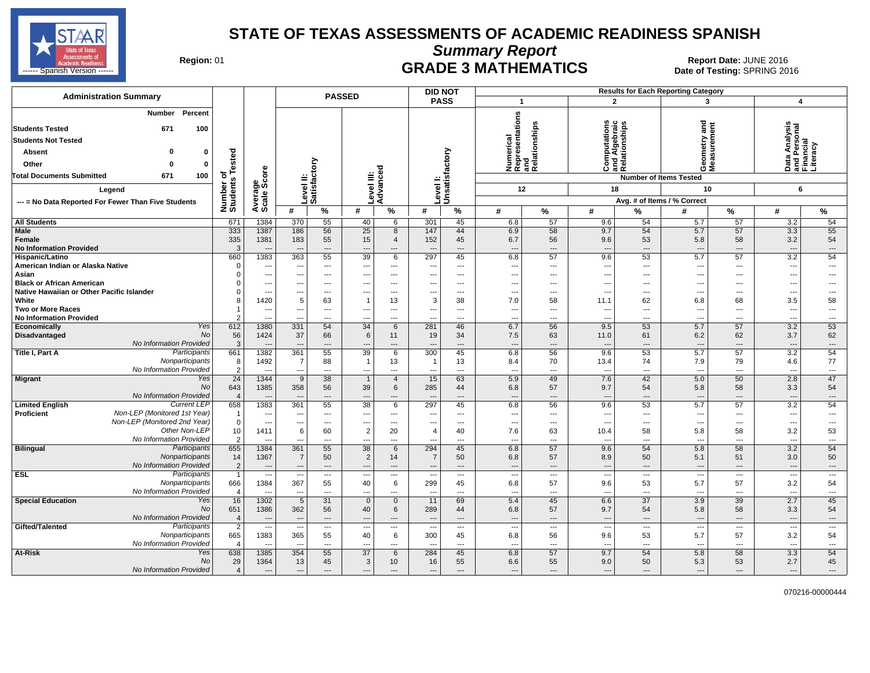

**Summary Report**

Region: 01 **Region: 01 CRADE 3 MATHEMATICS Date: JUNE 2016 Report Date: JUNE 2016 CRADE 3 MATHEMATICS** ------ Spanish Version ------ SPRING 2016

| <b>Administration Summary</b>                                                                                                                                                                                      |                                           |                                  |                                 |                                                      | <b>PASSED</b>                  |                                      |                          | <b>DID NOT</b>                    |                                                            |                       |                                                      |                                   | <b>Results for Each Reporting Category</b>                                                       |                                     |                                                             |                              |
|--------------------------------------------------------------------------------------------------------------------------------------------------------------------------------------------------------------------|-------------------------------------------|----------------------------------|---------------------------------|------------------------------------------------------|--------------------------------|--------------------------------------|--------------------------|-----------------------------------|------------------------------------------------------------|-----------------------|------------------------------------------------------|-----------------------------------|--------------------------------------------------------------------------------------------------|-------------------------------------|-------------------------------------------------------------|------------------------------|
|                                                                                                                                                                                                                    |                                           |                                  |                                 |                                                      |                                |                                      |                          | <b>PASS</b>                       | $\overline{\mathbf{1}}$                                    |                       | $\overline{2}$                                       |                                   | 3                                                                                                |                                     | $\boldsymbol{4}$                                            |                              |
| <b>Percent</b><br>Number<br><b>Students Tested</b><br>671<br>100<br><b>Students Not Tested</b><br>ŋ<br>Absent<br>0<br>Other<br>$\mathbf 0$<br>$\Omega$<br><b>Total Documents Submitted</b><br>671<br>100<br>Legend | sted<br>ة<br>৳<br>s<br>Number<br>Students | ge<br>Score<br>Average<br>Scale  | Level II:<br>Satisfactory       |                                                      |                                | Level III:<br>Advanced               | Level I:                 | Unsatisfactory                    | Numerical<br>Representations<br>and<br>Relationships<br>12 | elationships          | Computations<br>and Algebraic<br>Relationships<br>18 |                                   | gue<br>etry<br>ទី ទី<br>ŏέ<br><b>Number of Items Tested</b><br>10<br>Avg. # of Items / % Correct | ement                               | Data Analysis<br>and Personal<br>Financial<br>Literacy<br>6 |                              |
| --- = No Data Reported For Fewer Than Five Students                                                                                                                                                                |                                           |                                  | #                               | %                                                    | #                              | %                                    | #                        | $\%$                              | #                                                          | %                     | #                                                    | %                                 | #                                                                                                | $\%$                                | #                                                           | %                            |
| <b>All Students</b>                                                                                                                                                                                                | 671                                       | 1384                             | 370                             | 55                                                   | 40                             | 6                                    | 301                      | 45                                | 6.8                                                        | 57                    | 9.6                                                  | 54                                | 5.7                                                                                              | 57                                  | 3.2                                                         | 54                           |
| <b>Male</b>                                                                                                                                                                                                        | 333                                       | 1387                             | 186                             | 56                                                   | 25                             | 8                                    | 147                      | 44                                | 6.9                                                        | 58                    | 9.7                                                  | 54                                | 5.7                                                                                              | 57                                  | 3.3                                                         | 55                           |
| Female<br><b>No Information Provided</b>                                                                                                                                                                           | 335<br>3                                  | 1381<br>$\overline{\phantom{a}}$ | 183<br>$\overline{\phantom{a}}$ | 55<br>---                                            | 15<br>$\overline{\phantom{a}}$ | $\overline{4}$<br>---                | 152                      | 45<br>$\hspace{0.05cm} \ldots$    | 6.7<br>$\overline{\phantom{a}}$                            | 56<br>---             | 9.6<br>$\hspace{1.5cm} \cdots$                       | 53<br>$\overline{\phantom{a}}$    | 5.8<br>$\overline{\phantom{a}}$                                                                  | 58<br>$\overline{\phantom{a}}$      | 3.2<br>$\overline{\phantom{a}}$                             | 54<br>---                    |
| Hispanic/Latino                                                                                                                                                                                                    | 660                                       | 1383                             | 363                             | 55                                                   | 39                             | 6                                    | 297                      | 45                                | 6.8                                                        | 57                    | 9.6                                                  | 53                                | 5.7                                                                                              | 57                                  | 3.2                                                         | 54                           |
| American Indian or Alaska Native                                                                                                                                                                                   | $\Omega$                                  | ---                              | --                              | $---$                                                | $\overline{\phantom{a}}$       | $\overline{\phantom{a}}$             |                          | $---$                             | ---                                                        | ---                   | ---                                                  | $\overline{a}$                    | $\overline{\phantom{a}}$                                                                         | ---                                 | $\overline{\phantom{a}}$                                    | ---                          |
| Asian                                                                                                                                                                                                              |                                           | ---                              | ---                             | $\qquad \qquad \cdots$                               | ---                            | $\overline{\phantom{a}}$             |                          | $---$                             | ---                                                        | ---                   | ---                                                  | ---                               | ---                                                                                              | ---                                 | $\overline{\phantom{a}}$                                    | ---                          |
| <b>Black or African American</b><br>Native Hawaiian or Other Pacific Islander                                                                                                                                      |                                           | $\overline{a}$<br>---            | ---                             | $---$<br>$\overline{a}$                              | ---                            | $---$<br>$---$                       | ---                      | $---$<br>$\overline{a}$           | ---<br>---                                                 | $---$<br>---          | $---$<br>$\overline{\phantom{a}}$                    | $---$<br>$---$                    | $- - -$                                                                                          | $- - -$<br>$\overline{\phantom{a}}$ | ---<br>$\overline{\phantom{a}}$                             | ---<br>---                   |
| White                                                                                                                                                                                                              |                                           | 1420                             | 5                               | 63                                                   | $\mathbf{1}$                   | 13                                   | 3                        | 38                                | 7.0                                                        | 58                    | 11.1                                                 | 62                                | 6.8                                                                                              | 68                                  | 3.5                                                         | 58                           |
| <b>Two or More Races</b>                                                                                                                                                                                           |                                           | ---                              | ---                             | ---                                                  | ---                            | $\overline{\phantom{a}}$             | ---                      | $\sim$                            | ---                                                        | ---                   | $\overline{\phantom{a}}$                             | $\overline{a}$                    | ---                                                                                              | ---                                 | $\overline{\phantom{a}}$                                    | ---                          |
| <b>No Information Provided</b>                                                                                                                                                                                     |                                           |                                  |                                 | $\overline{a}$                                       | ---                            | $\overline{a}$                       |                          | $-$                               | ---                                                        | ---                   | $\overline{a}$                                       | $\overline{a}$                    | $\sim$                                                                                           | $\overline{a}$                      | $\overline{\phantom{a}}$                                    | ---                          |
| Yes<br>Economically                                                                                                                                                                                                | 612                                       | 1380                             | 331                             | 54                                                   | 34                             | 6                                    | 281                      | 46                                | 6.7                                                        | 56                    | 9.5                                                  | 53                                | 5.7                                                                                              | 57                                  | $\overline{3.2}$                                            | 53                           |
| <b>No</b><br>Disadvantaged                                                                                                                                                                                         | 56                                        | 1424                             | 37                              | 66                                                   | 6                              | 11                                   | 19                       | 34                                | 7.5                                                        | 63                    | 11.0                                                 | 61                                | 6.2                                                                                              | 62                                  | 3.7                                                         | 62                           |
| No Information Provided                                                                                                                                                                                            | 3                                         |                                  |                                 | ---                                                  |                                |                                      |                          | $\overline{\phantom{a}}$          | ---                                                        | ---                   | $\overline{\phantom{a}}$                             | ---                               |                                                                                                  | $\overline{\phantom{a}}$            | ---                                                         | ---                          |
| Participants<br>Title I, Part A                                                                                                                                                                                    | 661                                       | 1382                             | 361                             | 55                                                   | 39                             | $6\phantom{1}$                       | 300                      | 45                                | 6.8                                                        | 56                    | 9.6                                                  | 53                                | 5.7                                                                                              | 57                                  | 3.2                                                         | 54                           |
| Nonparticipants<br>No Information Provided                                                                                                                                                                         | 8<br>$\overline{2}$                       | 1492                             | 7                               | 88<br>---                                            | $\mathbf{1}$                   | 13<br>$\overline{\phantom{a}}$       | -1                       | 13<br>$\overline{a}$              | 8.4                                                        | 70                    | 13.4                                                 | 74<br>$\overline{a}$              | 7.9                                                                                              | 79<br>---                           | 4.6                                                         | 77                           |
| Migrant<br>Yes                                                                                                                                                                                                     | 24                                        | 1344                             | ---<br>9                        | 38                                                   | $\overline{1}$                 | $\overline{4}$                       | 15                       | 63                                | ---<br>5.9                                                 | ---<br>49             | $---$<br>7.6                                         | 42                                | $\sim$<br>5.0                                                                                    | 50                                  | $\overline{\phantom{a}}$<br>2.8                             | ---<br>47                    |
| <b>No</b>                                                                                                                                                                                                          | 643                                       | 1385                             | 358                             | 56                                                   | 39                             | 6                                    | 285                      | 44                                | 6.8                                                        | 57                    | 9.7                                                  | 54                                | 5.8                                                                                              | 58                                  | 3.3                                                         | 54                           |
| No Information Provided                                                                                                                                                                                            | $\overline{4}$                            |                                  |                                 | ---                                                  |                                | ---                                  |                          | $---$                             | ---                                                        | ---                   | $\overline{\phantom{a}}$                             | $---$                             | $\overline{\phantom{a}}$                                                                         | $\overline{\phantom{a}}$            | ---                                                         | ---                          |
| <b>Current LEP</b><br><b>Limited English</b>                                                                                                                                                                       | 658                                       | 1383                             | 361                             | 55                                                   | 38                             | 6                                    | 297                      | 45                                | 6.8                                                        | 56                    | 9.6                                                  | 53                                | 5.7                                                                                              | 57                                  | 3.2                                                         | 54                           |
| Non-LEP (Monitored 1st Year)<br><b>Proficient</b>                                                                                                                                                                  | $\overline{1}$                            | $-$                              | ---                             | $---$                                                | ---                            | $---$                                |                          | $-$                               | ---                                                        | $\overline{a}$        | $---$                                                | $\sim$                            | ---                                                                                              | $\overline{\phantom{a}}$            | ---                                                         | ---                          |
| Non-LEP (Monitored 2nd Year)                                                                                                                                                                                       | $\mathbf 0$                               | $\overline{\phantom{a}}$         | ---                             | ---                                                  | $\overline{a}$                 | $\overline{\phantom{a}}$             | ---                      | $---$                             | $\overline{\phantom{a}}$                                   | ---                   | $\overline{\phantom{a}}$                             | $\overline{a}$                    | $\overline{\phantom{a}}$                                                                         | $\overline{\phantom{a}}$            | $\overline{\phantom{a}}$                                    | ---                          |
| Other Non-LEP                                                                                                                                                                                                      | 10                                        | 1411                             | 6                               | 60                                                   | $\overline{2}$                 | 20                                   | 4                        | 40                                | 7.6                                                        | 63                    | 10.4                                                 | 58                                | 5.8                                                                                              | 58                                  | 3.2                                                         | 53                           |
| No Information Provided<br><b>Bilingual</b><br>Participants                                                                                                                                                        | $\overline{2}$<br>655                     | $\sim$<br>1384                   | ---<br>361                      | $---$<br>55                                          | ---<br>38                      | $---$<br>6                           | 294                      | $---$<br>45                       | ---<br>6.8                                                 | ---<br>57             | $---$<br>9.6                                         | $---$<br>54                       | $\sim$<br>5.8                                                                                    | $\sim$<br>58                        | ---<br>3.2                                                  | $\qquad \qquad \cdots$<br>54 |
| Nonparticipants                                                                                                                                                                                                    | 14                                        | 1367                             | $\overline{7}$                  | 50                                                   | $\overline{2}$                 | 14                                   | $\overline{7}$           | 50                                | 6.8                                                        | 57                    | 8.9                                                  | 50                                | 5.1                                                                                              | 51                                  | 3.0                                                         | 50                           |
| No Information Provided                                                                                                                                                                                            | $\overline{2}$                            | $\overline{\phantom{a}}$         | $\overline{\phantom{a}}$        | $---$                                                | $\overline{a}$                 | $---$                                | $\overline{\phantom{a}}$ | $---$                             | $\overline{\phantom{a}}$                                   | $---$                 | $---$                                                | $---$                             | ---                                                                                              | $---$                               | $\overline{a}$                                              | $\cdots$                     |
| <b>ESL</b><br>Participants                                                                                                                                                                                         | -1                                        | $\overline{\phantom{a}}$         | $\sim$                          | $\cdots$                                             | ---                            | $\hspace{0.05cm} \ldots$             | $\overline{\phantom{a}}$ | $\cdots$                          | $\overline{\phantom{a}}$                                   | $\cdots$              | $\hspace{0.05cm} \ldots$                             | $\hspace{0.05cm} \ldots$          | $\sim$                                                                                           | $\hspace{0.05cm} \ldots$            | $\overline{\phantom{a}}$                                    | $\cdots$                     |
| Nonparticipants                                                                                                                                                                                                    | 666                                       | 1384                             | 367                             | 55                                                   | 40                             | 6                                    | 299                      | 45                                | 6.8                                                        | 57                    | 9.6                                                  | 53                                | 5.7                                                                                              | 57                                  | 3.2                                                         | 54                           |
| No Information Provided                                                                                                                                                                                            | $\overline{\mathbf{4}}$                   | $\sim$                           | $\overline{\phantom{a}}$        | $\overline{a}$                                       | ---                            | $---$                                |                          | $\overline{a}$                    | ---                                                        | ---                   | $\overline{\phantom{a}}$                             | $---$                             | $\overline{\phantom{a}}$                                                                         | $\overline{\phantom{a}}$            | ---                                                         | $\qquad \qquad \cdots$       |
| <b>Special Education</b><br>Yes                                                                                                                                                                                    | 16                                        | 1302                             | 5                               | 31                                                   | $\mathbf{0}$                   | $\mathbf 0$                          | 11                       | 69                                | 5.4                                                        | 45                    | 6.6                                                  | 37                                | 3.9                                                                                              | 39                                  | 2.7                                                         | 45                           |
| <b>No</b>                                                                                                                                                                                                          | 651                                       | 1386                             | 362                             | 56                                                   | 40                             | 6                                    | 289                      | 44                                | 6.8                                                        | 57                    | 9.7                                                  | 54                                | 5.8                                                                                              | 58                                  | 3.3                                                         | 54                           |
| No Information Provided<br>Gifted/Talented<br>Participants                                                                                                                                                         | $\overline{4}$<br>$\overline{2}$          | ---<br>$\overline{\phantom{a}}$  | ---<br>$\overline{\phantom{a}}$ | $\overline{\phantom{a}}$<br>$\overline{\phantom{a}}$ | $\overline{a}$<br>---          | $\hspace{1.5cm} \textbf{---}$<br>--- | --                       | $---$<br>$\overline{\phantom{a}}$ | ---<br>$\overline{\phantom{a}}$                            | $\overline{a}$<br>--- | $\overline{\phantom{a}}$<br>---                      | $---$<br>$\overline{\phantom{a}}$ | ---<br>$\overline{\phantom{a}}$                                                                  | $---$<br>$\overline{\phantom{a}}$   | ---<br>---                                                  | ---<br>---                   |
| Nonparticipants                                                                                                                                                                                                    | 665                                       | 1383                             | 365                             | 55                                                   | 40                             | 6                                    | 300                      | 45                                | 6.8                                                        | 56                    | 9.6                                                  | 53                                | 5.7                                                                                              | 57                                  | 3.2                                                         | 54                           |
| No Information Provided                                                                                                                                                                                            | $\boldsymbol{\Lambda}$                    | $\overline{\phantom{a}}$         | $\overline{\phantom{a}}$        | $\overline{\phantom{a}}$                             | $\overline{a}$                 | $\overline{a}$                       |                          | $-$                               | ---                                                        | $\overline{a}$        | $\overline{a}$                                       | $\overline{a}$                    | $\sim$                                                                                           | $\overline{\phantom{a}}$            | $\overline{a}$                                              | $---$                        |
| At-Risk<br>Yes                                                                                                                                                                                                     | 638                                       | 1385                             | 354                             | 55                                                   | 37                             | 6                                    | 284                      | 45                                | 6.8                                                        | 57                    | 9.7                                                  | 54                                | 5.8                                                                                              | 58                                  | 3.3                                                         | 54                           |
| No                                                                                                                                                                                                                 | 29                                        | 1364                             | 13                              | 45                                                   | 3                              | 10                                   | 16                       | 55                                | 6.6                                                        | 55                    | 9.0                                                  | 50                                | 5.3                                                                                              | 53                                  | 2.7                                                         | 45                           |
| No Information Provided                                                                                                                                                                                            | $\overline{4}$                            | $\overline{\phantom{a}}$         | $\hspace{0.05cm} \ldots$        | ---                                                  | ---                            | $\overline{\phantom{a}}$             | ---                      | $---$                             | ---                                                        | ---                   | $\overline{\phantom{a}}$                             | $\overline{\phantom{a}}$          | $\overline{\phantom{a}}$                                                                         | $\overline{\phantom{a}}$            | ---                                                         | ---                          |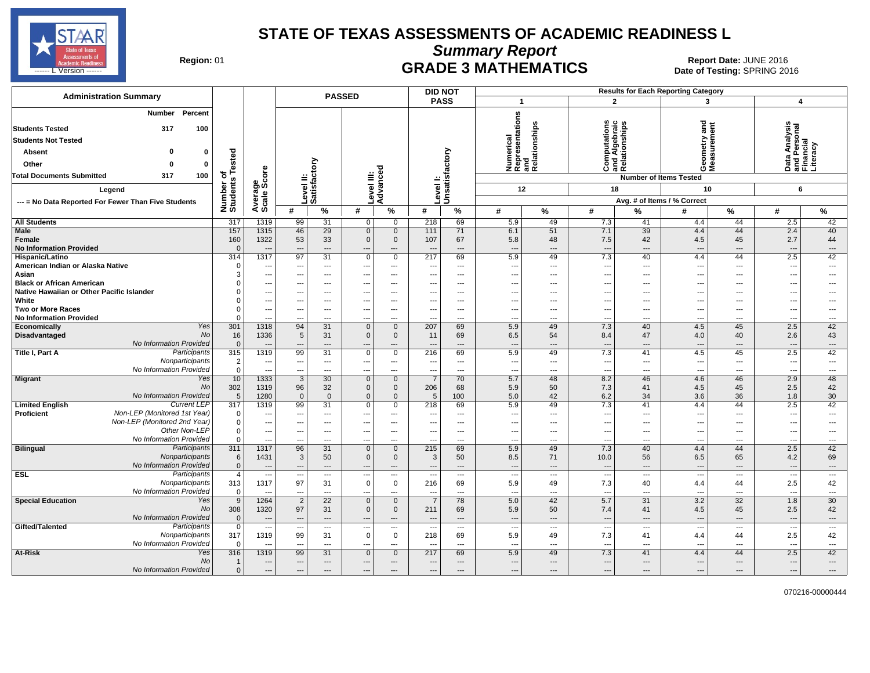

**Summary Report**

Region: 01 **Region: 01 CRADE 3 MATHEMATICS Date: JUNE 2016 Report Date: JUNE 2016 CRADE 3 MATHEMATICS** ------ L Version ------ SPRING 2016

| <b>Administration Summary</b>                                                                                                                                                                                   |                                          |                                         |                                                  |                              | <b>PASSED</b>                                                       |                                    | <b>DID NOT</b>                        |                                          |                                                  |                                                      |                                                             |                                          | <b>Results for Each Reporting Category</b>                   |                                            |                                                             |                                   |
|-----------------------------------------------------------------------------------------------------------------------------------------------------------------------------------------------------------------|------------------------------------------|-----------------------------------------|--------------------------------------------------|------------------------------|---------------------------------------------------------------------|------------------------------------|---------------------------------------|------------------------------------------|--------------------------------------------------|------------------------------------------------------|-------------------------------------------------------------|------------------------------------------|--------------------------------------------------------------|--------------------------------------------|-------------------------------------------------------------|-----------------------------------|
|                                                                                                                                                                                                                 |                                          |                                         |                                                  |                              |                                                                     |                                    | <b>PASS</b>                           |                                          | $\overline{\mathbf{1}}$                          |                                                      | $\overline{2}$                                              |                                          | 3                                                            |                                            | 4                                                           |                                   |
| Percent<br>Number<br><b>Students Tested</b><br>317<br>100<br><b>Students Not Tested</b><br>$\Omega$<br>$\bf{0}$<br>Absent<br>Other<br>$\mathbf 0$<br>$\Omega$<br>317<br>100<br><b>Total Documents Submitted</b> | ested<br>۴<br>৳<br>Number of<br>Students | core<br>န္တပ္တ                          |                                                  | ξ<br>Level II:<br>Satisfacto | evel III:                                                           | Φ<br>Advance                       |                                       | Unsatisfactory                           |                                                  | Numerical<br>Representations<br>and<br>Relationships | Computations<br>und Algebraic<br>Relationships<br>Ö         | 高産                                       | gue<br>Geometry<br>Measurem<br><b>Number of Items Tested</b> | ement                                      | Data Analysis<br>and Personal<br>Financial<br>Literacy      |                                   |
| Legend                                                                                                                                                                                                          |                                          |                                         |                                                  |                              |                                                                     |                                    | evel                                  |                                          |                                                  | 12                                                   | 18                                                          |                                          | 10                                                           |                                            | 6                                                           |                                   |
| --- = No Data Reported For Fewer Than Five Students                                                                                                                                                             |                                          | Average:                                |                                                  |                              | #                                                                   |                                    |                                       |                                          |                                                  |                                                      |                                                             |                                          | Avg. # of Items / % Correct                                  |                                            |                                                             |                                   |
|                                                                                                                                                                                                                 |                                          |                                         | #                                                | %                            |                                                                     | %                                  | #                                     | %                                        | #                                                | %                                                    | #                                                           | %                                        | #                                                            | $\%$                                       | #                                                           | %                                 |
| <b>All Students</b><br><b>Male</b>                                                                                                                                                                              | 317<br>157                               | 1319<br>1315                            | 99<br>46                                         | 31<br>29                     | $\mathbf 0$<br>$\overline{0}$                                       | 0<br>$\mathbf{0}$                  | 218<br>111                            | 69<br>71                                 | 5.9<br>6.1                                       | 49<br>51                                             | 7.3<br>7.1                                                  | 41<br>39                                 | 4.4<br>4.4                                                   | 44<br>44                                   | 2.5<br>2.4                                                  | 42<br>40                          |
| Female<br><b>No Information Provided</b>                                                                                                                                                                        | 160<br>$\Omega$                          | 1322<br>---                             | 53<br>$\overline{\phantom{a}}$                   | 33<br>---                    | $\mathbf 0$<br>---                                                  | $\mathbf 0$<br>---                 | 107<br>$\overline{\phantom{a}}$       | 67<br>$\cdots$                           | 5.8<br>---                                       | 48<br>---                                            | 7.5<br>$\hspace{0.05cm} \ldots$                             | 42<br>$\qquad \qquad \cdots$             | 4.5<br>$\overline{\phantom{a}}$                              | 45<br>$\hspace{0.05cm} \cdots$             | 2.7<br>$\overline{\phantom{a}}$                             | 44<br>$\qquad \qquad \cdots$      |
| Hispanic/Latino                                                                                                                                                                                                 | 314                                      | 1317                                    | 97                                               | 31                           | $\Omega$                                                            | $\mathbf 0$                        | 217                                   | 69                                       | $\overline{5.9}$                                 | 49                                                   | 7.3                                                         | 40                                       | 4.4                                                          | 44                                         | 2.5                                                         | 42                                |
| American Indian or Alaska Native<br>Asian<br><b>Black or African American</b>                                                                                                                                   | $\Omega$<br>3<br>U                       | ---<br>---                              | $\qquad \qquad \cdots$<br>---<br>$---$           | $\cdots$<br>---<br>$---$     | $\hspace{0.05cm} \ldots$<br>$---$                                   | ---<br>---<br>$---$                | ---                                   | $\hspace{0.05cm} \ldots$<br>---<br>$---$ | $\overline{\phantom{a}}$<br>--<br>$\overline{a}$ | ---<br>---<br>$---$                                  | $\hspace{0.05cm} \ldots$<br>---<br>---                      | $\hspace{0.05cm} \ldots$<br>---<br>$---$ | ---<br>$--$                                                  | $\overline{\phantom{a}}$<br>$- - -$        | $\overline{\phantom{a}}$<br>$\overline{\phantom{a}}$<br>--- | $\ldots$<br>---<br>---            |
| Native Hawaiian or Other Pacific Islander                                                                                                                                                                       | $\Omega$                                 | ---<br>---                              | ---                                              | $---$                        | ---                                                                 | $---$                              |                                       | $---$                                    | ---                                              | ---                                                  | ---                                                         | $\overline{a}$                           | ---                                                          | $\overline{a}$                             | ---                                                         | ---                               |
| White                                                                                                                                                                                                           | $\Omega$                                 | ---                                     | ---                                              | ---                          |                                                                     | ---                                |                                       | ---                                      | --                                               | ---                                                  | ---                                                         | ---                                      |                                                              |                                            | ---                                                         |                                   |
| <b>Two or More Races</b>                                                                                                                                                                                        | $\Omega$                                 | ---                                     | $\overline{\phantom{a}}$                         | $---$                        | $---$                                                               | $\cdots$                           | ---                                   | $\cdots$                                 | ---                                              | $---$                                                | ---                                                         | $---$                                    | ---                                                          | $\overline{\phantom{a}}$                   | $\overline{\phantom{a}}$                                    | ---                               |
| <b>No Information Provided</b>                                                                                                                                                                                  | $\Omega$                                 | ---                                     | $\sim$                                           | $\overline{\phantom{a}}$     |                                                                     | $---$                              |                                       | $\overline{a}$                           | ---                                              | $\sim$                                               | $\overline{a}$                                              | $\overline{a}$                           | ---                                                          | $\sim$                                     | ---                                                         | ---                               |
| Yes<br>Economically<br>No<br>Disadvantaged<br>No Information Provided                                                                                                                                           | 301<br>16<br>$\mathbf 0$                 | 1318<br>1336                            | 94<br>$5\phantom{.0}$<br>---                     | 31<br>31<br>---              | $\mathbf{0}$<br>$\mathbf 0$<br>$\overline{a}$                       | $\mathbf{0}$<br>$\mathbf 0$<br>--- | 207<br>11                             | 69<br>69<br>$---$                        | 5.9<br>6.5<br>---                                | 49<br>54<br>---                                      | 7.3<br>8.4<br>$\overline{\phantom{a}}$                      | 40<br>47<br>$\overline{a}$               | 4.5<br>4.0                                                   | 45<br>40<br>$\overline{\phantom{a}}$       | 2.5<br>2.6<br>---                                           | 42<br>43<br>---                   |
| Participants<br>Title I, Part A                                                                                                                                                                                 | 315                                      | 1319                                    | 99                                               | 31                           | $\overline{0}$                                                      | $\mathbf 0$                        | 216                                   | 69                                       | 5.9                                              | 49                                                   | 7.3                                                         | 41                                       | 4.5                                                          | 45                                         | 2.5                                                         | 42                                |
| Nonparticipants<br>No Information Provided                                                                                                                                                                      | $\overline{2}$<br>$\mathbf 0$            | ---<br>…                                | $\cdots$<br>---                                  | $---$<br>$---$               | $\qquad \qquad \cdots$<br>$\overline{a}$                            | $\cdots$<br>---                    | ---                                   | $\cdots$<br>$---$                        | ---<br>$\overline{\phantom{a}}$                  | $---$<br>---                                         | $\overline{\phantom{a}}$<br>---                             | $---$<br>$\overline{a}$                  | $\sim$<br>---                                                | $\sim$<br>$\overline{a}$                   | $\overline{\phantom{a}}$<br>---                             | $\overline{\phantom{a}}$<br>---   |
| Yes<br><b>Migrant</b>                                                                                                                                                                                           | 10                                       | 1333                                    | 3                                                | 30                           | $\mathbf{0}$                                                        | $\Omega$                           | 7                                     | 70                                       | 5.7                                              | 48                                                   | 8.2                                                         | 46                                       | 4.6                                                          | 46                                         | 2.9                                                         | 48                                |
| <b>No</b><br>No Information Provided                                                                                                                                                                            | 302<br>$5\phantom{.0}$                   | 1319<br>1280                            | 96<br>$\mathbf{0}$                               | 32<br>$\mathbf{0}$           | $\mathsf{O}\xspace$<br>$\Omega$                                     | $\mathbf{0}$<br>$\Omega$           | 206<br>5                              | 68<br>100                                | 5.9<br>5.0                                       | 50<br>42                                             | 7.3<br>6.2                                                  | 41<br>34                                 | 4.5<br>3.6                                                   | 45<br>36                                   | 2.5<br>1.8                                                  | 42<br>30                          |
| <b>Current LEP</b><br><b>Limited English</b>                                                                                                                                                                    | 317                                      | 1319                                    | 99                                               | 31                           | $\overline{0}$                                                      | 0                                  | 218                                   | 69                                       | 5.9                                              | 49                                                   | 7.3                                                         | 41                                       | 4.4                                                          | 44                                         | 2.5                                                         | 42                                |
| Non-LEP (Monitored 1st Year)<br>Proficient<br>Non-LEP (Monitored 2nd Year)<br>Other Non-LEP                                                                                                                     | 0<br>$\mathbf{0}$                        | ---<br>---                              | $\overline{\phantom{a}}$<br>---                  | $---$<br>---                 | $---$<br>$\overline{\phantom{a}}$                                   | $\cdots$<br>---                    | $-$                                   | $---$<br>$\overline{\phantom{a}}$        | ---<br>---                                       | $---$<br>---                                         | ---<br>$\qquad \qquad \cdots$                               | $---$<br>---                             | $-$<br>---                                                   | $\overline{\phantom{a}}$<br>$\overline{a}$ | ---<br>$\overline{\phantom{a}}$                             | ---<br>---                        |
| No Information Provided                                                                                                                                                                                         | 0<br>$\Omega$                            | ---<br>---                              | $\overline{\phantom{a}}$<br>$\sim$               | ---<br>$---$                 | $---$<br>$---$                                                      | ---<br>$---$                       | ---                                   | ---<br>$---$                             | ---<br>---                                       | ---<br>$---$                                         | ---<br>$---$                                                | $\overline{\phantom{a}}$<br>$---$        | ---<br>$\sim$                                                | ---<br>$\sim$                              | ---<br>$\overline{a}$                                       | ---<br>$\overline{\phantom{a}}$   |
| <b>Bilingual</b><br>Participants<br>Nonparticipants                                                                                                                                                             | 311<br>6                                 | 1317<br>1431                            | 96<br>$\mathbf{3}$                               | 31<br>50                     | $\Omega$<br>$\mathbf 0$                                             | $\Omega$<br>$\mathbf{0}$           | 215<br>3                              | 69<br>50                                 | 5.9<br>8.5                                       | 49<br>71                                             | 7.3<br>10.0                                                 | 40<br>56                                 | 4.4<br>6.5                                                   | 44<br>65                                   | 2.5<br>4.2                                                  | 42<br>69                          |
| No Information Provided                                                                                                                                                                                         | $\mathbf 0$                              | ---                                     | $---$                                            | $---$                        | $---$                                                               | $---$                              | $\sim$                                | $---$                                    | $\overline{a}$                                   | $---$                                                | $---$                                                       | $---$                                    | $\overline{\phantom{a}}$                                     | $---$                                      | $\overline{a}$                                              | $\cdots$                          |
| <b>ESL</b><br>Participants<br>Nonparticipants<br>No Information Provided                                                                                                                                        | $\overline{4}$<br>313<br>$\mathbf 0$     | $\overline{\phantom{a}}$<br>1317<br>--- | $\cdots$<br>97<br>---                            | $\cdots$<br>31<br>---        | $\hspace{0.05cm} \ldots$<br>$\mathbf 0$<br>$\overline{\phantom{a}}$ | ---<br>$\mathbf 0$<br>---          | $\overline{\phantom{a}}$<br>216<br>-- | $\cdots$<br>69<br>$---$                  | $\overline{\phantom{a}}$<br>5.9<br>---           | ---<br>49<br>---                                     | $\hspace{0.05cm} \ldots$<br>7.3<br>$\overline{\phantom{a}}$ | $\cdots$<br>40<br>$---$                  | $\overline{\phantom{a}}$<br>4.4<br>$\overline{a}$            | $\sim$<br>44<br>$\sim$                     | $\overline{\phantom{a}}$<br>2.5                             | $\hspace{0.05cm} \ldots$<br>42    |
| <b>Special Education</b><br>Yes<br><b>No</b><br>No Information Provided                                                                                                                                         | 9<br>308<br>$\mathbf{0}$                 | 1264<br>1320                            | $\overline{2}$<br>97<br>$\overline{\phantom{a}}$ | 22<br>31<br>$---$            | $\mathbf{0}$<br>$\mathbf{0}$<br>$\overline{a}$                      | $\Omega$<br>$\mathbf{0}$<br>$---$  | $\overline{7}$<br>211                 | 78<br>69<br>$---$                        | 5.0<br>5.9<br>$\overline{a}$                     | 42<br>50<br>$---$                                    | 5.7<br>7.4                                                  | 31<br>41<br>$---$                        | 3.2<br>4.5<br>$\overline{\phantom{a}}$                       | 32<br>45<br>$\overline{\phantom{a}}$       | $\overline{\phantom{a}}$<br>1.8<br>2.5                      | $\cdots$<br>30 <sup>°</sup><br>42 |
| Gifted/Talented<br>Participants                                                                                                                                                                                 | $\overline{0}$                           | ---<br>---                              | $\overline{\phantom{a}}$                         | $\overline{\phantom{a}}$     | $\qquad \qquad \cdots$                                              | ---                                | $\overline{\phantom{a}}$              | $\overline{\phantom{a}}$                 | ---                                              | ---                                                  | $\overline{\phantom{a}}$<br>$\overline{\phantom{a}}$        | $\overline{\phantom{a}}$                 | ---                                                          | $\overline{\phantom{a}}$                   | $\overline{a}$<br>---                                       | $\cdots$<br>---                   |
| Nonparticipants<br>No Information Provided                                                                                                                                                                      | 317<br>$\Omega$                          | 1319                                    | 99<br>$\overline{a}$                             | 31<br>$\overline{a}$         | $\mathbf 0$<br>$\overline{a}$                                       | $\mathbf 0$<br>$\overline{a}$      | 218                                   | 69<br>$- - -$                            | 5.9<br>$\sim$                                    | 49<br>$\overline{a}$                                 | 7.3<br>$\sim$                                               | 41<br>$\sim$                             | 4.4<br>$\overline{a}$                                        | 44<br>$\overline{\phantom{a}}$             | 2.5<br>$\overline{a}$                                       | 42<br>$---$                       |
| At-Risk<br>Yes<br>No<br>No Information Provided                                                                                                                                                                 | 316<br>$\overline{1}$<br>$\mathbf{0}$    | 1319<br>$\overline{\phantom{a}}$<br>--- | 99<br>---<br>$\overline{\phantom{a}}$            | 31<br>$---$<br>$---$         | $\Omega$<br>$---$<br>$\overline{\phantom{a}}$                       | $\Omega$<br>$---$<br>---           | 217<br>---                            | 69<br>$---$<br>---                       | 5.9<br>---<br>---                                | 49<br>$---$<br>---                                   | 7.3<br>---<br>$\overline{\phantom{a}}$                      | 41<br>$---$<br>---                       | 4.4<br>---<br>$\overline{\phantom{a}}$                       | 44<br>$---$<br>---                         | 2.5<br>---<br>---                                           | 42<br>---<br>---                  |
|                                                                                                                                                                                                                 |                                          |                                         |                                                  |                              |                                                                     |                                    |                                       |                                          |                                                  |                                                      |                                                             |                                          |                                                              |                                            |                                                             |                                   |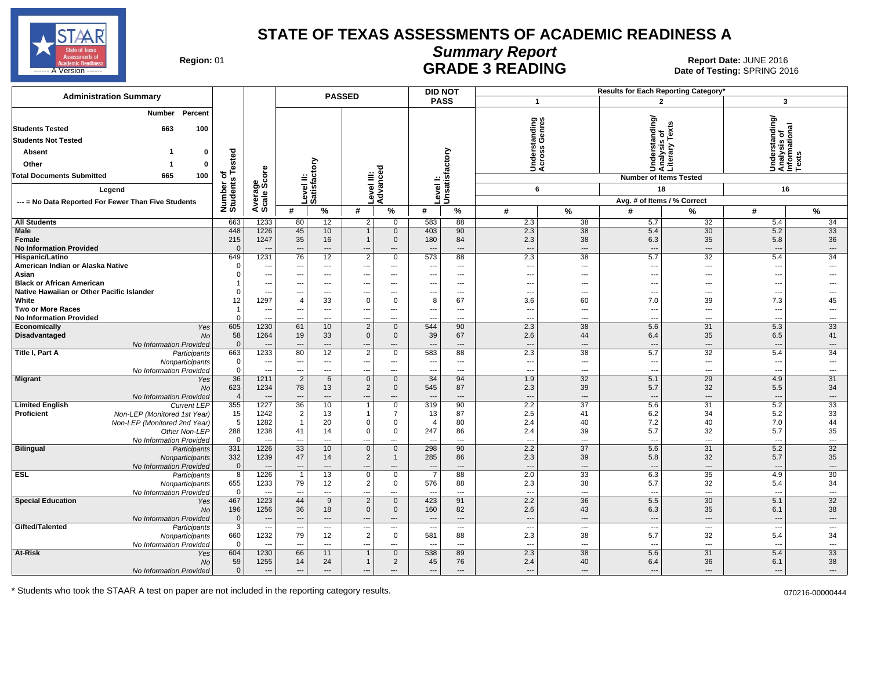

# **Summary Report**

Region: 01 **Region: 01 CALL CONSISTS ARE ADE 3 READING Date: JUNE 2016 Report Date: JUNE 2016** ------ A Version ------ SPRING 2016

| <b>Administration Summary</b>                                                                                                                                                                        |                                         |                                                      |                                        |                                     | <b>PASSED</b>                           |                                        |                          | <b>DID NOT</b>             |                                        |                                                   | Results for Each Reporting Category'   |                                                                                        |                                                         |                                |
|------------------------------------------------------------------------------------------------------------------------------------------------------------------------------------------------------|-----------------------------------------|------------------------------------------------------|----------------------------------------|-------------------------------------|-----------------------------------------|----------------------------------------|--------------------------|----------------------------|----------------------------------------|---------------------------------------------------|----------------------------------------|----------------------------------------------------------------------------------------|---------------------------------------------------------|--------------------------------|
|                                                                                                                                                                                                      |                                         |                                                      |                                        |                                     |                                         |                                        |                          | <b>PASS</b>                |                                        | $\mathbf{1}$                                      |                                        | $\overline{2}$                                                                         | 3                                                       |                                |
| Percent<br>Number<br><b>Students Tested</b><br>663<br>100<br><b>Students Not Tested</b><br><b>Absent</b><br>$\Omega$<br>Other<br>-1<br>0<br>100<br><b>Total Documents Submitted</b><br>665<br>Legend | of<br>s Tested<br>Number of<br>Students | ge<br>Score                                          | ≝                                      | ξ<br>τ<br>evel II<br>atisfa         |                                         | τ<br>ة<br>Level III:<br>Advance        |                          | Level I:<br>Unsatisfactory |                                        | tanding<br>Genres<br>Inderst<br>.cross<br>⊃∢<br>6 |                                        | Understanding/<br>Analysis of<br>Literary Texts<br><b>Number of Items Tested</b><br>18 | Understanding/<br>Analysis of<br>Informational<br>Texts | 16                             |
| --- = No Data Reported For Fewer Than Five Students                                                                                                                                                  |                                         | Average                                              |                                        | Ő                                   |                                         |                                        |                          |                            |                                        |                                                   |                                        | Avg. # of Items / % Correct                                                            |                                                         |                                |
|                                                                                                                                                                                                      |                                         |                                                      | #                                      | $\%$                                | #                                       | $\%$                                   | #                        | $\%$                       | #                                      | $\%$                                              | #                                      | %                                                                                      | #                                                       | %                              |
| <b>All Students</b>                                                                                                                                                                                  | 663                                     | 1233                                                 | 80                                     | 12                                  | 2                                       | $\mathbf 0$                            | 583                      | 88                         | 2.3                                    | 38                                                | 5.7                                    | 32                                                                                     | 5.4                                                     | 34                             |
| Male                                                                                                                                                                                                 | 448                                     | 1226                                                 | 45                                     | 10                                  | $\overline{1}$                          | $\mathbf 0$                            | 403                      | 90                         | 2.3                                    | $\overline{38}$                                   | 5.4                                    | $\overline{30}$                                                                        | 5.2                                                     | 33                             |
| Female                                                                                                                                                                                               | 215                                     | 1247                                                 | 35                                     | 16                                  | $\overline{1}$                          | $\mathbf 0$                            | 180                      | 84                         | 2.3                                    | 38                                                | 6.3                                    | 35                                                                                     | 5.8                                                     | 36                             |
| <b>No Information Provided</b>                                                                                                                                                                       | $\Omega$                                |                                                      | ---                                    | $\overline{\phantom{a}}$            | ---                                     | $\cdots$                               |                          | ---                        | $\overline{\phantom{a}}$               | $\overline{\phantom{a}}$                          | $\overline{\phantom{a}}$               | ---                                                                                    |                                                         | $\overline{\phantom{a}}$       |
| Hispanic/Latino                                                                                                                                                                                      | 649                                     | 1231                                                 | 76                                     | 12                                  | $\overline{2}$                          | $\mathbf 0$                            | 573                      | 88                         | 2.3                                    | 38                                                | 5.7                                    | 32                                                                                     | 5.4                                                     | $\overline{34}$                |
| American Indian or Alaska Native                                                                                                                                                                     | $\Omega$                                | $\overline{\phantom{a}}$                             | ---                                    | $\hspace{0.05cm} \ldots$            | $\hspace{0.05cm} \ldots$                | $\cdots$                               | ---                      | $\cdots$                   | $\overline{\phantom{a}}$               | $\overline{a}$                                    | $\sim$                                 | ---                                                                                    | $\overline{\phantom{a}}$                                | ---                            |
| Asian                                                                                                                                                                                                | $\Omega$                                | $\overline{\phantom{a}}$                             | ---                                    | $\overline{\phantom{a}}$            | ---                                     | $\cdots$                               | $\overline{\phantom{a}}$ | $\cdots$                   | ---                                    | $---$                                             | ---                                    | ---                                                                                    | $\overline{\phantom{a}}$                                |                                |
| <b>Black or African American</b><br>Native Hawaiian or Other Pacific Islander                                                                                                                        | $\Omega$                                | $\overline{\phantom{a}}$<br>$\overline{\phantom{a}}$ | ---                                    | $\overline{a}$<br>---               | ---                                     | $---$<br>$\overline{\phantom{a}}$      | ---                      | $---$                      | ---                                    | $\overline{a}$<br>$\overline{\phantom{a}}$        | $\overline{a}$<br>$\sim$               | ---<br>---                                                                             |                                                         | ---                            |
| White                                                                                                                                                                                                | 12                                      | 1297                                                 | ---<br>$\overline{4}$                  | 33                                  | $\hspace{0.05cm} \ldots$<br>$\mathbf 0$ | 0                                      | ---<br>8                 | $\cdots$<br>67             | $\overline{\phantom{a}}$<br>3.6        | 60                                                | 7.0                                    | 39                                                                                     | $\overline{\phantom{a}}$<br>7.3                         | 45                             |
| <b>Two or More Races</b>                                                                                                                                                                             | $\overline{1}$                          | $\sim$                                               | ---                                    | $\overline{a}$                      | ---                                     | $---$                                  | $\overline{\phantom{a}}$ | $---$                      | ---                                    | $\overline{a}$                                    | $\overline{a}$                         | $\overline{a}$                                                                         | $\overline{a}$                                          | $\overline{a}$                 |
| <b>No Information Provided</b>                                                                                                                                                                       | $\mathbf 0$                             | $\overline{\phantom{a}}$                             | ---                                    | ---                                 | $\hspace{0.05cm} \ldots$                | ---                                    | ---                      | ---                        | ---                                    | $\overline{a}$                                    | $\sim$                                 | ---                                                                                    | $\overline{\phantom{a}}$                                | ---                            |
| Economically<br>Yes                                                                                                                                                                                  | 605                                     | 1230                                                 | 61                                     | 10                                  | $\overline{2}$                          | $\mathbf 0$                            | 544                      | 90                         | 2.3                                    | 38                                                | 5.6                                    | 31                                                                                     | 5.3                                                     | 33                             |
| <b>Disadvantaged</b><br><b>No</b>                                                                                                                                                                    | 58                                      | 1264                                                 | 19                                     | 33                                  | $\mathsf 0$                             | $\mathbf{0}$                           | 39                       | 67                         | 2.6                                    | 44                                                | 6.4                                    | 35                                                                                     | 6.5                                                     | 41                             |
| No Information Provided                                                                                                                                                                              | $\overline{0}$                          |                                                      | ---                                    | ---                                 | ---                                     | ---                                    |                          | $---$                      | ---                                    | $---$                                             | $\overline{\phantom{a}}$               | ---                                                                                    |                                                         | $\overline{\phantom{a}}$       |
| Title I, Part A<br>Participants                                                                                                                                                                      | 663                                     | 1233                                                 | 80                                     | 12                                  | $\overline{2}$                          | $\mathbf 0$                            | 583                      | 88                         | 2.3                                    | 38                                                | 5.7                                    | 32                                                                                     | 5.4                                                     | 34                             |
| Nonparticipants                                                                                                                                                                                      | $\mathbf 0$                             | $\overline{\phantom{a}}$                             | ---                                    | $\overline{\phantom{a}}$            | ---                                     | ---                                    | $\overline{\phantom{a}}$ | ---                        | ---                                    | $\overline{a}$                                    | ---                                    | ---                                                                                    | $\overline{\phantom{a}}$                                | $\overline{a}$                 |
| No Information Provided                                                                                                                                                                              | $\mathbf 0$                             | $\overline{\phantom{a}}$                             | ---                                    | ---                                 | ---                                     | $\overline{\phantom{a}}$               | ---                      | ---                        | $\overline{\phantom{a}}$               | $\overline{\phantom{a}}$                          | $\sim$                                 | ---                                                                                    | $\sim$                                                  | ---                            |
| <b>Migrant</b><br>Yes<br><b>No</b><br>No Information Provided                                                                                                                                        | 36<br>623<br>$\overline{4}$             | 1211<br>1234<br>$\overline{\phantom{a}}$             | $\overline{2}$<br>78<br>$\overline{a}$ | 6<br>13<br>$\overline{\phantom{a}}$ | $\mathbf 0$<br>$\overline{2}$<br>---    | $\mathbf 0$<br>$\mathbf 0$<br>$\cdots$ | 34<br>545                | 94<br>87<br>$---$          | 1.9<br>2.3<br>$\overline{\phantom{a}}$ | 32<br>39<br>$\overline{\phantom{a}}$              | 5.1<br>5.7<br>$\overline{\phantom{a}}$ | 29<br>32<br>---                                                                        | 4.9<br>5.5<br>$\overline{\phantom{a}}$                  | 31<br>34<br>$\cdots$           |
| <b>Limited English</b><br><b>Current LEP</b>                                                                                                                                                         | 355                                     | 1227                                                 | 36                                     | 10                                  | $\overline{1}$                          | $\mathbf 0$                            | 319                      | 90                         | 2.2                                    | 37                                                | 5.6                                    | 31                                                                                     | 5.2                                                     | 33                             |
| <b>Proficient</b><br>Non-LEP (Monitored 1st Year)                                                                                                                                                    | 15                                      | 1242                                                 | $\overline{2}$                         | 13                                  | $\mathbf 1$                             | $\overline{7}$                         | 13                       | 87                         | 2.5                                    | 41                                                | 6.2                                    | 34                                                                                     | 5.2                                                     | 33                             |
| Non-LEP (Monitored 2nd Year)                                                                                                                                                                         | 5                                       | 1282                                                 | $\overline{1}$                         | 20                                  | $\Omega$                                | $\mathbf 0$                            | $\Delta$                 | 80                         | 2.4                                    | 40                                                | 7.2                                    | 40                                                                                     | 7.0                                                     | 44                             |
| Other Non-LEP                                                                                                                                                                                        | 288                                     | 1238                                                 | 41                                     | 14                                  | $\mathbf 0$                             | $\mathbf 0$                            | 247                      | 86                         | 2.4                                    | 39                                                | 5.7                                    | 32                                                                                     | 5.7                                                     | 35                             |
| No Information Provided                                                                                                                                                                              | $\overline{0}$                          | $\overline{\phantom{a}}$                             | $\overline{a}$                         | $\sim$                              | ---                                     | $---$                                  |                          | $\overline{a}$             | $\overline{a}$                         | $---$                                             | $\overline{a}$                         | ---                                                                                    | $\sim$                                                  | ---                            |
| <b>Bilingual</b><br>Participants                                                                                                                                                                     | 331                                     | 1226                                                 | 33                                     | 10                                  | $\mathbf 0$                             | $\mathbf{0}$                           | 298                      | 90                         | 2.2                                    | $\overline{37}$                                   | 5.6                                    | 31                                                                                     | 5.2                                                     | 32                             |
| Nonparticipants                                                                                                                                                                                      | 332                                     | 1239                                                 | 47                                     | 14                                  | $\overline{2}$                          | $\mathbf{1}$                           | 285                      | 86                         | 2.3                                    | 39                                                | 5.8                                    | 32                                                                                     | 5.7                                                     | 35                             |
| No Information Provided<br><b>ESL</b><br>Participants                                                                                                                                                | $\mathbf{0}$<br>8                       | 1226                                                 | $\overline{a}$<br>$\overline{1}$       | $\overline{\phantom{a}}$<br>13      | ---<br>$\mathsf 0$                      | $---$<br>$\mathbf 0$                   | $\overline{7}$           | $\overline{a}$<br>88       | $\overline{a}$<br>2.0                  | $---$<br>33                                       | $\overline{\phantom{a}}$<br>6.3        | ---<br>35                                                                              | 4.9                                                     | $\overline{\phantom{a}}$<br>30 |
| Nonparticipants                                                                                                                                                                                      | 655                                     | 1233                                                 | 79                                     | 12                                  | $\boldsymbol{2}$                        | $\mathbf 0$                            | 576                      | 88                         | 2.3                                    | 38                                                | 5.7                                    | 32                                                                                     | 5.4                                                     | 34                             |
| No Information Provided                                                                                                                                                                              | $\overline{0}$                          | $\overline{\phantom{a}}$                             | $\overline{\phantom{a}}$               | $\sim$                              | $\overline{a}$                          | $\overline{a}$                         | $\sim$                   | $---$                      | $\overline{\phantom{a}}$               | $\overline{\phantom{a}}$                          | $\overline{a}$                         | ---                                                                                    | ---                                                     | $\overline{a}$                 |
| <b>Special Education</b><br>Yes                                                                                                                                                                      | 467                                     | 1223                                                 | 44                                     | 9                                   | $\overline{2}$                          | $\mathbf{0}$                           | 423                      | 91                         | 2.2                                    | 36                                                | 5.5                                    | 30                                                                                     | 5.1                                                     | 32                             |
| No                                                                                                                                                                                                   | 196                                     | 1256                                                 | 36                                     | 18                                  | $\mathbf{0}$                            | $\mathbf{0}$                           | 160                      | 82                         | 2.6                                    | 43                                                | 6.3                                    | 35                                                                                     | 6.1                                                     | 38                             |
| No Information Provided                                                                                                                                                                              | $\mathbf{0}$                            | $\overline{\phantom{a}}$                             | ---                                    | $\overline{\phantom{a}}$            | $\overline{\phantom{a}}$                | $\cdots$                               | $\overline{\phantom{a}}$ | $\cdots$                   | $\overline{\phantom{a}}$               | $\overline{\phantom{a}}$                          | $\overline{\phantom{a}}$               | ---                                                                                    | $\sim$                                                  | $\overline{\phantom{a}}$       |
| Gifted/Talented<br>Participants                                                                                                                                                                      | $\overline{3}$                          | $---$                                                | ---                                    | $\overline{\phantom{a}}$            | $\hspace{0.05cm} \ldots$                | $\overline{\phantom{a}}$               | $\sim$                   | ---                        | $\overline{\phantom{a}}$               | $---$                                             | ---                                    | ---                                                                                    | ---                                                     | ---                            |
| Nonparticipants                                                                                                                                                                                      | 660                                     | 1232                                                 | 79                                     | 12                                  | $\boldsymbol{2}$                        | $\mathbf 0$                            | 581                      | 88                         | 2.3                                    | 38                                                | 5.7                                    | 32                                                                                     | 5.4                                                     | 34                             |
| No Information Provided                                                                                                                                                                              | $\overline{0}$                          | $\overline{\phantom{a}}$                             | ---                                    | $\sim$                              | $\overline{a}$                          | $\overline{\phantom{a}}$               | $\overline{\phantom{a}}$ | $\overline{\phantom{a}}$   | ---                                    | $\overline{\phantom{a}}$                          | $\sim$                                 | ---                                                                                    | ---                                                     | ---                            |
| At-Risk<br>Yes                                                                                                                                                                                       | 604                                     | 1230                                                 | 66                                     | 11                                  | $\overline{1}$                          | $\mathbf{0}$                           | 538                      | 89                         | 2.3                                    | 38                                                | 5.6                                    | 31                                                                                     | 5.4                                                     | 33                             |
| No                                                                                                                                                                                                   | 59                                      | 1255                                                 | 14                                     | 24                                  | $\overline{1}$                          | $\overline{2}$                         | 45                       | 76                         | 2.4                                    | 40                                                | 6.4                                    | 36                                                                                     | 6.1                                                     | 38                             |
| No Information Provided                                                                                                                                                                              | $\mathbf 0$                             | $\sim$                                               | ---                                    | $---$                               | ---                                     | ---                                    | $---$                    | $---$                      | ---                                    | $---$                                             |                                        | ---                                                                                    | $\overline{\phantom{a}}$                                | $---$                          |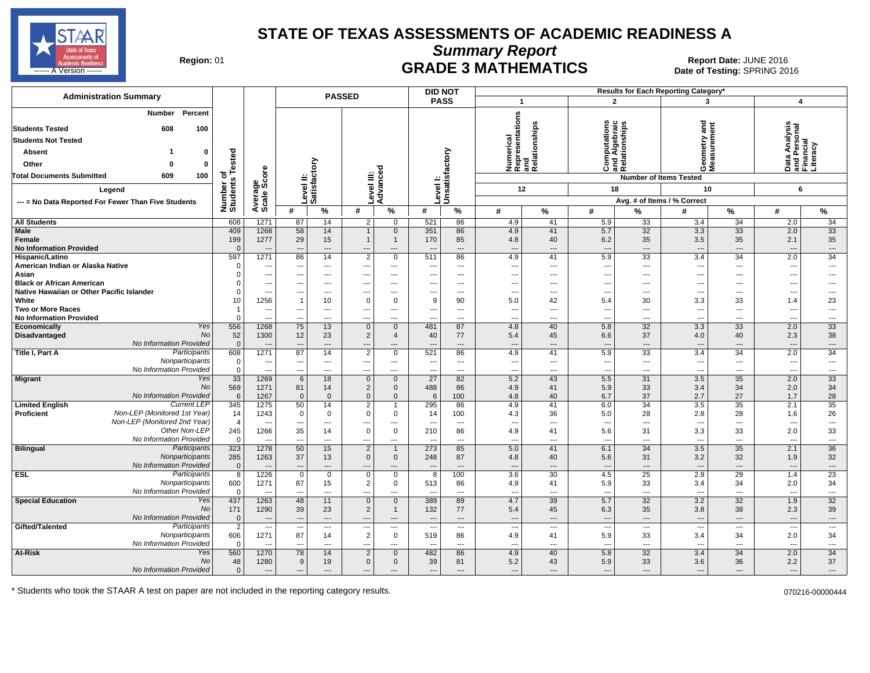

**Summary Report**

Region: 01 **Region: 01 CRADE 3 MATHEMATICS Date: JUNE 2016 Report Date: JUNE 2016 CRADE 3 MATHEMATICS** ل المستشفى العربي المستشفى المستشفى المستشفى المستشفى المستشفى المستشفى المستشفى المستشفى المستشفى المستشفى المستشفى المستشفى المستشفى المستشفى المستشفى المستشفى المستشفى المستشفى المستشفى المستشفى المستشفى المستشفى المست

| <b>Administration Summary</b>                                                                                                                                                   |                                 |                                  |                      |                                | <b>PASSED</b>                    |                          |                                                      | <b>DID NOT</b>             |                                                      |                      |                                            |                                                | Results for Each Reporting Category*                        |                                                      |                                                        |                          |
|---------------------------------------------------------------------------------------------------------------------------------------------------------------------------------|---------------------------------|----------------------------------|----------------------|--------------------------------|----------------------------------|--------------------------|------------------------------------------------------|----------------------------|------------------------------------------------------|----------------------|--------------------------------------------|------------------------------------------------|-------------------------------------------------------------|------------------------------------------------------|--------------------------------------------------------|--------------------------|
|                                                                                                                                                                                 |                                 |                                  |                      |                                |                                  |                          |                                                      | <b>PASS</b>                | $\overline{\mathbf{1}}$                              |                      |                                            | $\overline{2}$                                 | 3                                                           |                                                      | $\overline{4}$                                         |                          |
| Percent<br><b>Number</b><br><b>Students Tested</b><br>608<br>100<br><b>Students Not Tested</b><br><b>Absent</b><br>Other<br>$\Omega$<br>Total Documents Submitted<br>609<br>100 | ested<br>$\mathbf{0}$<br>0<br>৳ | ge<br>Score                      | $\equiv$             | ξ<br>evel II:<br>atisfacto     |                                  | ह                        |                                                      | Level I:<br>Unsatisfactory | Numerical<br>Representations<br>and<br>Relationships | elationships         | ations                                     | Computations<br>and Algebraic<br>Relationships | gue<br>etry<br>ទី ទី<br>OΣ<br><b>Number of Items Tested</b> |                                                      | Data Analysis<br>and Personal<br>Financial<br>Literacy |                          |
| Legend                                                                                                                                                                          |                                 |                                  |                      |                                | evel III:                        |                          |                                                      |                            | 12                                                   |                      | 18                                         |                                                | 10                                                          |                                                      | 6                                                      |                          |
| --- = No Data Reported For Fewer Than Five Students                                                                                                                             |                                 |                                  |                      | ة ت                            |                                  | Advanc                   | Level                                                |                            |                                                      |                      |                                            |                                                | Avg. # of Items / % Correct                                 |                                                      |                                                        |                          |
|                                                                                                                                                                                 | Number of<br>Students           | Average                          | #                    | %                              | #                                | %                        | #                                                    | %                          | #                                                    | %                    | #                                          | %                                              | #                                                           | $\%$                                                 | #                                                      | %                        |
| All Students                                                                                                                                                                    | 608                             | 1271                             | 87                   | 14                             | 2                                | $\overline{0}$           | 521                                                  | 86                         | 4.9                                                  | 41                   | 5.9                                        | 33                                             | 3.4                                                         | 34                                                   | 2.0                                                    | 34                       |
| <b>Male</b>                                                                                                                                                                     | 409                             | 1268                             | 58                   | 14                             |                                  | $\mathbf 0$              | 351                                                  | 86                         | 4.9                                                  | 41                   | 5.7                                        | 32                                             | 3.3                                                         | $\overline{33}$                                      | 2.0                                                    | 33                       |
| Female                                                                                                                                                                          | 199                             | 1277                             | 29                   | 15                             | $\mathbf{1}$                     | $\mathbf{1}$             | 170                                                  | 85                         | 4.8                                                  | 40                   | 6.2                                        | 35                                             | 3.5                                                         | 35                                                   | 2.1                                                    | 35                       |
| <b>No Information Provided</b>                                                                                                                                                  | $\Omega$                        | ---                              | $\overline{a}$       | $\overline{\phantom{a}}$       | ---                              | ---                      |                                                      | $\overline{\phantom{a}}$   | ---                                                  | ---                  | $\overline{\phantom{a}}$                   | $\overline{\phantom{a}}$                       | $\overline{\phantom{a}}$                                    | $\overline{\phantom{a}}$                             | ---                                                    | ---                      |
| Hispanic/Latino                                                                                                                                                                 | 597                             | 1271                             | 86                   | 14                             | $\overline{2}$                   | $\overline{0}$           | 511                                                  | 86                         | 4.9                                                  | 41                   | 5.9                                        | 33                                             | 3.4                                                         | 34                                                   | 2.0                                                    | 34                       |
| American Indian or Alaska Native                                                                                                                                                | $\Omega$                        | ---                              | ---                  | $\cdots$                       | ---                              | ---                      |                                                      | $\overline{\phantom{a}}$   | ---                                                  | ---                  | ---                                        | $\overline{a}$                                 | $\overline{\phantom{a}}$                                    | $\overline{\phantom{a}}$                             | ---                                                    | ---                      |
| Asian                                                                                                                                                                           | $\Omega$                        | ---                              | ---                  | $---$                          | ---                              | $\cdots$                 | ---                                                  | $---$                      | ---                                                  | ---                  | $---$                                      | $---$                                          | ---                                                         | $\overline{\phantom{a}}$                             | ---                                                    | ---                      |
| <b>Black or African American</b>                                                                                                                                                | $\Omega$                        | ---                              | ---                  | $---$                          | $\overline{a}$                   | $---$                    |                                                      | $---$                      | ---                                                  | ---                  | $\overline{a}$                             | $---$                                          | $\overline{\phantom{a}}$                                    | $\overline{a}$                                       | ---                                                    | ---                      |
| Native Hawaiian or Other Pacific Islander                                                                                                                                       | $\Omega$                        | ---                              | ---                  | ---                            |                                  | ---                      |                                                      | $\overline{a}$             | ---                                                  | ---                  | $\overline{\phantom{a}}$                   | $\overline{a}$                                 | $\overline{\phantom{a}}$                                    | ---                                                  | ---                                                    | ---                      |
| White                                                                                                                                                                           | 10                              | 1256                             | 1                    | 10                             | 0                                | $\mathbf 0$              | 9                                                    | 90                         | 5.0                                                  | 42                   | 5.4                                        | 30                                             | 3.3                                                         | 33                                                   | 1.4                                                    | 23                       |
| <b>Two or More Races</b><br><b>No Information Provided</b>                                                                                                                      | $\overline{1}$<br>$\Omega$      | ---<br>---                       | ---<br>---           | $---$<br>---                   | ---<br>---                       | ---<br>---               |                                                      | $\overline{\phantom{a}}$   | ---<br>---                                           | ---<br>---           | $\overline{a}$<br>$\overline{\phantom{a}}$ | $\overline{a}$<br>---                          | $\overline{\phantom{a}}$<br>$\overline{\phantom{a}}$        | $\overline{\phantom{a}}$<br>$\overline{\phantom{a}}$ | ---<br>---                                             | $\overline{a}$<br>---    |
| Yes<br>Economically                                                                                                                                                             | 556                             | 1268                             | 75                   | 13                             | $\mathbf 0$                      | $\mathbf{0}$             | 481                                                  | 87                         | 4.8                                                  | 40                   | 5.8                                        | 32                                             | 3.3                                                         | 33                                                   | 2.0                                                    | 33                       |
| <b>Disadvantaged</b>                                                                                                                                                            | No<br>52                        | 1300                             | 12                   | 23                             | $\overline{2}$                   | $\overline{4}$           | 40                                                   | 77                         | 5.4                                                  | 45                   | 6.6                                        | 37                                             | 4.0                                                         | 40                                                   | 2.3                                                    | 38                       |
| No Information Provided                                                                                                                                                         | $\mathbf 0$                     | ---                              | $---$                | ---                            |                                  | ---                      |                                                      | $---$                      | ---                                                  | ---                  | $---$                                      | $---$                                          |                                                             | $---$                                                | ---                                                    | ---                      |
| Participants<br>Title I, Part A                                                                                                                                                 | 608                             | 1271                             | 87                   | 14                             | $\overline{2}$                   | $\mathbf 0$              | 521                                                  | 86                         | 4.9                                                  | 41                   | 5.9                                        | 33                                             | 3.4                                                         | 34                                                   | 2.0                                                    | 34                       |
| Nonparticipants                                                                                                                                                                 | $\mathbf 0$                     | ---                              | ---                  | ---                            | ---                              | ---                      |                                                      | $---$                      | ---                                                  | ---                  | ---                                        | $\overline{\phantom{a}}$                       | $\overline{\phantom{a}}$                                    | $\overline{\phantom{a}}$                             | ---                                                    | ---                      |
| No Information Provided                                                                                                                                                         | $\mathbf 0$                     | ---                              | ---                  | ---                            | ---                              | ---                      | $- - -$                                              | $\overline{\phantom{a}}$   | ---                                                  | ---                  | $\overline{\phantom{a}}$                   | $\overline{\phantom{a}}$                       | $\overline{\phantom{a}}$                                    | $\overline{\phantom{a}}$                             | ---                                                    | ---                      |
| <b>Migrant</b><br>Yes                                                                                                                                                           | 33                              | 1269                             | 6                    | 18                             | $\mathbf 0$                      | $\overline{0}$           | 27                                                   | 82                         | 5.2                                                  | 43                   | 5.5                                        | 31                                             | 3.5                                                         | $\overline{35}$                                      | 2.0                                                    | 33                       |
|                                                                                                                                                                                 | <b>No</b><br>569                | 1271                             | 81                   | 14                             | $\overline{2}$                   | $\mathbf 0$              | 488                                                  | 86                         | 4.9                                                  | 41                   | 5.9                                        | 33                                             | 3.4                                                         | 34                                                   | 2.0                                                    | 34                       |
| No Information Provided                                                                                                                                                         | 6                               | 1267                             | $\Omega$             | $\Omega$                       | $\mathbf{0}$                     | $\mathbf 0$              | 6                                                    | 100                        | 4.8                                                  | 40                   | 6.7                                        | 37                                             | 2.7                                                         | 27                                                   | 1.7                                                    | 28                       |
| <b>Current LEP</b><br><b>Limited English</b><br>Non-LEP (Monitored 1st Year)<br><b>Proficient</b>                                                                               | 345                             | 1275                             | 50                   | 14                             | $\overline{2}$<br>$\mathbf 0$    | $\overline{1}$           | 295                                                  | 86                         | 4.9                                                  | 41                   | 6.0                                        | 34                                             | 3.5                                                         | 35                                                   | 2.1                                                    | 35                       |
| Non-LEP (Monitored 2nd Year)                                                                                                                                                    | 14<br>$\overline{4}$            | 1243<br>$\overline{\phantom{a}}$ | 0<br>---             | 0<br>$\overline{\phantom{a}}$  | ---                              | $\mathbf 0$<br>---       | -14<br>---                                           | 100<br>$---$               | 4.3<br>$\overline{\phantom{a}}$                      | 36<br>---            | 5.0<br>---                                 | 28<br>$---$                                    | 2.8<br>$\sim$                                               | 28<br>$\overline{\phantom{a}}$                       | 1.6<br>$\overline{\phantom{a}}$                        | 26<br>---                |
| Other Non-LEP                                                                                                                                                                   | 245                             | 1266                             | 35                   | 14                             | 0                                | $\mathbf 0$              | 210                                                  | 86                         | 4.9                                                  | 41                   | 5.6                                        | 31                                             | 3.3                                                         | 33                                                   | 2.0                                                    | 33                       |
| No Information Provided                                                                                                                                                         | $\Omega$                        |                                  |                      | $\overline{a}$                 |                                  | ---                      |                                                      | $\overline{a}$             | ÷.,                                                  | ---                  | $\overline{a}$                             | $\overline{a}$                                 | $\overline{\phantom{a}}$                                    | $---$                                                | ---                                                    | $\overline{a}$           |
| <b>Bilingual</b><br>Participants                                                                                                                                                | 323                             | 1278                             | 50                   | 15                             | $\overline{2}$                   | $\mathbf{1}$             | 273                                                  | 85                         | 5.0                                                  | 41                   | 6.1                                        | $\overline{34}$                                | 3.5                                                         | $\overline{35}$                                      | 2.1                                                    | 36                       |
| Nonparticipants                                                                                                                                                                 | 285                             | 1263                             | 37                   | 13                             | $\mathbf 0$                      | $\mathbf 0$              | 248                                                  | 87                         | 4.8                                                  | 40                   | 5.6                                        | 31                                             | 3.2                                                         | 32                                                   | 1.9                                                    | 32                       |
| No Information Provided                                                                                                                                                         | $\overline{0}$                  | $\overline{\phantom{a}}$         | $\overline{a}$       | ---                            |                                  | ---                      |                                                      | $\overline{a}$             | ---                                                  | $\overline{a}$       | $---$                                      | $\overline{a}$                                 | --                                                          | $---$                                                | ---                                                    | ---                      |
| Participants<br><b>ESL</b>                                                                                                                                                      | 8                               | 1226                             | $\mathsf 0$          | $\mathbf 0$                    | 0                                | $\overline{0}$           | 8                                                    | 100                        | 3.6                                                  | 30                   | 4.5                                        | 25                                             | 2.9                                                         | 29                                                   | 1.4                                                    | 23                       |
| Nonparticipants                                                                                                                                                                 | 600                             | 1271                             | 87                   | 15                             | $\overline{2}$                   | $\mathbf{0}$             | 513                                                  | 86                         | 4.9                                                  | 41                   | 5.9                                        | 33                                             | 3.4                                                         | 34                                                   | 2.0                                                    | 34                       |
| No Information Provided                                                                                                                                                         | $\Omega$                        | $\overline{\phantom{a}}$         | ---                  | $\overline{a}$                 | $---$                            | ---                      | $\overline{\phantom{a}}$                             | $---$                      | ---                                                  | ---                  | $\overline{a}$                             | $\overline{a}$                                 | ---                                                         | $\sim$                                               | $\overline{a}$                                         | $\overline{a}$           |
| <b>Special Education</b><br>Yes                                                                                                                                                 | 437                             | 1263                             | 48                   | 11                             | $\mathbf 0$                      | $\mathbf{0}$             | 389                                                  | 89                         | 4.7                                                  | 39                   | 5.7                                        | 32                                             | 3.2                                                         | 32                                                   | 1.9                                                    | 32                       |
| No Information Provided                                                                                                                                                         | No<br>171<br>$\overline{0}$     | 1290<br>---                      | 39<br>$\overline{a}$ | 23<br>$\overline{\phantom{a}}$ | $\overline{2}$<br>$\overline{a}$ | $\mathbf 1$<br>---       | 132                                                  | 77<br>$---$                | 5.4<br>---                                           | 45<br>$\overline{a}$ | 6.3                                        | 35<br>$\overline{\phantom{a}}$                 | 3.8                                                         | 38<br>$\overline{\phantom{a}}$                       | 2.3<br>$\overline{a}$                                  | 39<br>---                |
| Gifted/Talented<br>Participants                                                                                                                                                 | $\overline{2}$                  | ---                              | ---                  | $\overline{\phantom{a}}$       | ---                              | $\overline{\phantom{a}}$ | $\overline{\phantom{a}}$<br>$\overline{\phantom{a}}$ | $---$                      | ---                                                  | ---                  | $---$<br>$\overline{\phantom{a}}$          | $\overline{a}$                                 | $\overline{\phantom{a}}$<br>$\overline{\phantom{a}}$        | $---$                                                | ---                                                    | $\overline{\phantom{a}}$ |
| Nonparticipants                                                                                                                                                                 | 606                             | 1271                             | 87                   | 14                             | $\overline{2}$                   | $\mathbf 0$              | 519                                                  | 86                         | 4.9                                                  | 41                   | 5.9                                        | 33                                             | 3.4                                                         | 34                                                   | 2.0                                                    | 34                       |
| No Information Provided                                                                                                                                                         | $\mathbf{0}$                    | $\overline{\phantom{a}}$         | ---                  | $\overline{\phantom{a}}$       | ---                              | ---                      | $- - -$                                              | $---$                      | ---                                                  | ---                  | ---                                        | $\overline{a}$                                 | $\overline{\phantom{a}}$                                    | $\sim$                                               | ---                                                    | ---                      |
| At-Risk<br>Yes                                                                                                                                                                  | 560                             | 1270                             | 78                   | 14                             | $\overline{2}$                   | $\mathbf{0}$             | 482                                                  | 86                         | 4.9                                                  | 40                   | 5.8                                        | 32                                             | 3.4                                                         | 34                                                   | 2.0                                                    | 34                       |
| No                                                                                                                                                                              | 48                              | 1280                             | 9                    | 19                             | $\mathbf 0$                      | $\mathbf 0$              | 39                                                   | 81                         | 5.2                                                  | 43                   | 5.9                                        | 33                                             | 3.6                                                         | 36                                                   | 2.2                                                    | 37                       |
| No Information Provided                                                                                                                                                         | $\mathbf 0$                     | $\overline{\phantom{a}}$         | $\overline{a}$       | ---                            | $\overline{a}$                   | ---                      | ---                                                  | $---$                      | ---                                                  | ---                  | $---$                                      | $---$                                          | $\overline{\phantom{a}}$                                    | $\overline{\phantom{a}}$                             | $---$                                                  | ---                      |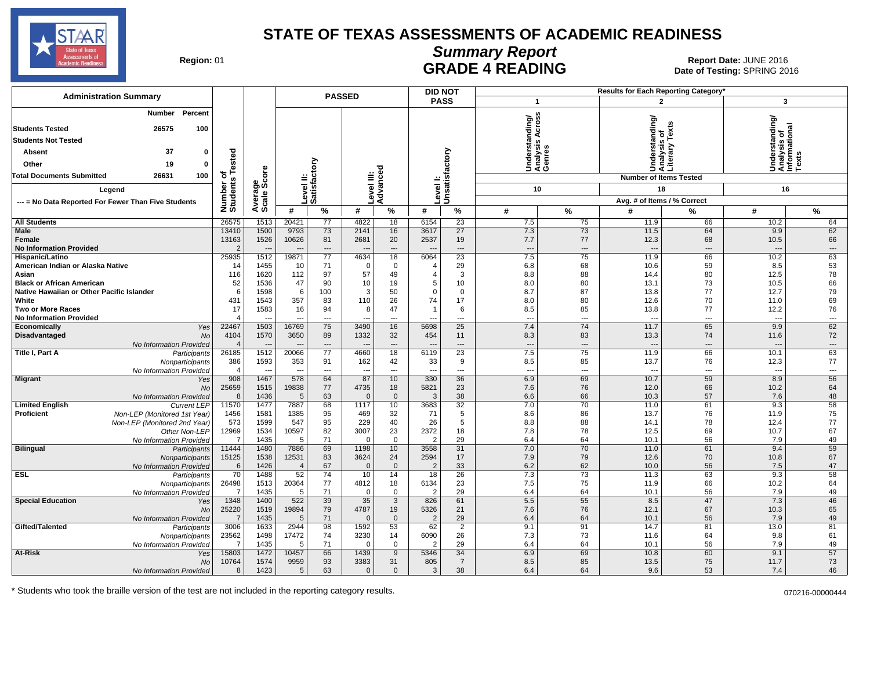

### **Summary Report**

Region: 01 **Region: 01 CALL CONSISTS AND READING Report Date: JUNE 2016**<br>Date of Testing: SPRING 20 Date of Testing: SPRING 2016

| <b>Administration Summary</b>                                                 |                       |                 |                          |                          | <b>PASSED</b>    |                       |                       | <b>DID NOT</b>    |                                                    |                          | Results for Each Reporting Category' |                                                 |                                                                   |                          |
|-------------------------------------------------------------------------------|-----------------------|-----------------|--------------------------|--------------------------|------------------|-----------------------|-----------------------|-------------------|----------------------------------------------------|--------------------------|--------------------------------------|-------------------------------------------------|-------------------------------------------------------------------|--------------------------|
|                                                                               |                       |                 |                          |                          |                  |                       |                       | <b>PASS</b>       | $\mathbf{1}$                                       |                          |                                      | $\overline{2}$                                  | 3                                                                 |                          |
| Percent<br>Number<br><b>Students Tested</b><br>26575<br>100                   |                       |                 |                          |                          |                  |                       |                       |                   | ဖ္ဖ<br>Understanding/<br>Analysis Across<br>Genres |                          |                                      | Understanding/<br>Analysis of<br>Literary Texts | rstanding/<br>Understandi<br>Analysis of<br>Informationa<br>Texts | ಸ                        |
| <b>Students Not Tested</b>                                                    |                       |                 |                          |                          |                  |                       |                       |                   |                                                    |                          |                                      |                                                 |                                                                   |                          |
| 37<br>$\bf{0}$<br><b>Absent</b>                                               | Tested                |                 |                          |                          |                  |                       |                       |                   |                                                    |                          |                                      |                                                 |                                                                   |                          |
| Other<br>19<br>0                                                              |                       |                 |                          | δ                        |                  | ъ                     |                       |                   |                                                    |                          |                                      |                                                 |                                                                   |                          |
| Total Documents Submitted<br>26631<br>100                                     | ৳                     | δã              |                          |                          |                  | ≝ຼ                    |                       |                   |                                                    |                          |                                      | <b>Number of Items Tested</b>                   |                                                                   |                          |
| Legend                                                                        |                       | န္တပ္ကိ         |                          | Level II:<br>Satisfact   |                  | Level III:<br>Advance | evel                  | Unsatisfactory    | 10                                                 |                          |                                      | 18                                              | 16                                                                |                          |
| --- = No Data Reported For Fewer Than Five Students                           |                       |                 |                          |                          |                  |                       |                       |                   |                                                    |                          |                                      | Avg. # of Items / % Correct                     |                                                                   |                          |
|                                                                               | Number of<br>Students | Averag<br>Scale | #                        | $\%$                     | #                | %                     | #                     | %                 | #                                                  | $\frac{9}{6}$            | #                                    | %                                               | #                                                                 | $\frac{9}{6}$            |
| <b>All Students</b>                                                           | 26575                 | 1513            | 20421                    | 77                       | 4822             | 18                    | 6154                  | 23                | 7.5                                                | 75                       | 11.9                                 | 66                                              | 10.2                                                              | 64                       |
| Male                                                                          | 13410                 | 1500            | 9793                     | 73                       | 2141             | 16                    | 3617                  | $\overline{27}$   | 7.3                                                | 73                       | 11.5                                 | 64                                              | 9.9                                                               | 62                       |
| Female                                                                        | 13163                 | 1526            | 10626                    | 81                       | 2681             | 20                    | 2537                  | 19                | 7.7                                                | 77                       | 12.3                                 | 68                                              | 10.5                                                              | 66                       |
| <b>No Information Provided</b>                                                | $\overline{2}$        |                 |                          | $\overline{\phantom{a}}$ |                  | ---                   |                       | $\overline{a}$    | $\overline{a}$                                     | $\overline{\phantom{a}}$ | $\overline{\phantom{a}}$             | $\overline{\phantom{a}}$                        |                                                                   | $\overline{\phantom{a}}$ |
| Hispanic/Latino                                                               | 25935                 | 1512            | 19871                    | 77                       | 4634             | 18                    | 6064                  | 23                | 7.5                                                | $\overline{75}$          | 11.9                                 | 66                                              | 10.2                                                              | 63                       |
| American Indian or Alaska Native                                              | 14                    | 1455            | 10                       | 71                       | $\mathbf 0$      | $\mathbf 0$           | $\overline{4}$        | 29                | 6.8                                                | 68                       | 10.6                                 | 59                                              | 8.5                                                               | 53                       |
| Asian                                                                         | 116                   | 1620            | 112                      | 97                       | 57               | 49                    | $\overline{4}$        | 3                 | 8.8                                                | 88                       | 14.4                                 | 80                                              | 12.5                                                              | 78                       |
| <b>Black or African American</b><br>Native Hawaiian or Other Pacific Islander | 52<br>6               | 1536<br>1598    | 47<br>6                  | 90<br>100                | 10<br>3          | 19<br>50              | 5<br>$\mathbf 0$      | 10<br>$\mathbf 0$ | 8.0<br>8.7                                         | 80<br>87                 | 13.1<br>13.8                         | 73<br>77                                        | 10.5<br>12.7                                                      | 66<br>79                 |
| White                                                                         | 431                   | 1543            | 357                      | 83                       | 110              | 26                    | 74                    | 17                | 8.0                                                | 80                       | 12.6                                 | 70                                              | 11.0                                                              | 69                       |
| <b>Two or More Races</b>                                                      | 17                    | 1583            | 16                       | 94                       | 8                | 47                    | $\overline{1}$        | 6                 | 8.5                                                | 85                       | 13.8                                 | 77                                              | 12.2                                                              | 76                       |
| <b>No Information Provided</b>                                                | $\overline{4}$        |                 |                          | $---$                    |                  | $---$                 |                       | ---               | $\overline{\phantom{a}}$                           | $---$                    | $\sim$                               | ---                                             |                                                                   | $\hspace{0.05cm} \cdots$ |
| Economically<br>Yes                                                           | 22467                 | 1503            | 16769                    | 75                       | 3490             | 16                    | 5698                  | 25                | 7.4                                                | 74                       | 11.7                                 | 65                                              | 9.9                                                               | 62                       |
| Disadvantaged<br>No                                                           | 4104                  | 1570            | 3650                     | 89                       | 1332             | 32                    | 454                   | 11                | 8.3                                                | 83                       | 13.3                                 | 74                                              | 11.6                                                              | 72                       |
| No Information Provided                                                       | $\overline{A}$        |                 |                          | $---$                    | $---$            | $---$                 |                       | $---$             | $\overline{\phantom{a}}$                           | $---$                    | $\sim$                               | ---                                             |                                                                   | $\cdots$                 |
| Title I, Part A<br>Participants                                               | 26185                 | 1512            | 20066                    | 77                       | 4660             | 18                    | 6119                  | 23                | 7.5                                                | 75                       | 11.9                                 | 66                                              | 10.1                                                              | 63                       |
| Nonparticipants                                                               | 386                   | 1593            | 353                      | 91                       | 162              | 42                    | 33                    | 9                 | 8.5                                                | 85                       | 13.7                                 | 76                                              | 12.3                                                              | 77                       |
| No Information Provided                                                       | $\overline{4}$        | ---             | $\overline{\phantom{a}}$ | $\overline{\phantom{a}}$ | ---              | $\overline{a}$        |                       | ---               | $\overline{a}$                                     | ---                      | $\sim$                               | ---                                             | $\overline{\phantom{a}}$                                          | $\hspace{0.05cm} \ldots$ |
| <b>Migrant</b><br>Yes                                                         | 908                   | 1467            | 578                      | 64                       | 87               | 10                    | 330                   | 36                | 6.9                                                | 69                       | 10.7                                 | 59                                              | 8.9                                                               | 56                       |
| No                                                                            | 25659<br>8            | 1515<br>1436    | 19838<br>5               | 77<br>63                 | 4735<br>$\Omega$ | 18<br>$\mathbf{0}$    | 5821<br>3             | 23<br>38          | 7.6<br>6.6                                         | 76<br>66                 | 12.0<br>10.3                         | 66<br>57                                        | 10.2<br>7.6                                                       | 64<br>48                 |
| No Information Provided<br><b>Limited English</b><br><b>Current LEP</b>       | 11570                 | 1477            | 7887                     | 68                       | 1117             | 10                    | 3683                  | 32                | 7.0                                                | 70                       | 11.0                                 | 61                                              | 9.3                                                               | 58                       |
| Proficient<br>Non-LEP (Monitored 1st Year)                                    | 1456                  | 1581            | 1385                     | 95                       | 469              | 32                    | 71                    | 5                 | 8.6                                                | 86                       | 13.7                                 | 76                                              | 11.9                                                              | 75                       |
| Non-LEP (Monitored 2nd Year)                                                  | 573                   | 1599            | 547                      | 95                       | 229              | 40                    | 26                    | 5                 | 8.8                                                | 88                       | 14.1                                 | 78                                              | 12.4                                                              | 77                       |
| Other Non-LEP                                                                 | 12969                 | 1534            | 10597                    | 82                       | 3007             | 23                    | 2372                  | 18                | 7.8                                                | 78                       | 12.5                                 | 69                                              | 10.7                                                              | 67                       |
| No Information Provided                                                       | -7                    | 1435            | 5                        | 71                       | $\Omega$         | $\mathbf 0$           | $\overline{2}$        | 29                | 6.4                                                | 64                       | 10.1                                 | 56                                              | 7.9                                                               | 49                       |
| <b>Bilingual</b><br>Participants                                              | 11444                 | 1480            | 7886                     | 69                       | 1198             | 10                    | 3558                  | 31                | 7.0                                                | 70                       | 11.0                                 | 61                                              | 9.4                                                               | 59                       |
| Nonparticipants                                                               | 15125                 | 1538            | 12531                    | 83                       | 3624             | 24                    | 2594                  | 17                | 7.9                                                | 79                       | 12.6                                 | 70                                              | 10.8                                                              | 67                       |
| No Information Provided                                                       | 6                     | 1426            | $\overline{4}$           | 67                       | $\Omega$         | $\mathbf{0}$          | $\mathcal{P}$         | 33                | 6.2                                                | 62                       | 10.0                                 | 56                                              | 7.5                                                               | 47                       |
| <b>ESL</b><br>Participants                                                    | 70                    | 1488            | 52                       | 74                       | 10               | 14                    | 18                    | 26                | 7.3                                                | $\overline{73}$          | 11.3                                 | 63                                              | 9.3                                                               | 58                       |
| Nonparticipants                                                               | 26498<br>7            | 1513            | 20364<br>5               | 77<br>71                 | 4812<br>$\Omega$ | 18<br>$\Omega$        | 6134<br>$\mathcal{P}$ | 23<br>29          | 7.5                                                | 75<br>64                 | 11.9                                 | 66<br>56                                        | 10.2                                                              | 64                       |
| No Information Provided<br><b>Special Education</b><br>Yes                    | 1348                  | 1435<br>1400    | 522                      | 39                       | 35               | 3                     | 826                   | 61                | 6.4<br>5.5                                         | 55                       | 10.1<br>8.5                          | 47                                              | 7.9<br>7.3                                                        | 49<br>46                 |
| No                                                                            | 25220                 | 1519            | 19894                    | 79                       | 4787             | 19                    | 5326                  | 21                | 7.6                                                | 76                       | 12.1                                 | 67                                              | 10.3                                                              | 65                       |
| No Information Provided                                                       | 7                     | 1435            | .5                       | 71                       | $\Omega$         | $\mathbf{0}$          | $\overline{2}$        | 29                | 6.4                                                | 64                       | 10.1                                 | 56                                              | 7.9                                                               | 49                       |
| Gifted/Talented<br>Participants                                               | 3006                  | 1633            | 2944                     | 98                       | 1592             | 53                    | 62                    | $\overline{2}$    | 9.1                                                | 91                       | 14.7                                 | 81                                              | 13.0                                                              | 81                       |
| Nonparticipants                                                               | 23562                 | 1498            | 17472                    | 74                       | 3230             | 14                    | 6090                  | 26                | 7.3                                                | 73                       | 11.6                                 | 64                                              | 9.8                                                               | 61                       |
| No Information Provided                                                       | -7                    | 1435            | -5                       | 71                       | $\Omega$         | $\Omega$              | $\overline{2}$        | 29                | 6.4                                                | 64                       | 10.1                                 | 56                                              | 7.9                                                               | 49                       |
| At-Risk<br>Yes                                                                | 15803                 | 1472            | 10457                    | 66                       | 1439             | 9                     | 5346                  | 34                | 6.9                                                | 69                       | 10.8                                 | 60                                              | 9.1                                                               | 57                       |
| No                                                                            | 10764                 | 1574            | 9959                     | 93                       | 3383             | 31                    | 805                   | $\overline{7}$    | 8.5                                                | 85                       | 13.5                                 | 75                                              | 11.7                                                              | 73                       |
| No Information Provided                                                       | 8                     | 1423            | 5                        | 63                       | $\Omega$         | $\Omega$              | 3                     | 38                | 6.4                                                | 64                       | 9.6                                  | 53                                              | 7.4                                                               | 46                       |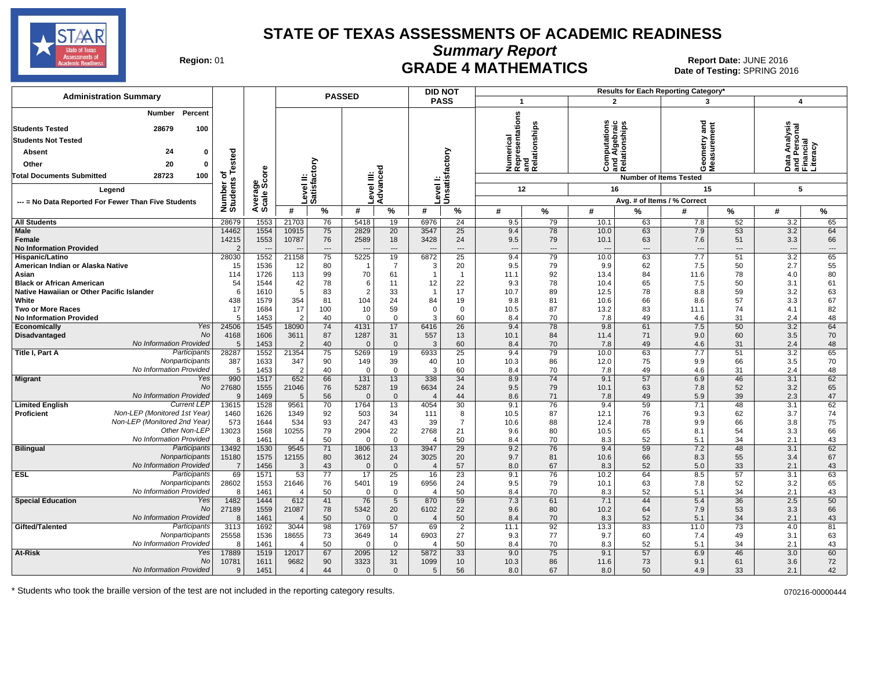

**Summary Report**

Region: 01 **Region: 01 CRADE 4 MATHEMATICS Date: JUNE 2016 Report Date: JUNE 2016 CRADE 4 MATHEMATICS** Date of Testing: SPRING 2016

| <b>Administration Summary</b>                                                                                  |                         |                                  |                                   |           | <b>PASSED</b>                  |                    |                             | <b>DID NOT</b>                 |                                                      |              |                                                     |             | Results for Each Reporting Category' |                               |                                                        |           |
|----------------------------------------------------------------------------------------------------------------|-------------------------|----------------------------------|-----------------------------------|-----------|--------------------------------|--------------------|-----------------------------|--------------------------------|------------------------------------------------------|--------------|-----------------------------------------------------|-------------|--------------------------------------|-------------------------------|--------------------------------------------------------|-----------|
|                                                                                                                |                         |                                  |                                   |           |                                |                    |                             | <b>PASS</b>                    | $\overline{\mathbf{1}}$                              |              | $\mathbf{2}$                                        |             | 3                                    |                               | $\overline{\mathbf{A}}$                                |           |
| Percent<br>Number<br><b>Students Tested</b><br>28679<br>100<br><b>Students Not Tested</b><br>24<br>0<br>Absent |                         |                                  |                                   |           |                                |                    |                             |                                | Numerical<br>Representations<br>and<br>Relationships | elationships | w<br>Computations<br>Ind Algebraic<br>Relationships |             | gue<br>etry                          |                               | Data Analysis<br>and Personal<br>Financial<br>Literacy |           |
|                                                                                                                | sted                    |                                  |                                   |           |                                |                    |                             |                                |                                                      |              |                                                     |             | easu                                 |                               |                                                        |           |
| Other<br>20<br>0                                                                                               | نة                      |                                  |                                   | ξ         |                                | ъ                  |                             |                                |                                                      |              | ن                                                   | and<br>Rela | ŏέ                                   |                               |                                                        |           |
| <b>Total Documents Submitted</b><br>28723<br>100                                                               | ৳<br>$\mathbf{u}$       | ge<br>Score                      | =                                 |           |                                |                    |                             |                                |                                                      |              |                                                     |             | <b>Number of Items Tested</b>        |                               |                                                        |           |
| Leaend                                                                                                         | Number<br>Students      |                                  | evel                              | atisfact  | Level III:                     | Advance            | Level                       | Unsatisfactory                 | 12                                                   |              | 16                                                  |             | 15                                   |                               | 5                                                      |           |
| --- = No Data Reported For Fewer Than Five Students                                                            |                         | Avera<br>Scale                   |                                   | <b>SO</b> |                                |                    |                             |                                |                                                      |              |                                                     |             | Avg. # of Items / % Correct          |                               |                                                        |           |
|                                                                                                                |                         |                                  | #                                 | %         | #                              | %                  | #                           | $\%$                           | #                                                    | %            | #                                                   | %           | #                                    | %                             | #                                                      | $\%$      |
| <b>All Students</b>                                                                                            | 28679                   | 1553                             | 21703                             | 76        | 5418                           | 19                 | 6976                        | 24                             | 9.5                                                  | 79           | 10.1                                                | 63          | 7.8                                  | 52                            | 3.2                                                    | 65        |
| <b>Male</b>                                                                                                    | 14462                   | 1554                             | 10915                             | 75        | 2829                           | 20                 | 3547                        | $\overline{25}$                | 9.4                                                  | 78           | 10.0                                                | 63          | 7.9                                  | 53                            | 3.2                                                    | 64        |
| Female<br><b>No Information Provided</b>                                                                       | 14215<br>$\overline{2}$ | 1553<br>$\overline{\phantom{a}}$ | 10787<br>$\overline{\phantom{a}}$ | 76<br>--- | 2589<br>$\qquad \qquad \cdots$ | 18<br>$\cdots$     | 3428                        | 24<br>$\overline{\phantom{a}}$ | 9.5<br>---                                           | 79<br>---    | 10.1<br>$\overline{\phantom{a}}$                    | 63<br>---   | 7.6<br>$\overline{\phantom{a}}$      | 51<br>$\hspace{1.5cm} \cdots$ | 3.3<br>$\overline{\phantom{a}}$                        | 66<br>--- |
| Hispanic/Latino                                                                                                | 28030                   | 1552                             | 21158                             | 75        | 5225                           | 19                 | 6872                        | $\overline{25}$                | 9.4                                                  | 79           | 10.0                                                | 63          | 7.7                                  | 51                            | 3.2                                                    | 65        |
| American Indian or Alaska Native                                                                               | 15                      | 1536                             | 12                                | 80        | -1                             | $\overline{7}$     | 3                           | 20                             | 9.5                                                  | 79           | 9.9                                                 | 62          | 7.5                                  | 50                            | 2.7                                                    | 55        |
| Asian                                                                                                          | 114                     | 1726                             | 113                               | 99        | 70                             | 61                 |                             | $\overline{1}$                 | 11.1                                                 | 92           | 13.4                                                | 84          | 11.6                                 | 78                            | 4.0                                                    | 80        |
| <b>Black or African American</b>                                                                               | 54                      | 1544                             | 42                                | 78        | 6                              | 11                 | 12                          | 22                             | 9.3                                                  | 78           | 10.4                                                | 65          | 7.5                                  | 50                            | 3.1                                                    | 61        |
| Native Hawaiian or Other Pacific Islander<br>White                                                             | 6                       | 1610                             | 5                                 | 83<br>81  | $\overline{2}$                 | 33<br>24           | 84                          | 17                             | 10.7                                                 | 89<br>81     | 12.5                                                | 78<br>66    | 8.8                                  | 59<br>57                      | 3.2<br>3.3                                             | 63        |
| <b>Two or More Races</b>                                                                                       | 438<br>17               | 1579<br>1684                     | 354<br>17                         | 100       | 104<br>10                      | 59                 | $\mathbf 0$                 | 19<br>$\mathbf 0$              | 9.8<br>10.5                                          | 87           | 10.6<br>13.2                                        | 83          | 8.6<br>11.1                          | 74                            | 4.1                                                    | 67<br>82  |
| <b>No Information Provided</b>                                                                                 | 5                       | 1453                             | 2                                 | 40        | $\Omega$                       | $\mathbf{0}$       | 3                           | 60                             | 8.4                                                  | 70           | 7.8                                                 | 49          | 4.6                                  | 31                            | 2.4                                                    | 48        |
| Yes<br>Economically                                                                                            | 24506                   | 1545                             | 18090                             | 74        | 4131                           | 17                 | 6416                        | $\overline{26}$                | 9.4                                                  | 78           | 9.8                                                 | 61          | 7.5                                  | 50                            | 3.2                                                    | 64        |
| No<br>Disadvantaged                                                                                            | 4168                    | 1606                             | 3611                              | 87        | 1287                           | 31                 | 557                         | 13                             | 10.1                                                 | 84           | 11.4                                                | 71          | 9.0                                  | 60                            | 3.5                                                    | 70        |
| No Information Provided                                                                                        | 5                       | 1453                             | $\overline{2}$                    | 40        | $\mathbf 0$                    | $\mathbf 0$        | 3                           | 60                             | 8.4                                                  | 70           | 7.8                                                 | 49          | 4.6                                  | 31                            | 2.4                                                    | 48        |
| Participants<br><b>Title I, Part A</b>                                                                         | 28287                   | 1552                             | 21354                             | 75        | 5269                           | 19                 | 6933                        | 25                             | 9.4                                                  | 79           | 10.0                                                | 63          | 7.7                                  | 51                            | 3.2                                                    | 65        |
| Nonparticipants                                                                                                | 387                     | 1633                             | 347                               | 90        | 149                            | 39                 | 40                          | 10                             | 10.3                                                 | 86           | 12.0                                                | 75          | 9.9                                  | 66                            | 3.5                                                    | 70        |
| No Information Provided<br>Yes                                                                                 | 5<br>990                | 1453<br>1517                     | 2<br>652                          | 40<br>66  | 0<br>131                       | $\mathbf 0$<br>13  | 3<br>338                    | 60<br>$\overline{34}$          | 8.4<br>8.9                                           | 70<br>74     | 7.8<br>9.1                                          | 49<br>57    | 4.6<br>6.9                           | 31<br>46                      | 2.4<br>3.1                                             | 48<br>62  |
| <b>Migrant</b><br><b>No</b>                                                                                    | 27680                   | 1555                             | 21046                             | 76        | 5287                           | 19                 | 6634                        | 24                             | 9.5                                                  | 79           | 10.1                                                | 63          | 7.8                                  | 52                            | 3.2                                                    | 65        |
| No Information Provided                                                                                        | 9                       | 1469                             | 5                                 | 56        | $\Omega$                       | $\mathbf 0$        | 4                           | 44                             | 8.6                                                  | 71           | 7.8                                                 | 49          | 5.9                                  | 39                            | 2.3                                                    | 47        |
| <b>Current LEP</b><br><b>Limited English</b>                                                                   | 13615                   | 1528                             | 9561                              | 70        | 1764                           | 13                 | 4054                        | 30                             | 9.1                                                  | 76           | 9.4                                                 | 59          | 7.1                                  | 48                            | 3.1                                                    | 62        |
| Non-LEP (Monitored 1st Year)<br><b>Proficient</b>                                                              | 1460                    | 1626                             | 1349                              | 92        | 503                            | 34                 | 111                         | 8                              | 10.5                                                 | 87           | 12.1                                                | 76          | 9.3                                  | 62                            | 3.7                                                    | 74        |
| Non-LEP (Monitored 2nd Year)                                                                                   | 573                     | 1644                             | 534                               | 93        | 247                            | 43                 | 39                          | $\overline{7}$                 | 10.6                                                 | 88           | 12.4                                                | 78          | 9.9                                  | 66                            | 3.8                                                    | 75        |
| Other Non-LEP                                                                                                  | 13023                   | 1568                             | 10255                             | 79        | 2904                           | 22                 | 2768                        | 21                             | 9.6                                                  | 80           | 10.5                                                | 65          | 8.1                                  | 54                            | 3.3                                                    | 66        |
| No Information Provided                                                                                        | 8                       | 1461                             | $\overline{4}$                    | 50        | 0                              | $\mathbf{0}$       | Δ                           | 50                             | 8.4                                                  | 70           | 8.3                                                 | 52          | 5.1                                  | 34                            | 2.1                                                    | 43        |
| Participants<br><b>Bilingual</b><br>Nonparticipants                                                            | 13492<br>15180          | 1530<br>1575                     | 9545<br>12155                     | 71<br>80  | 1806<br>3612                   | 13<br>24           | 3947<br>3025                | 29<br>20                       | 9.2<br>9.7                                           | 76<br>81     | 9.4<br>10.6                                         | 59<br>66    | 7.2<br>8.3                           | 48<br>55                      | 3.1<br>3.4                                             | 62<br>67  |
| No Information Provided                                                                                        | 7                       | 1456                             | 3                                 | 43        | $\Omega$                       | $\mathbf 0$        | $\Delta$                    | 57                             | 8.0                                                  | 67           | 8.3                                                 | 52          | 5.0                                  | 33                            | 2.1                                                    | 43        |
| <b>ESL</b><br>Participants                                                                                     | 69                      | 1571                             | 53                                | 77        | 17                             | 25                 | 16                          | 23                             | 9.1                                                  | 76           | 10.2                                                | 64          | 8.5                                  | 57                            | 3.1                                                    | 63        |
| Nonparticipants                                                                                                | 28602                   | 1553                             | 21646                             | 76        | 5401                           | 19                 | 6956                        | 24                             | 9.5                                                  | 79           | 10.1                                                | 63          | 7.8                                  | 52                            | 3.2                                                    | 65        |
| No Information Provided                                                                                        | 8                       | 1461                             | $\overline{4}$                    | 50        | $\Omega$                       | $\mathbf{0}$       | $\Delta$                    | 50                             | 8.4                                                  | 70           | 8.3                                                 | 52          | 5.1                                  | 34                            | 2.1                                                    | 43        |
| <b>Special Education</b><br>Yes                                                                                | 1482                    | 1444                             | 612                               | 41        | 76                             | $5\overline{)}$    | 870                         | 59                             | 7.3                                                  | 61           | 7.1                                                 | 44          | 5.4                                  | 36                            | 2.5                                                    | 50        |
| <b>No</b>                                                                                                      | 27189                   | 1559                             | 21087                             | 78        | 5342                           | 20                 | 6102                        | 22                             | 9.6                                                  | 80           | 10.2                                                | 64          | 7.9                                  | 53                            | 3.3                                                    | 66        |
| No Information Provided<br>Gifted/Talented<br>Participants                                                     | 8<br>3113               | 1461<br>1692                     | $\overline{\mathcal{L}}$<br>3044  | 50<br>98  | $\Omega$<br>1769               | $\mathbf{0}$<br>57 | $\boldsymbol{\Delta}$<br>69 | 50<br>$\overline{2}$           | 8.4<br>11.1                                          | 70<br>92     | 8.3<br>13.3                                         | 52<br>83    | 5.1<br>11.0                          | 34<br>$\overline{73}$         | 2.1<br>4.0                                             | 43<br>81  |
| Nonparticipants                                                                                                | 25558                   | 1536                             | 18655                             | 73        | 3649                           | 14                 | 6903                        | 27                             | 9.3                                                  | 77           | 9.7                                                 | 60          | 7.4                                  | 49                            | 3.1                                                    | 63        |
| No Information Provided                                                                                        | -8                      | 1461                             | 4                                 | 50        | $\Omega$                       | $\overline{0}$     | Δ                           | 50                             | 8.4                                                  | 70           | 8.3                                                 | 52          | 5.1                                  | 34                            | 2.1                                                    | 43        |
| At-Risk<br>Yes                                                                                                 | 17889                   | 1519                             | 12017                             | 67        | 2095                           | 12                 | 5872                        | 33                             | 9.0                                                  | 75           | 9.1                                                 | 57          | 6.9                                  | 46                            | 3.0                                                    | 60        |
| No                                                                                                             | 10781                   | 1611                             | 9682                              | 90        | 3323                           | 31                 | 1099                        | 10                             | 10.3                                                 | 86           | 11.6                                                | 73          | 9.1                                  | 61                            | 3.6                                                    | 72        |
| No Information Provided                                                                                        | $\mathbf{Q}$            | 1451                             | $\overline{4}$                    | 44        | $\mathbf{0}$                   | $\mathbf{0}$       | 5                           | 56                             | 8.0                                                  | 67           | 8.0                                                 | 50          | 4.9                                  | 33                            | 2.1                                                    | 42        |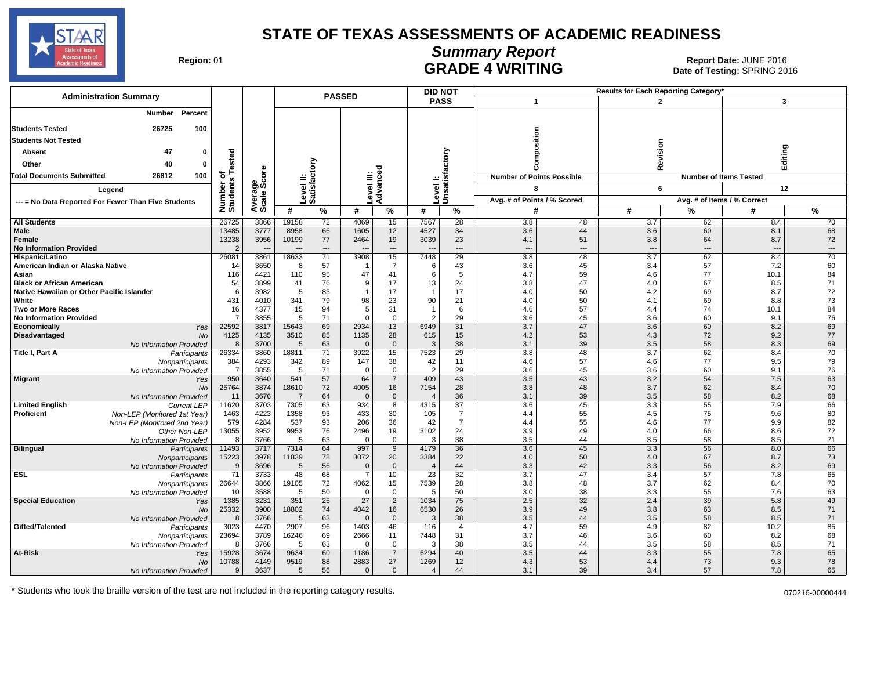

# **Summary Report**

Region: 01 **Region: 01 CALL CONSISTS OF A SET OF A REPORT DATE: JUNE 2016**<br>Date of Testing: SPRING 2016 Date of Testing: SPRING 2016

| <b>Administration Summary</b>                                                                     |                            |                |                |                          | <b>PASSED</b>          |                          | <b>DID NOT</b>          |                            |                                  |                          |                          | Results for Each Reporting Category' |                               |                          |
|---------------------------------------------------------------------------------------------------|----------------------------|----------------|----------------|--------------------------|------------------------|--------------------------|-------------------------|----------------------------|----------------------------------|--------------------------|--------------------------|--------------------------------------|-------------------------------|--------------------------|
|                                                                                                   |                            |                |                |                          |                        |                          |                         | <b>PASS</b>                | $\mathbf{1}$                     |                          |                          | $\overline{2}$                       | $\mathbf{3}$                  |                          |
| Percent<br><b>Number</b>                                                                          |                            |                |                |                          |                        |                          |                         |                            |                                  |                          |                          |                                      |                               |                          |
| <b>Students Tested</b><br>26725<br>100                                                            |                            |                |                |                          |                        |                          |                         |                            |                                  |                          |                          |                                      |                               |                          |
| <b>Students Not Tested</b>                                                                        |                            |                |                |                          |                        |                          |                         |                            | sition                           |                          |                          |                                      |                               |                          |
| 47<br>$\Omega$<br>Absent                                                                          |                            |                |                |                          |                        |                          |                         |                            |                                  |                          |                          | Revision                             | Editing                       |                          |
|                                                                                                   | Tested                     |                |                |                          |                        |                          |                         |                            |                                  |                          |                          |                                      |                               |                          |
| 40<br>Other<br>$\mathbf{0}$                                                                       |                            |                |                | ξ                        |                        | ة                        |                         |                            |                                  |                          |                          |                                      |                               |                          |
| <b>Total Documents Submitted</b><br>26812<br>100                                                  | ъ<br>Number of<br>Students | ge<br>Score    | ≝              |                          |                        | Level III:<br>Advance    |                         | Level I:<br>Unsatisfactory | <b>Number of Points Possible</b> |                          |                          |                                      | <b>Number of Items Tested</b> |                          |
| Legend                                                                                            |                            |                |                |                          |                        |                          |                         |                            | 8                                |                          |                          | 6                                    | 12                            |                          |
| --- = No Data Reported For Fewer Than Five Students                                               |                            | Avera<br>Scale |                | Level II:<br>Satisfac    |                        |                          |                         |                            | Avg. # of Points / % Scored      |                          |                          |                                      | Avg. # of Items / % Correct   |                          |
|                                                                                                   |                            |                | #              | %                        | #                      | $\%$                     | #                       | %                          | #                                |                          | #                        | %                                    | #                             | $\%$                     |
| <b>All Students</b>                                                                               | 26725                      | 3866           | 19158          | 72                       | 4069                   | 15                       | 7567                    | 28                         | 3.8                              | 48                       | 3.7                      | 62                                   | 8.4                           | 70                       |
| Male                                                                                              | 13485                      | 3777           | 8958           | 66                       | 1605                   | 12                       | 4527                    | 34                         | 3.6                              | 44                       | 3.6                      | 60                                   | 8.1                           | 68                       |
| Female                                                                                            | 13238                      | 3956           | 10199          | 77                       | 2464                   | 19                       | 3039                    | 23                         | 4.1                              | 51                       | 3.8                      | 64                                   | 8.7                           | 72                       |
| <b>No Information Provided</b>                                                                    | $\overline{2}$             |                |                | $\overline{\phantom{a}}$ |                        | $\overline{\phantom{a}}$ |                         | ---                        | ---                              | $\overline{\phantom{a}}$ | $\overline{\phantom{a}}$ | $\overline{a}$                       | $\overline{\phantom{a}}$      | $\overline{\phantom{a}}$ |
| Hispanic/Latino<br>American Indian or Alaska Native                                               | 26081<br>14                | 3861<br>3650   | 18633<br>-8    | 71<br>57                 | 3908<br>-1             | 15<br>$\overline{7}$     | 7448<br>6               | $\overline{29}$<br>43      | 3.8<br>3.6                       | 48<br>45                 | 3.7<br>3.4               | 62<br>57                             | 8.4<br>7.2                    | 70<br>60                 |
| Asian                                                                                             | 116                        | 4421           | 110            | 95                       | 47                     | 41                       | 6                       | 5                          | 4.7                              | 59                       | 4.6                      | 77                                   | 10.1                          | 84                       |
| <b>Black or African American</b>                                                                  | 54                         | 3899           | 41             | 76                       | 9                      | 17                       | 13                      | 24                         | 3.8                              | 47                       | 4.0                      | 67                                   | 8.5                           | 71                       |
| Native Hawaiian or Other Pacific Islander                                                         | 6                          | 3982           | -5             | 83                       | $\overline{1}$         | 17                       | -1                      | 17                         | 4.0                              | 50                       | 4.2                      | 69                                   | 8.7                           | 72                       |
| White                                                                                             | 431                        | 4010           | 341            | 79                       | 98                     | 23                       | 90                      | 21                         | 4.0                              | 50                       | 4.1                      | 69                                   | 8.8                           | 73                       |
| <b>Two or More Races</b>                                                                          | 16                         | 4377           | 15             | 94                       | 5                      | 31                       | $\overline{1}$          | 6                          | 4.6                              | 57                       | 4.4                      | 74                                   | 10.1                          | 84                       |
| <b>No Information Provided</b>                                                                    | $\overline{7}$             | 3855           | -5             | 71                       | $\Omega$               | $\mathbf 0$              | $\overline{2}$          | 29                         | 3.6                              | 45                       | 3.6                      | 60                                   | 9.1                           | 76                       |
| <b>Economically</b><br>Yes                                                                        | 22592                      | 3817           | 15643          | 69                       | 2934                   | 13                       | 6949                    | 31                         | 3.7                              | 47                       | 3.6                      | 60                                   | 8.2                           | 69                       |
| <b>Disadvantaged</b><br><b>No</b><br>No Information Provided                                      | 4125<br>8                  | 4135<br>3700   | 3510<br>-5     | 85<br>63                 | 1135<br>$\Omega$       | 28<br>$\mathbf{0}$       | 615<br>3                | 15<br>38                   | 4.2<br>3.1                       | 53<br>39                 | 4.3<br>3.5               | 72<br>58                             | 9.2<br>8.3                    | 77<br>69                 |
| Title I, Part A<br>Participants                                                                   | 26334                      | 3860           | 18811          | 71                       | 3922                   | 15                       | 7523                    | 29                         | 3.8                              | 48                       | 3.7                      | 62                                   | 8.4                           | 70                       |
| Nonparticipants                                                                                   | 384                        | 4293           | 342            | 89                       | 147                    | 38                       | 42                      | 11                         | 4.6                              | 57                       | 4.6                      | 77                                   | 9.5                           | 79                       |
| No Information Provided                                                                           | $\overline{7}$             | 3855           | 5              | 71                       | $\Omega$               | $\mathbf 0$              | $\overline{2}$          | 29                         | 3.6                              | 45                       | 3.6                      | 60                                   | 9.1                           | 76                       |
| <b>Migrant</b><br>Yes                                                                             | 950                        | 3640           | 541            | 57                       | 64                     | $\overline{7}$           | 409                     | 43                         | 3.5                              | 43                       | 3.2                      | 54                                   | 7.5                           | 63                       |
| <b>No</b>                                                                                         | 25764                      | 3874           | 18610          | 72                       | 4005                   | 16                       | 7154                    | 28                         | 3.8                              | 48                       | 3.7                      | 62                                   | 8.4                           | 70                       |
| No Information Provided                                                                           | 11                         | 3676           | $\overline{7}$ | 64                       | $\Omega$               | $\Omega$                 | $\overline{4}$          | 36                         | 3.1                              | 39                       | 3.5                      | 58                                   | 8.2                           | 68                       |
| <b>Limited English</b><br><b>Current LEP</b><br>Non-LEP (Monitored 1st Year)<br><b>Proficient</b> | 11620<br>1463              | 3703<br>4223   | 7305<br>1358   | 63<br>93                 | 934<br>433             | 8<br>30                  | 4315<br>105             | 37<br>$\overline{7}$       | 3.6<br>4.4                       | 45<br>55                 | 3.3<br>4.5               | 55<br>75                             | 7.9<br>9.6                    | 66<br>80                 |
| Non-LEP (Monitored 2nd Year)                                                                      | 579                        | 4284           | 537            | 93                       | 206                    | 36                       | 42                      | $\overline{7}$             | 4.4                              | 55                       | 4.6                      | 77                                   | 9.9                           | 82                       |
| Other Non-LEP                                                                                     | 13055                      | 3952           | 9953           | 76                       | 2496                   | 19                       | 3102                    | 24                         | 3.9                              | 49                       | 4.0                      | 66                                   | 8.6                           | 72                       |
| No Information Provided                                                                           | 8                          | 3766           | -5             | 63                       | $\Omega$               | $\mathbf 0$              | 3                       | 38                         | 3.5                              | 44                       | 3.5                      | 58                                   | 8.5                           | 71                       |
| <b>Bilingual</b><br>Participants                                                                  | 11493                      | 3717           | 7314           | 64                       | 997                    | 9                        | 4179                    | $\overline{36}$            | 3.6                              | 45                       | $\overline{3.3}$         | 56                                   | 8.0                           | 66                       |
| Nonparticipants                                                                                   | 15223                      | 3978           | 11839          | 78                       | 3072                   | 20                       | 3384                    | 22                         | 4.0                              | 50                       | 4.0                      | 67                                   | 8.7                           | 73                       |
| No Information Provided                                                                           | 9                          | 3696           | 5              | 56                       | $\Omega$               | $\mathbf{0}$             | $\overline{\mathbf{4}}$ | 44                         | 3.3                              | 42                       | 3.3                      | 56                                   | 8.2                           | 69                       |
| <b>ESL</b><br>Participants                                                                        | $\overline{71}$            | 3733           | 48             | 68                       | $\overline{7}$<br>4062 | 10                       | $\overline{23}$         | 32<br>28                   | 3.7                              | 47<br>48                 | 3.4                      | 57<br>62                             | 7.8                           | 65<br>70                 |
| Nonparticipants<br>No Information Provided                                                        | 26644<br>10                | 3866<br>3588   | 19105<br>5     | 72<br>50                 | $\Omega$               | 15<br>$\mathbf 0$        | 7539<br>5               | 50                         | 3.8<br>3.0                       | 38                       | 3.7<br>3.3               | 55                                   | 8.4<br>7.6                    | 63                       |
| <b>Special Education</b><br>Yes                                                                   | 1385                       | 3231           | 351            | 25                       | 27                     | $\overline{2}$           | 1034                    | 75                         | 2.5                              | 32                       | 2.4                      | 39                                   | 5.8                           | 49                       |
| <b>No</b>                                                                                         | 25332                      | 3900           | 18802          | 74                       | 4042                   | 16                       | 6530                    | 26                         | 3.9                              | 49                       | 3.8                      | 63                                   | 8.5                           | 71                       |
| No Information Provided                                                                           | 8                          | 3766           | 5              | 63                       | $\Omega$               | $\mathbf{0}$             | 3                       | 38                         | 3.5                              | 44                       | 3.5                      | 58                                   | 8.5                           | 71                       |
| Gifted/Talented<br>Participants                                                                   | 3023                       | 4470           | 2907           | 96                       | 1403                   | 46                       | 116                     | $\overline{4}$             | 4.7                              | 59                       | 4.9                      | 82                                   | 10.2                          | 85                       |
| Nonparticipants                                                                                   | 23694                      | 3789           | 16246          | 69                       | 2666                   | 11                       | 7448                    | 31                         | 3.7                              | 46                       | 3.6                      | 60                                   | 8.2                           | 68                       |
| No Information Provided                                                                           | 8                          | 3766           | -5             | 63                       | $\Omega$               | 0                        | 3                       | 38                         | 3.5                              | 44                       | 3.5                      | 58                                   | 8.5                           | 71                       |
| At-Risk<br>Yes                                                                                    | 15928<br>10788             | 3674           | 9634           | 60<br>88                 | 1186                   | $\overline{7}$<br>27     | 6294                    | 40                         | 3.5                              | 44                       | 3.3                      | 55<br>73                             | 7.8                           | 65<br>78                 |
| No<br>No Information Provided                                                                     | 9                          | 4149<br>3637   | 9519<br>5      | 56                       | 2883<br>$\Omega$       | $\Omega$                 | 1269<br>$\overline{4}$  | 12<br>44                   | 4.3<br>3.1                       | 53<br>39                 | 4.4<br>3.4               | 57                                   | 9.3<br>7.8                    | 65                       |
|                                                                                                   |                            |                |                |                          |                        |                          |                         |                            |                                  |                          |                          |                                      |                               |                          |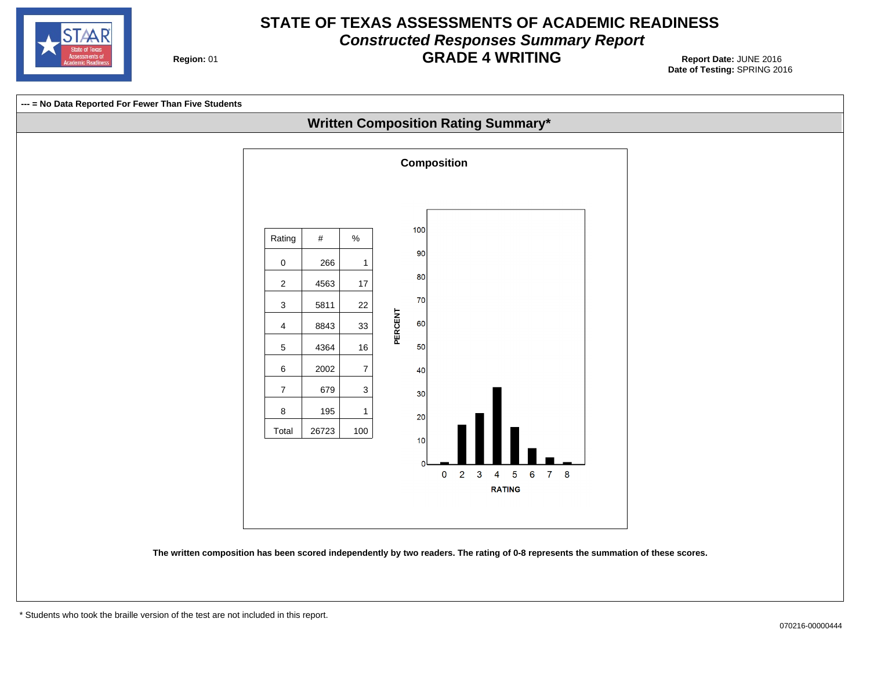

#### **STATE OF TEXAS ASSESSMENTS OF ACADEMIC READINESS Constructed Responses Summary Report GRADE 4 WRITING** 01 **Report Date:** JUNE 2016

**Region: 01** 

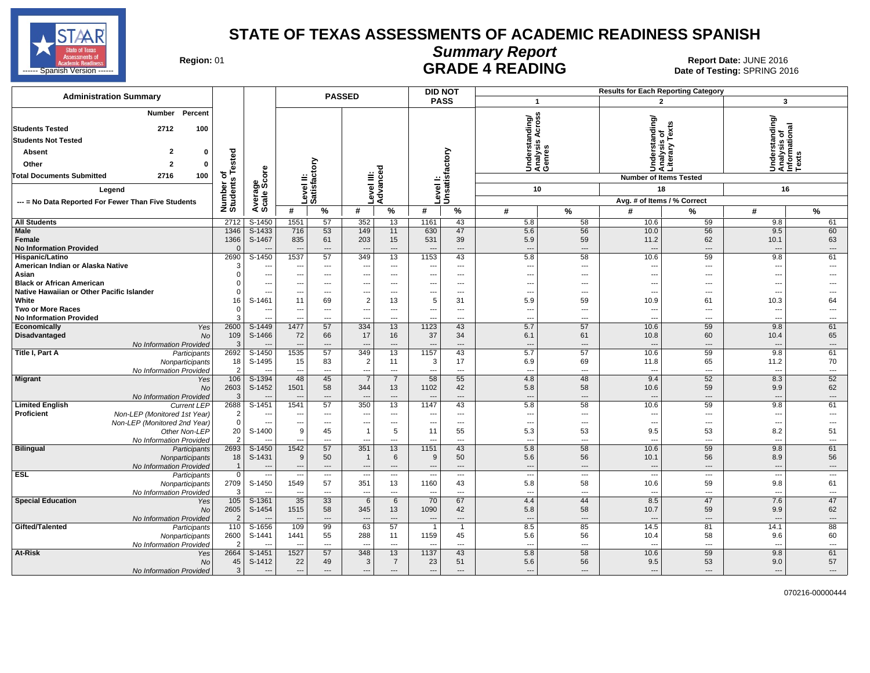

### **Summary Report**

Region: 01 **Region: 01 CALL CONSISTS AND READING Report Date: JUNE 2016**<br>Date of Testing: SPRING 20 **HADE 4 READING CHALL SPARE ARE SPRING 2016** Date of Testing: SPRING 2016

| <b>Administration Summary</b>                                                            |                               |                                    |                                  |                                | <b>PASSED</b>                              |                      | <b>DID NOT</b>                   |                          |                                             |                          | <b>Results for Each Reporting Category</b> |                                                 |                                                         |                                |
|------------------------------------------------------------------------------------------|-------------------------------|------------------------------------|----------------------------------|--------------------------------|--------------------------------------------|----------------------|----------------------------------|--------------------------|---------------------------------------------|--------------------------|--------------------------------------------|-------------------------------------------------|---------------------------------------------------------|--------------------------------|
|                                                                                          |                               |                                    |                                  |                                |                                            |                      | <b>PASS</b>                      |                          | $\mathbf{1}$                                |                          |                                            | $\overline{2}$                                  | 3                                                       |                                |
| Percent<br>Number<br><b>Students Tested</b><br>2712<br>100<br><b>Students Not Tested</b> |                               |                                    |                                  |                                |                                            |                      |                                  |                          | Understanding/<br>Analysis Across<br>Genres |                          |                                            | Understanding/<br>Analysis of<br>Literary Texts | Understanding/<br>Analysis of<br>Informational<br>Texts |                                |
| 2<br>0                                                                                   |                               |                                    |                                  |                                |                                            |                      |                                  |                          |                                             |                          |                                            |                                                 |                                                         |                                |
| <b>Absent</b>                                                                            | Tested                        |                                    |                                  |                                |                                            |                      |                                  |                          |                                             |                          |                                            |                                                 |                                                         |                                |
| $\overline{a}$<br>Other<br>$\bf{0}$                                                      |                               |                                    |                                  | δ                              |                                            |                      |                                  |                          |                                             |                          |                                            |                                                 |                                                         |                                |
| 100<br><b>Total Documents Submitted</b><br>2716                                          | ৳                             | core                               |                                  |                                | Ξ                                          | Φ                    |                                  |                          |                                             |                          |                                            | <b>Number of Items Tested</b>                   |                                                         |                                |
| Legend                                                                                   |                               | န္တီတိ                             |                                  | Level II:<br> Satisfact        | evel                                       | Advance              | evel                             | Unsatisfactory           | 10                                          |                          |                                            | 18                                              | 16                                                      |                                |
| --- = No Data Reported For Fewer Than Five Students                                      |                               |                                    |                                  |                                |                                            |                      |                                  |                          |                                             |                          |                                            | Avg. # of Items / % Correct                     |                                                         |                                |
|                                                                                          | Number of<br>Students         | Average                            | #                                | %                              | #                                          | %                    | #                                | $\%$                     | #                                           | %                        | #                                          | %                                               | #                                                       | %                              |
| <b>All Students</b>                                                                      | 2712                          | S-1450                             | 1551                             | 57                             | 352                                        | 13                   | 1161                             | 43                       | 5.8                                         | 58                       | 10.6                                       | 59                                              | 9.8                                                     | 61                             |
| <b>Male</b>                                                                              | 1346                          | $S-1433$                           | 716                              | 53                             | 149                                        | 11                   | 630                              | 47                       | 5.6                                         | 56                       | 10.0                                       | 56                                              | 9.5                                                     | 60                             |
| Female                                                                                   | 1366                          | S-1467                             | 835                              | 61                             | 203                                        | 15                   | 531                              | 39                       | 5.9                                         | 59                       | 11.2                                       | 62                                              | 10.1                                                    | 63                             |
| <b>No Information Provided</b>                                                           | $\Omega$                      |                                    | $\overline{\phantom{a}}$         | $\overline{\phantom{a}}$       | $\overline{a}$                             | ---                  |                                  | ---                      | ---                                         | $\overline{\phantom{a}}$ | $\overline{\phantom{a}}$                   | $\overline{\phantom{a}}$                        | $\sim$                                                  | $\hspace{0.05cm} \cdots$       |
| Hispanic/Latino                                                                          | 2690                          | S-1450                             | 1537                             | 57                             | 349                                        | 13                   | 1153                             | 43                       | 5.8                                         | 58                       | 10.6                                       | 59                                              | 9.8                                                     | 61                             |
| American Indian or Alaska Native                                                         | 3                             | $\sim$                             | ---                              | $\overline{\phantom{a}}$       | ---                                        | ---                  |                                  | ---                      | $\overline{\phantom{a}}$                    | $\overline{a}$           | --                                         | ---                                             | $\overline{\phantom{a}}$                                | ---                            |
| Asian                                                                                    | $\Omega$                      | $\overline{\phantom{a}}$           | ---                              | ---                            | ---                                        | ---                  |                                  | ---                      | ---                                         | ---                      | --                                         | ---                                             | $\overline{\phantom{a}}$                                |                                |
| <b>Black or African American</b>                                                         | $\Omega$                      | ---                                | ---                              | $---$                          | $---$                                      | $\cdots$             | ---                              | ---                      | ---                                         | $\cdots$                 | ---                                        | $\overline{\phantom{a}}$                        | ---                                                     |                                |
| Native Hawaiian or Other Pacific Islander<br>White                                       | $\Omega$                      | --<br>S-1461                       | ---<br>11                        | $---$                          | ---                                        | $\cdots$             | ---<br>5                         | $\cdots$<br>31           | $\overline{\phantom{a}}$                    | $\cdots$                 | ---<br>10.9                                | ---                                             | $\sim$                                                  | ---<br>64                      |
| <b>Two or More Races</b>                                                                 | 16<br>$\Omega$                | ---                                | $\hspace{0.05cm} \ldots$         | 69<br>$\overline{\phantom{a}}$ | $\overline{2}$<br>$\overline{\phantom{a}}$ | 13<br>---            | ---                              | ---                      | 5.9<br>$\overline{a}$                       | 59<br>$\overline{a}$     | --                                         | 61<br>---                                       | 10.3<br>$\overline{\phantom{a}}$                        | ---                            |
| <b>No Information Provided</b>                                                           | 3                             | $\sim$                             | ---                              | $---$                          | $\sim$                                     | $---$                | ---                              | $---$                    | $\overline{\phantom{a}}$                    | $---$                    | ---                                        | $\sim$                                          | $\sim$                                                  | ---                            |
| Economically<br>Yes                                                                      | 2600                          | S-1449                             | 1477                             | 57                             | 334                                        | 13                   | 1123                             | 43                       | 5.7                                         | 57                       | 10.6                                       | 59                                              | 9.8                                                     | 61                             |
| <b>Disadvantaged</b><br><b>No</b>                                                        | 109                           | S-1466                             | 72                               | 66                             | 17                                         | 16                   | 37                               | 34                       | 6.1                                         | 61                       | 10.8                                       | 60                                              | 10.4                                                    | 65                             |
| No Information Provided                                                                  | 3                             |                                    |                                  | $\overline{a}$                 |                                            | ---                  |                                  | $\overline{a}$           | $\overline{\phantom{a}}$                    | $\overline{a}$           | $\overline{\phantom{a}}$                   | $\overline{a}$                                  |                                                         | ---                            |
| <b>Title I, Part A</b><br>Participants                                                   | 2692                          | S-1450                             | 1535                             | 57                             | 349                                        | 13                   | 1157                             | 43                       | 5.7                                         | 57                       | 10.6                                       | 59                                              | 9.8                                                     | 61                             |
| Nonparticipants                                                                          | 18                            | S-1495                             | 15                               | 83                             | $\overline{2}$                             | 11                   | 3                                | 17                       | 6.9                                         | 69                       | 11.8                                       | 65                                              | 11.2                                                    | 70                             |
| No Information Provided                                                                  | 2                             |                                    | ---                              | $-$                            | $\overline{a}$                             | $\overline{a}$       | ---                              | $\sim$                   | $\overline{\phantom{a}}$                    | $- - -$                  | --                                         | $\overline{a}$                                  | $\sim$                                                  | ---                            |
| Migrant<br>Yes                                                                           | 106                           | $S-1394$                           | 48                               | 45                             | $\overline{7}$                             | $\overline{7}$       | 58                               | 55                       | 4.8                                         | 48                       | 9.4                                        | 52                                              | 8.3                                                     | 52                             |
| No                                                                                       | 2603                          | S-1452                             | 1501                             | 58                             | 344                                        | 13                   | 1102                             | 42                       | 5.8                                         | 58                       | 10.6                                       | 59                                              | 9.9                                                     | 62                             |
| No Information Provided                                                                  | 3                             |                                    |                                  | $---$                          |                                            | ---                  |                                  | $\overline{a}$           | ---                                         | $---$                    | $\sim$                                     | $---$                                           | $\overline{\phantom{a}}$                                | $\overline{\phantom{a}}$       |
| <b>Limited English</b><br><b>Current LEP</b><br><b>Proficient</b>                        | 2688                          | S-1451<br>$\overline{\phantom{a}}$ | 1541<br>$\sim$                   | 57<br>$---$                    | 350<br>$\sim$                              | 13<br>$---$          | 1147                             | 43<br>---                | 5.8<br>$\overline{a}$                       | 58<br>$---$              | 10.6<br>$\overline{a}$                     | 59<br>$\sim$                                    | 9.8<br>$\sim$                                           | 61<br>$\overline{a}$           |
| Non-LEP (Monitored 1st Year)<br>Non-LEP (Monitored 2nd Year)                             | $\overline{2}$<br>$\mathbf 0$ | --                                 | ---                              | $\qquad \qquad \cdots$         | ---                                        | ---                  |                                  | $\scriptstyle\cdots$     | $\overline{\phantom{a}}$                    | $\cdots$                 | --                                         | $\overline{\phantom{a}}$                        | $\overline{\phantom{a}}$                                | ---                            |
| Other Non-LEP                                                                            | 20                            | S-1400                             | 9                                | 45                             | $\mathbf{1}$                               | 5                    | 11                               | 55                       | 5.3                                         | 53                       | 9.5                                        | 53                                              | 8.2                                                     | 51                             |
| No Information Provided                                                                  | $\overline{2}$                |                                    | ---                              | $---$                          | $\sim$                                     | $---$                |                                  | ---                      | $\overline{\phantom{a}}$                    | $\overline{a}$           | --                                         | $\sim$                                          | $\overline{\phantom{a}}$                                | $\overline{\phantom{a}}$       |
| <b>Bilingual</b><br>Participants                                                         | 2693                          | $S-1450$                           | 1542                             | 57                             | 351                                        | 13                   | 1151                             | 43                       | 5.8                                         | 58                       | 10.6                                       | 59                                              | 9.8                                                     | 61                             |
| Nonparticipants                                                                          | 18                            | S-1431                             | $9\,$                            | 50                             | $\overline{1}$                             | 6                    | 9                                | 50                       | 5.6                                         | 56                       | 10.1                                       | 56                                              | 8.9                                                     | 56                             |
| No Information Provided                                                                  |                               | $\overline{\phantom{a}}$           | $\overline{\phantom{a}}$         | $\overline{\phantom{a}}$       | $---$                                      | $\cdots$             | $\overline{\phantom{a}}$         | $---$                    | $\overline{\phantom{a}}$                    | $---$                    | $\overline{\phantom{a}}$                   | $---$                                           | $---$                                                   | $\hspace{0.05cm} \cdots$       |
| <b>ESL</b><br>Participants                                                               | $\mathbf 0$                   | $\overline{\phantom{a}}$           | $\overline{\phantom{a}}$         | ---                            | $\overline{a}$                             | ---                  |                                  | $\overline{\phantom{a}}$ | $\overline{\phantom{a}}$                    | $\overline{\phantom{a}}$ | μ.                                         | $\overline{\phantom{a}}$                        | $\overline{\phantom{a}}$                                | ---                            |
| Nonparticipants                                                                          | 2709                          | S-1450                             | 1549                             | 57                             | 351                                        | 13                   | 1160                             | 43                       | 5.8                                         | 58                       | 10.6                                       | 59                                              | 9.8                                                     | 61                             |
| No Information Provided                                                                  | 3                             |                                    | $\overline{\phantom{a}}$         | $\overline{\phantom{a}}$       | $\overline{a}$                             | $\overline{a}$       |                                  | $\overline{a}$           | $\sim$                                      | $\overline{a}$           | $\sim$                                     | $\sim$                                          | $\sim$                                                  | $\overline{\phantom{a}}$       |
| <b>Special Education</b><br>Yes                                                          | 105                           | S-1361                             | 35                               | 33                             | 6                                          | 6                    | 70                               | 67                       | 4.4                                         | 44                       | 8.5                                        | 47                                              | 7.6                                                     | 47                             |
| No                                                                                       | 2605<br>$\overline{2}$        | S-1454                             | 1515<br>$\overline{\phantom{a}}$ | 58<br>$\overline{\phantom{a}}$ | 345<br>$\overline{a}$                      | 13<br>$\overline{a}$ | 1090<br>$\overline{\phantom{a}}$ | 42<br>$---$              | 5.8<br>---                                  | 58<br>$---$              | 10.7<br>$\sim$                             | 59<br>$---$                                     | 9.9<br>$\overline{\phantom{a}}$                         | 62<br>$\overline{\phantom{a}}$ |
| No Information Provided<br>Gifted/Talented<br>Participants                               | 110                           | S-1656                             | 109                              | 99                             | 63                                         | 57                   |                                  | $\overline{1}$           | 8.5                                         | 85                       | 14.5                                       | 81                                              | 14.1                                                    | 88                             |
| Nonparticipants                                                                          | 2600                          | S-1441                             | 1441                             | 55                             | 288                                        | 11                   | 1159                             | 45                       | 5.6                                         | 56                       | 10.4                                       | 58                                              | 9.6                                                     | 60                             |
| No Information Provided                                                                  | 2                             |                                    | $\overline{\phantom{a}}$         | $\overline{\phantom{a}}$       | $\sim$                                     | $---$                |                                  | ---                      | $\overline{\phantom{a}}$                    | $\overline{a}$           | $\sim$                                     | $\overline{\phantom{a}}$                        | $\sim$                                                  | $\sim$                         |
| At-Risk<br>Yes                                                                           | 2664                          | S-1451                             | 1527                             | 57                             | 348                                        | 13                   | 1137                             | 43                       | 5.8                                         | 58                       | 10.6                                       | 59                                              | 9.8                                                     | 61                             |
| No                                                                                       | 45                            | S-1412                             | 22                               | 49                             | 3                                          | $\overline{7}$       | 23                               | 51                       | 5.6                                         | 56                       | 9.5                                        | 53                                              | 9.0                                                     | 57                             |
| No Information Provided                                                                  | 3                             | $\sim$                             | $---$                            | $---$                          | $\overline{\phantom{a}}$                   | $---$                | $\overline{\phantom{a}}$         | $---$                    | ---                                         | $---$                    | $\overline{a}$                             | $---$                                           | $\overline{\phantom{a}}$                                | $---$                          |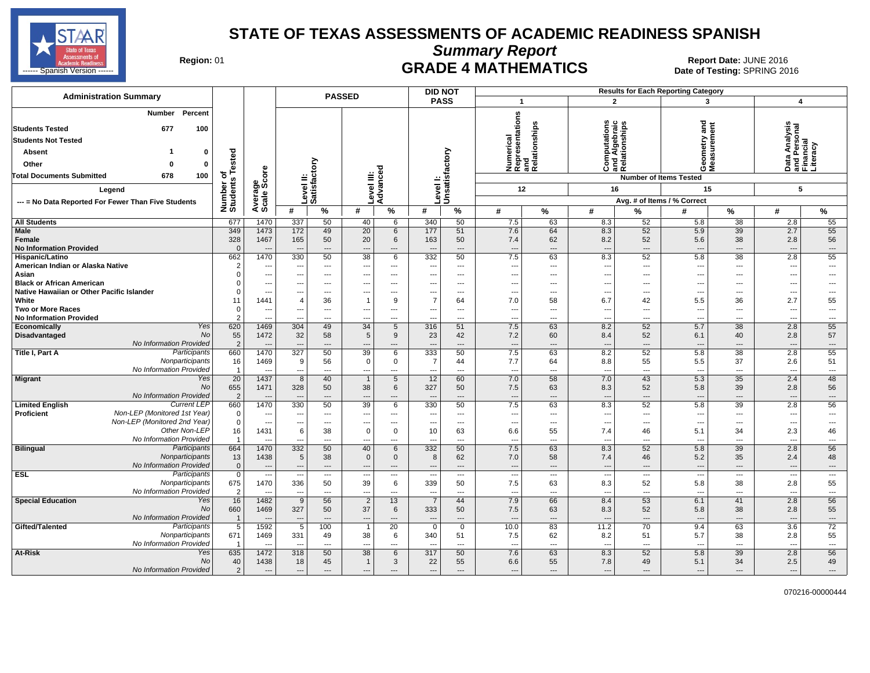

**Summary Report**

Region: 01 **Region: 01 CRADE 4 MATHEMATICS Date: JUNE 2016 Report Date: JUNE 2016 CRADE 4 MATHEMATICS** ------ Spanish Version ------ Date of Testing: SPRING 2016 SPRING 2016 NEW REGIST PO NOTE: 4 IWA I HEIWA I IUS

| <b>Administration Summary</b>                                                                                                                                                                |                                           |                                          |                                        |                                | <b>PASSED</b>                          |                               |                          | <b>DID NOT</b>                       |                                                            |                            |                                                                |                            | <b>Results for Each Reporting Category</b>                           |                                                             |                                                             |                                      |
|----------------------------------------------------------------------------------------------------------------------------------------------------------------------------------------------|-------------------------------------------|------------------------------------------|----------------------------------------|--------------------------------|----------------------------------------|-------------------------------|--------------------------|--------------------------------------|------------------------------------------------------------|----------------------------|----------------------------------------------------------------|----------------------------|----------------------------------------------------------------------|-------------------------------------------------------------|-------------------------------------------------------------|--------------------------------------|
|                                                                                                                                                                                              |                                           |                                          |                                        |                                |                                        |                               |                          | <b>PASS</b>                          | $\overline{\mathbf{1}}$                                    |                            | $\mathbf{2}$                                                   |                            | 3                                                                    |                                                             | $\overline{4}$                                              |                                      |
| Percent<br>Number<br><b>Students Tested</b><br>677<br>100<br><b>Students Not Tested</b><br>0<br>Absent<br>Other<br>0<br>$\Omega$<br><b>Total Documents Submitted</b><br>678<br>100<br>Legend | sted<br>ة<br>৳<br>w<br>Number<br>Students | ige<br>Score                             | evel II:                               | Satisfactory                   | Level III:                             | Advanced                      | Level I:                 | Unsatisfactory                       | Numerical<br>Representations<br>and<br>Relationships<br>12 |                            | ۴<br>Computations<br>and Algebraic<br>Relationships<br>Ö<br>16 |                            | and<br>etry<br>Geome<br>Measu<br><b>Number of Items Tested</b><br>15 |                                                             | Data Analysis<br>and Personal<br>Financial<br>Literacy<br>5 |                                      |
| --- = No Data Reported For Fewer Than Five Students                                                                                                                                          |                                           | Average                                  |                                        |                                |                                        |                               |                          |                                      |                                                            |                            |                                                                |                            | Avg. # of Items / % Correct                                          |                                                             |                                                             |                                      |
|                                                                                                                                                                                              |                                           |                                          | #                                      | %                              | #                                      | %                             | #                        | $\%$                                 | #                                                          | %                          | #                                                              | %                          | #                                                                    | %                                                           | #                                                           | $\%$                                 |
| <b>All Students</b>                                                                                                                                                                          | 677                                       | 1470                                     | 337                                    | 50                             | 40                                     | 6                             | 340                      | 50                                   | 7.5                                                        | 63                         | 8.3                                                            | 52<br>52                   | 5.8                                                                  | 38                                                          | 2.8<br>2.7                                                  | 55                                   |
| <b>Male</b><br>Female<br><b>No Information Provided</b>                                                                                                                                      | 349<br>328<br>$\Omega$                    | 1473<br>1467<br>$\overline{\phantom{a}}$ | 172<br>165<br>$\overline{\phantom{a}}$ | 49<br>50<br>---                | $\overline{20}$<br>20<br>---           | $6\phantom{1}$<br>6<br>---    | 177<br>163               | 51<br>50<br>$\hspace{0.05cm} \cdots$ | 7.6<br>7.4<br>---                                          | 64<br>62<br>---            | 8.3<br>8.2<br>---                                              | 52<br>---                  | 5.9<br>5.6<br>$\overline{\phantom{a}}$                               | $\overline{39}$<br>38<br>$\hspace{0.05cm} \ldots$           | 2.8<br>$\overline{a}$                                       | 55<br>56<br>---                      |
| Hispanic/Latino                                                                                                                                                                              | 662                                       | 1470                                     | 330                                    | 50                             | 38                                     | 6                             | 332                      | 50                                   | 7.5                                                        | 63                         | 8.3                                                            | 52                         | 5.8                                                                  | 38                                                          | 2.8                                                         | 55                                   |
| American Indian or Alaska Native<br>Asian<br><b>Black or African American</b>                                                                                                                | $\overline{2}$<br>$\Omega$                | ---<br>÷.,<br>---                        | $\overline{a}$<br>$---$                | $---$<br>---<br>$---$          | ---<br>---                             | $---$<br>---<br>$\cdots$      | --<br>---                | $---$<br>---<br>$---$                | ---<br>Ξ.<br>---                                           | ---<br>⊷<br>---            | ---<br>---                                                     | $---$<br>---<br>$\cdots$   | $\overline{\phantom{a}}$<br>$\sim$<br>$\overline{\phantom{a}}$       | $\overline{\phantom{a}}$<br>---<br>$\overline{\phantom{a}}$ | $\overline{\phantom{a}}$<br>---<br>$\cdots$                 | ---<br>---                           |
| Native Hawaiian or Other Pacific Islander                                                                                                                                                    | $\Omega$                                  | ---                                      | $- - -$                                | $---$                          | ---                                    | $---$                         |                          | $---$                                | ---                                                        | ---                        | $\overline{a}$                                                 | $---$                      | $\overline{\phantom{a}}$                                             | $\overline{\phantom{a}}$                                    | $\overline{\phantom{a}}$                                    | ---                                  |
| White<br><b>Two or More Races</b>                                                                                                                                                            | 11<br>$\Omega$                            | 1441<br>---                              | $\overline{4}$<br>---                  | 36<br>---                      | $\mathbf{1}$<br>---                    | 9<br>$\cdots$                 | 7<br>---                 | 64<br>$\overline{\phantom{a}}$       | 7.0<br>---                                                 | 58<br>---                  | 6.7<br>---                                                     | 42<br>$\overline{a}$       | 5.5<br>$\overline{\phantom{a}}$                                      | 36<br>$\overline{\phantom{a}}$                              | 2.7<br>---                                                  | 55<br>---                            |
| <b>No Information Provided</b>                                                                                                                                                               | 2                                         | ---                                      |                                        | $---$                          |                                        | $---$                         |                          | $\overline{a}$                       | ---                                                        | ---                        | $\overline{a}$                                                 | $\overline{a}$             | $\overline{\phantom{a}}$                                             | $---$                                                       | ---                                                         | $\overline{a}$                       |
| Yes<br>Economically                                                                                                                                                                          | 620                                       | 1469                                     | 304                                    | 49                             | 34                                     | 5                             | 316                      | 51                                   | 7.5                                                        | 63                         | 8.2                                                            | 52                         | 5.7                                                                  | 38                                                          | 2.8                                                         | 55                                   |
| <b>No</b><br>Disadvantaged                                                                                                                                                                   | 55                                        | 1472                                     | 32                                     | 58                             | 5                                      | 9                             | 23                       | 42                                   | 7.2                                                        | 60                         | 8.4                                                            | 52                         | 6.1                                                                  | 40                                                          | 2.8                                                         | 57                                   |
| No Information Provided                                                                                                                                                                      | $\overline{2}$                            |                                          |                                        | ---                            |                                        | ---                           |                          | $\overline{a}$                       | $\overline{a}$                                             | $\sim$                     | $\sim$                                                         | $---$                      | $\sim$                                                               | $\overline{\phantom{a}}$                                    | $\sim$                                                      | $\overline{a}$                       |
| Participants<br>Title I, Part A                                                                                                                                                              | 660                                       | 1470                                     | 327                                    | 50                             | 39                                     | 6                             | 333                      | 50                                   | 7.5                                                        | 63                         | 8.2                                                            | 52                         | 5.8                                                                  | 38                                                          | 2.8                                                         | 55                                   |
| Nonparticipants<br>No Information Provided                                                                                                                                                   | 16<br>$\overline{1}$                      | 1469                                     | 9<br>$\sim$                            | 56<br>$-$                      | 0                                      | 0<br>$\overline{a}$           | 7                        | 44<br>$\overline{a}$                 | 7.7                                                        | 64<br>$\sim$               | 8.8<br>$\overline{a}$                                          | 55<br>$\sim$               | 5.5<br>$\overline{\phantom{a}}$                                      | 37<br>$-$                                                   | 2.6<br>$\overline{a}$                                       | 51<br>$\overline{a}$                 |
| <b>Yes</b><br><b>Migrant</b>                                                                                                                                                                 | 20                                        | 1437                                     | 8                                      | 40                             | $\mathbf{1}$                           | 5                             | 12                       | 60                                   | ---<br>7.0                                                 | 58                         | 7.0                                                            | 43                         | 5.3                                                                  | $\overline{35}$                                             | 2.4                                                         | 48                                   |
| <b>No</b><br>No Information Provided                                                                                                                                                         | 655<br>$\overline{2}$                     | 1471                                     | 328<br>$\sim$                          | 50<br>$\overline{a}$           | 38                                     | 6<br>---                      | 327                      | 50<br>$---$                          | 7.5<br>---                                                 | 63<br>$\overline{a}$       | 8.3<br>$\overline{a}$                                          | 52<br>$\overline{a}$       | 5.8<br>$\sim$                                                        | 39<br>$---$                                                 | 2.8<br>---                                                  | 56<br>---                            |
| <b>Current LEP</b><br><b>Limited English</b>                                                                                                                                                 | 660                                       | 1470                                     | 330                                    | 50                             | 39                                     | 6                             | 330                      | 50                                   | 7.5                                                        | 63                         | 8.3                                                            | 52                         | 5.8                                                                  | 39                                                          | 2.8                                                         | 56                                   |
| Non-LEP (Monitored 1st Year)<br><b>Proficient</b>                                                                                                                                            | $\mathbf 0$                               | $\overline{\phantom{a}}$                 | $\sim$                                 | $---$                          | ---                                    | $---$                         | ---                      | $---$                                | ---                                                        | $\overline{a}$             | $\overline{a}$                                                 | $---$                      | $\overline{\phantom{a}}$                                             | $\overline{\phantom{a}}$                                    | ---                                                         | $\overline{a}$                       |
| Non-LEP (Monitored 2nd Year)<br>Other Non-LEP                                                                                                                                                | $\mathbf 0$                               | $\overline{\phantom{a}}$                 | ---                                    | $---$                          |                                        | $\overline{\phantom{a}}$      |                          | $---$                                | $\overline{\phantom{a}}$                                   | ---                        | ---                                                            | ---                        | $\overline{\phantom{a}}$                                             | $\hspace{0.05cm} \ldots$                                    | $\overline{\phantom{a}}$                                    | ---                                  |
| No Information Provided                                                                                                                                                                      | 16                                        | 1431<br>$\overline{\phantom{a}}$         | 6<br>$-$                               | 38<br>$\overline{\phantom{a}}$ | 0<br>---                               | $\mathbf 0$<br>$\overline{a}$ | 10<br>--                 | 63<br>$-$                            | 6.6<br>---                                                 | 55<br>$\overline{a}$       | 7.4<br>$\overline{a}$                                          | 46<br>$\overline{a}$       | 5.1<br>$\overline{\phantom{a}}$                                      | 34<br>$\overline{\phantom{a}}$                              | 2.3<br>$\overline{a}$                                       | 46<br>$\overline{\phantom{a}}$       |
| <b>Bilingual</b><br>Participants                                                                                                                                                             | 664                                       | 1470                                     | 332                                    | 50                             | 40                                     | 6                             | 332                      | 50                                   | 7.5                                                        | 63                         | 8.3                                                            | 52                         | 5.8                                                                  | 39                                                          | 2.8                                                         | 56                                   |
| Nonparticipants                                                                                                                                                                              | 13                                        | 1438                                     | $\sqrt{5}$                             | 38                             | $\mathbf 0$                            | $\mathbf 0$                   | 8                        | 62                                   | 7.0                                                        | 58                         | 7.4                                                            | 46                         | 5.2                                                                  | 35                                                          | 2.4                                                         | 48                                   |
| No Information Provided                                                                                                                                                                      | $\mathbf 0$                               | $\overline{\phantom{a}}$                 | $\overline{\phantom{a}}$               | $---$                          | ---                                    | $\cdots$                      | $\overline{\phantom{a}}$ | $---$                                | ---                                                        | ---                        | $\overline{\phantom{a}}$                                       | ---                        | $\overline{\phantom{a}}$                                             | $\cdots$                                                    | ---                                                         | $\cdots$                             |
| <b>ESL</b><br>Participants                                                                                                                                                                   | $\mathbf 0$                               | ---                                      | $\overline{\phantom{a}}$               | ---                            | $\overline{\phantom{a}}$               | $\cdots$                      |                          | $\overline{\phantom{a}}$             | ---                                                        | ---                        | ---                                                            | ---                        | $\overline{\phantom{a}}$                                             | ---                                                         | ---                                                         | ---                                  |
| Nonparticipants                                                                                                                                                                              | 675                                       | 1470                                     | 336                                    | 50                             | 39                                     | 6                             | 339                      | 50                                   | 7.5                                                        | 63                         | 8.3                                                            | 52                         | 5.8                                                                  | 38                                                          | 2.8                                                         | 55                                   |
| No Information Provided                                                                                                                                                                      | $\overline{2}$                            | $\sim$                                   | $\overline{\phantom{a}}$               | $---$                          | $\overline{a}$                         | $---$                         | $\sim$                   | $---$                                | ---                                                        | $\overline{\phantom{a}}$   | $\overline{a}$                                                 | $\overline{a}$             | $\overline{\phantom{a}}$                                             | $\overline{\phantom{a}}$                                    | $\overline{\phantom{a}}$                                    | $\overline{\phantom{a}}$             |
| <b>Special Education</b><br>Yes<br>No<br>No Information Provided                                                                                                                             | 16<br>660<br>$\overline{1}$               | 1482<br>1469<br>$\overline{\phantom{a}}$ | 9<br>327<br>$\overline{\phantom{a}}$   | 56<br>50<br>$---$              | $\overline{2}$<br>37<br>$\overline{a}$ | 13<br>6<br>$---$              | 333<br>--                | 44<br>50<br>$---$                    | 7.9<br>7.5<br>---                                          | 66<br>63<br>$\overline{a}$ | 8.4<br>8.3<br>$---$                                            | 53<br>52<br>$\overline{a}$ | 6.1<br>5.8<br>$\sim$                                                 | 41<br>38<br>$---$                                           | 2.8<br>2.8<br>---                                           | 56<br>55<br>$\overline{\phantom{a}}$ |
| Gifted/Talented<br>Participants                                                                                                                                                              | 5                                         | 1592                                     | 5                                      | 100                            |                                        | 20                            | $\Omega$                 | $\mathbf 0$                          | 10.0                                                       | 83                         | 11.2                                                           | 70                         | 9.4                                                                  | 63                                                          | 3.6                                                         | 72                                   |
| Nonparticipants                                                                                                                                                                              | 671                                       | 1469                                     | 331                                    | 49                             | 38                                     | 6                             | 340                      | 51                                   | 7.5                                                        | 62                         | 8.2                                                            | 51                         | 5.7                                                                  | 38                                                          | 2.8                                                         | 55                                   |
| No Information Provided                                                                                                                                                                      |                                           | $\overline{\phantom{a}}$                 | $\sim$                                 | $\overline{a}$                 | $\overline{a}$                         | $\overline{a}$                | --                       | $---$                                | ---                                                        | $\overline{a}$             | $\overline{a}$                                                 | $---$                      | $\overline{\phantom{a}}$                                             | $\overline{\phantom{a}}$                                    | $\overline{a}$                                              | $\overline{\phantom{a}}$             |
| At-Risk<br>Yes<br>No                                                                                                                                                                         | 635<br>40                                 | 1472<br>1438                             | 318<br>18                              | 50<br>45                       | 38<br>$\mathbf{1}$                     | 6<br>3                        | 317<br>22                | 50<br>55                             | 7.6<br>6.6                                                 | 63<br>55                   | 8.3<br>7.8                                                     | 52<br>49                   | 5.8<br>5.1                                                           | 39<br>34                                                    | 2.8<br>2.5                                                  | 56<br>49                             |
| No Information Provided                                                                                                                                                                      | $\overline{2}$                            | $\sim$                                   | $---$                                  | $---$                          | $---$                                  | $---$                         | $---$                    | $---$                                | $\overline{a}$                                             | $---$                      | $\overline{a}$                                                 | $---$                      | $\overline{\phantom{a}}$                                             | $---$                                                       | ---                                                         | ---                                  |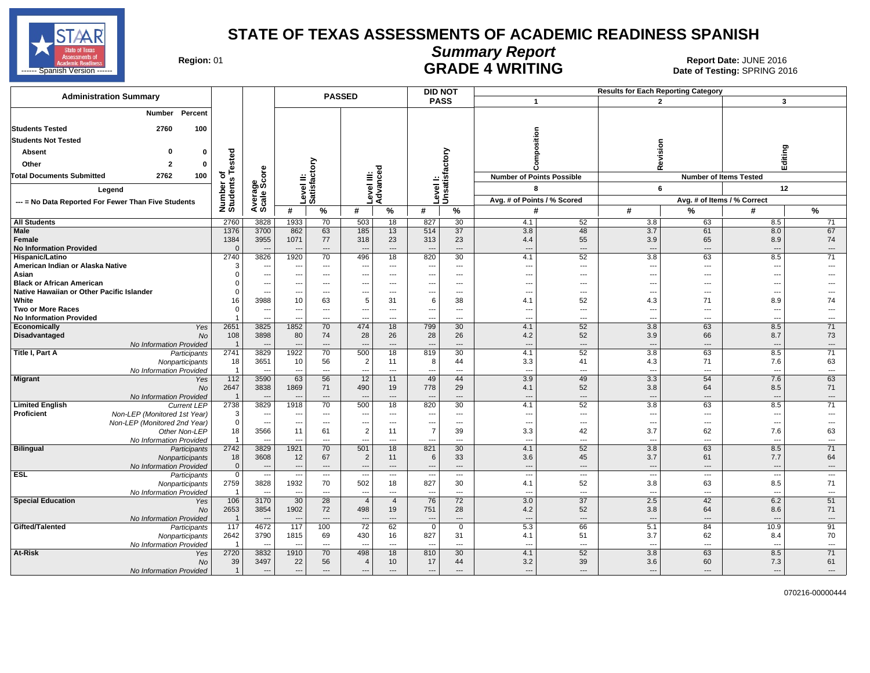

# **Summary Report**

Region: 01 **Region: 01 CALL CONSISTS OF A SET OF A REPORT DATE: JUNE 2016**<br>Date of Testing: SPRING 2016 ------ Spanish Version ------ Date of Testing: SPRING 2016 هي المستخدم المستخدم المستخدم المستخدم المستخدم المستخدم المستخدم المستخدم المستخدم المستخدم المستخدم المستخدم المستخدم المستخدم المستخدم المستخدم المستخدم المستخ

| <b>Administration Summary</b>                                              |                            |                                                      |                                                      |                                                      | <b>PASSED</b>                              |                                   |                                                      | <b>DID NOT</b>                                     |                                            |                        | <b>Results for Each Reporting Category</b> |                                 |                                                      |                                                      |
|----------------------------------------------------------------------------|----------------------------|------------------------------------------------------|------------------------------------------------------|------------------------------------------------------|--------------------------------------------|-----------------------------------|------------------------------------------------------|----------------------------------------------------|--------------------------------------------|------------------------|--------------------------------------------|---------------------------------|------------------------------------------------------|------------------------------------------------------|
|                                                                            |                            |                                                      |                                                      |                                                      |                                            |                                   |                                                      | <b>PASS</b>                                        | $\mathbf{1}$                               |                        |                                            | $\overline{2}$                  |                                                      | 3                                                    |
| Percent<br><b>Number</b>                                                   |                            |                                                      |                                                      |                                                      |                                            |                                   |                                                      |                                                    |                                            |                        |                                            |                                 |                                                      |                                                      |
| 100<br><b>Students Tested</b><br>2760                                      |                            |                                                      |                                                      |                                                      |                                            |                                   |                                                      |                                                    |                                            |                        |                                            |                                 |                                                      |                                                      |
| <b>Students Not Tested</b>                                                 |                            |                                                      |                                                      |                                                      |                                            |                                   |                                                      |                                                    |                                            | sition                 |                                            |                                 |                                                      |                                                      |
| $\Omega$<br>Absent<br>$\mathbf{0}$                                         |                            |                                                      |                                                      |                                                      |                                            |                                   |                                                      |                                                    |                                            |                        |                                            | Revision                        |                                                      |                                                      |
| $\overline{2}$                                                             | of<br>s Tested             |                                                      |                                                      |                                                      |                                            |                                   |                                                      | factory                                            |                                            |                        |                                            |                                 |                                                      | Editing                                              |
| Other<br>$\mathbf{0}$                                                      |                            |                                                      |                                                      | δ                                                    |                                            | ъ                                 |                                                      |                                                    |                                            |                        |                                            |                                 |                                                      |                                                      |
| <b>Total Documents Submitted</b><br>2762<br>100                            | Number of<br>Students      | ge<br>Score                                          | ≝                                                    | ت                                                    | $\equiv \frac{6}{5}$                       | evel III:<br>dvance               |                                                      | Level I:<br>Unsatisf                               | <b>Number of Points Possible</b>           |                        |                                            |                                 | <b>Number of Items Tested</b>                        |                                                      |
| Legend                                                                     |                            |                                                      |                                                      | evel II<br>Satisfa                                   |                                            |                                   |                                                      |                                                    |                                            | 8                      |                                            | 6                               |                                                      | 12                                                   |
| --- = No Data Reported For Fewer Than Five Students                        |                            | Avera<br>Scale                                       |                                                      | ة ⊏                                                  |                                            | ∢                                 |                                                      |                                                    | Avg. # of Points / % Scored                |                        |                                            |                                 | Avg. # of Items / % Correct                          |                                                      |
|                                                                            |                            |                                                      | #                                                    | %                                                    | #                                          | $\%$                              | #                                                    | %                                                  | #                                          |                        | #                                          | %                               | #                                                    | %                                                    |
| <b>All Students</b>                                                        | 2760                       | 3828                                                 | 1933                                                 | 70                                                   | 503                                        | 18                                | 827                                                  | 30                                                 | 4.1                                        | 52                     | 3.8                                        | 63                              | 8.5                                                  | 71                                                   |
| Male                                                                       | 1376                       | 3700                                                 | 862                                                  | 63                                                   | 185                                        | 13                                | 514                                                  | 37                                                 | 3.8                                        | 48                     | 3.7                                        | 61                              | 8.0                                                  | 67                                                   |
| Female<br><b>No Information Provided</b>                                   | 1384<br>$\Omega$           | 3955                                                 | 1071<br>$\overline{a}$                               | 77<br>$\overline{\phantom{a}}$                       | 318                                        | 23<br>$\qquad \qquad \cdots$      | 313                                                  | 23<br>$\qquad \qquad \cdots$                       | 4.4                                        | 55<br>---              | 3.9                                        | 65<br>$\overline{a}$            | 8.9<br>$\overline{a}$                                | 74<br>$\hspace{0.05cm} \ldots$                       |
| Hispanic/Latino                                                            | 2740                       | 3826                                                 | 1920                                                 | 70                                                   | 496                                        | 18                                | 820                                                  | 30                                                 | 4.1                                        | 52                     | 3.8                                        | 63                              | 8.5                                                  | 71                                                   |
| American Indian or Alaska Native                                           | 3                          | $\overline{\phantom{a}}$                             | $\overline{\phantom{a}}$                             | $\hspace{0.05cm} \ldots$                             | $\overline{\phantom{a}}$                   | $\hspace{0.05cm} \ldots$          | $\overline{\phantom{a}}$                             | $\hspace{0.05cm} \ldots$                           | $\overline{\phantom{a}}$                   | $\qquad \qquad \cdots$ | $\overline{\phantom{a}}$                   | $\hspace{0.05cm} \ldots$        | $\hspace{0.05cm} \ldots$                             | ---                                                  |
| Asian                                                                      | $\mathbf 0$                | $\overline{\phantom{a}}$                             | ---                                                  | $---$                                                | $\overline{a}$                             | $\sim$                            | $---$                                                | $---$                                              | $\overline{a}$                             | ---                    | $\overline{a}$                             | $---$                           | $---$                                                |                                                      |
| <b>Black or African American</b>                                           | $\mathbf 0$                | $\sim$                                               | ---                                                  | ---                                                  | ---                                        | $---$                             | ---                                                  | $---$                                              | $\overline{\phantom{a}}$                   | ---                    | $\sim$                                     | $\overline{a}$                  | ---                                                  |                                                      |
| Native Hawaiian or Other Pacific Islander<br>White                         | $\mathbf 0$<br>16          | $\overline{\phantom{a}}$<br>3988                     | ---<br>10                                            | $\overline{\phantom{a}}$<br>63                       | $\overline{\phantom{a}}$<br>5              | $\overline{\phantom{a}}$<br>31    | $\overline{\phantom{a}}$<br>6                        | $\hspace{0.05cm} \ldots$<br>38                     | $\overline{\phantom{a}}$<br>4.1            | ---<br>52              | $\overline{\phantom{a}}$<br>4.3            | $\hspace{0.05cm} \ldots$<br>71  | ---<br>8.9                                           | 74                                                   |
| <b>Two or More Races</b>                                                   | $\mathbf 0$                | $\overline{\phantom{a}}$                             | ---                                                  | ---                                                  | ---                                        | $\overline{\phantom{a}}$          | $\overline{\phantom{a}}$                             | $\overline{\phantom{a}}$                           | $\overline{\phantom{a}}$                   | ---                    | ---                                        | ---                             | ---                                                  | $---$                                                |
| <b>No Information Provided</b>                                             | $\mathbf{1}$               | $\overline{\phantom{a}}$                             |                                                      | ---                                                  | ---                                        | ---                               | ---                                                  | ---                                                | $\overline{\phantom{a}}$                   | ---                    |                                            | ---                             | ---                                                  | ---                                                  |
| Economically<br>Yes                                                        | 2651                       | 3825                                                 | 1852                                                 | 70                                                   | 474                                        | 18                                | 799                                                  | 30                                                 | 4.1                                        | 52                     | 3.8                                        | 63                              | 8.5                                                  | 71                                                   |
| <b>No</b><br><b>Disadvantaged</b>                                          | 108                        | 3898                                                 | 80                                                   | 74                                                   | 28                                         | 26                                | 28                                                   | 26                                                 | 4.2                                        | 52                     | 3.9                                        | 66                              | 8.7                                                  | 73                                                   |
| No Information Provided                                                    | $\overline{1}$             |                                                      | ---                                                  | ---                                                  | ---                                        | $\overline{\phantom{a}}$          | $\overline{\phantom{a}}$                             | $\overline{\phantom{a}}$                           | $\overline{\phantom{a}}$                   | ---                    | $\sim$                                     | $\cdots$                        | $---$                                                | $---$                                                |
| Title I, Part A<br>Participants                                            | 2741<br>18                 | 3829<br>3651                                         | 1922<br>10                                           | 70<br>56                                             | 500<br>$\overline{2}$                      | 18<br>11                          | 819<br>8                                             | 30<br>44                                           | 4.1<br>3.3                                 | 52<br>41               | 3.8<br>4.3                                 | 63<br>71                        | 8.5<br>7.6                                           | 71<br>63                                             |
| Nonparticipants<br>No Information Provided                                 | $\overline{1}$             | $\sim$                                               | ---                                                  | ---                                                  | $\overline{a}$                             | $---$                             | $\sim$                                               | $\overline{a}$                                     | $\overline{\phantom{a}}$                   | ---                    | $\overline{\phantom{a}}$                   | ---                             | $\overline{\phantom{a}}$                             | $\overline{\phantom{a}}$                             |
| <b>Migrant</b><br>Yes                                                      | 112                        | 3590                                                 | 63                                                   | 56                                                   | 12                                         | 11                                | 49                                                   | 44                                                 | 3.9                                        | 49                     | 3.3                                        | 54                              | 7.6                                                  | 63                                                   |
| No                                                                         | 2647                       | 3838                                                 | 1869                                                 | 71                                                   | 490                                        | 19                                | 778                                                  | 29                                                 | 4.1                                        | 52                     | 3.8                                        | 64                              | 8.5                                                  | 71                                                   |
| No Information Provided                                                    | $\overline{1}$             |                                                      |                                                      | ---                                                  |                                            | $---$                             |                                                      | $\overline{a}$                                     | $\overline{\phantom{a}}$                   | ---                    | щ.                                         | $\overline{a}$                  | $\overline{a}$                                       | $---$                                                |
| <b>Limited English</b><br><b>Current LEP</b>                               | 2738                       | 3829                                                 | 1918                                                 | 70                                                   | 500                                        | 18                                | 820                                                  | 30                                                 | 4.1                                        | 52                     | 3.8                                        | 63                              | 8.5                                                  | 71                                                   |
| Non-LEP (Monitored 1st Year)<br>Proficient<br>Non-LEP (Monitored 2nd Year) | 3<br>$\mathbf 0$           | $\overline{\phantom{a}}$<br>$\overline{\phantom{a}}$ | $\overline{\phantom{a}}$<br>$\overline{a}$           | $\hspace{0.05cm} \ldots$<br>$---$                    | $\overline{\phantom{a}}$<br>$\overline{a}$ | $\qquad \qquad \cdots$<br>$\sim$  | $\overline{\phantom{a}}$<br>$---$                    | $\hspace{0.05cm} \ldots$<br>$---$                  | $\overline{\phantom{a}}$<br>$---$          | ---<br>---             | ---<br>$- - -$                             | ---<br>$---$                    | ---<br>$\overline{\phantom{a}}$                      | ---<br>$---$                                         |
| Other Non-LEP                                                              | 18                         | 3566                                                 | 11                                                   | 61                                                   | $\overline{2}$                             | 11                                | $\overline{7}$                                       | 39                                                 | 3.3                                        | 42                     | 3.7                                        | 62                              | 7.6                                                  | 63                                                   |
| No Information Provided                                                    | $\overline{1}$             | $\overline{\phantom{a}}$                             | ---                                                  | ---                                                  | $\overline{a}$                             | $\overline{\phantom{a}}$          | ---                                                  | $\overline{\phantom{a}}$                           | $\overline{\phantom{a}}$                   | ---                    | $\overline{\phantom{a}}$                   | ---                             | ---                                                  | $\hspace{0.05cm} \ldots$                             |
| Bilingual<br>Participants                                                  | 2742                       | 3829                                                 | 1921                                                 | 70                                                   | 501                                        | 18                                | 821                                                  | 30                                                 | 4.1                                        | 52                     | 3.8                                        | 63                              | 8.5                                                  | 71                                                   |
| Nonparticipants                                                            | 18                         | 3608                                                 | 12                                                   | 67                                                   | $\overline{2}$                             | 11                                | 6                                                    | 33                                                 | 3.6                                        | 45                     | 3.7                                        | 61                              | 7.7                                                  | 64                                                   |
| No Information Provided<br><b>ESL</b>                                      | $\mathbf 0$<br>$\mathbf 0$ | $\overline{\phantom{a}}$<br>$\overline{\phantom{a}}$ | $\overline{\phantom{a}}$<br>$\overline{\phantom{a}}$ | $\overline{\phantom{a}}$<br>$\overline{\phantom{a}}$ | ---<br>$\overline{\phantom{a}}$            | $\overline{\phantom{a}}$<br>$---$ | $\overline{\phantom{a}}$<br>$\overline{\phantom{a}}$ | $\qquad \qquad \cdots$<br>$\overline{\phantom{a}}$ | $\overline{\phantom{a}}$<br>$\overline{a}$ | ---<br>$\cdots$        | --<br>---                                  | ---<br>$\overline{\phantom{a}}$ | $\overline{\phantom{a}}$<br>$\overline{\phantom{a}}$ | $\overline{\phantom{a}}$<br>$\overline{\phantom{a}}$ |
| Participants<br>Nonparticipants                                            | 2759                       | 3828                                                 | 1932                                                 | 70                                                   | 502                                        | 18                                | 827                                                  | 30                                                 | 4.1                                        | 52                     | 3.8                                        | 63                              | 8.5                                                  | 71                                                   |
| No Information Provided                                                    | $\overline{1}$             | $\overline{\phantom{a}}$                             | $\overline{a}$                                       | $\overline{\phantom{a}}$                             | $\overline{a}$                             | $\overline{\phantom{a}}$          | $\overline{\phantom{a}}$                             | $\overline{a}$                                     | $\overline{a}$                             | $\overline{a}$         | $\overline{\phantom{a}}$                   | ---                             | $\overline{\phantom{a}}$                             | $\hspace{0.05cm} \ldots$                             |
| <b>Special Education</b><br>Yes                                            | 106                        | 3170                                                 | 30                                                   | 28                                                   | $\overline{4}$                             | $\overline{4}$                    | 76                                                   | 72                                                 | 3.0                                        | 37                     | 2.5                                        | 42                              | 6.2                                                  | 51                                                   |
| No                                                                         | 2653                       | 3854                                                 | 1902                                                 | 72                                                   | 498                                        | 19                                | 751                                                  | 28                                                 | 4.2                                        | 52                     | 3.8                                        | 64                              | 8.6                                                  | 71                                                   |
| No Information Provided                                                    | $\overline{1}$             |                                                      |                                                      | $\overline{\phantom{a}}$                             |                                            | $\overline{a}$                    |                                                      | $\overline{a}$                                     | $\overline{a}$                             | ---                    |                                            | $\overline{a}$                  |                                                      | $\overline{\phantom{a}}$                             |
| Gifted/Talented<br>Participants                                            | 117<br>2642                | 4672<br>3790                                         | 117<br>1815                                          | 100                                                  | $\overline{72}$                            | 62                                | $\mathbf 0$                                          | $\mathbf 0$<br>31                                  | 5.3                                        | 66                     | 5.1<br>3.7                                 | 84<br>62                        | 10.9                                                 | 91                                                   |
| Nonparticipants<br>No Information Provided                                 | $\overline{1}$             |                                                      |                                                      | 69<br>$\overline{\phantom{a}}$                       | 430                                        | 16<br>$\sim$                      | 827                                                  | $---$                                              | 4.1                                        | 51<br>---              |                                            | ---                             | 8.4                                                  | 70<br>$---$                                          |
| At-Risk<br>Yes                                                             | 2720                       | 3832                                                 | 1910                                                 | 70                                                   | 498                                        | 18                                | 810                                                  | 30                                                 | 4.1                                        | 52                     | 3.8                                        | 63                              | 8.5                                                  | 71                                                   |
| No                                                                         | 39                         | 3497                                                 | 22                                                   | 56                                                   | $\overline{4}$                             | 10                                | 17                                                   | 44                                                 | 3.2                                        | 39                     | 3.6                                        | 60                              | 7.3                                                  | 61                                                   |
| No Information Provided                                                    | $\mathbf{1}$               | $\overline{\phantom{a}}$                             | ---                                                  | ---                                                  | ---                                        | $---$                             | $---$                                                | $\overline{a}$                                     | $\overline{a}$                             | ---                    |                                            | $\overline{a}$                  | $---$                                                | $---$                                                |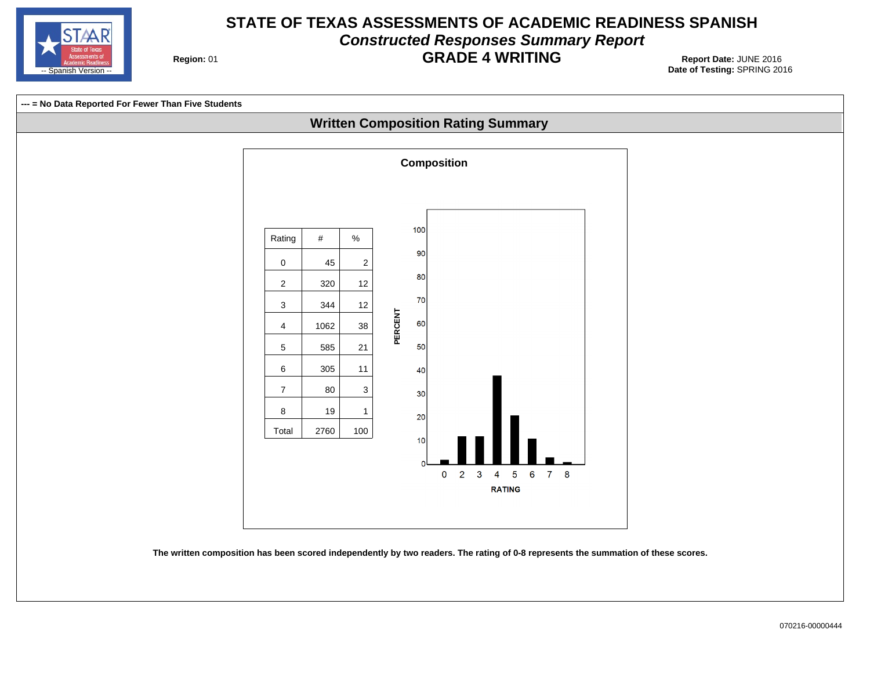

#### **STATE OF TEXAS ASSESSMENTS OF ACADEMIC READINESS SPANISH Constructed Responses Summary Report GRADE 4 WRITING** 01 **Report Date:** JUNE 2016

**Region: 01** 

**Date of Testing:**  SPRING 2016

**Written Composition Rating Summary --- = No Data Reported For Fewer Than Five Students**



**The written composition has been scored independently by two readers. The rating of 0-8 represents the summation of these scores.**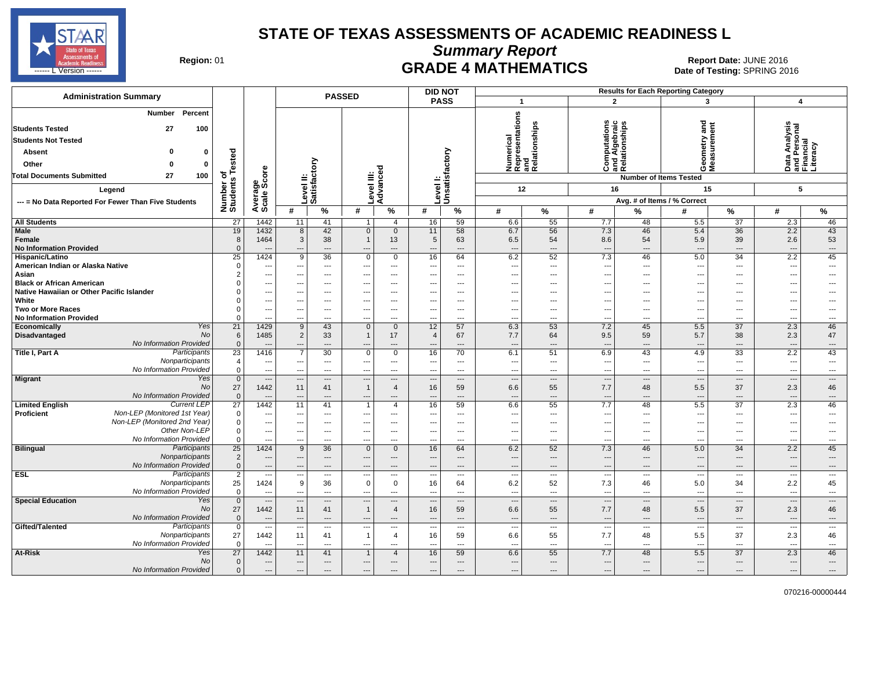

**Summary Report**

Region: 01 **Region: 01 CRADE 4 MATHEMATICS Date: JUNE 2016 Report Date: JUNE 2016 CRADE 4 MATHEMATICS** ------ L Version ------ SPRING 2016

| <b>Administration Summary</b>                                                                                                                                                                          |                                               |                                  |                                                  |                                       | <b>PASSED</b>                   |                                                               |                                | <b>DID NOT</b>                             |                                                            |                                       |                                                                  |                                         | <b>Results for Each Reporting Category</b>                                                            |                                                                |                                                             |                                        |
|--------------------------------------------------------------------------------------------------------------------------------------------------------------------------------------------------------|-----------------------------------------------|----------------------------------|--------------------------------------------------|---------------------------------------|---------------------------------|---------------------------------------------------------------|--------------------------------|--------------------------------------------|------------------------------------------------------------|---------------------------------------|------------------------------------------------------------------|-----------------------------------------|-------------------------------------------------------------------------------------------------------|----------------------------------------------------------------|-------------------------------------------------------------|----------------------------------------|
|                                                                                                                                                                                                        |                                               |                                  |                                                  |                                       |                                 |                                                               |                                | <b>PASS</b>                                | $\overline{\mathbf{1}}$                                    |                                       | $\overline{2}$                                                   |                                         | 3                                                                                                     |                                                                | $\overline{4}$                                              |                                        |
| Percent<br>Number<br><b>Students Tested</b><br>27<br>100<br><b>Students Not Tested</b><br>Absent<br>n<br>$\Omega$<br>Other<br>0<br>$\Omega$<br><b>Total Documents Submitted</b><br>27<br>100<br>Legend | sted<br>Ö<br>৳<br>Number of<br>Students       | Average<br>Scale Score           |                                                  | δ<br>Level II:<br>Satisfacto          | Level III:                      | Advanced                                                      | Level I:                       | Unsatisfactory                             | Numerical<br>Representations<br>and<br>Relationships<br>12 |                                       | ٤<br><b>Computations</b><br>and Algebraic<br>Relationships<br>16 |                                         | e<br>ang<br>etry<br>ទី ទី<br>ŎΣ<br><b>Number of Items Tested</b><br>15<br>Avg. # of Items / % Correct |                                                                | Data Analysis<br>and Personal<br>Financial<br>Literacy<br>5 |                                        |
| --- = No Data Reported For Fewer Than Five Students                                                                                                                                                    |                                               |                                  | #                                                | $\frac{9}{6}$                         | #                               | $\%$                                                          | #                              | $\%$                                       | #                                                          | $\%$                                  | #                                                                | %                                       | #                                                                                                     | %                                                              | #                                                           | %                                      |
| <b>All Students</b>                                                                                                                                                                                    | 27                                            | 1442                             | 11                                               | 41                                    | $\mathbf{1}$                    | $\overline{4}$                                                | 16                             | 59                                         | 6.6                                                        | 55                                    | 7.7                                                              | 48                                      | 5.5                                                                                                   | 37                                                             | 2.3                                                         | 46                                     |
| Male                                                                                                                                                                                                   | 19                                            | 1432                             | 8                                                | 42                                    | $\mathbf{0}$                    | $\overline{0}$                                                | 11                             | 58                                         | 6.7                                                        | 56                                    | 7.3                                                              | 46                                      | 5.4                                                                                                   | 36                                                             | 2.2                                                         | 43                                     |
| Female<br><b>No Information Provided</b>                                                                                                                                                               | 8<br>$\Omega$                                 | 1464                             | 3<br>$\overline{\phantom{a}}$                    | 38<br>---                             | $\mathbf{1}$<br>---             | 13<br>$\overline{a}$                                          | 5                              | 63<br>$\overline{\phantom{a}}$             | 6.5<br>---                                                 | 54<br>$\overline{a}$                  | 8.6<br>$\hspace{1.5cm} \ldots$                                   | 54<br>$\overline{a}$                    | 5.9<br>$\overline{\phantom{a}}$                                                                       | 39<br>$\overline{\phantom{a}}$                                 | 2.6<br>---                                                  | 53<br>---                              |
| <b>Hispanic/Latino</b>                                                                                                                                                                                 | 25                                            | 1424                             | 9                                                | 36                                    | 0                               | $\mathbf{0}$                                                  | 16                             | 64                                         | 6.2                                                        | 52                                    | 7.3                                                              | 46                                      | 5.0                                                                                                   | 34                                                             | 2.2                                                         | 45                                     |
| American Indian or Alaska Native<br>Asian<br><b>Black or African American</b>                                                                                                                          | $\Omega$                                      | ---<br>---<br>---                | ---<br>$- - -$                                   | ---<br>---<br>$---$                   | ---<br>---                      | $\overline{\phantom{a}}$<br>$---$<br>$---$                    | ---                            | $\overline{\phantom{a}}$<br>$---$<br>$---$ | ---<br>---<br>---                                          | ---<br>---<br>$\overline{a}$          | ---<br>---<br>---                                                | $---$<br>$---$<br>$---$                 | $\overline{\phantom{a}}$<br>---<br>$\overline{\phantom{a}}$                                           | $\overline{\phantom{a}}$<br>$\overline{\phantom{a}}$<br>$\sim$ | ---<br>---<br>---                                           | ---<br>---<br>---                      |
| Native Hawaiian or Other Pacific Islander                                                                                                                                                              |                                               | ---                              |                                                  | ---                                   |                                 | $\overline{\phantom{a}}$                                      |                                | $\overline{\phantom{a}}$                   | −−                                                         | ⊷                                     | ---                                                              | $\overline{a}$                          | $\overline{\phantom{a}}$                                                                              |                                                                | ---                                                         | ---                                    |
| White                                                                                                                                                                                                  |                                               | ---                              | $- - -$                                          | ---                                   | ---                             | $---$                                                         |                                | $---$                                      | ---                                                        | ---                                   | ---                                                              | $---$                                   | ---                                                                                                   | $---$                                                          | ---                                                         | ---                                    |
| <b>Two or More Races</b>                                                                                                                                                                               | $\Omega$                                      | $\overline{\phantom{a}}$         | $---$                                            | $---$                                 | ---                             | $---$                                                         | ---                            | $---$                                      | $\overline{\phantom{a}}$                                   | $\overline{a}$                        | ---                                                              | $---$                                   | $\sim$                                                                                                | $\sim$                                                         | ---                                                         | ---                                    |
| <b>No Information Provided</b>                                                                                                                                                                         | $\Omega$                                      | ---                              | ---                                              | ---                                   |                                 | $- - -$                                                       |                                | $---$                                      | ---                                                        | ---                                   | $\overline{\phantom{a}}$                                         | $---$                                   | $\overline{\phantom{a}}$                                                                              | ---                                                            | ---                                                         | ---                                    |
| Yes<br>Economically<br>No<br>Disadvantaged<br>No Information Provided                                                                                                                                  | $\overline{21}$<br>6<br>$\Omega$              | 1429<br>1485<br>$---$            | 9<br>$\overline{2}$<br>$---$                     | 43<br>33<br>$---$                     | $\mathbf{0}$<br>$\mathbf{1}$    | $\mathbf{0}$<br>17<br>---                                     | 12<br>$\overline{4}$           | 57<br>67<br>$---$                          | 6.3<br>7.7<br>$\overline{\phantom{a}}$                     | 53<br>64<br>---                       | 7.2<br>9.5<br>$\overline{\phantom{a}}$                           | 45<br>59<br>$---$                       | 5.5<br>5.7                                                                                            | $\overline{37}$<br>38<br>$---$                                 | 2.3<br>2.3<br>---                                           | 46<br>47<br>---                        |
| Participants<br>Title I, Part A                                                                                                                                                                        | 23                                            | 1416                             | $\overline{7}$                                   | 30                                    | $\mathbf 0$                     | $\mathbf{0}$                                                  | 16                             | 70                                         | 6.1                                                        | 51                                    | 6.9                                                              | 43                                      | 4.9                                                                                                   | 33                                                             | 2.2                                                         | 43                                     |
| Nonparticipants<br>No Information Provided                                                                                                                                                             | $\overline{4}$<br>$\mathbf 0$                 | ---<br>$\overline{\phantom{a}}$  | ---<br>$\overline{a}$                            | ---<br>---                            | ---<br>---                      | $---$<br>$\overline{\phantom{a}}$                             | ---                            | $---$<br>$---$                             | $\overline{\phantom{a}}$<br>$\overline{\phantom{a}}$       | ---<br>---                            | $\overline{a}$<br>$\hspace{0.05cm} \ldots$                       | $---$<br>$\overline{a}$                 | $\overline{\phantom{a}}$<br>$\overline{\phantom{a}}$                                                  | $\overline{\phantom{a}}$<br>$\overline{\phantom{a}}$           | ---<br>---                                                  | ---<br>$\qquad \qquad \cdots$          |
| Migrant<br>Yes<br>No<br>No Information Provided                                                                                                                                                        | $\overline{0}$<br>27<br>$\mathbf{0}$          | $\sim$<br>1442<br>---            | $\overline{a}$<br>11<br>---                      | $\overline{\phantom{a}}$<br>41<br>--- | $\overline{a}$<br>$\mathbf{1}$  | $\overline{\phantom{a}}$<br>$\overline{4}$<br>---             | $\sim$<br>16                   | $\overline{\phantom{a}}$<br>59<br>$---$    | $\overline{\phantom{a}}$<br>6.6<br>---                     | $\overline{\phantom{a}}$<br>55<br>--- | $\overline{\phantom{a}}$<br>7.7<br>---                           | $\overline{a}$<br>48<br>$\overline{a}$  | $\sim$<br>5.5<br>$\overline{\phantom{a}}$                                                             | $\overline{\phantom{a}}$<br>37<br>$\overline{\phantom{a}}$     | $\overline{a}$<br>2.3<br>---                                | $\overline{a}$<br>46<br>---            |
| <b>Current LEP</b><br><b>Limited English</b><br>Non-LEP (Monitored 1st Year)<br>Proficient                                                                                                             | $\overline{27}$<br>$\mathbf 0$                | 1442<br>---                      | 11                                               | 41<br>---                             | $\overline{1}$                  | $\overline{4}$<br>---                                         | 16                             | 59<br>$\overline{\phantom{a}}$             | 6.6<br>---                                                 | 55<br>⊷                               | 7.7<br>---                                                       | 48<br>---                               | 5.5                                                                                                   | 37<br>---                                                      | 2.3<br>---                                                  | 46<br>---                              |
| Non-LEP (Monitored 2nd Year)<br>Other Non-LEP                                                                                                                                                          | $\mathbf 0$<br>$\mathbf 0$                    | $\overline{\phantom{a}}$<br>---  | $---$<br>---                                     | ---<br>$- - -$                        | $\overline{\phantom{a}}$<br>--- | $---$<br>$\overline{a}$                                       | ---                            | $---$<br>$\overline{a}$                    | $\overline{\phantom{a}}$<br>---                            | ---<br>$\overline{a}$                 | $---$<br>$\sim$                                                  | $\cdots$<br>$\sim$                      | $\overline{\phantom{a}}$<br>$\sim$                                                                    | $\overline{\phantom{a}}$<br>$\overline{\phantom{a}}$           | ---<br>---                                                  | ---<br>---                             |
| No Information Provided                                                                                                                                                                                | $\Omega$                                      | ---                              | $\overline{a}$                                   | ---                                   | ---                             | $\overline{\phantom{a}}$                                      |                                | $\overline{\phantom{a}}$                   | ---                                                        | ---                                   | $---$                                                            | $\overline{a}$                          | $\overline{\phantom{a}}$                                                                              | $\overline{\phantom{a}}$                                       | ---                                                         | ---                                    |
| <b>Bilingual</b><br>Participants<br>Nonparticipants<br>No Information Provided                                                                                                                         | $\overline{25}$<br>$\overline{2}$<br>$\Omega$ | 1424<br>---<br>---               | 9<br>---<br>$\overline{\phantom{a}}$             | 36<br>---<br>$\cdots$                 | $\Omega$                        | $\mathbf{0}$<br>$\qquad \qquad -$<br>$\overline{\phantom{a}}$ | 16                             | 64<br>$---$<br>$\overline{\phantom{a}}$    | 6.2<br>---<br>---                                          | 52<br>---<br>$\overline{a}$           | 7.3<br>$\overline{\phantom{a}}$<br>$\hspace{1.5cm} \ldots$       | 46<br>$---$<br>$\overline{a}$           | 5.0<br>$\overline{\phantom{a}}$<br>---                                                                | 34<br>$---$<br>$\hspace{0.05cm} \ldots$                        | 2.2<br>---<br>---                                           | 45<br>---<br>$\overline{a}$            |
| <b>ESL</b><br>Participants                                                                                                                                                                             | $\overline{2}$                                | $\overline{\phantom{a}}$         | ---                                              | $\sim$                                | ---                             | $\sim$                                                        | $\sim$                         | $---$                                      | ---                                                        | $\overline{\phantom{a}}$              | $\overline{\phantom{a}}$                                         | $---$                                   | $\overline{\phantom{a}}$                                                                              | $\sim$                                                         | $\overline{\phantom{a}}$                                    | $\cdots$                               |
| Nonparticipants<br>No Information Provided                                                                                                                                                             | 25<br>$\Omega$                                | 1424<br>---                      | 9<br>$\overline{a}$                              | 36<br>$\overline{a}$                  | 0<br>---                        | $\mathbf 0$<br>$\overline{a}$                                 | 16<br>---                      | 64<br>$-$                                  | 6.2<br>---                                                 | 52<br>$\overline{a}$                  | 7.3<br>$---$                                                     | 46<br>$\overline{a}$                    | 5.0<br>---                                                                                            | 34<br>$\overline{\phantom{a}}$                                 | 2.2<br>$\overline{a}$                                       | 45<br>---                              |
| <b>Special Education</b><br>Yes<br>No<br>No Information Provided                                                                                                                                       | $\overline{0}$<br>27<br>$\Omega$              | $\overline{\phantom{a}}$<br>1442 | $\overline{\phantom{a}}$<br>11<br>$\overline{a}$ | $---$<br>41<br>---                    | $\overline{a}$<br>$\mathbf{1}$  | $---$<br>$\overline{4}$<br>$---$                              | $\overline{\phantom{a}}$<br>16 | $---$<br>59<br>$---$                       | $\overline{\phantom{a}}$<br>6.6<br>---                     | $\overline{\phantom{a}}$<br>55<br>--- | $\overline{\phantom{a}}$<br>7.7<br>$\overline{a}$                | $\overline{a}$<br>48<br>$---$           | $\sim$<br>5.5                                                                                         | $---$<br>37<br>$---$                                           | $\overline{a}$<br>2.3<br>$\overline{a}$                     | $\overline{a}$<br>46<br>$\overline{a}$ |
| Gifted/Talented<br>Participants<br>Nonparticipants<br>No Information Provided                                                                                                                          | $\overline{0}$<br>27<br>$\Omega$              | $\overline{a}$<br>1442           | ---<br>11                                        | $---$<br>41<br>---                    | ---<br>$\mathbf{1}$             | $---$<br>$\overline{4}$<br>---                                | $\overline{\phantom{a}}$<br>16 | $---$<br>59<br>$\overline{\phantom{a}}$    | ---<br>6.6<br>---                                          | ---<br>55<br>---                      | $\overline{a}$<br>7.7<br>$\overline{a}$                          | $\overline{a}$<br>48<br>$\overline{a}$  | ---<br>5.5<br>$\overline{\phantom{a}}$                                                                | $\sim$<br>37<br>$\overline{\phantom{a}}$                       | $\overline{a}$<br>2.3<br>---                                | ---<br>46<br>---                       |
| At-Risk<br>Yes<br>No<br>No Information Provided                                                                                                                                                        | 27<br>$\mathbf{0}$<br>$\Omega$                | 1442<br>---<br>$\overline{a}$    | 11<br>---<br>$---$                               | 41<br>---<br>$---$                    | $\mathbf{1}$<br>---<br>---      | $\overline{4}$<br>$\qquad \qquad -$<br>$---$                  | 16<br>---<br>---               | 59<br>$\hspace{0.05cm} \cdots$<br>$---$    | 6.6<br>---<br>---                                          | 55<br>---<br>---                      | 7.7<br>---<br>$---$                                              | 48<br>$\overline{\phantom{a}}$<br>$---$ | 5.5<br>$\overline{\phantom{a}}$<br>$---$                                                              | 37<br>$\hspace{0.05cm} \cdots$<br>$---$                        | 2.3<br>---<br>$\overline{a}$                                | 46<br>---                              |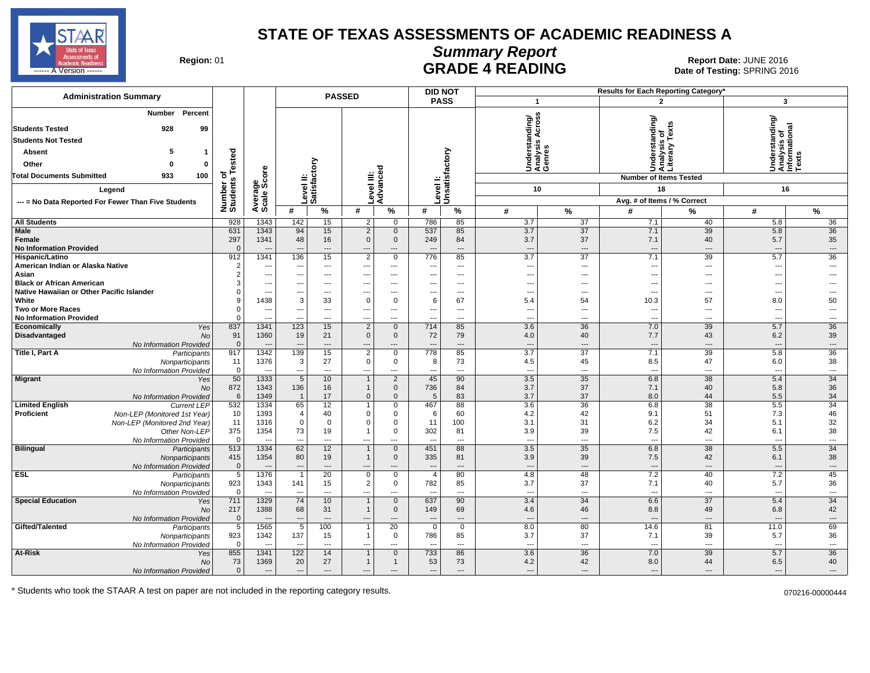

### **Summary Report**

Region: 01 **Region: 01 CALL CONSISTS AND READING Report Date: JUNE 2016**<br>Date of Testing: SPRING 20 ------ A Version ------ SPRING 2016

| <b>Administration Summary</b>                                                                                                                                                             |                                       |                      |                                                             |                                                             | <b>PASSED</b>                                                  |                                               |                                                   | <b>DID NOT</b>                       |                                                             |                                                                      |                                         | <b>Results for Each Reporting Category</b>                                             |                                                               |                                            |
|-------------------------------------------------------------------------------------------------------------------------------------------------------------------------------------------|---------------------------------------|----------------------|-------------------------------------------------------------|-------------------------------------------------------------|----------------------------------------------------------------|-----------------------------------------------|---------------------------------------------------|--------------------------------------|-------------------------------------------------------------|----------------------------------------------------------------------|-----------------------------------------|----------------------------------------------------------------------------------------|---------------------------------------------------------------|--------------------------------------------|
|                                                                                                                                                                                           |                                       |                      |                                                             |                                                             |                                                                |                                               |                                                   | <b>PASS</b>                          | $\mathbf{1}$                                                |                                                                      |                                         | $\overline{2}$                                                                         | 3                                                             |                                            |
| Percent<br>Number<br><b>Students Tested</b><br>928<br>99<br><b>Students Not Tested</b><br>5<br>Absent<br>1<br>Other<br>0<br>0<br><b>Total Documents Submitted</b><br>933<br>100<br>Legend | Tested<br>৳<br>Number of<br>Students  | ge<br>Score          |                                                             | ŠΣ<br> Level II:<br> Satisfacto                             | ≝ ĕ                                                            | ю<br>Level III:<br>Advance                    | evel                                              | Unsatisfactory                       |                                                             | SS <sub>3</sub><br>Understanding/<br>Analysis Across<br>Genres<br>10 |                                         | Understanding/<br>Analysis of<br>Literary Texts<br><b>Number of Items Tested</b><br>18 | Understanding/<br>Analysis of<br>Informational<br>Texts<br>16 |                                            |
| --- = No Data Reported For Fewer Than Five Students                                                                                                                                       |                                       | Average              |                                                             |                                                             |                                                                |                                               |                                                   |                                      |                                                             |                                                                      |                                         | Avg. # of Items / % Correct                                                            |                                                               |                                            |
|                                                                                                                                                                                           |                                       |                      | #                                                           | $\%$                                                        | #                                                              | %                                             | #                                                 | %                                    | #                                                           | $\%$                                                                 | #                                       | %                                                                                      | #                                                             | $\%$                                       |
| <b>All Students</b>                                                                                                                                                                       | 928                                   | 1343                 | 142                                                         | 15                                                          | 2                                                              | $\Omega$                                      | 786                                               | 85                                   | 3.7                                                         | 37                                                                   | 7.1                                     | 40                                                                                     | 5.8                                                           | 36                                         |
| Male<br>Female<br><b>No Information Provided</b>                                                                                                                                          | 631<br>297<br>$\Omega$                | 1343<br>1341<br>--   | 94<br>48<br>$\overline{a}$                                  | 15<br>16<br>$\overline{\phantom{a}}$                        | $\overline{2}$<br>$\mathbf 0$<br>---                           | $\mathbf 0$<br>$\mathbf 0$<br>---             | 537<br>249<br>$\overline{\phantom{a}}$            | 85<br>84<br>$\overline{\phantom{a}}$ | 3.7<br>3.7<br>$\overline{\phantom{a}}$                      | 37<br>37<br>$\overline{\phantom{a}}$                                 | 7.1<br>7.1<br>$\overline{\phantom{a}}$  | 39<br>40<br>---                                                                        | 5.8<br>5.7<br>$\overline{\phantom{a}}$                        | 36<br>35<br>$\overline{\phantom{a}}$       |
| Hispanic/Latino                                                                                                                                                                           | 912                                   | 1341                 | 136                                                         | 15                                                          | $\overline{2}$                                                 | $\mathbf 0$                                   | 776                                               | 85                                   | 3.7                                                         | 37                                                                   | 7.1                                     | 39                                                                                     | 5.7                                                           | 36                                         |
| American Indian or Alaska Native<br>Asian<br><b>Black or African American</b>                                                                                                             | $\overline{2}$<br>$\overline{2}$<br>3 | ---<br>---<br>---    | $\hspace{0.05cm} \ldots$<br>$\overline{\phantom{a}}$<br>--- | $\qquad \qquad \cdots$<br>$---$<br>$\overline{\phantom{a}}$ | ---<br>$---$<br>$\overline{a}$                                 | $\cdots$<br>$\cdots$<br>---                   | ---<br>$\overline{\phantom{a}}$<br>$-$            | ---<br>$\cdots$<br>$---$             | $\overline{\phantom{a}}$<br>$\overline{\phantom{a}}$<br>--- | $\overline{a}$<br>$---$<br>$---$                                     | $\overline{\phantom{a}}$<br>---<br>---  | $\overline{\phantom{a}}$<br>---<br>---                                                 | ---<br>---<br>---                                             | $\overline{\phantom{a}}$<br>$- - -$        |
| Native Hawaiian or Other Pacific Islander                                                                                                                                                 | $\Omega$                              | ÷.,                  | ---                                                         | $\overline{\phantom{a}}$                                    | ---                                                            | $\overline{a}$                                | ---                                               | $---$                                | ---                                                         | $\overline{a}$                                                       | $\overline{\phantom{a}}$                | ---                                                                                    | ---                                                           |                                            |
| White                                                                                                                                                                                     | 9                                     | 1438                 | 3                                                           | 33                                                          | 0                                                              | 0                                             | 6                                                 | 67                                   | 5.4                                                         | 54                                                                   | 10.3                                    | 57                                                                                     | 8.0                                                           | 50                                         |
| <b>Two or More Races</b>                                                                                                                                                                  | $\mathbf 0$                           | ---                  | ---                                                         | $---$                                                       | $---$                                                          | $---$                                         | $\overline{a}$                                    | $\overline{a}$                       | ---                                                         | $\overline{a}$                                                       | $\sim$                                  | ---                                                                                    | ---                                                           | $\overline{\phantom{a}}$                   |
| <b>No Information Provided</b>                                                                                                                                                            | $\mathbf 0$                           | ÷.,                  | ---                                                         | ---                                                         | ---                                                            | $\overline{a}$                                | ---                                               | ---                                  | ---                                                         | $\overline{a}$                                                       | $\sim$                                  | ---                                                                                    | ---                                                           | $\overline{\phantom{a}}$                   |
| Economically<br>Yes<br>Disadvantaged<br><b>No</b><br>No Information Provided                                                                                                              | 837<br>91<br>$\mathbf 0$              | 1341<br>1360<br>--   | 123<br>19<br>$---$                                          | 15<br>21<br>$---$                                           | $\overline{2}$<br>$\mathbf 0$<br>$\hspace{1.5cm} \textbf{---}$ | $\mathbf 0$<br>$\mathbf 0$<br>$---$           | 714<br>72                                         | 85<br>79<br>---                      | 3.6<br>4.0<br>$\overline{\phantom{a}}$                      | 36<br>40<br>$---$                                                    | 7.0<br>7.7<br>$\overline{\phantom{a}}$  | 39<br>43<br>---                                                                        | 5.7<br>6.2<br>$\overline{\phantom{a}}$                        | 36<br>39<br>$\cdots$                       |
| Title I, Part A<br>Participants<br>Nonparticipants<br>No Information Provided                                                                                                             | 917<br>11<br>$\mathbf 0$              | 1342<br>1376<br>---  | 139<br>$\mathbf{3}$<br>$\overline{\phantom{a}}$             | 15<br>27<br>---                                             | $\overline{2}$<br>$\mathsf 0$<br>$\overline{\phantom{a}}$      | 0<br>$\mathbf 0$<br>---                       | 778<br>8<br>---                                   | 85<br>73<br>---                      | 3.7<br>4.5<br>$\overline{\phantom{a}}$                      | 37<br>45<br>$\cdots$                                                 | 7.1<br>8.5<br>$\overline{\phantom{a}}$  | 39<br>47<br>---                                                                        | 5.8<br>6.0<br>$\overline{\phantom{a}}$                        | 36<br>38<br>$\overline{\phantom{a}}$       |
| <b>Migrant</b><br>Yes<br><b>No</b><br>No Information Provided                                                                                                                             | 50<br>872<br>6                        | 1333<br>1343<br>1349 | 5<br>136<br>$\overline{\mathbf{1}}$                         | 10<br>16<br>17                                              | $\overline{1}$<br>$\mathbf{1}$<br>$\mathbf{0}$                 | $\overline{2}$<br>$\mathbf 0$<br>$\mathbf{0}$ | 45<br>736<br>5                                    | 90<br>84<br>83                       | 3.5<br>3.7<br>3.7                                           | 35<br>37<br>37                                                       | 6.8<br>7.1<br>8.0                       | $\overline{38}$<br>40<br>44                                                            | 5.4<br>5.8<br>5.5                                             | 34<br>36<br>34                             |
| <b>Limited English</b><br><b>Current LEP</b>                                                                                                                                              | 532                                   | 1334                 | 65                                                          | 12                                                          | $\blacktriangleleft$                                           | 0                                             | 467                                               | 88                                   | 3.6                                                         | 36                                                                   | 6.8                                     | 38                                                                                     | 5.5                                                           | 34                                         |
| <b>Proficient</b><br>Non-LEP (Monitored 1st Year)<br>Non-LEP (Monitored 2nd Year)<br>Other Non-LEP<br>No Information Provided                                                             | 10<br>11<br>375<br>$\mathbf 0$        | 1393<br>1316<br>1354 | $\overline{4}$<br>$\Omega$<br>73                            | 40<br>$\mathbf 0$<br>19<br>$---$                            | 0<br>$\Omega$<br>$\mathbf{1}$<br>$\overline{a}$                | $\mathbf{0}$<br>0<br>0<br>$---$               | 6<br>11<br>302                                    | 60<br>100<br>81<br>$\overline{a}$    | 4.2<br>3.1<br>3.9<br>$\overline{a}$                         | 42<br>31<br>39<br>$---$                                              | 9.1<br>6.2<br>7.5<br>$\sim$             | 51<br>34<br>42<br>---                                                                  | 7.3<br>5.1<br>6.1<br>$\overline{\phantom{a}}$                 | 46<br>32<br>38<br>$\overline{\phantom{a}}$ |
| <b>Bilingual</b><br>Participants<br>Nonparticipants<br>No Information Provided                                                                                                            | 513<br>415<br>$\overline{0}$          | 1334<br>1354<br>--   | 62<br>80<br>$\overline{a}$                                  | 12<br>19<br>$---$                                           | $\overline{1}$<br>$\overline{1}$<br>$---$                      | $\mathbf 0$<br>$\mathbf 0$<br>$---$           | 451<br>335                                        | 88<br>81<br>$\overline{a}$           | $\overline{3.5}$<br>3.9<br>---                              | 35<br>39<br>$---$                                                    | 6.8<br>7.5<br>$\sim$                    | 38<br>42<br>$\overline{a}$                                                             | 5.5<br>6.1<br>$\overline{\phantom{a}}$                        | 34<br>38<br>$---$                          |
| <b>ESL</b><br>Participants<br>Nonparticipants<br>No Information Provided                                                                                                                  | $\overline{5}$<br>923<br>$\mathbf 0$  | 1376<br>1343<br>--   | $\mathbf{1}$<br>141<br>$\sim$                               | 20<br>15<br>$\overline{\phantom{a}}$                        | $\mathsf 0$<br>$\overline{2}$<br>---                           | $\mathbf 0$<br>$\mathbf 0$<br>$\overline{a}$  | $\overline{4}$<br>782<br>$\overline{\phantom{a}}$ | 80<br>85<br>$\overline{a}$           | 4.8<br>3.7<br>$\overline{a}$                                | 48<br>37<br>$---$                                                    | 7.2<br>7.1<br>$\sim$                    | 40<br>40<br>---                                                                        | 7.2<br>5.7<br>$\sim$                                          | 45<br>36<br>$\overline{\phantom{a}}$       |
| <b>Special Education</b><br>Yes<br>No<br>No Information Provided                                                                                                                          | 711<br>217<br>$\mathbf 0$             | 1329<br>1388<br>--   | 74<br>68<br>---                                             | 10 <sup>°</sup><br>31<br>$\overline{\phantom{a}}$           | $\overline{1}$<br>$\overline{1}$<br>---                        | $\mathbf{0}$<br>$\mathbf 0$<br>$\overline{a}$ | 637<br>149<br>$\overline{\phantom{a}}$            | 90<br>69<br>$\overline{a}$           | 3.4<br>4.6<br>$\overline{\phantom{a}}$                      | 34<br>46<br>$\overline{\phantom{a}}$                                 | 6.6<br>8.8<br>$\overline{\phantom{a}}$  | 37<br>49<br>---                                                                        | 5.4<br>6.8<br>$\overline{\phantom{a}}$                        | 34<br>42<br>$\overline{\phantom{a}}$       |
| Gifted/Talented<br>Participants<br>Nonparticipants<br>No Information Provided                                                                                                             | $\overline{5}$<br>923<br>$\mathbf 0$  | 1565<br>1342<br>---  | $\overline{5}$<br>137<br>$\sim$                             | 100<br>15<br>---                                            | $\mathbf 1$<br>$\mathbf{1}$<br>$\overline{\phantom{a}}$        | $\overline{20}$<br>$\mathbf 0$<br>---         | $\mathbf 0$<br>786<br>---                         | $\mathbf 0$<br>85<br>$---$           | 8.0<br>3.7<br>$\overline{\phantom{a}}$                      | 80<br>37<br>$---$                                                    | 14.6<br>7.1<br>$\overline{\phantom{a}}$ | 81<br>39<br>---                                                                        | 11.0<br>5.7<br>$\overline{\phantom{a}}$                       | 69<br>36<br>$\overline{\phantom{a}}$       |
| At-Risk<br>Yes<br>No<br>No Information Provided                                                                                                                                           | 855<br>73<br>$\mathbf 0$              | 1341<br>1369<br>---  | 122<br>20<br>$\overline{\phantom{a}}$                       | 14<br>27<br>$---$                                           | $\overline{1}$<br>$\mathbf{1}$<br>$---$                        | $\mathbf{0}$<br>$\mathbf{1}$<br>$---$         | 733<br>53<br>$---$                                | 86<br>73<br>---                      | 3.6<br>4.2<br>$\overline{a}$                                | 36<br>42<br>$---$                                                    | 7.0<br>8.0<br>$\sim$                    | 39<br>44<br>---                                                                        | 5.7<br>6.5<br>$---$                                           | 36<br>40<br>$---$                          |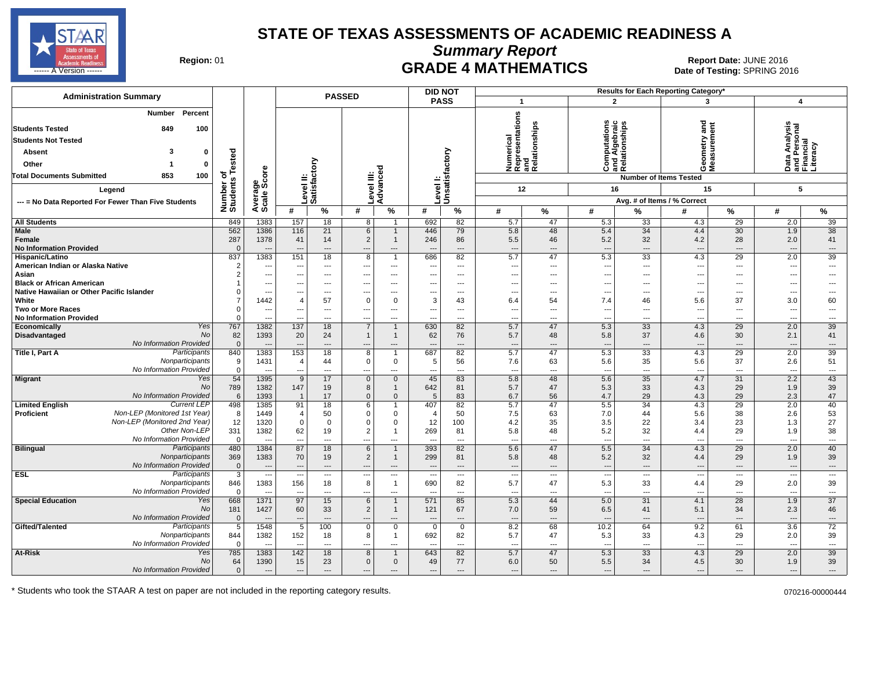

**Summary Report**

Region: 01 **Region: 01 CRADE 4 MATHEMATICS Date: JUNE 2016 Report Date: JUNE 2016 CRADE 4 MATHEMATICS** ل المستشفى العربي المستشفى المستشفى المستشفى المستشفى المستشفى المستشفى المستشفى المستشفى المستشفى المستشفى ال<br>المستشفى المستشفى المستشفى المستشفى المستشفى المستشفى المستشفى المستشفى المستشفى المستشفى المستشفى المستشفى ال

| <b>Administration Summary</b>                                                                                                                                                             |                                     |                                                              |                                        |                                                | <b>PASSED</b>                   |                                                                     |                                       | <b>DID NOT</b>                                |                                                      |                                       |                                                   |                                                | Results for Each Reporting Category*                        |                                                                        |                                                        |                                                  |
|-------------------------------------------------------------------------------------------------------------------------------------------------------------------------------------------|-------------------------------------|--------------------------------------------------------------|----------------------------------------|------------------------------------------------|---------------------------------|---------------------------------------------------------------------|---------------------------------------|-----------------------------------------------|------------------------------------------------------|---------------------------------------|---------------------------------------------------|------------------------------------------------|-------------------------------------------------------------|------------------------------------------------------------------------|--------------------------------------------------------|--------------------------------------------------|
|                                                                                                                                                                                           |                                     |                                                              |                                        |                                                |                                 |                                                                     |                                       | <b>PASS</b>                                   | $\overline{\mathbf{1}}$                              |                                       |                                                   | $\overline{2}$                                 | 3                                                           |                                                                        | $\overline{\mathbf{4}}$                                |                                                  |
| Percent<br><b>Number</b><br><b>Students Tested</b><br>849<br>100<br><b>Students Not Tested</b><br>3<br><b>Absent</b><br>$\Omega$<br>Other<br>0<br>Total Documents Submitted<br>853<br>100 | ested<br>৳<br>Number of<br>Students | ge<br>Score                                                  | $\equiv$                               | ξ<br>evel II:<br>atisfacto                     | evel III:                       | ъ<br>ŏ                                                              |                                       | Level I:<br>Unsatisfactory                    | Numerical<br>Representations<br>and<br>Relationships | elationships                          | w                                                 | Computations<br>and Algebraic<br>Relationships | gue<br>etry<br>ទី ទី<br>OΣ<br><b>Number of Items Tested</b> |                                                                        | Data Analysis<br>and Personal<br>Financial<br>Literacy | iteracy                                          |
| Legend                                                                                                                                                                                    |                                     |                                                              |                                        |                                                |                                 | Advanc                                                              | Level                                 |                                               |                                                      | 12                                    | 16                                                |                                                | 15                                                          |                                                                        | 5                                                      |                                                  |
| --- = No Data Reported For Fewer Than Five Students                                                                                                                                       |                                     | Average                                                      |                                        | iõõ                                            |                                 |                                                                     |                                       |                                               |                                                      |                                       |                                                   |                                                | Avg. # of Items / % Correct                                 |                                                                        |                                                        |                                                  |
|                                                                                                                                                                                           |                                     |                                                              | #                                      | %                                              | #                               | %                                                                   | #                                     | %                                             | #                                                    | %                                     | #                                                 | %                                              | #                                                           | $\%$                                                                   | #                                                      | %                                                |
| All Students                                                                                                                                                                              | 849                                 | 1383                                                         | 157                                    | 18                                             | 8                               | $\overline{1}$                                                      | 692                                   | 82                                            | 5.7                                                  | 47                                    | 5.3                                               | 33                                             | 4.3                                                         | 29                                                                     | 2.0                                                    | 39                                               |
| <b>Male</b><br>Female<br><b>No Information Provided</b>                                                                                                                                   | 562<br>287<br>$\Omega$              | 1386<br>1378<br>---                                          | 116<br>41<br>---                       | 21<br>14<br>---                                | 6<br>$\overline{2}$<br>---      | $\mathbf 1$<br>$\mathbf{1}$<br>---                                  | 446<br>246                            | 79<br>86<br>$\overline{\phantom{a}}$          | 5.8<br>5.5<br>---                                    | 48<br>46<br>---                       | 5.4<br>5.2<br>$\overline{\phantom{a}}$            | 34<br>32<br>$\overline{\phantom{a}}$           | 4.4<br>4.2<br>$\overline{\phantom{a}}$                      | 30<br>28<br>$\overline{\phantom{a}}$                                   | 1.9<br>2.0<br>---                                      | 38<br>41<br>$\overline{\phantom{a}}$             |
| Hispanic/Latino                                                                                                                                                                           | 837                                 | 1383                                                         | 151                                    | 18                                             | 8                               | $\overline{1}$                                                      | 686                                   | 82                                            | 5.7                                                  | 47                                    | 5.3                                               | 33                                             | 4.3                                                         | 29                                                                     | 2.0                                                    | 39                                               |
| American Indian or Alaska Native<br>Asian<br><b>Black or African American</b>                                                                                                             | $\overline{2}$<br>$\overline{2}$    | ---<br>---<br>---                                            | ---<br>---<br>$\overline{a}$           | ---<br>$---$<br>$---$                          | ---<br>---<br>$\overline{a}$    | ---<br>$\cdots$<br>$---$                                            |                                       | $\overline{\phantom{a}}$<br>$---$<br>$---$    | ---<br>---<br>---                                    | ---<br>---<br>---                     | ---<br>$---$<br>$\overline{a}$                    | $\overline{a}$<br>$---$<br>$---$               | $\overline{\phantom{a}}$<br>---<br>$\sim$                   | $\overline{\phantom{a}}$<br>$\overline{\phantom{a}}$<br>$\overline{a}$ | ---<br>---<br>---                                      | ---<br>---<br>---                                |
| Native Hawaiian or Other Pacific Islander<br>White                                                                                                                                        | $\Omega$                            | ---<br>1442                                                  | ---<br>4                               | ---<br>57                                      | 0                               | ---<br>0                                                            | 3                                     | $\overline{a}$<br>43                          | ---<br>6.4                                           | ---<br>54                             | ---<br>7.4                                        | $\overline{a}$<br>46                           | $\overline{\phantom{a}}$<br>5.6                             | ---<br>37                                                              | ---<br>3.0                                             | -−-<br>60                                        |
| <b>Two or More Races</b>                                                                                                                                                                  | $\Omega$<br>$\Omega$                | ---                                                          | ---                                    | $\overline{a}$                                 | ---                             | $---$                                                               |                                       | $-$                                           | ---                                                  | ---                                   | $---$                                             | $\overline{a}$                                 | $\sim$                                                      | $\overline{\phantom{a}}$                                               | $\overline{a}$                                         | $\overline{a}$                                   |
| <b>No Information Provided</b><br>Yes<br>Economically                                                                                                                                     | 767                                 | ---<br>1382                                                  | 137                                    | ---<br>18                                      | ---<br>7                        | ---<br>$\overline{1}$                                               | 630                                   | 82                                            | ---<br>5.7                                           | ---<br>47                             | $\overline{\phantom{a}}$<br>5.3                   | ---<br>33                                      | $\overline{\phantom{a}}$<br>4.3                             | $\overline{\phantom{a}}$<br>29                                         | ---<br>2.0                                             | ---<br>39                                        |
| No<br><b>Disadvantaged</b><br>No Information Provided                                                                                                                                     | 82<br>$\mathbf 0$                   | 1393<br>$\overline{\phantom{a}}$                             | 20                                     | 24<br>---                                      | $\mathbf{1}$                    | $\overline{1}$<br>---                                               | 62                                    | 76<br>$---$                                   | 5.7<br>---                                           | 48<br>---                             | 5.8<br>$\overline{\phantom{a}}$                   | 37<br>$---$                                    | 4.6<br>$\overline{\phantom{a}}$                             | 30<br>$---$                                                            | 2.1<br>---                                             | 41<br>$\overline{\phantom{a}}$                   |
| Participants<br>Title I, Part A<br>Nonparticipants<br>No Information Provided                                                                                                             | 840<br>9<br>$\mathbf 0$             | 1383<br>1431<br>$\overline{\phantom{a}}$                     | 153<br>4<br>---                        | 18<br>44<br>$\overline{\phantom{a}}$           | 8<br>0<br>---                   | $\overline{1}$<br>$\mathbf 0$<br>---                                | 687<br>5<br>---                       | 82<br>56<br>$---$                             | 5.7<br>7.6<br>$\overline{\phantom{a}}$               | 47<br>63<br>---                       | 5.3<br>5.6<br>$\overline{\phantom{a}}$            | 33<br>35<br>$\overline{\phantom{a}}$           | 4.3<br>5.6<br>$\overline{\phantom{a}}$                      | 29<br>37<br>$\overline{\phantom{a}}$                                   | 2.0<br>2.6<br>---                                      | 39<br>51<br>---                                  |
| <b>Migrant</b><br>Yes<br><b>No</b><br>No Information Provided                                                                                                                             | 54<br>789<br>6                      | 1395<br>1382<br>1393                                         | 9<br>147<br>$\overline{1}$             | 17<br>19<br>17                                 | $\mathbf 0$<br>8<br>$\mathbf 0$ | $\overline{0}$<br>$\mathbf 1$<br>$\mathbf 0$                        | 45<br>642<br>5                        | 83<br>81<br>83                                | 5.8<br>5.7<br>6.7                                    | 48<br>47<br>56                        | 5.6<br>5.3<br>4.7                                 | 35<br>33<br>29                                 | 4.7<br>4.3<br>4.3                                           | $\overline{31}$<br>29<br>29                                            | 2.2<br>1.9<br>2.3                                      | 43<br>39<br>47                                   |
| <b>Current LEP</b><br><b>Limited English</b><br>Non-LEP (Monitored 1st Year)<br><b>Proficient</b><br>Non-LEP (Monitored 2nd Year)<br>Other Non-LEP<br>No Information Provided             | 498<br>8<br>12<br>331<br>$\Omega$   | 1385<br>1449<br>1320<br>1382<br>---                          | 91<br>4<br>$\mathbf 0$<br>62           | 18<br>50<br>$\mathbf 0$<br>19<br>---           | 6<br>0<br>0<br>$\overline{2}$   | $\overline{1}$<br>$\mathbf 0$<br>$\mathbf 0$<br>$\mathbf{1}$<br>--- | 407<br>4<br>12<br>269                 | 82<br>50<br>100<br>81<br>$\overline{a}$       | 5.7<br>7.5<br>4.2<br>5.8<br>÷.,                      | 47<br>63<br>35<br>48<br>---           | 5.5<br>7.0<br>3.5<br>5.2<br>$---$                 | 34<br>44<br>22<br>32<br>$---$                  | 4.3<br>5.6<br>3.4<br>4.4                                    | 29<br>38<br>23<br>29<br>$\sim$                                         | 2.0<br>2.6<br>1.3<br>1.9<br>---                        | 40<br>53<br>27<br>38<br>$\overline{a}$           |
| <b>Bilingual</b><br>Participants<br>Nonparticipants<br>No Information Provided                                                                                                            | 480<br>369<br>$\mathbf{0}$          | 1384<br>1383<br>$\overline{a}$                               | 87<br>70<br>$\overline{a}$             | 18<br>19<br>$---$                              | 6<br>$\overline{2}$             | $\mathbf{1}$<br>$\mathbf 1$<br>---                                  | 393<br>299                            | 82<br>81<br>$---$                             | 5.6<br>5.8<br>---                                    | 47<br>48<br>---                       | 5.5<br>5.2<br>$\hspace{1.5cm} \cdots$             | $\overline{34}$<br>32<br>$---$                 | 4.3<br>4.4<br>$\overline{\phantom{a}}$                      | 29<br>29<br>$---$                                                      | 2.0<br>1.9<br>$\overline{a}$                           | 40<br>39<br>---                                  |
| Participants<br><b>ESL</b><br>Nonparticipants<br>No Information Provided                                                                                                                  | 3<br>846<br>$\Omega$                | $\overline{\phantom{a}}$<br>1383<br>$\overline{\phantom{a}}$ | $\overline{\phantom{a}}$<br>156<br>--- | $\qquad \qquad \cdots$<br>18<br>$\overline{a}$ | ---<br>8<br>---                 | $\cdots$<br>$\overline{1}$<br>---                                   | $\overline{\phantom{a}}$<br>690       | $\hspace{0.05cm} \ldots$<br>82<br>$---$       | ---<br>5.7<br>---                                    | $\hspace{0.05cm} \ldots$<br>47<br>--- | $\hspace{0.05cm} \ldots$<br>5.3<br>$\overline{a}$ | $\overline{a}$<br>33<br>$\overline{a}$         | $\overline{\phantom{a}}$<br>4.4<br>$\overline{\phantom{a}}$ | $\hspace{0.05cm} \ldots$<br>29<br>$\sim$                               | <br>2.0<br>$\overline{a}$                              | $\overline{\phantom{a}}$<br>39<br>$\overline{a}$ |
| <b>Special Education</b><br>Yes<br>No<br><b>No Information Provided</b>                                                                                                                   | 668<br>181<br>$\overline{0}$        | 1371<br>1427<br>$\overline{\phantom{a}}$                     | 97<br>60<br>---                        | 15<br>33<br>$\overline{\phantom{a}}$           | 6<br>$\overline{2}$<br>$---$    | $\overline{1}$<br>$\mathbf 1$<br>---                                | 571<br>121                            | 85<br>67<br>$\overline{a}$                    | 5.3<br>7.0<br>---                                    | 44<br>59<br>$\overline{\phantom{a}}$  | 5.0<br>6.5<br>$---$                               | 31<br>41<br>---                                | 4.1<br>5.1<br>$\overline{\phantom{a}}$                      | 28<br>34<br>$\overline{\phantom{a}}$                                   | 1.9<br>2.3<br>$\overline{a}$                           | 37<br>46<br>$\overline{\phantom{a}}$             |
| Gifted/Talented<br>Participants<br>Nonparticipants<br>No Information Provided                                                                                                             | 5<br>844<br>$\mathbf{0}$            | 1548<br>1382<br>$\overline{\phantom{a}}$                     | 5<br>152<br>$\sim$                     | 100<br>18<br>$\overline{\phantom{a}}$          | 0<br>8<br>---                   | $\mathbf 0$<br>$\mathbf 1$<br>---                                   | $\Omega$<br>692<br>---                | $\mathbf 0$<br>82<br>$\overline{\phantom{a}}$ | 8.2<br>5.7<br>---                                    | 68<br>47<br>---                       | 10.2<br>5.3<br>---                                | 64<br>33<br>$\overline{a}$                     | 9.2<br>4.3<br>$\sim$                                        | 61<br>29<br>$\overline{\phantom{a}}$                                   | $\overline{3.6}$<br>2.0<br>---                         | 72<br>39<br>---                                  |
| At-Risk<br>Yes<br>No<br>No Information Provided                                                                                                                                           | 785<br>64<br>$\mathbf 0$            | 1383<br>1390<br>$\overline{\phantom{a}}$                     | 142<br>15<br>$\overline{a}$            | 18<br>23<br>---                                | 8<br>$\mathbf 0$<br>$---$       | $\overline{1}$<br>$\mathbf 0$<br>---                                | 643<br>49<br>$\overline{\phantom{a}}$ | 82<br>77<br>$-$ --                            | 5.7<br>6.0<br>---                                    | 47<br>50<br>---                       | 5.3<br>5.5<br>$---$                               | 33<br>34<br>$---$                              | 4.3<br>4.5<br>$\overline{\phantom{a}}$                      | 29<br>30<br>$\overline{\phantom{a}}$                                   | 2.0<br>1.9<br>$---$                                    | 39<br>39<br>---                                  |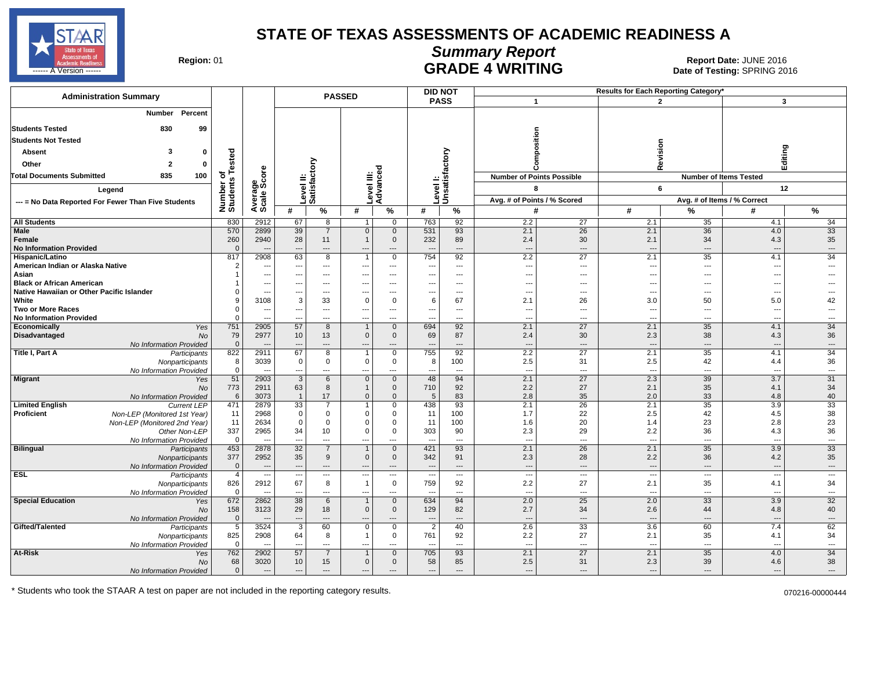

# **Summary Report**

Region: 01 **Region: 01 CALL CONSISTS OF A SET OF A REPORT DATE: JUNE 2016**<br>Date of Testing: SPRING 2016 **GRADE 4 WRITING CONSECTED A VERSUS Date of Testing:** SPRING 2016

| <b>Administration Summary</b>                              |                       |                                  |                                 |                                                      | <b>PASSED</b>                   |                                                      | <b>DID NOT</b>                                     |                                 |                                 |                                  |                                 | <b>Results for Each Reporting Category</b> |                               |                                |
|------------------------------------------------------------|-----------------------|----------------------------------|---------------------------------|------------------------------------------------------|---------------------------------|------------------------------------------------------|----------------------------------------------------|---------------------------------|---------------------------------|----------------------------------|---------------------------------|--------------------------------------------|-------------------------------|--------------------------------|
|                                                            |                       |                                  |                                 |                                                      |                                 |                                                      | <b>PASS</b>                                        |                                 | $\overline{1}$                  |                                  |                                 | $\mathbf{2}$                               | $\mathbf{3}$                  |                                |
| Percent<br>Number                                          |                       |                                  |                                 |                                                      |                                 |                                                      |                                                    |                                 |                                 |                                  |                                 |                                            |                               |                                |
| <b>Students Tested</b><br>830<br>99                        |                       |                                  |                                 |                                                      |                                 |                                                      |                                                    |                                 |                                 |                                  |                                 |                                            |                               |                                |
| <b>Students Not Tested</b>                                 |                       |                                  |                                 |                                                      |                                 |                                                      |                                                    |                                 |                                 |                                  |                                 |                                            |                               |                                |
| 3                                                          |                       |                                  |                                 |                                                      |                                 |                                                      |                                                    |                                 |                                 |                                  |                                 | Revision                                   |                               |                                |
| Absent<br>$\mathbf 0$                                      | of<br>s Tested        |                                  |                                 |                                                      |                                 |                                                      |                                                    |                                 |                                 |                                  |                                 |                                            | Editing                       |                                |
| Other<br>$\overline{2}$<br>0                               |                       |                                  |                                 | δ                                                    |                                 | τ                                                    |                                                    |                                 |                                 |                                  |                                 |                                            |                               |                                |
| 835<br>100<br><b>Total Documents Submitted</b>             |                       | ge<br>Score                      |                                 |                                                      | $\equiv \frac{6}{5}$            |                                                      |                                                    |                                 |                                 | <b>Number of Points Possible</b> |                                 |                                            | <b>Number of Items Tested</b> |                                |
| Legend                                                     | Number of<br>Students |                                  |                                 | Level II:<br>Satisfact                               |                                 | Level II<br>Advand                                   | Level I:<br>Unsatisfactory                         |                                 |                                 | 8                                |                                 | 6                                          | 12                            |                                |
| --- = No Data Reported For Fewer Than Five Students        |                       | Avera<br>Scale                   |                                 |                                                      |                                 |                                                      |                                                    |                                 |                                 | Avg. # of Points / % Scored      |                                 |                                            | Avg. # of Items / % Correct   |                                |
|                                                            |                       |                                  | #                               | $\%$                                                 | #                               | $\%$                                                 | #                                                  | $\%$                            |                                 | #                                | #                               | %                                          | #                             | %                              |
| <b>All Students</b>                                        | 830                   | 2912                             | 67                              | 8                                                    | $\mathbf{1}$                    | $\mathbf 0$                                          | 763                                                | 92                              | 2.2                             | 27                               | 2.1                             | 35                                         | 4.1                           | 34                             |
| Male                                                       | 570                   | 2899                             | 39                              | $\overline{7}$                                       | $\mathbf 0$                     | $\mathbf{0}$                                         | 531                                                | 93                              | 2.1                             | $\overline{26}$                  | 2.1                             | 36                                         | 4.0                           | 33                             |
| Female                                                     | 260                   | 2940                             | 28                              | 11                                                   | $\overline{1}$                  | $\mathbf{0}$                                         | 232                                                | 89                              | 2.4                             | 30                               | 2.1                             | 34                                         | 4.3                           | 35                             |
| <b>No Information Provided</b>                             | $\mathbf{0}$          |                                  | $\overline{a}$                  | ---                                                  | ---                             | ---                                                  |                                                    | $\overline{\phantom{a}}$        | $\overline{a}$                  | $\overline{\phantom{a}}$         | $\overline{\phantom{a}}$        | ---                                        |                               | $\overline{\phantom{a}}$       |
| Hispanic/Latino<br>American Indian or Alaska Native        | 817<br>2              | 2908<br>$\overline{\phantom{a}}$ | 63                              | 8                                                    | $\overline{1}$                  | $\mathbf 0$                                          | 754                                                | 92                              | 2.2                             | 27<br>---                        | 2.1<br>$\overline{\phantom{a}}$ | 35                                         | 4.1<br>---                    | 34<br>---                      |
| Asian                                                      | $\mathbf{1}$          | $\sim$                           | $\overline{\phantom{a}}$<br>--- | $\hspace{0.05cm} \ldots$<br>$\overline{\phantom{a}}$ | $\overline{\phantom{a}}$<br>--- | $\hspace{0.05cm} \ldots$<br>$\overline{\phantom{a}}$ | $\qquad \qquad \cdots$<br>$\overline{\phantom{a}}$ | $\qquad \qquad \cdots$<br>$---$ | $\overline{\phantom{a}}$<br>--- | $\overline{\phantom{a}}$         | $\overline{\phantom{a}}$        | $\overline{\phantom{a}}$<br>---            | $\overline{\phantom{a}}$      | $---$                          |
| <b>Black or African American</b>                           | $\mathbf{1}$          | $\overline{\phantom{a}}$         | ---                             | $\overline{a}$                                       | ---                             | $-$                                                  | $\overline{a}$                                     | $---$                           | $\overline{\phantom{a}}$        | $\overline{a}$                   | $\overline{\phantom{a}}$        | ---                                        | $\overline{a}$                |                                |
| Native Hawaiian or Other Pacific Islander                  | $\Omega$              | $\overline{\phantom{a}}$         | $\overline{\phantom{a}}$        | ---                                                  | ---                             | ---                                                  | $\qquad \qquad \cdots$                             | $\overline{\phantom{a}}$        | $\overline{\phantom{a}}$        | ---                              | $\overline{\phantom{a}}$        | ---                                        | $\overline{\phantom{a}}$      | ---                            |
| White                                                      | 9                     | 3108                             | 3                               | 33                                                   | $\mathbf 0$                     | $\mathbf 0$                                          | 6                                                  | 67                              | 2.1                             | 26                               | 3.0                             | 50                                         | 5.0                           | 42                             |
| <b>Two or More Races</b>                                   | $\mathsf 0$           | $\overline{\phantom{a}}$         | ---                             | $\overline{a}$                                       | ---                             | $\sim$                                               | ---                                                | $\overline{a}$                  | $\overline{a}$                  | $\overline{a}$                   | $\overline{\phantom{a}}$        | ---                                        | $\overline{a}$                | $\overline{a}$                 |
| <b>No Information Provided</b>                             | $\mathbf 0$           | $\overline{\phantom{a}}$         | ---                             | ---                                                  | ---                             | ---                                                  | ---                                                | ---                             | ---                             | ---                              | $\overline{\phantom{a}}$        | ---                                        | ---                           | ---                            |
| Economically<br>Yes                                        | 751                   | 2905                             | 57                              | 8                                                    | $\overline{1}$                  | $\mathbf 0$                                          | 694                                                | 92                              | 2.1                             | 27                               | 2.1                             | 35                                         | 4.1                           | 34                             |
| <b>No</b><br>Disadvantaged                                 | 79                    | 2977                             | 10                              | 13                                                   | $\mathbf 0$                     | $\mathbf{0}$                                         | 69                                                 | 87                              | 2.4                             | 30                               | 2.3                             | 38                                         | 4.3                           | 36                             |
| No Information Provided<br>Title I, Part A<br>Participants | $\overline{0}$<br>822 | 2911                             | ---<br>67                       | ---<br>8                                             | ---<br>$\overline{1}$           | $---$<br>$\mathbf 0$                                 | 755                                                | ---<br>92                       | $\overline{\phantom{a}}$<br>2.2 | $---$<br>27                      | $\overline{\phantom{a}}$<br>2.1 | ---<br>35                                  | 4.1                           | $\overline{\phantom{a}}$<br>34 |
| Nonparticipants                                            | 8                     | 3039                             | $\overline{0}$                  | $\mathbf 0$                                          | $\mathbf 0$                     | $\mathbf 0$                                          | 8                                                  | 100                             | 2.5                             | 31                               | 2.5                             | 42                                         | 4.4                           | 36                             |
| No Information Provided                                    | $\mathsf 0$           | $\overline{\phantom{a}}$         | ---                             | ---                                                  | ---                             | ---                                                  | ---                                                | $\overline{\phantom{a}}$        | $\overline{\phantom{a}}$        | $\overline{\phantom{a}}$         | $\overline{\phantom{a}}$        | ---                                        | $\overline{\phantom{a}}$      | ---                            |
| Migrant<br>Yes                                             | 51                    | 2903                             | $\overline{3}$                  | 6                                                    | $\mathbf 0$                     | $\mathbf{0}$                                         | 48                                                 | 94                              | 2.1                             | 27                               | 2.3                             | 39                                         | $\overline{3.7}$              | 31                             |
| <b>No</b>                                                  | 773                   | 2911                             | 63                              | 8                                                    | $\overline{1}$                  | $\mathbf 0$                                          | 710                                                | 92                              | 2.2                             | 27                               | 2.1                             | 35                                         | 4.1                           | 34                             |
| No Information Provided                                    | 6                     | 3073                             |                                 | 17                                                   | $\overline{0}$                  | $\Omega$                                             | 5                                                  | 83                              | 2.8                             | 35                               | 2.0                             | 33                                         | 4.8                           | 40                             |
| <b>Limited English</b><br><b>Current LEP</b>               | 471                   | 2879                             | 33                              | $\overline{7}$                                       | $\overline{1}$                  | $\Omega$                                             | 438                                                | 93                              | 2.1                             | 26                               | 2.1                             | 35                                         | 3.9                           | 33                             |
| Non-LEP (Monitored 1st Year)<br><b>Proficient</b>          | 11                    | 2968                             | $\overline{0}$<br>$\Omega$      | $\mathbf 0$                                          | $\mathbf 0$<br>$\Omega$         | 0<br>$\Omega$                                        | 11                                                 | 100                             | 1.7                             | 22                               | 2.5                             | 42                                         | 4.5                           | 38                             |
| Non-LEP (Monitored 2nd Year)<br>Other Non-LEP              | 11<br>337             | 2634<br>2965                     | 34                              | $\mathbf 0$<br>10                                    | $\mathbf 0$                     | $\mathbf 0$                                          | 11<br>303                                          | 100<br>90                       | 1.6<br>2.3                      | 20<br>29                         | 1.4<br>2.2                      | 23<br>36                                   | 2.8<br>4.3                    | 23<br>36                       |
| No Information Provided                                    | $\mathbf{0}$          | $\overline{\phantom{a}}$         | ---                             | $\overline{a}$                                       | ---                             | $\overline{a}$                                       |                                                    | $---$                           | $\sim$                          | $---$                            | $\overline{\phantom{a}}$        | ---                                        | $\overline{a}$                | ---                            |
| <b>Bilingual</b><br>Participants                           | 453                   | 2878                             | 32                              | $\overline{7}$                                       | $\overline{1}$                  | $\mathbf{0}$                                         | 421                                                | 93                              | 2.1                             | $\overline{26}$                  | 2.1                             | 35                                         | 3.9                           | 33                             |
| Nonparticipants                                            | 377                   | 2952                             | 35                              | 9                                                    | $\mathbf 0$                     | $\mathbf{0}$                                         | 342                                                | 91                              | 2.3                             | 28                               | 2.2                             | 36                                         | 4.2                           | 35                             |
| <b>No Information Provided</b>                             | $\overline{0}$        |                                  | $\overline{a}$                  | $\overline{\phantom{a}}$                             | ---                             | $\overline{a}$                                       |                                                    | $\overline{a}$                  | $\overline{a}$                  | $---$                            | --                              | $\overline{a}$                             |                               | $\overline{\phantom{a}}$       |
| <b>ESL</b><br>Participants                                 | $\overline{4}$        | $\overline{\phantom{a}}$         | ---                             | ---                                                  | ---                             | $\overline{\phantom{a}}$                             | $\sim$                                             | $\overline{\phantom{a}}$        | $\overline{\phantom{a}}$        | $\cdots$                         | $\overline{\phantom{a}}$        | ---                                        | $\overline{\phantom{a}}$      | ---                            |
| Nonparticipants                                            | 826                   | 2912                             | 67                              | 8                                                    | $\overline{1}$                  | $\mathbf 0$                                          | 759                                                | 92                              | 2.2                             | 27                               | 2.1                             | 35                                         | 4.1                           | 34                             |
| No Information Provided                                    | $\mathbf{0}$          | $\overline{\phantom{a}}$         | ---                             | $\overline{a}$                                       | $\overline{a}$                  | $\overline{\phantom{a}}$                             | $\sim$                                             | $---$                           | $\sim$                          | $---$                            | $\overline{\phantom{a}}$        | ---                                        | $\sim$                        | $\overline{a}$                 |
| <b>Special Education</b><br>Yes<br>No                      | 672<br>158            | 2862<br>3123                     | 38<br>29                        | 6<br>18                                              | $\overline{1}$<br>$\mathbf 0$   | $\mathbf{0}$<br>$\mathbf{0}$                         | 634<br>129                                         | 94<br>82                        | 2.0<br>2.7                      | 25<br>34                         | 2.0<br>2.6                      | 33<br>44                                   | 3.9<br>4.8                    | 32<br>40                       |
| No Information Provided                                    | $\mathbf 0$           |                                  | ---                             | $\overline{\phantom{a}}$                             | $\overline{a}$                  | $\overline{\phantom{a}}$                             | $---$                                              | $\overline{\phantom{a}}$        | $\overline{\phantom{a}}$        | $\overline{\phantom{a}}$         | $\overline{\phantom{a}}$        | $\overline{a}$                             | $\overline{\phantom{a}}$      | $\cdots$                       |
| Gifted/Talented<br>Participants                            | $\overline{5}$        | 3524                             | $\overline{\overline{3}}$       | 60                                                   | $\overline{0}$                  | $\mathbf 0$                                          | $\overline{2}$                                     | 40                              | 2.6                             | $\overline{33}$                  | 3.6                             | 60                                         | 7.4                           | 62                             |
| Nonparticipants                                            | 825                   | 2908                             | 64                              | 8                                                    | $\overline{\mathbf{1}}$         | $\mathbf 0$                                          | 761                                                | 92                              | 2.2                             | 27                               | 2.1                             | 35                                         | 4.1                           | 34                             |
| No Information Provided                                    | $\mathbf 0$           | $\overline{\phantom{a}}$         | ---                             | ---                                                  | ---                             | ---                                                  | $\overline{\phantom{a}}$                           | $\overline{a}$                  | $\overline{\phantom{a}}$        | $\overline{\phantom{a}}$         | $\overline{\phantom{a}}$        | ---                                        | $\overline{\phantom{a}}$      | ---                            |
| At-Risk<br>Yes                                             | 762                   | 2902                             | 57                              | $\overline{7}$                                       | $\overline{1}$                  | $\mathbf{0}$                                         | 705                                                | 93                              | 2.1                             | 27                               | 2.1                             | 35                                         | 4.0                           | 34                             |
| No                                                         | 68                    | 3020                             | 10                              | 15                                                   | $\mathbf 0$                     | $\mathbf{0}$                                         | 58                                                 | 85                              | 2.5                             | 31                               | 2.3                             | 39                                         | 4.6                           | 38                             |
| No Information Provided                                    | $\mathbf{0}$          | $\overline{\phantom{a}}$         | $\overline{a}$                  | ---                                                  | ---                             | $---$                                                | $\hspace{0.05cm} \ldots$                           | $---$                           | $\overline{a}$                  | $---$                            | $\overline{\phantom{a}}$        | ---                                        | $\overline{\phantom{a}}$      | $---$                          |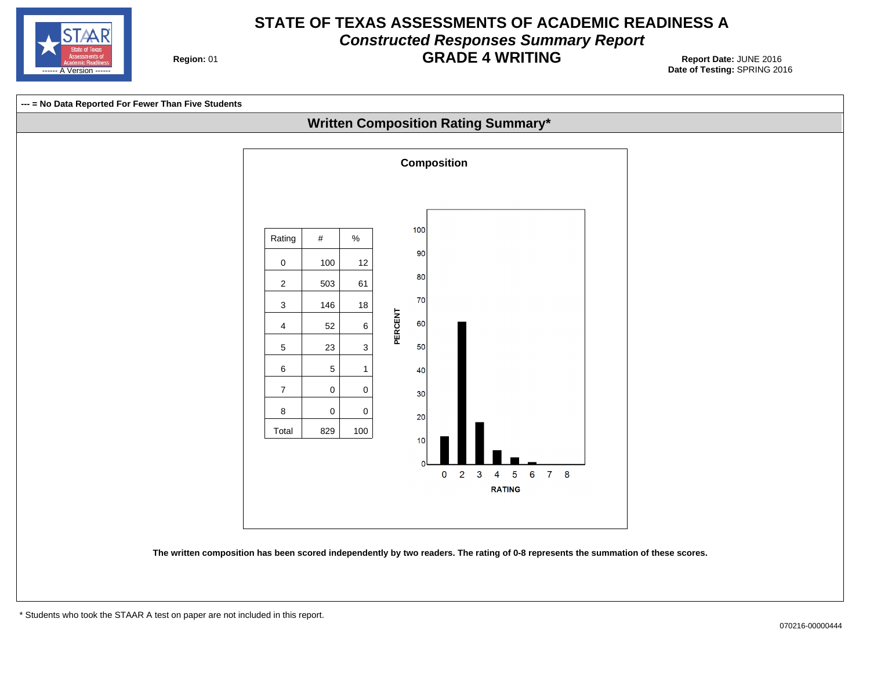

#### **STATE OF TEXAS ASSESSMENTS OF ACADEMIC READINESS A Constructed Responses Summary Report GRADE 4 WRITING** 01 **Report Date:** JUNE 2016

**Region: 01** 

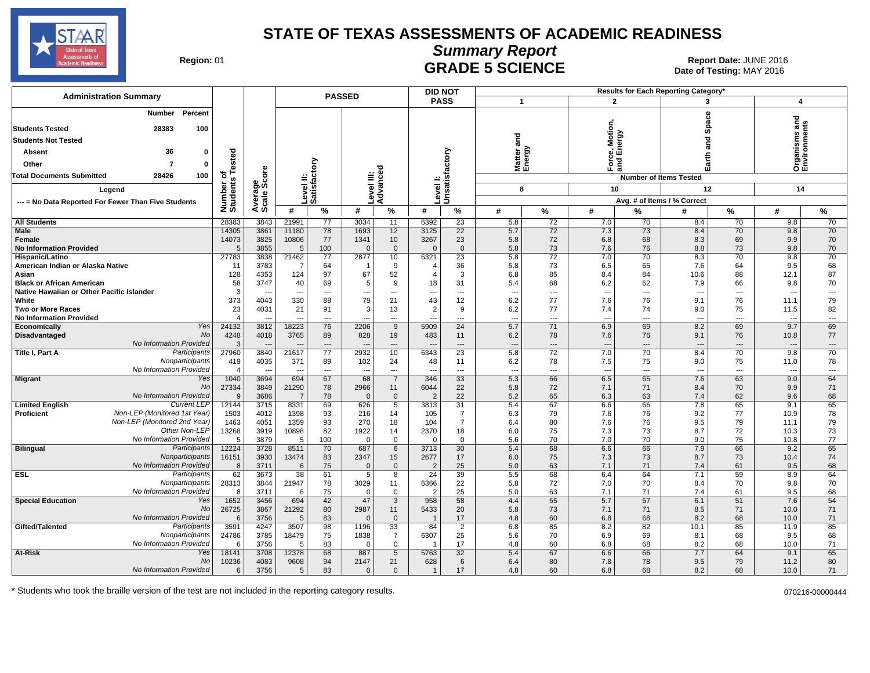

**Summary Report**

Region: 01 **Region: 01 Date: JUNE 2016 CRADE 5 SCIENCE Date: 01 <b>Report Date: JUNE 2016** Date of Testing: MAY 2016

| <b>Administration Summary</b>                                                 |                       |              |                                |                                | <b>PASSED</b>    |                               |                        | <b>DID NOT</b>                     |                                 |                                |                                 |                       | <b>Results for Each Reporting Category</b> |                |                                  |                                |
|-------------------------------------------------------------------------------|-----------------------|--------------|--------------------------------|--------------------------------|------------------|-------------------------------|------------------------|------------------------------------|---------------------------------|--------------------------------|---------------------------------|-----------------------|--------------------------------------------|----------------|----------------------------------|--------------------------------|
|                                                                               |                       |              |                                |                                |                  |                               |                        | <b>PASS</b>                        |                                 | $\mathbf 1$                    | $\overline{2}$                  |                       | 3                                          |                | 4                                |                                |
| Percent<br>Number<br><b>Students Tested</b><br>28383<br>100                   |                       |              |                                |                                |                  |                               |                        |                                    |                                 |                                | Motion                          |                       | Space                                      |                | ᠊ᠣ<br>۴                          | Φ                              |
| <b>Students Not Tested</b>                                                    |                       |              |                                |                                |                  |                               |                        |                                    | and                             |                                |                                 |                       | ត<br>ត                                     |                |                                  |                                |
| 36<br>0<br>Absent                                                             |                       |              |                                |                                |                  |                               |                        |                                    |                                 |                                | ce, Motic<br>Energy             |                       |                                            |                | nisms                            |                                |
| Other<br>7<br>0                                                               | ested                 |              |                                | δ                              |                  |                               |                        | factory                            |                                 | Matter<br>Energy               | Force<br>and I                  |                       | Earth                                      |                | ត្ត<br>កំ<br>កំ                  |                                |
| <b>Total Documents Submitted</b><br>28426<br>100                              | ۴<br>৳                | <b>ore</b>   |                                |                                |                  | Φ                             |                        |                                    |                                 |                                |                                 |                       |                                            |                |                                  |                                |
|                                                                               |                       | န္တီတိ       |                                |                                |                  |                               |                        |                                    |                                 |                                |                                 |                       | <b>Number of Items Tested</b>              |                |                                  |                                |
| Legend                                                                        |                       |              |                                | Level II:<br>Satisfact         |                  | Level III:<br>Advance         | evel                   | Unsatist                           |                                 | 8                              | 10                              |                       | 12                                         |                | 14                               |                                |
| --- = No Data Reported For Fewer Than Five Students                           | Number of<br>Students | Average      |                                |                                |                  |                               |                        |                                    |                                 |                                |                                 |                       | Avg. # of Items / % Correct                |                |                                  |                                |
|                                                                               |                       |              | #                              | %                              | #                | %                             | #                      | $\%$                               | #                               | %                              | #                               | %                     | #                                          | %              | #                                | %                              |
| <b>All Students</b><br><b>Male</b>                                            | 28383<br>14305        | 3843<br>3861 | 21991<br>11180                 | 77<br>78                       | 3034<br>1693     | 11<br>12                      | 6392<br>3125           | $\overline{23}$<br>$\overline{22}$ | 5.8<br>5.7                      | 72<br>72                       | 7.0<br>7.3                      | 70<br>$\overline{73}$ | 8.4<br>8.4                                 | 70<br>70       | 9.8<br>9.8                       | 70<br>70                       |
| Female                                                                        | 14073                 | 3825         | 10806                          | 77                             | 1341             | 10                            | 3267                   | 23                                 | 5.8                             | 72                             | 6.8                             | 68                    | 8.3                                        | 69             | 9.9                              | 70                             |
| <b>No Information Provided</b>                                                | 5                     | 3855         | 5                              | 100                            | $\Omega$         | $\mathbf{0}$                  | $\Omega$               | $\mathbf{0}$                       | 5.8                             | 73                             | 7.6                             | 76                    | 8.8                                        | 73             | 9.8                              | 70                             |
| Hispanic/Latino                                                               | 27783                 | 3838         | 21462                          | 77                             | 2877             | 10                            | 6321                   | $\overline{23}$                    | 5.8                             | $\overline{72}$                | 7.0                             | 70                    | 8.3                                        | 70             | 9.8                              | $\overline{70}$                |
| American Indian or Alaska Native                                              | 11                    | 3783         | $\overline{7}$                 | 64                             |                  | 9                             | $\overline{4}$         | 36                                 | 5.8                             | 73                             | 6.5                             | 65                    | 7.6                                        | 64             | 9.5                              | 68                             |
| Asian                                                                         | 128                   | 4353<br>3747 | 124                            | 97                             | 67<br>5          | 52<br>9                       | $\overline{4}$<br>18   | 3                                  | 6.8                             | 85<br>68                       | 8.4                             | 84                    | 10.6                                       | 88             | 12.1                             | 87<br>70                       |
| <b>Black or African American</b><br>Native Hawaiian or Other Pacific Islander | 58<br>3               |              | 40<br>$\overline{\phantom{a}}$ | 69<br>$\overline{\phantom{a}}$ | ---              | ---                           |                        | 31<br>---                          | 5.4<br>$\overline{\phantom{a}}$ | ---                            | 6.2<br>$\overline{\phantom{a}}$ | 62<br>---             | 7.9<br>--                                  | 66<br>---      | 9.8<br>$\overline{\phantom{a}}$  | $\hspace{0.05cm} \ldots$       |
| White                                                                         | 373                   | 4043         | 330                            | 88                             | 79               | 21                            | 43                     | 12                                 | 6.2                             | 77                             | 7.6                             | 76                    | 9.1                                        | 76             | 11.1                             | 79                             |
| <b>Two or More Races</b>                                                      | 23                    | 4031         | 21                             | 91                             | 3                | 13                            | $\overline{2}$         | 9                                  | 6.2                             | 77                             | 7.4                             | 74                    | 9.0                                        | 75             | 11.5                             | 82                             |
| <b>No Information Provided</b>                                                | $\overline{4}$        |              |                                | $-$                            |                  | $\overline{a}$                |                        | $\overline{a}$                     | $\overline{a}$                  | $\overline{a}$                 | $\overline{a}$                  | ---                   | $\overline{a}$                             | $\overline{a}$ | $\overline{\phantom{a}}$         | $\overline{\phantom{a}}$       |
| Yes<br>Economically<br>No                                                     | 24132                 | 3812         | 18223                          | 76                             | 2206             | $\overline{9}$                | 5909                   | 24                                 | 5.7                             | $\overline{71}$                | 6.9                             | 69                    | 8.2                                        | 69             | 9.7                              | 69                             |
| Disadvantaged<br>No Information Provided                                      | 4248<br>3             | 4018         | 3765                           | 89<br>---                      | 828              | 19<br>---                     | 483                    | 11<br>---                          | 6.2<br>$\overline{\phantom{a}}$ | 78<br>$\overline{\phantom{a}}$ | 7.6<br>$\overline{\phantom{a}}$ | 76<br>---             | 9.1                                        | 76             | 10.8<br>$\overline{\phantom{a}}$ | 77<br>$\hspace{0.05cm} \ldots$ |
| Participants<br>Title I, Part A                                               | 27960                 | 3840         | 21617                          | 77                             | 2932             | 10                            | 6343                   | 23                                 | 5.8                             | 72                             | 7.0                             | 70                    | 8.4                                        | 70             | 9.8                              | 70                             |
| Nonparticipants                                                               | 419                   | 4035         | 371                            | 89                             | 102              | 24                            | 48                     | 11                                 | 6.2                             | 78                             | 7.5                             | 75                    | 9.0                                        | 75             | 11.0                             | 78                             |
| No Information Provided                                                       | $\overline{4}$        | ---          | $\overline{\phantom{a}}$       | $\overline{\phantom{a}}$       | ---              | $\qquad \qquad \cdots$        |                        | $\qquad \qquad \cdots$             | $\overline{\phantom{a}}$        | $\overline{\phantom{a}}$       | --                              | ---                   | ---                                        | ---            | $\hspace{0.05cm} \ldots$         | $\hspace{0.05cm} \ldots$       |
| Yes<br><b>Migrant</b><br><b>No</b>                                            | 1040                  | 3694         | 694                            | 67                             | 68               | $\overline{7}$                | 346                    | $\overline{33}$                    | 5.3                             | 66                             | 6.5                             | 65<br>71              | 7.6                                        | 63             | 9.0                              | 64                             |
| No Information Provided                                                       | 27334<br>9            | 3849<br>3686 | 21290<br>$\overline{7}$        | 78<br>78                       | 2966<br>$\Omega$ | 11<br>$\mathbf{0}$            | 6044<br>$\overline{2}$ | 22<br>22                           | 5.8<br>5.2                      | 72<br>65                       | 7.1<br>6.3                      | 63                    | 8.4<br>7.4                                 | 70<br>62       | 9.9<br>9.6                       | 71<br>68                       |
| <b>Current LEP</b><br><b>Limited English</b>                                  | 12144                 | 3715         | 8331                           | 69                             | 626              | 5                             | 3813                   | 31                                 | 5.4                             | 67                             | 6.6                             | 66                    | 7.8                                        | 65             | 9.1                              | 65                             |
| Non-LEP (Monitored 1st Year)<br><b>Proficient</b>                             | 1503                  | 4012         | 1398                           | 93                             | 216              | 14                            | 105                    | $\overline{7}$                     | 6.3                             | 79                             | 7.6                             | 76                    | 9.2                                        | 77             | 10.9                             | 78                             |
| Non-LEP (Monitored 2nd Year)                                                  | 1463                  | 4051         | 1359                           | 93                             | 270              | 18                            | 104                    | $\overline{7}$                     | 6.4                             | 80                             | 7.6                             | 76                    | 9.5                                        | 79             | 11.1                             | 79                             |
| Other Non-LEP                                                                 | 13268                 | 3919         | 10898                          | 82                             | 1922             | 14                            | 2370                   | 18                                 | 6.0                             | 75                             | 7.3                             | 73                    | 8.7                                        | 72             | 10.3                             | 73                             |
| No Information Provided<br><b>Bilingual</b><br>Participants                   | 5<br>12224            | 3879<br>3728 | 5<br>8511                      | 100<br>70                      | $\Omega$<br>687  | $\mathbf 0$<br>6              | $\Omega$<br>3713       | $\mathbf 0$<br>30                  | 5.6<br>5.4                      | 70<br>68                       | 7.0<br>6.6                      | 70<br>66              | 9.0<br>7.9                                 | 75<br>66       | 10.8<br>9.2                      | 77<br>65                       |
| Nonparticipants                                                               | 16151                 | 3930         | 13474                          | 83                             | 2347             | 15                            | 2677                   | 17                                 | 6.0                             | 75                             | 7.3                             | 73                    | 8.7                                        | 73             | 10.4                             | 74                             |
| No Information Provided                                                       | 8                     | 3711         | 6                              | 75                             | $\Omega$         | $\mathbf{0}$                  | $\overline{2}$         | 25                                 | 5.0                             | 63                             | 7.1                             | 71                    | 7.4                                        | 61             | 9.5                              | 68                             |
| <b>ESL</b><br>Participants                                                    | 62                    | 3673         | 38                             | 61                             | 5                | 8                             | 24                     | 39                                 | 5.5                             | 68                             | 6.4                             | 64                    | 7.1                                        | 59             | 8.9                              | 64                             |
| Nonparticipants                                                               | 28313                 | 3844         | 21947                          | 78                             | 3029             | 11                            | 6366                   | 22                                 | 5.8                             | 72                             | 7.0                             | 70                    | 8.4                                        | 70             | 9.8                              | 70                             |
| No Information Provided<br>Yes                                                | 8                     | 3711         | 6                              | 75                             | $\Omega$         | $\mathbf 0$<br>$\overline{3}$ | $\overline{2}$<br>958  | 25<br>58                           | 5.0<br>4.4                      | 63<br>55                       | 7.1                             | 71<br>57              | 7.4                                        | 61<br>51       | 9.5<br>7.6                       | 68<br>54                       |
| <b>Special Education</b><br><b>No</b>                                         | 1652<br>26725         | 3456<br>3867 | 694<br>21292                   | 42<br>80                       | 47<br>2987       | 11                            | 5433                   | 20                                 | 5.8                             | 73                             | 5.7<br>7.1                      | 71                    | 6.1<br>8.5                                 | 71             | 10.0                             | 71                             |
| No Information Provided                                                       | 6                     | 3756         | 5                              | 83                             | $\Omega$         | $\mathbf{0}$                  | $\overline{1}$         | 17                                 | 4.8                             | 60                             | 6.8                             | 68                    | 8.2                                        | 68             | 10.0                             | 71                             |
| Gifted/Talented<br>Participants                                               | 3591                  | 4247         | 3507                           | 98                             | 1196             | $\overline{33}$               | 84                     | $\overline{2}$                     | 6.8                             | 85                             | 8.2                             | 82                    | 10.1                                       | 85             | 11.9                             | 85                             |
| Nonparticipants                                                               | 24786                 | 3785         | 18479                          | 75                             | 1838             | $\overline{7}$                | 6307                   | 25                                 | 5.6                             | 70                             | 6.9                             | 69                    | 8.1                                        | 68             | 9.5                              | 68                             |
| No Information Provided<br>Yes                                                | -6                    | 3756         | 5                              | 83                             | $\Omega$         | $\mathbf 0$                   |                        | 17                                 | 4.8                             | 60                             | 6.8                             | 68                    | 8.2                                        | 68             | 10.0                             | 71                             |
| At-Risk<br>No                                                                 | 18141<br>10236        | 3708<br>4083 | 12378<br>9608                  | 68<br>94                       | 887<br>2147      | 5<br>21                       | 5763<br>628            | 32<br>6                            | 5.4<br>6.4                      | 67<br>80                       | 6.6<br>7.8                      | 66<br>78              | 7.7<br>9.5                                 | 64<br>79       | 9.1<br>11.2                      | 65<br>80                       |
| No Information Provided                                                       | 6                     | 3756         | 5                              | 83                             | $\Omega$         | $\mathbf{0}$                  | $\mathbf{1}$           | 17                                 | 4.8                             | 60                             | 6.8                             | 68                    | 8.2                                        | 68             | 10.0                             | 71                             |
|                                                                               |                       |              |                                |                                |                  |                               |                        |                                    |                                 |                                |                                 |                       |                                            |                |                                  |                                |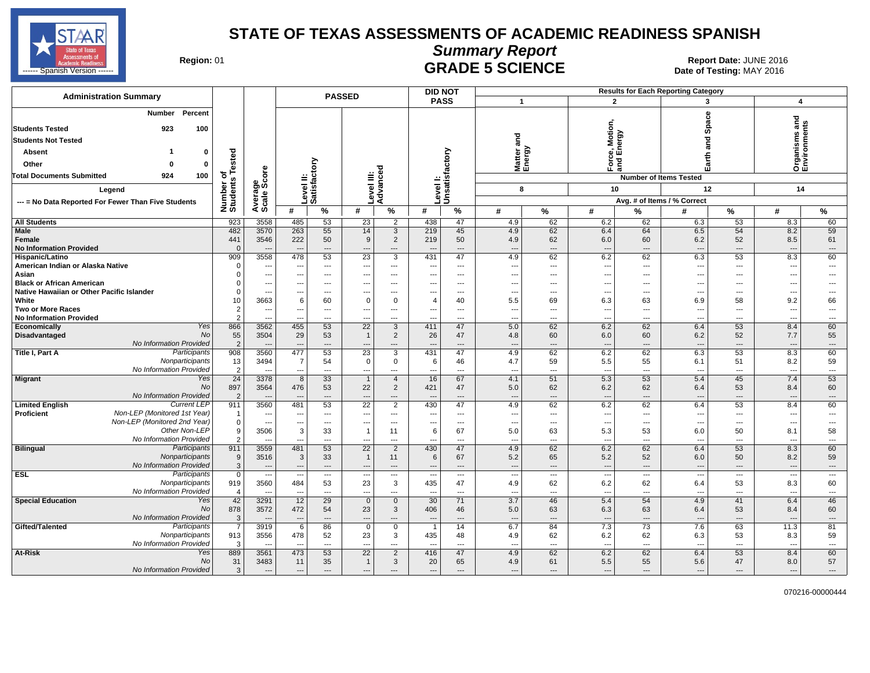

#### **Summary Report**

Region: 01 **Region: 01 Date: JUNE 2016 CRADE 5 SCIENCE Date: 01 <b>Report Date: JUNE 2016** 

| <b>Administration Summary</b>                             |                       |                                  |                                            |                                | <b>PASSED</b>            |                       | <b>DID NOT</b>                  |                          |                                 |                          |                                 |                                | <b>Results for Each Reporting Category</b> |                                |                               |                                |
|-----------------------------------------------------------|-----------------------|----------------------------------|--------------------------------------------|--------------------------------|--------------------------|-----------------------|---------------------------------|--------------------------|---------------------------------|--------------------------|---------------------------------|--------------------------------|--------------------------------------------|--------------------------------|-------------------------------|--------------------------------|
|                                                           |                       |                                  |                                            |                                |                          |                       | <b>PASS</b>                     |                          | $\mathbf{1}$                    |                          | $\overline{2}$                  |                                | 3                                          |                                | 4                             |                                |
| Percent<br>Number<br><b>Students Tested</b><br>923<br>100 |                       |                                  |                                            |                                |                          |                       |                                 |                          |                                 |                          | <b>Motion</b>                   |                                |                                            | Space                          | Ѣ<br>ā,                       | ents                           |
| <b>Students Not Tested</b>                                |                       |                                  |                                            |                                |                          |                       |                                 |                          | and                             |                          |                                 |                                |                                            | and                            | nisms                         |                                |
| Absent<br>$\Omega$                                        |                       |                                  |                                            |                                |                          |                       |                                 |                          | Matter<br>Energy                | බි                       | :e, Motic<br>Energy             |                                |                                            |                                |                               |                                |
| Other<br>0<br>$\Omega$                                    | ested                 |                                  |                                            | δ                              |                          |                       |                                 |                          |                                 |                          |                                 | ់ខ្ល                           |                                            | Earth                          | Organ<br>Envir                |                                |
| 100<br><b>Total Documents Submitted</b><br>924            | ৳                     |                                  |                                            |                                |                          | Ō                     |                                 |                          |                                 |                          |                                 |                                |                                            |                                |                               |                                |
|                                                           | Number of<br>Students | ge<br>Score                      |                                            | evel II:<br>atisfacto          | ≝                        | Advanc                |                                 | Unsatisfactory           |                                 |                          |                                 |                                | <b>Number of Items Tested</b>              |                                |                               |                                |
| Legend                                                    |                       |                                  |                                            |                                | evel                     |                       | evel                            |                          |                                 | 8                        | 10                              |                                | 12                                         |                                | 14                            |                                |
| --- = No Data Reported For Fewer Than Five Students       |                       | Average                          |                                            | ە ت                            |                          |                       |                                 |                          |                                 |                          |                                 |                                | Avg. # of Items / % Correct                |                                |                               |                                |
|                                                           |                       |                                  | #                                          | $\%$                           | #                        | $\%$                  | #                               | $\%$                     | #                               | %                        | #                               | %                              | #                                          | %                              | $\#$                          | %                              |
| <b>All Students</b>                                       | 923                   | 3558                             | 485                                        | 53                             | 23                       | $\overline{2}$        | 438                             | 47                       | 4.9                             | 62                       | 6.2                             | 62                             | 6.3                                        | 53                             | 8.3                           | 60                             |
| Male                                                      | 482                   | 3570                             | 263<br>222                                 | 55                             | 14                       | 3                     | 219                             | 45                       | 4.9                             | 62                       | 6.4                             | 64                             | 6.5                                        | 54                             | 8.2                           | 59                             |
| Female<br><b>No Information Provided</b>                  | 441<br>$\Omega$       | 3546<br>---                      | $\overline{\phantom{a}}$                   | 50<br>---                      | 9<br>---                 | $\overline{2}$<br>--- | 219                             | 50<br>---                | 4.9<br>$\overline{\phantom{a}}$ | 62<br>---                | 6.0<br>$\overline{\phantom{a}}$ | 60<br>$\qquad \qquad \cdots$   | 6.2<br>---                                 | 52<br>$\overline{\phantom{a}}$ | 8.5<br>---                    | 61<br>$\qquad \qquad \cdots$   |
| <b>Hispanic/Latino</b>                                    | 909                   | 3558                             | 478                                        | 53                             | 23                       | 3                     | 431                             | 47                       | 4.9                             | 62                       | 6.2                             | 62                             | 6.3                                        | 53                             | 8.3                           | 60                             |
| American Indian or Alaska Native                          | $\Omega$              | $\overline{\phantom{a}}$         | $\qquad \qquad \cdots$                     | $---$                          | ---                      | ---                   | ---                             | $\hspace{0.05cm} \ldots$ | ---                             | $\overline{\phantom{a}}$ | $---$                           | $\overline{a}$                 | ---                                        | ---                            | $\overline{\phantom{a}}$      | $---$                          |
| Asian                                                     | $\Omega$              | ---                              | ---                                        | ---                            | ---                      | ---                   |                                 | ---                      | $\overline{\phantom{a}}$        | ---                      | ---                             | $\overline{a}$                 | ---                                        | ---                            | ---                           | ---                            |
| <b>Black or African American</b>                          | $\Omega$              | ---                              | ---                                        | $---$                          | ---                      | ---                   | ---                             | $---$                    | $\overline{\phantom{a}}$        | $\overline{a}$           | ---                             | $---$                          | ---                                        | $-$                            | ---                           | $---$                          |
| Native Hawaiian or Other Pacific Islander<br>White        | $\Omega$              | ---<br>3663                      | $\overline{\phantom{a}}$                   | ---                            | ---<br>$\mathbf 0$       | ---<br>$\Omega$       |                                 | $\overline{\phantom{a}}$ | ---                             | ---                      | ---                             | $---$                          | ---                                        | $\overline{\phantom{a}}$       | ---                           | $---$                          |
| <b>Two or More Races</b>                                  | 10<br>$\overline{c}$  | ---                              | 6<br>---                                   | 60<br>$---$                    | ---                      | $---$                 | 4<br>---                        | 40<br>$---$              | 5.5<br>---                      | 69<br>$---$              | 6.3<br>$\overline{\phantom{a}}$ | 63<br>$---$                    | 6.9<br>---                                 | 58<br>$---$                    | 9.2<br>$\overline{a}$         | 66<br>$---$                    |
| <b>No Information Provided</b>                            | $\overline{2}$        | $\overline{a}$                   |                                            | $\overline{a}$                 |                          | ---                   |                                 | $---$                    | ---                             | ---                      | ---                             | $\overline{a}$                 | ---                                        | ---                            | $\overline{\phantom{a}}$      | $\cdots$                       |
| Economically<br>Yes                                       | 866                   | 3562                             | 455                                        | 53                             | $\overline{22}$          | 3                     | 411                             | 47                       | 5.0                             | 62                       | 6.2                             | 62                             | 6.4                                        | 53                             | 8.4                           | 60                             |
| No<br>Disadvantaged                                       | 55                    | 3504                             | 29                                         | 53                             | $\mathbf{1}$             | $\overline{2}$        | 26                              | 47                       | 4.8                             | 60                       | 6.0                             | 60                             | 6.2                                        | 52                             | 7.7                           | 55                             |
| No Information Provided                                   | $\overline{2}$        | $\overline{\phantom{a}}$         |                                            | ---                            |                          | ---                   |                                 | $---$                    | ---                             | $\overline{a}$           | $\overline{a}$                  | $\overline{a}$                 | ---                                        | $\overline{\phantom{a}}$       | $\qquad \qquad \cdots$        | $\cdots$                       |
| Participants<br>Title I, Part A                           | 908                   | 3560                             | 477                                        | 53                             | 23                       | 3                     | 431                             | 47                       | 4.9                             | 62                       | 6.2                             | 62                             | 6.3                                        | 53                             | 8.3                           | 60                             |
| Nonparticipants<br>No Information Provided                | 13<br>$\overline{2}$  | 3494                             | $\overline{7}$<br>$\overline{\phantom{a}}$ | 54<br>---                      | $\mathbf 0$<br>---       | 0<br>---              | 6                               | 46<br>---                | 4.7<br>$\overline{\phantom{a}}$ | 59<br>---                | 5.5<br>$\overline{\phantom{a}}$ | 55<br>$\overline{a}$           | 6.1<br>---                                 | 51<br>---                      | 8.2<br>$\qquad \qquad \cdots$ | 59<br>$\hspace{0.05cm} \ldots$ |
| Migrant<br>Yes                                            | 24                    | 3378                             | 8                                          | 33                             | $\mathbf{1}$             | $\overline{4}$        | 16                              | 67                       | 4.1                             | 51                       | 5.3                             | 53                             | 5.4                                        | 45                             | 7.4                           | 53                             |
| No                                                        | 897                   | 3564                             | 476                                        | 53                             | 22                       | $\overline{2}$        | 421                             | 47                       | 5.0                             | 62                       | 6.2                             | 62                             | 6.4                                        | 53                             | 8.4                           | 60                             |
| No Information Provided                                   | $\overline{2}$        | ---                              |                                            | ---                            | ---                      | ---                   |                                 | ---                      | $\cdots$                        | ---                      | $\hspace{1.5cm} \cdots$         | $\overline{\phantom{a}}$       | $\overline{\phantom{a}}$                   | $\overline{\phantom{a}}$       | $\hspace{1.5cm} \ldots$       | $\cdots$                       |
| <b>Current LEP</b><br><b>Limited English</b>              | 911                   | 3560                             | 481                                        | 53                             | 22                       | 2                     | 430                             | 47                       | 4.9                             | 62                       | 6.2                             | 62                             | 6.4                                        | 53                             | 8.4                           | 60                             |
| Non-LEP (Monitored 1st Year)<br>Proficient                | $\overline{1}$        | ---                              | $\overline{\phantom{a}}$                   | ---                            | ---                      | ---                   |                                 | ---                      | ---                             | ---                      | $\overline{\phantom{a}}$        | $\overline{a}$                 | ---                                        | ---                            | $\overline{\phantom{a}}$      | $---$                          |
| Non-LEP (Monitored 2nd Year)<br>Other Non-LEP             | $\mathbf 0$<br>9      | $\overline{\phantom{a}}$<br>3506 | $---$<br>3                                 | $---$<br>33                    | ---<br>$\mathbf{1}$      | $\cdots$<br>11        | ---<br>6                        | $\cdots$<br>67           | $\overline{\phantom{a}}$<br>5.0 | ---<br>63                | $\overline{\phantom{a}}$<br>5.3 | $\hspace{0.05cm} \ldots$<br>53 | ---<br>6.0                                 | $---$<br>50                    | ---<br>8.1                    | $\overline{\phantom{a}}$<br>58 |
| No Information Provided                                   | $\overline{2}$        | ---                              | $\overline{a}$                             | ---                            | $\overline{a}$           | ---                   |                                 | $\overline{a}$           | $\overline{a}$                  | ---                      | $\overline{\phantom{a}}$        | $\overline{a}$                 | $\overline{a}$                             | $\overline{a}$                 | $\overline{a}$                | $\overline{\phantom{a}}$       |
| <b>Bilingual</b><br>Participants                          | 911                   | 3559                             | 481                                        | 53                             | $\overline{22}$          | $\overline{2}$        | 430                             | 47                       | 4.9                             | 62                       | 6.2                             | 62                             | 6.4                                        | 53                             | 8.3                           | 60                             |
| Nonparticipants                                           | 9                     | 3516                             | 3                                          | 33                             | $\mathbf{1}$             | 11                    | 6                               | 67                       | 5.2                             | 65                       | 5.2                             | 52                             | 6.0                                        | 50                             | 8.2                           | 59                             |
| No Information Provided                                   | $\mathbf{3}$          | ---                              | $\overline{\phantom{a}}$                   | $\cdots$                       | ---                      | $\cdots$              | ---                             | $\cdots$                 | $\overline{\phantom{a}}$        | ---                      | $\overline{\phantom{a}}$        | $\qquad \qquad \cdots$         | ---                                        | $\overline{\phantom{a}}$       | $\qquad \qquad \cdots$        | $\cdots$                       |
| <b>ESL</b><br>Participants                                | $\mathbf 0$           | $\overline{\phantom{a}}$         | $---$                                      | $\overline{\phantom{a}}$       | $\hspace{0.05cm} \ldots$ | $\sim$                | $\overline{\phantom{a}}$        | $\sim$                   | ---                             | $\overline{\phantom{a}}$ | $\overline{\phantom{a}}$        | $---$                          | $\overline{\phantom{a}}$                   | $\overline{\phantom{a}}$       | $\overline{\phantom{a}}$      | $\cdots$                       |
| Nonparticipants<br>No Information Provided                | 919<br>$\overline{4}$ | 3560                             | 484<br>$\overline{a}$                      | 53<br>$\overline{\phantom{a}}$ | 23<br>$\overline{a}$     | 3<br>---              | 435<br>$\overline{\phantom{a}}$ | 47<br>$\overline{a}$     | 4.9<br>$\overline{a}$           | 62<br>$\overline{a}$     | 6.2<br>$\overline{\phantom{a}}$ | 62<br>$\overline{a}$           | 6.4<br>$\overline{a}$                      | 53<br>$\overline{\phantom{a}}$ | 8.3<br>$\overline{a}$         | 60<br>$---$                    |
| <b>Special Education</b><br>Yes                           | 42                    | 3291                             | 12                                         | 29                             | $\mathbf 0$              | $\mathbf{0}$          | 30                              | 71                       | 3.7                             | 46                       | 5.4                             | 54                             | 4.9                                        | 41                             | 6.4                           | 46                             |
| No                                                        | 878                   | 3572                             | 472                                        | 54                             | 23                       | 3                     | 406                             | 46                       | 5.0                             | 63                       | 6.3                             | 63                             | 6.4                                        | 53                             | 8.4                           | 60                             |
| No Information Provided                                   | 3                     | $\overline{\phantom{a}}$         | $---$                                      | ---                            | $\overline{a}$           | ---                   |                                 | $---$                    | $\overline{\phantom{a}}$        | $\overline{a}$           | $\overline{a}$                  | $\overline{a}$                 | ---                                        | $\overline{\phantom{a}}$       | $\overline{a}$                | $\cdots$                       |
| Gifted/Talented<br>Participants                           | $\overline{7}$        | 3919                             | 6                                          | 86                             | $\mathbf 0$              | $\mathbf 0$           | -1                              | 14                       | 6.7                             | 84                       | 7.3                             | 73                             | 7.6                                        | 63                             | 11.3                          | 81                             |
| Nonparticipants                                           | 913                   | 3556                             | 478                                        | 52                             | 23                       | 3                     | 435                             | 48                       | 4.9                             | 62                       | 6.2                             | 62                             | 6.3                                        | 53                             | 8.3                           | 59                             |
| No Information Provided<br>Yes                            | -3                    |                                  |                                            | ---                            |                          | ---                   |                                 | $\overline{\phantom{a}}$ | ---                             | ---                      | $\overline{\phantom{a}}$        | $\overline{a}$                 |                                            | ---                            | $\overline{a}$                | $\cdots$                       |
| At-Risk<br>No                                             | 889<br>31             | 3561<br>3483                     | 473<br>11                                  | 53<br>35                       | 22<br>$\mathbf{1}$       | $\overline{2}$<br>3   | 416<br>20                       | 47<br>65                 | 4.9<br>4.9                      | 62<br>61                 | 6.2<br>5.5                      | 62<br>55                       | 6.4<br>5.6                                 | 53<br>47                       | 8.4<br>8.0                    | 60<br>57                       |
| No Information Provided                                   | $\mathbf{3}$          | $\overline{a}$                   | $\overline{\phantom{a}}$                   | $---$                          | $\overline{a}$           | $---$                 | ---                             | $\overline{a}$           | $\overline{\phantom{a}}$        | ---                      | $\overline{a}$                  | $\overline{a}$                 | $\overline{\phantom{a}}$                   | $---$                          | $---$                         | $---$                          |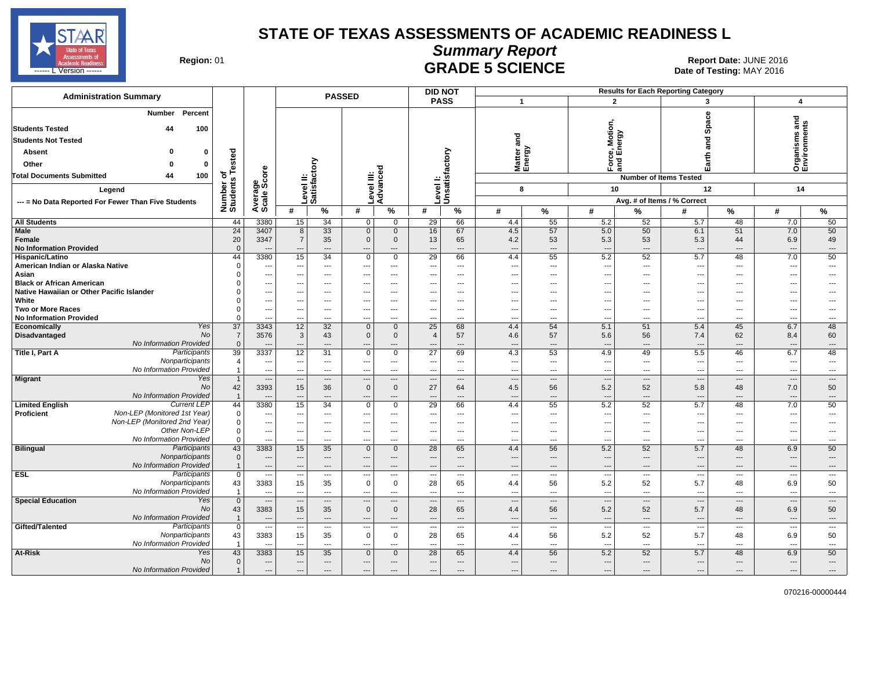

## **Summary Report**

Region: 01 **Region: 01 Date: JUNE 2016 CRADE 5 SCIENCE Date: 01 <b>Report Date: JUNE 2016** 

| <b>Administration Summary</b>                                                                 |                                |                          |                          |                          | <b>PASSED</b>                 |                         | <b>DID NOT</b>                |                            |                                 |                          |                          |                                     | <b>Results for Each Reporting Category</b> |                |                                     |                                |
|-----------------------------------------------------------------------------------------------|--------------------------------|--------------------------|--------------------------|--------------------------|-------------------------------|-------------------------|-------------------------------|----------------------------|---------------------------------|--------------------------|--------------------------|-------------------------------------|--------------------------------------------|----------------|-------------------------------------|--------------------------------|
|                                                                                               |                                |                          |                          |                          |                               |                         | <b>PASS</b>                   |                            | $\mathbf{1}$                    |                          | $\overline{2}$           |                                     | 3                                          |                | 4                                   |                                |
| Percent<br><b>Number</b><br><b>Students Tested</b><br>44<br>100<br><b>Students Not Tested</b> |                                |                          |                          |                          |                               |                         |                               |                            | and                             |                          | Motion,                  | ergy                                | ပ္ပ<br>Š<br>ഗ<br>and                       |                | ᠊ᠣ<br>Organisms and<br>Environments |                                |
| <b>Absent</b><br>$\Omega$                                                                     |                                |                          |                          |                          |                               |                         |                               |                            |                                 |                          |                          | و و                                 |                                            |                |                                     |                                |
| Other<br>n<br>0                                                                               | ested                          |                          |                          | δ                        |                               | ъ                       |                               |                            | Matter a<br>Energy              |                          | Forc<br>and I            |                                     | arth                                       |                |                                     |                                |
| 44<br><b>Total Documents Submitted</b><br>100                                                 | ⊢<br>৳<br>s,                   | ge<br>Score              |                          |                          | Ë                             | ō                       |                               |                            |                                 |                          |                          |                                     | ш<br><b>Number of Items Tested</b>         |                |                                     |                                |
| Legend                                                                                        | Number<br>Students             |                          | .evel II:<br>satisfacto  |                          | Level III:<br>Advance         |                         |                               | Level I:<br>Unsatisfactory | 8                               |                          | 10                       |                                     | 12                                         |                | 14                                  |                                |
| --- = No Data Reported For Fewer Than Five Students                                           |                                | Average                  |                          | ة ت                      |                               |                         |                               |                            |                                 |                          |                          |                                     | Avg. # of Items / % Correct                |                |                                     |                                |
|                                                                                               |                                |                          | #                        | $\%$                     | #                             | $\overline{\gamma}$     | #                             | $\%$                       | #                               | $\%$                     | #                        | %                                   | #                                          | %              | #                                   | $\%$                           |
| <b>All Students</b>                                                                           | 44                             | 3380                     | 15                       | 34                       | $\mathbf 0$                   | 0                       | 29                            | 66                         | 4.4                             | 55                       | 5.2                      | 52                                  | 5.7                                        | 48             | 7.0                                 | 50                             |
| Male                                                                                          | $\overline{24}$                | 3407                     | 8                        | 33                       | $\mathbf 0$                   | $\mathbf 0$             | 16                            | 67                         | 4.5                             | 57                       | 5.0                      | 50                                  | 6.1                                        | 51             | 7.0                                 | 50                             |
| Female                                                                                        | 20                             | 3347                     | $\overline{7}$           | 35                       | $\mathbf 0$                   | $\mathbf 0$             | 13                            | 65                         | 4.2                             | 53                       | 5.3                      | 53                                  | 5.3                                        | 44             | 6.9                                 | 49                             |
| <b>No Information Provided</b>                                                                | $\Omega$                       |                          | ---                      | ---                      | $\overline{\phantom{a}}$      | ---                     | ---                           | ---                        | $\overline{\phantom{a}}$        | $\overline{\phantom{a}}$ | $\overline{\phantom{a}}$ | $\overline{\phantom{a}}$            | ---                                        | ---            | $\overline{\phantom{a}}$            | $\cdots$                       |
| Hispanic/Latino                                                                               | 44                             | 3380                     | 15                       | 34                       | $\mathsf 0$                   | $\mathbf 0$             | 29                            | 66                         | 4.4                             | 55                       | 5.2                      | 52                                  | 5.7                                        | 48             | 7.0                                 | 50                             |
| American Indian or Alaska Native                                                              | $\Omega$                       | ---                      | $\qquad \qquad -$        | $---$                    | ---                           | $\cdots$                | ---                           | ---                        |                                 | $\overline{\phantom{a}}$ | $\overline{\phantom{a}}$ | $---$                               | ---                                        | ---            | $\qquad \qquad \cdots$              | ---                            |
| Asian                                                                                         | $\Omega$                       | ---                      | ---                      | $---$                    | ---                           | $\cdots$                | ---                           | $\cdots$                   | $\overline{a}$                  | $\overline{\phantom{a}}$ | ---                      | $\cdots$                            | ---                                        | ---            | $---$                               | $\overline{\phantom{a}}$       |
| <b>Black or African American</b>                                                              | $\Omega$                       | ---                      | $\overline{a}$           | $\overline{a}$           | ---                           | $---$                   | --                            | $\overline{a}$             |                                 | $\overline{a}$           | $\sim$                   | $\sim$                              | ---                                        | ---            | $\sim$                              | $\overline{a}$                 |
| Native Hawaiian or Other Pacific Islander                                                     |                                | ---                      | ---                      | ---                      | ---                           | $\cdots$                | ---                           | $\cdots$                   |                                 | $\overline{\phantom{a}}$ | $\overline{\phantom{a}}$ | $\overline{a}$                      | ---                                        | ---            | $\qquad \qquad \cdots$              | ---                            |
| White                                                                                         |                                | ---                      | ---                      | $---$                    | $---$                         | $\cdots$                | $\overline{\phantom{a}}$      | ---                        |                                 | $---$                    | $\overline{\phantom{a}}$ | $---$                               | ---                                        | ---            | $\overline{\phantom{a}}$            | $---$                          |
| Two or More Races                                                                             | $\Omega$                       | $\overline{\phantom{a}}$ | ---                      | $---$                    | ---                           | $---$                   | ---                           | $---$                      | ---                             | $\overline{\phantom{a}}$ | ---                      | $---$                               | ---                                        | ---            | $\overline{\phantom{a}}$            | $\overline{a}$                 |
| <b>No Information Provided</b>                                                                | $\Omega$                       | ---                      |                          | ---                      |                               | $\overline{a}$          |                               | ---                        | ---                             |                          | $\overline{\phantom{a}}$ | $\overline{a}$                      | ---                                        | ---            | ---                                 | ---                            |
| Yes<br>Economically<br>N <sub>O</sub>                                                         | $\overline{37}$                | 3343                     | 12                       | 32                       | $\mathbf 0$                   | $\mathbf 0$             | 25                            | 68                         | 4.4                             | 54                       | 5.1                      | 51                                  | 5.4                                        | 45             | 6.7                                 | 48                             |
| Disadvantaged<br>No Information Provided                                                      | $\overline{7}$<br>$\mathbf{0}$ | 3576                     | $\mathbf{3}$             | 43                       | $\mathbf 0$                   | $\mathbf 0$             | $\overline{4}$                | 57                         | 4.6                             | 57                       | 5.6                      | 56                                  | 7.4                                        | 62             | 8.4                                 | 60                             |
| Participants<br>Title I, Part A                                                               | 39                             | 3337                     | ---<br>12                | ---<br>31                | ---<br>$\mathbf 0$            | $\cdots$<br>$\mathbf 0$ | 27                            | $---$<br>69                | $\overline{\phantom{a}}$<br>4.3 | $---$<br>53              | ---<br>4.9               | $\hspace{1.5cm} \textbf{---}$<br>49 | ---<br>5.5                                 | ---<br>46      | $\overline{\phantom{a}}$<br>6.7     | $\cdots$<br>48                 |
| Nonparticipants                                                                               | $\overline{4}$                 | $\overline{\phantom{a}}$ | ---                      | ---                      | ---                           | ---                     | ---                           | ---                        | ---                             | $\overline{\phantom{a}}$ | ---                      | $\overline{a}$                      | ---                                        | ---            | $\overline{\phantom{a}}$            | ---                            |
| No Information Provided                                                                       | $\overline{1}$                 | ---                      | ---                      | ---                      | ---                           | ---                     | ---                           | ---                        | $\overline{\phantom{a}}$        | $\sim$                   | $\overline{\phantom{a}}$ | $\overline{\phantom{a}}$            | ---                                        | ---            | $\overline{\phantom{a}}$            | $\overline{\phantom{a}}$       |
| <b>Migrant</b><br>Yes                                                                         | $\overline{1}$                 | $\overline{\phantom{a}}$ | $\overline{\phantom{a}}$ | $\overline{\phantom{a}}$ | $\overline{\phantom{a}}$      | $---$                   | ---                           | $\cdots$                   | $\sim$                          | $---$                    | $\overline{\phantom{a}}$ | $\qquad \qquad \cdots$              | $\cdots$                                   | ---            | $\hspace{0.05cm} \cdots$            | $\overline{\phantom{a}}$       |
| N <sub>O</sub>                                                                                | 42                             | 3393                     | 15                       | 36                       | $\mathbf 0$                   | $\mathbf{0}$            | 27                            | 64                         | 4.5                             | 56                       | 5.2                      | 52                                  | 5.8                                        | 48             | 7.0                                 | 50                             |
| No Information Provided                                                                       | $\overline{1}$                 | ---                      | ---                      | $---$                    | $---$                         | $\cdots$                | $---$                         | $---$                      | $\overline{\phantom{a}}$        | $---$                    | $\overline{\phantom{a}}$ | $\overline{\phantom{a}}$            | $\overline{\phantom{a}}$                   | ---            | $---$                               | $\cdots$                       |
| <b>Current LEP</b><br><b>Limited English</b>                                                  | 44                             | 3380                     | 15                       | 34                       | $\Omega$                      | $\mathbf 0$             | 29                            | 66                         | 4.4                             | 55                       | 5.2                      | 52                                  | 5.7                                        | 48             | 7.0                                 | 50                             |
| Non-LEP (Monitored 1st Year)<br><b>Proficient</b>                                             | $\mathbf{0}$                   | ---                      | ---                      | $\cdots$                 | ---                           | ---                     | $---$                         | ---                        |                                 | $\sim$                   | $\overline{\phantom{a}}$ | $\cdots$                            | ---                                        | ---            | $\overline{\phantom{a}}$            | $\hspace{0.05cm} \ldots$       |
| Non-LEP (Monitored 2nd Year)                                                                  | $\mathbf 0$                    | $\overline{\phantom{a}}$ | ---                      | $\overline{\phantom{a}}$ | $---$                         | $---$                   | $---$                         | $---$                      | $\sim$                          | $\overline{a}$           | $\overline{\phantom{a}}$ | $---$                               | ---                                        | ---            | $\overline{\phantom{a}}$            | $\overline{\phantom{a}}$       |
| Other Non-LEP                                                                                 | $\mathbf 0$                    | ---                      | ---                      | ---                      | ---                           | ---                     | ---                           | ---                        | ---                             | $\overline{a}$           | $\overline{\phantom{a}}$ | $\overline{a}$                      | ---                                        | ---            | $---$                               | $\hspace{0.05cm} \ldots$       |
| No Information Provided                                                                       | $\Omega$                       | ---                      | $\overline{a}$           | $---$                    | $---$                         | $---$                   | $---$                         | $\overline{a}$             | $\overline{a}$                  | $\overline{a}$           | $\overline{a}$           | $\overline{a}$                      | ---                                        | ---            | $---$                               | $\overline{a}$                 |
| <b>Bilingual</b><br>Participants                                                              | 43                             | 3383                     | 15                       | 35                       | $\mathbf 0$                   | $\mathbf 0$             | 28                            | 65                         | 4.4                             | 56                       | 5.2                      | 52                                  | 5.7                                        | 48             | 6.9                                 | 50                             |
| Nonparticipants<br>No Information Provided                                                    | $\mathbf 0$                    | ---                      | $\overline{\phantom{a}}$ | ---                      | ---                           | ---                     |                               | ---                        |                                 | $\overline{\phantom{a}}$ | $\overline{\phantom{a}}$ | $\hspace{1.5cm} \cdots$             | ---                                        | ---            | $\overline{\phantom{a}}$            | ---                            |
| <b>ESL</b><br>Participants                                                                    | $\overline{1}$<br>$\mathbf 0$  | $\overline{a}$           |                          | $---$                    |                               | $---$                   | ---                           | $\overline{a}$             | ---                             | $\sim$                   | $\overline{a}$           | $\overline{a}$                      | $\overline{a}$<br>---                      | ---            | $\overline{\phantom{a}}$            | $\overline{a}$                 |
| Nonparticipants                                                                               | 43                             | 3383                     | ---<br>15                | $---$<br>35              | $\overline{a}$<br>$\mathbf 0$ | ---<br>$\mathbf 0$      | 28                            | ---<br>65                  | 4.4                             | 56                       | ---<br>5.2               | $\overline{\phantom{a}}$<br>52      | 5.7                                        | ---<br>48      | $\overline{\phantom{a}}$<br>6.9     | $\overline{\phantom{a}}$<br>50 |
| No Information Provided                                                                       | $\overline{1}$                 | $\overline{a}$           | ---                      | $\overline{a}$           | $\overline{a}$                | $---$                   | ---                           | $\overline{a}$             | $\sim$                          | $\overline{a}$           | $\overline{a}$           | $\overline{a}$                      | ---                                        | ---            | $\overline{a}$                      | $-$                            |
| <b>Special Education</b><br>Yes                                                               | $\overline{0}$                 | $\overline{\phantom{a}}$ | $\overline{a}$           | $---$                    | $\overline{\phantom{a}}$      | ---                     | $\overline{\phantom{a}}$      | ---                        | $\overline{\phantom{a}}$        | $---$                    | $\overline{\phantom{a}}$ | $\overline{\phantom{a}}$            | $\overline{\phantom{a}}$                   | ---            | $\qquad \qquad \cdots$              | $\cdots$                       |
| <b>No</b>                                                                                     | 43                             | 3383                     | 15                       | 35                       | $\mathbf{0}$                  | $\mathbf{0}$            | 28                            | 65                         | 4.4                             | 56                       | 5.2                      | 52                                  | 5.7                                        | 48             | 6.9                                 | 50                             |
| No Information Provided                                                                       | $\overline{1}$                 | $\overline{a}$           | ---                      | $---$                    | $---$                         | $\cdots$                | $---$                         | $\cdots$                   | $---$                           | $---$                    | $\overline{\phantom{a}}$ | $\overline{\phantom{a}}$            | $\overline{\phantom{a}}$                   | ---            | $---$                               | $\cdots$                       |
| Gifted/Talented<br>Participants                                                               | $\overline{0}$                 | ---                      | ---                      | $---$                    | ---                           | ---                     | ---                           | ---                        | ---                             | $\overline{\phantom{a}}$ | ---                      | $\overline{\phantom{a}}$            | $\overline{\phantom{a}}$                   | $\overline{a}$ | $\overline{\phantom{a}}$            | $\cdots$                       |
| Nonparticipants                                                                               | 43                             | 3383                     | 15                       | 35                       | $\mathbf 0$                   | $\mathbf 0$             | 28                            | 65                         | 4.4                             | 56                       | 5.2                      | 52                                  | 5.7                                        | 48             | 6.9                                 | 50                             |
| No Information Provided                                                                       | $\overline{1}$                 |                          | ---                      | ---                      | $---$                         | $\overline{a}$          |                               | ---                        | $\overline{a}$                  | $\sim$                   | $\overline{\phantom{a}}$ | $\overline{\phantom{a}}$            | ---                                        | ---            | $\overline{\phantom{a}}$            | $\overline{\phantom{a}}$       |
| At-Risk<br>Yes                                                                                | 43                             | 3383                     | 15                       | 35                       | $\Omega$                      | $\mathbf{0}$            | 28                            | 65                         | 4.4                             | 56                       | 5.2                      | 52                                  | 5.7                                        | 48             | 6.9                                 | 50                             |
| No                                                                                            | $\mathbf{0}$                   | ---                      | ---                      | ---                      | $\hspace{1.5cm} \textbf{---}$ | $\cdots$                | $\hspace{1.5cm} \textbf{---}$ | ---                        | $---$                           | $\overline{\phantom{a}}$ | $\overline{\phantom{a}}$ | $\overline{\phantom{a}}$            | ---                                        | ---            | $---$                               | ---                            |
| No Information Provided                                                                       |                                | ---                      | $---$                    | $- - -$                  | $---$                         | $---$                   | $---$                         | $---$                      | $\overline{\phantom{a}}$        | ---                      | $\overline{a}$           | $---$                               | $---$                                      | ---            | $\overline{a}$                      | ---                            |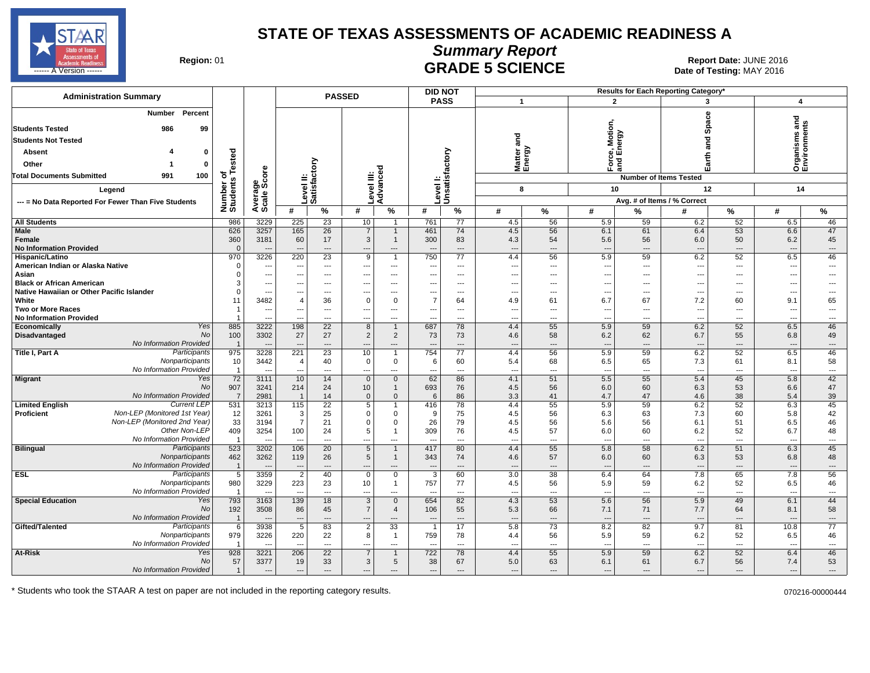

### **Summary Report**

Region: 01 **Region: 01 Date: JUNE 2016 GRADE 5 SCIENCE Date: 01 <b>Report Date: JUNE 2016** 

| <b>Administration Summary</b>                                              |                         |                          |                                            |                                             | <b>PASSED</b>              |                                  |                                 | <b>DID NOT</b>           |                                 |                                |                                 |                    | Results for Each Reporting Category' |                                |                                 |                                |
|----------------------------------------------------------------------------|-------------------------|--------------------------|--------------------------------------------|---------------------------------------------|----------------------------|----------------------------------|---------------------------------|--------------------------|---------------------------------|--------------------------------|---------------------------------|--------------------|--------------------------------------|--------------------------------|---------------------------------|--------------------------------|
|                                                                            |                         |                          |                                            |                                             |                            |                                  |                                 | <b>PASS</b>              |                                 | $\mathbf 1$                    |                                 | $\overline{2}$     | 3                                    |                                |                                 | $\overline{4}$                 |
| Percent<br><b>Number</b><br><b>Students Tested</b><br>986<br>99            |                         |                          |                                            |                                             |                            |                                  |                                 |                          |                                 |                                | Motion                          |                    | 8<br>Spa                             |                                | 5<br>ā                          | ิิ                             |
| <b>Students Not Tested</b>                                                 |                         |                          |                                            |                                             |                            |                                  |                                 |                          | and                             |                                |                                 |                    | ក្ខ<br>ត                             |                                | nisms                           |                                |
| Absent<br>0                                                                |                         |                          |                                            |                                             |                            |                                  |                                 |                          |                                 | ඝ<br>Matter<br>Energy          |                                 | e, Motic<br>Energy |                                      |                                |                                 |                                |
| Other<br>$\Omega$<br>-1                                                    | ested                   |                          |                                            | ξ                                           |                            |                                  |                                 |                          |                                 |                                |                                 | Ford<br>and        | Earth                                |                                | Organ<br>Envir                  |                                |
| <b>Total Documents Submitted</b><br>991<br>100                             | ۴<br>৳                  | ore                      |                                            |                                             | ≝ ອ                        | ъ                                |                                 |                          |                                 |                                |                                 |                    |                                      |                                |                                 |                                |
|                                                                            | Number of<br>Students   | န္တပ္တိ                  |                                            | Level II:<br>Satisfact                      | Level III:<br>Advance      |                                  |                                 | Unsatisfactory           |                                 |                                |                                 |                    | <b>Number of Items Tested</b>        |                                |                                 |                                |
| Leaend                                                                     |                         |                          |                                            |                                             |                            |                                  | evel                            |                          |                                 | 8                              |                                 | 10                 | 12                                   |                                | 14                              |                                |
| --- = No Data Reported For Fewer Than Five Students                        |                         | Average:                 |                                            |                                             |                            |                                  |                                 |                          |                                 |                                |                                 |                    | Avg. # of Items / % Correct          |                                |                                 |                                |
|                                                                            |                         |                          | #                                          | %                                           | #                          | %                                | #                               | %                        | #                               | %                              | #                               | %                  | #                                    | %                              | #                               | $\%$                           |
| <b>All Students</b>                                                        | 986                     | 3229                     | 225                                        | 23                                          | 10                         | $\overline{1}$                   | 761                             | 77                       | 4.5                             | 56                             | 5.9                             | 59                 | 6.2                                  | 52                             | 6.5                             | 46                             |
| Male<br>Female                                                             | 626<br>360              | 3257<br>3181             | 165<br>60                                  | 26<br>17                                    | $\overline{7}$<br>3        | $\mathbf{1}$<br>$\mathbf{1}$     | 461<br>300                      | 74<br>83                 | 4.5<br>4.3                      | 56<br>54                       | 6.1<br>5.6                      | 61<br>56           | 6.4<br>6.0                           | 53<br>50                       | 6.6<br>6.2                      | 47<br>45                       |
| <b>No Information Provided</b>                                             | $\Omega$                |                          | $\overline{a}$                             | ---                                         | ---                        | ---                              |                                 | ---                      | ---                             | $\overline{\phantom{a}}$       | ---                             | ---                |                                      | $\overline{\phantom{a}}$       | $\overline{\phantom{a}}$        | $\cdots$                       |
| Hispanic/Latino                                                            | 970                     | 3226                     | 220                                        | 23                                          | 9                          | $\overline{1}$                   | 750                             | 77                       | 4.4                             | 56                             | 5.9                             | 59                 | 6.2                                  | 52                             | 6.5                             | 46                             |
| American Indian or Alaska Native                                           | $\Omega$                | $\overline{\phantom{a}}$ | $\hspace{0.05cm} \ldots$                   | ---                                         | ---                        | $\cdots$                         | ---                             | $\cdots$                 | $\hspace{0.05cm} \ldots$        | $\hspace{0.05cm} \ldots$       | ---                             | ---                | ---                                  | ---                            | $\overline{\phantom{a}}$        | $\hspace{0.05cm} \ldots$       |
| Asian                                                                      | $\Omega$                | ---                      | $\overline{a}$                             | $---$                                       | $---$                      | $---$                            | $-$                             | $---$                    | $\sim$                          | $\sim$                         | ---                             | ---                | $\overline{a}$                       | $---$                          | $\sim$                          | $\overline{a}$                 |
| <b>Black or African American</b>                                           | 3                       | ---                      | ---                                        | $\hspace{0.05cm} \ldots$                    | ---                        | $\cdots$                         |                                 | ---                      | $\overline{\phantom{a}}$        | ---                            | ---                             | ---                | $\overline{\phantom{a}}$             | ---                            | $\overline{\phantom{a}}$        |                                |
| Native Hawaiian or Other Pacific Islander<br>White                         | 11                      | ---<br>3482              | $\hspace{0.05cm} \ldots$<br>$\overline{4}$ | $---$<br>36                                 | ---<br>$\mathbf 0$         | ---<br>0                         | ---<br>$\overline{7}$           | ---<br>64                | $\overline{\phantom{a}}$<br>4.9 | $\overline{\phantom{a}}$<br>61 | ---<br>6.7                      | ---<br>67          | ---<br>7.2                           | $---$<br>60                    | $\overline{\phantom{a}}$<br>9.1 | $\overline{a}$<br>65           |
| <b>Two or More Races</b>                                                   |                         | ---                      | $\hspace{0.05cm} \ldots$                   | $\overline{\phantom{a}}$                    | $\hspace{0.05cm} \ldots$   | $\cdots$                         | $\hspace{0.05cm} \ldots$        | ---                      | $\overline{\phantom{a}}$        | ---                            | ---                             | ---                | $\hspace{0.05cm} \ldots$             | $---$                          | $\overline{\phantom{a}}$        | ---                            |
| <b>No Information Provided</b>                                             |                         |                          |                                            | ---                                         | $---$                      | $---$                            |                                 | ---                      | $\overline{a}$                  | $\overline{\phantom{a}}$       | $\overline{a}$                  | ---                | $\sim$                               | $---$                          | $\overline{\phantom{a}}$        | $---$                          |
| Yes<br>Economically                                                        | 885                     | 3222                     | 198                                        | 22                                          | 8                          | $\overline{1}$                   | 687                             | 78                       | 4.4                             | 55                             | 5.9                             | 59                 | 6.2                                  | 52                             | 6.5                             | 46                             |
| No<br>Disadvantaged                                                        | 100                     | 3302                     | 27                                         | 27                                          | $\overline{2}$             | $\overline{2}$                   | 73                              | 73                       | 4.6                             | 58                             | 6.2                             | 62                 | 6.7                                  | 55                             | 6.8                             | 49                             |
| <b>No Information Provided</b>                                             |                         | $-$                      | $---$                                      | $---$                                       | $---$                      | $---$                            | $\overline{\phantom{a}}$        | $---$                    | $\overline{\phantom{a}}$        | $---$                          | $---$                           | $---$              | $\overline{\phantom{a}}$             | $---$                          | $---$                           | $---$                          |
| Participants<br>Title I, Part A<br>Nonparticipants                         | 975<br>10               | 3228<br>3442             | 221<br>$\overline{4}$                      | 23<br>40                                    | 10<br>$\mathbf 0$          | $\overline{1}$<br>0              | 754                             | 77                       | 4.4<br>5.4                      | 56<br>68                       | 5.9                             | 59<br>65           | 6.2<br>7.3                           | 52<br>61                       | 6.5<br>8.1                      | 46<br>58                       |
| No Information Provided                                                    | $\overline{\mathbf{1}}$ | ---                      | $\overline{a}$                             | $---$                                       | $---$                      | $---$                            | 6<br>$---$                      | 60<br>$---$              | $---$                           | $---$                          | 6.5<br>$---$                    | ---                | $\sim$                               | $---$                          | $---$                           | $\sim$                         |
| Migrant<br>Yes                                                             | 72                      | 3111                     | 10                                         | 14                                          | $\overline{0}$             | $\overline{0}$                   | 62                              | 86                       | 4.1                             | 51                             | 5.5                             | 55                 | 5.4                                  | 45                             | 5.8                             | 42                             |
| No                                                                         | 907                     | 3241                     | 214                                        | 24                                          | 10                         | $\mathbf{1}$                     | 693                             | 76                       | 4.5                             | 56                             | 6.0                             | 60                 | 6.3                                  | 53                             | 6.6                             | 47                             |
| <b>No Information Provided</b>                                             | -7                      | 2981                     | $\overline{\mathbf{1}}$                    | 14                                          | $\Omega$                   | $\mathbf{0}$                     | 6                               | 86                       | 3.3                             | 41                             | 4.7                             | 47                 | 4.6                                  | 38                             | 5.4                             | 39                             |
| <b>Current LEP</b><br><b>Limited English</b>                               | 531                     | 3213                     | 115                                        | 22                                          | $\overline{5}$             | $\overline{1}$                   | 416                             | 78                       | 4.4                             | 55                             | 5.9                             | 59                 | 6.2                                  | 52                             | 6.3                             | 45                             |
| Non-LEP (Monitored 1st Year)<br>Proficient<br>Non-LEP (Monitored 2nd Year) | 12<br>33                | 3261<br>3194             | 3<br>$\overline{7}$                        | 25<br>21                                    | $\mathbf 0$<br>$\mathbf 0$ | 0<br>0                           | 9<br>26                         | 75<br>79                 | 4.5<br>4.5                      | 56<br>56                       | 6.3                             | 63<br>56           | 7.3<br>6.1                           | 60<br>51                       | 5.8<br>6.5                      | 42<br>46                       |
| Other Non-LEP                                                              | 409                     | 3254                     | 100                                        | 24                                          | 5                          | $\mathbf{1}$                     | 309                             | 76                       | 4.5                             | 57                             | 5.6<br>6.0                      | 60                 | 6.2                                  | 52                             | 6.7                             | 48                             |
| No Information Provided                                                    | - 1                     |                          | ---                                        | $\overline{\phantom{a}}$                    | $\qquad \qquad \cdots$     | ---                              | $\overline{\phantom{a}}$        | $---$                    | ---                             | ---                            | $\overline{\phantom{a}}$        | ---                | ---                                  | ---                            | $\overline{\phantom{a}}$        | $\hspace{0.05cm} \ldots$       |
| <b>Bilingual</b><br>Participants                                           | 523                     | 3202                     | 106                                        | 20                                          | $\overline{5}$             | $\overline{1}$                   | 417                             | 80                       | 4.4                             | 55                             | 5.8                             | 58                 | 6.2                                  | 51                             | 6.3                             | 45                             |
| Nonparticipants                                                            | 462                     | 3262                     | 119                                        | 26                                          | 5                          | $\mathbf{1}$                     | 343                             | 74                       | 4.6                             | 57                             | 6.0                             | 60                 | 6.3                                  | 53                             | 6.8                             | 48                             |
| No Information Provided                                                    | $\overline{1}$          | $\overline{a}$           | $\overline{\phantom{a}}$                   | $\overline{\phantom{a}}$                    | $\overline{a}$             | ---                              | $--$                            | $\overline{a}$           | $\overline{\phantom{a}}$        | $\overline{\phantom{a}}$       | $\overline{\phantom{a}}$        | ---                | ---                                  | $---$                          | $\overline{\phantom{a}}$        | $---$                          |
| Participants<br><b>ESL</b><br>Nonparticipants                              | 5                       | 3359                     | $\overline{2}$                             | 40                                          | $\mathbf 0$                | $\mathbf 0$                      | 3                               | 60                       | 3.0                             | 38                             | 6.4                             | 64                 | 7.8                                  | 65                             | 7.8                             | 56                             |
| No Information Provided                                                    | 980                     | 3229<br>---              | 223<br>$\overline{a}$                      | 23<br>$\overline{\phantom{a}}$              | 10<br>---                  | $\overline{1}$<br>$\overline{a}$ | 757<br>$\overline{\phantom{a}}$ | 77<br>$\overline{a}$     | 4.5<br>$\overline{\phantom{a}}$ | 56<br>$---$                    | 5.9<br>$\overline{a}$           | 59<br>---          | 6.2<br>---                           | 52<br>$\overline{\phantom{a}}$ | 6.5<br>$---$                    | 46<br>$\hspace{0.05cm} \ldots$ |
| <b>Special Education</b><br>Yes                                            | 793                     | 3163                     | 139                                        | 18                                          | 3                          | $\overline{0}$                   | 654                             | 82                       | 4.3                             | 53                             | 5.6                             | 56                 | 5.9                                  | 49                             | 6.1                             | 44                             |
| No                                                                         | 192                     | 3508                     | 86                                         | 45                                          | $\overline{7}$             | $\overline{4}$                   | 106                             | 55                       | 5.3                             | 66                             | 7.1                             | 71                 | 7.7                                  | 64                             | 8.1                             | 58                             |
| No Information Provided                                                    | $\overline{1}$          |                          | $---$                                      | $---$                                       | ---                        | $---$                            |                                 | $\overline{a}$           | $\overline{\phantom{a}}$        | $\overline{\phantom{a}}$       | $\overline{\phantom{a}}$        | ---                | ---                                  | $\overline{a}$                 | $\overline{\phantom{a}}$        | $---$                          |
| Gifted/Talented<br>Participants                                            | 6                       | 3938                     | $\overline{5}$                             | 83                                          | $\overline{2}$             | $\overline{33}$                  | -1                              | 17                       | 5.8                             | $\overline{73}$                | 8.2                             | 82                 | 9.7                                  | 81                             | 10.8                            | 77                             |
| Nonparticipants                                                            | 979                     | 3226                     | 220                                        | 22                                          | 8                          | $\overline{1}$                   | 759                             | 78                       | 4.4                             | 56                             | 5.9                             | 59                 | 6.2                                  | 52                             | 6.5                             | 46                             |
| No Information Provided<br>At-Risk<br>Yes                                  | -1<br>928               | 3221                     | $\overline{a}$<br>206                      | $\overline{\phantom{a}}$<br>$\overline{22}$ | ---<br>$\overline{7}$      | $\overline{a}$<br>$\mathbf{1}$   | 722                             | $\overline{a}$<br>78     | $\overline{a}$<br>4.4           | $\overline{\phantom{a}}$<br>55 | $\overline{\phantom{a}}$<br>5.9 | ---<br>59          | 6.2                                  | $---$<br>52                    | $\sim$<br>6.4                   | $\hspace{0.05cm} \ldots$<br>46 |
| No                                                                         | 57                      | 3377                     | 19                                         | 33                                          | $\mathbf{3}$               | 5                                | 38                              | 67                       | 5.0                             | 63                             | 6.1                             | 61                 | 6.7                                  | 56                             | 7.4                             | 53                             |
| No Information Provided                                                    | $\overline{1}$          | ---                      | $\hspace{0.05cm} \ldots$                   | $---$                                       | $\hspace{0.05cm} \ldots$   | $---$                            | ---                             | $\overline{\phantom{a}}$ | $\hspace{0.05cm} \ldots$        | $---$                          | ---                             | ---                | ---                                  | $---$                          | ---                             | $---$                          |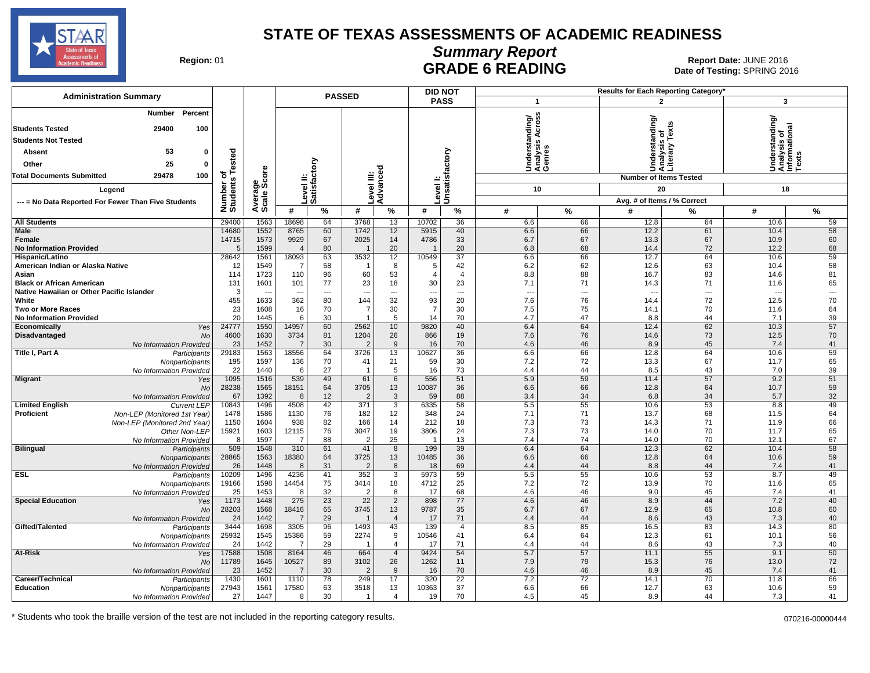

# **Summary Report**

Region: 01 **Region: 01 CALL CONSISTS CONSISTENCE**<br>Date of Testing: SPRING 2016 Date of Testing: SPRING 2016

| <b>Administration Summary</b>                               |                              |                        |                          |                  | <b>PASSED</b>          |                     |                      | <b>DID NOT</b>       |                                                       |          |              | <b>Results for Each Reporting Category</b>      |                                                        |                          |
|-------------------------------------------------------------|------------------------------|------------------------|--------------------------|------------------|------------------------|---------------------|----------------------|----------------------|-------------------------------------------------------|----------|--------------|-------------------------------------------------|--------------------------------------------------------|--------------------------|
|                                                             |                              |                        |                          |                  |                        |                     |                      | <b>PASS</b>          | $\overline{1}$                                        |          |              | $\mathbf{2}$                                    | 3                                                      |                          |
| Percent<br><b>Number</b>                                    |                              |                        |                          |                  |                        |                     |                      |                      |                                                       |          |              |                                                 |                                                        |                          |
| 29400<br>100<br><b>Students Tested</b>                      |                              |                        |                          |                  |                        |                     |                      |                      | Across<br>Understanding/<br>Analysis Across<br>Genres |          |              | Understanding/<br>Analysis of<br>Literary Texts | standing                                               |                          |
|                                                             |                              |                        |                          |                  |                        |                     |                      |                      |                                                       |          |              |                                                 |                                                        |                          |
| <b>Students Not Tested</b>                                  |                              |                        |                          |                  |                        |                     |                      |                      |                                                       |          |              |                                                 |                                                        |                          |
| 53<br>$\mathbf 0$<br>Absent                                 |                              |                        |                          |                  |                        |                     |                      |                      |                                                       |          |              |                                                 |                                                        |                          |
| 25<br>Other<br>$\mathbf 0$                                  |                              |                        |                          | ζiο              |                        |                     |                      | factory              |                                                       |          |              |                                                 | Understanding<br>Analysis of<br>Informational<br>Texts |                          |
| 29478<br>100<br><b>Total Documents Submitted</b>            |                              |                        | ≝                        | ្លួ              | $\stackrel{}{\equiv}$  |                     |                      |                      |                                                       |          |              | <b>Number of Items Tested</b>                   |                                                        |                          |
| Legend                                                      |                              |                        |                          |                  |                        | evel III:<br>dvance |                      | Level I:<br>Unsatisf | 10                                                    |          |              | 20                                              | 18                                                     |                          |
| --- = No Data Reported For Fewer Than Five Students         |                              |                        |                          | Level<br>Satisfa |                        | ⋖                   |                      |                      |                                                       |          |              | Avg. # of Items / % Correct                     |                                                        |                          |
|                                                             | Number of<br>Students Tested | Average<br>Scale Score | #                        | $\frac{9}{6}$    | #                      | %                   | #                    | $\%$                 | #                                                     | %        | #            | %                                               | #                                                      | $\%$                     |
| <b>All Students</b>                                         | 29400                        | 1563                   | 18698                    | 64               | 3768                   | 13                  | 10702                | 36                   | 6.6                                                   | 66       | 12.8         | 64                                              | 10.6                                                   | 59                       |
| <b>Male</b>                                                 | 14680                        | 1552                   | 8765                     | 60               | 1742                   | 12                  | 5915                 | 40                   | 6.6                                                   | 66       | 12.2         | 61                                              | 10.4                                                   | 58                       |
| Female                                                      | 14715                        | 1573                   | 9929                     | 67               | 2025                   | 14                  | 4786                 | 33                   | 6.7                                                   | 67       | 13.3         | 67                                              | 10.9                                                   | 60                       |
| <b>No Information Provided</b>                              | 5                            | 1599                   | $\overline{4}$           | 80               |                        | 20                  |                      | 20                   | 6.8                                                   | 68       | 14.4         | 72                                              | 12.2                                                   | 68                       |
| Hispanic/Latino                                             | 28642                        | 1561                   | 18093                    | 63               | 3532                   | 12                  | 10549                | $\overline{37}$      | 6.6                                                   | 66       | 12.7         | 64                                              | 10.6                                                   | 59                       |
| American Indian or Alaska Native<br>Asian                   | 12<br>114                    | 1549<br>1723           | -7<br>110                | 58<br>96         | 60                     | 8<br>53             | -5<br>$\overline{4}$ | 42<br>$\overline{4}$ | 6.2                                                   | 62<br>88 | 12.6         | 63<br>83                                        | 10.4<br>14.6                                           | 58<br>81                 |
| <b>Black or African American</b>                            | 131                          | 1601                   | 101                      | 77               | 23                     | 18                  | 30                   | 23                   | 8.8<br>7.1                                            | 71       | 16.7<br>14.3 | 71                                              | 11.6                                                   | 65                       |
| Native Hawaiian or Other Pacific Islander                   | 3                            |                        | $\overline{\phantom{a}}$ | ---              | ---                    | $\overline{a}$      | ---                  | $\overline{a}$       | ---                                                   | ---      |              | $\overline{a}$                                  |                                                        | $\overline{\phantom{a}}$ |
| White                                                       | 455                          | 1633                   | 362                      | 80               | 144                    | 32                  | 93                   | 20                   | 7.6                                                   | 76       | 14.4         | 72                                              | 12.5                                                   | 70                       |
| <b>Two or More Races</b>                                    | 23                           | 1608                   | 16                       | 70               | $\overline{7}$         | 30                  | $\overline{7}$       | 30                   | 7.5                                                   | 75       | 14.1         | 70                                              | 11.6                                                   | 64                       |
| <b>No Information Provided</b>                              | 20                           | 1445                   | 6                        | 30               |                        | 5                   | 14                   | 70                   | 4.7                                                   | 47       | 8.8          | 44                                              | 7.1                                                    | 39                       |
| Economically<br>Yes<br><b>Disadvantaged</b><br><b>No</b>    | 24777<br>4600                | 1550<br>1630           | 14957<br>3734            | 60<br>81         | 2562<br>1204           | 10<br>26            | 9820<br>866          | 40<br>19             | 6.4<br>7.6                                            | 64<br>76 | 12.4<br>14.6 | 62<br>73                                        | 10.3<br>12.5                                           | 57<br>70                 |
| No Information Provided                                     | 23                           | 1452                   | $\overline{7}$           | 30               | $\overline{2}$         | 9                   | 16                   | 70                   | 4.6                                                   | 46       | 8.9          | 45                                              | 7.4                                                    | 41                       |
| Title I, Part A<br>Participants                             | 29183                        | 1563                   | 18556                    | 64               | 3726                   | 13                  | 10627                | 36                   | 6.6                                                   | 66       | 12.8         | 64                                              | 10.6                                                   | 59                       |
| Nonparticipants                                             | 195                          | 1597                   | 136                      | 70               | 41                     | 21                  | 59                   | 30                   | 7.2                                                   | 72       | 13.3         | 67                                              | 11.7                                                   | 65                       |
| No Information Provided                                     | 22                           | 1440                   | 6                        | 27               | - 1                    | 5                   | 16                   | 73                   | 4.4                                                   | 44       | 8.5          | 43                                              | 7.0                                                    | 39                       |
| <b>Migrant</b><br>Yes<br><b>No</b>                          | 1095<br>28238                | 1516<br>1565           | 539<br>18151             | 49<br>64         | 61<br>3705             | 6<br>13             | 556<br>10087         | 51<br>36             | 5.9<br>6.6                                            | 59<br>66 | 11.4<br>12.8 | 57<br>64                                        | 9.2<br>10.7                                            | 51<br>59                 |
| No Information Provided                                     | 67                           | 1392                   | 8                        | 12               | $\overline{2}$         | 3                   | 59                   | 88                   | 3.4                                                   | 34       | 6.8          | 34                                              | 5.7                                                    | 32                       |
| <b>Limited English</b><br><b>Current LEP</b>                | 10843                        | 1496                   | 4508                     | 42               | 371                    | 3                   | 6335                 | 58                   | 5.5                                                   | 55       | 10.6         | 53                                              | 8.8                                                    | 49                       |
| Proficient<br>Non-LEP (Monitored 1st Year)                  | 1478                         | 1586                   | 1130                     | 76               | 182                    | 12                  | 348                  | 24                   | 7.1                                                   | 71       | 13.7         | 68                                              | 11.5                                                   | 64                       |
| Non-LEP (Monitored 2nd Year)                                | 1150                         | 1604                   | 938                      | 82               | 166                    | 14                  | 212                  | 18                   | 7.3                                                   | 73       | 14.3         | 71                                              | 11.9                                                   | 66                       |
| Other Non-LEP                                               | 15921<br>8                   | 1603                   | 12115<br>$\overline{7}$  | 76<br>88         | 3047<br>$\overline{2}$ | 19<br>25            | 3806                 | 24<br>13             | 7.3<br>7.4                                            | 73<br>74 | 14.0<br>14.0 | 70<br>70                                        | 11.7<br>12.1                                           | 65<br>67                 |
| No Information Provided<br><b>Bilingual</b><br>Participants | 509                          | 1597<br>1548           | 310                      | 61               | 41                     | 8                   | 199                  | 39                   | 6.4                                                   | 64       | 12.3         | 62                                              | 10.4                                                   | 58                       |
| Nonparticipants                                             | 28865                        | 1563                   | 18380                    | 64               | 3725                   | 13                  | 10485                | 36                   | 6.6                                                   | 66       | 12.8         | 64                                              | 10.6                                                   | 59                       |
| No Information Provided                                     | 26                           | 1448                   | 8                        | 31               | $\overline{2}$         | 8                   | 18                   | 69                   | 4.4                                                   | 44       | 8.8          | 44                                              | 7.4                                                    | 41                       |
| <b>ESL</b><br>Participants                                  | 10209                        | 1496                   | 4236                     | 41               | 352                    | 3                   | 5973                 | 59                   | 5.5                                                   | 55       | 10.6         | 53                                              | 8.7                                                    | 49                       |
| Nonparticipants                                             | 19166<br>25                  | 1598<br>1453           | 14454<br>8               | 75<br>32         | 3414<br>$\overline{2}$ | 18<br>8             | 4712<br>17           | 25<br>68             | 7.2<br>4.6                                            | 72<br>46 | 13.9<br>9.0  | 70<br>45                                        | 11.6<br>7.4                                            | 65<br>41                 |
| No Information Provided<br><b>Special Education</b><br>Yes  | 1173                         | 1448                   | 275                      | 23               | 22                     | $\overline{2}$      | 898                  | 77                   | 4.6                                                   | 46       | 8.9          | 44                                              | 7.2                                                    | 40                       |
| <b>No</b>                                                   | 28203                        | 1568                   | 18416                    | 65               | 3745                   | 13                  | 9787                 | 35                   | 6.7                                                   | 67       | 12.9         | 65                                              | 10.8                                                   | 60                       |
| No Information Provided                                     | 24                           | 1442                   | $\overline{7}$           | 29               |                        | $\overline{4}$      | 17                   | 71                   | 4.4                                                   | 44       | 8.6          | 43                                              | 7.3                                                    | 40                       |
| Gifted/Talented<br>Participants                             | 3444                         | 1698                   | 3305                     | 96               | 1493                   | 43                  | 139                  | $\overline{4}$       | 8.5                                                   | 85       | 16.5         | 83                                              | 14.3                                                   | 80                       |
| Nonparticipants<br>No Information Provided                  | 25932<br>24                  | 1545<br>1442           | 15386<br>-7              | 59<br>29         | 2274                   | 9<br>$\overline{4}$ | 10546                | 41<br>71             | 6.4                                                   | 64<br>44 | 12.3<br>8.6  | 61<br>43                                        | 10.1                                                   | 56<br>40                 |
| At-Risk<br>Yes                                              | 17588                        | 1508                   | 8164                     | 46               | 664                    | $\overline{4}$      | 17<br>9424           | 54                   | 4.4<br>5.7                                            | 57       | 11.1         | 55                                              | 7.3<br>9.1                                             | 50                       |
| <b>No</b>                                                   | 11789                        | 1645                   | 10527                    | 89               | 3102                   | 26                  | 1262                 | 11                   | 7.9                                                   | 79       | 15.3         | 76                                              | 13.0                                                   | 72                       |
| No Information Provided                                     | 23                           | 1452                   | $\overline{7}$           | 30               | $\overline{2}$         | 9                   | 16                   | 70                   | 4.6                                                   | 46       | 8.9          | 45                                              | 7.4                                                    | 41                       |
| Career/Technical<br>Participants                            | 1430                         | 1601                   | 1110                     | 78               | 249                    | 17                  | 320                  | 22                   | 7.2                                                   | 72       | 14.1         | 70                                              | 11.8                                                   | 66                       |
| <b>Education</b><br>Nonparticipants                         | 27943                        | 1561                   | 17580                    | 63               | 3518                   | 13                  | 10363                | 37                   | 6.6                                                   | 66       | 12.7         | 63                                              | 10.6                                                   | 59                       |
| No Information Provided                                     | 27                           | 1447                   | 8                        | 30               | $\mathbf{1}$           | $\overline{4}$      | 19                   | 70                   | 4.5                                                   | 45       | 8.9          | 44                                              | 7.3                                                    | 41                       |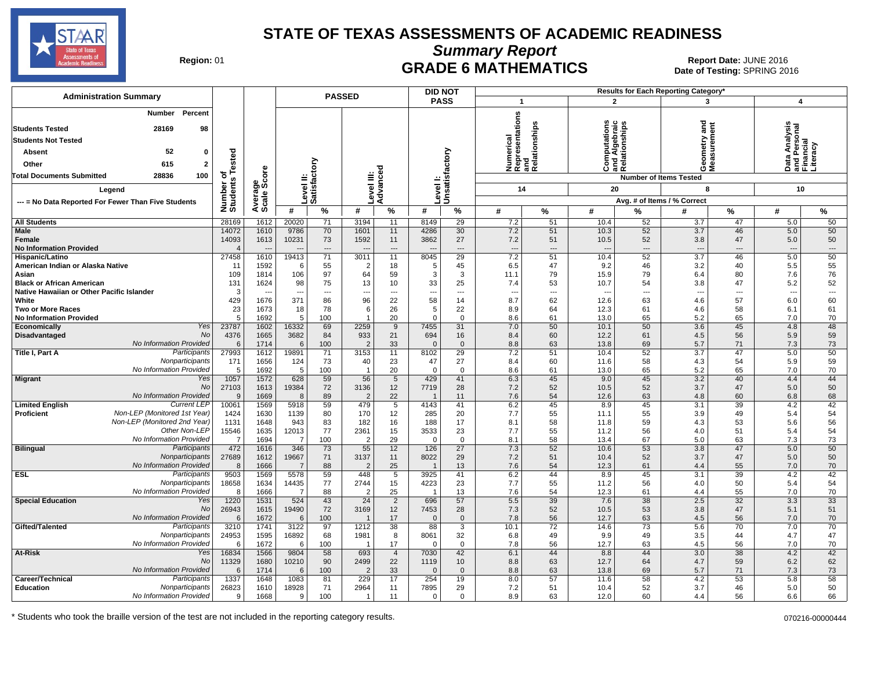

**Summary Report**

Region: 01 **Region: 01 CRADE 6 MATHEMATICS Date: JUNE 2016 Report Date: JUNE 2016 CRADE 6 MATHEMATICS** Date of Testing: SPRING 2016

| <b>Administration Summary</b>                                                                                                                                                                     |                            |                      |                           | <b>PASSED</b>              |                        |                            |                      | <b>DID NOT</b>                      |                                            |                                                     |                                                        |                   | Results for Each Reporting Category' |                                      |                                                        |                 |
|---------------------------------------------------------------------------------------------------------------------------------------------------------------------------------------------------|----------------------------|----------------------|---------------------------|----------------------------|------------------------|----------------------------|----------------------|-------------------------------------|--------------------------------------------|-----------------------------------------------------|--------------------------------------------------------|-------------------|--------------------------------------|--------------------------------------|--------------------------------------------------------|-----------------|
|                                                                                                                                                                                                   |                            |                      |                           |                            |                        |                            |                      | <b>PASS</b>                         | $\overline{1}$                             |                                                     | $\overline{2}$                                         |                   | 3                                    |                                      | $\overline{\mathbf{4}}$                                |                 |
| <b>Number</b> Percent<br>28169<br>98<br><b>Students Tested</b><br><b>Students Not Tested</b><br>52<br><b>Absent</b><br>0<br>Other<br>615<br>2<br>28836<br><b>Total Documents Submitted</b><br>100 | ested<br>৳                 | ge<br>Score          | Level II:<br>Satisfactory |                            |                        | Advanced                   |                      | Unsatisfactory                      | <b>Numerical</b><br>Representations<br>and | Numerical<br>Representatior<br>and<br>Relationships | ations<br>nd Algebraic<br>telationships<br>ă<br>ō<br>Ö | ಹ ∝               | g<br>ÖΣ                              |                                      | Data Analysis<br>and Personal<br>Financial<br>Literacy |                 |
|                                                                                                                                                                                                   |                            |                      |                           |                            |                        |                            |                      |                                     |                                            |                                                     |                                                        |                   | <b>Number of Items Tested</b>        |                                      |                                                        |                 |
| Legend                                                                                                                                                                                            | Number of<br>Students      |                      |                           |                            | evel III:              |                            | evel I:              |                                     | 14                                         |                                                     | 20                                                     |                   | 8                                    |                                      | 10                                                     |                 |
| --- = No Data Reported For Fewer Than Five Students                                                                                                                                               |                            | Average              |                           |                            |                        |                            |                      |                                     |                                            |                                                     |                                                        |                   | Avg. # of Items / % Correct          |                                      |                                                        |                 |
|                                                                                                                                                                                                   |                            |                      | #                         | %                          | #                      | %                          | #                    | %                                   | #                                          | $\%$                                                | #                                                      | %                 | #                                    | %                                    | #                                                      | %               |
| <b>All Students</b>                                                                                                                                                                               | 28169                      | 1612                 | 20020                     | 71                         | 3194                   | 11                         | 8149                 | 29                                  | 7.2                                        | 51                                                  | 10.4                                                   | 52                | 3.7                                  | 47                                   | 5.0                                                    | 50              |
| Male<br>Female<br><b>No Information Provided</b>                                                                                                                                                  | 14072<br>14093<br>$\Delta$ | 1610<br>1613         | 9786<br>10231             | 70<br>73<br>$\overline{a}$ | 1601<br>1592           | 11<br>11<br>$\overline{a}$ | 4286<br>3862         | 30<br>27<br>$\overline{a}$          | 7.2<br>7.2<br>---                          | 51<br>51<br>---                                     | 10.3<br>10.5<br>$\overline{a}$                         | 52<br>52<br>$---$ | 3.7<br>3.8<br>$\sim$                 | 46<br>47<br>$\overline{\phantom{a}}$ | 5.0<br>5.0<br>$\overline{a}$                           | 50<br>50<br>--- |
| Hispanic/Latino<br>American Indian or Alaska Native                                                                                                                                               | 27458<br>-11               | 1610<br>1592         | 19413<br>-6               | 71<br>55                   | 3011<br>2              | 11<br>18                   | 8045<br>5            | 29<br>45                            | 7.2<br>6.5                                 | 51<br>47                                            | 10.4<br>9.2                                            | 52<br>46          | 3.7<br>3.2                           | 46<br>40                             | 5.0<br>5.5                                             | 50<br>55        |
| Asian<br><b>Black or African American</b><br>Native Hawaiian or Other Pacific Islander                                                                                                            | 109<br>131<br>3            | 1814<br>1624         | 106<br>98                 | 97<br>75<br>---            | 64<br>13               | 59<br>10<br>$\overline{a}$ | 3<br>33              | 3<br>25<br>$\overline{\phantom{a}}$ | 11.1<br>7.4<br>-−                          | 79<br>53<br>---                                     | 15.9<br>10.7                                           | 79<br>54<br>---   | 6.4<br>3.8                           | 80<br>47<br>$\overline{\phantom{a}}$ | 7.6<br>5.2<br>$\overline{a}$                           | 76<br>52<br>--- |
| White<br><b>Two or More Races</b>                                                                                                                                                                 | 429<br>23                  | 1676<br>1673         | 371<br>18                 | 86<br>78                   | 96<br>6                | 22<br>26                   | 58<br>5              | 14<br>22                            | 8.7<br>8.9                                 | 62<br>64                                            | 12.6<br>12.3                                           | 63<br>61          | 4.6<br>4.6                           | 57<br>58                             | 6.0<br>6.1                                             | 60<br>61        |
| <b>No Information Provided</b>                                                                                                                                                                    | 5                          | 1692                 | 5                         | 100                        |                        | 20                         | $\mathbf 0$          | $\mathbf 0$                         | 8.6                                        | 61                                                  | 13.0                                                   | 65                | 5.2                                  | 65                                   | 7.0                                                    | 70              |
| Economically<br>Yes<br>No<br>Disadvantaged                                                                                                                                                        | 23787<br>4376              | 1602<br>1665         | 16332<br>3682             | 69<br>84                   | 2259<br>933            | 9<br>21                    | 7455<br>694          | 31<br>16                            | 7.0<br>8.4                                 | 50<br>60                                            | 10.1<br>12.2                                           | 50<br>61          | 3.6<br>4.5                           | 45<br>56                             | 4.8<br>5.9                                             | 48<br>59        |
| No Information Provided                                                                                                                                                                           | 6                          | 1714                 | 6                         | 100                        | $\overline{2}$         | 33                         | $\Omega$             | $\mathbf 0$                         | 8.8                                        | 63                                                  | 13.8                                                   | 69                | 5.7                                  | 71                                   | 7.3                                                    | 73              |
| Participants<br>Title I, Part A                                                                                                                                                                   | 27993                      | 1612                 | 19891                     | 71                         | 3153                   | 11                         | 8102                 | 29                                  | 7.2                                        | 51                                                  | 10.4                                                   | 52                | 3.7                                  | 47                                   | 5.0                                                    | 50              |
| Nonparticipants                                                                                                                                                                                   | 171                        | 1656                 | 124                       | 73                         | 40                     | 23                         | 47                   | 27                                  | 8.4                                        | 60                                                  | 11.6                                                   | 58                | 4.3                                  | 54                                   | 5.9                                                    | 59              |
| No Information Provided                                                                                                                                                                           | 5                          | 1692                 | 5                         | 100                        |                        | 20                         | $\Omega$             | $\mathbf 0$                         | 8.6                                        | 61                                                  | 13.0                                                   | 65                | 5.2                                  | 65                                   | 7.0                                                    | 70              |
| <b>Migrant</b><br>Yes<br>No                                                                                                                                                                       | 1057<br>27103              | 1572<br>1613         | 628<br>19384              | 59<br>72                   | 56<br>3136             | 5<br>12                    | 429<br>7719          | 41<br>28                            | 6.3<br>7.2                                 | 45<br>52                                            | 9.0<br>10.5                                            | 45<br>52          | 3.2<br>3.7                           | 40<br>47                             | 4.4<br>5.0                                             | 44<br>50        |
| No Information Provided<br><b>Current LEF</b>                                                                                                                                                     | 9                          | 1669                 | 8                         | 89                         | $\overline{2}$<br>479  | 22                         |                      | 11                                  | 7.6                                        | 54                                                  | 12.6<br>8.9                                            | 63                | 4.8<br>3.1                           | 60<br>39                             | 6.8                                                    | 68              |
| <b>Limited English</b><br>Non-LEP (Monitored 1st Year)<br><b>Proficient</b><br>Non-LEP (Monitored 2nd Year)                                                                                       | 10061<br>1424<br>1131      | 1569<br>1630<br>1648 | 5918<br>1139<br>943       | 59<br>80<br>83             | 170<br>182             | 5<br>12<br>16              | 4143<br>285<br>188   | 41<br>20<br>17                      | 6.2<br>7.7<br>8.1                          | 45<br>55<br>58                                      | 11.1<br>11.8                                           | 45<br>55<br>59    | 3.9<br>4.3                           | 49<br>53                             | 4.2<br>5.4<br>5.6                                      | 42<br>54<br>56  |
| Other Non-LEP<br>No Information Provided                                                                                                                                                          | 15546<br>$\overline{7}$    | 1635<br>1694         | 12013<br>$\overline{7}$   | 77                         | 2361<br>$\overline{2}$ | 15<br>29                   | 3533<br>$\mathbf{0}$ | 23<br>$\mathbf 0$                   | 7.7<br>8.1                                 | 55<br>58                                            | 11.2<br>13.4                                           | 56<br>67          | 4.0                                  | 51<br>63                             | 5.4<br>7.3                                             | 54<br>73        |
| <b>Bilingual</b><br>Participants                                                                                                                                                                  | 472                        | 1616                 | 346                       | 100<br>73                  | 55                     | 12                         | 126                  | 27                                  | 7.3                                        | 52                                                  | 10.6                                                   | 53                | 5.0<br>3.8                           | 47                                   | 5.0                                                    | 50              |
| Nonparticipants<br>No Information Provided                                                                                                                                                        | 27689<br>8                 | 1612<br>1666         | 19667<br>$\overline{7}$   | 71<br>88                   | 3137<br>$\overline{2}$ | 11<br>25                   | 8022                 | 29<br>13                            | 7.2<br>7.6                                 | 51<br>54                                            | 10.4<br>12.3                                           | 52<br>61          | 3.7<br>4.4                           | 47<br>55                             | 5.0<br>7.0                                             | 50<br>70        |
| <b>ESL</b><br>Participants                                                                                                                                                                        | 9503                       | 1569                 | 5578                      | 59                         | 448                    | 5                          | 3925                 | 41                                  | 6.2                                        | 44                                                  | 8.9                                                    | 45                | 3.1                                  | 39                                   | 4.2                                                    | 42              |
| Nonparticipants                                                                                                                                                                                   | 18658                      | 1634                 | 14435                     | 77                         | 2744                   | 15                         | 4223                 | 23                                  | 7.7                                        | 55                                                  | 11.2                                                   | 56                | 4.0                                  | 50                                   | 5.4                                                    | 54              |
| No Information Provided                                                                                                                                                                           | 8                          | 1666                 | $\overline{7}$            | 88                         | $\overline{c}$         | 25                         |                      | 13                                  | 7.6                                        | 54                                                  | 12.3                                                   | 61                | 4.4                                  | 55                                   | 7.0                                                    | 70              |
| <b>Special Education</b><br>Yes<br>No                                                                                                                                                             | 1220<br>26943              | 1531<br>1615         | 524<br>19490              | 43<br>72                   | 24<br>3169             | 2<br>12                    | 696<br>7453          | 57<br>28                            | 5.5<br>7.3                                 | 39<br>52                                            | 7.6<br>10.5                                            | 38<br>53          | 2.5<br>3.8                           | 32<br>47                             | 3.3<br>5.1                                             | 33<br>51        |
| No Information Provided                                                                                                                                                                           | 6                          | 1672                 | 6                         | 100                        | $\mathbf 1$            | 17                         | $\Omega$             | $\mathbf 0$                         | 7.8                                        | 56                                                  | 12.7                                                   | 63                | 4.5                                  | 56                                   | 7.0                                                    | 70              |
| Gifted/Talented<br>Participants                                                                                                                                                                   | 3210                       | 1741                 | 3122                      | 97                         | 1212                   | $\overline{38}$            | 88                   | $\overline{3}$                      | 10.1                                       | $\overline{72}$                                     | 14.6                                                   | $\overline{73}$   | 5.6                                  | 70                                   | 7.0                                                    | 70              |
| Nonparticipants<br>No Information Provided                                                                                                                                                        | 24953<br>6                 | 1595<br>1672         | 16892<br>6                | 68<br>100                  | 1981<br>-1             | 8<br>17                    | 8061<br>0            | 32<br>$\mathbf 0$                   | 6.8<br>7.8                                 | 49<br>56                                            | 9.9<br>12.7                                            | 49<br>63          | 3.5<br>4.5                           | 44<br>56                             | 4.7<br>7.0                                             | 47<br>70        |
| At-Risk<br>Yes                                                                                                                                                                                    | 16834                      | 1566                 | 9804                      | 58                         | 693                    | $\overline{4}$             | 7030                 | 42                                  | 6.1                                        | 44                                                  | 8.8                                                    | 44                | 3.0                                  | 38                                   | 4.2                                                    | 42              |
| No<br>No Information Provided                                                                                                                                                                     | 11329                      | 1680                 | 10210                     | 90                         | 2499                   | 22                         | 1119<br>$\Omega$     | 10                                  | 8.8                                        | 63                                                  | 12.7                                                   | 64                | 4.7                                  | 59                                   | 6.2                                                    | 62              |
| Participants<br>Career/Technical                                                                                                                                                                  | 6<br>1337                  | 1714<br>1648         | 6<br>1083                 | 100<br>81                  | $\overline{2}$<br>229  | 33<br>17                   | 254                  | $\mathbf 0$<br>19                   | 8.8<br>8.0                                 | 63<br>57                                            | 13.8<br>11.6                                           | 69<br>58          | 5.7<br>4.2                           | 71<br>53                             | 7.3<br>5.8                                             | 73<br>58        |
| <b>Education</b><br>Nonparticipants<br>No Information Provided                                                                                                                                    | 26823<br>9                 | 1610<br>1668         | 18928<br>9                | 71<br>100                  | 2964                   | 11<br>11                   | 7895<br>0            | 29<br>$\mathbf 0$                   | 7.2<br>8.9                                 | 51<br>63                                            | 10.4<br>12.0                                           | 52<br>60          | 3.7<br>4.4                           | 46<br>56                             | 5.0<br>6.6                                             | 50<br>66        |
|                                                                                                                                                                                                   |                            |                      |                           |                            |                        |                            |                      |                                     |                                            |                                                     |                                                        |                   |                                      |                                      |                                                        |                 |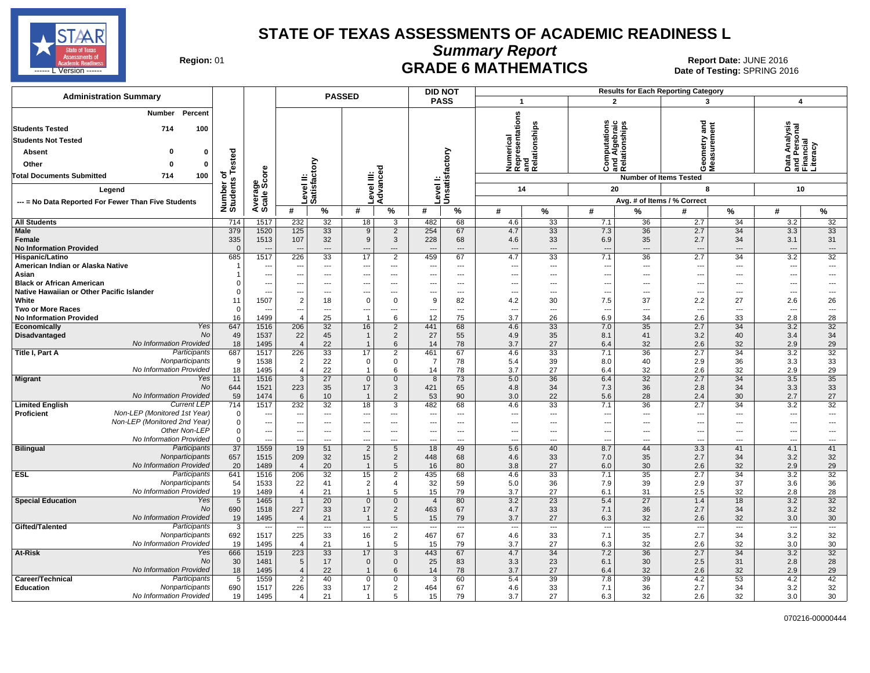

**Summary Report**

Region: 01 **Region: 01 CRADE 6 MATHEMATICS Date: JUNE 2016 Report Date: JUNE 2016 CRADE 6 MATHEMATICS** ------ L Version ------ SPRING 2016

| <b>Administration Summary</b>                                           |                        |                          | <b>PASSED</b>                            |                              |                                |                               |                          | <b>DID NOT</b>                 |                                 |                                                      |                                                |                          | <b>Results for Each Reporting Category</b> |                                |                                                        |                          |
|-------------------------------------------------------------------------|------------------------|--------------------------|------------------------------------------|------------------------------|--------------------------------|-------------------------------|--------------------------|--------------------------------|---------------------------------|------------------------------------------------------|------------------------------------------------|--------------------------|--------------------------------------------|--------------------------------|--------------------------------------------------------|--------------------------|
|                                                                         |                        |                          |                                          |                              |                                |                               |                          | <b>PASS</b>                    | $\overline{1}$                  |                                                      | $\overline{2}$                                 |                          | 3                                          |                                | $\boldsymbol{4}$                                       |                          |
| Percent<br>Number<br>100<br><b>Students Tested</b><br>714               |                        |                          |                                          |                              |                                |                               |                          |                                |                                 | Numerical<br>Representations<br>and<br>Relationships | Computations<br>and Algebraic<br>Relationships |                          | gue                                        |                                | Data Analysis<br>and Personal<br>Financial<br>Literacy |                          |
| <b>Students Not Tested</b>                                              |                        |                          |                                          |                              |                                |                               |                          |                                |                                 |                                                      |                                                |                          |                                            |                                |                                                        |                          |
| 0                                                                       |                        |                          |                                          |                              |                                |                               |                          |                                |                                 |                                                      |                                                |                          | etry                                       |                                |                                                        |                          |
| 0<br><b>Absent</b>                                                      | Tested                 |                          |                                          |                              |                                |                               |                          |                                |                                 |                                                      |                                                |                          |                                            | ន្ល                            |                                                        |                          |
| Other<br>0<br>ŋ                                                         |                        | ore                      |                                          |                              |                                | ್ಠಾ                           |                          |                                |                                 |                                                      | ن ≌ ھ                                          |                          | oΣ                                         |                                | Data<br>あに                                             |                          |
| <b>Total Documents Submitted</b><br>714<br>100                          | ৳                      |                          |                                          |                              |                                |                               |                          |                                |                                 |                                                      |                                                |                          | <b>Number of Items Tested</b>              |                                |                                                        |                          |
| Legend                                                                  | Number of<br>Students  | Average<br>Scale Scc     |                                          | Level II:<br>Satisfactory    | evel III                       | Advanc                        |                          | Level I:<br>Unsatisfactory     | 14                              |                                                      | 20                                             |                          | 8                                          |                                | 10                                                     |                          |
| --- = No Data Reported For Fewer Than Five Students                     |                        |                          |                                          |                              |                                |                               |                          |                                |                                 |                                                      |                                                |                          | Avg. # of Items / % Correct                |                                |                                                        |                          |
|                                                                         |                        |                          | #                                        | $\%$                         | #                              | %                             | #                        | $\%$                           | #                               | ℅                                                    | #                                              | %                        | #                                          | $\%$                           | #                                                      | %                        |
| <b>All Students</b>                                                     | 714                    | 1517                     | 232                                      | 32                           | 18                             | 3                             | 482                      | 68                             | 4.6                             | 33                                                   | 7.1                                            | 36                       | 2.7                                        | 34                             | 3.2                                                    | 32                       |
| <b>Male</b>                                                             | 379                    | 1520                     | 125                                      | 33                           | 9                              | $\overline{2}$                | 254                      | 67                             | 4.7                             | $\overline{33}$                                      | 7.3                                            | 36                       | 2.7                                        | $\overline{34}$                | 3.3                                                    | 33                       |
| Female                                                                  | 335<br>$\Omega$        | 1513                     | 107                                      | 32<br>$---$                  | 9                              | 3<br>---                      | 228                      | 68<br>$\overline{a}$           | 4.6<br>$\overline{\phantom{a}}$ | 33<br>---                                            | 6.9<br>$\overline{a}$                          | 35<br>$\overline{a}$     | 2.7<br>$\overline{\phantom{a}}$            | 34<br>$\overline{\phantom{a}}$ | 3.1<br>$\overline{a}$                                  | 31<br>---                |
| <b>No Information Provided</b><br>Hispanic/Latino                       | 685                    | 1517                     | 226                                      | 33                           | 17                             | $\overline{2}$                | 459                      | 67                             | 4.7                             | 33                                                   | 7.1                                            | 36                       | 2.7                                        | 34                             | 3.2                                                    | 32                       |
| American Indian or Alaska Native                                        |                        | $\overline{\phantom{a}}$ | $\overline{\phantom{a}}$                 | ---                          | ---                            | ---                           | ---                      | $\overline{\phantom{a}}$       | ---                             | ---                                                  | ---                                            | $\overline{a}$           | $\overline{\phantom{a}}$                   | $\overline{\phantom{a}}$       | ---                                                    | ---                      |
| Asian                                                                   |                        | $\overline{\phantom{a}}$ | $\overline{\phantom{a}}$                 | ---                          | ---                            | ---                           |                          | $\overline{\phantom{a}}$       | ---                             | ---                                                  | $\overline{a}$                                 | $---$                    | $\overline{\phantom{a}}$                   | $---$                          | ---                                                    | ---                      |
| <b>Black or African American</b>                                        | $\Omega$               | ---                      | ---                                      | ---                          |                                | ---                           |                          | $---$                          | --                              | ---                                                  | ---                                            | $\overline{a}$           |                                            | $\overline{a}$                 | ---                                                    | ---                      |
| Native Hawaiian or Other Pacific Islander                               | $\Omega$               | ---                      | $\overline{a}$                           | $\overline{a}$               | ---                            | $\overline{a}$                | ---<br>9                 | $---$                          | ---                             | ---                                                  | $\overline{a}$                                 | $---$                    | $\overline{\phantom{a}}$                   | $\overline{a}$                 | $\overline{a}$                                         | $\overline{a}$           |
| White<br><b>Two or More Races</b>                                       | 11<br>$\mathbf 0$      | 1507<br>---              | $\overline{2}$<br>$\qquad \qquad \cdots$ | 18<br>$\qquad \qquad \cdots$ | $\mathbf 0$<br>---             | $\mathbf 0$<br>---            | ---                      | 82<br>$\overline{\phantom{a}}$ | 4.2<br>--                       | 30<br>---                                            | 7.5<br>$\overline{\phantom{a}}$                | 37<br>$---$              | 2.2<br>$\overline{\phantom{a}}$            | 27<br>---                      | 2.6<br>---                                             | 26<br>---                |
| <b>No Information Provided</b>                                          | 16                     | 1499                     | $\overline{4}$                           | 25                           | $\overline{1}$                 | 6                             | 12                       | 75                             | 3.7                             | 26                                                   | 6.9                                            | 34                       | 2.6                                        | 33                             | 2.8                                                    | 28                       |
| Yes<br>Economically                                                     | 647                    | 1516                     | 206                                      | 32                           | 16                             | $\overline{2}$                | 441                      | 68                             | 4.6                             | 33                                                   | 7.0                                            | 35                       | 2.7                                        | 34                             | 3.2                                                    | 32                       |
| No<br>Disadvantaged                                                     | 49                     | 1537                     | 22                                       | 45                           | $\mathbf{1}$                   | $\overline{2}$                | 27                       | 55                             | 4.9                             | 35                                                   | 8.1                                            | 41                       | 3.2                                        | 40                             | 3.4                                                    | 34                       |
| No Information Provided<br>Participants<br>Title I, Part A              | 18<br>687              | 1495<br>1517             | $\overline{4}$<br>226                    | 22<br>33                     | $\mathbf 1$<br>17              | 6<br>$\overline{2}$           | 14<br>461                | 78<br>67                       | 3.7<br>4.6                      | 27<br>33                                             | 6.4<br>7.1                                     | 32<br>36                 | 2.6<br>2.7                                 | 32<br>$\overline{34}$          | 2.9<br>3.2                                             | 29<br>32                 |
| Nonparticipants                                                         | 9                      | 1538                     | $\sqrt{2}$                               | 22                           | 0                              | 0                             | $\overline{7}$           | 78                             | 5.4                             | 39                                                   | 8.0                                            | 40                       | 2.9                                        | 36                             | 3.3                                                    | 33                       |
| No Information Provided                                                 | 18                     | 1495                     | $\overline{4}$                           | 22                           | $\mathbf{1}$                   | 6                             | 14                       | 78                             | 3.7                             | 27                                                   | 6.4                                            | 32                       | 2.6                                        | 32                             | 2.9                                                    | 29                       |
| <b>Migrant</b><br>Yes                                                   | 11                     | 1516                     | $\overline{3}$                           | $\overline{27}$              | $\mathbf 0$                    | $\mathbf 0$                   | 8                        | 73                             | 5.0                             | 36                                                   | 6.4                                            | $\overline{32}$          | 2.7                                        | $\overline{34}$                | 3.5                                                    | 35                       |
| No                                                                      | 644                    | 1521                     | 223                                      | 35                           | 17                             | 3                             | 421                      | 65                             | 4.8                             | 34                                                   | 7.3                                            | 36                       | 2.8                                        | 34                             | 3.3                                                    | 33                       |
| No Information Provided<br><b>Current LEP</b><br><b>Limited English</b> | 59<br>714              | 1474<br>1517             | 6<br>232                                 | 10<br>32                     | $\mathbf{1}$<br>18             | $\overline{2}$<br>3           | 53<br>482                | 90<br>68                       | 3.0<br>4.6                      | 22<br>33                                             | 5.6<br>7.1                                     | 28<br>36                 | 2.4<br>2.7                                 | 30<br>34                       | 2.7<br>3.2                                             | 27<br>32                 |
| Non-LEP (Monitored 1st Year)<br>Proficient                              | $\mathbf 0$            | ---                      | $\overline{\phantom{a}}$                 | $---$                        | ---                            | $---$                         |                          | $---$                          | --                              | ---                                                  | $\overline{a}$                                 | $---$                    | --                                         | $\overline{\phantom{a}}$       | ---                                                    | ---                      |
| Non-LEP (Monitored 2nd Year)                                            | $\mathbf 0$            | $\overline{\phantom{a}}$ | ---                                      | $---$                        | $---$                          | $---$                         | $-$                      | $---$                          | ---                             | ---                                                  | $---$                                          | $---$                    | $\sim$                                     | $\overline{\phantom{a}}$       | ---                                                    | $\overline{a}$           |
| Other Non-LEP                                                           | $\mathbf 0$            | $\overline{\phantom{a}}$ | $\overline{\phantom{a}}$                 | $---$                        | $---$                          | $\overline{a}$                | ---                      | $---$                          | ---                             | ---                                                  | $---$                                          | $---$                    | $\sim$                                     | $\overline{\phantom{a}}$       | ---                                                    | ---                      |
| No Information Provided                                                 | $\Omega$               | ---                      | $-$                                      | $---$                        | $---$                          | $---$                         | ---                      | $---$                          | ---                             | ---                                                  | $\overline{a}$                                 | $---$                    | $\sim$                                     | $\overline{\phantom{a}}$       | ---                                                    | $\overline{\phantom{a}}$ |
| <b>Bilingual</b><br>Participants<br>Nonparticipants                     | $\overline{37}$<br>657 | 1559<br>1515             | 19<br>209                                | 51<br>32                     | $\overline{2}$<br>15           | 5<br>$\overline{2}$           | 18<br>448                | 49<br>68                       | 5.6<br>4.6                      | 40<br>33                                             | 8.7<br>7.0                                     | 44<br>35                 | 3.3<br>2.7                                 | 41<br>34                       | 4.1<br>3.2                                             | 41<br>32                 |
| No Information Provided                                                 | 20                     | 1489                     | $\overline{4}$                           | 20                           | $\mathbf{1}$                   | 5                             | 16                       | 80                             | 3.8                             | 27                                                   | 6.0                                            | 30                       | 2.6                                        | 32                             | 2.9                                                    | 29                       |
| <b>ESL</b><br>Participants                                              | 641                    | 1516                     | 206                                      | 32                           | 15                             | $\overline{2}$                | 435                      | 68                             | 4.6                             | 33                                                   | 7.1                                            | 35                       | 2.7                                        | 34                             | 3.2                                                    | 32                       |
| Nonparticipants                                                         | 54                     | 1533                     | 22                                       | 41                           | $\overline{2}$                 | 4                             | 32                       | 59                             | 5.0                             | 36                                                   | 7.9                                            | 39                       | 2.9                                        | 37                             | 3.6                                                    | 36                       |
| No Information Provided<br>Yes                                          | 19<br>$5\phantom{1}$   | 1489<br>1465             | $\overline{4}$                           | 21<br>20                     | $\mathbf{1}$<br>$\overline{0}$ | 5                             | 15<br>$\overline{4}$     | 79<br>80                       | 3.7<br>3.2                      | 27<br>23                                             | 6.1<br>5.4                                     | 31<br>27                 | 2.5<br>1.4                                 | 32<br>18                       | 2.8<br>3.2                                             | 28                       |
| <b>Special Education</b><br>No                                          | 690                    | 1518                     | 227                                      | 33                           | 17                             | $\mathbf 0$<br>$\overline{2}$ | 463                      | 67                             | 4.7                             | 33                                                   | 7.1                                            | 36                       | 2.7                                        | 34                             | 3.2                                                    | 32<br>32                 |
| No Information Provided                                                 | 19                     | 1495                     | $\overline{4}$                           | 21                           | $\mathbf{1}$                   | 5                             | 15                       | 79                             | 3.7                             | 27                                                   | 6.3                                            | 32                       | 2.6                                        | 32                             | 3.0                                                    | 30                       |
| Participants<br>Gifted/Talented                                         | $\overline{3}$         | ---                      | $\overline{\phantom{a}}$                 | $\overline{\phantom{a}}$     | ---                            | ---                           | $\overline{\phantom{a}}$ | $\overline{\phantom{a}}$       | $\overline{a}$                  | ---                                                  | $\overline{\phantom{a}}$                       | $\overline{\phantom{a}}$ | $\overline{\phantom{a}}$                   | $\overline{\phantom{a}}$       | ---                                                    | ---                      |
| Nonparticipants                                                         | 692                    | 1517                     | 225                                      | 33                           | 16                             | $\overline{2}$                | 467                      | 67                             | 4.6                             | 33                                                   | 7.1                                            | 35                       | 2.7                                        | 34                             | 3.2                                                    | 32                       |
| No Information Provided                                                 | 19                     | 1495                     | $\overline{4}$                           | 21                           | $\mathbf 1$                    | 5                             | 15                       | 79                             | 3.7                             | 27                                                   | 6.3                                            | 32                       | 2.6                                        | 32                             | 3.0                                                    | 30                       |
| At-Risk<br>Yes<br>No                                                    | 666<br>30              | 1519<br>1481             | 223<br>5                                 | 33<br>17                     | 17<br>$\mathbf{0}$             | 3<br>0                        | 443<br>25                | 67<br>83                       | 4.7<br>3.3                      | 34<br>23                                             | 7.2<br>6.1                                     | 36<br>30                 | 2.7<br>2.5                                 | 34<br>31                       | 3.2<br>2.8                                             | 32<br>28                 |
| <b>No Information Provided</b>                                          | 18                     | 1495                     | $\overline{4}$                           | 22                           |                                | 6                             | 14                       | 78                             | 3.7                             | 27                                                   | 6.4                                            | 32                       | 2.6                                        | 32                             | 2.9                                                    | 29                       |
| Participants<br>Career/Technical                                        | $5\overline{}$         | 1559                     | $\overline{2}$                           | 40                           | 0                              | $\mathbf 0$                   | 3                        | 60                             | 5.4                             | 39                                                   | 7.8                                            | 39                       | 4.2                                        | 53                             | 4.2                                                    | 42                       |
| <b>Education</b><br>Nonparticipants                                     | 690                    | 1517                     | 226                                      | 33                           | 17                             | $\overline{2}$                | 464                      | 67                             | 4.6                             | 33                                                   | 7.1                                            | 36                       | 2.7                                        | 34                             | 3.2                                                    | 32                       |
| No Information Provided                                                 | 19                     | 1495                     | $\overline{4}$                           | 21                           | $\overline{1}$                 | 5                             | 15                       | 79                             | 3.7                             | 27                                                   | 6.3                                            | 32                       | 2.6                                        | 32                             | 3.0                                                    | 30                       |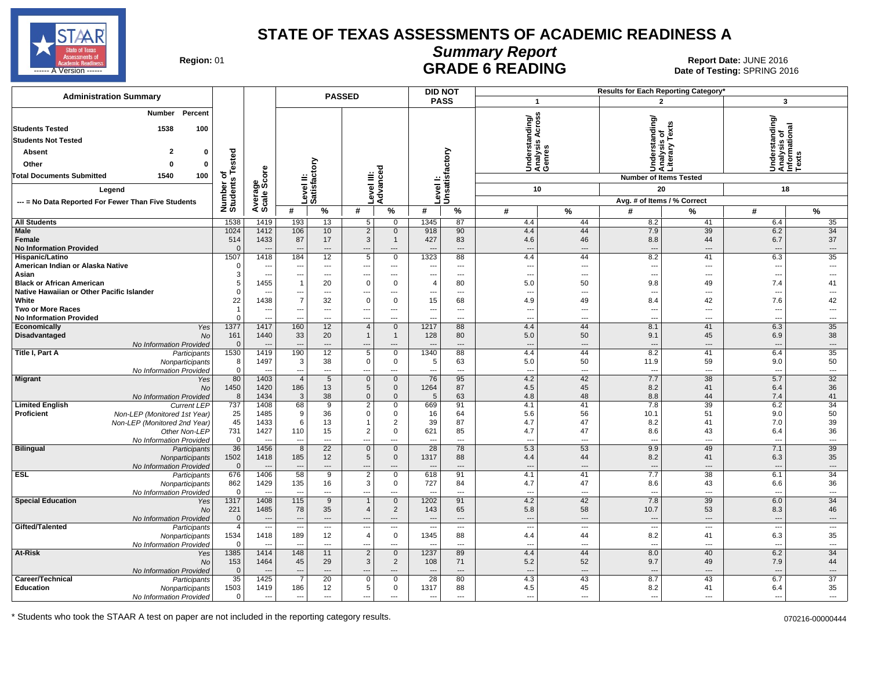

## **Summary Report**

Region: 01 **Region: 01 CALL CONSISTS CONSISTENCE**<br>Date of Testing: SPRING 2016 ------ A Version ------ SPRING 2016

| <b>Administration Summary</b>                                           |                         |                                  |                       |                           | <b>PASSED</b>                         |                                      |                                  | <b>DID NOT</b>             |                                 |                                             | Results for Each Reporting Category' |                                                 |                                                         |                                |
|-------------------------------------------------------------------------|-------------------------|----------------------------------|-----------------------|---------------------------|---------------------------------------|--------------------------------------|----------------------------------|----------------------------|---------------------------------|---------------------------------------------|--------------------------------------|-------------------------------------------------|---------------------------------------------------------|--------------------------------|
|                                                                         |                         |                                  |                       |                           |                                       |                                      |                                  | <b>PASS</b>                |                                 | $\mathbf{1}$                                |                                      | $\overline{2}$                                  | 3                                                       |                                |
| Percent<br><b>Number</b><br><b>Students Tested</b><br>1538<br>100       |                         |                                  |                       |                           |                                       |                                      |                                  |                            |                                 | Understanding/<br>Analysis Across<br>Genres |                                      | Understanding/<br>Analysis of<br>Literary Texts | Understanding/<br>Analysis of<br>Informational<br>Texts |                                |
| <b>Students Not Tested</b>                                              |                         |                                  |                       |                           |                                       |                                      |                                  |                            |                                 |                                             |                                      |                                                 |                                                         |                                |
| $\overline{\mathbf{2}}$<br>Absent<br>0                                  | Tested                  |                                  |                       |                           |                                       |                                      |                                  |                            |                                 |                                             |                                      |                                                 |                                                         |                                |
| Other<br>$\Omega$<br>$\mathbf 0$                                        |                         |                                  |                       |                           |                                       |                                      |                                  |                            |                                 |                                             |                                      |                                                 |                                                         |                                |
| 100<br><b>Total Documents Submitted</b><br>1540                         | ৳                       |                                  |                       | Level II:<br>Satisfactory | ≣                                     | 꿈                                    |                                  | Level I:<br>Unsatisfactory |                                 |                                             |                                      | <b>Number of Items Tested</b>                   |                                                         |                                |
| Legend                                                                  |                         |                                  |                       |                           |                                       | dvanc                                |                                  |                            |                                 | 10                                          |                                      | 20                                              | 18                                                      |                                |
| --- = No Data Reported For Fewer Than Five Students                     |                         |                                  |                       |                           | evel                                  | ⋖                                    |                                  |                            |                                 |                                             |                                      | Avg. # of Items / % Correct                     |                                                         |                                |
|                                                                         | Number of<br>Students   | Average<br>Scale Score           | #                     | $\%$                      | #                                     | %                                    | #                                | $\%$                       | #                               | %                                           | #                                    | $\%$                                            | #                                                       | %                              |
| <b>All Students</b>                                                     | 1538                    | 1419                             | 193                   | 13                        | 5                                     | $\mathbf 0$                          | 1345                             | 87                         | 4.4                             | 44                                          | 8.2                                  | 41                                              | 6.4                                                     | 35                             |
| Male<br>Female<br><b>No Information Provided</b>                        | 1024<br>514<br>$\Omega$ | 1412<br>1433                     | 106<br>87<br>---      | 10<br>17<br>---           | $\overline{2}$<br>$\mathbf{3}$<br>--- | $\mathbf 0$<br>$\overline{1}$<br>--- | 918<br>427                       | 90<br>83<br>---            | 4.4<br>4.6                      | 44<br>46<br>÷÷                              | 7.9<br>8.8                           | 39<br>44<br>$\overline{\phantom{a}}$            | 6.2<br>6.7                                              | 34<br>37<br>$\cdots$           |
| Hispanic/Latino                                                         | 1507                    | 1418                             | 184                   | 12                        | 5                                     | $\mathbf 0$                          | 1323                             | 88                         | 4.4                             | 44                                          | 8.2                                  | 41                                              | 6.3                                                     | 35                             |
| American Indian or Alaska Native                                        | $\mathbf 0$             | ---                              | ---                   | ---                       | ---                                   | ---                                  | ---                              | $\overline{\phantom{a}}$   | $\overline{\phantom{a}}$        | ---                                         | ---                                  | $---$                                           | ---                                                     | $\overline{\phantom{a}}$       |
| Asian                                                                   | 3                       | $\overline{\phantom{a}}$         | ---                   | $\overline{a}$            | ---                                   | $\overline{a}$                       | ---                              | $---$                      | $\sim$                          | $\overline{a}$                              | ---                                  | $\sim$                                          | $\overline{a}$                                          | $\sim$                         |
| <b>Black or African American</b>                                        | 5<br>$\mathbf 0$        | 1455                             | $\overline{1}$        | 20                        | $\mathbf 0$                           | $\overline{0}$                       | $\overline{4}$                   | 80<br>$---$                | 5.0<br>--                       | 50<br>$\overline{a}$                        | 9.8                                  | 49<br>$\sim$                                    | 7.4<br>$\overline{\phantom{a}}$                         | 41<br>$\overline{\phantom{a}}$ |
| Native Hawaiian or Other Pacific Islander<br>White                      | 22                      | 1438                             | ---<br>$\overline{7}$ | ---<br>32                 | ---<br>$\mathbf 0$                    | ---<br>$\overline{0}$                | ---<br>15                        | 68                         | 4.9                             | 49                                          | ---<br>8.4                           | 42                                              | 7.6                                                     | 42                             |
| Two or More Races                                                       | $\overline{1}$          | ---                              | ---                   | ---                       | ---                                   | ---                                  | ---                              | $\overline{\phantom{a}}$   | $\overline{\phantom{a}}$        | ---                                         | ---                                  | $\overline{\phantom{a}}$                        | ---                                                     | ---                            |
| <b>No Information Provided</b>                                          | $\Omega$                | $\sim$                           | $\overline{a}$        | ---                       | ---                                   | ---                                  | ---                              | $\overline{a}$             | $\overline{\phantom{a}}$        | ---                                         | $\sim$                               | $\sim$                                          | $\overline{a}$                                          | $---$                          |
| Economically<br>Yes                                                     | 1377                    | 1417                             | 160                   | 12                        | $\overline{4}$                        | $\overline{0}$                       | 1217                             | 88                         | 4.4                             | 44                                          | 8.1                                  | 41                                              | 6.3                                                     | 35                             |
| <b>Disadvantaged</b><br><b>No</b>                                       | 161                     | 1440                             | 33                    | 20<br>$\overline{a}$      | $\overline{1}$                        | $\overline{1}$                       | 128                              | 80                         | 5.0                             | 50<br>---                                   | 9.1                                  | 45                                              | 6.9                                                     | 38                             |
| No Information Provided<br>Title I, Part A<br>Participants              | $\overline{0}$<br>1530  | 1419                             | ---<br>190            | 12                        | ---<br>5                              | ---<br>$\overline{0}$                | $\overline{\phantom{a}}$<br>1340 | ---<br>88                  | $\overline{\phantom{a}}$<br>4.4 | 44                                          | $\overline{\phantom{a}}$<br>8.2      | $\overline{\phantom{a}}$<br>41                  | $\overline{\phantom{a}}$<br>6.4                         | $\hspace{0.05cm} \ldots$<br>35 |
| Nonparticipants<br>No Information Provided                              | 8<br>$\mathbf 0$        | 1497<br>$\overline{\phantom{a}}$ | 3<br>---              | 38<br>---                 | $\mathbf 0$<br>---                    | $\overline{0}$<br>---                | -5<br>---                        | 63<br>$---$                | 5.0<br>$\overline{\phantom{a}}$ | 50<br>---                                   | 11.9<br>$\overline{\phantom{a}}$     | 59<br>$\overline{\phantom{a}}$                  | 9.0<br>$\overline{a}$                                   | 50<br>$\overline{\phantom{a}}$ |
| <b>Migrant</b><br>Yes                                                   | 80                      | 1403                             | $\overline{4}$        | 5                         | $\mathbf 0$                           | $\mathbf 0$                          | 76                               | 95                         | 4.2                             | 42                                          | 7.7                                  | $\overline{38}$                                 | 5.7                                                     | 32                             |
| No                                                                      | 1450                    | 1420<br>1434                     | 186                   | 13                        | 5<br>$\Omega$                         | $\overline{0}$<br>$\mathbf{0}$       | 1264                             | 87                         | 4.5                             | 45<br>48                                    | 8.2                                  | 41<br>44                                        | 6.4                                                     | 36                             |
| No Information Provided<br><b>Limited English</b><br><b>Current LEP</b> | 8<br>737                | 1408                             | 3<br>68               | 38<br>9                   | $\overline{2}$                        | $\Omega$                             | 5<br>669                         | 63<br>91                   | 4.8<br>4.1                      | 41                                          | 8.8<br>7.8                           | 39                                              | 7.4<br>6.2                                              | 41<br>34                       |
| Proficient<br>Non-LEP (Monitored 1st Year)                              | 25                      | 1485                             | 9                     | 36                        | $\mathbf 0$                           | $\mathbf 0$                          | 16                               | 64                         | 5.6                             | 56                                          | 10.1                                 | 51                                              | 9.0                                                     | 50                             |
| Non-LEP (Monitored 2nd Year)                                            | 45                      | 1433                             | 6                     | 13                        |                                       | $\overline{2}$                       | 39                               | 87                         | 4.7                             | 47                                          | 8.2                                  | 41                                              | 7.0                                                     | 39                             |
| Other Non-LEP                                                           | 731                     | 1427                             | 110                   | 15                        | $\overline{2}$                        | $\mathsf 0$                          | 621                              | 85                         | 4.7                             | 47                                          | 8.6                                  | 43                                              | 6.4                                                     | 36                             |
| No Information Provided                                                 | $\mathbf 0$             | $\overline{\phantom{a}}$<br>1456 | ---<br>$\overline{8}$ | ---                       | ---                                   | ---                                  | ---                              | $\overline{a}$             |                                 | ---<br>53                                   | ---<br>9.9                           | $\overline{\phantom{a}}$                        | $\overline{a}$                                          | $\hspace{0.05cm} \cdots$       |
| <b>Bilingual</b><br>Participants<br>Nonparticipants                     | 36<br>1502              | 1418                             | 185                   | $\overline{22}$<br>12     | $\mathbf{0}$<br>5                     | $\overline{0}$<br>$\mathbf 0$        | 28<br>1317                       | 78<br>88                   | 5.3<br>4.4                      | 44                                          | 8.2                                  | 49<br>41                                        | 7.1<br>6.3                                              | 39<br>35                       |
| No Information Provided                                                 | $\overline{0}$          |                                  |                       | $\overline{a}$            |                                       | ---                                  |                                  | $\overline{\phantom{a}}$   |                                 | ÷÷                                          | $\overline{\phantom{a}}$             | ---                                             |                                                         | $\overline{\phantom{a}}$       |
| <b>ESL</b><br>Participants                                              | 676                     | 1406                             | 58                    | 9                         | $\overline{2}$                        | $\overline{0}$                       | 618                              | 91                         | 4.1                             | 41                                          | 7.7                                  | 38                                              | 6.1                                                     | 34                             |
| Nonparticipants                                                         | 862                     | 1429                             | 135                   | 16                        | 3                                     | $\mathbf 0$                          | 727                              | 84                         | 4.7                             | 47                                          | 8.6                                  | 43                                              | 6.6                                                     | 36                             |
| No Information Provided                                                 | $\mathbf 0$<br>1317     | $\sim$<br>1408                   | ---<br>115            | $\overline{a}$<br>9       | ---                                   | ---                                  | $\overline{\phantom{a}}$<br>1202 | $---$<br>91                | $\sim$<br>4.2                   | $---$<br>42                                 | $\sim$<br>7.8                        | $\sim$<br>39                                    | $\overline{a}$<br>6.0                                   | $\sim$<br>34                   |
| <b>Special Education</b><br>Yes<br>No                                   | 221                     | 1485                             | 78                    | 35                        | $\overline{4}$                        | $\overline{0}$<br>$\overline{2}$     | 143                              | 65                         | 5.8                             | 58                                          | 10.7                                 | 53                                              | 8.3                                                     | 46                             |
| No Information Provided                                                 | $\overline{0}$          |                                  | $\overline{a}$        | $\sim$                    |                                       | ---                                  | $\overline{\phantom{a}}$         | $---$                      |                                 | $\overline{a}$                              | $\sim$                               | $\overline{a}$                                  | $\sim$                                                  | $---$                          |
| Gifted/Talented<br>Participants                                         | $\overline{4}$          | ---                              | ---                   | ---                       | ---                                   | $\overline{a}$                       | $\overline{\phantom{a}}$         | $---$                      | $\overline{\phantom{a}}$        | $\overline{a}$                              | $\overline{\phantom{a}}$             | $\cdots$                                        | ---                                                     | $\overline{\phantom{a}}$       |
| Nonparticipants                                                         | 1534                    | 1418                             | 189                   | 12                        | $\overline{4}$                        | $\mathbf 0$                          | 1345                             | 88                         | 4.4                             | 44                                          | 8.2                                  | 41                                              | 6.3                                                     | 35                             |
| No Information Provided                                                 | $\mathbf 0$             |                                  | --                    | ---                       | ---                                   | ---                                  | ---                              | $\overline{a}$             | $\overline{\phantom{a}}$        | ---                                         | $\overline{\phantom{a}}$             | $\overline{\phantom{a}}$                        | $\overline{a}$                                          | $\overline{\phantom{a}}$       |
| At-Risk<br>Yes                                                          | 1385<br>153             | 1414                             | 148<br>45             | 11<br>29                  | $\overline{2}$<br>3                   | $\overline{0}$<br>$\overline{2}$     | 1237                             | 89<br>71                   | 4.4                             | 44<br>52                                    | 8.0<br>9.7                           | 40<br>49                                        | 6.2<br>7.9                                              | 34<br>44                       |
| <b>No</b><br>No Information Provided                                    | $\overline{0}$          | 1464<br>$\overline{\phantom{a}}$ | ---                   | ---                       | ---                                   | ---                                  | 108<br>---                       | $---$                      | 5.2<br>$\overline{\phantom{a}}$ | ---                                         | $\overline{\phantom{a}}$             | $\cdots$                                        | ---                                                     | $---$                          |
| Career/Technical<br>Participants                                        | 35                      | 1425                             | $\overline{7}$        | 20                        | $\mathbf 0$                           | $\overline{0}$                       | 28                               | 80                         | 4.3                             | 43                                          | 8.7                                  | 43                                              | 6.7                                                     | 37                             |
| Education<br>Nonparticipants                                            | 1503                    | 1419                             | 186                   | 12                        | 5                                     | $\mathbf 0$                          | 1317                             | 88                         | 4.5                             | 45                                          | 8.2                                  | 41                                              | 6.4                                                     | 35                             |
| No Information Provided                                                 | $\Omega$                | $\sim$                           | $\overline{a}$        | $\overline{a}$            | ---                                   | $\overline{a}$                       | $\overline{a}$                   | $\sim$                     | $\sim$                          | ---                                         | $\overline{a}$                       | $\overline{a}$                                  | $\overline{a}$                                          | $-$                            |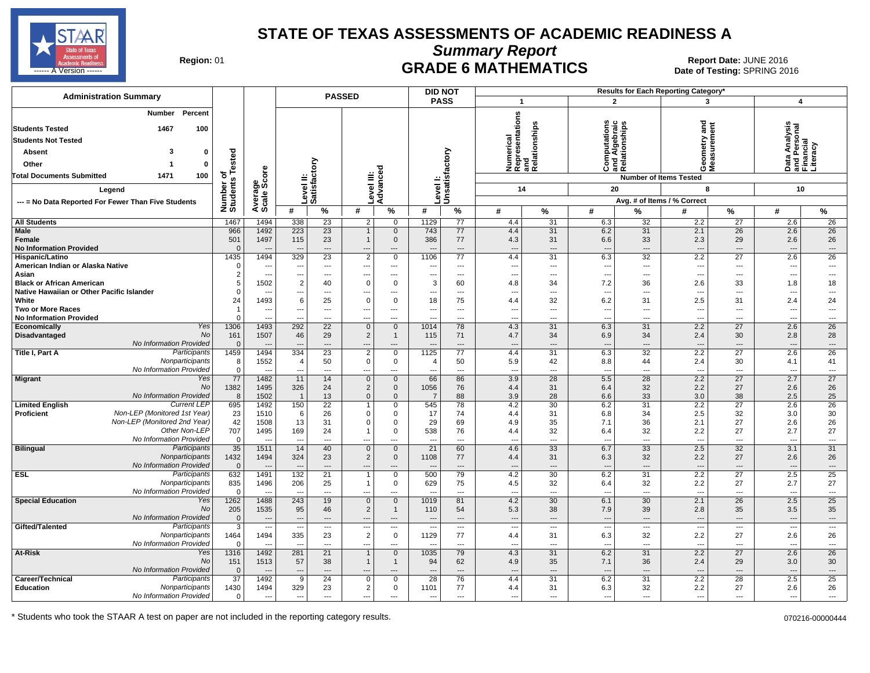

**Summary Report**

Region: 01 **Region: 01 CRADE 6 MATHEMATICS Date: JUNE 2016 Report Date: JUNE 2016 CRADE 6 MATHEMATICS** ل المستشفى العربي المستشفى المستشفى المستشفى المستشفى المستشفى المستشفى المستشفى المستشفى المستشفى المستشفى المستشفى المستشفى المستشفى المستشفى المستشفى المستشفى المستشفى المستشفى المستشفى المستشفى المستشفى المستشفى المست

| <b>Administration Summary</b>                                |                                  | <b>PASSED</b>                   |                                            |                           |                                |                               |                | <b>DID NOT</b>              |                                 |                                                      |                          |                                                | Results for Each Reporting Category' |                                                      |                                                        |                                                      |
|--------------------------------------------------------------|----------------------------------|---------------------------------|--------------------------------------------|---------------------------|--------------------------------|-------------------------------|----------------|-----------------------------|---------------------------------|------------------------------------------------------|--------------------------|------------------------------------------------|--------------------------------------|------------------------------------------------------|--------------------------------------------------------|------------------------------------------------------|
|                                                              |                                  |                                 |                                            |                           |                                |                               |                | <b>PASS</b>                 | $\mathbf{1}$                    |                                                      | $\overline{2}$           |                                                | 3                                    |                                                      | $\overline{\mathbf{4}}$                                |                                                      |
| Number<br>Percent<br><b>Students Tested</b><br>100<br>1467   |                                  |                                 |                                            |                           |                                |                               |                |                             |                                 | Numerical<br>Representations<br>and<br>Relationships | ations                   | Computations<br>and Algebraic<br>Relationships | and                                  |                                                      | Data Analysis<br>and Personal<br>Financial<br>Literacy |                                                      |
| <b>Students Not Tested</b>                                   |                                  |                                 |                                            |                           |                                |                               |                |                             |                                 |                                                      |                          |                                                |                                      |                                                      |                                                        |                                                      |
| Absent<br>3<br>0                                             |                                  |                                 |                                            |                           |                                |                               |                |                             |                                 |                                                      |                          |                                                |                                      |                                                      |                                                        |                                                      |
| Other<br>0                                                   | ested                            |                                 |                                            |                           |                                |                               |                |                             |                                 |                                                      |                          |                                                |                                      |                                                      |                                                        |                                                      |
| <b>Total Documents Submitted</b><br>1471<br>100              | ৳                                |                                 |                                            |                           |                                |                               |                |                             |                                 |                                                      |                          |                                                | פֿ⊘                                  |                                                      |                                                        |                                                      |
|                                                              |                                  | ge<br>Score                     |                                            |                           |                                |                               |                |                             |                                 |                                                      |                          |                                                | <b>Number of Items Tested</b>        |                                                      |                                                        |                                                      |
| Legend                                                       | Number o<br>Students             |                                 |                                            | Level II:<br>Satisfactory | evel III:                      | Advanced                      |                | Level I:<br> Unsatisfactory |                                 | 14                                                   | 20                       |                                                | 8                                    |                                                      | 10                                                     |                                                      |
| --- = No Data Reported For Fewer Than Five Students          |                                  | Avera<br>Scale                  |                                            |                           |                                |                               |                |                             |                                 |                                                      |                          |                                                | Avg. # of Items / % Correct          |                                                      |                                                        |                                                      |
|                                                              |                                  |                                 | #                                          | %                         | #                              | $\%$                          | #              | $\%$                        | #                               | %                                                    | #                        | %                                              | #                                    | ℅                                                    | #                                                      | $\%$                                                 |
| <b>All Students</b>                                          | 1467                             | 1494                            | 338                                        | 23                        | 2                              | $\overline{0}$                | 1129           | 77                          | 4.4                             | 31                                                   | 6.3                      | 32                                             | 2.2                                  | 27                                                   | 2.6                                                    | 26                                                   |
| <b>Male</b>                                                  | 966                              | 1492                            | 223                                        | $\overline{23}$           | 1                              | $\mathbf 0$                   | 743            | 77                          | 4.4                             | $\overline{31}$                                      | 6.2                      | 31                                             | 2.1                                  | $\overline{26}$                                      | 2.6                                                    | $\overline{26}$                                      |
| Female                                                       | 501                              | 1497                            | 115                                        | 23                        | $\mathbf{1}$                   | $\mathbf 0$                   | 386            | 77                          | 4.3                             | 31                                                   | 6.6                      | 33                                             | 2.3                                  | 29                                                   | 2.6                                                    | 26                                                   |
| <b>No Information Provided</b>                               | $\Omega$                         | $\overline{\phantom{a}}$        | $\overline{\phantom{a}}$                   | $\overline{\phantom{a}}$  |                                | ---                           |                | $\overline{\phantom{a}}$    | $\overline{a}$                  | ---                                                  | $\overline{a}$           | $---$                                          | $\overline{\phantom{a}}$             | $\overline{\phantom{a}}$                             | ---                                                    | ---                                                  |
| Hispanic/Latino<br>American Indian or Alaska Native          | 1435<br>$\Omega$                 | 1494<br>---                     | 329<br>$---$                               | 23<br>---                 | $\overline{2}$<br>---          | $\mathbf 0$<br>$\cdots$       | 1106<br>---    | 77<br>$---$                 | 4.4<br>---                      | 31<br>---                                            | 6.3<br>---               | 32<br>---                                      | 2.2<br>$\overline{\phantom{a}}$      | 27<br>$\overline{\phantom{a}}$                       | 2.6<br>---                                             | 26<br>---                                            |
| Asian                                                        | $\overline{2}$                   | ---                             | ---                                        | $\overline{a}$            | ---                            | $\overline{\phantom{a}}$      |                | $---$                       | Ξ.                              | ---                                                  | $\overline{a}$           | ---                                            | $\overline{\phantom{a}}$             | $\overline{\phantom{a}}$                             | ---                                                    | ---                                                  |
| <b>Black or African American</b>                             | 5                                | 1502                            | $\overline{2}$                             | 40                        | 0                              | $\mathbf 0$                   | 3              | 60                          | 4.8                             | 34                                                   | 7.2                      | 36                                             | 2.6                                  | 33                                                   | 1.8                                                    | 18                                                   |
| Native Hawaiian or Other Pacific Islander                    | $\Omega$                         |                                 | $\overline{a}$                             | $---$                     | ---                            | $---$                         |                | $---$                       | ---                             | ---                                                  | $\overline{a}$           | $\overline{a}$                                 | $\overline{\phantom{a}}$             | $\overline{\phantom{a}}$                             | $\overline{\phantom{a}}$                               | ---                                                  |
| White                                                        | 24                               | 1493                            | 6                                          | 25                        | 0                              | $\mathbf{0}$                  | 18             | 75                          | 4.4                             | 32                                                   | 6.2                      | 31                                             | 2.5                                  | 31                                                   | 2.4                                                    | 24                                                   |
| <b>Two or More Races</b>                                     | $\overline{1}$                   | ---                             | ---                                        | $---$                     | ---                            | $\cdots$                      | $--$           | $---$                       | ---                             | ---                                                  | $\overline{\phantom{a}}$ | $---$                                          | $\overline{\phantom{a}}$             | $---$                                                | $\overline{\phantom{a}}$                               | ---                                                  |
| <b>No Information Provided</b><br><b>Economically</b><br>Yes | $\Omega$<br>1306                 | ---<br>1493                     | $\overline{a}$<br>292                      | $---$<br>$\overline{22}$  | ---<br>$\mathbf 0$             | $---$<br>$\mathbf 0$          | 1014           | $---$<br>78                 | ---<br>4.3                      | ---<br>31                                            | $\overline{a}$<br>6.3    | $\overline{a}$<br>31                           | $\overline{\phantom{a}}$<br>2.2      | $---$<br>27                                          | $\overline{a}$<br>2.6                                  | $\overline{a}$<br>26                                 |
| No<br>Disadvantaged                                          | 161                              | 1507                            | 46                                         | 29                        | $\overline{c}$                 | $\overline{1}$                | 115            | 71                          | 4.7                             | 34                                                   | 6.9                      | 34                                             | 2.4                                  | 30                                                   | 2.8                                                    | 28                                                   |
| No Information Provided                                      | $\mathbf{0}$                     | $\overline{\phantom{a}}$        |                                            | $\overline{\phantom{a}}$  |                                |                               |                | $\overline{\phantom{a}}$    | ---                             | …                                                    | $\overline{\phantom{a}}$ | $\overline{a}$                                 | $\overline{\phantom{a}}$             | $\qquad \qquad \cdots$                               | $\overline{a}$                                         | ---                                                  |
| Participants<br>Title I, Part A                              | 1459                             | 1494                            | 334                                        | 23                        | $\overline{2}$                 | $\overline{0}$                | 1125           | $\overline{77}$             | 4.4                             | 31                                                   | 6.3                      | 32                                             | 2.2                                  | 27                                                   | 2.6                                                    | 26                                                   |
| Nonparticipants                                              | 8                                | 1552                            | 4                                          | 50                        | 0                              | $\mathbf 0$                   | $\overline{4}$ | 50                          | 5.9                             | 42                                                   | 8.8                      | 44                                             | 2.4                                  | 30                                                   | 4.1                                                    | 41                                                   |
| No Information Provided                                      | $\mathbf 0$                      |                                 |                                            | ---                       |                                | ---                           |                | $\overline{a}$              | Ξ.                              | $\overline{a}$                                       | $\overline{a}$           | $\overline{a}$                                 | $\overline{\phantom{a}}$             | $\overline{\phantom{a}}$                             | ---                                                    | ---                                                  |
| <b>Migrant</b><br>Yes<br><b>No</b>                           | $\overline{77}$                  | 1482                            | 11                                         | 14                        | $\mathbf{0}$                   | $\overline{0}$                | 66             | 86                          | 3.9                             | $\overline{28}$                                      | 5.5                      | $\overline{28}$                                | 2.2                                  | $\overline{27}$                                      | 2.7                                                    | $\overline{27}$                                      |
| No Information Provided                                      | 1382<br>8                        | 1495<br>1502                    | 326<br>$\overline{\mathbf{1}}$             | 24<br>13                  | $\overline{2}$<br>$\mathbf{0}$ | $\mathbf 0$<br>$\mathbf{0}$   | 1056<br>7      | 76<br>88                    | 4.4<br>3.9                      | 31<br>28                                             | 6.4<br>6.6               | 32<br>33                                       | 2.2<br>3.0                           | 27<br>38                                             | 2.6<br>2.5                                             | 26<br>25                                             |
| <b>Current LEP</b><br><b>Limited English</b>                 | 695                              | 1492                            | 150                                        | 22                        | $\mathbf{1}$                   | $\mathbf 0$                   | 545            | 78                          | 4.2                             | 30                                                   | 6.2                      | 31                                             | 2.2                                  | 27                                                   | 2.6                                                    | 26                                                   |
| Non-LEP (Monitored 1st Year)<br>Proficient                   | 23                               | 1510                            | 6                                          | 26                        | 0                              | $\mathbf 0$                   | 17             | 74                          | 4.4                             | 31                                                   | 6.8                      | 34                                             | 2.5                                  | 32                                                   | 3.0                                                    | 30                                                   |
| Non-LEP (Monitored 2nd Year)                                 | 42                               | 1508                            | 13                                         | 31                        | 0                              | $\mathbf 0$                   | 29             | 69                          | 4.9                             | 35                                                   | 7.1                      | 36                                             | 2.1                                  | 27                                                   | 2.6                                                    | 26                                                   |
| Other Non-LEP                                                | 707                              | 1495                            | 169                                        | 24                        | $\mathbf{1}$                   | $\mathbf 0$                   | 538            | 76                          | 4.4                             | 32                                                   | 6.4                      | 32                                             | 2.2                                  | 27                                                   | 2.7                                                    | 27                                                   |
| No Information Provided                                      | $\mathbf{0}$                     |                                 | $\sim$                                     | ---                       | ⊷                              | ---                           |                | $\overline{a}$              | ---                             | ---                                                  | ---                      | $\overline{a}$                                 | $\overline{\phantom{a}}$             | $---$                                                | $\overline{a}$                                         | $\qquad \qquad \cdots$                               |
| Participants<br><b>Bilingual</b><br>Nonparticipants          | 35<br>1432                       | 1511<br>1494                    | 14<br>324                                  | 40<br>23                  | $\mathbf 0$<br>$\overline{2}$  | $\overline{0}$<br>$\mathbf 0$ | 21<br>1108     | 60<br>77                    | 4.6                             | $\overline{33}$<br>31                                | 6.7<br>6.3               | $\overline{33}$<br>32                          | 2.5<br>2.2                           | 32<br>27                                             | 3.1<br>2.6                                             | $\overline{31}$<br>26                                |
| No Information Provided                                      | $\Omega$                         | --                              | $\sim$                                     | $\overline{\phantom{a}}$  | ---                            | ---                           |                | $\overline{\phantom{a}}$    | 4.4<br>$\overline{a}$           | $\overline{a}$                                       | $\overline{a}$           | $\overline{a}$                                 | $\sim$                               | $\hspace{1.5cm} \ldots$                              | $\overline{\phantom{a}}$                               | $\qquad \qquad \cdots$                               |
| <b>ESL</b><br>Participants                                   | 632                              | 1491                            | 132                                        | 21                        | 1                              | $\mathbf 0$                   | 500            | 79                          | 4.2                             | 30                                                   | 6.2                      | 31                                             | 2.2                                  | $\overline{27}$                                      | 2.5                                                    | 25                                                   |
| Nonparticipants                                              | 835                              | 1496                            | 206                                        | 25                        | $\mathbf{1}$                   | $\mathbf 0$                   | 629            | 75                          | 4.5                             | 32                                                   | 6.4                      | 32                                             | 2.2                                  | 27                                                   | 2.7                                                    | 27                                                   |
| No Information Provided                                      | $\Omega$                         | $\overline{\phantom{a}}$        | $\overline{\phantom{a}}$                   | $\overline{a}$            | ---                            | $---$                         |                | $\overline{\phantom{a}}$    | ---                             | ---                                                  | ---                      | $\overline{a}$                                 | $\overline{\phantom{a}}$             | $\overline{\phantom{a}}$                             | $\overline{a}$                                         | $\overline{\phantom{a}}$                             |
| Yes<br><b>Special Education</b>                              | 1262                             | 1488                            | 243                                        | 19                        | $\mathbf 0$                    | $\mathbf 0$                   | 1019           | 81                          | 4.2                             | 30                                                   | 6.1                      | 30                                             | 2.1                                  | 26                                                   | 2.5                                                    | 25                                                   |
| <b>No</b>                                                    | 205                              | 1535                            | 95                                         | 46                        | $\overline{2}$                 | $\overline{1}$                | 110            | 54                          | 5.3                             | 38                                                   | 7.9                      | 39                                             | 2.8                                  | 35                                                   | 3.5                                                    | 35                                                   |
| No Information Provided<br>Participants<br>Gifted/Talented   | $\overline{0}$<br>$\overline{3}$ | ---<br>$\overline{\phantom{a}}$ | $\overline{a}$<br>$\overline{\phantom{a}}$ | $---$<br>$---$            | ---                            | $---$<br>$---$                |                | $---$<br>$---$              | ---<br>$\overline{\phantom{a}}$ | $\overline{a}$<br>---                                | $\overline{a}$<br>---    | $---$<br>$\cdots$                              | $\sim$<br>$\overline{\phantom{a}}$   | $\overline{\phantom{a}}$<br>$\hspace{0.05cm} \cdots$ | $\overline{a}$<br>$\overline{\phantom{a}}$             | $\overline{\phantom{a}}$<br>$\overline{\phantom{a}}$ |
| Nonparticipants                                              | 1464                             | 1494                            | 335                                        | 23                        | $\overline{2}$                 | $\mathbf 0$                   | 1129           | 77                          | 4.4                             | 31                                                   | 6.3                      | 32                                             | 2.2                                  | 27                                                   | 2.6                                                    | 26                                                   |
| No Information Provided                                      | $\Omega$                         | --                              | $\overline{a}$                             | $\overline{a}$            | ---                            | $---$                         |                | $-$                         | ---                             | $\overline{a}$                                       | $\sim$                   | $\overline{a}$                                 | $\overline{\phantom{a}}$             | $\sim$                                               | $\overline{\phantom{a}}$                               | $\overline{\phantom{a}}$                             |
| Yes<br>At-Risk                                               | 1316                             | 1492                            | 281                                        | 21                        | 1                              | $\mathbf{0}$                  | 1035           | 79                          | 4.3                             | 31                                                   | 6.2                      | 31                                             | 2.2                                  | 27                                                   | 2.6                                                    | 26                                                   |
| No                                                           | 151                              | 1513                            | 57                                         | 38                        | $\mathbf{1}$                   | $\mathbf{1}$                  | 94             | 62                          | 4.9                             | 35                                                   | 7.1                      | 36                                             | 2.4                                  | 29                                                   | 3.0                                                    | 30                                                   |
| No Information Provided                                      | $\mathbf{0}$                     | $\overline{\phantom{a}}$        | $---$                                      | ---                       |                                | ---                           |                | $\overline{\phantom{a}}$    | ÷÷                              | ---                                                  | $\overline{a}$           | $---$                                          |                                      | $\overline{\phantom{a}}$                             | $\overline{a}$                                         | ---                                                  |
| Participants<br>Career/Technical<br>Nonparticipants          | $\overline{37}$                  | 1492                            | 9                                          | 24                        | 0                              | $\mathbf 0$                   | 28             | 76<br>77                    | 4.4                             | 31                                                   | 6.2                      | 31                                             | 2.2                                  | 28                                                   | 2.5                                                    | 25                                                   |
| Education<br>No Information Provided                         | 1430<br>$\Omega$                 | 1494<br>---                     | 329<br>$\overline{a}$                      | 23<br>---                 | $\overline{2}$<br>---          | 0                             | 1101<br>---    | $\overline{a}$              | 4.4<br>÷.,                      | 31<br>---                                            | 6.3<br>$\overline{a}$    | 32<br>$\overline{a}$                           | 2.2<br>$\overline{\phantom{a}}$      | 27<br>$\overline{\phantom{a}}$                       | 2.6<br>---                                             | 26<br>---                                            |
|                                                              |                                  |                                 |                                            |                           |                                |                               |                |                             |                                 |                                                      |                          |                                                |                                      |                                                      |                                                        |                                                      |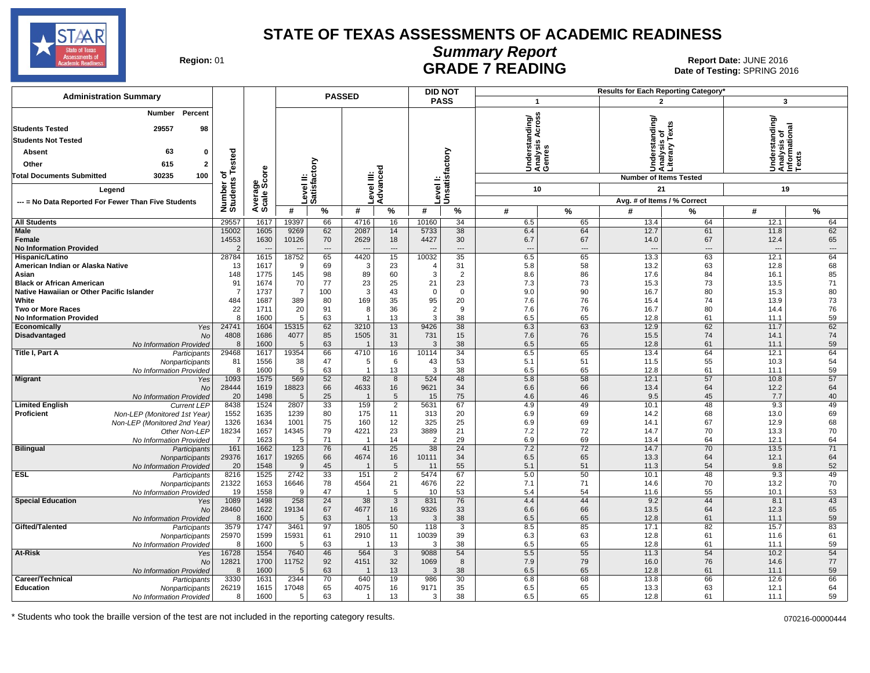

 $\overline{\phantom{a}}$ 

**DID NOT**

# **Summary Report**

Region: 01 **Region: 01 CALL CONSISTS THE POST OF READING Report Date: JUNE 2016**<br>Date of Testing: SPRING 20 Date of Testing: SPRING 2016

| <b>Administration Summary</b>                               | <b>PASSED</b>           |                        |                       |                           |                         |                        |                      | <b>DID NOT</b>    |                                 |                                             |              | <b>Results for Each Reporting Category</b>      |                                                                      |                                |
|-------------------------------------------------------------|-------------------------|------------------------|-----------------------|---------------------------|-------------------------|------------------------|----------------------|-------------------|---------------------------------|---------------------------------------------|--------------|-------------------------------------------------|----------------------------------------------------------------------|--------------------------------|
|                                                             |                         |                        |                       |                           |                         |                        |                      | <b>PASS</b>       | $\overline{1}$                  |                                             |              | $\overline{2}$                                  | 3                                                                    |                                |
| Percent<br>Number                                           |                         |                        |                       |                           |                         |                        |                      |                   | ű                               |                                             |              |                                                 |                                                                      |                                |
| <b>Students Tested</b><br>29557<br>98                       |                         |                        |                       |                           |                         |                        |                      |                   |                                 |                                             |              |                                                 |                                                                      |                                |
| <b>Students Not Tested</b>                                  |                         |                        |                       |                           |                         |                        |                      |                   |                                 | Understanding/<br>Analysis Across<br>Genres |              | Understanding/<br>Analysis of<br>Literary Texts | rstanding/<br>Understanding<br>Analysis of<br>Informational<br>Texts |                                |
|                                                             |                         |                        |                       |                           |                         |                        |                      |                   |                                 |                                             |              |                                                 |                                                                      |                                |
| 63<br>0<br><b>Absent</b>                                    |                         |                        |                       |                           |                         |                        |                      |                   |                                 |                                             |              |                                                 |                                                                      |                                |
| Other<br>615<br>$\mathbf{2}$                                | Tested                  |                        |                       |                           |                         |                        |                      |                   |                                 |                                             |              |                                                 |                                                                      |                                |
| <b>Total Documents Submitted</b><br>30235<br>100            | ৳                       |                        |                       |                           |                         |                        |                      |                   |                                 |                                             |              | <b>Number of Items Tested</b>                   |                                                                      |                                |
| Legend                                                      | Number o<br>Students    | Average<br>Scale Score |                       | Level II:<br>Satisfactory |                         | Level III:<br>Advanced | evel I:              | Unsatisfactory    |                                 | 10                                          |              | 21                                              | 19                                                                   |                                |
| --- = No Data Reported For Fewer Than Five Students         |                         |                        |                       |                           |                         |                        |                      |                   |                                 |                                             |              | Avg. # of Items / % Correct                     |                                                                      |                                |
|                                                             |                         |                        | #                     | $\%$                      | #                       | %                      | #                    | $\%$              | #                               | $\%$                                        | #            | %                                               | #                                                                    | $\frac{9}{6}$                  |
| <b>All Students</b>                                         | 29557                   | 1617                   | 19397                 | 66                        | 4716                    | 16                     | 10160                | 34                | 6.5                             | 65                                          | 13.4         | 64                                              | 12.1                                                                 | 64                             |
| Male                                                        | 15002                   | 1605                   | 9269                  | 62                        | 2087                    | 14                     | 5733                 | 38                | 6.4                             | 64                                          | 12.7         | 61                                              | 11.8                                                                 | 62                             |
| Female<br><b>No Information Provided</b>                    | 14553<br>$\overline{2}$ | 1630                   | 10126                 | 70<br>$\cdots$            | 2629                    | 18<br>---              | 4427                 | 30<br>$---$       | 6.7<br>$\overline{\phantom{a}}$ | 67<br>$\qquad \qquad \cdots$                | 14.0         | 67<br>---                                       | 12.4                                                                 | 65<br>$\hspace{0.05cm} \ldots$ |
| Hispanic/Latino                                             | 28784                   | 1615                   | 18752                 | 65                        | 4420                    | 15                     | 10032                | 35                | 6.5                             | 65                                          | 13.3         | 63                                              | 12.1                                                                 | 64                             |
| American Indian or Alaska Native                            | 13                      | 1617                   | 9                     | 69                        | 3                       | 23                     | $\overline{4}$       | 31                | 5.8                             | 58                                          | 13.2         | 63                                              | 12.8                                                                 | 68                             |
| Asian                                                       | 148                     | 1775                   | 145                   | 98                        | 89                      | 60                     | 3                    | $\overline{2}$    | 8.6                             | 86                                          | 17.6         | 84                                              | 16.1                                                                 | 85                             |
| <b>Black or African American</b>                            | 91                      | 1674                   | 70                    | 77                        | 23                      | 25                     | 21                   | 23                | 7.3                             | 73                                          | 15.3         | 73                                              | 13.5                                                                 | 71                             |
| Native Hawaiian or Other Pacific Islander<br>White          | -7<br>484               | 1737<br>1687           | $\overline{7}$<br>389 | 100<br>80                 | 3<br>169                | 43<br>35               | $\mathbf 0$<br>95    | $\mathbf 0$<br>20 | 9.0<br>7.6                      | 90<br>76                                    | 16.7<br>15.4 | 80<br>74                                        | 15.3<br>13.9                                                         | 80<br>73                       |
| <b>Two or More Races</b>                                    | 22                      | 1711                   | 20                    | 91                        | 8                       | 36                     | $\overline{2}$       | 9                 | 7.6                             | 76                                          | 16.7         | 80                                              | 14.4                                                                 | 76                             |
| <b>No Information Provided</b>                              | 8                       | 1600                   | 5                     | 63                        | $\overline{1}$          | 13                     | 3                    | 38                | 6.5                             | 65                                          | 12.8         | 61                                              | 11.1                                                                 | 59                             |
| <b>Economically</b><br>Yes                                  | 24741                   | 1604                   | 15315                 | 62                        | 3210                    | 13                     | 9426                 | 38                | 6.3                             | 63                                          | 12.9         | 62                                              | 11.7                                                                 | 62                             |
| Disadvantaged<br><b>No</b>                                  | 4808                    | 1686                   | 4077                  | 85                        | 1505                    | 31                     | 731                  | 15                | 7.6                             | 76                                          | 15.5         | 74                                              | 14.1                                                                 | 74                             |
| No Information Provided<br>Title I, Part A<br>Participants  | 8<br>29468              | 1600<br>1617           | 5<br>19354            | 63<br>66                  | -1<br>4710              | 13<br>16               | 3<br>10114           | 38<br>34          | 6.5<br>6.5                      | 65<br>65                                    | 12.8<br>13.4 | 61<br>64                                        | 11.1<br>12.1                                                         | 59<br>64                       |
| Nonparticipants                                             | 81                      | 1556                   | 38                    | 47                        | 5                       | 6                      | 43                   | 53                | 5.1                             | 51                                          | 11.5         | 55                                              | 10.3                                                                 | 54                             |
| No Information Provided                                     | 8                       | 1600                   | 5                     | 63                        | $\overline{1}$          | 13                     | 3                    | 38                | 6.5                             | 65                                          | 12.8         | 61                                              | 11.1                                                                 | 59                             |
| <b>Migrant</b><br>Yes                                       | 1093                    | 1575                   | 569                   | 52                        | 82                      | 8                      | 524                  | 48                | 5.8                             | 58                                          | 12.1         | 57                                              | 10.8                                                                 | 57                             |
| <b>No</b><br>No Information Provided                        | 28444<br>20             | 1619<br>1498           | 18823<br>5            | 66<br>25                  | 4633<br>$\overline{1}$  | 16<br>5                | 9621<br>15           | 34<br>75          | 6.6<br>4.6                      | 66<br>46                                    | 13.4<br>9.5  | 64<br>45                                        | 12.2<br>7.7                                                          | 64<br>40                       |
| <b>Limited English</b><br><b>Current LEP</b>                | 8438                    | 1524                   | 2807                  | 33                        | 159                     | $\overline{2}$         | 5631                 | 67                | 4.9                             | 49                                          | 10.1         | 48                                              | 9.3                                                                  | 49                             |
| Proficient<br>Non-LEP (Monitored 1st Year)                  | 1552                    | 1635                   | 1239                  | 80                        | 175                     | 11                     | 313                  | 20                | 6.9                             | 69                                          | 14.2         | 68                                              | 13.0                                                                 | 69                             |
| Non-LEP (Monitored 2nd Year)                                | 1326                    | 1634                   | 1001                  | 75                        | 160                     | 12                     | 325                  | 25                | 6.9                             | 69                                          | 14.1         | 67                                              | 12.9                                                                 | 68                             |
| Other Non-LEP                                               | 18234                   | 1657                   | 14345                 | 79                        | 4221                    | 23                     | 3889                 | 21                | 7.2                             | 72                                          | 14.7         | 70                                              | 13.3                                                                 | 70                             |
| No Information Provided<br><b>Bilingual</b><br>Participants | $\overline{7}$<br>161   | 1623<br>1662           | 5<br>123              | 71<br>76                  | $\overline{1}$<br>41    | 14<br>$\overline{25}$  | $\overline{2}$<br>38 | 29<br>24          | 6.9<br>7.2                      | 69<br>72                                    | 13.4<br>14.7 | 64<br>70                                        | 12.1<br>13.5                                                         | 64<br>71                       |
| Nonparticipants                                             | 29376                   | 1617                   | 19265                 | 66                        | 4674                    | 16                     | 10111                | 34                | 6.5                             | 65                                          | 13.3         | 64                                              | 12.1                                                                 | 64                             |
| No Information Provided                                     | 20                      | 1548                   | $\mathbf{q}$          | 45                        | -1                      | 5                      | 11                   | 55                | 5.1                             | 51                                          | 11.3         | 54                                              | 9.8                                                                  | 52                             |
| <b>ESL</b><br>Participants                                  | 8216                    | 1525                   | 2742                  | 33                        | 151                     | 2                      | 5474                 | 67                | 5.0                             | 50                                          | 10.1         | 48                                              | 9.3                                                                  | 49                             |
| Nonparticipants                                             | 21322<br>19             | 1653<br>1558           | 16646<br>9            | 78<br>47                  | 4564<br>$\overline{1}$  | 21<br>5                | 4676<br>10           | 22<br>53          | 7.1                             | 71<br>54                                    | 14.6<br>11.6 | 70<br>55                                        | 13.2<br>10.1                                                         | 70<br>53                       |
| No Information Provided<br><b>Special Education</b><br>Yes  | 1089                    | 1498                   | 258                   | 24                        | 38                      | 3                      | 831                  | 76                | 5.4<br>4.4                      | 44                                          | 9.2          | 44                                              | 8.1                                                                  | 43                             |
| <b>No</b>                                                   | 28460                   | 1622                   | 19134                 | 67                        | 4677                    | 16                     | 9326                 | 33                | 6.6                             | 66                                          | 13.5         | 64                                              | 12.3                                                                 | 65                             |
| No Information Provided                                     | 8                       | 1600                   | 5                     | 63                        | $\overline{\mathbf{1}}$ | 13                     | 3                    | 38                | 6.5                             | 65                                          | 12.8         | 61                                              | 11.1                                                                 | 59                             |
| Gifted/Talented<br>Participants                             | 3579                    | 1747                   | 3461                  | 97                        | 1805                    | 50                     | 118                  | 3                 | 8.5                             | 85                                          | 17.1         | 82                                              | 15.7                                                                 | 83                             |
| Nonparticipants<br>No Information Provided                  | 25970<br>8              | 1599<br>1600           | 15931<br>5            | 61<br>63                  | 2910<br>-1              | 11<br>13               | 10039<br>3           | 39<br>38          | 6.3<br>6.5                      | 63<br>65                                    | 12.8<br>12.8 | 61<br>61                                        | 11.6<br>11.1                                                         | 61<br>59                       |
| At-Risk<br>Yes                                              | 16728                   | 1554                   | 7640                  | 46                        | 564                     | $\mathbf{3}$           | 9088                 | 54                | 5.5                             | 55                                          | 11.3         | 54                                              | 10.2                                                                 | 54                             |
| <b>No</b>                                                   | 12821                   | 1700                   | 11752                 | 92                        | 4151                    | 32                     | 1069                 | 8                 | 7.9                             | 79                                          | 16.0         | 76                                              | 14.6                                                                 | 77                             |
| No Information Provided                                     | 8                       | 1600                   | 5                     | 63                        | -1                      | 13                     | 3                    | 38                | 6.5                             | 65                                          | 12.8         | 61                                              | 11.1                                                                 | 59                             |
| Career/Technical<br>Participants                            | 3330                    | 1631                   | 2344                  | 70                        | 640                     | 19                     | 986                  | 30                | 6.8                             | 68                                          | 13.8         | 66                                              | 12.6                                                                 | 66                             |
| <b>Education</b><br>Nonparticipants                         | 26219<br>8              | 1615<br>1600           | 17048<br>5            | 65<br>63                  | 4075<br>$\overline{1}$  | 16<br>13               | 9171<br>3            | 35<br>38          | 6.5<br>6.5                      | 65<br>65                                    | 13.3<br>12.8 | 63<br>61                                        | 12.1<br>11.1                                                         | 64<br>59                       |
| No Information Provided                                     |                         |                        |                       |                           |                         |                        |                      |                   |                                 |                                             |              |                                                 |                                                                      |                                |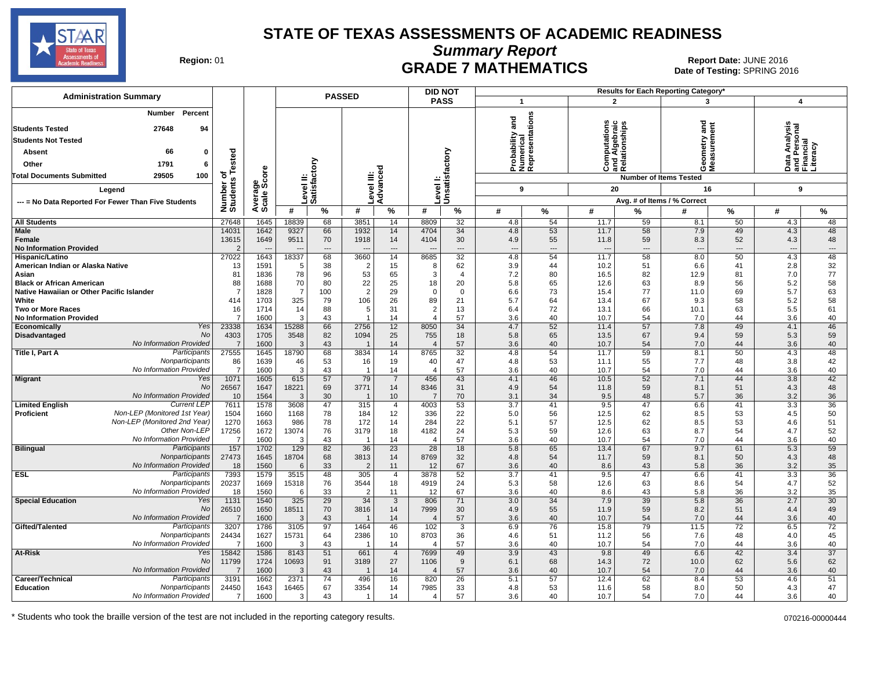

**Summary Report**

Region: 01 **Region: 01 CRADE 7 MATHEMATICS Date: JUNE 2016 Report Date: JUNE 2016 CRADE 7 MATHEMATICS** Date of Testing: SPRING 2016

| <b>Administration Summary</b>                                                                                                                                                                      |                                  |              |                | <b>PASSED</b>              |                |                            |                        | <b>DID NOT</b>             |                                                 |                 |                                                               |                   | Results for Each Reporting Category'     |                                      |                                                        |                       |
|----------------------------------------------------------------------------------------------------------------------------------------------------------------------------------------------------|----------------------------------|--------------|----------------|----------------------------|----------------|----------------------------|------------------------|----------------------------|-------------------------------------------------|-----------------|---------------------------------------------------------------|-------------------|------------------------------------------|--------------------------------------|--------------------------------------------------------|-----------------------|
|                                                                                                                                                                                                    |                                  |              |                |                            |                |                            |                        | <b>PASS</b>                | $\mathbf 1$                                     |                 | $\mathbf{2}$                                                  |                   | 3                                        |                                      | 4                                                      |                       |
| <b>Number</b> Percent<br>27648<br>94<br><b>Students Tested</b><br><b>Students Not Tested</b><br>66<br><b>Absent</b><br>0<br>Other<br>1791<br>6<br>29505<br><b>Total Documents Submitted</b><br>100 | ested<br>৳                       | ge<br>Score  |                | Level II:<br>Satisfactory  |                | Advanced                   |                        | Level I:<br>Unsatisfactory | Probability and<br>Numerical<br>Representations |                 | ations<br>nd Algebraic<br>telationships<br>ă<br>통<br>Ö<br>ಹ ∝ |                   | g<br>ÖΣ<br><b>Number of Items Tested</b> |                                      | Data Analysis<br>and Personal<br>Financial<br>Literacy |                       |
|                                                                                                                                                                                                    |                                  |              |                |                            |                |                            |                        |                            |                                                 |                 |                                                               |                   |                                          |                                      |                                                        |                       |
| Legend                                                                                                                                                                                             | Number of<br>Students            | Average      |                |                            | evel III:      |                            |                        |                            | 9                                               |                 | 20                                                            |                   | 16                                       |                                      | 9                                                      |                       |
| --- = No Data Reported For Fewer Than Five Students                                                                                                                                                |                                  |              |                |                            |                |                            |                        |                            |                                                 |                 |                                                               |                   | Avg. # of Items / % Correct              |                                      |                                                        |                       |
|                                                                                                                                                                                                    |                                  |              | #              | %                          | #              | %                          | #                      | %                          | #                                               | $\%$            | #                                                             | %                 | #                                        | $\%$                                 | #                                                      | $\%$                  |
| <b>All Students</b>                                                                                                                                                                                | 27648                            | 1645         | 18839          | 68                         | 3851           | 14                         | 8809                   | 32                         | 4.8                                             | 54              | 11.7                                                          | 59                | 8.1                                      | 50                                   | 4.3                                                    | 48                    |
| Male<br>Female<br><b>No Information Provided</b>                                                                                                                                                   | 14031<br>13615<br>$\overline{2}$ | 1642<br>1649 | 9327<br>9511   | 66<br>70<br>$\overline{a}$ | 1932<br>1918   | 14<br>14<br>$\overline{a}$ | 4704<br>4104           | 34<br>30<br>$---$          | 4.8<br>4.9<br>---                               | 53<br>55<br>--- | 11.7<br>11.8<br>$\overline{\phantom{a}}$                      | 58<br>59<br>$---$ | 7.9<br>8.3<br>$\sim$                     | 49<br>52<br>$\overline{\phantom{a}}$ | 4.3<br>4.3<br>$\overline{a}$                           | 48<br>48<br>---       |
| Hispanic/Latino                                                                                                                                                                                    | 27022                            | 1643         | 18337          | 68                         | 3660           | 14                         | 8685                   | 32                         | 4.8                                             | 54              | 11.7                                                          | 58                | 8.0                                      | 50                                   | 4.3                                                    | 48                    |
| American Indian or Alaska Native                                                                                                                                                                   | 13                               | 1591         | -5             | 38                         | 2              | 15                         | 8                      | 62                         | 3.9                                             | 44              | 10.2                                                          | 51                | 6.6                                      | 41                                   | 2.8                                                    | 32                    |
| Asian<br><b>Black or African American</b>                                                                                                                                                          | 81<br>88                         | 1836<br>1688 | 78<br>70       | 96<br>80                   | 53<br>22       | 65<br>25                   | 3<br>18                | $\overline{4}$<br>20       | 7.2<br>5.8                                      | 80<br>65        | 16.5<br>12.6                                                  | 82<br>63          | 12.9<br>8.9                              | 81<br>56                             | 7.0<br>5.2                                             | 77<br>58              |
| Native Hawaiian or Other Pacific Islander                                                                                                                                                          | 7                                | 1828         | $\overline{7}$ | 100                        | $\overline{2}$ | 29                         | $\mathbf 0$            | $\mathbf 0$                | 6.6                                             | 73              | 15.4                                                          | 77                | 11.0                                     | 69                                   | 5.7                                                    | 63                    |
| White                                                                                                                                                                                              | 414                              | 1703         | 325            | 79                         | 106            | 26                         | 89                     | 21                         | 5.7                                             | 64              | 13.4                                                          | 67                | 9.3                                      | 58                                   | 5.2                                                    | 58                    |
| <b>Two or More Races</b>                                                                                                                                                                           | 16                               | 1714         | 14             | 88                         | 5              | 31                         | 2                      | 13                         | 6.4                                             | 72              | 13.1                                                          | 66                | 10.1                                     | 63                                   | 5.5                                                    | 61                    |
| <b>No Information Provided</b>                                                                                                                                                                     | $\overline{7}$                   | 1600         | 3              | 43                         |                | 14                         | 4                      | 57                         | 3.6                                             | 40              | 10.7                                                          | 54                | 7.0                                      | 44                                   | 3.6                                                    | 40                    |
| Economically<br>Yes                                                                                                                                                                                | 23338                            | 1634         | 15288          | 66                         | 2756           | 12                         | 8050                   | 34                         | 4.7                                             | 52              | 11.4                                                          | 57                | 7.8                                      | 49                                   | 4.1                                                    | 46                    |
| No<br>Disadvantaged                                                                                                                                                                                | 4303                             | 1705         | 3548           | 82                         | 1094           | 25                         | 755                    | 18                         | 5.8                                             | 65              | 13.5                                                          | 67                | 9.4                                      | 59                                   | 5.3                                                    | 59                    |
| No Information Provided<br>Participants<br>Title I, Part A                                                                                                                                         | $\overline{7}$<br>27555          | 1600<br>1645 | 3<br>18790     | 43<br>68                   | 3834           | 14<br>14                   | 8765                   | 57<br>32                   | 3.6<br>4.8                                      | 40<br>54        | 10.7<br>11.7                                                  | 54<br>59          | 7.0<br>8.1                               | 44<br>50                             | 3.6<br>4.3                                             | 40<br>48              |
| Nonparticipants                                                                                                                                                                                    | 86                               | 1639         | 46             | 53                         | 16             | 19                         | 40                     | 47                         | 4.8                                             | 53              | 11.1                                                          | 55                | 7.7                                      | 48                                   | 3.8                                                    | 42                    |
| No Information Provided                                                                                                                                                                            | 7                                | 1600         | 3              | 43                         |                | 14                         | $\overline{4}$         | 57                         | 3.6                                             | 40              | 10.7                                                          | 54                | 7.0                                      | 44                                   | 3.6                                                    | 40                    |
| <b>Migrant</b><br>Yes                                                                                                                                                                              | 1071                             | 1605         | 615            | 57                         | 79             | $\overline{7}$             | 456                    | 43                         | 4.1                                             | 46              | 10.5                                                          | 52                | 7.1                                      | 44                                   | 3.8                                                    | 42                    |
| No                                                                                                                                                                                                 | 26567                            | 1647         | 18221          | 69                         | 3771           | 14                         | 8346                   | 31                         | 4.9                                             | 54              | 11.8                                                          | 59                | 8.1                                      | 51                                   | 4.3                                                    | 48                    |
| No Information Provided                                                                                                                                                                            | 10                               | 1564         | 3              | 30                         |                | 10                         |                        | 70                         | 3.1                                             | 34              | 9.5                                                           | 48                | 5.7                                      | 36                                   | 3.2                                                    | 36                    |
| <b>Current LEF</b><br><b>Limited English</b><br>Non-LEP (Monitored 1st Year)                                                                                                                       | 7611                             | 1578         | 3608           | 47                         | 315            | $\overline{4}$             | 4003                   | 53                         | 3.7                                             | 41              | 9.5                                                           | 47                | 6.6                                      | 41                                   | 3.3                                                    | 36                    |
| <b>Proficient</b><br>Non-LEP (Monitored 2nd Year)                                                                                                                                                  | 1504<br>1270                     | 1660<br>1663 | 1168<br>986    | 78<br>78                   | 184<br>172     | 12<br>14                   | 336<br>284             | 22<br>22                   | 5.0<br>5.1                                      | 56<br>57        | 12.5<br>12.5                                                  | 62<br>62          | 8.5<br>8.5                               | 53<br>53                             | 4.5<br>4.6                                             | 50<br>51              |
| Other Non-LEP                                                                                                                                                                                      | 17256                            | 1672         | 13074          | 76                         | 3179           | 18                         | 4182                   | 24                         | 5.3                                             | 59              | 12.6                                                          | 63                | 8.7                                      | 54                                   | 4.7                                                    | 52                    |
| No Information Provided                                                                                                                                                                            | $\overline{7}$                   | 1600         | 3              | 43                         | -1             | 14                         | $\overline{4}$         | 57                         | 3.6                                             | 40              | 10.7                                                          | 54                | 7.0                                      | 44                                   | 3.6                                                    | 40                    |
| <b>Bilingual</b><br>Participants                                                                                                                                                                   | 157                              | 1702         | 129            | 82                         | 36             | $\overline{23}$            | 28                     | 18                         | 5.8                                             | 65              | 13.4                                                          | 67                | 9.7                                      | 61                                   | 5.3                                                    | 59                    |
| Nonparticipants                                                                                                                                                                                    | 27473                            | 1645         | 18704          | 68                         | 3813           | 14                         | 8769                   | 32                         | 4.8                                             | 54              | 11.7                                                          | 59                | 8.1                                      | 50                                   | 4.3                                                    | 48                    |
| <b>No Information Provided</b>                                                                                                                                                                     | 18                               | 1560         | 6              | 33                         | $\overline{2}$ | 11                         | 12                     | 67                         | 3.6                                             | 40              | 8.6                                                           | 43                | 5.8                                      | 36                                   | 3.2                                                    | 35                    |
| <b>ESL</b><br>Participants<br>Nonparticipants                                                                                                                                                      | 7393<br>20237                    | 1579<br>1669 | 3515<br>15318  | 48<br>76                   | 305<br>3544    | $\overline{4}$<br>18       | 3878<br>4919           | 52<br>24                   | 3.7<br>5.3                                      | 41<br>58        | 9.5<br>12.6                                                   | 47<br>63          | 6.6                                      | 41<br>54                             | 3.3<br>4.7                                             | 36<br>52              |
| No Information Provided                                                                                                                                                                            | 18                               | 1560         | 6              | 33                         | $\overline{c}$ | 11                         | 12                     | 67                         | 3.6                                             | 40              | 8.6                                                           | 43                | 8.6<br>5.8                               | 36                                   | 3.2                                                    | 35                    |
| <b>Special Education</b><br>Yes                                                                                                                                                                    | 1131                             | 1540         | 325            | 29                         | 34             | 3                          | 806                    | 71                         | 3.0                                             | 34              | 7.9                                                           | 39                | 5.8                                      | 36                                   | 2.7                                                    | 30                    |
| No                                                                                                                                                                                                 | 26510                            | 1650         | 18511          | 70                         | 3816           | 14                         | 7999                   | 30                         | 4.9                                             | 55              | 11.9                                                          | 59                | 8.2                                      | 51                                   | 4.4                                                    | 49                    |
| No Information Provided                                                                                                                                                                            | $\overline{7}$                   | 1600         | 3              | 43                         |                | 14                         | $\overline{4}$         | 57                         | 3.6                                             | 40              | 10.7                                                          | 54                | 7.0                                      | 44                                   | 3.6                                                    | 40                    |
| Gifted/Talented<br>Participants                                                                                                                                                                    | 3207                             | 1786         | 3105           | 97                         | 1464           | 46                         | 102                    | 3                          | 6.9                                             | 76              | 15.8                                                          | 79                | 11.5                                     | $\overline{72}$                      | 6.5                                                    | $\overline{72}$       |
| Nonparticipants<br>No Information Provided                                                                                                                                                         | 24434                            | 1627         | 15731<br>3     | 64                         | 2386           | 10                         | 8703                   | 36<br>57                   | 4.6                                             | 51              | 11.2                                                          | 56                | 7.6                                      | 48<br>44                             | 4.0                                                    | 45                    |
| At-Risk<br>Yes                                                                                                                                                                                     | 7<br>15842                       | 1600<br>1586 | 8143           | 43<br>51                   | -1<br>661      | 14<br>$\overline{4}$       | $\overline{4}$<br>7699 | 49                         | 3.6<br>3.9                                      | 40<br>43        | 10.7<br>9.8                                                   | 54<br>49          | 7.0<br>6.6                               | 42                                   | 3.6<br>3.4                                             | 40<br>$\overline{37}$ |
| No                                                                                                                                                                                                 | 11799                            | 1724         | 10693          | 91                         | 3189           | 27                         | 1106                   | 9                          | 6.1                                             | 68              | 14.3                                                          | 72                | 10.0                                     | 62                                   | 5.6                                                    | 62                    |
| No Information Provided                                                                                                                                                                            | $\overline{7}$                   | 1600         | 3              | 43                         |                | 14                         |                        | 57                         | 3.6                                             | 40              | 10.7                                                          | 54                | 7.0                                      | 44                                   | 3.6                                                    | 40                    |
| Participants<br>Career/Technical                                                                                                                                                                   | 3191                             | 1662         | 2371           | 74                         | 496            | 16                         | 820                    | 26                         | 5.1                                             | 57              | 12.4                                                          | 62                | 8.4                                      | 53                                   | 4.6                                                    | 51                    |
| <b>Education</b><br>Nonparticipants                                                                                                                                                                | 24450                            | 1643         | 16465          | 67                         | 3354           | 14                         | 7985                   | 33                         | 4.8                                             | 53              | 11.6                                                          | 58                | 8.0                                      | 50                                   | 4.3                                                    | 47                    |
| No Information Provided                                                                                                                                                                            | $\overline{7}$                   | 1600         | 3              | 43                         |                | 14                         | 4                      | 57                         | 3.6                                             | 40              | 10.7                                                          | 54                | 7.0                                      | 44                                   | 3.6                                                    | 40                    |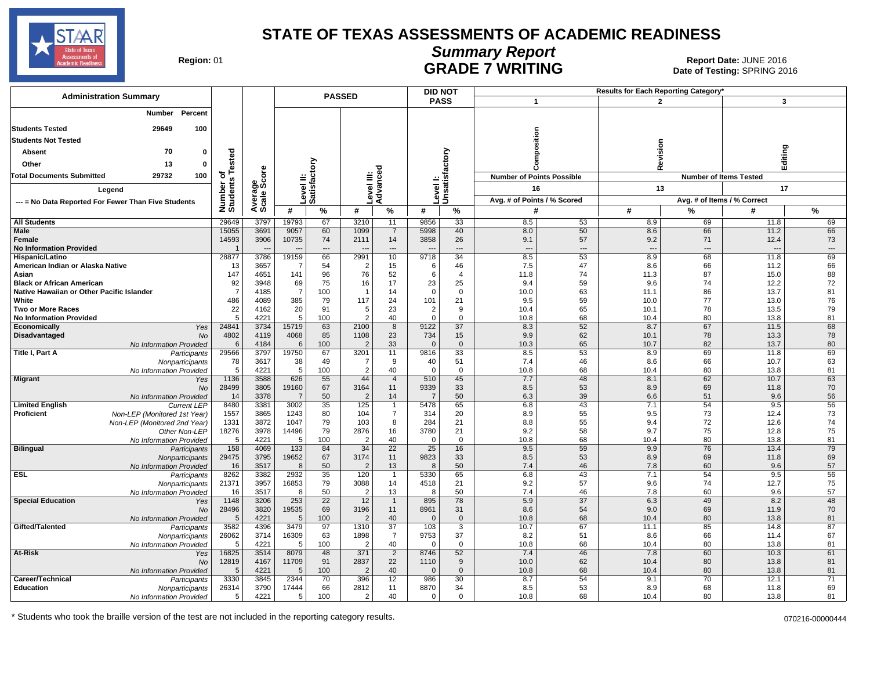

# **Summary Report**

Region: 01 **Region: 01 CALL CONSISTS OF A REGION CONSISTENCE**<br>Date of Testing: SPRING 2016 Date of Testing: SPRING 2016

| <b>Administration Summary</b>                                     |                         |                | <b>PASSED</b>    |                                |                        |                       |                 | <b>DID NOT</b>                |                                  |                      | Results for Each Reporting Category' |                      |                               |           |
|-------------------------------------------------------------------|-------------------------|----------------|------------------|--------------------------------|------------------------|-----------------------|-----------------|-------------------------------|----------------------------------|----------------------|--------------------------------------|----------------------|-------------------------------|-----------|
|                                                                   |                         |                |                  |                                |                        | <b>PASS</b>           |                 | 1                             |                                  |                      | $\overline{2}$                       | 3                    |                               |           |
| Percent<br><b>Number</b>                                          |                         |                |                  |                                |                        |                       |                 |                               |                                  |                      |                                      |                      |                               |           |
| <b>Students Tested</b><br>29649<br>100                            |                         |                |                  |                                |                        |                       |                 |                               |                                  |                      |                                      |                      |                               |           |
| <b>Students Not Tested</b>                                        |                         |                |                  |                                |                        |                       |                 |                               |                                  |                      |                                      |                      |                               |           |
| 70<br>0<br>Absent                                                 |                         |                |                  |                                |                        |                       |                 |                               | position                         |                      |                                      | Revision             | Editing                       |           |
| 13<br>Other<br>$\mathbf 0$                                        |                         |                |                  |                                |                        |                       |                 |                               |                                  |                      |                                      |                      |                               |           |
|                                                                   | Tested                  |                |                  | Σg                             |                        |                       |                 |                               |                                  |                      |                                      |                      |                               |           |
| 29732<br>100<br><b>Total Documents Submitted</b>                  | ৳                       | ge<br>Score    |                  | āg.                            |                        |                       |                 |                               | <b>Number of Points Possible</b> |                      |                                      |                      | <b>Number of Items Tested</b> |           |
| Legend                                                            | Number of<br>Students   |                |                  | Level II:<br>Satisfact         | Level III:<br>Advanced |                       |                 | Level I:<br>Unsatisfactory    | 16                               |                      |                                      | 13                   | 17                            |           |
| --- = No Data Reported For Fewer Than Five Students               |                         | Avera<br>Scale |                  |                                |                        |                       |                 |                               | Avg. # of Points / % Scored      |                      |                                      |                      | Avg. # of Items / % Correct   |           |
|                                                                   |                         |                | #                | %                              | #                      | %                     | #               | %                             | #                                |                      | #                                    | %                    | #                             | %         |
| <b>All Students</b>                                               | 29649                   | 3797           | 19793            | 67                             | 3210                   | 11                    | 9856            | 33                            | 8.5                              | 53                   | 8.9                                  | 69                   | 11.8                          | 69        |
| <b>Male</b>                                                       | 15055                   | 3691           | 9057             | 60                             | 1099                   | $\overline{7}$        | 5998            | 40                            | 8.0                              | 50                   | 8.6                                  | 66                   | 11.2                          | 66        |
| Female<br><b>No Information Provided</b>                          | 14593<br>$\overline{1}$ | 3906           | 10735            | 74<br>$\overline{\phantom{a}}$ | 2111                   | 14<br>$\overline{a}$  | 3858            | 26<br>$\overline{a}$          | 9.1<br>$\overline{a}$            | 57<br>$\overline{a}$ | 9.2<br>$\overline{\phantom{a}}$      | 71<br>$\overline{a}$ | 12.4                          | 73<br>--- |
| Hispanic/Latino                                                   | 28877                   | 3786           | 19159            | 66                             | 2991                   | 10                    | 9718            | 34                            | 8.5                              | 53                   | 8.9                                  | 68                   | 11.8                          | 69        |
| American Indian or Alaska Native                                  | 13                      | 3657           | -7               | 54                             | $\overline{2}$         | 15                    | 6               | 46                            | 7.5                              | 47                   | 8.6                                  | 66                   | 11.2                          | 66        |
| Asian                                                             | 147                     | 4651           | 141              | 96                             | 76                     | 52                    | 6               | $\overline{4}$                | 11.8                             | 74                   | 11.3                                 | 87                   | 15.0                          | 88        |
| <b>Black or African American</b>                                  | 92                      | 3948           | 69               | 75                             | 16                     | 17                    | 23              | 25                            | 9.4                              | 59                   | 9.6                                  | 74                   | 12.2                          | 72        |
| Native Hawaiian or Other Pacific Islander                         | $\overline{7}$          | 4185           | $\overline{7}$   | 100                            |                        | 14                    | $\Omega$        | $\mathbf 0$<br>21             | 10.0                             | 63                   | 11.1                                 | 86                   | 13.7                          | 81        |
| White<br><b>Two or More Races</b>                                 | 486<br>22               | 4089<br>4162   | 385<br>20        | 79<br>91                       | 117<br>5               | 24<br>23              | 101<br>2        | 9                             | 9.5<br>10.4                      | 59<br>65             | 10.0<br>10.1                         | 77<br>78             | 13.0<br>13.5                  | 76<br>79  |
| <b>No Information Provided</b>                                    | 5                       | 4221           | -5               | 100                            | $\overline{2}$         | 40                    | $\Omega$        | $\Omega$                      | 10.8                             | 68                   | 10.4                                 | 80                   | 13.8                          | 81        |
| Economically<br>Yes                                               | 24841                   | 3734           | 15719            | 63                             | 2100                   | 8                     | 9122            | 37                            | 8.3                              | 52                   | 8.7                                  | 67                   | 11.5                          | 68        |
| Disadvantaged<br>No                                               | 4802                    | 4119           | 4068             | 85                             | 1108                   | 23                    | 734             | 15                            | 9.9                              | 62                   | 10.1                                 | 78                   | 13.3                          | 78        |
| No Information Provided                                           | 6                       | 4184           | 6                | 100                            |                        | 33                    | $\Omega$        | $\mathbf 0$                   | 10.3                             | 65                   | 10.7                                 | 82                   | 13.7                          | 80        |
| Title I, Part A<br>Participants<br>Nonparticipants                | 29566<br>78             | 3797<br>3617   | 19750<br>38      | 67<br>49                       | 3201<br>$\overline{7}$ | 11<br>9               | 9816<br>40      | 33<br>51                      | 8.5<br>7.4                       | 53<br>46             | 8.9<br>8.6                           | 69<br>66             | 11.8<br>10.7                  | 69<br>63  |
| No Information Provided                                           | 5                       | 4221           | 5                | 100                            | $\mathcal{P}$          | 40                    | $\Omega$        | $\mathbf 0$                   | 10.8                             | 68                   | 10.4                                 | 80                   | 13.8                          | 81        |
| <b>Migrant</b><br>Yes                                             | 1136                    | 3588           | 626              | 55                             | 44                     | $\overline{4}$        | 510             | 45                            | 7.7                              | 48                   | 8.1                                  | 62                   | 10.7                          | 63        |
| <b>No</b>                                                         | 28499                   | 3805           | 19160            | 67                             | 3164                   | 11                    | 9339            | 33                            | 8.5                              | 53                   | 8.9                                  | 69                   | 11.8                          | 70        |
| No Information Provided                                           | 14                      | 3378           | $\overline{7}$   | 50                             |                        | 14                    | $\overline{7}$  | 50                            | 6.3                              | 39                   | 6.6                                  | 51                   | 9.6                           | 56        |
| <b>Limited English</b><br><b>Current LEP</b><br><b>Proficient</b> | 8480                    | 3381           | 3002             | 35                             | 125                    | $\mathbf{1}$<br>7     | 5478            | 65                            | 6.8                              | 43                   | 7.1                                  | 54                   | 9.5                           | 56        |
| Non-LEP (Monitored 1st Year)<br>Non-LEP (Monitored 2nd Year)      | 1557<br>1331            | 3865<br>3872   | 1243<br>1047     | 80<br>79                       | 104<br>103             | 8                     | 314<br>284      | 20<br>21                      | 8.9<br>8.8                       | 55<br>55             | 9.5<br>9.4                           | 73<br>72             | 12.4<br>12.6                  | 73<br>74  |
| Other Non-LEP                                                     | 18276                   | 3978           | 14496            | 79                             | 2876                   | 16                    | 3780            | 21                            | 9.2                              | 58                   | 9.7                                  | 75                   | 12.8                          | 75        |
| No Information Provided                                           | 5                       | 4221           | 5                | 100                            | $\overline{2}$         | 40                    | $\Omega$        | $\Omega$                      | 10.8                             | 68                   | 10.4                                 | 80                   | 13.8                          | 81        |
| <b>Bilingual</b><br>Participants                                  | 158                     | 4069           | $\overline{133}$ | 84                             | 34                     | $\overline{22}$       | 25              | 16                            | 9.5                              | 59                   | 9.9                                  | 76                   | 13.4                          | 79        |
| Nonparticipants                                                   | 29475                   | 3795           | 19652<br>8       | 67                             | 3174                   | 11                    | 9823<br>8       | 33                            | 8.5                              | 53<br>46             | 8.9                                  | 69                   | 11.8                          | 69        |
| No Information Provided<br><b>ESL</b><br>Participants             | 16<br>8262              | 3517<br>3382   | 2932             | 50<br>35                       | 120                    | 13<br>$\overline{1}$  | 5330            | 50<br>65                      | 7.4<br>6.8                       | 43                   | 7.8<br>7.1                           | 60<br>54             | 9.6<br>9.5                    | 57<br>56  |
| Nonparticipants                                                   | 21371                   | 3957           | 16853            | 79                             | 3088                   | 14                    | 4518            | 21                            | 9.2                              | 57                   | 9.6                                  | 74                   | 12.7                          | 75        |
| No Information Provided                                           | 16                      | 3517           | 8                | 50                             | $\overline{2}$         | 13                    | 8               | 50                            | 7.4                              | 46                   | 7.8                                  | 60                   | 9.6                           | 57        |
| <b>Special Education</b><br>Yes                                   | 1148                    | 3206           | 253              | 22                             | 12                     | $\overline{1}$        | 895             | 78                            | 5.9                              | 37                   | 6.3                                  | 49                   | 8.2                           | 48        |
| <b>No</b>                                                         | 28496                   | 3820           | 19535            | 69                             | 3196                   | 11                    | 8961            | 31                            | 8.6                              | 54                   | 9.0                                  | 69                   | 11.9                          | 70        |
| No Information Provided<br>Gifted/Talented<br>Participants        | 5<br>3582               | 4221<br>4396   | 5<br>3479        | 100<br>$\overline{97}$         | $\overline{2}$<br>1310 | 40<br>$\overline{37}$ | $\Omega$<br>103 | $\mathbf 0$<br>$\overline{3}$ | 10.8<br>10.7                     | 68<br>67             | 10.4<br>11.1                         | 80<br>85             | 13.8<br>14.8                  | 81<br>87  |
| Nonparticipants                                                   | 26062                   | 3714           | 16309            | 63                             | 1898                   | 7                     | 9753            | 37                            | 8.2                              | 51                   | 8.6                                  | 66                   | 11.4                          | 67        |
| No Information Provided                                           | 5                       | 4221           | -5               | 100                            | $\overline{2}$         | 40                    | $\Omega$        | $\mathbf 0$                   | 10.8                             | 68                   | 10.4                                 | 80                   | 13.8                          | 81        |
| At-Risk<br>Yes                                                    | 16825                   | 3514           | 8079             | 48                             | 371                    | $\overline{2}$        | 8746            | 52                            | 7.4                              | 46                   | 7.8                                  | 60                   | 10.3                          | 61        |
| No                                                                | 12819                   | 4167           | 11709            | 91                             | 2837                   | 22                    | 1110            | 9                             | 10.0                             | 62                   | 10.4                                 | 80                   | 13.8                          | 81        |
| No Information Provided                                           | $\sqrt{5}$              | 4221           | 5                | 100                            | $\overline{2}$         | 40                    | $\Omega$        | $\mathbf{0}$                  | 10.8                             | 68                   | 10.4                                 | 80                   | 13.8                          | 81        |
| Career/Technical<br>Participants<br>Education<br>Nonparticipants  | 3330<br>26314           | 3845<br>3790   | 2344<br>17444    | 70<br>66                       | 396<br>2812            | 12<br>11              | 986<br>8870     | 30<br>34                      | 8.7<br>8.5                       | 54<br>53             | 9.1<br>8.9                           | 70<br>68             | 12.1<br>11.8                  | 71<br>69  |
| No Information Provided                                           | 5                       | 4221           | 5                | 100                            | $\overline{2}$         | 40                    | $\Omega$        | $\Omega$                      | 10.8                             | 68                   | 10.4                                 | 80                   | 13.8                          | 81        |
|                                                                   |                         |                |                  |                                |                        |                       |                 |                               |                                  |                      |                                      |                      |                               |           |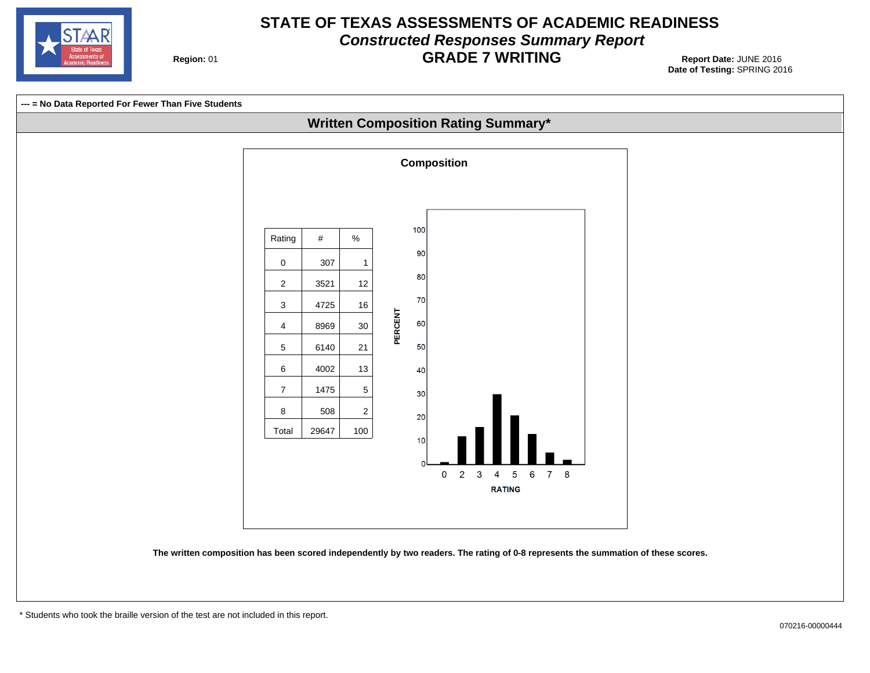

#### **STATE OF TEXAS ASSESSMENTS OF ACADEMIC READINESS Constructed Responses Summary Report GRADE 7 WRITING** 01 **Report Date:** JUNE 2016

**Region: 01** 

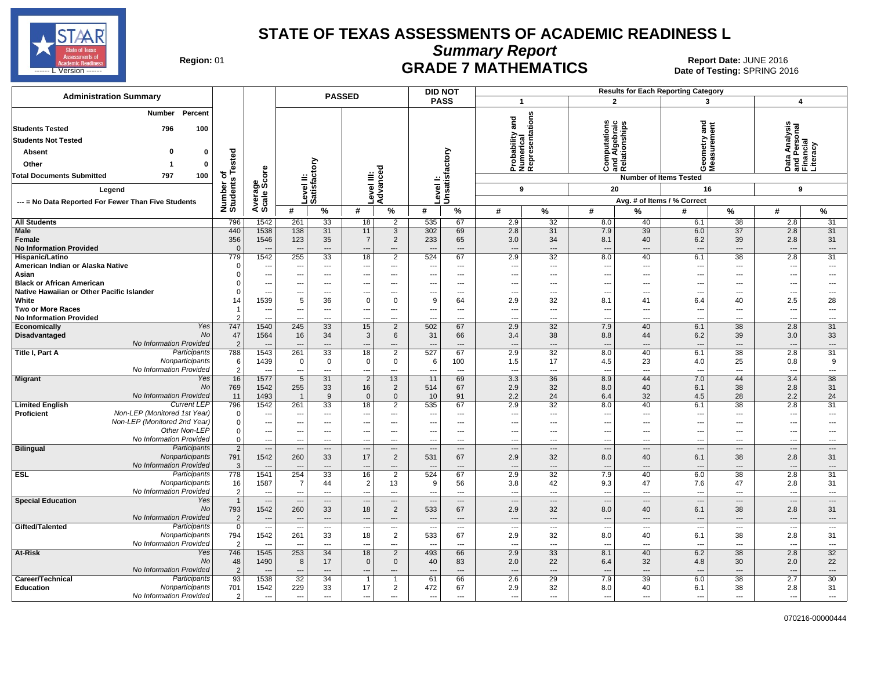

**Summary Report**

Region: 01 **Region: 01 CRADE 7 MATHEMATICS Date: JUNE 2016 Report Date: JUNE 2016 CRADE 7 MATHEMATICS** ------ L Version ------ SPRING 2016

| <b>PASS</b><br>$\overline{2}$<br>$\overline{\mathbf{1}}$<br>3<br>$\overline{\mathbf{A}}$<br>Percent<br>Number<br>Probability and<br>Numerical<br>Representations<br>gue<br>Computations<br>and Algebraic<br>Relationships<br>Data Analysis<br>and Personal<br>Financial<br>Literacy<br>100<br>796<br>≥<br><b>Students Not Tested</b><br>Level I:<br>Unsatisfactory<br>Tested<br><b>Absent</b><br>n<br>0<br>සි<br>Level II:<br>Satisfactory<br>Other<br>0<br>್ಠಾ<br>Average<br>Scale Score<br>ن ≌ ھ<br>oΣ<br>৳<br>797<br><b>Total Documents Submitted</b><br>100<br>evel III<br>Advanc<br><b>Number of Items Tested</b><br>Number of<br>Students<br>9<br>20<br>9<br>16<br>Legend<br>Avg. # of Items / % Correct<br>--- = No Data Reported For Fewer Than Five Students<br>$\%$<br>%<br>#<br>#<br>#<br>$\%$<br>#<br>℅<br>#<br>%<br>$\%$<br>#<br>%<br>#<br>2.9<br>2.8<br>796<br>535<br>32<br>8.0<br>40<br>6.1<br>38<br>31<br>1542<br>261<br>33<br>18<br>2<br>67<br>31<br>440<br>1538<br>138<br>302<br>2.8<br>$\overline{31}$<br>7.9<br>39<br>$\overline{37}$<br>2.8<br><b>Male</b><br>31<br>11<br>$\mathbf{3}$<br>69<br>6.0<br>356<br>1546<br>123<br>35<br>$\overline{7}$<br>$\overline{2}$<br>233<br>65<br>3.0<br>34<br>8.1<br>40<br>6.2<br>39<br>2.8<br>31<br>Female<br><b>No Information Provided</b><br>$\Omega$<br>$---$<br>---<br>$---$<br>$\overline{\phantom{a}}$<br>---<br>$\overline{a}$<br>$\overline{\phantom{a}}$<br>$\overline{a}$<br>$\overline{\phantom{a}}$<br>$\overline{\phantom{a}}$<br>$\overline{\phantom{a}}$<br>2.9<br>2.8<br>779<br>1542<br>255<br>33<br>18<br>$\overline{2}$<br>524<br>67<br>32<br>8.0<br>40<br>6.1<br>38<br>31<br>Hispanic/Latino<br>American Indian or Alaska Native<br>$\mathbf 0$<br>---<br>$\overline{\phantom{a}}$<br>---<br>---<br>---<br>---<br>$\overline{\phantom{a}}$<br>$\overline{\phantom{a}}$<br>---<br>$\overline{\phantom{a}}$<br>$\overline{a}$<br>$\overline{\phantom{a}}$<br>$\overline{\phantom{a}}$<br>---<br>---<br>$\Omega$<br>Asian<br>$\overline{\phantom{a}}$<br>---<br>$\overline{\phantom{a}}$<br>---<br>---<br>$\overline{\phantom{a}}$<br>---<br>---<br>$\overline{a}$<br>$---$<br>$---$<br>---<br>---<br>---<br>$\overline{\phantom{a}}$<br><b>Black or African American</b><br>O<br>---<br>---<br>---<br>---<br>$\overline{a}$<br>$\overline{a}$<br>--<br>---<br>$\overline{a}$<br>$\overline{a}$<br>---<br>$\overline{\phantom{a}}$<br>Native Hawaiian or Other Pacific Islander<br>$\Omega$<br>---<br>---<br>$\overline{a}$<br>$---$<br>$\overline{a}$<br>$\overline{a}$<br>$---$<br>---<br>---<br>$\sim$<br>$\overline{a}$<br>$\overline{a}$<br>$\overline{a}$<br>---<br>$\overline{\phantom{a}}$<br>1539<br>2.5<br>White<br>5<br>36<br>$\mathbf 0$<br>$\mathbf 0$<br>9<br>2.9<br>32<br>8.1<br>40<br>28<br>64<br>6.4<br>14<br>41<br><b>Two or More Races</b><br>$\overline{\phantom{a}}$<br>$\hspace{0.05cm} \ldots$<br>---<br>---<br>$\overline{\phantom{a}}$<br>$\overline{\phantom{a}}$<br>---<br>$---$<br>$---$<br>---<br>---<br>---<br>---<br>---<br>$\overline{\phantom{a}}$<br><b>No Information Provided</b><br><br>---<br>$\overline{a}$<br>$\overline{a}$<br>---<br>---<br>---<br>$\sim$<br>$\overline{a}$<br>$\overline{a}$<br>$\sim$<br>Yes<br>747<br>1540<br>245<br>33<br>15<br>$\overline{2}$<br>502<br>67<br>2.9<br>32<br>7.9<br>40<br>6.1<br>38<br>2.8<br>31<br>Economically<br>No<br>47<br>1564<br>66<br>38<br>39<br>3.0<br>33<br>Disadvantaged<br>16<br>34<br>3<br>6<br>31<br>3.4<br>8.8<br>6.2<br>44<br>No Information Provided<br>$\overline{2}$<br>---<br>---<br>---<br>$\overline{a}$<br>---<br>---<br>$\overline{\phantom{a}}$<br>$\overline{\phantom{a}}$<br>$\overline{\phantom{a}}$<br>$\overline{\phantom{a}}$<br>---<br>---<br>Participants<br>788<br>1543<br>261<br>33<br>18<br>$\overline{2}$<br>527<br>67<br>2.9<br>32<br>8.0<br>6.1<br>38<br>2.8<br>31<br>Title I, Part A<br>40<br>Nonparticipants<br>1439<br>17<br>9<br>6<br>$\mathbf 0$<br>$\mathbf 0$<br>0<br>$\mathbf 0$<br>100<br>1.5<br>4.5<br>23<br>25<br>0.8<br>6<br>4.0<br>No Information Provided<br>$\overline{2}$<br>$\overline{\phantom{a}}$<br>$\overline{a}$<br>$\overline{a}$<br>---<br>$\sim$<br>---<br>---<br>$\overline{a}$<br>$\overline{a}$<br>$\overline{\phantom{a}}$<br>$\overline{\phantom{a}}$<br>---<br>---<br>--<br>---<br>38<br>16<br>1577<br>$\overline{5}$<br>3.3<br>36<br>8.9<br>7.0<br>3.4<br>Yes<br>31<br>$\overline{2}$<br>13<br>69<br>44<br>44<br><b>Migrant</b><br>11<br>255<br>16<br>38<br>No<br>769<br>1542<br>$\overline{2}$<br>67<br>2.9<br>32<br>8.0<br>40<br>2.8<br>31<br>33<br>514<br>6.1<br>No Information Provided<br>1493<br>11<br>9<br>$\mathbf{0}$<br>$\mathbf 0$<br>91<br>2.2<br>24<br>6.4<br>32<br>28<br>2.2<br>24<br>$\overline{1}$<br>10<br>4.5<br><b>Current LEP</b><br>796<br>1542<br>2.9<br>2.8<br>31<br><b>Limited English</b><br>261<br>33<br>18<br>$\overline{2}$<br>535<br>67<br>32<br>8.0<br>40<br>6.1<br>38<br>Non-LEP (Monitored 1st Year)<br>Proficient<br>$\mathbf 0$<br>$\overline{a}$<br>$---$<br>$---$<br>$---$<br>$\overline{a}$<br>$---$<br>---<br>---<br>$\overline{\phantom{a}}$<br>---<br>--<br>$\overline{a}$<br>--<br>$\sim$<br>Non-LEP (Monitored 2nd Year)<br>$\mathbf 0$<br>$\overline{\phantom{a}}$<br>---<br>$---$<br>$\overline{\phantom{a}}$<br>$\overline{a}$<br>---<br>$---$<br>$---$<br>$-$<br>$---$<br>$---$<br>$---$<br>$---$<br>$\sim$<br>$\sim$<br>Other Non-LEP<br>$\mathbf 0$<br>$\overline{\phantom{a}}$<br>---<br>$\overline{\phantom{a}}$<br>$---$<br>$\overline{a}$<br>---<br>---<br>$---$<br>---<br>$---$<br>---<br>$---$<br>$---$<br>$\sim$<br>$\sim$<br>No Information Provided<br>$\Omega$<br>$\overline{\phantom{a}}$<br>$\overline{\phantom{a}}$<br>$---$<br>---<br>$\overline{\phantom{a}}$<br>$-$<br>$---$<br>$---$<br>$---$<br>---<br>$---$<br>$\overline{a}$<br>$---$<br>$\sim$<br>$-$<br><b>Bilingual</b><br>Participants<br>$\overline{2}$<br>---<br>$\overline{\phantom{a}}$<br>$\overline{\phantom{a}}$<br>$\overline{a}$<br>$\overline{a}$<br>$---$<br>$---$<br>---<br>---<br>$\overline{a}$<br>$---$<br>$\sim$<br>$\overline{\phantom{a}}$<br>$\overline{a}$<br>Nonparticipants<br>791<br>1542<br>260<br>17<br>2.9<br>32<br>2.8<br>33<br>$\overline{2}$<br>531<br>67<br>8.0<br>40<br>6.1<br>38<br>31<br>No Information Provided<br>3<br>---<br>$\overline{a}$<br>---<br>$\overline{a}$<br>$\overline{\phantom{a}}$<br>$\overline{\phantom{a}}$<br>$\overline{\phantom{a}}$<br>$\overline{a}$<br>$---$<br>$\sim$<br>$---$<br>$---$<br>$\overline{\phantom{a}}$<br>$---$<br>Participants<br>778<br>2.9<br>2.8<br>31<br><b>ESL</b><br>1541<br>254<br>33<br>16<br>2<br>524<br>67<br>32<br>7.9<br>40<br>6.0<br>38<br>Nonparticipants<br>1587<br>$\overline{7}$<br>2<br>42<br>2.8<br>31<br>16<br>13<br>9<br>56<br>3.8<br>9.3<br>47<br>7.6<br>47<br>44<br>No Information Provided<br>$\overline{2}$<br>$\overline{a}$<br>$\overline{\phantom{a}}$<br>---<br>$\cdots$<br>$\overline{a}$<br>--<br>---<br>$\overline{a}$<br>$\overline{a}$<br>$\overline{\phantom{a}}$<br>---<br>---<br>---<br>$\sim$<br>Yes<br>$\overline{1}$<br><b>Special Education</b><br>$\overline{\phantom{a}}$<br>$\cdots$<br>$\overline{\phantom{a}}$<br>---<br>$\cdots$<br>---<br>$\hspace{0.05cm} \ldots$<br><br>---<br>$\qquad \qquad \cdots$<br>$\overline{\phantom{a}}$<br>$\overline{\phantom{a}}$<br>$\overline{a}$<br>$\overline{\phantom{a}}$<br>No<br>793<br>1542<br>2.9<br>2.8<br>260<br>33<br>18<br>$\overline{2}$<br>533<br>67<br>32<br>40<br>6.1<br>38<br>31<br>8.0<br>No Information Provided<br>$\overline{2}$<br>$\overline{\phantom{a}}$<br>---<br>$\cdots$<br>---<br>$\cdots$<br>$\overline{a}$<br>$\overline{a}$<br>---<br>---<br>---<br>---<br>---<br>$\overline{\phantom{a}}$<br>Gifted/Talented<br>Participants<br>$\overline{0}$<br>$\overline{a}$<br>$\overline{\phantom{a}}$<br>---<br>---<br>---<br>$\overline{\phantom{a}}$<br>---<br>$\overline{\phantom{a}}$<br>---<br>$\overline{\phantom{a}}$<br>$\overline{\phantom{a}}$<br>$\hspace{0.05cm} \cdots$<br>$\overline{\phantom{a}}$<br>---<br>--<br>1542<br>18<br>$\overline{2}$<br>533<br>67<br>2.9<br>32<br>2.8<br>31<br>Nonparticipants<br>794<br>261<br>33<br>8.0<br>40<br>38<br>6.1<br>No Information Provided<br>$\mathcal{P}$<br>$\overline{\phantom{a}}$<br>---<br>$\overline{\phantom{a}}$<br>---<br>---<br>$\overline{\phantom{a}}$<br>---<br>---<br>--<br>---<br>---<br>$\overline{\phantom{a}}$<br>$\overline{\phantom{a}}$<br>$\overline{a}$<br>$\overline{\phantom{a}}$<br>1545<br>253<br>2.9<br>6.2<br>$\overline{38}$<br>2.8<br>32<br>Yes<br>746<br>34<br>18<br>$\overline{2}$<br>493<br>33<br>8.1<br>40<br>At-Risk<br>66<br>No<br>22<br>48<br>1490<br>8<br>17<br>$\mathbf 0$<br>0<br>40<br>83<br>2.0<br>22<br>6.4<br>32<br>4.8<br>30<br>2.0<br><b>No Information Provided</b><br>$\overline{2}$<br>---<br>---<br>$---$<br>---<br>$---$<br>---<br>---<br>$\overline{\phantom{a}}$<br>$---$<br>---<br>$\overline{\phantom{a}}$<br>$---$<br>$-$<br>93<br>30<br>Participants<br>1538<br>32<br>7.9<br>38<br>2.7<br>Career/Technical<br>34<br>61<br>66<br>2.6<br>29<br>39<br>6.0<br>$\mathbf 1$<br>$\mathbf 1$<br>229<br>17<br><b>Education</b><br>Nonparticipants<br>701<br>1542<br>33<br>$\overline{2}$<br>472<br>67<br>2.9<br>32<br>8.0<br>40<br>38<br>2.8<br>31<br>6.1<br>No Information Provided<br>$\overline{2}$<br>---<br>$\overline{\phantom{a}}$<br>$\overline{a}$<br>---<br>---<br>---<br>$\sim$<br>---<br>$\overline{a}$<br>$\overline{\phantom{a}}$<br>$\overline{a}$<br>$\overline{\phantom{a}}$<br>$\overline{\phantom{a}}$<br>---<br>--- | <b>Administration Summary</b> |  | <b>PASSED</b> |  |  |  | <b>DID NOT</b> |  |  | <b>Results for Each Reporting Category</b> |  |  |
|--------------------------------------------------------------------------------------------------------------------------------------------------------------------------------------------------------------------------------------------------------------------------------------------------------------------------------------------------------------------------------------------------------------------------------------------------------------------------------------------------------------------------------------------------------------------------------------------------------------------------------------------------------------------------------------------------------------------------------------------------------------------------------------------------------------------------------------------------------------------------------------------------------------------------------------------------------------------------------------------------------------------------------------------------------------------------------------------------------------------------------------------------------------------------------------------------------------------------------------------------------------------------------------------------------------------------------------------------------------------------------------------------------------------------------------------------------------------------------------------------------------------------------------------------------------------------------------------------------------------------------------------------------------------------------------------------------------------------------------------------------------------------------------------------------------------------------------------------------------------------------------------------------------------------------------------------------------------------------------------------------------------------------------------------------------------------------------------------------------------------------------------------------------------------------------------------------------------------------------------------------------------------------------------------------------------------------------------------------------------------------------------------------------------------------------------------------------------------------------------------------------------------------------------------------------------------------------------------------------------------------------------------------------------------------------------------------------------------------------------------------------------------------------------------------------------------------------------------------------------------------------------------------------------------------------------------------------------------------------------------------------------------------------------------------------------------------------------------------------------------------------------------------------------------------------------------------------------------------------------------------------------------------------------------------------------------------------------------------------------------------------------------------------------------------------------------------------------------------------------------------------------------------------------------------------------------------------------------------------------------------------------------------------------------------------------------------------------------------------------------------------------------------------------------------------------------------------------------------------------------------------------------------------------------------------------------------------------------------------------------------------------------------------------------------------------------------------------------------------------------------------------------------------------------------------------------------------------------------------------------------------------------------------------------------------------------------------------------------------------------------------------------------------------------------------------------------------------------------------------------------------------------------------------------------------------------------------------------------------------------------------------------------------------------------------------------------------------------------------------------------------------------------------------------------------------------------------------------------------------------------------------------------------------------------------------------------------------------------------------------------------------------------------------------------------------------------------------------------------------------------------------------------------------------------------------------------------------------------------------------------------------------------------------------------------------------------------------------------------------------------------------------------------------------------------------------------------------------------------------------------------------------------------------------------------------------------------------------------------------------------------------------------------------------------------------------------------------------------------------------------------------------------------------------------------------------------------------------------------------------------------------------------------------------------------------------------------------------------------------------------------------------------------------------------------------------------------------------------------------------------------------------------------------------------------------------------------------------------------------------------------------------------------------------------------------------------------------------------------------------------------------------------------------------------------------------------------------------------------------------------------------------------------------------------------------------------------------------------------------------------------------------------------------------------------------------------------------------------------------------------------------------------------------------------------------------------------------------------------------------------------------------------------------------------------------------------------------------------------------------------------------------------------------------------------------------------------------------------------------------------------------------------------------------------------------------------------------------------------------------------------------------------------------------------------------------------------------------------------------------------------------------------------------------------------------------------------------------------------------------------------------------------------------------------------------------------------------------------------------------------------------------------------------------------------------------------------------------------------------------------------------------------------------------------------------------------------------------------------------------------------------------------------------------------------------------------------------------------------------------------------------------------------------------------------------------------------------------------------------------------------------------------------------------------------------------------------------------------------------------------------------------------------------------------------------------------------------------------------------------------------------------------------------------------------------------------------------------------------------------------------------------------------------------------------------------------------------------------------------------------------------------------------------------------------------------------------------------------------------------------------------------------------------------------------------------------------------------------------------------------------------------------------------------------------------------------------------------------------------------------------------------------------------------------------------------------------------------------------------------------------------------------------------------------------------------------------------------------------------------------------------------------------------------------------------------------------------------------------------------------------------------------------------------------------------------------------------------------------------------------------------------------------------------------------------------------------------|-------------------------------|--|---------------|--|--|--|----------------|--|--|--------------------------------------------|--|--|
|                                                                                                                                                                                                                                                                                                                                                                                                                                                                                                                                                                                                                                                                                                                                                                                                                                                                                                                                                                                                                                                                                                                                                                                                                                                                                                                                                                                                                                                                                                                                                                                                                                                                                                                                                                                                                                                                                                                                                                                                                                                                                                                                                                                                                                                                                                                                                                                                                                                                                                                                                                                                                                                                                                                                                                                                                                                                                                                                                                                                                                                                                                                                                                                                                                                                                                                                                                                                                                                                                                                                                                                                                                                                                                                                                                                                                                                                                                                                                                                                                                                                                                                                                                                                                                                                                                                                                                                                                                                                                                                                                                                                                                                                                                                                                                                                                                                                                                                                                                                                                                                                                                                                                                                                                                                                                                                                                                                                                                                                                                                                                                                                                                                                                                                                                                                                                                                                                                                                                                                                                                                                                                                                                                                                                                                                                                                                                                                                                                                                                                                                                                                                                                                                                                                                                                                                                                                                                                                                                                                                                                                                                                                                                                                                                                                                                                                                                                                                                                                                                                                                                                                                                                                                                                                                                                                                                                                                                                                                                                                                                                                                                                                                                                                                                                                                                                                                                                                                                                                                                                                                                                                                                                                                                                                                                                                                                                                                                                                                                                                                                                                                                                                                                                                                                                                                                                                                                                                                                                                                                                                                                                                            |                               |  |               |  |  |  |                |  |  |                                            |  |  |
|                                                                                                                                                                                                                                                                                                                                                                                                                                                                                                                                                                                                                                                                                                                                                                                                                                                                                                                                                                                                                                                                                                                                                                                                                                                                                                                                                                                                                                                                                                                                                                                                                                                                                                                                                                                                                                                                                                                                                                                                                                                                                                                                                                                                                                                                                                                                                                                                                                                                                                                                                                                                                                                                                                                                                                                                                                                                                                                                                                                                                                                                                                                                                                                                                                                                                                                                                                                                                                                                                                                                                                                                                                                                                                                                                                                                                                                                                                                                                                                                                                                                                                                                                                                                                                                                                                                                                                                                                                                                                                                                                                                                                                                                                                                                                                                                                                                                                                                                                                                                                                                                                                                                                                                                                                                                                                                                                                                                                                                                                                                                                                                                                                                                                                                                                                                                                                                                                                                                                                                                                                                                                                                                                                                                                                                                                                                                                                                                                                                                                                                                                                                                                                                                                                                                                                                                                                                                                                                                                                                                                                                                                                                                                                                                                                                                                                                                                                                                                                                                                                                                                                                                                                                                                                                                                                                                                                                                                                                                                                                                                                                                                                                                                                                                                                                                                                                                                                                                                                                                                                                                                                                                                                                                                                                                                                                                                                                                                                                                                                                                                                                                                                                                                                                                                                                                                                                                                                                                                                                                                                                                                                                            | <b>Students Tested</b>        |  |               |  |  |  |                |  |  |                                            |  |  |
|                                                                                                                                                                                                                                                                                                                                                                                                                                                                                                                                                                                                                                                                                                                                                                                                                                                                                                                                                                                                                                                                                                                                                                                                                                                                                                                                                                                                                                                                                                                                                                                                                                                                                                                                                                                                                                                                                                                                                                                                                                                                                                                                                                                                                                                                                                                                                                                                                                                                                                                                                                                                                                                                                                                                                                                                                                                                                                                                                                                                                                                                                                                                                                                                                                                                                                                                                                                                                                                                                                                                                                                                                                                                                                                                                                                                                                                                                                                                                                                                                                                                                                                                                                                                                                                                                                                                                                                                                                                                                                                                                                                                                                                                                                                                                                                                                                                                                                                                                                                                                                                                                                                                                                                                                                                                                                                                                                                                                                                                                                                                                                                                                                                                                                                                                                                                                                                                                                                                                                                                                                                                                                                                                                                                                                                                                                                                                                                                                                                                                                                                                                                                                                                                                                                                                                                                                                                                                                                                                                                                                                                                                                                                                                                                                                                                                                                                                                                                                                                                                                                                                                                                                                                                                                                                                                                                                                                                                                                                                                                                                                                                                                                                                                                                                                                                                                                                                                                                                                                                                                                                                                                                                                                                                                                                                                                                                                                                                                                                                                                                                                                                                                                                                                                                                                                                                                                                                                                                                                                                                                                                                                                            |                               |  |               |  |  |  |                |  |  |                                            |  |  |
|                                                                                                                                                                                                                                                                                                                                                                                                                                                                                                                                                                                                                                                                                                                                                                                                                                                                                                                                                                                                                                                                                                                                                                                                                                                                                                                                                                                                                                                                                                                                                                                                                                                                                                                                                                                                                                                                                                                                                                                                                                                                                                                                                                                                                                                                                                                                                                                                                                                                                                                                                                                                                                                                                                                                                                                                                                                                                                                                                                                                                                                                                                                                                                                                                                                                                                                                                                                                                                                                                                                                                                                                                                                                                                                                                                                                                                                                                                                                                                                                                                                                                                                                                                                                                                                                                                                                                                                                                                                                                                                                                                                                                                                                                                                                                                                                                                                                                                                                                                                                                                                                                                                                                                                                                                                                                                                                                                                                                                                                                                                                                                                                                                                                                                                                                                                                                                                                                                                                                                                                                                                                                                                                                                                                                                                                                                                                                                                                                                                                                                                                                                                                                                                                                                                                                                                                                                                                                                                                                                                                                                                                                                                                                                                                                                                                                                                                                                                                                                                                                                                                                                                                                                                                                                                                                                                                                                                                                                                                                                                                                                                                                                                                                                                                                                                                                                                                                                                                                                                                                                                                                                                                                                                                                                                                                                                                                                                                                                                                                                                                                                                                                                                                                                                                                                                                                                                                                                                                                                                                                                                                                                                            |                               |  |               |  |  |  |                |  |  |                                            |  |  |
|                                                                                                                                                                                                                                                                                                                                                                                                                                                                                                                                                                                                                                                                                                                                                                                                                                                                                                                                                                                                                                                                                                                                                                                                                                                                                                                                                                                                                                                                                                                                                                                                                                                                                                                                                                                                                                                                                                                                                                                                                                                                                                                                                                                                                                                                                                                                                                                                                                                                                                                                                                                                                                                                                                                                                                                                                                                                                                                                                                                                                                                                                                                                                                                                                                                                                                                                                                                                                                                                                                                                                                                                                                                                                                                                                                                                                                                                                                                                                                                                                                                                                                                                                                                                                                                                                                                                                                                                                                                                                                                                                                                                                                                                                                                                                                                                                                                                                                                                                                                                                                                                                                                                                                                                                                                                                                                                                                                                                                                                                                                                                                                                                                                                                                                                                                                                                                                                                                                                                                                                                                                                                                                                                                                                                                                                                                                                                                                                                                                                                                                                                                                                                                                                                                                                                                                                                                                                                                                                                                                                                                                                                                                                                                                                                                                                                                                                                                                                                                                                                                                                                                                                                                                                                                                                                                                                                                                                                                                                                                                                                                                                                                                                                                                                                                                                                                                                                                                                                                                                                                                                                                                                                                                                                                                                                                                                                                                                                                                                                                                                                                                                                                                                                                                                                                                                                                                                                                                                                                                                                                                                                                                            |                               |  |               |  |  |  |                |  |  |                                            |  |  |
|                                                                                                                                                                                                                                                                                                                                                                                                                                                                                                                                                                                                                                                                                                                                                                                                                                                                                                                                                                                                                                                                                                                                                                                                                                                                                                                                                                                                                                                                                                                                                                                                                                                                                                                                                                                                                                                                                                                                                                                                                                                                                                                                                                                                                                                                                                                                                                                                                                                                                                                                                                                                                                                                                                                                                                                                                                                                                                                                                                                                                                                                                                                                                                                                                                                                                                                                                                                                                                                                                                                                                                                                                                                                                                                                                                                                                                                                                                                                                                                                                                                                                                                                                                                                                                                                                                                                                                                                                                                                                                                                                                                                                                                                                                                                                                                                                                                                                                                                                                                                                                                                                                                                                                                                                                                                                                                                                                                                                                                                                                                                                                                                                                                                                                                                                                                                                                                                                                                                                                                                                                                                                                                                                                                                                                                                                                                                                                                                                                                                                                                                                                                                                                                                                                                                                                                                                                                                                                                                                                                                                                                                                                                                                                                                                                                                                                                                                                                                                                                                                                                                                                                                                                                                                                                                                                                                                                                                                                                                                                                                                                                                                                                                                                                                                                                                                                                                                                                                                                                                                                                                                                                                                                                                                                                                                                                                                                                                                                                                                                                                                                                                                                                                                                                                                                                                                                                                                                                                                                                                                                                                                                                            |                               |  |               |  |  |  |                |  |  |                                            |  |  |
|                                                                                                                                                                                                                                                                                                                                                                                                                                                                                                                                                                                                                                                                                                                                                                                                                                                                                                                                                                                                                                                                                                                                                                                                                                                                                                                                                                                                                                                                                                                                                                                                                                                                                                                                                                                                                                                                                                                                                                                                                                                                                                                                                                                                                                                                                                                                                                                                                                                                                                                                                                                                                                                                                                                                                                                                                                                                                                                                                                                                                                                                                                                                                                                                                                                                                                                                                                                                                                                                                                                                                                                                                                                                                                                                                                                                                                                                                                                                                                                                                                                                                                                                                                                                                                                                                                                                                                                                                                                                                                                                                                                                                                                                                                                                                                                                                                                                                                                                                                                                                                                                                                                                                                                                                                                                                                                                                                                                                                                                                                                                                                                                                                                                                                                                                                                                                                                                                                                                                                                                                                                                                                                                                                                                                                                                                                                                                                                                                                                                                                                                                                                                                                                                                                                                                                                                                                                                                                                                                                                                                                                                                                                                                                                                                                                                                                                                                                                                                                                                                                                                                                                                                                                                                                                                                                                                                                                                                                                                                                                                                                                                                                                                                                                                                                                                                                                                                                                                                                                                                                                                                                                                                                                                                                                                                                                                                                                                                                                                                                                                                                                                                                                                                                                                                                                                                                                                                                                                                                                                                                                                                                                            |                               |  |               |  |  |  |                |  |  |                                            |  |  |
|                                                                                                                                                                                                                                                                                                                                                                                                                                                                                                                                                                                                                                                                                                                                                                                                                                                                                                                                                                                                                                                                                                                                                                                                                                                                                                                                                                                                                                                                                                                                                                                                                                                                                                                                                                                                                                                                                                                                                                                                                                                                                                                                                                                                                                                                                                                                                                                                                                                                                                                                                                                                                                                                                                                                                                                                                                                                                                                                                                                                                                                                                                                                                                                                                                                                                                                                                                                                                                                                                                                                                                                                                                                                                                                                                                                                                                                                                                                                                                                                                                                                                                                                                                                                                                                                                                                                                                                                                                                                                                                                                                                                                                                                                                                                                                                                                                                                                                                                                                                                                                                                                                                                                                                                                                                                                                                                                                                                                                                                                                                                                                                                                                                                                                                                                                                                                                                                                                                                                                                                                                                                                                                                                                                                                                                                                                                                                                                                                                                                                                                                                                                                                                                                                                                                                                                                                                                                                                                                                                                                                                                                                                                                                                                                                                                                                                                                                                                                                                                                                                                                                                                                                                                                                                                                                                                                                                                                                                                                                                                                                                                                                                                                                                                                                                                                                                                                                                                                                                                                                                                                                                                                                                                                                                                                                                                                                                                                                                                                                                                                                                                                                                                                                                                                                                                                                                                                                                                                                                                                                                                                                                                            |                               |  |               |  |  |  |                |  |  |                                            |  |  |
|                                                                                                                                                                                                                                                                                                                                                                                                                                                                                                                                                                                                                                                                                                                                                                                                                                                                                                                                                                                                                                                                                                                                                                                                                                                                                                                                                                                                                                                                                                                                                                                                                                                                                                                                                                                                                                                                                                                                                                                                                                                                                                                                                                                                                                                                                                                                                                                                                                                                                                                                                                                                                                                                                                                                                                                                                                                                                                                                                                                                                                                                                                                                                                                                                                                                                                                                                                                                                                                                                                                                                                                                                                                                                                                                                                                                                                                                                                                                                                                                                                                                                                                                                                                                                                                                                                                                                                                                                                                                                                                                                                                                                                                                                                                                                                                                                                                                                                                                                                                                                                                                                                                                                                                                                                                                                                                                                                                                                                                                                                                                                                                                                                                                                                                                                                                                                                                                                                                                                                                                                                                                                                                                                                                                                                                                                                                                                                                                                                                                                                                                                                                                                                                                                                                                                                                                                                                                                                                                                                                                                                                                                                                                                                                                                                                                                                                                                                                                                                                                                                                                                                                                                                                                                                                                                                                                                                                                                                                                                                                                                                                                                                                                                                                                                                                                                                                                                                                                                                                                                                                                                                                                                                                                                                                                                                                                                                                                                                                                                                                                                                                                                                                                                                                                                                                                                                                                                                                                                                                                                                                                                                                            |                               |  |               |  |  |  |                |  |  |                                            |  |  |
|                                                                                                                                                                                                                                                                                                                                                                                                                                                                                                                                                                                                                                                                                                                                                                                                                                                                                                                                                                                                                                                                                                                                                                                                                                                                                                                                                                                                                                                                                                                                                                                                                                                                                                                                                                                                                                                                                                                                                                                                                                                                                                                                                                                                                                                                                                                                                                                                                                                                                                                                                                                                                                                                                                                                                                                                                                                                                                                                                                                                                                                                                                                                                                                                                                                                                                                                                                                                                                                                                                                                                                                                                                                                                                                                                                                                                                                                                                                                                                                                                                                                                                                                                                                                                                                                                                                                                                                                                                                                                                                                                                                                                                                                                                                                                                                                                                                                                                                                                                                                                                                                                                                                                                                                                                                                                                                                                                                                                                                                                                                                                                                                                                                                                                                                                                                                                                                                                                                                                                                                                                                                                                                                                                                                                                                                                                                                                                                                                                                                                                                                                                                                                                                                                                                                                                                                                                                                                                                                                                                                                                                                                                                                                                                                                                                                                                                                                                                                                                                                                                                                                                                                                                                                                                                                                                                                                                                                                                                                                                                                                                                                                                                                                                                                                                                                                                                                                                                                                                                                                                                                                                                                                                                                                                                                                                                                                                                                                                                                                                                                                                                                                                                                                                                                                                                                                                                                                                                                                                                                                                                                                                                            |                               |  |               |  |  |  |                |  |  |                                            |  |  |
|                                                                                                                                                                                                                                                                                                                                                                                                                                                                                                                                                                                                                                                                                                                                                                                                                                                                                                                                                                                                                                                                                                                                                                                                                                                                                                                                                                                                                                                                                                                                                                                                                                                                                                                                                                                                                                                                                                                                                                                                                                                                                                                                                                                                                                                                                                                                                                                                                                                                                                                                                                                                                                                                                                                                                                                                                                                                                                                                                                                                                                                                                                                                                                                                                                                                                                                                                                                                                                                                                                                                                                                                                                                                                                                                                                                                                                                                                                                                                                                                                                                                                                                                                                                                                                                                                                                                                                                                                                                                                                                                                                                                                                                                                                                                                                                                                                                                                                                                                                                                                                                                                                                                                                                                                                                                                                                                                                                                                                                                                                                                                                                                                                                                                                                                                                                                                                                                                                                                                                                                                                                                                                                                                                                                                                                                                                                                                                                                                                                                                                                                                                                                                                                                                                                                                                                                                                                                                                                                                                                                                                                                                                                                                                                                                                                                                                                                                                                                                                                                                                                                                                                                                                                                                                                                                                                                                                                                                                                                                                                                                                                                                                                                                                                                                                                                                                                                                                                                                                                                                                                                                                                                                                                                                                                                                                                                                                                                                                                                                                                                                                                                                                                                                                                                                                                                                                                                                                                                                                                                                                                                                                                            | <b>All Students</b>           |  |               |  |  |  |                |  |  |                                            |  |  |
|                                                                                                                                                                                                                                                                                                                                                                                                                                                                                                                                                                                                                                                                                                                                                                                                                                                                                                                                                                                                                                                                                                                                                                                                                                                                                                                                                                                                                                                                                                                                                                                                                                                                                                                                                                                                                                                                                                                                                                                                                                                                                                                                                                                                                                                                                                                                                                                                                                                                                                                                                                                                                                                                                                                                                                                                                                                                                                                                                                                                                                                                                                                                                                                                                                                                                                                                                                                                                                                                                                                                                                                                                                                                                                                                                                                                                                                                                                                                                                                                                                                                                                                                                                                                                                                                                                                                                                                                                                                                                                                                                                                                                                                                                                                                                                                                                                                                                                                                                                                                                                                                                                                                                                                                                                                                                                                                                                                                                                                                                                                                                                                                                                                                                                                                                                                                                                                                                                                                                                                                                                                                                                                                                                                                                                                                                                                                                                                                                                                                                                                                                                                                                                                                                                                                                                                                                                                                                                                                                                                                                                                                                                                                                                                                                                                                                                                                                                                                                                                                                                                                                                                                                                                                                                                                                                                                                                                                                                                                                                                                                                                                                                                                                                                                                                                                                                                                                                                                                                                                                                                                                                                                                                                                                                                                                                                                                                                                                                                                                                                                                                                                                                                                                                                                                                                                                                                                                                                                                                                                                                                                                                                            |                               |  |               |  |  |  |                |  |  |                                            |  |  |
|                                                                                                                                                                                                                                                                                                                                                                                                                                                                                                                                                                                                                                                                                                                                                                                                                                                                                                                                                                                                                                                                                                                                                                                                                                                                                                                                                                                                                                                                                                                                                                                                                                                                                                                                                                                                                                                                                                                                                                                                                                                                                                                                                                                                                                                                                                                                                                                                                                                                                                                                                                                                                                                                                                                                                                                                                                                                                                                                                                                                                                                                                                                                                                                                                                                                                                                                                                                                                                                                                                                                                                                                                                                                                                                                                                                                                                                                                                                                                                                                                                                                                                                                                                                                                                                                                                                                                                                                                                                                                                                                                                                                                                                                                                                                                                                                                                                                                                                                                                                                                                                                                                                                                                                                                                                                                                                                                                                                                                                                                                                                                                                                                                                                                                                                                                                                                                                                                                                                                                                                                                                                                                                                                                                                                                                                                                                                                                                                                                                                                                                                                                                                                                                                                                                                                                                                                                                                                                                                                                                                                                                                                                                                                                                                                                                                                                                                                                                                                                                                                                                                                                                                                                                                                                                                                                                                                                                                                                                                                                                                                                                                                                                                                                                                                                                                                                                                                                                                                                                                                                                                                                                                                                                                                                                                                                                                                                                                                                                                                                                                                                                                                                                                                                                                                                                                                                                                                                                                                                                                                                                                                                                            |                               |  |               |  |  |  |                |  |  |                                            |  |  |
|                                                                                                                                                                                                                                                                                                                                                                                                                                                                                                                                                                                                                                                                                                                                                                                                                                                                                                                                                                                                                                                                                                                                                                                                                                                                                                                                                                                                                                                                                                                                                                                                                                                                                                                                                                                                                                                                                                                                                                                                                                                                                                                                                                                                                                                                                                                                                                                                                                                                                                                                                                                                                                                                                                                                                                                                                                                                                                                                                                                                                                                                                                                                                                                                                                                                                                                                                                                                                                                                                                                                                                                                                                                                                                                                                                                                                                                                                                                                                                                                                                                                                                                                                                                                                                                                                                                                                                                                                                                                                                                                                                                                                                                                                                                                                                                                                                                                                                                                                                                                                                                                                                                                                                                                                                                                                                                                                                                                                                                                                                                                                                                                                                                                                                                                                                                                                                                                                                                                                                                                                                                                                                                                                                                                                                                                                                                                                                                                                                                                                                                                                                                                                                                                                                                                                                                                                                                                                                                                                                                                                                                                                                                                                                                                                                                                                                                                                                                                                                                                                                                                                                                                                                                                                                                                                                                                                                                                                                                                                                                                                                                                                                                                                                                                                                                                                                                                                                                                                                                                                                                                                                                                                                                                                                                                                                                                                                                                                                                                                                                                                                                                                                                                                                                                                                                                                                                                                                                                                                                                                                                                                                                            |                               |  |               |  |  |  |                |  |  |                                            |  |  |
|                                                                                                                                                                                                                                                                                                                                                                                                                                                                                                                                                                                                                                                                                                                                                                                                                                                                                                                                                                                                                                                                                                                                                                                                                                                                                                                                                                                                                                                                                                                                                                                                                                                                                                                                                                                                                                                                                                                                                                                                                                                                                                                                                                                                                                                                                                                                                                                                                                                                                                                                                                                                                                                                                                                                                                                                                                                                                                                                                                                                                                                                                                                                                                                                                                                                                                                                                                                                                                                                                                                                                                                                                                                                                                                                                                                                                                                                                                                                                                                                                                                                                                                                                                                                                                                                                                                                                                                                                                                                                                                                                                                                                                                                                                                                                                                                                                                                                                                                                                                                                                                                                                                                                                                                                                                                                                                                                                                                                                                                                                                                                                                                                                                                                                                                                                                                                                                                                                                                                                                                                                                                                                                                                                                                                                                                                                                                                                                                                                                                                                                                                                                                                                                                                                                                                                                                                                                                                                                                                                                                                                                                                                                                                                                                                                                                                                                                                                                                                                                                                                                                                                                                                                                                                                                                                                                                                                                                                                                                                                                                                                                                                                                                                                                                                                                                                                                                                                                                                                                                                                                                                                                                                                                                                                                                                                                                                                                                                                                                                                                                                                                                                                                                                                                                                                                                                                                                                                                                                                                                                                                                                                                            |                               |  |               |  |  |  |                |  |  |                                            |  |  |
|                                                                                                                                                                                                                                                                                                                                                                                                                                                                                                                                                                                                                                                                                                                                                                                                                                                                                                                                                                                                                                                                                                                                                                                                                                                                                                                                                                                                                                                                                                                                                                                                                                                                                                                                                                                                                                                                                                                                                                                                                                                                                                                                                                                                                                                                                                                                                                                                                                                                                                                                                                                                                                                                                                                                                                                                                                                                                                                                                                                                                                                                                                                                                                                                                                                                                                                                                                                                                                                                                                                                                                                                                                                                                                                                                                                                                                                                                                                                                                                                                                                                                                                                                                                                                                                                                                                                                                                                                                                                                                                                                                                                                                                                                                                                                                                                                                                                                                                                                                                                                                                                                                                                                                                                                                                                                                                                                                                                                                                                                                                                                                                                                                                                                                                                                                                                                                                                                                                                                                                                                                                                                                                                                                                                                                                                                                                                                                                                                                                                                                                                                                                                                                                                                                                                                                                                                                                                                                                                                                                                                                                                                                                                                                                                                                                                                                                                                                                                                                                                                                                                                                                                                                                                                                                                                                                                                                                                                                                                                                                                                                                                                                                                                                                                                                                                                                                                                                                                                                                                                                                                                                                                                                                                                                                                                                                                                                                                                                                                                                                                                                                                                                                                                                                                                                                                                                                                                                                                                                                                                                                                                                                            |                               |  |               |  |  |  |                |  |  |                                            |  |  |
|                                                                                                                                                                                                                                                                                                                                                                                                                                                                                                                                                                                                                                                                                                                                                                                                                                                                                                                                                                                                                                                                                                                                                                                                                                                                                                                                                                                                                                                                                                                                                                                                                                                                                                                                                                                                                                                                                                                                                                                                                                                                                                                                                                                                                                                                                                                                                                                                                                                                                                                                                                                                                                                                                                                                                                                                                                                                                                                                                                                                                                                                                                                                                                                                                                                                                                                                                                                                                                                                                                                                                                                                                                                                                                                                                                                                                                                                                                                                                                                                                                                                                                                                                                                                                                                                                                                                                                                                                                                                                                                                                                                                                                                                                                                                                                                                                                                                                                                                                                                                                                                                                                                                                                                                                                                                                                                                                                                                                                                                                                                                                                                                                                                                                                                                                                                                                                                                                                                                                                                                                                                                                                                                                                                                                                                                                                                                                                                                                                                                                                                                                                                                                                                                                                                                                                                                                                                                                                                                                                                                                                                                                                                                                                                                                                                                                                                                                                                                                                                                                                                                                                                                                                                                                                                                                                                                                                                                                                                                                                                                                                                                                                                                                                                                                                                                                                                                                                                                                                                                                                                                                                                                                                                                                                                                                                                                                                                                                                                                                                                                                                                                                                                                                                                                                                                                                                                                                                                                                                                                                                                                                                                            |                               |  |               |  |  |  |                |  |  |                                            |  |  |
|                                                                                                                                                                                                                                                                                                                                                                                                                                                                                                                                                                                                                                                                                                                                                                                                                                                                                                                                                                                                                                                                                                                                                                                                                                                                                                                                                                                                                                                                                                                                                                                                                                                                                                                                                                                                                                                                                                                                                                                                                                                                                                                                                                                                                                                                                                                                                                                                                                                                                                                                                                                                                                                                                                                                                                                                                                                                                                                                                                                                                                                                                                                                                                                                                                                                                                                                                                                                                                                                                                                                                                                                                                                                                                                                                                                                                                                                                                                                                                                                                                                                                                                                                                                                                                                                                                                                                                                                                                                                                                                                                                                                                                                                                                                                                                                                                                                                                                                                                                                                                                                                                                                                                                                                                                                                                                                                                                                                                                                                                                                                                                                                                                                                                                                                                                                                                                                                                                                                                                                                                                                                                                                                                                                                                                                                                                                                                                                                                                                                                                                                                                                                                                                                                                                                                                                                                                                                                                                                                                                                                                                                                                                                                                                                                                                                                                                                                                                                                                                                                                                                                                                                                                                                                                                                                                                                                                                                                                                                                                                                                                                                                                                                                                                                                                                                                                                                                                                                                                                                                                                                                                                                                                                                                                                                                                                                                                                                                                                                                                                                                                                                                                                                                                                                                                                                                                                                                                                                                                                                                                                                                                                            |                               |  |               |  |  |  |                |  |  |                                            |  |  |
|                                                                                                                                                                                                                                                                                                                                                                                                                                                                                                                                                                                                                                                                                                                                                                                                                                                                                                                                                                                                                                                                                                                                                                                                                                                                                                                                                                                                                                                                                                                                                                                                                                                                                                                                                                                                                                                                                                                                                                                                                                                                                                                                                                                                                                                                                                                                                                                                                                                                                                                                                                                                                                                                                                                                                                                                                                                                                                                                                                                                                                                                                                                                                                                                                                                                                                                                                                                                                                                                                                                                                                                                                                                                                                                                                                                                                                                                                                                                                                                                                                                                                                                                                                                                                                                                                                                                                                                                                                                                                                                                                                                                                                                                                                                                                                                                                                                                                                                                                                                                                                                                                                                                                                                                                                                                                                                                                                                                                                                                                                                                                                                                                                                                                                                                                                                                                                                                                                                                                                                                                                                                                                                                                                                                                                                                                                                                                                                                                                                                                                                                                                                                                                                                                                                                                                                                                                                                                                                                                                                                                                                                                                                                                                                                                                                                                                                                                                                                                                                                                                                                                                                                                                                                                                                                                                                                                                                                                                                                                                                                                                                                                                                                                                                                                                                                                                                                                                                                                                                                                                                                                                                                                                                                                                                                                                                                                                                                                                                                                                                                                                                                                                                                                                                                                                                                                                                                                                                                                                                                                                                                                                                            |                               |  |               |  |  |  |                |  |  |                                            |  |  |
|                                                                                                                                                                                                                                                                                                                                                                                                                                                                                                                                                                                                                                                                                                                                                                                                                                                                                                                                                                                                                                                                                                                                                                                                                                                                                                                                                                                                                                                                                                                                                                                                                                                                                                                                                                                                                                                                                                                                                                                                                                                                                                                                                                                                                                                                                                                                                                                                                                                                                                                                                                                                                                                                                                                                                                                                                                                                                                                                                                                                                                                                                                                                                                                                                                                                                                                                                                                                                                                                                                                                                                                                                                                                                                                                                                                                                                                                                                                                                                                                                                                                                                                                                                                                                                                                                                                                                                                                                                                                                                                                                                                                                                                                                                                                                                                                                                                                                                                                                                                                                                                                                                                                                                                                                                                                                                                                                                                                                                                                                                                                                                                                                                                                                                                                                                                                                                                                                                                                                                                                                                                                                                                                                                                                                                                                                                                                                                                                                                                                                                                                                                                                                                                                                                                                                                                                                                                                                                                                                                                                                                                                                                                                                                                                                                                                                                                                                                                                                                                                                                                                                                                                                                                                                                                                                                                                                                                                                                                                                                                                                                                                                                                                                                                                                                                                                                                                                                                                                                                                                                                                                                                                                                                                                                                                                                                                                                                                                                                                                                                                                                                                                                                                                                                                                                                                                                                                                                                                                                                                                                                                                                                            |                               |  |               |  |  |  |                |  |  |                                            |  |  |
|                                                                                                                                                                                                                                                                                                                                                                                                                                                                                                                                                                                                                                                                                                                                                                                                                                                                                                                                                                                                                                                                                                                                                                                                                                                                                                                                                                                                                                                                                                                                                                                                                                                                                                                                                                                                                                                                                                                                                                                                                                                                                                                                                                                                                                                                                                                                                                                                                                                                                                                                                                                                                                                                                                                                                                                                                                                                                                                                                                                                                                                                                                                                                                                                                                                                                                                                                                                                                                                                                                                                                                                                                                                                                                                                                                                                                                                                                                                                                                                                                                                                                                                                                                                                                                                                                                                                                                                                                                                                                                                                                                                                                                                                                                                                                                                                                                                                                                                                                                                                                                                                                                                                                                                                                                                                                                                                                                                                                                                                                                                                                                                                                                                                                                                                                                                                                                                                                                                                                                                                                                                                                                                                                                                                                                                                                                                                                                                                                                                                                                                                                                                                                                                                                                                                                                                                                                                                                                                                                                                                                                                                                                                                                                                                                                                                                                                                                                                                                                                                                                                                                                                                                                                                                                                                                                                                                                                                                                                                                                                                                                                                                                                                                                                                                                                                                                                                                                                                                                                                                                                                                                                                                                                                                                                                                                                                                                                                                                                                                                                                                                                                                                                                                                                                                                                                                                                                                                                                                                                                                                                                                                                            |                               |  |               |  |  |  |                |  |  |                                            |  |  |
|                                                                                                                                                                                                                                                                                                                                                                                                                                                                                                                                                                                                                                                                                                                                                                                                                                                                                                                                                                                                                                                                                                                                                                                                                                                                                                                                                                                                                                                                                                                                                                                                                                                                                                                                                                                                                                                                                                                                                                                                                                                                                                                                                                                                                                                                                                                                                                                                                                                                                                                                                                                                                                                                                                                                                                                                                                                                                                                                                                                                                                                                                                                                                                                                                                                                                                                                                                                                                                                                                                                                                                                                                                                                                                                                                                                                                                                                                                                                                                                                                                                                                                                                                                                                                                                                                                                                                                                                                                                                                                                                                                                                                                                                                                                                                                                                                                                                                                                                                                                                                                                                                                                                                                                                                                                                                                                                                                                                                                                                                                                                                                                                                                                                                                                                                                                                                                                                                                                                                                                                                                                                                                                                                                                                                                                                                                                                                                                                                                                                                                                                                                                                                                                                                                                                                                                                                                                                                                                                                                                                                                                                                                                                                                                                                                                                                                                                                                                                                                                                                                                                                                                                                                                                                                                                                                                                                                                                                                                                                                                                                                                                                                                                                                                                                                                                                                                                                                                                                                                                                                                                                                                                                                                                                                                                                                                                                                                                                                                                                                                                                                                                                                                                                                                                                                                                                                                                                                                                                                                                                                                                                                                            |                               |  |               |  |  |  |                |  |  |                                            |  |  |
|                                                                                                                                                                                                                                                                                                                                                                                                                                                                                                                                                                                                                                                                                                                                                                                                                                                                                                                                                                                                                                                                                                                                                                                                                                                                                                                                                                                                                                                                                                                                                                                                                                                                                                                                                                                                                                                                                                                                                                                                                                                                                                                                                                                                                                                                                                                                                                                                                                                                                                                                                                                                                                                                                                                                                                                                                                                                                                                                                                                                                                                                                                                                                                                                                                                                                                                                                                                                                                                                                                                                                                                                                                                                                                                                                                                                                                                                                                                                                                                                                                                                                                                                                                                                                                                                                                                                                                                                                                                                                                                                                                                                                                                                                                                                                                                                                                                                                                                                                                                                                                                                                                                                                                                                                                                                                                                                                                                                                                                                                                                                                                                                                                                                                                                                                                                                                                                                                                                                                                                                                                                                                                                                                                                                                                                                                                                                                                                                                                                                                                                                                                                                                                                                                                                                                                                                                                                                                                                                                                                                                                                                                                                                                                                                                                                                                                                                                                                                                                                                                                                                                                                                                                                                                                                                                                                                                                                                                                                                                                                                                                                                                                                                                                                                                                                                                                                                                                                                                                                                                                                                                                                                                                                                                                                                                                                                                                                                                                                                                                                                                                                                                                                                                                                                                                                                                                                                                                                                                                                                                                                                                                                            |                               |  |               |  |  |  |                |  |  |                                            |  |  |
|                                                                                                                                                                                                                                                                                                                                                                                                                                                                                                                                                                                                                                                                                                                                                                                                                                                                                                                                                                                                                                                                                                                                                                                                                                                                                                                                                                                                                                                                                                                                                                                                                                                                                                                                                                                                                                                                                                                                                                                                                                                                                                                                                                                                                                                                                                                                                                                                                                                                                                                                                                                                                                                                                                                                                                                                                                                                                                                                                                                                                                                                                                                                                                                                                                                                                                                                                                                                                                                                                                                                                                                                                                                                                                                                                                                                                                                                                                                                                                                                                                                                                                                                                                                                                                                                                                                                                                                                                                                                                                                                                                                                                                                                                                                                                                                                                                                                                                                                                                                                                                                                                                                                                                                                                                                                                                                                                                                                                                                                                                                                                                                                                                                                                                                                                                                                                                                                                                                                                                                                                                                                                                                                                                                                                                                                                                                                                                                                                                                                                                                                                                                                                                                                                                                                                                                                                                                                                                                                                                                                                                                                                                                                                                                                                                                                                                                                                                                                                                                                                                                                                                                                                                                                                                                                                                                                                                                                                                                                                                                                                                                                                                                                                                                                                                                                                                                                                                                                                                                                                                                                                                                                                                                                                                                                                                                                                                                                                                                                                                                                                                                                                                                                                                                                                                                                                                                                                                                                                                                                                                                                                                                            |                               |  |               |  |  |  |                |  |  |                                            |  |  |
|                                                                                                                                                                                                                                                                                                                                                                                                                                                                                                                                                                                                                                                                                                                                                                                                                                                                                                                                                                                                                                                                                                                                                                                                                                                                                                                                                                                                                                                                                                                                                                                                                                                                                                                                                                                                                                                                                                                                                                                                                                                                                                                                                                                                                                                                                                                                                                                                                                                                                                                                                                                                                                                                                                                                                                                                                                                                                                                                                                                                                                                                                                                                                                                                                                                                                                                                                                                                                                                                                                                                                                                                                                                                                                                                                                                                                                                                                                                                                                                                                                                                                                                                                                                                                                                                                                                                                                                                                                                                                                                                                                                                                                                                                                                                                                                                                                                                                                                                                                                                                                                                                                                                                                                                                                                                                                                                                                                                                                                                                                                                                                                                                                                                                                                                                                                                                                                                                                                                                                                                                                                                                                                                                                                                                                                                                                                                                                                                                                                                                                                                                                                                                                                                                                                                                                                                                                                                                                                                                                                                                                                                                                                                                                                                                                                                                                                                                                                                                                                                                                                                                                                                                                                                                                                                                                                                                                                                                                                                                                                                                                                                                                                                                                                                                                                                                                                                                                                                                                                                                                                                                                                                                                                                                                                                                                                                                                                                                                                                                                                                                                                                                                                                                                                                                                                                                                                                                                                                                                                                                                                                                                                            |                               |  |               |  |  |  |                |  |  |                                            |  |  |
|                                                                                                                                                                                                                                                                                                                                                                                                                                                                                                                                                                                                                                                                                                                                                                                                                                                                                                                                                                                                                                                                                                                                                                                                                                                                                                                                                                                                                                                                                                                                                                                                                                                                                                                                                                                                                                                                                                                                                                                                                                                                                                                                                                                                                                                                                                                                                                                                                                                                                                                                                                                                                                                                                                                                                                                                                                                                                                                                                                                                                                                                                                                                                                                                                                                                                                                                                                                                                                                                                                                                                                                                                                                                                                                                                                                                                                                                                                                                                                                                                                                                                                                                                                                                                                                                                                                                                                                                                                                                                                                                                                                                                                                                                                                                                                                                                                                                                                                                                                                                                                                                                                                                                                                                                                                                                                                                                                                                                                                                                                                                                                                                                                                                                                                                                                                                                                                                                                                                                                                                                                                                                                                                                                                                                                                                                                                                                                                                                                                                                                                                                                                                                                                                                                                                                                                                                                                                                                                                                                                                                                                                                                                                                                                                                                                                                                                                                                                                                                                                                                                                                                                                                                                                                                                                                                                                                                                                                                                                                                                                                                                                                                                                                                                                                                                                                                                                                                                                                                                                                                                                                                                                                                                                                                                                                                                                                                                                                                                                                                                                                                                                                                                                                                                                                                                                                                                                                                                                                                                                                                                                                                                            |                               |  |               |  |  |  |                |  |  |                                            |  |  |
|                                                                                                                                                                                                                                                                                                                                                                                                                                                                                                                                                                                                                                                                                                                                                                                                                                                                                                                                                                                                                                                                                                                                                                                                                                                                                                                                                                                                                                                                                                                                                                                                                                                                                                                                                                                                                                                                                                                                                                                                                                                                                                                                                                                                                                                                                                                                                                                                                                                                                                                                                                                                                                                                                                                                                                                                                                                                                                                                                                                                                                                                                                                                                                                                                                                                                                                                                                                                                                                                                                                                                                                                                                                                                                                                                                                                                                                                                                                                                                                                                                                                                                                                                                                                                                                                                                                                                                                                                                                                                                                                                                                                                                                                                                                                                                                                                                                                                                                                                                                                                                                                                                                                                                                                                                                                                                                                                                                                                                                                                                                                                                                                                                                                                                                                                                                                                                                                                                                                                                                                                                                                                                                                                                                                                                                                                                                                                                                                                                                                                                                                                                                                                                                                                                                                                                                                                                                                                                                                                                                                                                                                                                                                                                                                                                                                                                                                                                                                                                                                                                                                                                                                                                                                                                                                                                                                                                                                                                                                                                                                                                                                                                                                                                                                                                                                                                                                                                                                                                                                                                                                                                                                                                                                                                                                                                                                                                                                                                                                                                                                                                                                                                                                                                                                                                                                                                                                                                                                                                                                                                                                                                                            |                               |  |               |  |  |  |                |  |  |                                            |  |  |
|                                                                                                                                                                                                                                                                                                                                                                                                                                                                                                                                                                                                                                                                                                                                                                                                                                                                                                                                                                                                                                                                                                                                                                                                                                                                                                                                                                                                                                                                                                                                                                                                                                                                                                                                                                                                                                                                                                                                                                                                                                                                                                                                                                                                                                                                                                                                                                                                                                                                                                                                                                                                                                                                                                                                                                                                                                                                                                                                                                                                                                                                                                                                                                                                                                                                                                                                                                                                                                                                                                                                                                                                                                                                                                                                                                                                                                                                                                                                                                                                                                                                                                                                                                                                                                                                                                                                                                                                                                                                                                                                                                                                                                                                                                                                                                                                                                                                                                                                                                                                                                                                                                                                                                                                                                                                                                                                                                                                                                                                                                                                                                                                                                                                                                                                                                                                                                                                                                                                                                                                                                                                                                                                                                                                                                                                                                                                                                                                                                                                                                                                                                                                                                                                                                                                                                                                                                                                                                                                                                                                                                                                                                                                                                                                                                                                                                                                                                                                                                                                                                                                                                                                                                                                                                                                                                                                                                                                                                                                                                                                                                                                                                                                                                                                                                                                                                                                                                                                                                                                                                                                                                                                                                                                                                                                                                                                                                                                                                                                                                                                                                                                                                                                                                                                                                                                                                                                                                                                                                                                                                                                                                                            |                               |  |               |  |  |  |                |  |  |                                            |  |  |
|                                                                                                                                                                                                                                                                                                                                                                                                                                                                                                                                                                                                                                                                                                                                                                                                                                                                                                                                                                                                                                                                                                                                                                                                                                                                                                                                                                                                                                                                                                                                                                                                                                                                                                                                                                                                                                                                                                                                                                                                                                                                                                                                                                                                                                                                                                                                                                                                                                                                                                                                                                                                                                                                                                                                                                                                                                                                                                                                                                                                                                                                                                                                                                                                                                                                                                                                                                                                                                                                                                                                                                                                                                                                                                                                                                                                                                                                                                                                                                                                                                                                                                                                                                                                                                                                                                                                                                                                                                                                                                                                                                                                                                                                                                                                                                                                                                                                                                                                                                                                                                                                                                                                                                                                                                                                                                                                                                                                                                                                                                                                                                                                                                                                                                                                                                                                                                                                                                                                                                                                                                                                                                                                                                                                                                                                                                                                                                                                                                                                                                                                                                                                                                                                                                                                                                                                                                                                                                                                                                                                                                                                                                                                                                                                                                                                                                                                                                                                                                                                                                                                                                                                                                                                                                                                                                                                                                                                                                                                                                                                                                                                                                                                                                                                                                                                                                                                                                                                                                                                                                                                                                                                                                                                                                                                                                                                                                                                                                                                                                                                                                                                                                                                                                                                                                                                                                                                                                                                                                                                                                                                                                                            |                               |  |               |  |  |  |                |  |  |                                            |  |  |
|                                                                                                                                                                                                                                                                                                                                                                                                                                                                                                                                                                                                                                                                                                                                                                                                                                                                                                                                                                                                                                                                                                                                                                                                                                                                                                                                                                                                                                                                                                                                                                                                                                                                                                                                                                                                                                                                                                                                                                                                                                                                                                                                                                                                                                                                                                                                                                                                                                                                                                                                                                                                                                                                                                                                                                                                                                                                                                                                                                                                                                                                                                                                                                                                                                                                                                                                                                                                                                                                                                                                                                                                                                                                                                                                                                                                                                                                                                                                                                                                                                                                                                                                                                                                                                                                                                                                                                                                                                                                                                                                                                                                                                                                                                                                                                                                                                                                                                                                                                                                                                                                                                                                                                                                                                                                                                                                                                                                                                                                                                                                                                                                                                                                                                                                                                                                                                                                                                                                                                                                                                                                                                                                                                                                                                                                                                                                                                                                                                                                                                                                                                                                                                                                                                                                                                                                                                                                                                                                                                                                                                                                                                                                                                                                                                                                                                                                                                                                                                                                                                                                                                                                                                                                                                                                                                                                                                                                                                                                                                                                                                                                                                                                                                                                                                                                                                                                                                                                                                                                                                                                                                                                                                                                                                                                                                                                                                                                                                                                                                                                                                                                                                                                                                                                                                                                                                                                                                                                                                                                                                                                                                                            |                               |  |               |  |  |  |                |  |  |                                            |  |  |
|                                                                                                                                                                                                                                                                                                                                                                                                                                                                                                                                                                                                                                                                                                                                                                                                                                                                                                                                                                                                                                                                                                                                                                                                                                                                                                                                                                                                                                                                                                                                                                                                                                                                                                                                                                                                                                                                                                                                                                                                                                                                                                                                                                                                                                                                                                                                                                                                                                                                                                                                                                                                                                                                                                                                                                                                                                                                                                                                                                                                                                                                                                                                                                                                                                                                                                                                                                                                                                                                                                                                                                                                                                                                                                                                                                                                                                                                                                                                                                                                                                                                                                                                                                                                                                                                                                                                                                                                                                                                                                                                                                                                                                                                                                                                                                                                                                                                                                                                                                                                                                                                                                                                                                                                                                                                                                                                                                                                                                                                                                                                                                                                                                                                                                                                                                                                                                                                                                                                                                                                                                                                                                                                                                                                                                                                                                                                                                                                                                                                                                                                                                                                                                                                                                                                                                                                                                                                                                                                                                                                                                                                                                                                                                                                                                                                                                                                                                                                                                                                                                                                                                                                                                                                                                                                                                                                                                                                                                                                                                                                                                                                                                                                                                                                                                                                                                                                                                                                                                                                                                                                                                                                                                                                                                                                                                                                                                                                                                                                                                                                                                                                                                                                                                                                                                                                                                                                                                                                                                                                                                                                                                                            |                               |  |               |  |  |  |                |  |  |                                            |  |  |
|                                                                                                                                                                                                                                                                                                                                                                                                                                                                                                                                                                                                                                                                                                                                                                                                                                                                                                                                                                                                                                                                                                                                                                                                                                                                                                                                                                                                                                                                                                                                                                                                                                                                                                                                                                                                                                                                                                                                                                                                                                                                                                                                                                                                                                                                                                                                                                                                                                                                                                                                                                                                                                                                                                                                                                                                                                                                                                                                                                                                                                                                                                                                                                                                                                                                                                                                                                                                                                                                                                                                                                                                                                                                                                                                                                                                                                                                                                                                                                                                                                                                                                                                                                                                                                                                                                                                                                                                                                                                                                                                                                                                                                                                                                                                                                                                                                                                                                                                                                                                                                                                                                                                                                                                                                                                                                                                                                                                                                                                                                                                                                                                                                                                                                                                                                                                                                                                                                                                                                                                                                                                                                                                                                                                                                                                                                                                                                                                                                                                                                                                                                                                                                                                                                                                                                                                                                                                                                                                                                                                                                                                                                                                                                                                                                                                                                                                                                                                                                                                                                                                                                                                                                                                                                                                                                                                                                                                                                                                                                                                                                                                                                                                                                                                                                                                                                                                                                                                                                                                                                                                                                                                                                                                                                                                                                                                                                                                                                                                                                                                                                                                                                                                                                                                                                                                                                                                                                                                                                                                                                                                                                                            |                               |  |               |  |  |  |                |  |  |                                            |  |  |
|                                                                                                                                                                                                                                                                                                                                                                                                                                                                                                                                                                                                                                                                                                                                                                                                                                                                                                                                                                                                                                                                                                                                                                                                                                                                                                                                                                                                                                                                                                                                                                                                                                                                                                                                                                                                                                                                                                                                                                                                                                                                                                                                                                                                                                                                                                                                                                                                                                                                                                                                                                                                                                                                                                                                                                                                                                                                                                                                                                                                                                                                                                                                                                                                                                                                                                                                                                                                                                                                                                                                                                                                                                                                                                                                                                                                                                                                                                                                                                                                                                                                                                                                                                                                                                                                                                                                                                                                                                                                                                                                                                                                                                                                                                                                                                                                                                                                                                                                                                                                                                                                                                                                                                                                                                                                                                                                                                                                                                                                                                                                                                                                                                                                                                                                                                                                                                                                                                                                                                                                                                                                                                                                                                                                                                                                                                                                                                                                                                                                                                                                                                                                                                                                                                                                                                                                                                                                                                                                                                                                                                                                                                                                                                                                                                                                                                                                                                                                                                                                                                                                                                                                                                                                                                                                                                                                                                                                                                                                                                                                                                                                                                                                                                                                                                                                                                                                                                                                                                                                                                                                                                                                                                                                                                                                                                                                                                                                                                                                                                                                                                                                                                                                                                                                                                                                                                                                                                                                                                                                                                                                                                                            |                               |  |               |  |  |  |                |  |  |                                            |  |  |
|                                                                                                                                                                                                                                                                                                                                                                                                                                                                                                                                                                                                                                                                                                                                                                                                                                                                                                                                                                                                                                                                                                                                                                                                                                                                                                                                                                                                                                                                                                                                                                                                                                                                                                                                                                                                                                                                                                                                                                                                                                                                                                                                                                                                                                                                                                                                                                                                                                                                                                                                                                                                                                                                                                                                                                                                                                                                                                                                                                                                                                                                                                                                                                                                                                                                                                                                                                                                                                                                                                                                                                                                                                                                                                                                                                                                                                                                                                                                                                                                                                                                                                                                                                                                                                                                                                                                                                                                                                                                                                                                                                                                                                                                                                                                                                                                                                                                                                                                                                                                                                                                                                                                                                                                                                                                                                                                                                                                                                                                                                                                                                                                                                                                                                                                                                                                                                                                                                                                                                                                                                                                                                                                                                                                                                                                                                                                                                                                                                                                                                                                                                                                                                                                                                                                                                                                                                                                                                                                                                                                                                                                                                                                                                                                                                                                                                                                                                                                                                                                                                                                                                                                                                                                                                                                                                                                                                                                                                                                                                                                                                                                                                                                                                                                                                                                                                                                                                                                                                                                                                                                                                                                                                                                                                                                                                                                                                                                                                                                                                                                                                                                                                                                                                                                                                                                                                                                                                                                                                                                                                                                                                                            |                               |  |               |  |  |  |                |  |  |                                            |  |  |
|                                                                                                                                                                                                                                                                                                                                                                                                                                                                                                                                                                                                                                                                                                                                                                                                                                                                                                                                                                                                                                                                                                                                                                                                                                                                                                                                                                                                                                                                                                                                                                                                                                                                                                                                                                                                                                                                                                                                                                                                                                                                                                                                                                                                                                                                                                                                                                                                                                                                                                                                                                                                                                                                                                                                                                                                                                                                                                                                                                                                                                                                                                                                                                                                                                                                                                                                                                                                                                                                                                                                                                                                                                                                                                                                                                                                                                                                                                                                                                                                                                                                                                                                                                                                                                                                                                                                                                                                                                                                                                                                                                                                                                                                                                                                                                                                                                                                                                                                                                                                                                                                                                                                                                                                                                                                                                                                                                                                                                                                                                                                                                                                                                                                                                                                                                                                                                                                                                                                                                                                                                                                                                                                                                                                                                                                                                                                                                                                                                                                                                                                                                                                                                                                                                                                                                                                                                                                                                                                                                                                                                                                                                                                                                                                                                                                                                                                                                                                                                                                                                                                                                                                                                                                                                                                                                                                                                                                                                                                                                                                                                                                                                                                                                                                                                                                                                                                                                                                                                                                                                                                                                                                                                                                                                                                                                                                                                                                                                                                                                                                                                                                                                                                                                                                                                                                                                                                                                                                                                                                                                                                                                                            |                               |  |               |  |  |  |                |  |  |                                            |  |  |
|                                                                                                                                                                                                                                                                                                                                                                                                                                                                                                                                                                                                                                                                                                                                                                                                                                                                                                                                                                                                                                                                                                                                                                                                                                                                                                                                                                                                                                                                                                                                                                                                                                                                                                                                                                                                                                                                                                                                                                                                                                                                                                                                                                                                                                                                                                                                                                                                                                                                                                                                                                                                                                                                                                                                                                                                                                                                                                                                                                                                                                                                                                                                                                                                                                                                                                                                                                                                                                                                                                                                                                                                                                                                                                                                                                                                                                                                                                                                                                                                                                                                                                                                                                                                                                                                                                                                                                                                                                                                                                                                                                                                                                                                                                                                                                                                                                                                                                                                                                                                                                                                                                                                                                                                                                                                                                                                                                                                                                                                                                                                                                                                                                                                                                                                                                                                                                                                                                                                                                                                                                                                                                                                                                                                                                                                                                                                                                                                                                                                                                                                                                                                                                                                                                                                                                                                                                                                                                                                                                                                                                                                                                                                                                                                                                                                                                                                                                                                                                                                                                                                                                                                                                                                                                                                                                                                                                                                                                                                                                                                                                                                                                                                                                                                                                                                                                                                                                                                                                                                                                                                                                                                                                                                                                                                                                                                                                                                                                                                                                                                                                                                                                                                                                                                                                                                                                                                                                                                                                                                                                                                                                                            |                               |  |               |  |  |  |                |  |  |                                            |  |  |
|                                                                                                                                                                                                                                                                                                                                                                                                                                                                                                                                                                                                                                                                                                                                                                                                                                                                                                                                                                                                                                                                                                                                                                                                                                                                                                                                                                                                                                                                                                                                                                                                                                                                                                                                                                                                                                                                                                                                                                                                                                                                                                                                                                                                                                                                                                                                                                                                                                                                                                                                                                                                                                                                                                                                                                                                                                                                                                                                                                                                                                                                                                                                                                                                                                                                                                                                                                                                                                                                                                                                                                                                                                                                                                                                                                                                                                                                                                                                                                                                                                                                                                                                                                                                                                                                                                                                                                                                                                                                                                                                                                                                                                                                                                                                                                                                                                                                                                                                                                                                                                                                                                                                                                                                                                                                                                                                                                                                                                                                                                                                                                                                                                                                                                                                                                                                                                                                                                                                                                                                                                                                                                                                                                                                                                                                                                                                                                                                                                                                                                                                                                                                                                                                                                                                                                                                                                                                                                                                                                                                                                                                                                                                                                                                                                                                                                                                                                                                                                                                                                                                                                                                                                                                                                                                                                                                                                                                                                                                                                                                                                                                                                                                                                                                                                                                                                                                                                                                                                                                                                                                                                                                                                                                                                                                                                                                                                                                                                                                                                                                                                                                                                                                                                                                                                                                                                                                                                                                                                                                                                                                                                                            |                               |  |               |  |  |  |                |  |  |                                            |  |  |
|                                                                                                                                                                                                                                                                                                                                                                                                                                                                                                                                                                                                                                                                                                                                                                                                                                                                                                                                                                                                                                                                                                                                                                                                                                                                                                                                                                                                                                                                                                                                                                                                                                                                                                                                                                                                                                                                                                                                                                                                                                                                                                                                                                                                                                                                                                                                                                                                                                                                                                                                                                                                                                                                                                                                                                                                                                                                                                                                                                                                                                                                                                                                                                                                                                                                                                                                                                                                                                                                                                                                                                                                                                                                                                                                                                                                                                                                                                                                                                                                                                                                                                                                                                                                                                                                                                                                                                                                                                                                                                                                                                                                                                                                                                                                                                                                                                                                                                                                                                                                                                                                                                                                                                                                                                                                                                                                                                                                                                                                                                                                                                                                                                                                                                                                                                                                                                                                                                                                                                                                                                                                                                                                                                                                                                                                                                                                                                                                                                                                                                                                                                                                                                                                                                                                                                                                                                                                                                                                                                                                                                                                                                                                                                                                                                                                                                                                                                                                                                                                                                                                                                                                                                                                                                                                                                                                                                                                                                                                                                                                                                                                                                                                                                                                                                                                                                                                                                                                                                                                                                                                                                                                                                                                                                                                                                                                                                                                                                                                                                                                                                                                                                                                                                                                                                                                                                                                                                                                                                                                                                                                                                                            |                               |  |               |  |  |  |                |  |  |                                            |  |  |
|                                                                                                                                                                                                                                                                                                                                                                                                                                                                                                                                                                                                                                                                                                                                                                                                                                                                                                                                                                                                                                                                                                                                                                                                                                                                                                                                                                                                                                                                                                                                                                                                                                                                                                                                                                                                                                                                                                                                                                                                                                                                                                                                                                                                                                                                                                                                                                                                                                                                                                                                                                                                                                                                                                                                                                                                                                                                                                                                                                                                                                                                                                                                                                                                                                                                                                                                                                                                                                                                                                                                                                                                                                                                                                                                                                                                                                                                                                                                                                                                                                                                                                                                                                                                                                                                                                                                                                                                                                                                                                                                                                                                                                                                                                                                                                                                                                                                                                                                                                                                                                                                                                                                                                                                                                                                                                                                                                                                                                                                                                                                                                                                                                                                                                                                                                                                                                                                                                                                                                                                                                                                                                                                                                                                                                                                                                                                                                                                                                                                                                                                                                                                                                                                                                                                                                                                                                                                                                                                                                                                                                                                                                                                                                                                                                                                                                                                                                                                                                                                                                                                                                                                                                                                                                                                                                                                                                                                                                                                                                                                                                                                                                                                                                                                                                                                                                                                                                                                                                                                                                                                                                                                                                                                                                                                                                                                                                                                                                                                                                                                                                                                                                                                                                                                                                                                                                                                                                                                                                                                                                                                                                                            |                               |  |               |  |  |  |                |  |  |                                            |  |  |
|                                                                                                                                                                                                                                                                                                                                                                                                                                                                                                                                                                                                                                                                                                                                                                                                                                                                                                                                                                                                                                                                                                                                                                                                                                                                                                                                                                                                                                                                                                                                                                                                                                                                                                                                                                                                                                                                                                                                                                                                                                                                                                                                                                                                                                                                                                                                                                                                                                                                                                                                                                                                                                                                                                                                                                                                                                                                                                                                                                                                                                                                                                                                                                                                                                                                                                                                                                                                                                                                                                                                                                                                                                                                                                                                                                                                                                                                                                                                                                                                                                                                                                                                                                                                                                                                                                                                                                                                                                                                                                                                                                                                                                                                                                                                                                                                                                                                                                                                                                                                                                                                                                                                                                                                                                                                                                                                                                                                                                                                                                                                                                                                                                                                                                                                                                                                                                                                                                                                                                                                                                                                                                                                                                                                                                                                                                                                                                                                                                                                                                                                                                                                                                                                                                                                                                                                                                                                                                                                                                                                                                                                                                                                                                                                                                                                                                                                                                                                                                                                                                                                                                                                                                                                                                                                                                                                                                                                                                                                                                                                                                                                                                                                                                                                                                                                                                                                                                                                                                                                                                                                                                                                                                                                                                                                                                                                                                                                                                                                                                                                                                                                                                                                                                                                                                                                                                                                                                                                                                                                                                                                                                                            |                               |  |               |  |  |  |                |  |  |                                            |  |  |
|                                                                                                                                                                                                                                                                                                                                                                                                                                                                                                                                                                                                                                                                                                                                                                                                                                                                                                                                                                                                                                                                                                                                                                                                                                                                                                                                                                                                                                                                                                                                                                                                                                                                                                                                                                                                                                                                                                                                                                                                                                                                                                                                                                                                                                                                                                                                                                                                                                                                                                                                                                                                                                                                                                                                                                                                                                                                                                                                                                                                                                                                                                                                                                                                                                                                                                                                                                                                                                                                                                                                                                                                                                                                                                                                                                                                                                                                                                                                                                                                                                                                                                                                                                                                                                                                                                                                                                                                                                                                                                                                                                                                                                                                                                                                                                                                                                                                                                                                                                                                                                                                                                                                                                                                                                                                                                                                                                                                                                                                                                                                                                                                                                                                                                                                                                                                                                                                                                                                                                                                                                                                                                                                                                                                                                                                                                                                                                                                                                                                                                                                                                                                                                                                                                                                                                                                                                                                                                                                                                                                                                                                                                                                                                                                                                                                                                                                                                                                                                                                                                                                                                                                                                                                                                                                                                                                                                                                                                                                                                                                                                                                                                                                                                                                                                                                                                                                                                                                                                                                                                                                                                                                                                                                                                                                                                                                                                                                                                                                                                                                                                                                                                                                                                                                                                                                                                                                                                                                                                                                                                                                                                                            |                               |  |               |  |  |  |                |  |  |                                            |  |  |
|                                                                                                                                                                                                                                                                                                                                                                                                                                                                                                                                                                                                                                                                                                                                                                                                                                                                                                                                                                                                                                                                                                                                                                                                                                                                                                                                                                                                                                                                                                                                                                                                                                                                                                                                                                                                                                                                                                                                                                                                                                                                                                                                                                                                                                                                                                                                                                                                                                                                                                                                                                                                                                                                                                                                                                                                                                                                                                                                                                                                                                                                                                                                                                                                                                                                                                                                                                                                                                                                                                                                                                                                                                                                                                                                                                                                                                                                                                                                                                                                                                                                                                                                                                                                                                                                                                                                                                                                                                                                                                                                                                                                                                                                                                                                                                                                                                                                                                                                                                                                                                                                                                                                                                                                                                                                                                                                                                                                                                                                                                                                                                                                                                                                                                                                                                                                                                                                                                                                                                                                                                                                                                                                                                                                                                                                                                                                                                                                                                                                                                                                                                                                                                                                                                                                                                                                                                                                                                                                                                                                                                                                                                                                                                                                                                                                                                                                                                                                                                                                                                                                                                                                                                                                                                                                                                                                                                                                                                                                                                                                                                                                                                                                                                                                                                                                                                                                                                                                                                                                                                                                                                                                                                                                                                                                                                                                                                                                                                                                                                                                                                                                                                                                                                                                                                                                                                                                                                                                                                                                                                                                                                                            |                               |  |               |  |  |  |                |  |  |                                            |  |  |
|                                                                                                                                                                                                                                                                                                                                                                                                                                                                                                                                                                                                                                                                                                                                                                                                                                                                                                                                                                                                                                                                                                                                                                                                                                                                                                                                                                                                                                                                                                                                                                                                                                                                                                                                                                                                                                                                                                                                                                                                                                                                                                                                                                                                                                                                                                                                                                                                                                                                                                                                                                                                                                                                                                                                                                                                                                                                                                                                                                                                                                                                                                                                                                                                                                                                                                                                                                                                                                                                                                                                                                                                                                                                                                                                                                                                                                                                                                                                                                                                                                                                                                                                                                                                                                                                                                                                                                                                                                                                                                                                                                                                                                                                                                                                                                                                                                                                                                                                                                                                                                                                                                                                                                                                                                                                                                                                                                                                                                                                                                                                                                                                                                                                                                                                                                                                                                                                                                                                                                                                                                                                                                                                                                                                                                                                                                                                                                                                                                                                                                                                                                                                                                                                                                                                                                                                                                                                                                                                                                                                                                                                                                                                                                                                                                                                                                                                                                                                                                                                                                                                                                                                                                                                                                                                                                                                                                                                                                                                                                                                                                                                                                                                                                                                                                                                                                                                                                                                                                                                                                                                                                                                                                                                                                                                                                                                                                                                                                                                                                                                                                                                                                                                                                                                                                                                                                                                                                                                                                                                                                                                                                                            |                               |  |               |  |  |  |                |  |  |                                            |  |  |
|                                                                                                                                                                                                                                                                                                                                                                                                                                                                                                                                                                                                                                                                                                                                                                                                                                                                                                                                                                                                                                                                                                                                                                                                                                                                                                                                                                                                                                                                                                                                                                                                                                                                                                                                                                                                                                                                                                                                                                                                                                                                                                                                                                                                                                                                                                                                                                                                                                                                                                                                                                                                                                                                                                                                                                                                                                                                                                                                                                                                                                                                                                                                                                                                                                                                                                                                                                                                                                                                                                                                                                                                                                                                                                                                                                                                                                                                                                                                                                                                                                                                                                                                                                                                                                                                                                                                                                                                                                                                                                                                                                                                                                                                                                                                                                                                                                                                                                                                                                                                                                                                                                                                                                                                                                                                                                                                                                                                                                                                                                                                                                                                                                                                                                                                                                                                                                                                                                                                                                                                                                                                                                                                                                                                                                                                                                                                                                                                                                                                                                                                                                                                                                                                                                                                                                                                                                                                                                                                                                                                                                                                                                                                                                                                                                                                                                                                                                                                                                                                                                                                                                                                                                                                                                                                                                                                                                                                                                                                                                                                                                                                                                                                                                                                                                                                                                                                                                                                                                                                                                                                                                                                                                                                                                                                                                                                                                                                                                                                                                                                                                                                                                                                                                                                                                                                                                                                                                                                                                                                                                                                                                                            |                               |  |               |  |  |  |                |  |  |                                            |  |  |
|                                                                                                                                                                                                                                                                                                                                                                                                                                                                                                                                                                                                                                                                                                                                                                                                                                                                                                                                                                                                                                                                                                                                                                                                                                                                                                                                                                                                                                                                                                                                                                                                                                                                                                                                                                                                                                                                                                                                                                                                                                                                                                                                                                                                                                                                                                                                                                                                                                                                                                                                                                                                                                                                                                                                                                                                                                                                                                                                                                                                                                                                                                                                                                                                                                                                                                                                                                                                                                                                                                                                                                                                                                                                                                                                                                                                                                                                                                                                                                                                                                                                                                                                                                                                                                                                                                                                                                                                                                                                                                                                                                                                                                                                                                                                                                                                                                                                                                                                                                                                                                                                                                                                                                                                                                                                                                                                                                                                                                                                                                                                                                                                                                                                                                                                                                                                                                                                                                                                                                                                                                                                                                                                                                                                                                                                                                                                                                                                                                                                                                                                                                                                                                                                                                                                                                                                                                                                                                                                                                                                                                                                                                                                                                                                                                                                                                                                                                                                                                                                                                                                                                                                                                                                                                                                                                                                                                                                                                                                                                                                                                                                                                                                                                                                                                                                                                                                                                                                                                                                                                                                                                                                                                                                                                                                                                                                                                                                                                                                                                                                                                                                                                                                                                                                                                                                                                                                                                                                                                                                                                                                                                                            |                               |  |               |  |  |  |                |  |  |                                            |  |  |
|                                                                                                                                                                                                                                                                                                                                                                                                                                                                                                                                                                                                                                                                                                                                                                                                                                                                                                                                                                                                                                                                                                                                                                                                                                                                                                                                                                                                                                                                                                                                                                                                                                                                                                                                                                                                                                                                                                                                                                                                                                                                                                                                                                                                                                                                                                                                                                                                                                                                                                                                                                                                                                                                                                                                                                                                                                                                                                                                                                                                                                                                                                                                                                                                                                                                                                                                                                                                                                                                                                                                                                                                                                                                                                                                                                                                                                                                                                                                                                                                                                                                                                                                                                                                                                                                                                                                                                                                                                                                                                                                                                                                                                                                                                                                                                                                                                                                                                                                                                                                                                                                                                                                                                                                                                                                                                                                                                                                                                                                                                                                                                                                                                                                                                                                                                                                                                                                                                                                                                                                                                                                                                                                                                                                                                                                                                                                                                                                                                                                                                                                                                                                                                                                                                                                                                                                                                                                                                                                                                                                                                                                                                                                                                                                                                                                                                                                                                                                                                                                                                                                                                                                                                                                                                                                                                                                                                                                                                                                                                                                                                                                                                                                                                                                                                                                                                                                                                                                                                                                                                                                                                                                                                                                                                                                                                                                                                                                                                                                                                                                                                                                                                                                                                                                                                                                                                                                                                                                                                                                                                                                                                                            |                               |  |               |  |  |  |                |  |  |                                            |  |  |
|                                                                                                                                                                                                                                                                                                                                                                                                                                                                                                                                                                                                                                                                                                                                                                                                                                                                                                                                                                                                                                                                                                                                                                                                                                                                                                                                                                                                                                                                                                                                                                                                                                                                                                                                                                                                                                                                                                                                                                                                                                                                                                                                                                                                                                                                                                                                                                                                                                                                                                                                                                                                                                                                                                                                                                                                                                                                                                                                                                                                                                                                                                                                                                                                                                                                                                                                                                                                                                                                                                                                                                                                                                                                                                                                                                                                                                                                                                                                                                                                                                                                                                                                                                                                                                                                                                                                                                                                                                                                                                                                                                                                                                                                                                                                                                                                                                                                                                                                                                                                                                                                                                                                                                                                                                                                                                                                                                                                                                                                                                                                                                                                                                                                                                                                                                                                                                                                                                                                                                                                                                                                                                                                                                                                                                                                                                                                                                                                                                                                                                                                                                                                                                                                                                                                                                                                                                                                                                                                                                                                                                                                                                                                                                                                                                                                                                                                                                                                                                                                                                                                                                                                                                                                                                                                                                                                                                                                                                                                                                                                                                                                                                                                                                                                                                                                                                                                                                                                                                                                                                                                                                                                                                                                                                                                                                                                                                                                                                                                                                                                                                                                                                                                                                                                                                                                                                                                                                                                                                                                                                                                                                                            |                               |  |               |  |  |  |                |  |  |                                            |  |  |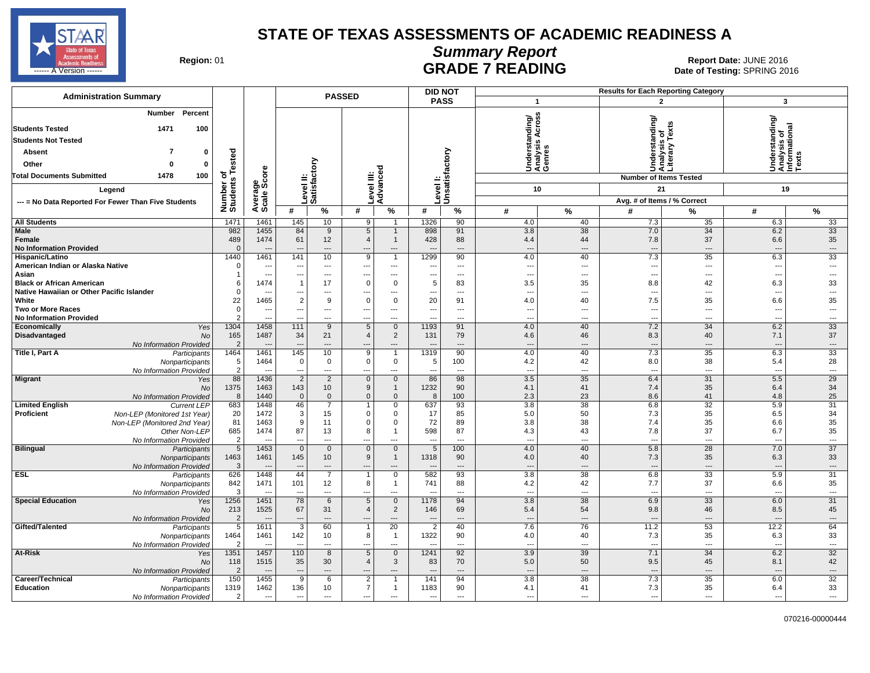

### **Summary Report**

Region: 01 **Region: 01 CALL CONSISTS THE POST OF READING Report Date: JUNE 2016**<br>Date of Testing: SPRING 20 ------ A Version ------ SPRING 2016

| <b>Administration Summary</b>                                                                                                                                          |                                          |                                                          |                                                             |                                                            | <b>PASSED</b>                                               |                                                 |                               | <b>DID NOT</b>                        |                                                             |                                                   | <b>Results for Each Reporting Category</b> |                                                  |                                                             |                                                  |
|------------------------------------------------------------------------------------------------------------------------------------------------------------------------|------------------------------------------|----------------------------------------------------------|-------------------------------------------------------------|------------------------------------------------------------|-------------------------------------------------------------|-------------------------------------------------|-------------------------------|---------------------------------------|-------------------------------------------------------------|---------------------------------------------------|--------------------------------------------|--------------------------------------------------|-------------------------------------------------------------|--------------------------------------------------|
|                                                                                                                                                                        |                                          |                                                          |                                                             |                                                            |                                                             |                                                 |                               | <b>PASS</b>                           | $\mathbf{1}$                                                |                                                   |                                            | $\overline{2}$                                   | 3                                                           |                                                  |
| Percent<br>Number<br>100<br><b>Students Tested</b><br>1471<br><b>Students Not Tested</b><br>7<br>$\mathbf 0$<br><b>Absent</b><br>Other<br>$\bf{0}$<br>$\Omega$         | Number of<br>Students Tested             |                                                          |                                                             | Level II:<br>Satisfactory                                  |                                                             |                                                 |                               | Unsatisfactory                        | <b>Cross</b><br>Understanding/<br>Analysis Across<br>Genres |                                                   | rstanding<br>Undel<br>D                    | is of<br>v Texts<br>kue.<br>Sis<br>Anai<br>Liter | Understanding/<br> Analysis of<br> Informational<br> Texts  |                                                  |
| 1478<br>100<br><b>Total Documents Submitted</b>                                                                                                                        |                                          | δã                                                       |                                                             |                                                            |                                                             |                                                 |                               |                                       |                                                             |                                                   |                                            | <b>Number of Items Tested</b>                    |                                                             |                                                  |
| Legend                                                                                                                                                                 |                                          |                                                          |                                                             |                                                            |                                                             |                                                 | evel I                        |                                       | 10                                                          |                                                   |                                            | 21                                               | 19                                                          |                                                  |
| --- = No Data Reported For Fewer Than Five Students                                                                                                                    |                                          |                                                          |                                                             |                                                            |                                                             | Level III:<br>Advanced                          |                               |                                       |                                                             |                                                   |                                            | Avg. # of Items / % Correct                      |                                                             |                                                  |
|                                                                                                                                                                        |                                          | Average<br>Scale Scc                                     | #                                                           | $\%$                                                       | #                                                           | $\%$                                            | #                             | $\%$                                  | #                                                           | $\frac{9}{6}$                                     | #                                          | %                                                | #                                                           | $\frac{9}{6}$                                    |
| <b>All Students</b>                                                                                                                                                    | 1471                                     | 1461                                                     | 145                                                         | 10                                                         | 9                                                           | -1                                              | 1326                          | 90                                    | 4.0                                                         | 40                                                | 7.3                                        | 35                                               | 6.3                                                         | 33                                               |
| <b>Male</b><br>Female<br><b>No Information Provided</b>                                                                                                                | 982<br>489<br>$\Omega$                   | 1455<br>1474                                             | 84<br>61                                                    | 9<br>12<br>$\overline{\phantom{a}}$                        | $\overline{5}$<br>$\overline{4}$<br>---                     | $\overline{1}$<br>$\mathbf{1}$<br>$---$         | 898<br>428                    | 91<br>88<br>$\overline{\phantom{a}}$  | 3.8<br>4.4<br>$\overline{\phantom{a}}$                      | $\overline{38}$<br>44<br>$\overline{\phantom{a}}$ | 7.0<br>7.8<br>$\overline{\phantom{a}}$     | 34<br>37<br>---                                  | 6.2<br>6.6                                                  | 33<br>35<br>---                                  |
| Hispanic/Latino<br>American Indian or Alaska Native<br>Asian                                                                                                           | 1440<br>$\mathbf 0$<br>-1                | 1461<br>$\sim$<br>$\overline{\phantom{a}}$               | 141<br>$\overline{\phantom{a}}$<br>$\overline{\phantom{a}}$ | 10<br>$\overline{\phantom{a}}$<br>$\overline{\phantom{a}}$ | 9<br>$\hspace{0.05cm} \ldots$<br>---                        | $\overline{1}$<br>---<br>---                    | 1299<br>---<br>---            | 90<br>---<br>$\overline{\phantom{a}}$ | 4.0<br>$\overline{\phantom{a}}$<br>$\overline{\phantom{a}}$ | 40<br>$\overline{\phantom{a}}$<br>$---$           | 7.3<br>$\overline{\phantom{a}}$<br>---     | 35<br>---<br>---                                 | 6.3<br>$\overline{\phantom{a}}$<br>$\overline{\phantom{a}}$ | 33<br>$\overline{a}$<br>$\overline{a}$           |
| <b>Black or African American</b><br>Native Hawaiian or Other Pacific Islander<br>White                                                                                 | 6<br>$\mathbf 0$<br>22                   | 1474<br>--<br>1465                                       | $\overline{1}$<br>---<br>$\overline{2}$                     | 17<br>$---$<br>9                                           | $\mathsf 0$<br>$\overline{\phantom{a}}$<br>$\mathbf 0$      | 0<br>$---$<br>$\mathbf 0$                       | 5<br>$\overline{a}$<br>20     | 83<br>$---$<br>91                     | 3.5<br>$\overline{a}$<br>4.0                                | 35<br>$---$<br>40                                 | 8.8<br>$\overline{a}$<br>7.5               | 42<br>---<br>35                                  | 6.3<br>$\overline{\phantom{a}}$<br>6.6                      | 33<br>$\overline{a}$<br>35                       |
| <b>Two or More Races</b><br><b>No Information Provided</b>                                                                                                             | $\mathbf 0$<br>$\overline{2}$            | --                                                       | $\qquad \qquad \cdots$                                      | $\overline{\phantom{a}}$<br>$\overline{a}$                 | ---<br>$\overline{a}$                                       | ---<br>$\sim$                                   | ---                           | $\overline{\phantom{a}}$<br>$-$       | $\overline{a}$<br>$\sim$                                    | $---$<br>$\overline{a}$                           | ---<br>$\sim$                              | ---<br>---                                       | $\overline{\phantom{a}}$<br>$\overline{a}$                  | ---<br>$\overline{a}$                            |
| Economically<br>Yes<br>Disadvantaged<br><b>No</b><br>No Information Provided                                                                                           | 1304<br>165<br>$\overline{2}$            | 1458<br>1487                                             | 111<br>34                                                   | 9<br>21<br>$\overline{\phantom{a}}$                        | 5<br>$\overline{4}$<br>---                                  | $\mathbf{0}$<br>$\overline{2}$<br>---           | 1193<br>131                   | 91<br>79<br>$\overline{a}$            | 4.0<br>4.6<br>$\overline{\phantom{a}}$                      | 40<br>46<br>$\overline{\phantom{a}}$              | 7.2<br>8.3<br>$\overline{\phantom{a}}$     | 34<br>40<br>---                                  | 6.2<br>7.1<br>--                                            | 33<br>37<br>$\hspace{0.05cm} \ldots$             |
| Title I, Part A<br>Participants<br>Nonparticipants<br>No Information Provided                                                                                          | 1464<br>5<br>$\overline{2}$              | 1461<br>1464<br>$\overline{\phantom{a}}$                 | 145<br>$\mathbf 0$<br>$\sim$                                | 10<br>$\mathbf 0$<br>$\overline{\phantom{a}}$              | 9<br>$\mathsf 0$<br>$\hspace{0.05cm} \ldots$                | $\overline{1}$<br>$\mathbf 0$<br>$\overline{a}$ | 1319<br>5<br>---              | 90<br>100<br>$\overline{a}$           | 4.0<br>4.2<br>$\overline{\phantom{a}}$                      | 40<br>42<br>$\overline{a}$                        | 7.3<br>8.0<br>$\overline{\phantom{a}}$     | 35<br>38<br>---                                  | 6.3<br>5.4<br>$\sim$                                        | 33<br>28<br>---                                  |
| <b>Migrant</b><br>Yes<br>No<br>No Information Provided                                                                                                                 | 88<br>1375<br>8                          | 1436<br>1463<br>1440                                     | $\overline{2}$<br>143<br>$\mathbf 0$                        | 2<br>10 <sup>1</sup><br>$\mathbf 0$                        | $\overline{0}$<br>$\boldsymbol{9}$<br>$\mathbf 0$           | $\mathbf 0$<br>$\mathbf{1}$<br>$\mathbf 0$      | 86<br>1232<br>8               | 98<br>90<br>100                       | 3.5<br>4.1<br>2.3                                           | $\overline{35}$<br>41<br>23                       | 6.4<br>7.4<br>8.6                          | $\overline{31}$<br>35<br>41                      | 5.5<br>6.4<br>4.8                                           | 29<br>34<br>25                                   |
| <b>Limited English</b><br><b>Current LEP</b><br>Proficient<br>Non-LEP (Monitored 1st Year)<br>Non-LEP (Monitored 2nd Year)<br>Other Non-LEP<br>No Information Provided | 683<br>20<br>81<br>685<br>$\overline{2}$ | 1448<br>1472<br>1463<br>1474<br>$\overline{\phantom{a}}$ | 46<br>3<br>9<br>87<br>$\overline{\phantom{a}}$              | 7<br>15<br>11<br>13<br>$---$                               | $\mathbf 0$<br>$\mathbf 0$<br>8<br>$\overline{\phantom{a}}$ | 0<br>0<br>$\mathbf 0$<br>$\mathbf{1}$<br>$---$  | 637<br>17<br>72<br>598<br>--- | 93<br>85<br>89<br>87<br>$---$         | 3.8<br>5.0<br>3.8<br>4.3<br>$\overline{\phantom{a}}$        | 38<br>50<br>38<br>43<br>$---$                     | 6.8<br>7.3<br>7.4<br>7.8<br>---            | 32<br>35<br>35<br>37<br>$\overline{\phantom{a}}$ | 5.9<br>6.5<br>6.6<br>6.7<br>---                             | 31<br>34<br>35<br>35<br>$\hspace{0.05cm} \cdots$ |
| <b>Bilingual</b><br>Participants<br>Nonparticipants<br>No Information Provided                                                                                         | $5\phantom{.0}$<br>1463<br>3             | 1453<br>1461                                             | $\mathbf{0}$<br>145<br>$\overline{\phantom{a}}$             | $\mathbf 0$<br>10 <sup>1</sup><br>$---$                    | $\mathbf 0$<br>9<br>$---$                                   | $\mathbf 0$<br>$\mathbf{1}$<br>$---$            | 5<br>1318                     | 100<br>90<br>$---$                    | 4.0<br>4.0<br>$\overline{\phantom{a}}$                      | 40<br>40<br>$---$                                 | 5.8<br>7.3<br>$\overline{\phantom{a}}$     | 28<br>35<br>$\overline{a}$                       | 7.0<br>6.3<br>$\sim$                                        | 37<br>33<br>$\cdots$                             |
| <b>ESL</b><br>Participants<br>Nonparticipants<br>No Information Provided                                                                                               | 626<br>842<br>3                          | 1448<br>1471                                             | 44<br>101<br>$\overline{\phantom{a}}$                       | $\overline{7}$<br>12<br>$\overline{a}$                     | 8<br>---                                                    | $\mathsf 0$<br>$\mathbf{1}$<br>---              | 582<br>741                    | 93<br>88<br>$\overline{a}$            | $\overline{3.8}$<br>4.2<br>$\overline{\phantom{a}}$         | 38<br>42<br>$\overline{a}$                        | 6.8<br>7.7<br>$\overline{\phantom{a}}$     | 33<br>37<br>---                                  | 5.9<br>6.6<br>$\sim$                                        | 31<br>35<br>$\hspace{0.05cm} \ldots$             |
| <b>Special Education</b><br>Yes<br>No<br>No Information Provided                                                                                                       | 1256<br>213<br>$\overline{2}$            | 1451<br>1525                                             | 78<br>67<br>---                                             | $6\phantom{1}$<br>31<br>---                                | $\sqrt{5}$<br>$\overline{4}$<br>---                         | $\overline{0}$<br>$\overline{c}$<br>---         | 1178<br>146                   | 94<br>69<br>---                       | 3.8<br>5.4<br>$\overline{\phantom{a}}$                      | 38<br>54<br>$\hspace{0.05cm} \ldots$              | 6.9<br>9.8<br>$\cdots$                     | 33<br>46<br>---                                  | 6.0<br>8.5                                                  | 31<br>45<br>---                                  |
| Gifted/Talented<br>Participants<br>Nonparticipants<br>No Information Provided                                                                                          | $\overline{5}$<br>1464<br>$\mathcal{P}$  | 1611<br>1461<br>4                                        | 3<br>142<br>$\overline{\phantom{a}}$                        | 60<br>10<br>---                                            | $\mathbf 1$<br>8<br>---                                     | $\overline{20}$<br>$\overline{1}$<br>---        | $\overline{2}$<br>1322        | 40<br>90<br>---                       | 7.6<br>4.0<br>$\overline{\phantom{a}}$                      | 76<br>40<br>$\overline{\phantom{a}}$              | 11.2<br>7.3<br>---                         | 53<br>35<br>---                                  | 12.2<br>6.3<br>---                                          | 64<br>33<br>---                                  |
| At-Risk<br>Yes<br>No<br>No Information Provided                                                                                                                        | 1351<br>118<br>$\overline{2}$            | 1457<br>1515<br>--                                       | 110<br>35<br>$---$                                          | 8<br>30<br>$\overline{\phantom{a}}$                        | $\,$ 5 $\,$<br>$\overline{4}$<br>---                        | $\mathbf{0}$<br>3<br>---                        | 1241<br>83                    | 92<br>70<br>---                       | 3.9<br>5.0<br>$\overline{\phantom{a}}$                      | 39<br>50<br>$---$                                 | 7.1<br>9.5<br>$\overline{\phantom{a}}$     | 34<br>45<br>---                                  | 6.2<br>8.1<br>$-$                                           | $\overline{32}$<br>42<br>---                     |
| Career/Technical<br>Participants<br><b>Education</b><br>Nonparticipants<br>No Information Provided                                                                     | 150<br>1319<br>2                         | 1455<br>1462<br>---                                      | 9<br>136<br>$\overline{\phantom{a}}$                        | 6<br>10<br>$\overline{a}$                                  | $\overline{2}$<br>$\overline{7}$<br>---                     | $\mathbf 1$<br>$\mathbf{1}$<br>$\overline{a}$   | 141<br>1183<br>---            | 94<br>90<br>---                       | 3.8<br>4.1<br>---                                           | 38<br>41<br>$\overline{a}$                        | 7.3<br>7.3<br>$\overline{a}$               | 35<br>35<br>---                                  | 6.0<br>6.4<br>$\overline{\phantom{a}}$                      | $\overline{32}$<br>33<br>$\overline{a}$          |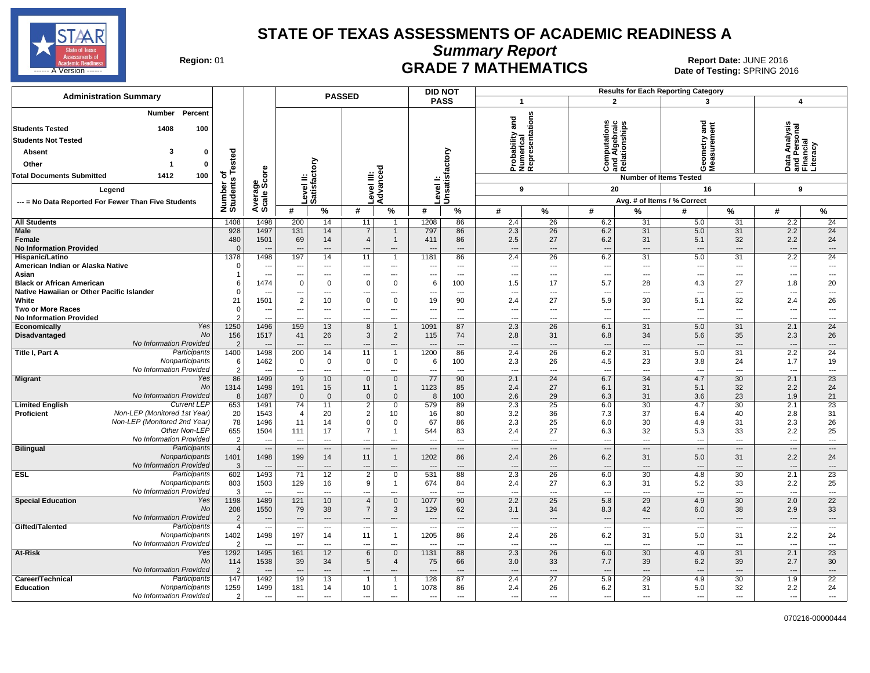

**Summary Report**

Region: 01 **Region: 01 CRADE 7 MATHEMATICS Date: JUNE 2016 Report Date: JUNE 2016 CRADE 7 MATHEMATICS** ------ A Version ------ SPRING 2016

| <b>PASS</b><br>$\overline{2}$<br>$\overline{\mathbf{1}}$<br>$\overline{\mathbf{A}}$<br>3<br>Percent<br>Number<br>Probability and<br>Numerical<br>Representations<br>ations<br>gue<br>Computations<br>and Algebraic<br>Relationships<br>Data Analysis<br>and Personal<br>Financial<br>Literacy<br>1408<br>100<br>≧<br>ä<br>Level I:<br>Unsatisfactory<br>Tested<br>3<br><b>Absent</b><br>0<br>ී<br>Level II:<br>Satisfactory<br>Other<br>0<br>್ಠಾ<br>ت ≌ ت<br>oΣ<br>Average<br>Scale Score<br>৳<br><b>Total Documents Submitted</b><br>1412<br>100<br>evel III<br>Advanc<br><b>Number of Items Tested</b><br>Number of<br>Students<br>9<br>20<br>9<br>16<br>Legend<br>Avg. # of Items / % Correct<br>--- = No Data Reported For Fewer Than Five Students<br>#<br>%<br>%<br>$\%$<br>#<br>#<br>#<br>℅<br>#<br>%<br>$\%$<br>#<br>$\%$<br>#<br>2.2<br>24<br>1408<br>1498<br>200<br>14<br>1208<br>86<br>2.4<br>26<br>6.2<br>31<br>5.0<br>31<br>11<br>928<br>2.3<br>$\overline{26}$<br>2.2<br>$\overline{24}$<br>1497<br>131<br>14<br>797<br>86<br>6.2<br>31<br>5.0<br>31<br>$\overline{7}$<br>$\overline{1}$<br>480<br>1501<br>69<br>86<br>2.5<br>27<br>6.2<br>31<br>5.1<br>32<br>2.2<br>24<br>14<br>$\overline{4}$<br>411<br>$\mathbf{1}$<br><b>No Information Provided</b><br>$\Omega$<br>$\overline{\phantom{a}}$<br>$\overline{a}$<br>$\sim$<br>$\overline{a}$<br>$\overline{\phantom{a}}$<br>$\overline{a}$<br>$\overline{\phantom{a}}$<br>$\overline{a}$<br>$\overline{a}$<br>$---$<br>$\overline{a}$<br>$\overline{a}$<br>--<br>2.2<br>1378<br>1498<br>197<br>14<br>11<br>86<br>2.4<br>26<br>6.2<br>5.0<br>31<br>24<br>1181<br>31<br>Hispanic/Latino<br>$\overline{1}$<br>American Indian or Alaska Native<br>$\Omega$<br>---<br>$\overline{\phantom{a}}$<br>---<br>$\cdots$<br>$\overline{\phantom{a}}$<br>$\overline{\phantom{a}}$<br>$\overline{\phantom{a}}$<br>$---$<br>$\overline{\phantom{a}}$<br>$\overline{\phantom{a}}$<br>$\sim$<br>$---$<br>---<br>---<br>Asian<br>---<br>---<br>$\overline{a}$<br>$---$<br>$\overline{a}$<br>$\overline{a}$<br>--<br>---<br>$\overline{a}$<br>$\overline{a}$<br>$\sim$<br>$\overline{a}$<br>---<br>$\overline{\phantom{a}}$<br>1474<br>1.8<br>$\mathbf 0$<br>0<br>$\mathbf 0$<br>$\mathbf 0$<br>100<br>1.5<br>17<br>5.7<br>28<br>4.3<br>27<br>20<br>6<br>6<br>$\Omega$<br>$\overline{a}$<br>$\overline{a}$<br>$\overline{a}$<br>$---$<br>---<br>$\overline{a}$<br>$\sim$<br>---<br>$\overline{a}$<br>--<br>---<br>--<br>$\overline{\phantom{a}}$<br>$\sim$<br>$\overline{2}$<br>21<br>1501<br>$\mathbf 0$<br>$\mathbf 0$<br>19<br>90<br>2.4<br>27<br>5.9<br>32<br>2.4<br>26<br>10<br>30<br>5.1<br>Two or More Races<br>$\mathbf 0$<br>$\hspace{0.05cm} \ldots$<br>$\overline{\phantom{a}}$<br>---<br>$\overline{\phantom{a}}$<br>--<br>---<br>$\overline{a}$<br>$\overline{\phantom{a}}$<br>---<br>---<br>---<br>---<br>---<br>---<br>$\overline{\phantom{a}}$<br>$\overline{2}$<br><b>No Information Provided</b><br>$\overline{a}$<br>---<br>$\sim$<br>--<br>---<br>---<br>$\overline{a}$<br>$\overline{\phantom{a}}$<br>---<br>---<br>$\overline{\phantom{a}}$<br>24<br>Yes<br>1250<br>1496<br>159<br>13<br>$\overline{8}$<br>87<br>2.3<br>26<br>6.1<br>31<br>5.0<br>31<br>2.1<br>$\overline{1}$<br>1091<br>Economically<br>No<br>$\overline{2}$<br>26<br>156<br>1517<br>41<br>26<br>3<br>74<br>35<br>2.3<br>Disadvantaged<br>115<br>2.8<br>31<br>6.8<br>34<br>5.6<br>No Information Provided<br>$\overline{2}$<br>---<br>---<br>$\overline{\phantom{a}}$<br>$\overline{a}$<br>$\overline{\phantom{a}}$<br>---<br>$\overline{a}$<br>$\overline{a}$<br>$\overline{\phantom{a}}$<br>$\overline{a}$<br>1498<br>200<br>14<br>86<br>2.4<br>$\overline{26}$<br>6.2<br>5.0<br>$\overline{31}$<br>2.2<br>24<br>Participants<br>1400<br>11<br>1200<br>31<br>$\overline{1}$<br>Nonparticipants<br>1.7<br>1462<br>100<br>2.3<br>26<br>24<br>19<br>6<br>0<br>$\mathbf 0$<br>$\mathbf 0$<br>$\mathbf 0$<br>6<br>4.5<br>23<br>3.8<br>No Information Provided<br>$\overline{2}$<br>$\overline{a}$<br>---<br>$\overline{\phantom{a}}$<br>$\overline{a}$<br>---<br>$\overline{a}$<br>--<br>---<br>$\overline{a}$<br>$\sim$<br>$---$<br>---<br>$---$<br>$\overline{23}$<br>86<br>1499<br>10 <sup>1</sup><br>90<br>2.1<br>24<br>6.7<br>34<br>4.7<br>30<br>2.1<br><b>Migrant</b><br>Yes<br>9<br>$\mathbf 0$<br>$\mathbf{0}$<br>77<br>27<br>32<br>2.2<br>24<br>No<br>1314<br>1498<br>191<br>15<br>11<br>1123<br>85<br>2.4<br>6.1<br>31<br>5.1<br>$\mathbf{1}$<br>No Information Provided<br>1487<br>100<br>2.6<br>29<br>23<br>1.9<br>21<br>8<br>$\mathbf 0$<br>$\mathbf 0$<br>$\mathbf 0$<br>$\mathbf 0$<br>8<br>6.3<br>31<br>3.6<br><b>Current LEP</b><br>$\overline{74}$<br>23<br>653<br>1491<br>11<br>$\overline{2}$<br>579<br>89<br>2.3<br>25<br>6.0<br>30<br>4.7<br>30<br>2.1<br>$\mathbf 0$<br>Non-LEP (Monitored 1st Year)<br>$\overline{2}$<br>37<br>31<br>20<br>1543<br>$\overline{4}$<br>20<br>10<br>80<br>3.2<br>36<br>7.3<br>6.4<br>40<br>2.8<br>16<br>Non-LEP (Monitored 2nd Year)<br>78<br>$\mathsf 0$<br>2.3<br>25<br>26<br>1496<br>11<br>14<br>0<br>67<br>86<br>6.0<br>30<br>4.9<br>31<br>2.3<br>Other Non-LEP<br>655<br>$\overline{7}$<br>27<br>2.2<br>25<br>1504<br>111<br>17<br>544<br>83<br>2.4<br>6.3<br>32<br>5.3<br>33<br>$\mathbf{1}$<br>No Information Provided<br>$\overline{2}$<br>$\overline{\phantom{a}}$<br>$\overline{a}$<br>$- - -$<br>$\overline{\phantom{a}}$<br>$\sim$<br>$\sim$<br>$\overline{\phantom{a}}$<br>$\sim$<br>$\overline{a}$<br>$\overline{a}$<br>$\overline{a}$<br>$\overline{a}$<br>$\overline{\phantom{a}}$<br>$\overline{\phantom{a}}$<br><b>Bilingual</b><br>Participants<br>$\overline{4}$<br>$\cdots$<br>---<br>$\overline{\phantom{a}}$<br>$\qquad \qquad \cdots$<br>$\cdots$<br>---<br>---<br>$\overline{a}$<br>$\overline{a}$<br>$\overline{\phantom{a}}$<br>---<br>$\overline{\phantom{a}}$<br>--<br>1498<br>Nonparticipants<br>1401<br>199<br>11<br>1202<br>86<br>2.4<br>26<br>6.2<br>5.0<br>31<br>2.2<br>24<br>14<br>$\overline{1}$<br>31<br>No Information Provided<br>3<br>$\overline{a}$<br>$\overline{a}$<br>$\overline{a}$<br>$\overline{a}$<br>$\overline{a}$<br>$\overline{a}$<br>$\overline{a}$<br>---<br>---<br>$\overline{a}$<br>Participants<br>602<br>1493<br>12<br>2.3<br>2.1<br>23<br>71<br>$\overline{2}$<br>531<br>88<br>26<br>6.0<br>30<br>4.8<br>30<br>$\mathbf 0$<br>9<br>25<br>Nonparticipants<br>803<br>1503<br>129<br>2.4<br>27<br>5.2<br>33<br>2.2<br>16<br>674<br>84<br>6.3<br>31<br>-1<br>No Information Provided<br>3<br>---<br>---<br>---<br>---<br>---<br>--<br>---<br>---<br>---<br>---<br>$\overline{\phantom{a}}$<br>$\overline{a}$<br>$\overline{\phantom{a}}$<br>---<br>$\overline{22}$<br>1489<br>121<br>10<br>90<br>2.2<br>25<br>5.8<br>29<br>4.9<br>30<br>2.0<br><b>Special Education</b><br>Yes<br>1198<br>$\overline{0}$<br>1077<br>$\overline{4}$<br>No<br>33<br>208<br>79<br>$\overline{7}$<br>62<br>42<br>38<br>1550<br>38<br>3<br>3.1<br>34<br>8.3<br>2.9<br>129<br>6.0<br>No Information Provided<br>$\overline{2}$<br>$\hspace{0.05cm} \ldots$<br>$\overline{\phantom{a}}$<br>$\overline{\phantom{a}}$<br>$---$<br>$---$<br>$---$<br>$\overline{\phantom{a}}$<br>---<br>$\cdots$<br>$\overline{a}$<br>$\overline{\phantom{a}}$<br>---<br>Participants<br>$\overline{4}$<br>---<br>$\hspace{0.05cm} \ldots$<br>$\scriptstyle\cdots$<br>$\sim$<br>$\overline{\phantom{a}}$<br>$\overline{\phantom{a}}$<br>$\hspace{0.05cm} \ldots$<br>$\hspace{0.05cm} \ldots$<br>$\overline{\phantom{a}}$<br>$\cdots$<br>$\overline{\phantom{a}}$<br>$\overline{a}$<br>$\overline{\phantom{a}}$<br>---<br>$\sim$<br>1498<br>2.2<br>Nonparticipants<br>1402<br>197<br>11<br>1205<br>86<br>2.4<br>26<br>6.2<br>5.0<br>31<br>24<br>14<br>$\mathbf{1}$<br>31<br>No Information Provided<br>$\mathcal{P}$<br>$\overline{a}$<br>---<br>$\overline{a}$<br>---<br>$\overline{a}$<br>---<br>$\overline{\phantom{a}}$<br>---<br>$\overline{a}$<br>--<br>Yes<br>1292<br>1495<br>2.3<br>30<br>2.1<br>23<br>At-Risk<br>161<br>12<br>6<br>$\mathbf{0}$<br>1131<br>88<br>26<br>6.0<br>4.9<br>31<br><b>No</b><br>114<br>1538<br>39<br>5<br>3.0<br>33<br>39<br>39<br>2.7<br>30<br>34<br>4<br>75<br>66<br>7.7<br>6.2<br><b>No Information Provided</b><br>$---$<br>$---$<br>$---$<br>$\overline{a}$<br>$---$<br>---<br>$---$<br>$---$<br>$---$<br>$---$<br>---<br>$\sim$<br>$---$<br>---<br>$-$<br>$\overline{22}$<br>1492<br>30<br>Career/Technical<br>Participants<br>147<br>19<br>13<br>128<br>87<br>2.4<br>27<br>5.9<br>29<br>4.9<br>1.9<br>1259<br>1499<br>10<br>32<br>24<br>Nonparticipants<br>181<br>14<br>1078<br>86<br>2.4<br>26<br>6.2<br>31<br>5.0<br>2.2<br>$\mathbf{1}$<br>No Information Provided<br>2<br>$\overline{a}$<br>$\sim$<br>$\overline{a}$<br>$\overline{a}$<br>$\overline{a}$<br>$\overline{a}$<br>$\sim$<br>$\overline{a}$<br>---<br>---<br>$\overline{a}$<br>$\overline{a}$<br>$\overline{\phantom{a}}$<br>$\overline{a}$<br>$\overline{a}$ | <b>Administration Summary</b>             |  | <b>PASSED</b> |  |  |  | <b>DID NOT</b> |  |  | <b>Results for Each Reporting Category</b> |  |  |
|-------------------------------------------------------------------------------------------------------------------------------------------------------------------------------------------------------------------------------------------------------------------------------------------------------------------------------------------------------------------------------------------------------------------------------------------------------------------------------------------------------------------------------------------------------------------------------------------------------------------------------------------------------------------------------------------------------------------------------------------------------------------------------------------------------------------------------------------------------------------------------------------------------------------------------------------------------------------------------------------------------------------------------------------------------------------------------------------------------------------------------------------------------------------------------------------------------------------------------------------------------------------------------------------------------------------------------------------------------------------------------------------------------------------------------------------------------------------------------------------------------------------------------------------------------------------------------------------------------------------------------------------------------------------------------------------------------------------------------------------------------------------------------------------------------------------------------------------------------------------------------------------------------------------------------------------------------------------------------------------------------------------------------------------------------------------------------------------------------------------------------------------------------------------------------------------------------------------------------------------------------------------------------------------------------------------------------------------------------------------------------------------------------------------------------------------------------------------------------------------------------------------------------------------------------------------------------------------------------------------------------------------------------------------------------------------------------------------------------------------------------------------------------------------------------------------------------------------------------------------------------------------------------------------------------------------------------------------------------------------------------------------------------------------------------------------------------------------------------------------------------------------------------------------------------------------------------------------------------------------------------------------------------------------------------------------------------------------------------------------------------------------------------------------------------------------------------------------------------------------------------------------------------------------------------------------------------------------------------------------------------------------------------------------------------------------------------------------------------------------------------------------------------------------------------------------------------------------------------------------------------------------------------------------------------------------------------------------------------------------------------------------------------------------------------------------------------------------------------------------------------------------------------------------------------------------------------------------------------------------------------------------------------------------------------------------------------------------------------------------------------------------------------------------------------------------------------------------------------------------------------------------------------------------------------------------------------------------------------------------------------------------------------------------------------------------------------------------------------------------------------------------------------------------------------------------------------------------------------------------------------------------------------------------------------------------------------------------------------------------------------------------------------------------------------------------------------------------------------------------------------------------------------------------------------------------------------------------------------------------------------------------------------------------------------------------------------------------------------------------------------------------------------------------------------------------------------------------------------------------------------------------------------------------------------------------------------------------------------------------------------------------------------------------------------------------------------------------------------------------------------------------------------------------------------------------------------------------------------------------------------------------------------------------------------------------------------------------------------------------------------------------------------------------------------------------------------------------------------------------------------------------------------------------------------------------------------------------------------------------------------------------------------------------------------------------------------------------------------------------------------------------------------------------------------------------------------------------------------------------------------------------------------------------------------------------------------------------------------------------------------------------------------------------------------------------------------------------------------------------------------------------------------------------------------------------------------------------------------------------------------------------------------------------------------------------------------------------------------------------------------------------------------------------------------------------------------------------------------------------------------------------------------------------------------------------------------------------------------------------------------------------------------------------------------------------------------------------------------------------------------------------------------------------------------------------------------------------------------------------------------------------------------------------------------------------------------------------------------------------------------------------------------------------------------------------------------------------------------------------------------------------------------------------------------------------------------------------------------------------------------------------------------------------------------------------------------------------------------------------------------------------------------------------------------------------------------------------------------------------------------------------------------------------------------------------------------------------------------------------------------------------------------------------------------------------------------------------------------------------------------------------------------------------------------------------------------------------------------------------------------------------------------------------------------------------------------------------------------------------------------------------------------------------------------------------------------------------------------------------------------------------------------------------------------------------------------------------------------------------------------------------------------------------------------------------------------------------------|-------------------------------------------|--|---------------|--|--|--|----------------|--|--|--------------------------------------------|--|--|
|                                                                                                                                                                                                                                                                                                                                                                                                                                                                                                                                                                                                                                                                                                                                                                                                                                                                                                                                                                                                                                                                                                                                                                                                                                                                                                                                                                                                                                                                                                                                                                                                                                                                                                                                                                                                                                                                                                                                                                                                                                                                                                                                                                                                                                                                                                                                                                                                                                                                                                                                                                                                                                                                                                                                                                                                                                                                                                                                                                                                                                                                                                                                                                                                                                                                                                                                                                                                                                                                                                                                                                                                                                                                                                                                                                                                                                                                                                                                                                                                                                                                                                                                                                                                                                                                                                                                                                                                                                                                                                                                                                                                                                                                                                                                                                                                                                                                                                                                                                                                                                                                                                                                                                                                                                                                                                                                                                                                                                                                                                                                                                                                                                                                                                                                                                                                                                                                                                                                                                                                                                                                                                                                                                                                                                                                                                                                                                                                                                                                                                                                                                                                                                                                                                                                                                                                                                                                                                                                                                                                                                                                                                                                                                                                                                                                                                                                                                                                                                                                                                                                                                                                                                                                                                                                                                                                                                                                                                                                                                                                                                                                                                                                                                                                                                                                                                                                                                                                                                                                                                                                                                                                                                                                                                                                                                                                                                                                                                                                                                         |                                           |  |               |  |  |  |                |  |  |                                            |  |  |
|                                                                                                                                                                                                                                                                                                                                                                                                                                                                                                                                                                                                                                                                                                                                                                                                                                                                                                                                                                                                                                                                                                                                                                                                                                                                                                                                                                                                                                                                                                                                                                                                                                                                                                                                                                                                                                                                                                                                                                                                                                                                                                                                                                                                                                                                                                                                                                                                                                                                                                                                                                                                                                                                                                                                                                                                                                                                                                                                                                                                                                                                                                                                                                                                                                                                                                                                                                                                                                                                                                                                                                                                                                                                                                                                                                                                                                                                                                                                                                                                                                                                                                                                                                                                                                                                                                                                                                                                                                                                                                                                                                                                                                                                                                                                                                                                                                                                                                                                                                                                                                                                                                                                                                                                                                                                                                                                                                                                                                                                                                                                                                                                                                                                                                                                                                                                                                                                                                                                                                                                                                                                                                                                                                                                                                                                                                                                                                                                                                                                                                                                                                                                                                                                                                                                                                                                                                                                                                                                                                                                                                                                                                                                                                                                                                                                                                                                                                                                                                                                                                                                                                                                                                                                                                                                                                                                                                                                                                                                                                                                                                                                                                                                                                                                                                                                                                                                                                                                                                                                                                                                                                                                                                                                                                                                                                                                                                                                                                                                                                         | <b>Students Tested</b>                    |  |               |  |  |  |                |  |  |                                            |  |  |
|                                                                                                                                                                                                                                                                                                                                                                                                                                                                                                                                                                                                                                                                                                                                                                                                                                                                                                                                                                                                                                                                                                                                                                                                                                                                                                                                                                                                                                                                                                                                                                                                                                                                                                                                                                                                                                                                                                                                                                                                                                                                                                                                                                                                                                                                                                                                                                                                                                                                                                                                                                                                                                                                                                                                                                                                                                                                                                                                                                                                                                                                                                                                                                                                                                                                                                                                                                                                                                                                                                                                                                                                                                                                                                                                                                                                                                                                                                                                                                                                                                                                                                                                                                                                                                                                                                                                                                                                                                                                                                                                                                                                                                                                                                                                                                                                                                                                                                                                                                                                                                                                                                                                                                                                                                                                                                                                                                                                                                                                                                                                                                                                                                                                                                                                                                                                                                                                                                                                                                                                                                                                                                                                                                                                                                                                                                                                                                                                                                                                                                                                                                                                                                                                                                                                                                                                                                                                                                                                                                                                                                                                                                                                                                                                                                                                                                                                                                                                                                                                                                                                                                                                                                                                                                                                                                                                                                                                                                                                                                                                                                                                                                                                                                                                                                                                                                                                                                                                                                                                                                                                                                                                                                                                                                                                                                                                                                                                                                                                                                         | <b>Students Not Tested</b>                |  |               |  |  |  |                |  |  |                                            |  |  |
|                                                                                                                                                                                                                                                                                                                                                                                                                                                                                                                                                                                                                                                                                                                                                                                                                                                                                                                                                                                                                                                                                                                                                                                                                                                                                                                                                                                                                                                                                                                                                                                                                                                                                                                                                                                                                                                                                                                                                                                                                                                                                                                                                                                                                                                                                                                                                                                                                                                                                                                                                                                                                                                                                                                                                                                                                                                                                                                                                                                                                                                                                                                                                                                                                                                                                                                                                                                                                                                                                                                                                                                                                                                                                                                                                                                                                                                                                                                                                                                                                                                                                                                                                                                                                                                                                                                                                                                                                                                                                                                                                                                                                                                                                                                                                                                                                                                                                                                                                                                                                                                                                                                                                                                                                                                                                                                                                                                                                                                                                                                                                                                                                                                                                                                                                                                                                                                                                                                                                                                                                                                                                                                                                                                                                                                                                                                                                                                                                                                                                                                                                                                                                                                                                                                                                                                                                                                                                                                                                                                                                                                                                                                                                                                                                                                                                                                                                                                                                                                                                                                                                                                                                                                                                                                                                                                                                                                                                                                                                                                                                                                                                                                                                                                                                                                                                                                                                                                                                                                                                                                                                                                                                                                                                                                                                                                                                                                                                                                                                                         |                                           |  |               |  |  |  |                |  |  |                                            |  |  |
|                                                                                                                                                                                                                                                                                                                                                                                                                                                                                                                                                                                                                                                                                                                                                                                                                                                                                                                                                                                                                                                                                                                                                                                                                                                                                                                                                                                                                                                                                                                                                                                                                                                                                                                                                                                                                                                                                                                                                                                                                                                                                                                                                                                                                                                                                                                                                                                                                                                                                                                                                                                                                                                                                                                                                                                                                                                                                                                                                                                                                                                                                                                                                                                                                                                                                                                                                                                                                                                                                                                                                                                                                                                                                                                                                                                                                                                                                                                                                                                                                                                                                                                                                                                                                                                                                                                                                                                                                                                                                                                                                                                                                                                                                                                                                                                                                                                                                                                                                                                                                                                                                                                                                                                                                                                                                                                                                                                                                                                                                                                                                                                                                                                                                                                                                                                                                                                                                                                                                                                                                                                                                                                                                                                                                                                                                                                                                                                                                                                                                                                                                                                                                                                                                                                                                                                                                                                                                                                                                                                                                                                                                                                                                                                                                                                                                                                                                                                                                                                                                                                                                                                                                                                                                                                                                                                                                                                                                                                                                                                                                                                                                                                                                                                                                                                                                                                                                                                                                                                                                                                                                                                                                                                                                                                                                                                                                                                                                                                                                                         |                                           |  |               |  |  |  |                |  |  |                                            |  |  |
|                                                                                                                                                                                                                                                                                                                                                                                                                                                                                                                                                                                                                                                                                                                                                                                                                                                                                                                                                                                                                                                                                                                                                                                                                                                                                                                                                                                                                                                                                                                                                                                                                                                                                                                                                                                                                                                                                                                                                                                                                                                                                                                                                                                                                                                                                                                                                                                                                                                                                                                                                                                                                                                                                                                                                                                                                                                                                                                                                                                                                                                                                                                                                                                                                                                                                                                                                                                                                                                                                                                                                                                                                                                                                                                                                                                                                                                                                                                                                                                                                                                                                                                                                                                                                                                                                                                                                                                                                                                                                                                                                                                                                                                                                                                                                                                                                                                                                                                                                                                                                                                                                                                                                                                                                                                                                                                                                                                                                                                                                                                                                                                                                                                                                                                                                                                                                                                                                                                                                                                                                                                                                                                                                                                                                                                                                                                                                                                                                                                                                                                                                                                                                                                                                                                                                                                                                                                                                                                                                                                                                                                                                                                                                                                                                                                                                                                                                                                                                                                                                                                                                                                                                                                                                                                                                                                                                                                                                                                                                                                                                                                                                                                                                                                                                                                                                                                                                                                                                                                                                                                                                                                                                                                                                                                                                                                                                                                                                                                                                                         |                                           |  |               |  |  |  |                |  |  |                                            |  |  |
|                                                                                                                                                                                                                                                                                                                                                                                                                                                                                                                                                                                                                                                                                                                                                                                                                                                                                                                                                                                                                                                                                                                                                                                                                                                                                                                                                                                                                                                                                                                                                                                                                                                                                                                                                                                                                                                                                                                                                                                                                                                                                                                                                                                                                                                                                                                                                                                                                                                                                                                                                                                                                                                                                                                                                                                                                                                                                                                                                                                                                                                                                                                                                                                                                                                                                                                                                                                                                                                                                                                                                                                                                                                                                                                                                                                                                                                                                                                                                                                                                                                                                                                                                                                                                                                                                                                                                                                                                                                                                                                                                                                                                                                                                                                                                                                                                                                                                                                                                                                                                                                                                                                                                                                                                                                                                                                                                                                                                                                                                                                                                                                                                                                                                                                                                                                                                                                                                                                                                                                                                                                                                                                                                                                                                                                                                                                                                                                                                                                                                                                                                                                                                                                                                                                                                                                                                                                                                                                                                                                                                                                                                                                                                                                                                                                                                                                                                                                                                                                                                                                                                                                                                                                                                                                                                                                                                                                                                                                                                                                                                                                                                                                                                                                                                                                                                                                                                                                                                                                                                                                                                                                                                                                                                                                                                                                                                                                                                                                                                                         |                                           |  |               |  |  |  |                |  |  |                                            |  |  |
|                                                                                                                                                                                                                                                                                                                                                                                                                                                                                                                                                                                                                                                                                                                                                                                                                                                                                                                                                                                                                                                                                                                                                                                                                                                                                                                                                                                                                                                                                                                                                                                                                                                                                                                                                                                                                                                                                                                                                                                                                                                                                                                                                                                                                                                                                                                                                                                                                                                                                                                                                                                                                                                                                                                                                                                                                                                                                                                                                                                                                                                                                                                                                                                                                                                                                                                                                                                                                                                                                                                                                                                                                                                                                                                                                                                                                                                                                                                                                                                                                                                                                                                                                                                                                                                                                                                                                                                                                                                                                                                                                                                                                                                                                                                                                                                                                                                                                                                                                                                                                                                                                                                                                                                                                                                                                                                                                                                                                                                                                                                                                                                                                                                                                                                                                                                                                                                                                                                                                                                                                                                                                                                                                                                                                                                                                                                                                                                                                                                                                                                                                                                                                                                                                                                                                                                                                                                                                                                                                                                                                                                                                                                                                                                                                                                                                                                                                                                                                                                                                                                                                                                                                                                                                                                                                                                                                                                                                                                                                                                                                                                                                                                                                                                                                                                                                                                                                                                                                                                                                                                                                                                                                                                                                                                                                                                                                                                                                                                                                                         |                                           |  |               |  |  |  |                |  |  |                                            |  |  |
|                                                                                                                                                                                                                                                                                                                                                                                                                                                                                                                                                                                                                                                                                                                                                                                                                                                                                                                                                                                                                                                                                                                                                                                                                                                                                                                                                                                                                                                                                                                                                                                                                                                                                                                                                                                                                                                                                                                                                                                                                                                                                                                                                                                                                                                                                                                                                                                                                                                                                                                                                                                                                                                                                                                                                                                                                                                                                                                                                                                                                                                                                                                                                                                                                                                                                                                                                                                                                                                                                                                                                                                                                                                                                                                                                                                                                                                                                                                                                                                                                                                                                                                                                                                                                                                                                                                                                                                                                                                                                                                                                                                                                                                                                                                                                                                                                                                                                                                                                                                                                                                                                                                                                                                                                                                                                                                                                                                                                                                                                                                                                                                                                                                                                                                                                                                                                                                                                                                                                                                                                                                                                                                                                                                                                                                                                                                                                                                                                                                                                                                                                                                                                                                                                                                                                                                                                                                                                                                                                                                                                                                                                                                                                                                                                                                                                                                                                                                                                                                                                                                                                                                                                                                                                                                                                                                                                                                                                                                                                                                                                                                                                                                                                                                                                                                                                                                                                                                                                                                                                                                                                                                                                                                                                                                                                                                                                                                                                                                                                                         |                                           |  |               |  |  |  |                |  |  |                                            |  |  |
|                                                                                                                                                                                                                                                                                                                                                                                                                                                                                                                                                                                                                                                                                                                                                                                                                                                                                                                                                                                                                                                                                                                                                                                                                                                                                                                                                                                                                                                                                                                                                                                                                                                                                                                                                                                                                                                                                                                                                                                                                                                                                                                                                                                                                                                                                                                                                                                                                                                                                                                                                                                                                                                                                                                                                                                                                                                                                                                                                                                                                                                                                                                                                                                                                                                                                                                                                                                                                                                                                                                                                                                                                                                                                                                                                                                                                                                                                                                                                                                                                                                                                                                                                                                                                                                                                                                                                                                                                                                                                                                                                                                                                                                                                                                                                                                                                                                                                                                                                                                                                                                                                                                                                                                                                                                                                                                                                                                                                                                                                                                                                                                                                                                                                                                                                                                                                                                                                                                                                                                                                                                                                                                                                                                                                                                                                                                                                                                                                                                                                                                                                                                                                                                                                                                                                                                                                                                                                                                                                                                                                                                                                                                                                                                                                                                                                                                                                                                                                                                                                                                                                                                                                                                                                                                                                                                                                                                                                                                                                                                                                                                                                                                                                                                                                                                                                                                                                                                                                                                                                                                                                                                                                                                                                                                                                                                                                                                                                                                                                                         |                                           |  |               |  |  |  |                |  |  |                                            |  |  |
|                                                                                                                                                                                                                                                                                                                                                                                                                                                                                                                                                                                                                                                                                                                                                                                                                                                                                                                                                                                                                                                                                                                                                                                                                                                                                                                                                                                                                                                                                                                                                                                                                                                                                                                                                                                                                                                                                                                                                                                                                                                                                                                                                                                                                                                                                                                                                                                                                                                                                                                                                                                                                                                                                                                                                                                                                                                                                                                                                                                                                                                                                                                                                                                                                                                                                                                                                                                                                                                                                                                                                                                                                                                                                                                                                                                                                                                                                                                                                                                                                                                                                                                                                                                                                                                                                                                                                                                                                                                                                                                                                                                                                                                                                                                                                                                                                                                                                                                                                                                                                                                                                                                                                                                                                                                                                                                                                                                                                                                                                                                                                                                                                                                                                                                                                                                                                                                                                                                                                                                                                                                                                                                                                                                                                                                                                                                                                                                                                                                                                                                                                                                                                                                                                                                                                                                                                                                                                                                                                                                                                                                                                                                                                                                                                                                                                                                                                                                                                                                                                                                                                                                                                                                                                                                                                                                                                                                                                                                                                                                                                                                                                                                                                                                                                                                                                                                                                                                                                                                                                                                                                                                                                                                                                                                                                                                                                                                                                                                                                                         | <b>All Students</b>                       |  |               |  |  |  |                |  |  |                                            |  |  |
|                                                                                                                                                                                                                                                                                                                                                                                                                                                                                                                                                                                                                                                                                                                                                                                                                                                                                                                                                                                                                                                                                                                                                                                                                                                                                                                                                                                                                                                                                                                                                                                                                                                                                                                                                                                                                                                                                                                                                                                                                                                                                                                                                                                                                                                                                                                                                                                                                                                                                                                                                                                                                                                                                                                                                                                                                                                                                                                                                                                                                                                                                                                                                                                                                                                                                                                                                                                                                                                                                                                                                                                                                                                                                                                                                                                                                                                                                                                                                                                                                                                                                                                                                                                                                                                                                                                                                                                                                                                                                                                                                                                                                                                                                                                                                                                                                                                                                                                                                                                                                                                                                                                                                                                                                                                                                                                                                                                                                                                                                                                                                                                                                                                                                                                                                                                                                                                                                                                                                                                                                                                                                                                                                                                                                                                                                                                                                                                                                                                                                                                                                                                                                                                                                                                                                                                                                                                                                                                                                                                                                                                                                                                                                                                                                                                                                                                                                                                                                                                                                                                                                                                                                                                                                                                                                                                                                                                                                                                                                                                                                                                                                                                                                                                                                                                                                                                                                                                                                                                                                                                                                                                                                                                                                                                                                                                                                                                                                                                                                                         | Male                                      |  |               |  |  |  |                |  |  |                                            |  |  |
|                                                                                                                                                                                                                                                                                                                                                                                                                                                                                                                                                                                                                                                                                                                                                                                                                                                                                                                                                                                                                                                                                                                                                                                                                                                                                                                                                                                                                                                                                                                                                                                                                                                                                                                                                                                                                                                                                                                                                                                                                                                                                                                                                                                                                                                                                                                                                                                                                                                                                                                                                                                                                                                                                                                                                                                                                                                                                                                                                                                                                                                                                                                                                                                                                                                                                                                                                                                                                                                                                                                                                                                                                                                                                                                                                                                                                                                                                                                                                                                                                                                                                                                                                                                                                                                                                                                                                                                                                                                                                                                                                                                                                                                                                                                                                                                                                                                                                                                                                                                                                                                                                                                                                                                                                                                                                                                                                                                                                                                                                                                                                                                                                                                                                                                                                                                                                                                                                                                                                                                                                                                                                                                                                                                                                                                                                                                                                                                                                                                                                                                                                                                                                                                                                                                                                                                                                                                                                                                                                                                                                                                                                                                                                                                                                                                                                                                                                                                                                                                                                                                                                                                                                                                                                                                                                                                                                                                                                                                                                                                                                                                                                                                                                                                                                                                                                                                                                                                                                                                                                                                                                                                                                                                                                                                                                                                                                                                                                                                                                                         | Female                                    |  |               |  |  |  |                |  |  |                                            |  |  |
|                                                                                                                                                                                                                                                                                                                                                                                                                                                                                                                                                                                                                                                                                                                                                                                                                                                                                                                                                                                                                                                                                                                                                                                                                                                                                                                                                                                                                                                                                                                                                                                                                                                                                                                                                                                                                                                                                                                                                                                                                                                                                                                                                                                                                                                                                                                                                                                                                                                                                                                                                                                                                                                                                                                                                                                                                                                                                                                                                                                                                                                                                                                                                                                                                                                                                                                                                                                                                                                                                                                                                                                                                                                                                                                                                                                                                                                                                                                                                                                                                                                                                                                                                                                                                                                                                                                                                                                                                                                                                                                                                                                                                                                                                                                                                                                                                                                                                                                                                                                                                                                                                                                                                                                                                                                                                                                                                                                                                                                                                                                                                                                                                                                                                                                                                                                                                                                                                                                                                                                                                                                                                                                                                                                                                                                                                                                                                                                                                                                                                                                                                                                                                                                                                                                                                                                                                                                                                                                                                                                                                                                                                                                                                                                                                                                                                                                                                                                                                                                                                                                                                                                                                                                                                                                                                                                                                                                                                                                                                                                                                                                                                                                                                                                                                                                                                                                                                                                                                                                                                                                                                                                                                                                                                                                                                                                                                                                                                                                                                                         |                                           |  |               |  |  |  |                |  |  |                                            |  |  |
|                                                                                                                                                                                                                                                                                                                                                                                                                                                                                                                                                                                                                                                                                                                                                                                                                                                                                                                                                                                                                                                                                                                                                                                                                                                                                                                                                                                                                                                                                                                                                                                                                                                                                                                                                                                                                                                                                                                                                                                                                                                                                                                                                                                                                                                                                                                                                                                                                                                                                                                                                                                                                                                                                                                                                                                                                                                                                                                                                                                                                                                                                                                                                                                                                                                                                                                                                                                                                                                                                                                                                                                                                                                                                                                                                                                                                                                                                                                                                                                                                                                                                                                                                                                                                                                                                                                                                                                                                                                                                                                                                                                                                                                                                                                                                                                                                                                                                                                                                                                                                                                                                                                                                                                                                                                                                                                                                                                                                                                                                                                                                                                                                                                                                                                                                                                                                                                                                                                                                                                                                                                                                                                                                                                                                                                                                                                                                                                                                                                                                                                                                                                                                                                                                                                                                                                                                                                                                                                                                                                                                                                                                                                                                                                                                                                                                                                                                                                                                                                                                                                                                                                                                                                                                                                                                                                                                                                                                                                                                                                                                                                                                                                                                                                                                                                                                                                                                                                                                                                                                                                                                                                                                                                                                                                                                                                                                                                                                                                                                                         |                                           |  |               |  |  |  |                |  |  |                                            |  |  |
|                                                                                                                                                                                                                                                                                                                                                                                                                                                                                                                                                                                                                                                                                                                                                                                                                                                                                                                                                                                                                                                                                                                                                                                                                                                                                                                                                                                                                                                                                                                                                                                                                                                                                                                                                                                                                                                                                                                                                                                                                                                                                                                                                                                                                                                                                                                                                                                                                                                                                                                                                                                                                                                                                                                                                                                                                                                                                                                                                                                                                                                                                                                                                                                                                                                                                                                                                                                                                                                                                                                                                                                                                                                                                                                                                                                                                                                                                                                                                                                                                                                                                                                                                                                                                                                                                                                                                                                                                                                                                                                                                                                                                                                                                                                                                                                                                                                                                                                                                                                                                                                                                                                                                                                                                                                                                                                                                                                                                                                                                                                                                                                                                                                                                                                                                                                                                                                                                                                                                                                                                                                                                                                                                                                                                                                                                                                                                                                                                                                                                                                                                                                                                                                                                                                                                                                                                                                                                                                                                                                                                                                                                                                                                                                                                                                                                                                                                                                                                                                                                                                                                                                                                                                                                                                                                                                                                                                                                                                                                                                                                                                                                                                                                                                                                                                                                                                                                                                                                                                                                                                                                                                                                                                                                                                                                                                                                                                                                                                                                                         |                                           |  |               |  |  |  |                |  |  |                                            |  |  |
|                                                                                                                                                                                                                                                                                                                                                                                                                                                                                                                                                                                                                                                                                                                                                                                                                                                                                                                                                                                                                                                                                                                                                                                                                                                                                                                                                                                                                                                                                                                                                                                                                                                                                                                                                                                                                                                                                                                                                                                                                                                                                                                                                                                                                                                                                                                                                                                                                                                                                                                                                                                                                                                                                                                                                                                                                                                                                                                                                                                                                                                                                                                                                                                                                                                                                                                                                                                                                                                                                                                                                                                                                                                                                                                                                                                                                                                                                                                                                                                                                                                                                                                                                                                                                                                                                                                                                                                                                                                                                                                                                                                                                                                                                                                                                                                                                                                                                                                                                                                                                                                                                                                                                                                                                                                                                                                                                                                                                                                                                                                                                                                                                                                                                                                                                                                                                                                                                                                                                                                                                                                                                                                                                                                                                                                                                                                                                                                                                                                                                                                                                                                                                                                                                                                                                                                                                                                                                                                                                                                                                                                                                                                                                                                                                                                                                                                                                                                                                                                                                                                                                                                                                                                                                                                                                                                                                                                                                                                                                                                                                                                                                                                                                                                                                                                                                                                                                                                                                                                                                                                                                                                                                                                                                                                                                                                                                                                                                                                                                                         | <b>Black or African American</b>          |  |               |  |  |  |                |  |  |                                            |  |  |
|                                                                                                                                                                                                                                                                                                                                                                                                                                                                                                                                                                                                                                                                                                                                                                                                                                                                                                                                                                                                                                                                                                                                                                                                                                                                                                                                                                                                                                                                                                                                                                                                                                                                                                                                                                                                                                                                                                                                                                                                                                                                                                                                                                                                                                                                                                                                                                                                                                                                                                                                                                                                                                                                                                                                                                                                                                                                                                                                                                                                                                                                                                                                                                                                                                                                                                                                                                                                                                                                                                                                                                                                                                                                                                                                                                                                                                                                                                                                                                                                                                                                                                                                                                                                                                                                                                                                                                                                                                                                                                                                                                                                                                                                                                                                                                                                                                                                                                                                                                                                                                                                                                                                                                                                                                                                                                                                                                                                                                                                                                                                                                                                                                                                                                                                                                                                                                                                                                                                                                                                                                                                                                                                                                                                                                                                                                                                                                                                                                                                                                                                                                                                                                                                                                                                                                                                                                                                                                                                                                                                                                                                                                                                                                                                                                                                                                                                                                                                                                                                                                                                                                                                                                                                                                                                                                                                                                                                                                                                                                                                                                                                                                                                                                                                                                                                                                                                                                                                                                                                                                                                                                                                                                                                                                                                                                                                                                                                                                                                                                         | Native Hawaiian or Other Pacific Islander |  |               |  |  |  |                |  |  |                                            |  |  |
|                                                                                                                                                                                                                                                                                                                                                                                                                                                                                                                                                                                                                                                                                                                                                                                                                                                                                                                                                                                                                                                                                                                                                                                                                                                                                                                                                                                                                                                                                                                                                                                                                                                                                                                                                                                                                                                                                                                                                                                                                                                                                                                                                                                                                                                                                                                                                                                                                                                                                                                                                                                                                                                                                                                                                                                                                                                                                                                                                                                                                                                                                                                                                                                                                                                                                                                                                                                                                                                                                                                                                                                                                                                                                                                                                                                                                                                                                                                                                                                                                                                                                                                                                                                                                                                                                                                                                                                                                                                                                                                                                                                                                                                                                                                                                                                                                                                                                                                                                                                                                                                                                                                                                                                                                                                                                                                                                                                                                                                                                                                                                                                                                                                                                                                                                                                                                                                                                                                                                                                                                                                                                                                                                                                                                                                                                                                                                                                                                                                                                                                                                                                                                                                                                                                                                                                                                                                                                                                                                                                                                                                                                                                                                                                                                                                                                                                                                                                                                                                                                                                                                                                                                                                                                                                                                                                                                                                                                                                                                                                                                                                                                                                                                                                                                                                                                                                                                                                                                                                                                                                                                                                                                                                                                                                                                                                                                                                                                                                                                                         | White                                     |  |               |  |  |  |                |  |  |                                            |  |  |
|                                                                                                                                                                                                                                                                                                                                                                                                                                                                                                                                                                                                                                                                                                                                                                                                                                                                                                                                                                                                                                                                                                                                                                                                                                                                                                                                                                                                                                                                                                                                                                                                                                                                                                                                                                                                                                                                                                                                                                                                                                                                                                                                                                                                                                                                                                                                                                                                                                                                                                                                                                                                                                                                                                                                                                                                                                                                                                                                                                                                                                                                                                                                                                                                                                                                                                                                                                                                                                                                                                                                                                                                                                                                                                                                                                                                                                                                                                                                                                                                                                                                                                                                                                                                                                                                                                                                                                                                                                                                                                                                                                                                                                                                                                                                                                                                                                                                                                                                                                                                                                                                                                                                                                                                                                                                                                                                                                                                                                                                                                                                                                                                                                                                                                                                                                                                                                                                                                                                                                                                                                                                                                                                                                                                                                                                                                                                                                                                                                                                                                                                                                                                                                                                                                                                                                                                                                                                                                                                                                                                                                                                                                                                                                                                                                                                                                                                                                                                                                                                                                                                                                                                                                                                                                                                                                                                                                                                                                                                                                                                                                                                                                                                                                                                                                                                                                                                                                                                                                                                                                                                                                                                                                                                                                                                                                                                                                                                                                                                                                         |                                           |  |               |  |  |  |                |  |  |                                            |  |  |
|                                                                                                                                                                                                                                                                                                                                                                                                                                                                                                                                                                                                                                                                                                                                                                                                                                                                                                                                                                                                                                                                                                                                                                                                                                                                                                                                                                                                                                                                                                                                                                                                                                                                                                                                                                                                                                                                                                                                                                                                                                                                                                                                                                                                                                                                                                                                                                                                                                                                                                                                                                                                                                                                                                                                                                                                                                                                                                                                                                                                                                                                                                                                                                                                                                                                                                                                                                                                                                                                                                                                                                                                                                                                                                                                                                                                                                                                                                                                                                                                                                                                                                                                                                                                                                                                                                                                                                                                                                                                                                                                                                                                                                                                                                                                                                                                                                                                                                                                                                                                                                                                                                                                                                                                                                                                                                                                                                                                                                                                                                                                                                                                                                                                                                                                                                                                                                                                                                                                                                                                                                                                                                                                                                                                                                                                                                                                                                                                                                                                                                                                                                                                                                                                                                                                                                                                                                                                                                                                                                                                                                                                                                                                                                                                                                                                                                                                                                                                                                                                                                                                                                                                                                                                                                                                                                                                                                                                                                                                                                                                                                                                                                                                                                                                                                                                                                                                                                                                                                                                                                                                                                                                                                                                                                                                                                                                                                                                                                                                                                         |                                           |  |               |  |  |  |                |  |  |                                            |  |  |
|                                                                                                                                                                                                                                                                                                                                                                                                                                                                                                                                                                                                                                                                                                                                                                                                                                                                                                                                                                                                                                                                                                                                                                                                                                                                                                                                                                                                                                                                                                                                                                                                                                                                                                                                                                                                                                                                                                                                                                                                                                                                                                                                                                                                                                                                                                                                                                                                                                                                                                                                                                                                                                                                                                                                                                                                                                                                                                                                                                                                                                                                                                                                                                                                                                                                                                                                                                                                                                                                                                                                                                                                                                                                                                                                                                                                                                                                                                                                                                                                                                                                                                                                                                                                                                                                                                                                                                                                                                                                                                                                                                                                                                                                                                                                                                                                                                                                                                                                                                                                                                                                                                                                                                                                                                                                                                                                                                                                                                                                                                                                                                                                                                                                                                                                                                                                                                                                                                                                                                                                                                                                                                                                                                                                                                                                                                                                                                                                                                                                                                                                                                                                                                                                                                                                                                                                                                                                                                                                                                                                                                                                                                                                                                                                                                                                                                                                                                                                                                                                                                                                                                                                                                                                                                                                                                                                                                                                                                                                                                                                                                                                                                                                                                                                                                                                                                                                                                                                                                                                                                                                                                                                                                                                                                                                                                                                                                                                                                                                                                         |                                           |  |               |  |  |  |                |  |  |                                            |  |  |
|                                                                                                                                                                                                                                                                                                                                                                                                                                                                                                                                                                                                                                                                                                                                                                                                                                                                                                                                                                                                                                                                                                                                                                                                                                                                                                                                                                                                                                                                                                                                                                                                                                                                                                                                                                                                                                                                                                                                                                                                                                                                                                                                                                                                                                                                                                                                                                                                                                                                                                                                                                                                                                                                                                                                                                                                                                                                                                                                                                                                                                                                                                                                                                                                                                                                                                                                                                                                                                                                                                                                                                                                                                                                                                                                                                                                                                                                                                                                                                                                                                                                                                                                                                                                                                                                                                                                                                                                                                                                                                                                                                                                                                                                                                                                                                                                                                                                                                                                                                                                                                                                                                                                                                                                                                                                                                                                                                                                                                                                                                                                                                                                                                                                                                                                                                                                                                                                                                                                                                                                                                                                                                                                                                                                                                                                                                                                                                                                                                                                                                                                                                                                                                                                                                                                                                                                                                                                                                                                                                                                                                                                                                                                                                                                                                                                                                                                                                                                                                                                                                                                                                                                                                                                                                                                                                                                                                                                                                                                                                                                                                                                                                                                                                                                                                                                                                                                                                                                                                                                                                                                                                                                                                                                                                                                                                                                                                                                                                                                                                         |                                           |  |               |  |  |  |                |  |  |                                            |  |  |
|                                                                                                                                                                                                                                                                                                                                                                                                                                                                                                                                                                                                                                                                                                                                                                                                                                                                                                                                                                                                                                                                                                                                                                                                                                                                                                                                                                                                                                                                                                                                                                                                                                                                                                                                                                                                                                                                                                                                                                                                                                                                                                                                                                                                                                                                                                                                                                                                                                                                                                                                                                                                                                                                                                                                                                                                                                                                                                                                                                                                                                                                                                                                                                                                                                                                                                                                                                                                                                                                                                                                                                                                                                                                                                                                                                                                                                                                                                                                                                                                                                                                                                                                                                                                                                                                                                                                                                                                                                                                                                                                                                                                                                                                                                                                                                                                                                                                                                                                                                                                                                                                                                                                                                                                                                                                                                                                                                                                                                                                                                                                                                                                                                                                                                                                                                                                                                                                                                                                                                                                                                                                                                                                                                                                                                                                                                                                                                                                                                                                                                                                                                                                                                                                                                                                                                                                                                                                                                                                                                                                                                                                                                                                                                                                                                                                                                                                                                                                                                                                                                                                                                                                                                                                                                                                                                                                                                                                                                                                                                                                                                                                                                                                                                                                                                                                                                                                                                                                                                                                                                                                                                                                                                                                                                                                                                                                                                                                                                                                                                         | Title I, Part A                           |  |               |  |  |  |                |  |  |                                            |  |  |
|                                                                                                                                                                                                                                                                                                                                                                                                                                                                                                                                                                                                                                                                                                                                                                                                                                                                                                                                                                                                                                                                                                                                                                                                                                                                                                                                                                                                                                                                                                                                                                                                                                                                                                                                                                                                                                                                                                                                                                                                                                                                                                                                                                                                                                                                                                                                                                                                                                                                                                                                                                                                                                                                                                                                                                                                                                                                                                                                                                                                                                                                                                                                                                                                                                                                                                                                                                                                                                                                                                                                                                                                                                                                                                                                                                                                                                                                                                                                                                                                                                                                                                                                                                                                                                                                                                                                                                                                                                                                                                                                                                                                                                                                                                                                                                                                                                                                                                                                                                                                                                                                                                                                                                                                                                                                                                                                                                                                                                                                                                                                                                                                                                                                                                                                                                                                                                                                                                                                                                                                                                                                                                                                                                                                                                                                                                                                                                                                                                                                                                                                                                                                                                                                                                                                                                                                                                                                                                                                                                                                                                                                                                                                                                                                                                                                                                                                                                                                                                                                                                                                                                                                                                                                                                                                                                                                                                                                                                                                                                                                                                                                                                                                                                                                                                                                                                                                                                                                                                                                                                                                                                                                                                                                                                                                                                                                                                                                                                                                                                         |                                           |  |               |  |  |  |                |  |  |                                            |  |  |
|                                                                                                                                                                                                                                                                                                                                                                                                                                                                                                                                                                                                                                                                                                                                                                                                                                                                                                                                                                                                                                                                                                                                                                                                                                                                                                                                                                                                                                                                                                                                                                                                                                                                                                                                                                                                                                                                                                                                                                                                                                                                                                                                                                                                                                                                                                                                                                                                                                                                                                                                                                                                                                                                                                                                                                                                                                                                                                                                                                                                                                                                                                                                                                                                                                                                                                                                                                                                                                                                                                                                                                                                                                                                                                                                                                                                                                                                                                                                                                                                                                                                                                                                                                                                                                                                                                                                                                                                                                                                                                                                                                                                                                                                                                                                                                                                                                                                                                                                                                                                                                                                                                                                                                                                                                                                                                                                                                                                                                                                                                                                                                                                                                                                                                                                                                                                                                                                                                                                                                                                                                                                                                                                                                                                                                                                                                                                                                                                                                                                                                                                                                                                                                                                                                                                                                                                                                                                                                                                                                                                                                                                                                                                                                                                                                                                                                                                                                                                                                                                                                                                                                                                                                                                                                                                                                                                                                                                                                                                                                                                                                                                                                                                                                                                                                                                                                                                                                                                                                                                                                                                                                                                                                                                                                                                                                                                                                                                                                                                                                         |                                           |  |               |  |  |  |                |  |  |                                            |  |  |
|                                                                                                                                                                                                                                                                                                                                                                                                                                                                                                                                                                                                                                                                                                                                                                                                                                                                                                                                                                                                                                                                                                                                                                                                                                                                                                                                                                                                                                                                                                                                                                                                                                                                                                                                                                                                                                                                                                                                                                                                                                                                                                                                                                                                                                                                                                                                                                                                                                                                                                                                                                                                                                                                                                                                                                                                                                                                                                                                                                                                                                                                                                                                                                                                                                                                                                                                                                                                                                                                                                                                                                                                                                                                                                                                                                                                                                                                                                                                                                                                                                                                                                                                                                                                                                                                                                                                                                                                                                                                                                                                                                                                                                                                                                                                                                                                                                                                                                                                                                                                                                                                                                                                                                                                                                                                                                                                                                                                                                                                                                                                                                                                                                                                                                                                                                                                                                                                                                                                                                                                                                                                                                                                                                                                                                                                                                                                                                                                                                                                                                                                                                                                                                                                                                                                                                                                                                                                                                                                                                                                                                                                                                                                                                                                                                                                                                                                                                                                                                                                                                                                                                                                                                                                                                                                                                                                                                                                                                                                                                                                                                                                                                                                                                                                                                                                                                                                                                                                                                                                                                                                                                                                                                                                                                                                                                                                                                                                                                                                                                         |                                           |  |               |  |  |  |                |  |  |                                            |  |  |
|                                                                                                                                                                                                                                                                                                                                                                                                                                                                                                                                                                                                                                                                                                                                                                                                                                                                                                                                                                                                                                                                                                                                                                                                                                                                                                                                                                                                                                                                                                                                                                                                                                                                                                                                                                                                                                                                                                                                                                                                                                                                                                                                                                                                                                                                                                                                                                                                                                                                                                                                                                                                                                                                                                                                                                                                                                                                                                                                                                                                                                                                                                                                                                                                                                                                                                                                                                                                                                                                                                                                                                                                                                                                                                                                                                                                                                                                                                                                                                                                                                                                                                                                                                                                                                                                                                                                                                                                                                                                                                                                                                                                                                                                                                                                                                                                                                                                                                                                                                                                                                                                                                                                                                                                                                                                                                                                                                                                                                                                                                                                                                                                                                                                                                                                                                                                                                                                                                                                                                                                                                                                                                                                                                                                                                                                                                                                                                                                                                                                                                                                                                                                                                                                                                                                                                                                                                                                                                                                                                                                                                                                                                                                                                                                                                                                                                                                                                                                                                                                                                                                                                                                                                                                                                                                                                                                                                                                                                                                                                                                                                                                                                                                                                                                                                                                                                                                                                                                                                                                                                                                                                                                                                                                                                                                                                                                                                                                                                                                                                         |                                           |  |               |  |  |  |                |  |  |                                            |  |  |
|                                                                                                                                                                                                                                                                                                                                                                                                                                                                                                                                                                                                                                                                                                                                                                                                                                                                                                                                                                                                                                                                                                                                                                                                                                                                                                                                                                                                                                                                                                                                                                                                                                                                                                                                                                                                                                                                                                                                                                                                                                                                                                                                                                                                                                                                                                                                                                                                                                                                                                                                                                                                                                                                                                                                                                                                                                                                                                                                                                                                                                                                                                                                                                                                                                                                                                                                                                                                                                                                                                                                                                                                                                                                                                                                                                                                                                                                                                                                                                                                                                                                                                                                                                                                                                                                                                                                                                                                                                                                                                                                                                                                                                                                                                                                                                                                                                                                                                                                                                                                                                                                                                                                                                                                                                                                                                                                                                                                                                                                                                                                                                                                                                                                                                                                                                                                                                                                                                                                                                                                                                                                                                                                                                                                                                                                                                                                                                                                                                                                                                                                                                                                                                                                                                                                                                                                                                                                                                                                                                                                                                                                                                                                                                                                                                                                                                                                                                                                                                                                                                                                                                                                                                                                                                                                                                                                                                                                                                                                                                                                                                                                                                                                                                                                                                                                                                                                                                                                                                                                                                                                                                                                                                                                                                                                                                                                                                                                                                                                                                         | <b>Limited English</b>                    |  |               |  |  |  |                |  |  |                                            |  |  |
|                                                                                                                                                                                                                                                                                                                                                                                                                                                                                                                                                                                                                                                                                                                                                                                                                                                                                                                                                                                                                                                                                                                                                                                                                                                                                                                                                                                                                                                                                                                                                                                                                                                                                                                                                                                                                                                                                                                                                                                                                                                                                                                                                                                                                                                                                                                                                                                                                                                                                                                                                                                                                                                                                                                                                                                                                                                                                                                                                                                                                                                                                                                                                                                                                                                                                                                                                                                                                                                                                                                                                                                                                                                                                                                                                                                                                                                                                                                                                                                                                                                                                                                                                                                                                                                                                                                                                                                                                                                                                                                                                                                                                                                                                                                                                                                                                                                                                                                                                                                                                                                                                                                                                                                                                                                                                                                                                                                                                                                                                                                                                                                                                                                                                                                                                                                                                                                                                                                                                                                                                                                                                                                                                                                                                                                                                                                                                                                                                                                                                                                                                                                                                                                                                                                                                                                                                                                                                                                                                                                                                                                                                                                                                                                                                                                                                                                                                                                                                                                                                                                                                                                                                                                                                                                                                                                                                                                                                                                                                                                                                                                                                                                                                                                                                                                                                                                                                                                                                                                                                                                                                                                                                                                                                                                                                                                                                                                                                                                                                                         | Proficient                                |  |               |  |  |  |                |  |  |                                            |  |  |
|                                                                                                                                                                                                                                                                                                                                                                                                                                                                                                                                                                                                                                                                                                                                                                                                                                                                                                                                                                                                                                                                                                                                                                                                                                                                                                                                                                                                                                                                                                                                                                                                                                                                                                                                                                                                                                                                                                                                                                                                                                                                                                                                                                                                                                                                                                                                                                                                                                                                                                                                                                                                                                                                                                                                                                                                                                                                                                                                                                                                                                                                                                                                                                                                                                                                                                                                                                                                                                                                                                                                                                                                                                                                                                                                                                                                                                                                                                                                                                                                                                                                                                                                                                                                                                                                                                                                                                                                                                                                                                                                                                                                                                                                                                                                                                                                                                                                                                                                                                                                                                                                                                                                                                                                                                                                                                                                                                                                                                                                                                                                                                                                                                                                                                                                                                                                                                                                                                                                                                                                                                                                                                                                                                                                                                                                                                                                                                                                                                                                                                                                                                                                                                                                                                                                                                                                                                                                                                                                                                                                                                                                                                                                                                                                                                                                                                                                                                                                                                                                                                                                                                                                                                                                                                                                                                                                                                                                                                                                                                                                                                                                                                                                                                                                                                                                                                                                                                                                                                                                                                                                                                                                                                                                                                                                                                                                                                                                                                                                                                         |                                           |  |               |  |  |  |                |  |  |                                            |  |  |
|                                                                                                                                                                                                                                                                                                                                                                                                                                                                                                                                                                                                                                                                                                                                                                                                                                                                                                                                                                                                                                                                                                                                                                                                                                                                                                                                                                                                                                                                                                                                                                                                                                                                                                                                                                                                                                                                                                                                                                                                                                                                                                                                                                                                                                                                                                                                                                                                                                                                                                                                                                                                                                                                                                                                                                                                                                                                                                                                                                                                                                                                                                                                                                                                                                                                                                                                                                                                                                                                                                                                                                                                                                                                                                                                                                                                                                                                                                                                                                                                                                                                                                                                                                                                                                                                                                                                                                                                                                                                                                                                                                                                                                                                                                                                                                                                                                                                                                                                                                                                                                                                                                                                                                                                                                                                                                                                                                                                                                                                                                                                                                                                                                                                                                                                                                                                                                                                                                                                                                                                                                                                                                                                                                                                                                                                                                                                                                                                                                                                                                                                                                                                                                                                                                                                                                                                                                                                                                                                                                                                                                                                                                                                                                                                                                                                                                                                                                                                                                                                                                                                                                                                                                                                                                                                                                                                                                                                                                                                                                                                                                                                                                                                                                                                                                                                                                                                                                                                                                                                                                                                                                                                                                                                                                                                                                                                                                                                                                                                                                         |                                           |  |               |  |  |  |                |  |  |                                            |  |  |
|                                                                                                                                                                                                                                                                                                                                                                                                                                                                                                                                                                                                                                                                                                                                                                                                                                                                                                                                                                                                                                                                                                                                                                                                                                                                                                                                                                                                                                                                                                                                                                                                                                                                                                                                                                                                                                                                                                                                                                                                                                                                                                                                                                                                                                                                                                                                                                                                                                                                                                                                                                                                                                                                                                                                                                                                                                                                                                                                                                                                                                                                                                                                                                                                                                                                                                                                                                                                                                                                                                                                                                                                                                                                                                                                                                                                                                                                                                                                                                                                                                                                                                                                                                                                                                                                                                                                                                                                                                                                                                                                                                                                                                                                                                                                                                                                                                                                                                                                                                                                                                                                                                                                                                                                                                                                                                                                                                                                                                                                                                                                                                                                                                                                                                                                                                                                                                                                                                                                                                                                                                                                                                                                                                                                                                                                                                                                                                                                                                                                                                                                                                                                                                                                                                                                                                                                                                                                                                                                                                                                                                                                                                                                                                                                                                                                                                                                                                                                                                                                                                                                                                                                                                                                                                                                                                                                                                                                                                                                                                                                                                                                                                                                                                                                                                                                                                                                                                                                                                                                                                                                                                                                                                                                                                                                                                                                                                                                                                                                                                         |                                           |  |               |  |  |  |                |  |  |                                            |  |  |
|                                                                                                                                                                                                                                                                                                                                                                                                                                                                                                                                                                                                                                                                                                                                                                                                                                                                                                                                                                                                                                                                                                                                                                                                                                                                                                                                                                                                                                                                                                                                                                                                                                                                                                                                                                                                                                                                                                                                                                                                                                                                                                                                                                                                                                                                                                                                                                                                                                                                                                                                                                                                                                                                                                                                                                                                                                                                                                                                                                                                                                                                                                                                                                                                                                                                                                                                                                                                                                                                                                                                                                                                                                                                                                                                                                                                                                                                                                                                                                                                                                                                                                                                                                                                                                                                                                                                                                                                                                                                                                                                                                                                                                                                                                                                                                                                                                                                                                                                                                                                                                                                                                                                                                                                                                                                                                                                                                                                                                                                                                                                                                                                                                                                                                                                                                                                                                                                                                                                                                                                                                                                                                                                                                                                                                                                                                                                                                                                                                                                                                                                                                                                                                                                                                                                                                                                                                                                                                                                                                                                                                                                                                                                                                                                                                                                                                                                                                                                                                                                                                                                                                                                                                                                                                                                                                                                                                                                                                                                                                                                                                                                                                                                                                                                                                                                                                                                                                                                                                                                                                                                                                                                                                                                                                                                                                                                                                                                                                                                                                         |                                           |  |               |  |  |  |                |  |  |                                            |  |  |
|                                                                                                                                                                                                                                                                                                                                                                                                                                                                                                                                                                                                                                                                                                                                                                                                                                                                                                                                                                                                                                                                                                                                                                                                                                                                                                                                                                                                                                                                                                                                                                                                                                                                                                                                                                                                                                                                                                                                                                                                                                                                                                                                                                                                                                                                                                                                                                                                                                                                                                                                                                                                                                                                                                                                                                                                                                                                                                                                                                                                                                                                                                                                                                                                                                                                                                                                                                                                                                                                                                                                                                                                                                                                                                                                                                                                                                                                                                                                                                                                                                                                                                                                                                                                                                                                                                                                                                                                                                                                                                                                                                                                                                                                                                                                                                                                                                                                                                                                                                                                                                                                                                                                                                                                                                                                                                                                                                                                                                                                                                                                                                                                                                                                                                                                                                                                                                                                                                                                                                                                                                                                                                                                                                                                                                                                                                                                                                                                                                                                                                                                                                                                                                                                                                                                                                                                                                                                                                                                                                                                                                                                                                                                                                                                                                                                                                                                                                                                                                                                                                                                                                                                                                                                                                                                                                                                                                                                                                                                                                                                                                                                                                                                                                                                                                                                                                                                                                                                                                                                                                                                                                                                                                                                                                                                                                                                                                                                                                                                                                         |                                           |  |               |  |  |  |                |  |  |                                            |  |  |
|                                                                                                                                                                                                                                                                                                                                                                                                                                                                                                                                                                                                                                                                                                                                                                                                                                                                                                                                                                                                                                                                                                                                                                                                                                                                                                                                                                                                                                                                                                                                                                                                                                                                                                                                                                                                                                                                                                                                                                                                                                                                                                                                                                                                                                                                                                                                                                                                                                                                                                                                                                                                                                                                                                                                                                                                                                                                                                                                                                                                                                                                                                                                                                                                                                                                                                                                                                                                                                                                                                                                                                                                                                                                                                                                                                                                                                                                                                                                                                                                                                                                                                                                                                                                                                                                                                                                                                                                                                                                                                                                                                                                                                                                                                                                                                                                                                                                                                                                                                                                                                                                                                                                                                                                                                                                                                                                                                                                                                                                                                                                                                                                                                                                                                                                                                                                                                                                                                                                                                                                                                                                                                                                                                                                                                                                                                                                                                                                                                                                                                                                                                                                                                                                                                                                                                                                                                                                                                                                                                                                                                                                                                                                                                                                                                                                                                                                                                                                                                                                                                                                                                                                                                                                                                                                                                                                                                                                                                                                                                                                                                                                                                                                                                                                                                                                                                                                                                                                                                                                                                                                                                                                                                                                                                                                                                                                                                                                                                                                                                         | <b>ESL</b>                                |  |               |  |  |  |                |  |  |                                            |  |  |
|                                                                                                                                                                                                                                                                                                                                                                                                                                                                                                                                                                                                                                                                                                                                                                                                                                                                                                                                                                                                                                                                                                                                                                                                                                                                                                                                                                                                                                                                                                                                                                                                                                                                                                                                                                                                                                                                                                                                                                                                                                                                                                                                                                                                                                                                                                                                                                                                                                                                                                                                                                                                                                                                                                                                                                                                                                                                                                                                                                                                                                                                                                                                                                                                                                                                                                                                                                                                                                                                                                                                                                                                                                                                                                                                                                                                                                                                                                                                                                                                                                                                                                                                                                                                                                                                                                                                                                                                                                                                                                                                                                                                                                                                                                                                                                                                                                                                                                                                                                                                                                                                                                                                                                                                                                                                                                                                                                                                                                                                                                                                                                                                                                                                                                                                                                                                                                                                                                                                                                                                                                                                                                                                                                                                                                                                                                                                                                                                                                                                                                                                                                                                                                                                                                                                                                                                                                                                                                                                                                                                                                                                                                                                                                                                                                                                                                                                                                                                                                                                                                                                                                                                                                                                                                                                                                                                                                                                                                                                                                                                                                                                                                                                                                                                                                                                                                                                                                                                                                                                                                                                                                                                                                                                                                                                                                                                                                                                                                                                                                         |                                           |  |               |  |  |  |                |  |  |                                            |  |  |
|                                                                                                                                                                                                                                                                                                                                                                                                                                                                                                                                                                                                                                                                                                                                                                                                                                                                                                                                                                                                                                                                                                                                                                                                                                                                                                                                                                                                                                                                                                                                                                                                                                                                                                                                                                                                                                                                                                                                                                                                                                                                                                                                                                                                                                                                                                                                                                                                                                                                                                                                                                                                                                                                                                                                                                                                                                                                                                                                                                                                                                                                                                                                                                                                                                                                                                                                                                                                                                                                                                                                                                                                                                                                                                                                                                                                                                                                                                                                                                                                                                                                                                                                                                                                                                                                                                                                                                                                                                                                                                                                                                                                                                                                                                                                                                                                                                                                                                                                                                                                                                                                                                                                                                                                                                                                                                                                                                                                                                                                                                                                                                                                                                                                                                                                                                                                                                                                                                                                                                                                                                                                                                                                                                                                                                                                                                                                                                                                                                                                                                                                                                                                                                                                                                                                                                                                                                                                                                                                                                                                                                                                                                                                                                                                                                                                                                                                                                                                                                                                                                                                                                                                                                                                                                                                                                                                                                                                                                                                                                                                                                                                                                                                                                                                                                                                                                                                                                                                                                                                                                                                                                                                                                                                                                                                                                                                                                                                                                                                                                         |                                           |  |               |  |  |  |                |  |  |                                            |  |  |
|                                                                                                                                                                                                                                                                                                                                                                                                                                                                                                                                                                                                                                                                                                                                                                                                                                                                                                                                                                                                                                                                                                                                                                                                                                                                                                                                                                                                                                                                                                                                                                                                                                                                                                                                                                                                                                                                                                                                                                                                                                                                                                                                                                                                                                                                                                                                                                                                                                                                                                                                                                                                                                                                                                                                                                                                                                                                                                                                                                                                                                                                                                                                                                                                                                                                                                                                                                                                                                                                                                                                                                                                                                                                                                                                                                                                                                                                                                                                                                                                                                                                                                                                                                                                                                                                                                                                                                                                                                                                                                                                                                                                                                                                                                                                                                                                                                                                                                                                                                                                                                                                                                                                                                                                                                                                                                                                                                                                                                                                                                                                                                                                                                                                                                                                                                                                                                                                                                                                                                                                                                                                                                                                                                                                                                                                                                                                                                                                                                                                                                                                                                                                                                                                                                                                                                                                                                                                                                                                                                                                                                                                                                                                                                                                                                                                                                                                                                                                                                                                                                                                                                                                                                                                                                                                                                                                                                                                                                                                                                                                                                                                                                                                                                                                                                                                                                                                                                                                                                                                                                                                                                                                                                                                                                                                                                                                                                                                                                                                                                         |                                           |  |               |  |  |  |                |  |  |                                            |  |  |
|                                                                                                                                                                                                                                                                                                                                                                                                                                                                                                                                                                                                                                                                                                                                                                                                                                                                                                                                                                                                                                                                                                                                                                                                                                                                                                                                                                                                                                                                                                                                                                                                                                                                                                                                                                                                                                                                                                                                                                                                                                                                                                                                                                                                                                                                                                                                                                                                                                                                                                                                                                                                                                                                                                                                                                                                                                                                                                                                                                                                                                                                                                                                                                                                                                                                                                                                                                                                                                                                                                                                                                                                                                                                                                                                                                                                                                                                                                                                                                                                                                                                                                                                                                                                                                                                                                                                                                                                                                                                                                                                                                                                                                                                                                                                                                                                                                                                                                                                                                                                                                                                                                                                                                                                                                                                                                                                                                                                                                                                                                                                                                                                                                                                                                                                                                                                                                                                                                                                                                                                                                                                                                                                                                                                                                                                                                                                                                                                                                                                                                                                                                                                                                                                                                                                                                                                                                                                                                                                                                                                                                                                                                                                                                                                                                                                                                                                                                                                                                                                                                                                                                                                                                                                                                                                                                                                                                                                                                                                                                                                                                                                                                                                                                                                                                                                                                                                                                                                                                                                                                                                                                                                                                                                                                                                                                                                                                                                                                                                                                         |                                           |  |               |  |  |  |                |  |  |                                            |  |  |
|                                                                                                                                                                                                                                                                                                                                                                                                                                                                                                                                                                                                                                                                                                                                                                                                                                                                                                                                                                                                                                                                                                                                                                                                                                                                                                                                                                                                                                                                                                                                                                                                                                                                                                                                                                                                                                                                                                                                                                                                                                                                                                                                                                                                                                                                                                                                                                                                                                                                                                                                                                                                                                                                                                                                                                                                                                                                                                                                                                                                                                                                                                                                                                                                                                                                                                                                                                                                                                                                                                                                                                                                                                                                                                                                                                                                                                                                                                                                                                                                                                                                                                                                                                                                                                                                                                                                                                                                                                                                                                                                                                                                                                                                                                                                                                                                                                                                                                                                                                                                                                                                                                                                                                                                                                                                                                                                                                                                                                                                                                                                                                                                                                                                                                                                                                                                                                                                                                                                                                                                                                                                                                                                                                                                                                                                                                                                                                                                                                                                                                                                                                                                                                                                                                                                                                                                                                                                                                                                                                                                                                                                                                                                                                                                                                                                                                                                                                                                                                                                                                                                                                                                                                                                                                                                                                                                                                                                                                                                                                                                                                                                                                                                                                                                                                                                                                                                                                                                                                                                                                                                                                                                                                                                                                                                                                                                                                                                                                                                                                         | Gifted/Talented                           |  |               |  |  |  |                |  |  |                                            |  |  |
|                                                                                                                                                                                                                                                                                                                                                                                                                                                                                                                                                                                                                                                                                                                                                                                                                                                                                                                                                                                                                                                                                                                                                                                                                                                                                                                                                                                                                                                                                                                                                                                                                                                                                                                                                                                                                                                                                                                                                                                                                                                                                                                                                                                                                                                                                                                                                                                                                                                                                                                                                                                                                                                                                                                                                                                                                                                                                                                                                                                                                                                                                                                                                                                                                                                                                                                                                                                                                                                                                                                                                                                                                                                                                                                                                                                                                                                                                                                                                                                                                                                                                                                                                                                                                                                                                                                                                                                                                                                                                                                                                                                                                                                                                                                                                                                                                                                                                                                                                                                                                                                                                                                                                                                                                                                                                                                                                                                                                                                                                                                                                                                                                                                                                                                                                                                                                                                                                                                                                                                                                                                                                                                                                                                                                                                                                                                                                                                                                                                                                                                                                                                                                                                                                                                                                                                                                                                                                                                                                                                                                                                                                                                                                                                                                                                                                                                                                                                                                                                                                                                                                                                                                                                                                                                                                                                                                                                                                                                                                                                                                                                                                                                                                                                                                                                                                                                                                                                                                                                                                                                                                                                                                                                                                                                                                                                                                                                                                                                                                                         |                                           |  |               |  |  |  |                |  |  |                                            |  |  |
|                                                                                                                                                                                                                                                                                                                                                                                                                                                                                                                                                                                                                                                                                                                                                                                                                                                                                                                                                                                                                                                                                                                                                                                                                                                                                                                                                                                                                                                                                                                                                                                                                                                                                                                                                                                                                                                                                                                                                                                                                                                                                                                                                                                                                                                                                                                                                                                                                                                                                                                                                                                                                                                                                                                                                                                                                                                                                                                                                                                                                                                                                                                                                                                                                                                                                                                                                                                                                                                                                                                                                                                                                                                                                                                                                                                                                                                                                                                                                                                                                                                                                                                                                                                                                                                                                                                                                                                                                                                                                                                                                                                                                                                                                                                                                                                                                                                                                                                                                                                                                                                                                                                                                                                                                                                                                                                                                                                                                                                                                                                                                                                                                                                                                                                                                                                                                                                                                                                                                                                                                                                                                                                                                                                                                                                                                                                                                                                                                                                                                                                                                                                                                                                                                                                                                                                                                                                                                                                                                                                                                                                                                                                                                                                                                                                                                                                                                                                                                                                                                                                                                                                                                                                                                                                                                                                                                                                                                                                                                                                                                                                                                                                                                                                                                                                                                                                                                                                                                                                                                                                                                                                                                                                                                                                                                                                                                                                                                                                                                                         |                                           |  |               |  |  |  |                |  |  |                                            |  |  |
|                                                                                                                                                                                                                                                                                                                                                                                                                                                                                                                                                                                                                                                                                                                                                                                                                                                                                                                                                                                                                                                                                                                                                                                                                                                                                                                                                                                                                                                                                                                                                                                                                                                                                                                                                                                                                                                                                                                                                                                                                                                                                                                                                                                                                                                                                                                                                                                                                                                                                                                                                                                                                                                                                                                                                                                                                                                                                                                                                                                                                                                                                                                                                                                                                                                                                                                                                                                                                                                                                                                                                                                                                                                                                                                                                                                                                                                                                                                                                                                                                                                                                                                                                                                                                                                                                                                                                                                                                                                                                                                                                                                                                                                                                                                                                                                                                                                                                                                                                                                                                                                                                                                                                                                                                                                                                                                                                                                                                                                                                                                                                                                                                                                                                                                                                                                                                                                                                                                                                                                                                                                                                                                                                                                                                                                                                                                                                                                                                                                                                                                                                                                                                                                                                                                                                                                                                                                                                                                                                                                                                                                                                                                                                                                                                                                                                                                                                                                                                                                                                                                                                                                                                                                                                                                                                                                                                                                                                                                                                                                                                                                                                                                                                                                                                                                                                                                                                                                                                                                                                                                                                                                                                                                                                                                                                                                                                                                                                                                                                                         |                                           |  |               |  |  |  |                |  |  |                                            |  |  |
|                                                                                                                                                                                                                                                                                                                                                                                                                                                                                                                                                                                                                                                                                                                                                                                                                                                                                                                                                                                                                                                                                                                                                                                                                                                                                                                                                                                                                                                                                                                                                                                                                                                                                                                                                                                                                                                                                                                                                                                                                                                                                                                                                                                                                                                                                                                                                                                                                                                                                                                                                                                                                                                                                                                                                                                                                                                                                                                                                                                                                                                                                                                                                                                                                                                                                                                                                                                                                                                                                                                                                                                                                                                                                                                                                                                                                                                                                                                                                                                                                                                                                                                                                                                                                                                                                                                                                                                                                                                                                                                                                                                                                                                                                                                                                                                                                                                                                                                                                                                                                                                                                                                                                                                                                                                                                                                                                                                                                                                                                                                                                                                                                                                                                                                                                                                                                                                                                                                                                                                                                                                                                                                                                                                                                                                                                                                                                                                                                                                                                                                                                                                                                                                                                                                                                                                                                                                                                                                                                                                                                                                                                                                                                                                                                                                                                                                                                                                                                                                                                                                                                                                                                                                                                                                                                                                                                                                                                                                                                                                                                                                                                                                                                                                                                                                                                                                                                                                                                                                                                                                                                                                                                                                                                                                                                                                                                                                                                                                                                                         |                                           |  |               |  |  |  |                |  |  |                                            |  |  |
|                                                                                                                                                                                                                                                                                                                                                                                                                                                                                                                                                                                                                                                                                                                                                                                                                                                                                                                                                                                                                                                                                                                                                                                                                                                                                                                                                                                                                                                                                                                                                                                                                                                                                                                                                                                                                                                                                                                                                                                                                                                                                                                                                                                                                                                                                                                                                                                                                                                                                                                                                                                                                                                                                                                                                                                                                                                                                                                                                                                                                                                                                                                                                                                                                                                                                                                                                                                                                                                                                                                                                                                                                                                                                                                                                                                                                                                                                                                                                                                                                                                                                                                                                                                                                                                                                                                                                                                                                                                                                                                                                                                                                                                                                                                                                                                                                                                                                                                                                                                                                                                                                                                                                                                                                                                                                                                                                                                                                                                                                                                                                                                                                                                                                                                                                                                                                                                                                                                                                                                                                                                                                                                                                                                                                                                                                                                                                                                                                                                                                                                                                                                                                                                                                                                                                                                                                                                                                                                                                                                                                                                                                                                                                                                                                                                                                                                                                                                                                                                                                                                                                                                                                                                                                                                                                                                                                                                                                                                                                                                                                                                                                                                                                                                                                                                                                                                                                                                                                                                                                                                                                                                                                                                                                                                                                                                                                                                                                                                                                                         |                                           |  |               |  |  |  |                |  |  |                                            |  |  |
|                                                                                                                                                                                                                                                                                                                                                                                                                                                                                                                                                                                                                                                                                                                                                                                                                                                                                                                                                                                                                                                                                                                                                                                                                                                                                                                                                                                                                                                                                                                                                                                                                                                                                                                                                                                                                                                                                                                                                                                                                                                                                                                                                                                                                                                                                                                                                                                                                                                                                                                                                                                                                                                                                                                                                                                                                                                                                                                                                                                                                                                                                                                                                                                                                                                                                                                                                                                                                                                                                                                                                                                                                                                                                                                                                                                                                                                                                                                                                                                                                                                                                                                                                                                                                                                                                                                                                                                                                                                                                                                                                                                                                                                                                                                                                                                                                                                                                                                                                                                                                                                                                                                                                                                                                                                                                                                                                                                                                                                                                                                                                                                                                                                                                                                                                                                                                                                                                                                                                                                                                                                                                                                                                                                                                                                                                                                                                                                                                                                                                                                                                                                                                                                                                                                                                                                                                                                                                                                                                                                                                                                                                                                                                                                                                                                                                                                                                                                                                                                                                                                                                                                                                                                                                                                                                                                                                                                                                                                                                                                                                                                                                                                                                                                                                                                                                                                                                                                                                                                                                                                                                                                                                                                                                                                                                                                                                                                                                                                                                                         | <b>Education</b>                          |  |               |  |  |  |                |  |  |                                            |  |  |
|                                                                                                                                                                                                                                                                                                                                                                                                                                                                                                                                                                                                                                                                                                                                                                                                                                                                                                                                                                                                                                                                                                                                                                                                                                                                                                                                                                                                                                                                                                                                                                                                                                                                                                                                                                                                                                                                                                                                                                                                                                                                                                                                                                                                                                                                                                                                                                                                                                                                                                                                                                                                                                                                                                                                                                                                                                                                                                                                                                                                                                                                                                                                                                                                                                                                                                                                                                                                                                                                                                                                                                                                                                                                                                                                                                                                                                                                                                                                                                                                                                                                                                                                                                                                                                                                                                                                                                                                                                                                                                                                                                                                                                                                                                                                                                                                                                                                                                                                                                                                                                                                                                                                                                                                                                                                                                                                                                                                                                                                                                                                                                                                                                                                                                                                                                                                                                                                                                                                                                                                                                                                                                                                                                                                                                                                                                                                                                                                                                                                                                                                                                                                                                                                                                                                                                                                                                                                                                                                                                                                                                                                                                                                                                                                                                                                                                                                                                                                                                                                                                                                                                                                                                                                                                                                                                                                                                                                                                                                                                                                                                                                                                                                                                                                                                                                                                                                                                                                                                                                                                                                                                                                                                                                                                                                                                                                                                                                                                                                                                         |                                           |  |               |  |  |  |                |  |  |                                            |  |  |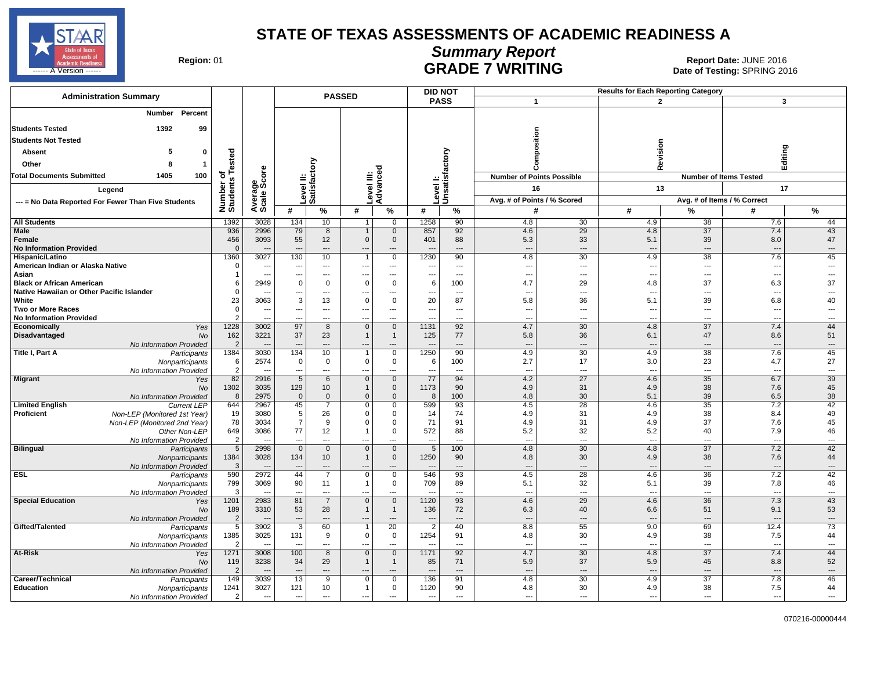

# **Summary Report**

Region: 01 **Region: 01 CALL CONSISTS OF A REGION CONSISTENCE**<br>Date of Testing: SPRING 2016 **GRADE / WRITING CONSECTS A VERSUS Date of Testing:** SPRING 2016

| <b>Administration Summary</b>                                                              |                            |                          |                          |                          | <b>PASSED</b>                        |                                         |                               | <b>DID NOT</b>                  |                                  |                      |                                 |                               |                                 |                                |
|--------------------------------------------------------------------------------------------|----------------------------|--------------------------|--------------------------|--------------------------|--------------------------------------|-----------------------------------------|-------------------------------|---------------------------------|----------------------------------|----------------------|---------------------------------|-------------------------------|---------------------------------|--------------------------------|
|                                                                                            |                            |                          |                          |                          |                                      |                                         |                               | <b>PASS</b>                     | $\mathbf{1}$                     |                      |                                 | $\overline{2}$                | 3                               |                                |
| Percent<br><b>Number</b>                                                                   |                            |                          |                          |                          |                                      |                                         |                               |                                 |                                  |                      |                                 |                               |                                 |                                |
| 99<br><b>Students Tested</b><br>1392                                                       |                            |                          |                          |                          |                                      |                                         |                               |                                 |                                  |                      |                                 |                               |                                 |                                |
| <b>Students Not Tested</b>                                                                 |                            |                          |                          |                          |                                      |                                         |                               |                                 | sition                           |                      |                                 |                               |                                 |                                |
| -5<br>Absent<br>$\mathbf 0$                                                                |                            |                          |                          |                          |                                      |                                         |                               |                                 |                                  |                      |                                 | Revision                      | Editing                         |                                |
| Other<br>-1                                                                                |                            |                          |                          | δ                        |                                      |                                         |                               |                                 |                                  |                      |                                 |                               |                                 |                                |
|                                                                                            | Tested                     |                          |                          |                          |                                      | 공                                       |                               | factory                         |                                  |                      |                                 |                               |                                 |                                |
| <b>Total Documents Submitted</b><br>1405<br>100                                            | ৳<br>Number of<br>Students | Average<br>Scale Score   |                          | evel II:<br>atisfact     |                                      | evel III:<br>dvance                     |                               | Level I:<br>Unsatisf            | <b>Number of Points Possible</b> |                      |                                 | <b>Number of Items Tested</b> |                                 |                                |
| Legend                                                                                     |                            |                          |                          |                          |                                      |                                         |                               |                                 | 16                               |                      |                                 | 13                            | 17                              |                                |
| --- = No Data Reported For Fewer Than Five Students                                        |                            |                          |                          | ة ⊏                      |                                      |                                         |                               |                                 | Avg. # of Points / % Scored      |                      |                                 |                               | Avg. # of Items / % Correct     |                                |
|                                                                                            |                            |                          | #                        | %                        | #                                    | %                                       | #                             | %                               | #                                |                      | #                               | %                             | #                               | %                              |
| <b>All Students</b>                                                                        | 1392                       | 3028                     | 134                      | 10                       | $\mathbf{1}$                         | 0                                       | 1258                          | 90                              | 4.8                              | 30                   | 4.9                             | 38                            | 7.6                             | 44                             |
| Male<br><b>Female</b>                                                                      | 936<br>456                 | 2996<br>3093             | 79<br>55                 | 8<br>12                  | $\mathbf{1}$<br>$\overline{0}$       | $\mathbf 0$<br>$\mathbf 0$              | 857<br>401                    | 92<br>88                        | 4.6<br>5.3                       | 29<br>33             | 4.8<br>5.1                      | $\overline{37}$<br>39         | 7.4<br>8.0                      | 43<br>47                       |
| <b>No Information Provided</b>                                                             | $\Omega$                   |                          | $\overline{a}$           | $\overline{\phantom{a}}$ | $\overline{a}$                       | $\overline{a}$                          |                               | $---$                           | $\overline{\phantom{a}}$         | $\overline{a}$       | $\overline{\phantom{a}}$        | $\overline{a}$                | $\sim$                          | $---$                          |
| Hispanic/Latino                                                                            | 1360                       | 3027                     | 130                      | 10                       | $\overline{1}$                       | $\mathbf 0$                             | 1230                          | 90                              | 4.8                              | 30                   | 4.9                             | 38                            | 7.6                             | 45                             |
| American Indian or Alaska Native                                                           | $\Omega$                   |                          | --                       | ---                      | $\overline{a}$                       | $\qquad \qquad \cdots$                  | ---                           | $\overline{\phantom{a}}$        | $\overline{\phantom{a}}$         | ---                  | $\sim$                          | ---                           | --                              | ---                            |
| Asian<br><b>Black or African American</b>                                                  | $\overline{1}$<br>6        | 2949                     | −−<br>$\overline{0}$     | ---<br>$\mathbf 0$       | $\overline{\phantom{a}}$<br>$\Omega$ | $\overline{a}$<br>$\mathbf 0$           | $\overline{\phantom{a}}$<br>6 | $\overline{a}$<br>100           | $\overline{\phantom{a}}$<br>4.7  | ---<br>29            | $\overline{\phantom{a}}$<br>4.8 | ---<br>37                     | 6.3                             | $\sim$<br>37                   |
| Native Hawaiian or Other Pacific Islander                                                  | $\Omega$                   |                          | ---                      | ---                      | ---                                  | ---                                     | ---                           | $\overline{\phantom{a}}$        | $\overline{\phantom{a}}$         | ---                  | $\overline{\phantom{a}}$        | ---                           |                                 | ---                            |
| White                                                                                      | 23                         | 3063                     | $\overline{3}$           | 13                       | $\Omega$                             | $\mathbf 0$                             | 20                            | 87                              | 5.8                              | 36                   | 5.1                             | 39                            | 6.8                             | 40                             |
| <b>Two or More Races</b>                                                                   | $\mathbf 0$                | $\overline{\phantom{a}}$ | ---                      | ---                      | $\overline{\phantom{a}}$             | $\ldots$                                | $\overline{\phantom{a}}$      | $\overline{\phantom{a}}$        | $\overline{\phantom{a}}$         | $\overline{a}$       | $\overline{\phantom{a}}$        | ---                           | ---                             | $---$                          |
| <b>No Information Provided</b><br>Economically<br>Yes                                      | $\overline{2}$<br>1228     | 3002                     | Ξ.<br>97                 | ---<br>8                 | …<br>$\mathbf{0}$                    | ---<br>$\mathbf{0}$                     | 1131                          | $\overline{a}$<br>92            | 4.7                              | ---<br>30            | 4.8                             | ---<br>37                     | 7.4                             | ---<br>44                      |
| Disadvantaged<br>No                                                                        | 162                        | 3221                     | 37                       | 23                       |                                      | $\overline{1}$                          | 125                           | 77                              | 5.8                              | 36                   | 6.1                             | 47                            | 8.6                             | 51                             |
| No Information Provided                                                                    | $\overline{2}$             |                          | ---                      | $\overline{a}$           |                                      | $\overline{a}$                          |                               | $\overline{a}$                  | $\overline{\phantom{a}}$         | $\overline{a}$       | <b>.</b>                        | $\overline{\phantom{a}}$      |                                 | $\overline{\phantom{a}}$       |
| Title I, Part A<br>Participants                                                            | 1384                       | 3030                     | 134                      | 10                       | $\overline{1}$                       | $\mathbf 0$                             | 1250                          | 90                              | 4.9                              | 30                   | 4.9                             | 38                            | 7.6                             | 45                             |
| Nonparticipants<br>No Information Provided                                                 | 6<br>$\overline{2}$        | 2574                     | $\overline{0}$<br>---    | $\mathbf 0$<br>---       | $\mathbf 0$<br>---                   | $\mathbf 0$<br>$\overline{\phantom{a}}$ | 6<br>$\overline{a}$           | 100<br>$\overline{\phantom{a}}$ | 2.7<br>$\overline{\phantom{a}}$  | 17<br>$\overline{a}$ | 3.0<br>$\overline{\phantom{a}}$ | 23<br>---                     | 4.7<br>$\overline{\phantom{a}}$ | 27<br>---                      |
| <b>Migrant</b><br>Yes                                                                      | 82                         | 2916                     | 5                        | 6                        | $\mathbf 0$                          | $\mathbf 0$                             | 77                            | 94                              | 4.2                              | $\overline{27}$      | 4.6                             | 35                            | 6.7                             | 39                             |
| No                                                                                         | 1302                       | 3035                     | 129                      | 10 <sup>°</sup>          |                                      | $\mathbf 0$                             | 1173                          | 90                              | 4.9                              | 31                   | 4.9                             | 38                            | 7.6                             | 45                             |
| No Information Provided                                                                    | 8                          | 2975                     | $\overline{0}$           | $\overline{0}$           | $\overline{0}$                       | $\mathbf{0}$                            | 8                             | 100                             | 4.8                              | 30                   | 5.1                             | 39                            | 6.5                             | 38                             |
| <b>Limited English</b><br><b>Current LEP</b><br>Proficient<br>Non-LEP (Monitored 1st Year) | 644<br>19                  | 2967<br>3080             | 45<br>-5                 | $\overline{7}$<br>26     | $\mathbf 0$<br>$\Omega$              | $\mathbf 0$<br>$\mathbf 0$              | 599<br>14                     | 93<br>74                        | 4.5<br>4.9                       | 28<br>31             | 4.6<br>4.9                      | 35<br>38                      | 7.2<br>8.4                      | 42<br>49                       |
| Non-LEP (Monitored 2nd Year)                                                               | 78                         | 3034                     | -7                       | 9                        | C                                    | $\mathbf 0$                             | 71                            | 91                              | 4.9                              | 31                   | 4.9                             | 37                            | 7.6                             | 45                             |
| Other Non-LEP                                                                              | 649                        | 3086                     | 77                       | 12                       |                                      | $\mathbf 0$                             | 572                           | 88                              | 5.2                              | 32                   | 5.2                             | 40                            | 7.9                             | 46                             |
| No Information Provided                                                                    | $\overline{2}$             |                          | Ξ.                       | ---                      |                                      | $\overline{a}$                          | $\overline{a}$                | $---$                           | $\overline{a}$                   | $\overline{a}$       | $\overline{\phantom{a}}$        | $\overline{a}$                | $\sim$                          | $\overline{\phantom{a}}$       |
| <b>Bilingual</b><br>Participants<br>Nonparticipants                                        | 5<br>1384                  | 2998<br>3028             | $\mathbf 0$<br>134       | $\mathbf 0$<br>10        | $\overline{0}$<br>$\overline{1}$     | $\overline{0}$<br>$\mathbf 0$           | $\overline{5}$<br>1250        | 100<br>90                       | 4.8<br>4.8                       | 30<br>30             | 4.8<br>4.9                      | $\overline{37}$<br>38         | 7.2<br>7.6                      | 42<br>44                       |
| No Information Provided                                                                    | $\mathbf{3}$               |                          | --                       | ---                      | ---                                  | ---                                     |                               | ---                             | $\overline{\phantom{a}}$         | $\overline{a}$       |                                 | ---                           |                                 | $\cdots$                       |
| <b>ESL</b><br>Participants                                                                 | 590                        | 2972                     | 44                       | $\overline{7}$           | $\mathbf 0$                          | $\mathbf 0$                             | 546                           | 93                              | 4.5                              | 28                   | 4.6                             | 36                            | 7.2                             | 42                             |
| Nonparticipants                                                                            | 799                        | 3069                     | 90<br>÷.,                | 11<br>---                |                                      | $\mathbf 0$                             | 709                           | 89<br>$\overline{a}$            | 5.1                              | 32<br>$\overline{a}$ | 5.1<br>$\overline{\phantom{a}}$ | 39<br>---                     | 7.8                             | 46<br>$\overline{a}$           |
| No Information Provided<br><b>Special Education</b><br>Yes                                 | 3<br>1201                  | 2983                     | 81                       | $\overline{7}$           | <br>$\mathbf 0$                      | ---<br>$\mathbf 0$                      | 1120                          | 93                              | $\overline{a}$<br>4.6            | 29                   | 4.6                             | 36                            | $\overline{a}$<br>7.3           | 43                             |
| <b>No</b>                                                                                  | 189                        | 3310                     | 53                       | 28                       | $\overline{1}$                       | $\overline{1}$                          | 136                           | 72                              | 6.3                              | 40                   | 6.6                             | 51                            | 9.1                             | 53                             |
| No Information Provided                                                                    | $\overline{2}$             |                          | ---                      | ---                      | ---                                  | ---                                     | $\overline{\phantom{a}}$      | $---$                           | $\overline{\phantom{a}}$         | ---                  | --                              | $\overline{a}$                |                                 | $\overline{\phantom{a}}$       |
| Gifted/Talented<br>Participants                                                            | 5                          | 3902                     | $\overline{3}$           | 60                       |                                      | $\overline{20}$                         | $\overline{2}$                | 40                              | 8.8                              | 55                   | 9.0                             | 69                            | 12.4                            | 73                             |
| Nonparticipants<br>No Information Provided                                                 | 1385<br>$\overline{2}$     | 3025                     | 131                      | 9<br>---                 | $\mathbf 0$<br>…                     | $\mathbf 0$<br>$\overline{a}$           | 1254                          | 91<br>$\overline{\phantom{a}}$  | 4.8                              | 30<br>$\overline{a}$ | 4.9<br>$\overline{\phantom{a}}$ | 38<br>$\overline{a}$          | 7.5<br>$\overline{\phantom{a}}$ | 44<br>$\overline{\phantom{a}}$ |
| At-Risk<br>Yes                                                                             | 1271                       | 3008                     | 100                      | 8                        | $\overline{0}$                       | $\mathbf 0$                             | 1171                          | 92                              | 4.7                              | 30                   | 4.8                             | 37                            | 7.4                             | 44                             |
| No                                                                                         | 119                        | 3238                     | 34                       | 29                       |                                      | $\overline{1}$                          | 85                            | 71                              | 5.9                              | 37                   | 5.9                             | 45                            | 8.8                             | 52                             |
| No Information Provided                                                                    | $\overline{2}$             |                          | ---                      | ---                      | $\overline{a}$                       | $\overline{\phantom{a}}$                | $\overline{a}$                | $---$                           | $\overline{\phantom{a}}$         | $\overline{a}$       | <b>.</b>                        | $\overline{\phantom{a}}$      | --                              | $\overline{\phantom{a}}$       |
| Career/Technical<br>Participants<br><b>Education</b>                                       | 149<br>1241                | 3039<br>3027             | 13<br>121                | 9<br>10                  | $\Omega$<br>$\overline{1}$           | $\mathbf 0$<br>$\mathbf 0$              | 136<br>1120                   | 91<br>90                        | 4.8<br>4.8                       | 30<br>30             | 4.9<br>4.9                      | 37<br>38                      | 7.8<br>7.5                      | 46<br>44                       |
| Nonparticipants<br>No Information Provided                                                 | $\overline{2}$             | $\overline{\phantom{a}}$ | $\overline{\phantom{a}}$ | ---                      | ---                                  | ---                                     | $\overline{\phantom{a}}$      | ---                             | $\overline{\phantom{a}}$         | ---                  | ---                             | ---                           | $\overline{a}$                  | ---                            |
|                                                                                            |                            |                          |                          |                          |                                      |                                         |                               |                                 |                                  |                      |                                 |                               |                                 |                                |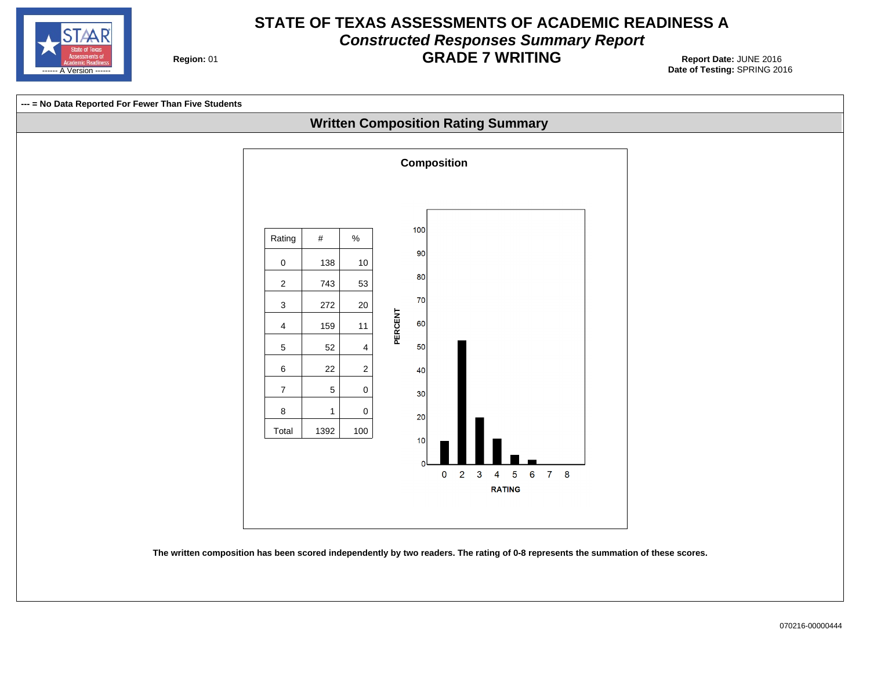

#### **STATE OF TEXAS ASSESSMENTS OF ACADEMIC READINESS A Constructed Responses Summary Report GRADE 7 WRITING** 01 **Report Date:** JUNE 2016

**Region: 01** 

**Date of Testing:**  SPRING 2016

**--- = No Data Reported For Fewer Than Five Students Written Composition Rating Summary Composition** 100 Rating  $\parallel$  #  $\parallel$  % 90  $0 \t 138 \t 10$ 80 2 743 53 70  $3 | 272 | 20$ **PERCENT** 60 4 159 11 50  $5 | 52 | 4$  $6$  22 2 40 7 | 5 | 0  $30<sup>°</sup>$ 8 | 1 | 0 20 Total 1392 100  $10$  $\mathbf{0}$  $2 \quad 3$  $78$  $\overline{4}$  $\sqrt{5}$  $6^{\circ}$ **RATING The written composition has been scored independently by two readers. The rating of 0-8 represents the summation of these scores.**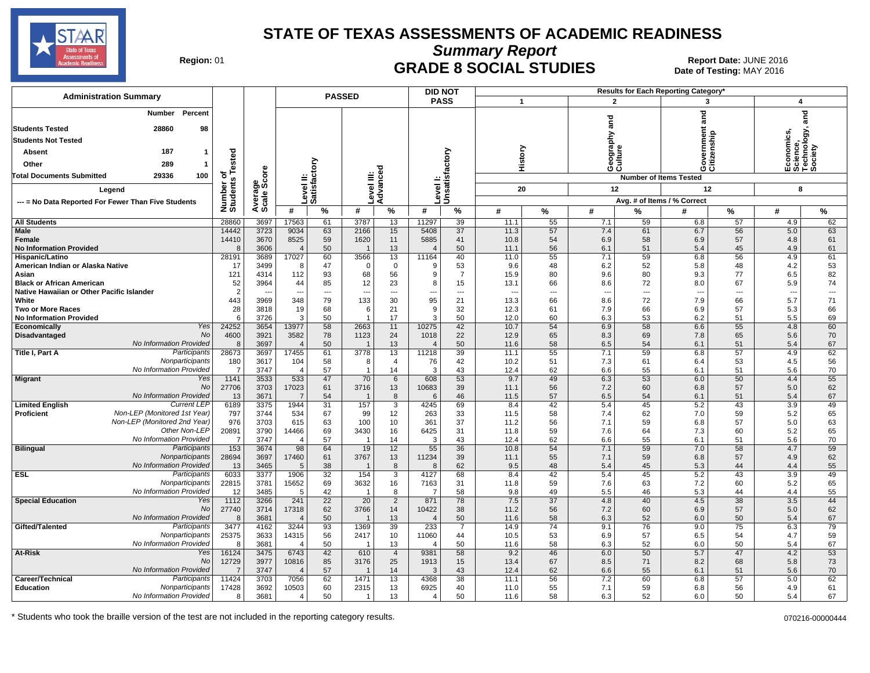

**Summary Report**

Region: 01 **Region: 01 CRADE 8 SOCIAL STUDIES Report Date: JUNE 2016 Report Date: JUNE 2016** Date of Testing: MAY 2016

| <b>PASS</b><br>$\mathbf{1}$<br>3<br>4<br>ng<br>Ta<br>Percent<br>and<br>Number<br><b>Pue</b><br>vernment<br><b>Students Tested</b><br>28860<br>98<br>Economics,<br>Science,<br>Technology, :<br>Society<br>Geography<br>Culture<br><b>Students Not Tested</b><br>History<br>Unsatisfactory<br>187<br>ested<br><b>Absent</b><br>Level II:<br>Satisfactory<br>Other<br>289<br>Advanced<br>ت ق<br>ge<br>Score<br>evel III:<br>29336<br><b>Total Documents Submitted</b><br>100<br>ō<br><b>Number of Items Tested</b><br>w<br>evel I:<br>Number<br>Students<br>20<br>12<br>12<br>8<br>Legend<br>Average<br>Avg. # of Items / % Correct<br>--- = No Data Reported For Fewer Than Five Students<br>#<br>%<br>#<br>%<br>#<br>%<br>%<br>#<br>$\%$<br>#<br>#<br>%<br>#<br>%<br>28860<br>11297<br>4.9<br>62<br><b>All Students</b><br>3697<br>17563<br>61<br>3787<br>13<br>39<br>11.1<br>55<br>7.1<br>59<br>6.8<br>57<br>14442<br>63<br><b>Male</b><br>3723<br>9034<br>63<br>2166<br>15<br>5408<br>37<br>11.3<br>57<br>7.4<br>61<br>6.7<br>56<br>5.0<br>14410<br>3670<br>8525<br>59<br>1620<br>11<br>5885<br>41<br>10.8<br>54<br>6.9<br>58<br>6.9<br>57<br>4.8<br>61<br>Female<br>3606<br>50<br>13<br>50<br>56<br>51<br>45<br>4.9<br>61<br><b>No Information Provided</b><br>8<br>11.1<br>6.1<br>5.4<br>$\overline{4}$<br>60<br>13<br>59<br>56<br>4.9<br>28191<br>3689<br>17027<br>3566<br>11164<br>40<br>55<br>7.1<br>6.8<br>61<br>Hispanic/Latino<br>11.0<br>53<br>53<br>American Indian or Alaska Native<br>17<br>3499<br>47<br>$\mathbf 0$<br>9.6<br>48<br>6.2<br>52<br>5.8<br>48<br>4.2<br>-8<br>$\Omega$<br>9<br>82<br>121<br>93<br>56<br>$\overline{7}$<br>77<br>4314<br>112<br>80<br>9.6<br>80<br>9.3<br>6.5<br>Asian<br>68<br>9<br>15.9<br>52<br>85<br>23<br>15<br>72<br>67<br>5.9<br>74<br><b>Black or African American</b><br>3964<br>44<br>12<br>13.1<br>66<br>8.6<br>8.0<br>8<br>$\overline{2}$<br>Native Hawaiian or Other Pacific Islander<br>$\overline{\phantom{a}}$<br>$\cdots$<br>$\scriptstyle\cdots$<br>---<br>---<br>---<br>---<br>---<br>$\overline{\phantom{a}}$<br>$\overline{\phantom{a}}$<br>---<br>$\overline{\phantom{a}}$<br>443<br>3969<br>79<br>30<br>95<br>21<br>13.3<br>8.6<br>72<br>66<br>5.7<br>71<br>White<br>348<br>133<br>66<br>7.9<br>28<br>68<br>21<br>32<br>7.9<br>57<br>66<br><b>Two or More Races</b><br>3818<br>19<br>12.3<br>61<br>66<br>6.9<br>5.3<br>6<br><b>q</b><br>17<br><b>No Information Provided</b><br>-6<br>3726<br>3<br>50<br>50<br>12.0<br>60<br>6.3<br>53<br>6.2<br>51<br>5.5<br>69<br>Yes<br>24252<br>3654<br>58<br>11<br>42<br>10.7<br>6.9<br>58<br>55<br>60<br>Economically<br>13977<br>2663<br>10275<br>54<br>6.6<br>4.8<br>No<br>78<br>70<br>Disadvantaged<br>4600<br>3921<br>3582<br>1123<br>24<br>1018<br>22<br>12.9<br>65<br>8.3<br>69<br>7.8<br>65<br>5.6<br>No Information Provided<br>50<br>67<br>8<br>3697<br>50<br>13<br>11.6<br>58<br>6.5<br>54<br>6.1<br>51<br>5.4<br>$\overline{4}$<br>Participants<br>28673<br>17455<br>61<br>3778<br>13<br>39<br>59<br>57<br>62<br>Title I, Part A<br>3697<br>11218<br>11.1<br>55<br>7.1<br>6.8<br>4.9<br>Nonparticipants<br>180<br>3617<br>104<br>58<br>76<br>42<br>10.2<br>51<br>7.3<br>61<br>53<br>4.5<br>56<br>$\overline{4}$<br>6.4<br>8<br>No Information Provided<br>3747<br>57<br>14<br>43<br>12.4<br>62<br>6.6<br>55<br>51<br>5.6<br>70<br>-7<br>6.1<br>4<br>1141<br>3533<br>533<br>47<br>70<br>6<br>608<br>53<br>9.7<br>49<br>6.3<br>53<br>6.0<br>50<br>4.4<br>55<br><b>Migrant</b><br>Yes<br>27706<br>3703<br>61<br>10683<br>39<br>56<br>7.2<br>60<br>57<br>62<br>No<br>17023<br>3716<br>13<br>11.1<br>6.8<br>5.0<br>No Information Provided<br>3671<br>8<br>46<br>57<br>67<br>13<br>54<br>11.5<br>6.5<br>54<br>6.1<br>51<br>5.4<br>$\overline{7}$<br>6<br><b>Current LEP</b><br>69<br>49<br>6189<br>3375<br>1944<br>31<br>4245<br>42<br>5.4<br>45<br>5.2<br>43<br>3.9<br><b>Limited English</b><br>157<br>3<br>8.4<br>Non-LEP (Monitored 1st Year)<br>65<br><b>Proficient</b><br>797<br>67<br>12<br>33<br>58<br>7.4<br>62<br>59<br>3744<br>534<br>99<br>263<br>11.5<br>7.0<br>5.2<br>Non-LEP (Monitored 2nd Year)<br>63<br>976<br>3703<br>63<br>37<br>57<br>615<br>100<br>10<br>361<br>11.2<br>56<br>7.1<br>59<br>6.8<br>5.0<br>Other Non-LEP<br>65<br>20891<br>3790<br>69<br>16<br>6425<br>59<br>14466<br>3430<br>31<br>11.8<br>7.6<br>64<br>7.3<br>60<br>5.2<br>70<br>No Information Provided<br>3747<br>57<br>43<br>$\overline{7}$<br>14<br>12.4<br>62<br>6.6<br>55<br>6.1<br>51<br>5.6<br>$\overline{4}$<br>3<br>36<br><b>Bilingual</b><br>Participants<br>$\overline{153}$<br>3674<br>12<br>59<br>98<br>64<br>19<br>55<br>10.8<br>54<br>7.1<br>59<br>7.0<br>58<br>4.7<br>Nonparticipants<br>28694<br>3697<br>17460<br>61<br>3767<br>13<br>11234<br>39<br>55<br>7.1<br>59<br>57<br>62<br>11.1<br>6.8<br>4.9<br>No Information Provided<br>55<br>13<br>3465<br>38<br>8<br>62<br>9.5<br>48<br>5.3<br>44<br>5<br>5.4<br>45<br>4.4<br><b>ESL</b><br>Participants<br>6033<br>3377<br>32<br>5.4<br>43<br>49<br>1906<br>154<br>3<br>4127<br>68<br>8.4<br>42<br>45<br>5.2<br>3.9<br>Nonparticipants<br>22815<br>3781<br>15652<br>69<br>3632<br>16<br>7163<br>31<br>11.8<br>59<br>7.6<br>63<br>7.2<br>60<br>5.2<br>65<br>No Information Provided<br>12<br>3485<br>42<br>8<br>58<br>9.8<br>49<br>5.5<br>55<br>-5<br>46<br>5.3<br>44<br>4.4<br>1112<br>3266<br>241<br>22<br>20<br>871<br>78<br>7.5<br>37<br>40<br>38<br>3.5<br>44<br><b>Special Education</b><br>Yes<br>$\overline{2}$<br>4.8<br>4.5<br>No<br>62<br>10422<br>38<br>11.2<br>7.2<br>57<br>62<br>27740<br>3714<br>17318<br>3766<br>14<br>56<br>60<br>6.9<br>5.0<br>No Information Provided<br>3681<br>50<br>13<br>50<br>58<br>50<br>67<br>11.6<br>6.3<br>52<br>6.0<br>5.4<br>-8<br>$\overline{4}$<br>Participants<br>3477<br>3244<br>93<br>39<br>233<br>$\overline{74}$<br>9.1<br>76<br>9.0<br>$\overline{75}$<br>79<br>Gifted/Talented<br>4162<br>1369<br>$\overline{7}$<br>14.9<br>6.3<br>59<br>Nonparticipants<br>25375<br>3633<br>56<br>10<br>53<br>6.9<br>57<br>54<br>14315<br>2417<br>11060<br>44<br>10.5<br>6.5<br>4.7<br>67<br>No Information Provided<br>50<br>50<br>58<br>6.3<br>52<br>50<br>-8<br>3681<br>13<br>11.6<br>6.0<br>5.4<br>$\overline{4}$<br>$\overline{53}$<br>42<br>58<br>6.0<br>50<br>47<br>4.2<br>At-Risk<br>Yes<br>16124<br>3475<br>6743<br>$\overline{4}$<br>9381<br>9.2<br>46<br>5.7<br>610<br>No<br>73<br>12729<br>3977<br>10816<br>85<br>25<br>15<br>13.4<br>67<br>8.5<br>71<br>68<br>5.8<br>3176<br>1913<br>8.2<br>No Information Provided<br>$\overline{7}$<br>3747<br>57<br>43<br>62<br>6.6<br>55<br>51<br>70<br>$\overline{4}$<br>14<br>12.4<br>6.1<br>5.6<br>Participants<br>11424<br>62<br>3703<br>7056<br>1471<br>13<br>4368<br>38<br>11.1<br>56<br>7.2<br>60<br>6.8<br>57<br>5.0<br>62<br>Career/Technical<br>17428<br>3692<br>10503<br>60<br>13<br>56<br>61<br><b>Education</b><br>Nonparticipants<br>2315<br>6925<br>40<br>11.0<br>55<br>7.1<br>59<br>6.8<br>4.9<br>No Information Provided<br>3681<br>50<br>13<br>50<br>58<br>6.3<br>50<br>67<br>8<br>$\overline{4}$<br>11.6<br>52<br>6.0<br>5.4<br>-1<br>4 | <b>Administration Summary</b> |  | <b>PASSED</b> |  |  |  | <b>DID NOT</b> |  |                | Results for Each Reporting Category' |  |  |
|---------------------------------------------------------------------------------------------------------------------------------------------------------------------------------------------------------------------------------------------------------------------------------------------------------------------------------------------------------------------------------------------------------------------------------------------------------------------------------------------------------------------------------------------------------------------------------------------------------------------------------------------------------------------------------------------------------------------------------------------------------------------------------------------------------------------------------------------------------------------------------------------------------------------------------------------------------------------------------------------------------------------------------------------------------------------------------------------------------------------------------------------------------------------------------------------------------------------------------------------------------------------------------------------------------------------------------------------------------------------------------------------------------------------------------------------------------------------------------------------------------------------------------------------------------------------------------------------------------------------------------------------------------------------------------------------------------------------------------------------------------------------------------------------------------------------------------------------------------------------------------------------------------------------------------------------------------------------------------------------------------------------------------------------------------------------------------------------------------------------------------------------------------------------------------------------------------------------------------------------------------------------------------------------------------------------------------------------------------------------------------------------------------------------------------------------------------------------------------------------------------------------------------------------------------------------------------------------------------------------------------------------------------------------------------------------------------------------------------------------------------------------------------------------------------------------------------------------------------------------------------------------------------------------------------------------------------------------------------------------------------------------------------------------------------------------------------------------------------------------------------------------------------------------------------------------------------------------------------------------------------------------------------------------------------------------------------------------------------------------------------------------------------------------------------------------------------------------------------------------------------------------------------------------------------------------------------------------------------------------------------------------------------------------------------------------------------------------------------------------------------------------------------------------------------------------------------------------------------------------------------------------------------------------------------------------------------------------------------------------------------------------------------------------------------------------------------------------------------------------------------------------------------------------------------------------------------------------------------------------------------------------------------------------------------------------------------------------------------------------------------------------------------------------------------------------------------------------------------------------------------------------------------------------------------------------------------------------------------------------------------------------------------------------------------------------------------------------------------------------------------------------------------------------------------------------------------------------------------------------------------------------------------------------------------------------------------------------------------------------------------------------------------------------------------------------------------------------------------------------------------------------------------------------------------------------------------------------------------------------------------------------------------------------------------------------------------------------------------------------------------------------------------------------------------------------------------------------------------------------------------------------------------------------------------------------------------------------------------------------------------------------------------------------------------------------------------------------------------------------------------------------------------------------------------------------------------------------------------------------------------------------------------------------------------------------------------------------------------------------------------------------------------------------------------------------------------------------------------------------------------------------------------------------------------------------------------------------------------------------------------------------------------------------------------------------------------------------------------------------------------------------------------------------------------------------------------------------------------------------------------------------------------------------------------------------------------------------------------------------------------------------------------------------------------------------------------------------------------------------------------------------------------------------------------------------------------------------------------------------------------------------------------------------------------------------------------------------------------------------------------------------------------------------------------------------------------------------------------------------------|-------------------------------|--|---------------|--|--|--|----------------|--|----------------|--------------------------------------|--|--|
|                                                                                                                                                                                                                                                                                                                                                                                                                                                                                                                                                                                                                                                                                                                                                                                                                                                                                                                                                                                                                                                                                                                                                                                                                                                                                                                                                                                                                                                                                                                                                                                                                                                                                                                                                                                                                                                                                                                                                                                                                                                                                                                                                                                                                                                                                                                                                                                                                                                                                                                                                                                                                                                                                                                                                                                                                                                                                                                                                                                                                                                                                                                                                                                                                                                                                                                                                                                                                                                                                                                                                                                                                                                                                                                                                                                                                                                                                                                                                                                                                                                                                                                                                                                                                                                                                                                                                                                                                                                                                                                                                                                                                                                                                                                                                                                                                                                                                                                                                                                                                                                                                                                                                                                                                                                                                                                                                                                                                                                                                                                                                                                                                                                                                                                                                                                                                                                                                                                                                                                                                                                                                                                                                                                                                                                                                                                                                                                                                                                                                                                                                                                                                                                                                                                                                                                                                                                                                                                                                                                                                                                                                                                           |                               |  |               |  |  |  |                |  | $\overline{2}$ |                                      |  |  |
|                                                                                                                                                                                                                                                                                                                                                                                                                                                                                                                                                                                                                                                                                                                                                                                                                                                                                                                                                                                                                                                                                                                                                                                                                                                                                                                                                                                                                                                                                                                                                                                                                                                                                                                                                                                                                                                                                                                                                                                                                                                                                                                                                                                                                                                                                                                                                                                                                                                                                                                                                                                                                                                                                                                                                                                                                                                                                                                                                                                                                                                                                                                                                                                                                                                                                                                                                                                                                                                                                                                                                                                                                                                                                                                                                                                                                                                                                                                                                                                                                                                                                                                                                                                                                                                                                                                                                                                                                                                                                                                                                                                                                                                                                                                                                                                                                                                                                                                                                                                                                                                                                                                                                                                                                                                                                                                                                                                                                                                                                                                                                                                                                                                                                                                                                                                                                                                                                                                                                                                                                                                                                                                                                                                                                                                                                                                                                                                                                                                                                                                                                                                                                                                                                                                                                                                                                                                                                                                                                                                                                                                                                                                           |                               |  |               |  |  |  |                |  |                |                                      |  |  |
|                                                                                                                                                                                                                                                                                                                                                                                                                                                                                                                                                                                                                                                                                                                                                                                                                                                                                                                                                                                                                                                                                                                                                                                                                                                                                                                                                                                                                                                                                                                                                                                                                                                                                                                                                                                                                                                                                                                                                                                                                                                                                                                                                                                                                                                                                                                                                                                                                                                                                                                                                                                                                                                                                                                                                                                                                                                                                                                                                                                                                                                                                                                                                                                                                                                                                                                                                                                                                                                                                                                                                                                                                                                                                                                                                                                                                                                                                                                                                                                                                                                                                                                                                                                                                                                                                                                                                                                                                                                                                                                                                                                                                                                                                                                                                                                                                                                                                                                                                                                                                                                                                                                                                                                                                                                                                                                                                                                                                                                                                                                                                                                                                                                                                                                                                                                                                                                                                                                                                                                                                                                                                                                                                                                                                                                                                                                                                                                                                                                                                                                                                                                                                                                                                                                                                                                                                                                                                                                                                                                                                                                                                                                           |                               |  |               |  |  |  |                |  |                |                                      |  |  |
|                                                                                                                                                                                                                                                                                                                                                                                                                                                                                                                                                                                                                                                                                                                                                                                                                                                                                                                                                                                                                                                                                                                                                                                                                                                                                                                                                                                                                                                                                                                                                                                                                                                                                                                                                                                                                                                                                                                                                                                                                                                                                                                                                                                                                                                                                                                                                                                                                                                                                                                                                                                                                                                                                                                                                                                                                                                                                                                                                                                                                                                                                                                                                                                                                                                                                                                                                                                                                                                                                                                                                                                                                                                                                                                                                                                                                                                                                                                                                                                                                                                                                                                                                                                                                                                                                                                                                                                                                                                                                                                                                                                                                                                                                                                                                                                                                                                                                                                                                                                                                                                                                                                                                                                                                                                                                                                                                                                                                                                                                                                                                                                                                                                                                                                                                                                                                                                                                                                                                                                                                                                                                                                                                                                                                                                                                                                                                                                                                                                                                                                                                                                                                                                                                                                                                                                                                                                                                                                                                                                                                                                                                                                           |                               |  |               |  |  |  |                |  |                |                                      |  |  |
|                                                                                                                                                                                                                                                                                                                                                                                                                                                                                                                                                                                                                                                                                                                                                                                                                                                                                                                                                                                                                                                                                                                                                                                                                                                                                                                                                                                                                                                                                                                                                                                                                                                                                                                                                                                                                                                                                                                                                                                                                                                                                                                                                                                                                                                                                                                                                                                                                                                                                                                                                                                                                                                                                                                                                                                                                                                                                                                                                                                                                                                                                                                                                                                                                                                                                                                                                                                                                                                                                                                                                                                                                                                                                                                                                                                                                                                                                                                                                                                                                                                                                                                                                                                                                                                                                                                                                                                                                                                                                                                                                                                                                                                                                                                                                                                                                                                                                                                                                                                                                                                                                                                                                                                                                                                                                                                                                                                                                                                                                                                                                                                                                                                                                                                                                                                                                                                                                                                                                                                                                                                                                                                                                                                                                                                                                                                                                                                                                                                                                                                                                                                                                                                                                                                                                                                                                                                                                                                                                                                                                                                                                                                           |                               |  |               |  |  |  |                |  |                |                                      |  |  |
|                                                                                                                                                                                                                                                                                                                                                                                                                                                                                                                                                                                                                                                                                                                                                                                                                                                                                                                                                                                                                                                                                                                                                                                                                                                                                                                                                                                                                                                                                                                                                                                                                                                                                                                                                                                                                                                                                                                                                                                                                                                                                                                                                                                                                                                                                                                                                                                                                                                                                                                                                                                                                                                                                                                                                                                                                                                                                                                                                                                                                                                                                                                                                                                                                                                                                                                                                                                                                                                                                                                                                                                                                                                                                                                                                                                                                                                                                                                                                                                                                                                                                                                                                                                                                                                                                                                                                                                                                                                                                                                                                                                                                                                                                                                                                                                                                                                                                                                                                                                                                                                                                                                                                                                                                                                                                                                                                                                                                                                                                                                                                                                                                                                                                                                                                                                                                                                                                                                                                                                                                                                                                                                                                                                                                                                                                                                                                                                                                                                                                                                                                                                                                                                                                                                                                                                                                                                                                                                                                                                                                                                                                                                           |                               |  |               |  |  |  |                |  |                |                                      |  |  |
|                                                                                                                                                                                                                                                                                                                                                                                                                                                                                                                                                                                                                                                                                                                                                                                                                                                                                                                                                                                                                                                                                                                                                                                                                                                                                                                                                                                                                                                                                                                                                                                                                                                                                                                                                                                                                                                                                                                                                                                                                                                                                                                                                                                                                                                                                                                                                                                                                                                                                                                                                                                                                                                                                                                                                                                                                                                                                                                                                                                                                                                                                                                                                                                                                                                                                                                                                                                                                                                                                                                                                                                                                                                                                                                                                                                                                                                                                                                                                                                                                                                                                                                                                                                                                                                                                                                                                                                                                                                                                                                                                                                                                                                                                                                                                                                                                                                                                                                                                                                                                                                                                                                                                                                                                                                                                                                                                                                                                                                                                                                                                                                                                                                                                                                                                                                                                                                                                                                                                                                                                                                                                                                                                                                                                                                                                                                                                                                                                                                                                                                                                                                                                                                                                                                                                                                                                                                                                                                                                                                                                                                                                                                           |                               |  |               |  |  |  |                |  |                |                                      |  |  |
|                                                                                                                                                                                                                                                                                                                                                                                                                                                                                                                                                                                                                                                                                                                                                                                                                                                                                                                                                                                                                                                                                                                                                                                                                                                                                                                                                                                                                                                                                                                                                                                                                                                                                                                                                                                                                                                                                                                                                                                                                                                                                                                                                                                                                                                                                                                                                                                                                                                                                                                                                                                                                                                                                                                                                                                                                                                                                                                                                                                                                                                                                                                                                                                                                                                                                                                                                                                                                                                                                                                                                                                                                                                                                                                                                                                                                                                                                                                                                                                                                                                                                                                                                                                                                                                                                                                                                                                                                                                                                                                                                                                                                                                                                                                                                                                                                                                                                                                                                                                                                                                                                                                                                                                                                                                                                                                                                                                                                                                                                                                                                                                                                                                                                                                                                                                                                                                                                                                                                                                                                                                                                                                                                                                                                                                                                                                                                                                                                                                                                                                                                                                                                                                                                                                                                                                                                                                                                                                                                                                                                                                                                                                           |                               |  |               |  |  |  |                |  |                |                                      |  |  |
|                                                                                                                                                                                                                                                                                                                                                                                                                                                                                                                                                                                                                                                                                                                                                                                                                                                                                                                                                                                                                                                                                                                                                                                                                                                                                                                                                                                                                                                                                                                                                                                                                                                                                                                                                                                                                                                                                                                                                                                                                                                                                                                                                                                                                                                                                                                                                                                                                                                                                                                                                                                                                                                                                                                                                                                                                                                                                                                                                                                                                                                                                                                                                                                                                                                                                                                                                                                                                                                                                                                                                                                                                                                                                                                                                                                                                                                                                                                                                                                                                                                                                                                                                                                                                                                                                                                                                                                                                                                                                                                                                                                                                                                                                                                                                                                                                                                                                                                                                                                                                                                                                                                                                                                                                                                                                                                                                                                                                                                                                                                                                                                                                                                                                                                                                                                                                                                                                                                                                                                                                                                                                                                                                                                                                                                                                                                                                                                                                                                                                                                                                                                                                                                                                                                                                                                                                                                                                                                                                                                                                                                                                                                           |                               |  |               |  |  |  |                |  |                |                                      |  |  |
|                                                                                                                                                                                                                                                                                                                                                                                                                                                                                                                                                                                                                                                                                                                                                                                                                                                                                                                                                                                                                                                                                                                                                                                                                                                                                                                                                                                                                                                                                                                                                                                                                                                                                                                                                                                                                                                                                                                                                                                                                                                                                                                                                                                                                                                                                                                                                                                                                                                                                                                                                                                                                                                                                                                                                                                                                                                                                                                                                                                                                                                                                                                                                                                                                                                                                                                                                                                                                                                                                                                                                                                                                                                                                                                                                                                                                                                                                                                                                                                                                                                                                                                                                                                                                                                                                                                                                                                                                                                                                                                                                                                                                                                                                                                                                                                                                                                                                                                                                                                                                                                                                                                                                                                                                                                                                                                                                                                                                                                                                                                                                                                                                                                                                                                                                                                                                                                                                                                                                                                                                                                                                                                                                                                                                                                                                                                                                                                                                                                                                                                                                                                                                                                                                                                                                                                                                                                                                                                                                                                                                                                                                                                           |                               |  |               |  |  |  |                |  |                |                                      |  |  |
|                                                                                                                                                                                                                                                                                                                                                                                                                                                                                                                                                                                                                                                                                                                                                                                                                                                                                                                                                                                                                                                                                                                                                                                                                                                                                                                                                                                                                                                                                                                                                                                                                                                                                                                                                                                                                                                                                                                                                                                                                                                                                                                                                                                                                                                                                                                                                                                                                                                                                                                                                                                                                                                                                                                                                                                                                                                                                                                                                                                                                                                                                                                                                                                                                                                                                                                                                                                                                                                                                                                                                                                                                                                                                                                                                                                                                                                                                                                                                                                                                                                                                                                                                                                                                                                                                                                                                                                                                                                                                                                                                                                                                                                                                                                                                                                                                                                                                                                                                                                                                                                                                                                                                                                                                                                                                                                                                                                                                                                                                                                                                                                                                                                                                                                                                                                                                                                                                                                                                                                                                                                                                                                                                                                                                                                                                                                                                                                                                                                                                                                                                                                                                                                                                                                                                                                                                                                                                                                                                                                                                                                                                                                           |                               |  |               |  |  |  |                |  |                |                                      |  |  |
|                                                                                                                                                                                                                                                                                                                                                                                                                                                                                                                                                                                                                                                                                                                                                                                                                                                                                                                                                                                                                                                                                                                                                                                                                                                                                                                                                                                                                                                                                                                                                                                                                                                                                                                                                                                                                                                                                                                                                                                                                                                                                                                                                                                                                                                                                                                                                                                                                                                                                                                                                                                                                                                                                                                                                                                                                                                                                                                                                                                                                                                                                                                                                                                                                                                                                                                                                                                                                                                                                                                                                                                                                                                                                                                                                                                                                                                                                                                                                                                                                                                                                                                                                                                                                                                                                                                                                                                                                                                                                                                                                                                                                                                                                                                                                                                                                                                                                                                                                                                                                                                                                                                                                                                                                                                                                                                                                                                                                                                                                                                                                                                                                                                                                                                                                                                                                                                                                                                                                                                                                                                                                                                                                                                                                                                                                                                                                                                                                                                                                                                                                                                                                                                                                                                                                                                                                                                                                                                                                                                                                                                                                                                           |                               |  |               |  |  |  |                |  |                |                                      |  |  |
|                                                                                                                                                                                                                                                                                                                                                                                                                                                                                                                                                                                                                                                                                                                                                                                                                                                                                                                                                                                                                                                                                                                                                                                                                                                                                                                                                                                                                                                                                                                                                                                                                                                                                                                                                                                                                                                                                                                                                                                                                                                                                                                                                                                                                                                                                                                                                                                                                                                                                                                                                                                                                                                                                                                                                                                                                                                                                                                                                                                                                                                                                                                                                                                                                                                                                                                                                                                                                                                                                                                                                                                                                                                                                                                                                                                                                                                                                                                                                                                                                                                                                                                                                                                                                                                                                                                                                                                                                                                                                                                                                                                                                                                                                                                                                                                                                                                                                                                                                                                                                                                                                                                                                                                                                                                                                                                                                                                                                                                                                                                                                                                                                                                                                                                                                                                                                                                                                                                                                                                                                                                                                                                                                                                                                                                                                                                                                                                                                                                                                                                                                                                                                                                                                                                                                                                                                                                                                                                                                                                                                                                                                                                           |                               |  |               |  |  |  |                |  |                |                                      |  |  |
|                                                                                                                                                                                                                                                                                                                                                                                                                                                                                                                                                                                                                                                                                                                                                                                                                                                                                                                                                                                                                                                                                                                                                                                                                                                                                                                                                                                                                                                                                                                                                                                                                                                                                                                                                                                                                                                                                                                                                                                                                                                                                                                                                                                                                                                                                                                                                                                                                                                                                                                                                                                                                                                                                                                                                                                                                                                                                                                                                                                                                                                                                                                                                                                                                                                                                                                                                                                                                                                                                                                                                                                                                                                                                                                                                                                                                                                                                                                                                                                                                                                                                                                                                                                                                                                                                                                                                                                                                                                                                                                                                                                                                                                                                                                                                                                                                                                                                                                                                                                                                                                                                                                                                                                                                                                                                                                                                                                                                                                                                                                                                                                                                                                                                                                                                                                                                                                                                                                                                                                                                                                                                                                                                                                                                                                                                                                                                                                                                                                                                                                                                                                                                                                                                                                                                                                                                                                                                                                                                                                                                                                                                                                           |                               |  |               |  |  |  |                |  |                |                                      |  |  |
|                                                                                                                                                                                                                                                                                                                                                                                                                                                                                                                                                                                                                                                                                                                                                                                                                                                                                                                                                                                                                                                                                                                                                                                                                                                                                                                                                                                                                                                                                                                                                                                                                                                                                                                                                                                                                                                                                                                                                                                                                                                                                                                                                                                                                                                                                                                                                                                                                                                                                                                                                                                                                                                                                                                                                                                                                                                                                                                                                                                                                                                                                                                                                                                                                                                                                                                                                                                                                                                                                                                                                                                                                                                                                                                                                                                                                                                                                                                                                                                                                                                                                                                                                                                                                                                                                                                                                                                                                                                                                                                                                                                                                                                                                                                                                                                                                                                                                                                                                                                                                                                                                                                                                                                                                                                                                                                                                                                                                                                                                                                                                                                                                                                                                                                                                                                                                                                                                                                                                                                                                                                                                                                                                                                                                                                                                                                                                                                                                                                                                                                                                                                                                                                                                                                                                                                                                                                                                                                                                                                                                                                                                                                           |                               |  |               |  |  |  |                |  |                |                                      |  |  |
|                                                                                                                                                                                                                                                                                                                                                                                                                                                                                                                                                                                                                                                                                                                                                                                                                                                                                                                                                                                                                                                                                                                                                                                                                                                                                                                                                                                                                                                                                                                                                                                                                                                                                                                                                                                                                                                                                                                                                                                                                                                                                                                                                                                                                                                                                                                                                                                                                                                                                                                                                                                                                                                                                                                                                                                                                                                                                                                                                                                                                                                                                                                                                                                                                                                                                                                                                                                                                                                                                                                                                                                                                                                                                                                                                                                                                                                                                                                                                                                                                                                                                                                                                                                                                                                                                                                                                                                                                                                                                                                                                                                                                                                                                                                                                                                                                                                                                                                                                                                                                                                                                                                                                                                                                                                                                                                                                                                                                                                                                                                                                                                                                                                                                                                                                                                                                                                                                                                                                                                                                                                                                                                                                                                                                                                                                                                                                                                                                                                                                                                                                                                                                                                                                                                                                                                                                                                                                                                                                                                                                                                                                                                           |                               |  |               |  |  |  |                |  |                |                                      |  |  |
|                                                                                                                                                                                                                                                                                                                                                                                                                                                                                                                                                                                                                                                                                                                                                                                                                                                                                                                                                                                                                                                                                                                                                                                                                                                                                                                                                                                                                                                                                                                                                                                                                                                                                                                                                                                                                                                                                                                                                                                                                                                                                                                                                                                                                                                                                                                                                                                                                                                                                                                                                                                                                                                                                                                                                                                                                                                                                                                                                                                                                                                                                                                                                                                                                                                                                                                                                                                                                                                                                                                                                                                                                                                                                                                                                                                                                                                                                                                                                                                                                                                                                                                                                                                                                                                                                                                                                                                                                                                                                                                                                                                                                                                                                                                                                                                                                                                                                                                                                                                                                                                                                                                                                                                                                                                                                                                                                                                                                                                                                                                                                                                                                                                                                                                                                                                                                                                                                                                                                                                                                                                                                                                                                                                                                                                                                                                                                                                                                                                                                                                                                                                                                                                                                                                                                                                                                                                                                                                                                                                                                                                                                                                           |                               |  |               |  |  |  |                |  |                |                                      |  |  |
|                                                                                                                                                                                                                                                                                                                                                                                                                                                                                                                                                                                                                                                                                                                                                                                                                                                                                                                                                                                                                                                                                                                                                                                                                                                                                                                                                                                                                                                                                                                                                                                                                                                                                                                                                                                                                                                                                                                                                                                                                                                                                                                                                                                                                                                                                                                                                                                                                                                                                                                                                                                                                                                                                                                                                                                                                                                                                                                                                                                                                                                                                                                                                                                                                                                                                                                                                                                                                                                                                                                                                                                                                                                                                                                                                                                                                                                                                                                                                                                                                                                                                                                                                                                                                                                                                                                                                                                                                                                                                                                                                                                                                                                                                                                                                                                                                                                                                                                                                                                                                                                                                                                                                                                                                                                                                                                                                                                                                                                                                                                                                                                                                                                                                                                                                                                                                                                                                                                                                                                                                                                                                                                                                                                                                                                                                                                                                                                                                                                                                                                                                                                                                                                                                                                                                                                                                                                                                                                                                                                                                                                                                                                           |                               |  |               |  |  |  |                |  |                |                                      |  |  |
|                                                                                                                                                                                                                                                                                                                                                                                                                                                                                                                                                                                                                                                                                                                                                                                                                                                                                                                                                                                                                                                                                                                                                                                                                                                                                                                                                                                                                                                                                                                                                                                                                                                                                                                                                                                                                                                                                                                                                                                                                                                                                                                                                                                                                                                                                                                                                                                                                                                                                                                                                                                                                                                                                                                                                                                                                                                                                                                                                                                                                                                                                                                                                                                                                                                                                                                                                                                                                                                                                                                                                                                                                                                                                                                                                                                                                                                                                                                                                                                                                                                                                                                                                                                                                                                                                                                                                                                                                                                                                                                                                                                                                                                                                                                                                                                                                                                                                                                                                                                                                                                                                                                                                                                                                                                                                                                                                                                                                                                                                                                                                                                                                                                                                                                                                                                                                                                                                                                                                                                                                                                                                                                                                                                                                                                                                                                                                                                                                                                                                                                                                                                                                                                                                                                                                                                                                                                                                                                                                                                                                                                                                                                           |                               |  |               |  |  |  |                |  |                |                                      |  |  |
|                                                                                                                                                                                                                                                                                                                                                                                                                                                                                                                                                                                                                                                                                                                                                                                                                                                                                                                                                                                                                                                                                                                                                                                                                                                                                                                                                                                                                                                                                                                                                                                                                                                                                                                                                                                                                                                                                                                                                                                                                                                                                                                                                                                                                                                                                                                                                                                                                                                                                                                                                                                                                                                                                                                                                                                                                                                                                                                                                                                                                                                                                                                                                                                                                                                                                                                                                                                                                                                                                                                                                                                                                                                                                                                                                                                                                                                                                                                                                                                                                                                                                                                                                                                                                                                                                                                                                                                                                                                                                                                                                                                                                                                                                                                                                                                                                                                                                                                                                                                                                                                                                                                                                                                                                                                                                                                                                                                                                                                                                                                                                                                                                                                                                                                                                                                                                                                                                                                                                                                                                                                                                                                                                                                                                                                                                                                                                                                                                                                                                                                                                                                                                                                                                                                                                                                                                                                                                                                                                                                                                                                                                                                           |                               |  |               |  |  |  |                |  |                |                                      |  |  |
|                                                                                                                                                                                                                                                                                                                                                                                                                                                                                                                                                                                                                                                                                                                                                                                                                                                                                                                                                                                                                                                                                                                                                                                                                                                                                                                                                                                                                                                                                                                                                                                                                                                                                                                                                                                                                                                                                                                                                                                                                                                                                                                                                                                                                                                                                                                                                                                                                                                                                                                                                                                                                                                                                                                                                                                                                                                                                                                                                                                                                                                                                                                                                                                                                                                                                                                                                                                                                                                                                                                                                                                                                                                                                                                                                                                                                                                                                                                                                                                                                                                                                                                                                                                                                                                                                                                                                                                                                                                                                                                                                                                                                                                                                                                                                                                                                                                                                                                                                                                                                                                                                                                                                                                                                                                                                                                                                                                                                                                                                                                                                                                                                                                                                                                                                                                                                                                                                                                                                                                                                                                                                                                                                                                                                                                                                                                                                                                                                                                                                                                                                                                                                                                                                                                                                                                                                                                                                                                                                                                                                                                                                                                           |                               |  |               |  |  |  |                |  |                |                                      |  |  |
|                                                                                                                                                                                                                                                                                                                                                                                                                                                                                                                                                                                                                                                                                                                                                                                                                                                                                                                                                                                                                                                                                                                                                                                                                                                                                                                                                                                                                                                                                                                                                                                                                                                                                                                                                                                                                                                                                                                                                                                                                                                                                                                                                                                                                                                                                                                                                                                                                                                                                                                                                                                                                                                                                                                                                                                                                                                                                                                                                                                                                                                                                                                                                                                                                                                                                                                                                                                                                                                                                                                                                                                                                                                                                                                                                                                                                                                                                                                                                                                                                                                                                                                                                                                                                                                                                                                                                                                                                                                                                                                                                                                                                                                                                                                                                                                                                                                                                                                                                                                                                                                                                                                                                                                                                                                                                                                                                                                                                                                                                                                                                                                                                                                                                                                                                                                                                                                                                                                                                                                                                                                                                                                                                                                                                                                                                                                                                                                                                                                                                                                                                                                                                                                                                                                                                                                                                                                                                                                                                                                                                                                                                                                           |                               |  |               |  |  |  |                |  |                |                                      |  |  |
|                                                                                                                                                                                                                                                                                                                                                                                                                                                                                                                                                                                                                                                                                                                                                                                                                                                                                                                                                                                                                                                                                                                                                                                                                                                                                                                                                                                                                                                                                                                                                                                                                                                                                                                                                                                                                                                                                                                                                                                                                                                                                                                                                                                                                                                                                                                                                                                                                                                                                                                                                                                                                                                                                                                                                                                                                                                                                                                                                                                                                                                                                                                                                                                                                                                                                                                                                                                                                                                                                                                                                                                                                                                                                                                                                                                                                                                                                                                                                                                                                                                                                                                                                                                                                                                                                                                                                                                                                                                                                                                                                                                                                                                                                                                                                                                                                                                                                                                                                                                                                                                                                                                                                                                                                                                                                                                                                                                                                                                                                                                                                                                                                                                                                                                                                                                                                                                                                                                                                                                                                                                                                                                                                                                                                                                                                                                                                                                                                                                                                                                                                                                                                                                                                                                                                                                                                                                                                                                                                                                                                                                                                                                           |                               |  |               |  |  |  |                |  |                |                                      |  |  |
|                                                                                                                                                                                                                                                                                                                                                                                                                                                                                                                                                                                                                                                                                                                                                                                                                                                                                                                                                                                                                                                                                                                                                                                                                                                                                                                                                                                                                                                                                                                                                                                                                                                                                                                                                                                                                                                                                                                                                                                                                                                                                                                                                                                                                                                                                                                                                                                                                                                                                                                                                                                                                                                                                                                                                                                                                                                                                                                                                                                                                                                                                                                                                                                                                                                                                                                                                                                                                                                                                                                                                                                                                                                                                                                                                                                                                                                                                                                                                                                                                                                                                                                                                                                                                                                                                                                                                                                                                                                                                                                                                                                                                                                                                                                                                                                                                                                                                                                                                                                                                                                                                                                                                                                                                                                                                                                                                                                                                                                                                                                                                                                                                                                                                                                                                                                                                                                                                                                                                                                                                                                                                                                                                                                                                                                                                                                                                                                                                                                                                                                                                                                                                                                                                                                                                                                                                                                                                                                                                                                                                                                                                                                           |                               |  |               |  |  |  |                |  |                |                                      |  |  |
|                                                                                                                                                                                                                                                                                                                                                                                                                                                                                                                                                                                                                                                                                                                                                                                                                                                                                                                                                                                                                                                                                                                                                                                                                                                                                                                                                                                                                                                                                                                                                                                                                                                                                                                                                                                                                                                                                                                                                                                                                                                                                                                                                                                                                                                                                                                                                                                                                                                                                                                                                                                                                                                                                                                                                                                                                                                                                                                                                                                                                                                                                                                                                                                                                                                                                                                                                                                                                                                                                                                                                                                                                                                                                                                                                                                                                                                                                                                                                                                                                                                                                                                                                                                                                                                                                                                                                                                                                                                                                                                                                                                                                                                                                                                                                                                                                                                                                                                                                                                                                                                                                                                                                                                                                                                                                                                                                                                                                                                                                                                                                                                                                                                                                                                                                                                                                                                                                                                                                                                                                                                                                                                                                                                                                                                                                                                                                                                                                                                                                                                                                                                                                                                                                                                                                                                                                                                                                                                                                                                                                                                                                                                           |                               |  |               |  |  |  |                |  |                |                                      |  |  |
|                                                                                                                                                                                                                                                                                                                                                                                                                                                                                                                                                                                                                                                                                                                                                                                                                                                                                                                                                                                                                                                                                                                                                                                                                                                                                                                                                                                                                                                                                                                                                                                                                                                                                                                                                                                                                                                                                                                                                                                                                                                                                                                                                                                                                                                                                                                                                                                                                                                                                                                                                                                                                                                                                                                                                                                                                                                                                                                                                                                                                                                                                                                                                                                                                                                                                                                                                                                                                                                                                                                                                                                                                                                                                                                                                                                                                                                                                                                                                                                                                                                                                                                                                                                                                                                                                                                                                                                                                                                                                                                                                                                                                                                                                                                                                                                                                                                                                                                                                                                                                                                                                                                                                                                                                                                                                                                                                                                                                                                                                                                                                                                                                                                                                                                                                                                                                                                                                                                                                                                                                                                                                                                                                                                                                                                                                                                                                                                                                                                                                                                                                                                                                                                                                                                                                                                                                                                                                                                                                                                                                                                                                                                           |                               |  |               |  |  |  |                |  |                |                                      |  |  |
|                                                                                                                                                                                                                                                                                                                                                                                                                                                                                                                                                                                                                                                                                                                                                                                                                                                                                                                                                                                                                                                                                                                                                                                                                                                                                                                                                                                                                                                                                                                                                                                                                                                                                                                                                                                                                                                                                                                                                                                                                                                                                                                                                                                                                                                                                                                                                                                                                                                                                                                                                                                                                                                                                                                                                                                                                                                                                                                                                                                                                                                                                                                                                                                                                                                                                                                                                                                                                                                                                                                                                                                                                                                                                                                                                                                                                                                                                                                                                                                                                                                                                                                                                                                                                                                                                                                                                                                                                                                                                                                                                                                                                                                                                                                                                                                                                                                                                                                                                                                                                                                                                                                                                                                                                                                                                                                                                                                                                                                                                                                                                                                                                                                                                                                                                                                                                                                                                                                                                                                                                                                                                                                                                                                                                                                                                                                                                                                                                                                                                                                                                                                                                                                                                                                                                                                                                                                                                                                                                                                                                                                                                                                           |                               |  |               |  |  |  |                |  |                |                                      |  |  |
|                                                                                                                                                                                                                                                                                                                                                                                                                                                                                                                                                                                                                                                                                                                                                                                                                                                                                                                                                                                                                                                                                                                                                                                                                                                                                                                                                                                                                                                                                                                                                                                                                                                                                                                                                                                                                                                                                                                                                                                                                                                                                                                                                                                                                                                                                                                                                                                                                                                                                                                                                                                                                                                                                                                                                                                                                                                                                                                                                                                                                                                                                                                                                                                                                                                                                                                                                                                                                                                                                                                                                                                                                                                                                                                                                                                                                                                                                                                                                                                                                                                                                                                                                                                                                                                                                                                                                                                                                                                                                                                                                                                                                                                                                                                                                                                                                                                                                                                                                                                                                                                                                                                                                                                                                                                                                                                                                                                                                                                                                                                                                                                                                                                                                                                                                                                                                                                                                                                                                                                                                                                                                                                                                                                                                                                                                                                                                                                                                                                                                                                                                                                                                                                                                                                                                                                                                                                                                                                                                                                                                                                                                                                           |                               |  |               |  |  |  |                |  |                |                                      |  |  |
|                                                                                                                                                                                                                                                                                                                                                                                                                                                                                                                                                                                                                                                                                                                                                                                                                                                                                                                                                                                                                                                                                                                                                                                                                                                                                                                                                                                                                                                                                                                                                                                                                                                                                                                                                                                                                                                                                                                                                                                                                                                                                                                                                                                                                                                                                                                                                                                                                                                                                                                                                                                                                                                                                                                                                                                                                                                                                                                                                                                                                                                                                                                                                                                                                                                                                                                                                                                                                                                                                                                                                                                                                                                                                                                                                                                                                                                                                                                                                                                                                                                                                                                                                                                                                                                                                                                                                                                                                                                                                                                                                                                                                                                                                                                                                                                                                                                                                                                                                                                                                                                                                                                                                                                                                                                                                                                                                                                                                                                                                                                                                                                                                                                                                                                                                                                                                                                                                                                                                                                                                                                                                                                                                                                                                                                                                                                                                                                                                                                                                                                                                                                                                                                                                                                                                                                                                                                                                                                                                                                                                                                                                                                           |                               |  |               |  |  |  |                |  |                |                                      |  |  |
|                                                                                                                                                                                                                                                                                                                                                                                                                                                                                                                                                                                                                                                                                                                                                                                                                                                                                                                                                                                                                                                                                                                                                                                                                                                                                                                                                                                                                                                                                                                                                                                                                                                                                                                                                                                                                                                                                                                                                                                                                                                                                                                                                                                                                                                                                                                                                                                                                                                                                                                                                                                                                                                                                                                                                                                                                                                                                                                                                                                                                                                                                                                                                                                                                                                                                                                                                                                                                                                                                                                                                                                                                                                                                                                                                                                                                                                                                                                                                                                                                                                                                                                                                                                                                                                                                                                                                                                                                                                                                                                                                                                                                                                                                                                                                                                                                                                                                                                                                                                                                                                                                                                                                                                                                                                                                                                                                                                                                                                                                                                                                                                                                                                                                                                                                                                                                                                                                                                                                                                                                                                                                                                                                                                                                                                                                                                                                                                                                                                                                                                                                                                                                                                                                                                                                                                                                                                                                                                                                                                                                                                                                                                           |                               |  |               |  |  |  |                |  |                |                                      |  |  |
|                                                                                                                                                                                                                                                                                                                                                                                                                                                                                                                                                                                                                                                                                                                                                                                                                                                                                                                                                                                                                                                                                                                                                                                                                                                                                                                                                                                                                                                                                                                                                                                                                                                                                                                                                                                                                                                                                                                                                                                                                                                                                                                                                                                                                                                                                                                                                                                                                                                                                                                                                                                                                                                                                                                                                                                                                                                                                                                                                                                                                                                                                                                                                                                                                                                                                                                                                                                                                                                                                                                                                                                                                                                                                                                                                                                                                                                                                                                                                                                                                                                                                                                                                                                                                                                                                                                                                                                                                                                                                                                                                                                                                                                                                                                                                                                                                                                                                                                                                                                                                                                                                                                                                                                                                                                                                                                                                                                                                                                                                                                                                                                                                                                                                                                                                                                                                                                                                                                                                                                                                                                                                                                                                                                                                                                                                                                                                                                                                                                                                                                                                                                                                                                                                                                                                                                                                                                                                                                                                                                                                                                                                                                           |                               |  |               |  |  |  |                |  |                |                                      |  |  |
|                                                                                                                                                                                                                                                                                                                                                                                                                                                                                                                                                                                                                                                                                                                                                                                                                                                                                                                                                                                                                                                                                                                                                                                                                                                                                                                                                                                                                                                                                                                                                                                                                                                                                                                                                                                                                                                                                                                                                                                                                                                                                                                                                                                                                                                                                                                                                                                                                                                                                                                                                                                                                                                                                                                                                                                                                                                                                                                                                                                                                                                                                                                                                                                                                                                                                                                                                                                                                                                                                                                                                                                                                                                                                                                                                                                                                                                                                                                                                                                                                                                                                                                                                                                                                                                                                                                                                                                                                                                                                                                                                                                                                                                                                                                                                                                                                                                                                                                                                                                                                                                                                                                                                                                                                                                                                                                                                                                                                                                                                                                                                                                                                                                                                                                                                                                                                                                                                                                                                                                                                                                                                                                                                                                                                                                                                                                                                                                                                                                                                                                                                                                                                                                                                                                                                                                                                                                                                                                                                                                                                                                                                                                           |                               |  |               |  |  |  |                |  |                |                                      |  |  |
|                                                                                                                                                                                                                                                                                                                                                                                                                                                                                                                                                                                                                                                                                                                                                                                                                                                                                                                                                                                                                                                                                                                                                                                                                                                                                                                                                                                                                                                                                                                                                                                                                                                                                                                                                                                                                                                                                                                                                                                                                                                                                                                                                                                                                                                                                                                                                                                                                                                                                                                                                                                                                                                                                                                                                                                                                                                                                                                                                                                                                                                                                                                                                                                                                                                                                                                                                                                                                                                                                                                                                                                                                                                                                                                                                                                                                                                                                                                                                                                                                                                                                                                                                                                                                                                                                                                                                                                                                                                                                                                                                                                                                                                                                                                                                                                                                                                                                                                                                                                                                                                                                                                                                                                                                                                                                                                                                                                                                                                                                                                                                                                                                                                                                                                                                                                                                                                                                                                                                                                                                                                                                                                                                                                                                                                                                                                                                                                                                                                                                                                                                                                                                                                                                                                                                                                                                                                                                                                                                                                                                                                                                                                           |                               |  |               |  |  |  |                |  |                |                                      |  |  |
|                                                                                                                                                                                                                                                                                                                                                                                                                                                                                                                                                                                                                                                                                                                                                                                                                                                                                                                                                                                                                                                                                                                                                                                                                                                                                                                                                                                                                                                                                                                                                                                                                                                                                                                                                                                                                                                                                                                                                                                                                                                                                                                                                                                                                                                                                                                                                                                                                                                                                                                                                                                                                                                                                                                                                                                                                                                                                                                                                                                                                                                                                                                                                                                                                                                                                                                                                                                                                                                                                                                                                                                                                                                                                                                                                                                                                                                                                                                                                                                                                                                                                                                                                                                                                                                                                                                                                                                                                                                                                                                                                                                                                                                                                                                                                                                                                                                                                                                                                                                                                                                                                                                                                                                                                                                                                                                                                                                                                                                                                                                                                                                                                                                                                                                                                                                                                                                                                                                                                                                                                                                                                                                                                                                                                                                                                                                                                                                                                                                                                                                                                                                                                                                                                                                                                                                                                                                                                                                                                                                                                                                                                                                           |                               |  |               |  |  |  |                |  |                |                                      |  |  |
|                                                                                                                                                                                                                                                                                                                                                                                                                                                                                                                                                                                                                                                                                                                                                                                                                                                                                                                                                                                                                                                                                                                                                                                                                                                                                                                                                                                                                                                                                                                                                                                                                                                                                                                                                                                                                                                                                                                                                                                                                                                                                                                                                                                                                                                                                                                                                                                                                                                                                                                                                                                                                                                                                                                                                                                                                                                                                                                                                                                                                                                                                                                                                                                                                                                                                                                                                                                                                                                                                                                                                                                                                                                                                                                                                                                                                                                                                                                                                                                                                                                                                                                                                                                                                                                                                                                                                                                                                                                                                                                                                                                                                                                                                                                                                                                                                                                                                                                                                                                                                                                                                                                                                                                                                                                                                                                                                                                                                                                                                                                                                                                                                                                                                                                                                                                                                                                                                                                                                                                                                                                                                                                                                                                                                                                                                                                                                                                                                                                                                                                                                                                                                                                                                                                                                                                                                                                                                                                                                                                                                                                                                                                           |                               |  |               |  |  |  |                |  |                |                                      |  |  |
|                                                                                                                                                                                                                                                                                                                                                                                                                                                                                                                                                                                                                                                                                                                                                                                                                                                                                                                                                                                                                                                                                                                                                                                                                                                                                                                                                                                                                                                                                                                                                                                                                                                                                                                                                                                                                                                                                                                                                                                                                                                                                                                                                                                                                                                                                                                                                                                                                                                                                                                                                                                                                                                                                                                                                                                                                                                                                                                                                                                                                                                                                                                                                                                                                                                                                                                                                                                                                                                                                                                                                                                                                                                                                                                                                                                                                                                                                                                                                                                                                                                                                                                                                                                                                                                                                                                                                                                                                                                                                                                                                                                                                                                                                                                                                                                                                                                                                                                                                                                                                                                                                                                                                                                                                                                                                                                                                                                                                                                                                                                                                                                                                                                                                                                                                                                                                                                                                                                                                                                                                                                                                                                                                                                                                                                                                                                                                                                                                                                                                                                                                                                                                                                                                                                                                                                                                                                                                                                                                                                                                                                                                                                           |                               |  |               |  |  |  |                |  |                |                                      |  |  |
|                                                                                                                                                                                                                                                                                                                                                                                                                                                                                                                                                                                                                                                                                                                                                                                                                                                                                                                                                                                                                                                                                                                                                                                                                                                                                                                                                                                                                                                                                                                                                                                                                                                                                                                                                                                                                                                                                                                                                                                                                                                                                                                                                                                                                                                                                                                                                                                                                                                                                                                                                                                                                                                                                                                                                                                                                                                                                                                                                                                                                                                                                                                                                                                                                                                                                                                                                                                                                                                                                                                                                                                                                                                                                                                                                                                                                                                                                                                                                                                                                                                                                                                                                                                                                                                                                                                                                                                                                                                                                                                                                                                                                                                                                                                                                                                                                                                                                                                                                                                                                                                                                                                                                                                                                                                                                                                                                                                                                                                                                                                                                                                                                                                                                                                                                                                                                                                                                                                                                                                                                                                                                                                                                                                                                                                                                                                                                                                                                                                                                                                                                                                                                                                                                                                                                                                                                                                                                                                                                                                                                                                                                                                           |                               |  |               |  |  |  |                |  |                |                                      |  |  |
|                                                                                                                                                                                                                                                                                                                                                                                                                                                                                                                                                                                                                                                                                                                                                                                                                                                                                                                                                                                                                                                                                                                                                                                                                                                                                                                                                                                                                                                                                                                                                                                                                                                                                                                                                                                                                                                                                                                                                                                                                                                                                                                                                                                                                                                                                                                                                                                                                                                                                                                                                                                                                                                                                                                                                                                                                                                                                                                                                                                                                                                                                                                                                                                                                                                                                                                                                                                                                                                                                                                                                                                                                                                                                                                                                                                                                                                                                                                                                                                                                                                                                                                                                                                                                                                                                                                                                                                                                                                                                                                                                                                                                                                                                                                                                                                                                                                                                                                                                                                                                                                                                                                                                                                                                                                                                                                                                                                                                                                                                                                                                                                                                                                                                                                                                                                                                                                                                                                                                                                                                                                                                                                                                                                                                                                                                                                                                                                                                                                                                                                                                                                                                                                                                                                                                                                                                                                                                                                                                                                                                                                                                                                           |                               |  |               |  |  |  |                |  |                |                                      |  |  |
|                                                                                                                                                                                                                                                                                                                                                                                                                                                                                                                                                                                                                                                                                                                                                                                                                                                                                                                                                                                                                                                                                                                                                                                                                                                                                                                                                                                                                                                                                                                                                                                                                                                                                                                                                                                                                                                                                                                                                                                                                                                                                                                                                                                                                                                                                                                                                                                                                                                                                                                                                                                                                                                                                                                                                                                                                                                                                                                                                                                                                                                                                                                                                                                                                                                                                                                                                                                                                                                                                                                                                                                                                                                                                                                                                                                                                                                                                                                                                                                                                                                                                                                                                                                                                                                                                                                                                                                                                                                                                                                                                                                                                                                                                                                                                                                                                                                                                                                                                                                                                                                                                                                                                                                                                                                                                                                                                                                                                                                                                                                                                                                                                                                                                                                                                                                                                                                                                                                                                                                                                                                                                                                                                                                                                                                                                                                                                                                                                                                                                                                                                                                                                                                                                                                                                                                                                                                                                                                                                                                                                                                                                                                           |                               |  |               |  |  |  |                |  |                |                                      |  |  |
|                                                                                                                                                                                                                                                                                                                                                                                                                                                                                                                                                                                                                                                                                                                                                                                                                                                                                                                                                                                                                                                                                                                                                                                                                                                                                                                                                                                                                                                                                                                                                                                                                                                                                                                                                                                                                                                                                                                                                                                                                                                                                                                                                                                                                                                                                                                                                                                                                                                                                                                                                                                                                                                                                                                                                                                                                                                                                                                                                                                                                                                                                                                                                                                                                                                                                                                                                                                                                                                                                                                                                                                                                                                                                                                                                                                                                                                                                                                                                                                                                                                                                                                                                                                                                                                                                                                                                                                                                                                                                                                                                                                                                                                                                                                                                                                                                                                                                                                                                                                                                                                                                                                                                                                                                                                                                                                                                                                                                                                                                                                                                                                                                                                                                                                                                                                                                                                                                                                                                                                                                                                                                                                                                                                                                                                                                                                                                                                                                                                                                                                                                                                                                                                                                                                                                                                                                                                                                                                                                                                                                                                                                                                           |                               |  |               |  |  |  |                |  |                |                                      |  |  |
|                                                                                                                                                                                                                                                                                                                                                                                                                                                                                                                                                                                                                                                                                                                                                                                                                                                                                                                                                                                                                                                                                                                                                                                                                                                                                                                                                                                                                                                                                                                                                                                                                                                                                                                                                                                                                                                                                                                                                                                                                                                                                                                                                                                                                                                                                                                                                                                                                                                                                                                                                                                                                                                                                                                                                                                                                                                                                                                                                                                                                                                                                                                                                                                                                                                                                                                                                                                                                                                                                                                                                                                                                                                                                                                                                                                                                                                                                                                                                                                                                                                                                                                                                                                                                                                                                                                                                                                                                                                                                                                                                                                                                                                                                                                                                                                                                                                                                                                                                                                                                                                                                                                                                                                                                                                                                                                                                                                                                                                                                                                                                                                                                                                                                                                                                                                                                                                                                                                                                                                                                                                                                                                                                                                                                                                                                                                                                                                                                                                                                                                                                                                                                                                                                                                                                                                                                                                                                                                                                                                                                                                                                                                           |                               |  |               |  |  |  |                |  |                |                                      |  |  |
|                                                                                                                                                                                                                                                                                                                                                                                                                                                                                                                                                                                                                                                                                                                                                                                                                                                                                                                                                                                                                                                                                                                                                                                                                                                                                                                                                                                                                                                                                                                                                                                                                                                                                                                                                                                                                                                                                                                                                                                                                                                                                                                                                                                                                                                                                                                                                                                                                                                                                                                                                                                                                                                                                                                                                                                                                                                                                                                                                                                                                                                                                                                                                                                                                                                                                                                                                                                                                                                                                                                                                                                                                                                                                                                                                                                                                                                                                                                                                                                                                                                                                                                                                                                                                                                                                                                                                                                                                                                                                                                                                                                                                                                                                                                                                                                                                                                                                                                                                                                                                                                                                                                                                                                                                                                                                                                                                                                                                                                                                                                                                                                                                                                                                                                                                                                                                                                                                                                                                                                                                                                                                                                                                                                                                                                                                                                                                                                                                                                                                                                                                                                                                                                                                                                                                                                                                                                                                                                                                                                                                                                                                                                           |                               |  |               |  |  |  |                |  |                |                                      |  |  |
|                                                                                                                                                                                                                                                                                                                                                                                                                                                                                                                                                                                                                                                                                                                                                                                                                                                                                                                                                                                                                                                                                                                                                                                                                                                                                                                                                                                                                                                                                                                                                                                                                                                                                                                                                                                                                                                                                                                                                                                                                                                                                                                                                                                                                                                                                                                                                                                                                                                                                                                                                                                                                                                                                                                                                                                                                                                                                                                                                                                                                                                                                                                                                                                                                                                                                                                                                                                                                                                                                                                                                                                                                                                                                                                                                                                                                                                                                                                                                                                                                                                                                                                                                                                                                                                                                                                                                                                                                                                                                                                                                                                                                                                                                                                                                                                                                                                                                                                                                                                                                                                                                                                                                                                                                                                                                                                                                                                                                                                                                                                                                                                                                                                                                                                                                                                                                                                                                                                                                                                                                                                                                                                                                                                                                                                                                                                                                                                                                                                                                                                                                                                                                                                                                                                                                                                                                                                                                                                                                                                                                                                                                                                           |                               |  |               |  |  |  |                |  |                |                                      |  |  |
|                                                                                                                                                                                                                                                                                                                                                                                                                                                                                                                                                                                                                                                                                                                                                                                                                                                                                                                                                                                                                                                                                                                                                                                                                                                                                                                                                                                                                                                                                                                                                                                                                                                                                                                                                                                                                                                                                                                                                                                                                                                                                                                                                                                                                                                                                                                                                                                                                                                                                                                                                                                                                                                                                                                                                                                                                                                                                                                                                                                                                                                                                                                                                                                                                                                                                                                                                                                                                                                                                                                                                                                                                                                                                                                                                                                                                                                                                                                                                                                                                                                                                                                                                                                                                                                                                                                                                                                                                                                                                                                                                                                                                                                                                                                                                                                                                                                                                                                                                                                                                                                                                                                                                                                                                                                                                                                                                                                                                                                                                                                                                                                                                                                                                                                                                                                                                                                                                                                                                                                                                                                                                                                                                                                                                                                                                                                                                                                                                                                                                                                                                                                                                                                                                                                                                                                                                                                                                                                                                                                                                                                                                                                           |                               |  |               |  |  |  |                |  |                |                                      |  |  |
|                                                                                                                                                                                                                                                                                                                                                                                                                                                                                                                                                                                                                                                                                                                                                                                                                                                                                                                                                                                                                                                                                                                                                                                                                                                                                                                                                                                                                                                                                                                                                                                                                                                                                                                                                                                                                                                                                                                                                                                                                                                                                                                                                                                                                                                                                                                                                                                                                                                                                                                                                                                                                                                                                                                                                                                                                                                                                                                                                                                                                                                                                                                                                                                                                                                                                                                                                                                                                                                                                                                                                                                                                                                                                                                                                                                                                                                                                                                                                                                                                                                                                                                                                                                                                                                                                                                                                                                                                                                                                                                                                                                                                                                                                                                                                                                                                                                                                                                                                                                                                                                                                                                                                                                                                                                                                                                                                                                                                                                                                                                                                                                                                                                                                                                                                                                                                                                                                                                                                                                                                                                                                                                                                                                                                                                                                                                                                                                                                                                                                                                                                                                                                                                                                                                                                                                                                                                                                                                                                                                                                                                                                                                           |                               |  |               |  |  |  |                |  |                |                                      |  |  |
|                                                                                                                                                                                                                                                                                                                                                                                                                                                                                                                                                                                                                                                                                                                                                                                                                                                                                                                                                                                                                                                                                                                                                                                                                                                                                                                                                                                                                                                                                                                                                                                                                                                                                                                                                                                                                                                                                                                                                                                                                                                                                                                                                                                                                                                                                                                                                                                                                                                                                                                                                                                                                                                                                                                                                                                                                                                                                                                                                                                                                                                                                                                                                                                                                                                                                                                                                                                                                                                                                                                                                                                                                                                                                                                                                                                                                                                                                                                                                                                                                                                                                                                                                                                                                                                                                                                                                                                                                                                                                                                                                                                                                                                                                                                                                                                                                                                                                                                                                                                                                                                                                                                                                                                                                                                                                                                                                                                                                                                                                                                                                                                                                                                                                                                                                                                                                                                                                                                                                                                                                                                                                                                                                                                                                                                                                                                                                                                                                                                                                                                                                                                                                                                                                                                                                                                                                                                                                                                                                                                                                                                                                                                           |                               |  |               |  |  |  |                |  |                |                                      |  |  |
|                                                                                                                                                                                                                                                                                                                                                                                                                                                                                                                                                                                                                                                                                                                                                                                                                                                                                                                                                                                                                                                                                                                                                                                                                                                                                                                                                                                                                                                                                                                                                                                                                                                                                                                                                                                                                                                                                                                                                                                                                                                                                                                                                                                                                                                                                                                                                                                                                                                                                                                                                                                                                                                                                                                                                                                                                                                                                                                                                                                                                                                                                                                                                                                                                                                                                                                                                                                                                                                                                                                                                                                                                                                                                                                                                                                                                                                                                                                                                                                                                                                                                                                                                                                                                                                                                                                                                                                                                                                                                                                                                                                                                                                                                                                                                                                                                                                                                                                                                                                                                                                                                                                                                                                                                                                                                                                                                                                                                                                                                                                                                                                                                                                                                                                                                                                                                                                                                                                                                                                                                                                                                                                                                                                                                                                                                                                                                                                                                                                                                                                                                                                                                                                                                                                                                                                                                                                                                                                                                                                                                                                                                                                           |                               |  |               |  |  |  |                |  |                |                                      |  |  |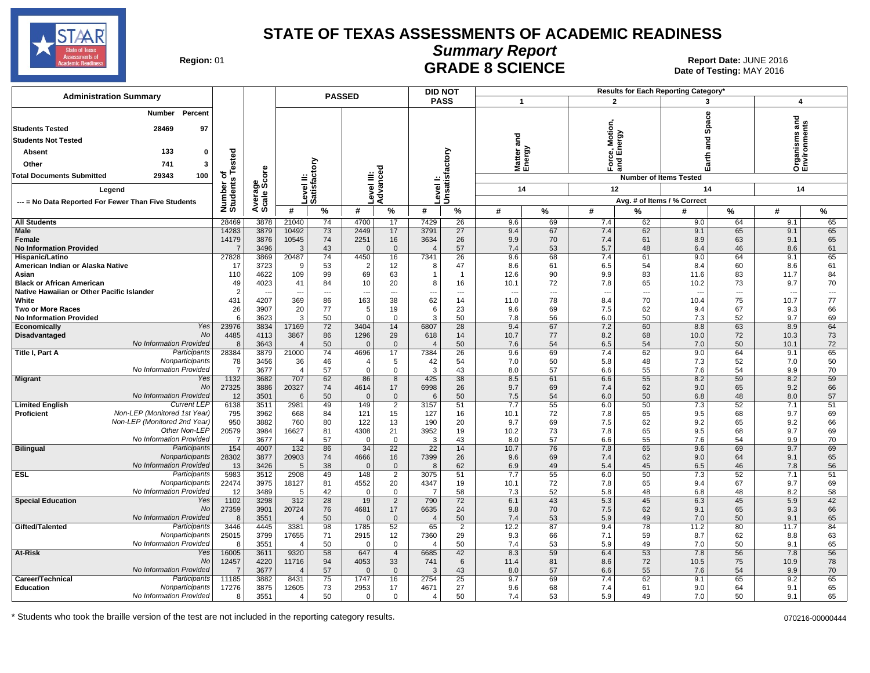

**Summary Report**

Date of Testing: MAY 2016

| Region: 01 |  |
|------------|--|
|------------|--|

# **GRADE 8 SCIENCE Date: JUNE 2016 Date: JUNE 2016 Date: JUNE 2016 CRADE 8 SCIENCE**

| <b>PASS</b><br>$\mathbf{1}$<br>$\overline{2}$<br>3<br>4<br>Percent<br>Number<br>Space<br>ਹ<br>듦<br>Motion<br>97<br><b>Students Tested</b><br>28469<br>nergy<br>Organisms<br>Environmen<br>and<br>ក្ត<br><b>Students Not Tested</b><br>Matter<br>Energy<br>Level I:<br>Unsatisfactory<br>133<br>ested<br>Absent<br>$\Omega$<br>ீய<br>Earth<br>na<br>ana<br>Level II:<br>Satisfactory<br>ਨ<br>741<br>Other<br>3<br>Advanced<br>ige<br>Score<br>evel III:<br><b>Total Documents Submitted</b><br>29343<br>100<br>ठ<br><b>Number of Items Tested</b><br>Number of<br>Students<br>12<br>14<br>14<br>14<br>Legend<br>Avera<br>Scale<br>Avg. # of Items / % Correct<br>--- = No Data Reported For Fewer Than Five Students<br>#<br>$\frac{9}{6}$<br>$\frac{9}{6}$<br>$\%$<br>#<br>#<br>#<br>$\%$<br>#<br>%<br>#<br>%<br>#<br>$\%$<br><b>All Students</b><br>28469<br>3878<br>21040<br>74<br>4700<br>17<br>7429<br>26<br>9.6<br>69<br>7.4<br>62<br>9.0<br>64<br>9.1<br>65<br><b>Male</b><br>14283<br>3879<br>10492<br>73<br>2449<br>17<br>3791<br>27<br>9.4<br>67<br>7.4<br>62<br>9.1<br>9.1<br>65<br>65<br>14179<br>3876<br>10545<br>74<br>3634<br>65<br>2251<br>16<br>26<br>9.9<br>70<br>7.4<br>61<br>8.9<br>63<br>9.1<br>Female<br>43<br>57<br>61<br><b>No Information Provided</b><br>$\overline{7}$<br>3496<br>3<br>$\mathbf 0$<br>7.4<br>53<br>5.7<br>48<br>6.4<br>46<br>8.6<br>$\mathbf 0$<br>$\overline{4}$<br>27828<br>3869<br>20487<br>74<br>7341<br>26<br>9.6<br>68<br>7.4<br>61<br>9.0<br>9.1<br>65<br>Hispanic/Latino<br>4450<br>16<br>64<br>3723<br>American Indian or Alaska Native<br>53<br>$\overline{2}$<br>12<br>47<br>61<br>6.5<br>8.4<br>8.6<br>61<br>17<br>8.6<br>54<br>60<br>9<br>8<br>4622<br>99<br>69<br>90<br>84<br>110<br>109<br>63<br>9.9<br>83<br>11.6<br>83<br>11.7<br>Asian<br>12.6<br>1<br>$\overline{1}$<br>4023<br><b>Black or African American</b><br>49<br>84<br>20<br>72<br>10.2<br>9.7<br>70<br>41<br>10<br>8<br>16<br>10.1<br>7.8<br>65<br>73<br>$\mathcal{P}$<br>Native Hawaiian or Other Pacific Islander<br>$\overline{\phantom{a}}$<br>$\overline{\phantom{a}}$<br>$---$<br>$\overline{a}$<br>---<br>$\overline{a}$<br>$\overline{a}$<br>---<br>$\overline{a}$<br>4207<br>77<br>431<br>369<br>86<br>163<br>38<br>62<br>78<br>75<br>10.7<br>White<br>14<br>8.4<br>70<br>10.4<br>11.0<br>77<br>66<br>26<br>3907<br>19<br>23<br><b>Two or More Races</b><br>20<br>9.6<br>69<br>7.5<br>62<br>9.4<br>67<br>9.3<br>5<br>6<br>3623<br>3<br>7.3<br>9.7<br>69<br><b>No Information Provided</b><br>6<br>3<br>50<br>$\mathbf 0$<br>$\mathbf 0$<br>50<br>7.8<br>56<br>6.0<br>50<br>52<br>72<br>64<br>Yes<br>3834<br>17169<br>28<br>9.4<br>67<br>7.2<br>60<br>8.8<br>63<br>8.9<br>Economically<br>23976<br>3404<br>14<br>6807<br>No<br>73<br>Disadvantaged<br>4485<br>4113<br>3867<br>86<br>1296<br>29<br>14<br>10.7<br>77<br>8.2<br>68<br>10.0<br>72<br>10.3<br>618<br>No Information Provided<br>72<br>8<br>3643<br>50<br>$\overline{0}$<br>50<br>54<br>6.5<br>54<br>7.0<br>50<br>10.1<br>$\Omega$<br>7.6<br>$\overline{\mathbf{A}}$<br>$\overline{4}$<br>65<br>Participants<br>28384<br>21000<br>62<br>Title I, Part A<br>3879<br>74<br>4696<br>17<br>7384<br>26<br>9.6<br>69<br>7.4<br>9.0<br>64<br>9.1<br>50<br>Nonparticipants<br>78<br>3456<br>36<br>46<br>5<br>42<br>54<br>7.0<br>50<br>5.8<br>48<br>7.3<br>52<br>7.0<br>$\overline{4}$<br>No Information Provided<br>3677<br>57<br>$\mathbf 0$<br>$\mathbf{0}$<br>43<br>8.0<br>57<br>55<br>7.6<br>9.9<br>70<br>$\overline{7}$<br>3<br>6.6<br>54<br>$\overline{4}$<br>59<br>1132<br>3682<br>707<br>62<br>425<br>38<br>8.5<br>61<br>6.6<br>55<br>8.2<br>59<br>8.2<br><b>Migrant</b><br>Yes<br>86<br>8<br>No<br>27325<br>20327<br>74<br>26<br>9.7<br>69<br>62<br>66<br>3886<br>4614<br>17<br>6998<br>7.4<br>9.0<br>65<br>9.2<br>No Information Provided<br>12<br>3501<br>50<br>50<br>57<br>$\mathbf{0}$<br>$\overline{0}$<br>6<br>7.5<br>54<br>6.0<br>50<br>6.8<br>48<br>8.0<br>6<br><b>Current LEP</b><br>51<br>6138<br>3511<br>2981<br>49<br>2<br>51<br>7.7<br>55<br>6.0<br>50<br>7.3<br>52<br>7.1<br><b>Limited English</b><br>149<br>3157<br>Non-LEP (Monitored 1st Year)<br>72<br>69<br>Proficient<br>795<br>3962<br>668<br>84<br>121<br>15<br>127<br>16<br>10.1<br>7.8<br>65<br>9.5<br>68<br>9.7<br>Non-LEP (Monitored 2nd Year)<br>950<br>760<br>80<br>122<br>62<br>9.2<br>66<br>3882<br>13<br>190<br>20<br>9.7<br>69<br>7.5<br>9.2<br>65<br>Other Non-LEP<br>20579<br>21<br>73<br>69<br>3984<br>16627<br>81<br>4308<br>3952<br>19<br>7.8<br>65<br>9.5<br>9.7<br>10.2<br>68<br>57<br>70<br>No Information Provided<br>3677<br>43<br>57<br>6.6<br>55<br>7.6<br>9.9<br>-7<br>$\overline{0}$<br>3<br>8.0<br>54<br>$\overline{4}$<br>$\Omega$<br><b>Bilingual</b><br>$154$<br>86<br>$\overline{22}$<br>$\overline{22}$<br>14<br>69<br>Participants<br>4007<br>132<br>34<br>10.7<br>76<br>7.8<br>65<br>9.6<br>69<br>9.7<br>28302<br>74<br>26<br>69<br>62<br>9.0<br>65<br>Nonparticipants<br>3877<br>20903<br>4666<br>16<br>7399<br>9.6<br>7.4<br>9.1<br>64<br>No Information Provided<br>3426<br>62<br>49<br>7.8<br>56<br>13<br>38<br>$\mathbf 0$<br>6.9<br>45<br>6.5<br>46<br>5<br>$\Omega$<br>8<br>5.4<br>5983<br>51<br><b>ESL</b><br>Participants<br>3512<br>2908<br>49<br>51<br>55<br>6.0<br>50<br>52<br>7.1<br>148<br>$\overline{2}$<br>3075<br>7.7<br>7.3<br>Nonparticipants<br>72<br>69<br>22474<br>3975<br>18127<br>81<br>4552<br>20<br>4347<br>19<br>10.1<br>7.8<br>65<br>9.4<br>67<br>9.7<br>No Information Provided<br>3489<br>58<br>58<br>12<br>42<br>0<br>$\mathbf 0$<br>7.3<br>52<br>5.8<br>48<br>6.8<br>48<br>8.2<br>5<br>-7<br>Yes<br>42<br><b>Special Education</b><br>1102<br>3298<br>312<br>28<br>19<br>2<br>790<br>72<br>6.1<br>43<br>5.3<br>45<br>6.3<br>45<br>5.9<br><b>No</b><br>66<br>27359<br>3901<br>76<br>17<br>24<br>70<br>62<br>20724<br>4681<br>6635<br>9.8<br>7.5<br>9.1<br>65<br>9.3<br>No Information Provided<br>3551<br>50<br>50<br>53<br>5.9<br>49<br>9.1<br>65<br>8<br>$\Omega$<br>$\mathbf{0}$<br>7.4<br>7.0<br>50<br>$\overline{4}$<br>$\overline{4}$<br>Gifted/Talented<br>Participants<br>3446<br>4445<br>3381<br>98<br>1785<br>52<br>65<br>$\overline{2}$<br>12.2<br>87<br>9.4<br>78<br>11.2<br>80<br>11.7<br>84<br>25015<br>3799<br>71<br>63<br>Nonparticipants<br>17655<br>2915<br>12<br>7360<br>29<br>9.3<br>66<br>7.1<br>59<br>8.7<br>62<br>8.8<br>No Information Provided<br>50<br>65<br>8<br>3551<br>50<br>$\mathbf 0$<br>7.4<br>53<br>5.9<br>49<br>7.0<br>50<br>9.1<br>$\overline{4}$<br>$\mathbf 0$<br>$\overline{4}$<br>Yes<br>16005<br>3611<br>9320<br>58<br>$\overline{4}$<br>42<br>8.3<br>59<br>6.4<br>53<br>7.8<br>7.8<br>56<br>At-Risk<br>647<br>6685<br>56<br>No<br>78<br>12457<br>4220<br>94<br>4053<br>33<br>6<br>81<br>72<br>10.9<br>11716<br>741<br>11.4<br>8.6<br>10.5<br>75<br>No Information Provided<br>57<br>70<br>3677<br>43<br>57<br>55<br>54<br>9.9<br>$\overline{7}$<br>$\Omega$<br>8.0<br>6.6<br>7.6<br>$\angle$<br>$\Omega$<br>3<br>Participants<br>3882<br>8431<br>75<br>16<br>2754<br>25<br>9.7<br>69<br>7.4<br>62<br>65<br>9.2<br>65<br>Career/Technical<br>11185<br>1747<br>9.1<br>65<br>73<br>17<br>27<br>68<br>9.1<br><b>Education</b><br>Nonparticipants<br>17276<br>3875<br>12605<br>2953<br>4671<br>9.6<br>7.4<br>61<br>9.0<br>64<br>No Information Provided<br>3551<br>50<br>50<br>53<br>7.0<br>65<br>0<br>$\mathbf{0}$<br>7.4<br>5.9<br>49<br>50<br>9.1<br>8<br>$\overline{4}$<br>4 | <b>Administration Summary</b> |  | <b>PASSED</b> |  | <b>DID NOT</b> |  |  | <b>Results for Each Reporting Category</b> |  |  |
|-------------------------------------------------------------------------------------------------------------------------------------------------------------------------------------------------------------------------------------------------------------------------------------------------------------------------------------------------------------------------------------------------------------------------------------------------------------------------------------------------------------------------------------------------------------------------------------------------------------------------------------------------------------------------------------------------------------------------------------------------------------------------------------------------------------------------------------------------------------------------------------------------------------------------------------------------------------------------------------------------------------------------------------------------------------------------------------------------------------------------------------------------------------------------------------------------------------------------------------------------------------------------------------------------------------------------------------------------------------------------------------------------------------------------------------------------------------------------------------------------------------------------------------------------------------------------------------------------------------------------------------------------------------------------------------------------------------------------------------------------------------------------------------------------------------------------------------------------------------------------------------------------------------------------------------------------------------------------------------------------------------------------------------------------------------------------------------------------------------------------------------------------------------------------------------------------------------------------------------------------------------------------------------------------------------------------------------------------------------------------------------------------------------------------------------------------------------------------------------------------------------------------------------------------------------------------------------------------------------------------------------------------------------------------------------------------------------------------------------------------------------------------------------------------------------------------------------------------------------------------------------------------------------------------------------------------------------------------------------------------------------------------------------------------------------------------------------------------------------------------------------------------------------------------------------------------------------------------------------------------------------------------------------------------------------------------------------------------------------------------------------------------------------------------------------------------------------------------------------------------------------------------------------------------------------------------------------------------------------------------------------------------------------------------------------------------------------------------------------------------------------------------------------------------------------------------------------------------------------------------------------------------------------------------------------------------------------------------------------------------------------------------------------------------------------------------------------------------------------------------------------------------------------------------------------------------------------------------------------------------------------------------------------------------------------------------------------------------------------------------------------------------------------------------------------------------------------------------------------------------------------------------------------------------------------------------------------------------------------------------------------------------------------------------------------------------------------------------------------------------------------------------------------------------------------------------------------------------------------------------------------------------------------------------------------------------------------------------------------------------------------------------------------------------------------------------------------------------------------------------------------------------------------------------------------------------------------------------------------------------------------------------------------------------------------------------------------------------------------------------------------------------------------------------------------------------------------------------------------------------------------------------------------------------------------------------------------------------------------------------------------------------------------------------------------------------------------------------------------------------------------------------------------------------------------------------------------------------------------------------------------------------------------------------------------------------------------------------------------------------------------------------------------------------------------------------------------------------------------------------------------------------------------------------------------------------------------------------------------------------------------------------------------------------------------------------------------------------------------------------------------------------------------------------------------------------------------------------------------------------------------------------------------------------------------------------------------------------------------------------------------------------------------------------------------------------------------------------------------------------------------------------------------------------------------------------------------------------------------------------------------------------------------------------------------------------------------------------------------------------------------------------------------------------------------------------------------------------------------------------------------------------------------------------------------------------------------------------------------------------------------------------------------------------------------------------------------------------------------------------------------------------------------------------------------------------------|-------------------------------|--|---------------|--|----------------|--|--|--------------------------------------------|--|--|
|                                                                                                                                                                                                                                                                                                                                                                                                                                                                                                                                                                                                                                                                                                                                                                                                                                                                                                                                                                                                                                                                                                                                                                                                                                                                                                                                                                                                                                                                                                                                                                                                                                                                                                                                                                                                                                                                                                                                                                                                                                                                                                                                                                                                                                                                                                                                                                                                                                                                                                                                                                                                                                                                                                                                                                                                                                                                                                                                                                                                                                                                                                                                                                                                                                                                                                                                                                                                                                                                                                                                                                                                                                                                                                                                                                                                                                                                                                                                                                                                                                                                                                                                                                                                                                                                                                                                                                                                                                                                                                                                                                                                                                                                                                                                                                                                                                                                                                                                                                                                                                                                                                                                                                                                                                                                                                                                                                                                                                                                                                                                                                                                                                                                                                                                                                                                                                                                                                                                                                                                                                                                                                                                                                                                                                                                                                                                                                                                                                                                                                                                                                                                                                                                                                                                                                                                                                                                                                                                                                                                                                                                                                                                                                                                                                                                                                                                                                                                                                                       |                               |  |               |  |                |  |  |                                            |  |  |
|                                                                                                                                                                                                                                                                                                                                                                                                                                                                                                                                                                                                                                                                                                                                                                                                                                                                                                                                                                                                                                                                                                                                                                                                                                                                                                                                                                                                                                                                                                                                                                                                                                                                                                                                                                                                                                                                                                                                                                                                                                                                                                                                                                                                                                                                                                                                                                                                                                                                                                                                                                                                                                                                                                                                                                                                                                                                                                                                                                                                                                                                                                                                                                                                                                                                                                                                                                                                                                                                                                                                                                                                                                                                                                                                                                                                                                                                                                                                                                                                                                                                                                                                                                                                                                                                                                                                                                                                                                                                                                                                                                                                                                                                                                                                                                                                                                                                                                                                                                                                                                                                                                                                                                                                                                                                                                                                                                                                                                                                                                                                                                                                                                                                                                                                                                                                                                                                                                                                                                                                                                                                                                                                                                                                                                                                                                                                                                                                                                                                                                                                                                                                                                                                                                                                                                                                                                                                                                                                                                                                                                                                                                                                                                                                                                                                                                                                                                                                                                                       |                               |  |               |  |                |  |  |                                            |  |  |
|                                                                                                                                                                                                                                                                                                                                                                                                                                                                                                                                                                                                                                                                                                                                                                                                                                                                                                                                                                                                                                                                                                                                                                                                                                                                                                                                                                                                                                                                                                                                                                                                                                                                                                                                                                                                                                                                                                                                                                                                                                                                                                                                                                                                                                                                                                                                                                                                                                                                                                                                                                                                                                                                                                                                                                                                                                                                                                                                                                                                                                                                                                                                                                                                                                                                                                                                                                                                                                                                                                                                                                                                                                                                                                                                                                                                                                                                                                                                                                                                                                                                                                                                                                                                                                                                                                                                                                                                                                                                                                                                                                                                                                                                                                                                                                                                                                                                                                                                                                                                                                                                                                                                                                                                                                                                                                                                                                                                                                                                                                                                                                                                                                                                                                                                                                                                                                                                                                                                                                                                                                                                                                                                                                                                                                                                                                                                                                                                                                                                                                                                                                                                                                                                                                                                                                                                                                                                                                                                                                                                                                                                                                                                                                                                                                                                                                                                                                                                                                                       |                               |  |               |  |                |  |  |                                            |  |  |
|                                                                                                                                                                                                                                                                                                                                                                                                                                                                                                                                                                                                                                                                                                                                                                                                                                                                                                                                                                                                                                                                                                                                                                                                                                                                                                                                                                                                                                                                                                                                                                                                                                                                                                                                                                                                                                                                                                                                                                                                                                                                                                                                                                                                                                                                                                                                                                                                                                                                                                                                                                                                                                                                                                                                                                                                                                                                                                                                                                                                                                                                                                                                                                                                                                                                                                                                                                                                                                                                                                                                                                                                                                                                                                                                                                                                                                                                                                                                                                                                                                                                                                                                                                                                                                                                                                                                                                                                                                                                                                                                                                                                                                                                                                                                                                                                                                                                                                                                                                                                                                                                                                                                                                                                                                                                                                                                                                                                                                                                                                                                                                                                                                                                                                                                                                                                                                                                                                                                                                                                                                                                                                                                                                                                                                                                                                                                                                                                                                                                                                                                                                                                                                                                                                                                                                                                                                                                                                                                                                                                                                                                                                                                                                                                                                                                                                                                                                                                                                                       |                               |  |               |  |                |  |  |                                            |  |  |
|                                                                                                                                                                                                                                                                                                                                                                                                                                                                                                                                                                                                                                                                                                                                                                                                                                                                                                                                                                                                                                                                                                                                                                                                                                                                                                                                                                                                                                                                                                                                                                                                                                                                                                                                                                                                                                                                                                                                                                                                                                                                                                                                                                                                                                                                                                                                                                                                                                                                                                                                                                                                                                                                                                                                                                                                                                                                                                                                                                                                                                                                                                                                                                                                                                                                                                                                                                                                                                                                                                                                                                                                                                                                                                                                                                                                                                                                                                                                                                                                                                                                                                                                                                                                                                                                                                                                                                                                                                                                                                                                                                                                                                                                                                                                                                                                                                                                                                                                                                                                                                                                                                                                                                                                                                                                                                                                                                                                                                                                                                                                                                                                                                                                                                                                                                                                                                                                                                                                                                                                                                                                                                                                                                                                                                                                                                                                                                                                                                                                                                                                                                                                                                                                                                                                                                                                                                                                                                                                                                                                                                                                                                                                                                                                                                                                                                                                                                                                                                                       |                               |  |               |  |                |  |  |                                            |  |  |
|                                                                                                                                                                                                                                                                                                                                                                                                                                                                                                                                                                                                                                                                                                                                                                                                                                                                                                                                                                                                                                                                                                                                                                                                                                                                                                                                                                                                                                                                                                                                                                                                                                                                                                                                                                                                                                                                                                                                                                                                                                                                                                                                                                                                                                                                                                                                                                                                                                                                                                                                                                                                                                                                                                                                                                                                                                                                                                                                                                                                                                                                                                                                                                                                                                                                                                                                                                                                                                                                                                                                                                                                                                                                                                                                                                                                                                                                                                                                                                                                                                                                                                                                                                                                                                                                                                                                                                                                                                                                                                                                                                                                                                                                                                                                                                                                                                                                                                                                                                                                                                                                                                                                                                                                                                                                                                                                                                                                                                                                                                                                                                                                                                                                                                                                                                                                                                                                                                                                                                                                                                                                                                                                                                                                                                                                                                                                                                                                                                                                                                                                                                                                                                                                                                                                                                                                                                                                                                                                                                                                                                                                                                                                                                                                                                                                                                                                                                                                                                                       |                               |  |               |  |                |  |  |                                            |  |  |
|                                                                                                                                                                                                                                                                                                                                                                                                                                                                                                                                                                                                                                                                                                                                                                                                                                                                                                                                                                                                                                                                                                                                                                                                                                                                                                                                                                                                                                                                                                                                                                                                                                                                                                                                                                                                                                                                                                                                                                                                                                                                                                                                                                                                                                                                                                                                                                                                                                                                                                                                                                                                                                                                                                                                                                                                                                                                                                                                                                                                                                                                                                                                                                                                                                                                                                                                                                                                                                                                                                                                                                                                                                                                                                                                                                                                                                                                                                                                                                                                                                                                                                                                                                                                                                                                                                                                                                                                                                                                                                                                                                                                                                                                                                                                                                                                                                                                                                                                                                                                                                                                                                                                                                                                                                                                                                                                                                                                                                                                                                                                                                                                                                                                                                                                                                                                                                                                                                                                                                                                                                                                                                                                                                                                                                                                                                                                                                                                                                                                                                                                                                                                                                                                                                                                                                                                                                                                                                                                                                                                                                                                                                                                                                                                                                                                                                                                                                                                                                                       |                               |  |               |  |                |  |  |                                            |  |  |
|                                                                                                                                                                                                                                                                                                                                                                                                                                                                                                                                                                                                                                                                                                                                                                                                                                                                                                                                                                                                                                                                                                                                                                                                                                                                                                                                                                                                                                                                                                                                                                                                                                                                                                                                                                                                                                                                                                                                                                                                                                                                                                                                                                                                                                                                                                                                                                                                                                                                                                                                                                                                                                                                                                                                                                                                                                                                                                                                                                                                                                                                                                                                                                                                                                                                                                                                                                                                                                                                                                                                                                                                                                                                                                                                                                                                                                                                                                                                                                                                                                                                                                                                                                                                                                                                                                                                                                                                                                                                                                                                                                                                                                                                                                                                                                                                                                                                                                                                                                                                                                                                                                                                                                                                                                                                                                                                                                                                                                                                                                                                                                                                                                                                                                                                                                                                                                                                                                                                                                                                                                                                                                                                                                                                                                                                                                                                                                                                                                                                                                                                                                                                                                                                                                                                                                                                                                                                                                                                                                                                                                                                                                                                                                                                                                                                                                                                                                                                                                                       |                               |  |               |  |                |  |  |                                            |  |  |
|                                                                                                                                                                                                                                                                                                                                                                                                                                                                                                                                                                                                                                                                                                                                                                                                                                                                                                                                                                                                                                                                                                                                                                                                                                                                                                                                                                                                                                                                                                                                                                                                                                                                                                                                                                                                                                                                                                                                                                                                                                                                                                                                                                                                                                                                                                                                                                                                                                                                                                                                                                                                                                                                                                                                                                                                                                                                                                                                                                                                                                                                                                                                                                                                                                                                                                                                                                                                                                                                                                                                                                                                                                                                                                                                                                                                                                                                                                                                                                                                                                                                                                                                                                                                                                                                                                                                                                                                                                                                                                                                                                                                                                                                                                                                                                                                                                                                                                                                                                                                                                                                                                                                                                                                                                                                                                                                                                                                                                                                                                                                                                                                                                                                                                                                                                                                                                                                                                                                                                                                                                                                                                                                                                                                                                                                                                                                                                                                                                                                                                                                                                                                                                                                                                                                                                                                                                                                                                                                                                                                                                                                                                                                                                                                                                                                                                                                                                                                                                                       |                               |  |               |  |                |  |  |                                            |  |  |
|                                                                                                                                                                                                                                                                                                                                                                                                                                                                                                                                                                                                                                                                                                                                                                                                                                                                                                                                                                                                                                                                                                                                                                                                                                                                                                                                                                                                                                                                                                                                                                                                                                                                                                                                                                                                                                                                                                                                                                                                                                                                                                                                                                                                                                                                                                                                                                                                                                                                                                                                                                                                                                                                                                                                                                                                                                                                                                                                                                                                                                                                                                                                                                                                                                                                                                                                                                                                                                                                                                                                                                                                                                                                                                                                                                                                                                                                                                                                                                                                                                                                                                                                                                                                                                                                                                                                                                                                                                                                                                                                                                                                                                                                                                                                                                                                                                                                                                                                                                                                                                                                                                                                                                                                                                                                                                                                                                                                                                                                                                                                                                                                                                                                                                                                                                                                                                                                                                                                                                                                                                                                                                                                                                                                                                                                                                                                                                                                                                                                                                                                                                                                                                                                                                                                                                                                                                                                                                                                                                                                                                                                                                                                                                                                                                                                                                                                                                                                                                                       |                               |  |               |  |                |  |  |                                            |  |  |
|                                                                                                                                                                                                                                                                                                                                                                                                                                                                                                                                                                                                                                                                                                                                                                                                                                                                                                                                                                                                                                                                                                                                                                                                                                                                                                                                                                                                                                                                                                                                                                                                                                                                                                                                                                                                                                                                                                                                                                                                                                                                                                                                                                                                                                                                                                                                                                                                                                                                                                                                                                                                                                                                                                                                                                                                                                                                                                                                                                                                                                                                                                                                                                                                                                                                                                                                                                                                                                                                                                                                                                                                                                                                                                                                                                                                                                                                                                                                                                                                                                                                                                                                                                                                                                                                                                                                                                                                                                                                                                                                                                                                                                                                                                                                                                                                                                                                                                                                                                                                                                                                                                                                                                                                                                                                                                                                                                                                                                                                                                                                                                                                                                                                                                                                                                                                                                                                                                                                                                                                                                                                                                                                                                                                                                                                                                                                                                                                                                                                                                                                                                                                                                                                                                                                                                                                                                                                                                                                                                                                                                                                                                                                                                                                                                                                                                                                                                                                                                                       |                               |  |               |  |                |  |  |                                            |  |  |
|                                                                                                                                                                                                                                                                                                                                                                                                                                                                                                                                                                                                                                                                                                                                                                                                                                                                                                                                                                                                                                                                                                                                                                                                                                                                                                                                                                                                                                                                                                                                                                                                                                                                                                                                                                                                                                                                                                                                                                                                                                                                                                                                                                                                                                                                                                                                                                                                                                                                                                                                                                                                                                                                                                                                                                                                                                                                                                                                                                                                                                                                                                                                                                                                                                                                                                                                                                                                                                                                                                                                                                                                                                                                                                                                                                                                                                                                                                                                                                                                                                                                                                                                                                                                                                                                                                                                                                                                                                                                                                                                                                                                                                                                                                                                                                                                                                                                                                                                                                                                                                                                                                                                                                                                                                                                                                                                                                                                                                                                                                                                                                                                                                                                                                                                                                                                                                                                                                                                                                                                                                                                                                                                                                                                                                                                                                                                                                                                                                                                                                                                                                                                                                                                                                                                                                                                                                                                                                                                                                                                                                                                                                                                                                                                                                                                                                                                                                                                                                                       |                               |  |               |  |                |  |  |                                            |  |  |
|                                                                                                                                                                                                                                                                                                                                                                                                                                                                                                                                                                                                                                                                                                                                                                                                                                                                                                                                                                                                                                                                                                                                                                                                                                                                                                                                                                                                                                                                                                                                                                                                                                                                                                                                                                                                                                                                                                                                                                                                                                                                                                                                                                                                                                                                                                                                                                                                                                                                                                                                                                                                                                                                                                                                                                                                                                                                                                                                                                                                                                                                                                                                                                                                                                                                                                                                                                                                                                                                                                                                                                                                                                                                                                                                                                                                                                                                                                                                                                                                                                                                                                                                                                                                                                                                                                                                                                                                                                                                                                                                                                                                                                                                                                                                                                                                                                                                                                                                                                                                                                                                                                                                                                                                                                                                                                                                                                                                                                                                                                                                                                                                                                                                                                                                                                                                                                                                                                                                                                                                                                                                                                                                                                                                                                                                                                                                                                                                                                                                                                                                                                                                                                                                                                                                                                                                                                                                                                                                                                                                                                                                                                                                                                                                                                                                                                                                                                                                                                                       |                               |  |               |  |                |  |  |                                            |  |  |
|                                                                                                                                                                                                                                                                                                                                                                                                                                                                                                                                                                                                                                                                                                                                                                                                                                                                                                                                                                                                                                                                                                                                                                                                                                                                                                                                                                                                                                                                                                                                                                                                                                                                                                                                                                                                                                                                                                                                                                                                                                                                                                                                                                                                                                                                                                                                                                                                                                                                                                                                                                                                                                                                                                                                                                                                                                                                                                                                                                                                                                                                                                                                                                                                                                                                                                                                                                                                                                                                                                                                                                                                                                                                                                                                                                                                                                                                                                                                                                                                                                                                                                                                                                                                                                                                                                                                                                                                                                                                                                                                                                                                                                                                                                                                                                                                                                                                                                                                                                                                                                                                                                                                                                                                                                                                                                                                                                                                                                                                                                                                                                                                                                                                                                                                                                                                                                                                                                                                                                                                                                                                                                                                                                                                                                                                                                                                                                                                                                                                                                                                                                                                                                                                                                                                                                                                                                                                                                                                                                                                                                                                                                                                                                                                                                                                                                                                                                                                                                                       |                               |  |               |  |                |  |  |                                            |  |  |
|                                                                                                                                                                                                                                                                                                                                                                                                                                                                                                                                                                                                                                                                                                                                                                                                                                                                                                                                                                                                                                                                                                                                                                                                                                                                                                                                                                                                                                                                                                                                                                                                                                                                                                                                                                                                                                                                                                                                                                                                                                                                                                                                                                                                                                                                                                                                                                                                                                                                                                                                                                                                                                                                                                                                                                                                                                                                                                                                                                                                                                                                                                                                                                                                                                                                                                                                                                                                                                                                                                                                                                                                                                                                                                                                                                                                                                                                                                                                                                                                                                                                                                                                                                                                                                                                                                                                                                                                                                                                                                                                                                                                                                                                                                                                                                                                                                                                                                                                                                                                                                                                                                                                                                                                                                                                                                                                                                                                                                                                                                                                                                                                                                                                                                                                                                                                                                                                                                                                                                                                                                                                                                                                                                                                                                                                                                                                                                                                                                                                                                                                                                                                                                                                                                                                                                                                                                                                                                                                                                                                                                                                                                                                                                                                                                                                                                                                                                                                                                                       |                               |  |               |  |                |  |  |                                            |  |  |
|                                                                                                                                                                                                                                                                                                                                                                                                                                                                                                                                                                                                                                                                                                                                                                                                                                                                                                                                                                                                                                                                                                                                                                                                                                                                                                                                                                                                                                                                                                                                                                                                                                                                                                                                                                                                                                                                                                                                                                                                                                                                                                                                                                                                                                                                                                                                                                                                                                                                                                                                                                                                                                                                                                                                                                                                                                                                                                                                                                                                                                                                                                                                                                                                                                                                                                                                                                                                                                                                                                                                                                                                                                                                                                                                                                                                                                                                                                                                                                                                                                                                                                                                                                                                                                                                                                                                                                                                                                                                                                                                                                                                                                                                                                                                                                                                                                                                                                                                                                                                                                                                                                                                                                                                                                                                                                                                                                                                                                                                                                                                                                                                                                                                                                                                                                                                                                                                                                                                                                                                                                                                                                                                                                                                                                                                                                                                                                                                                                                                                                                                                                                                                                                                                                                                                                                                                                                                                                                                                                                                                                                                                                                                                                                                                                                                                                                                                                                                                                                       |                               |  |               |  |                |  |  |                                            |  |  |
|                                                                                                                                                                                                                                                                                                                                                                                                                                                                                                                                                                                                                                                                                                                                                                                                                                                                                                                                                                                                                                                                                                                                                                                                                                                                                                                                                                                                                                                                                                                                                                                                                                                                                                                                                                                                                                                                                                                                                                                                                                                                                                                                                                                                                                                                                                                                                                                                                                                                                                                                                                                                                                                                                                                                                                                                                                                                                                                                                                                                                                                                                                                                                                                                                                                                                                                                                                                                                                                                                                                                                                                                                                                                                                                                                                                                                                                                                                                                                                                                                                                                                                                                                                                                                                                                                                                                                                                                                                                                                                                                                                                                                                                                                                                                                                                                                                                                                                                                                                                                                                                                                                                                                                                                                                                                                                                                                                                                                                                                                                                                                                                                                                                                                                                                                                                                                                                                                                                                                                                                                                                                                                                                                                                                                                                                                                                                                                                                                                                                                                                                                                                                                                                                                                                                                                                                                                                                                                                                                                                                                                                                                                                                                                                                                                                                                                                                                                                                                                                       |                               |  |               |  |                |  |  |                                            |  |  |
|                                                                                                                                                                                                                                                                                                                                                                                                                                                                                                                                                                                                                                                                                                                                                                                                                                                                                                                                                                                                                                                                                                                                                                                                                                                                                                                                                                                                                                                                                                                                                                                                                                                                                                                                                                                                                                                                                                                                                                                                                                                                                                                                                                                                                                                                                                                                                                                                                                                                                                                                                                                                                                                                                                                                                                                                                                                                                                                                                                                                                                                                                                                                                                                                                                                                                                                                                                                                                                                                                                                                                                                                                                                                                                                                                                                                                                                                                                                                                                                                                                                                                                                                                                                                                                                                                                                                                                                                                                                                                                                                                                                                                                                                                                                                                                                                                                                                                                                                                                                                                                                                                                                                                                                                                                                                                                                                                                                                                                                                                                                                                                                                                                                                                                                                                                                                                                                                                                                                                                                                                                                                                                                                                                                                                                                                                                                                                                                                                                                                                                                                                                                                                                                                                                                                                                                                                                                                                                                                                                                                                                                                                                                                                                                                                                                                                                                                                                                                                                                       |                               |  |               |  |                |  |  |                                            |  |  |
|                                                                                                                                                                                                                                                                                                                                                                                                                                                                                                                                                                                                                                                                                                                                                                                                                                                                                                                                                                                                                                                                                                                                                                                                                                                                                                                                                                                                                                                                                                                                                                                                                                                                                                                                                                                                                                                                                                                                                                                                                                                                                                                                                                                                                                                                                                                                                                                                                                                                                                                                                                                                                                                                                                                                                                                                                                                                                                                                                                                                                                                                                                                                                                                                                                                                                                                                                                                                                                                                                                                                                                                                                                                                                                                                                                                                                                                                                                                                                                                                                                                                                                                                                                                                                                                                                                                                                                                                                                                                                                                                                                                                                                                                                                                                                                                                                                                                                                                                                                                                                                                                                                                                                                                                                                                                                                                                                                                                                                                                                                                                                                                                                                                                                                                                                                                                                                                                                                                                                                                                                                                                                                                                                                                                                                                                                                                                                                                                                                                                                                                                                                                                                                                                                                                                                                                                                                                                                                                                                                                                                                                                                                                                                                                                                                                                                                                                                                                                                                                       |                               |  |               |  |                |  |  |                                            |  |  |
|                                                                                                                                                                                                                                                                                                                                                                                                                                                                                                                                                                                                                                                                                                                                                                                                                                                                                                                                                                                                                                                                                                                                                                                                                                                                                                                                                                                                                                                                                                                                                                                                                                                                                                                                                                                                                                                                                                                                                                                                                                                                                                                                                                                                                                                                                                                                                                                                                                                                                                                                                                                                                                                                                                                                                                                                                                                                                                                                                                                                                                                                                                                                                                                                                                                                                                                                                                                                                                                                                                                                                                                                                                                                                                                                                                                                                                                                                                                                                                                                                                                                                                                                                                                                                                                                                                                                                                                                                                                                                                                                                                                                                                                                                                                                                                                                                                                                                                                                                                                                                                                                                                                                                                                                                                                                                                                                                                                                                                                                                                                                                                                                                                                                                                                                                                                                                                                                                                                                                                                                                                                                                                                                                                                                                                                                                                                                                                                                                                                                                                                                                                                                                                                                                                                                                                                                                                                                                                                                                                                                                                                                                                                                                                                                                                                                                                                                                                                                                                                       |                               |  |               |  |                |  |  |                                            |  |  |
|                                                                                                                                                                                                                                                                                                                                                                                                                                                                                                                                                                                                                                                                                                                                                                                                                                                                                                                                                                                                                                                                                                                                                                                                                                                                                                                                                                                                                                                                                                                                                                                                                                                                                                                                                                                                                                                                                                                                                                                                                                                                                                                                                                                                                                                                                                                                                                                                                                                                                                                                                                                                                                                                                                                                                                                                                                                                                                                                                                                                                                                                                                                                                                                                                                                                                                                                                                                                                                                                                                                                                                                                                                                                                                                                                                                                                                                                                                                                                                                                                                                                                                                                                                                                                                                                                                                                                                                                                                                                                                                                                                                                                                                                                                                                                                                                                                                                                                                                                                                                                                                                                                                                                                                                                                                                                                                                                                                                                                                                                                                                                                                                                                                                                                                                                                                                                                                                                                                                                                                                                                                                                                                                                                                                                                                                                                                                                                                                                                                                                                                                                                                                                                                                                                                                                                                                                                                                                                                                                                                                                                                                                                                                                                                                                                                                                                                                                                                                                                                       |                               |  |               |  |                |  |  |                                            |  |  |
|                                                                                                                                                                                                                                                                                                                                                                                                                                                                                                                                                                                                                                                                                                                                                                                                                                                                                                                                                                                                                                                                                                                                                                                                                                                                                                                                                                                                                                                                                                                                                                                                                                                                                                                                                                                                                                                                                                                                                                                                                                                                                                                                                                                                                                                                                                                                                                                                                                                                                                                                                                                                                                                                                                                                                                                                                                                                                                                                                                                                                                                                                                                                                                                                                                                                                                                                                                                                                                                                                                                                                                                                                                                                                                                                                                                                                                                                                                                                                                                                                                                                                                                                                                                                                                                                                                                                                                                                                                                                                                                                                                                                                                                                                                                                                                                                                                                                                                                                                                                                                                                                                                                                                                                                                                                                                                                                                                                                                                                                                                                                                                                                                                                                                                                                                                                                                                                                                                                                                                                                                                                                                                                                                                                                                                                                                                                                                                                                                                                                                                                                                                                                                                                                                                                                                                                                                                                                                                                                                                                                                                                                                                                                                                                                                                                                                                                                                                                                                                                       |                               |  |               |  |                |  |  |                                            |  |  |
|                                                                                                                                                                                                                                                                                                                                                                                                                                                                                                                                                                                                                                                                                                                                                                                                                                                                                                                                                                                                                                                                                                                                                                                                                                                                                                                                                                                                                                                                                                                                                                                                                                                                                                                                                                                                                                                                                                                                                                                                                                                                                                                                                                                                                                                                                                                                                                                                                                                                                                                                                                                                                                                                                                                                                                                                                                                                                                                                                                                                                                                                                                                                                                                                                                                                                                                                                                                                                                                                                                                                                                                                                                                                                                                                                                                                                                                                                                                                                                                                                                                                                                                                                                                                                                                                                                                                                                                                                                                                                                                                                                                                                                                                                                                                                                                                                                                                                                                                                                                                                                                                                                                                                                                                                                                                                                                                                                                                                                                                                                                                                                                                                                                                                                                                                                                                                                                                                                                                                                                                                                                                                                                                                                                                                                                                                                                                                                                                                                                                                                                                                                                                                                                                                                                                                                                                                                                                                                                                                                                                                                                                                                                                                                                                                                                                                                                                                                                                                                                       |                               |  |               |  |                |  |  |                                            |  |  |
|                                                                                                                                                                                                                                                                                                                                                                                                                                                                                                                                                                                                                                                                                                                                                                                                                                                                                                                                                                                                                                                                                                                                                                                                                                                                                                                                                                                                                                                                                                                                                                                                                                                                                                                                                                                                                                                                                                                                                                                                                                                                                                                                                                                                                                                                                                                                                                                                                                                                                                                                                                                                                                                                                                                                                                                                                                                                                                                                                                                                                                                                                                                                                                                                                                                                                                                                                                                                                                                                                                                                                                                                                                                                                                                                                                                                                                                                                                                                                                                                                                                                                                                                                                                                                                                                                                                                                                                                                                                                                                                                                                                                                                                                                                                                                                                                                                                                                                                                                                                                                                                                                                                                                                                                                                                                                                                                                                                                                                                                                                                                                                                                                                                                                                                                                                                                                                                                                                                                                                                                                                                                                                                                                                                                                                                                                                                                                                                                                                                                                                                                                                                                                                                                                                                                                                                                                                                                                                                                                                                                                                                                                                                                                                                                                                                                                                                                                                                                                                                       |                               |  |               |  |                |  |  |                                            |  |  |
|                                                                                                                                                                                                                                                                                                                                                                                                                                                                                                                                                                                                                                                                                                                                                                                                                                                                                                                                                                                                                                                                                                                                                                                                                                                                                                                                                                                                                                                                                                                                                                                                                                                                                                                                                                                                                                                                                                                                                                                                                                                                                                                                                                                                                                                                                                                                                                                                                                                                                                                                                                                                                                                                                                                                                                                                                                                                                                                                                                                                                                                                                                                                                                                                                                                                                                                                                                                                                                                                                                                                                                                                                                                                                                                                                                                                                                                                                                                                                                                                                                                                                                                                                                                                                                                                                                                                                                                                                                                                                                                                                                                                                                                                                                                                                                                                                                                                                                                                                                                                                                                                                                                                                                                                                                                                                                                                                                                                                                                                                                                                                                                                                                                                                                                                                                                                                                                                                                                                                                                                                                                                                                                                                                                                                                                                                                                                                                                                                                                                                                                                                                                                                                                                                                                                                                                                                                                                                                                                                                                                                                                                                                                                                                                                                                                                                                                                                                                                                                                       |                               |  |               |  |                |  |  |                                            |  |  |
|                                                                                                                                                                                                                                                                                                                                                                                                                                                                                                                                                                                                                                                                                                                                                                                                                                                                                                                                                                                                                                                                                                                                                                                                                                                                                                                                                                                                                                                                                                                                                                                                                                                                                                                                                                                                                                                                                                                                                                                                                                                                                                                                                                                                                                                                                                                                                                                                                                                                                                                                                                                                                                                                                                                                                                                                                                                                                                                                                                                                                                                                                                                                                                                                                                                                                                                                                                                                                                                                                                                                                                                                                                                                                                                                                                                                                                                                                                                                                                                                                                                                                                                                                                                                                                                                                                                                                                                                                                                                                                                                                                                                                                                                                                                                                                                                                                                                                                                                                                                                                                                                                                                                                                                                                                                                                                                                                                                                                                                                                                                                                                                                                                                                                                                                                                                                                                                                                                                                                                                                                                                                                                                                                                                                                                                                                                                                                                                                                                                                                                                                                                                                                                                                                                                                                                                                                                                                                                                                                                                                                                                                                                                                                                                                                                                                                                                                                                                                                                                       |                               |  |               |  |                |  |  |                                            |  |  |
|                                                                                                                                                                                                                                                                                                                                                                                                                                                                                                                                                                                                                                                                                                                                                                                                                                                                                                                                                                                                                                                                                                                                                                                                                                                                                                                                                                                                                                                                                                                                                                                                                                                                                                                                                                                                                                                                                                                                                                                                                                                                                                                                                                                                                                                                                                                                                                                                                                                                                                                                                                                                                                                                                                                                                                                                                                                                                                                                                                                                                                                                                                                                                                                                                                                                                                                                                                                                                                                                                                                                                                                                                                                                                                                                                                                                                                                                                                                                                                                                                                                                                                                                                                                                                                                                                                                                                                                                                                                                                                                                                                                                                                                                                                                                                                                                                                                                                                                                                                                                                                                                                                                                                                                                                                                                                                                                                                                                                                                                                                                                                                                                                                                                                                                                                                                                                                                                                                                                                                                                                                                                                                                                                                                                                                                                                                                                                                                                                                                                                                                                                                                                                                                                                                                                                                                                                                                                                                                                                                                                                                                                                                                                                                                                                                                                                                                                                                                                                                                       |                               |  |               |  |                |  |  |                                            |  |  |
|                                                                                                                                                                                                                                                                                                                                                                                                                                                                                                                                                                                                                                                                                                                                                                                                                                                                                                                                                                                                                                                                                                                                                                                                                                                                                                                                                                                                                                                                                                                                                                                                                                                                                                                                                                                                                                                                                                                                                                                                                                                                                                                                                                                                                                                                                                                                                                                                                                                                                                                                                                                                                                                                                                                                                                                                                                                                                                                                                                                                                                                                                                                                                                                                                                                                                                                                                                                                                                                                                                                                                                                                                                                                                                                                                                                                                                                                                                                                                                                                                                                                                                                                                                                                                                                                                                                                                                                                                                                                                                                                                                                                                                                                                                                                                                                                                                                                                                                                                                                                                                                                                                                                                                                                                                                                                                                                                                                                                                                                                                                                                                                                                                                                                                                                                                                                                                                                                                                                                                                                                                                                                                                                                                                                                                                                                                                                                                                                                                                                                                                                                                                                                                                                                                                                                                                                                                                                                                                                                                                                                                                                                                                                                                                                                                                                                                                                                                                                                                                       |                               |  |               |  |                |  |  |                                            |  |  |
|                                                                                                                                                                                                                                                                                                                                                                                                                                                                                                                                                                                                                                                                                                                                                                                                                                                                                                                                                                                                                                                                                                                                                                                                                                                                                                                                                                                                                                                                                                                                                                                                                                                                                                                                                                                                                                                                                                                                                                                                                                                                                                                                                                                                                                                                                                                                                                                                                                                                                                                                                                                                                                                                                                                                                                                                                                                                                                                                                                                                                                                                                                                                                                                                                                                                                                                                                                                                                                                                                                                                                                                                                                                                                                                                                                                                                                                                                                                                                                                                                                                                                                                                                                                                                                                                                                                                                                                                                                                                                                                                                                                                                                                                                                                                                                                                                                                                                                                                                                                                                                                                                                                                                                                                                                                                                                                                                                                                                                                                                                                                                                                                                                                                                                                                                                                                                                                                                                                                                                                                                                                                                                                                                                                                                                                                                                                                                                                                                                                                                                                                                                                                                                                                                                                                                                                                                                                                                                                                                                                                                                                                                                                                                                                                                                                                                                                                                                                                                                                       |                               |  |               |  |                |  |  |                                            |  |  |
|                                                                                                                                                                                                                                                                                                                                                                                                                                                                                                                                                                                                                                                                                                                                                                                                                                                                                                                                                                                                                                                                                                                                                                                                                                                                                                                                                                                                                                                                                                                                                                                                                                                                                                                                                                                                                                                                                                                                                                                                                                                                                                                                                                                                                                                                                                                                                                                                                                                                                                                                                                                                                                                                                                                                                                                                                                                                                                                                                                                                                                                                                                                                                                                                                                                                                                                                                                                                                                                                                                                                                                                                                                                                                                                                                                                                                                                                                                                                                                                                                                                                                                                                                                                                                                                                                                                                                                                                                                                                                                                                                                                                                                                                                                                                                                                                                                                                                                                                                                                                                                                                                                                                                                                                                                                                                                                                                                                                                                                                                                                                                                                                                                                                                                                                                                                                                                                                                                                                                                                                                                                                                                                                                                                                                                                                                                                                                                                                                                                                                                                                                                                                                                                                                                                                                                                                                                                                                                                                                                                                                                                                                                                                                                                                                                                                                                                                                                                                                                                       |                               |  |               |  |                |  |  |                                            |  |  |
|                                                                                                                                                                                                                                                                                                                                                                                                                                                                                                                                                                                                                                                                                                                                                                                                                                                                                                                                                                                                                                                                                                                                                                                                                                                                                                                                                                                                                                                                                                                                                                                                                                                                                                                                                                                                                                                                                                                                                                                                                                                                                                                                                                                                                                                                                                                                                                                                                                                                                                                                                                                                                                                                                                                                                                                                                                                                                                                                                                                                                                                                                                                                                                                                                                                                                                                                                                                                                                                                                                                                                                                                                                                                                                                                                                                                                                                                                                                                                                                                                                                                                                                                                                                                                                                                                                                                                                                                                                                                                                                                                                                                                                                                                                                                                                                                                                                                                                                                                                                                                                                                                                                                                                                                                                                                                                                                                                                                                                                                                                                                                                                                                                                                                                                                                                                                                                                                                                                                                                                                                                                                                                                                                                                                                                                                                                                                                                                                                                                                                                                                                                                                                                                                                                                                                                                                                                                                                                                                                                                                                                                                                                                                                                                                                                                                                                                                                                                                                                                       |                               |  |               |  |                |  |  |                                            |  |  |
|                                                                                                                                                                                                                                                                                                                                                                                                                                                                                                                                                                                                                                                                                                                                                                                                                                                                                                                                                                                                                                                                                                                                                                                                                                                                                                                                                                                                                                                                                                                                                                                                                                                                                                                                                                                                                                                                                                                                                                                                                                                                                                                                                                                                                                                                                                                                                                                                                                                                                                                                                                                                                                                                                                                                                                                                                                                                                                                                                                                                                                                                                                                                                                                                                                                                                                                                                                                                                                                                                                                                                                                                                                                                                                                                                                                                                                                                                                                                                                                                                                                                                                                                                                                                                                                                                                                                                                                                                                                                                                                                                                                                                                                                                                                                                                                                                                                                                                                                                                                                                                                                                                                                                                                                                                                                                                                                                                                                                                                                                                                                                                                                                                                                                                                                                                                                                                                                                                                                                                                                                                                                                                                                                                                                                                                                                                                                                                                                                                                                                                                                                                                                                                                                                                                                                                                                                                                                                                                                                                                                                                                                                                                                                                                                                                                                                                                                                                                                                                                       |                               |  |               |  |                |  |  |                                            |  |  |
|                                                                                                                                                                                                                                                                                                                                                                                                                                                                                                                                                                                                                                                                                                                                                                                                                                                                                                                                                                                                                                                                                                                                                                                                                                                                                                                                                                                                                                                                                                                                                                                                                                                                                                                                                                                                                                                                                                                                                                                                                                                                                                                                                                                                                                                                                                                                                                                                                                                                                                                                                                                                                                                                                                                                                                                                                                                                                                                                                                                                                                                                                                                                                                                                                                                                                                                                                                                                                                                                                                                                                                                                                                                                                                                                                                                                                                                                                                                                                                                                                                                                                                                                                                                                                                                                                                                                                                                                                                                                                                                                                                                                                                                                                                                                                                                                                                                                                                                                                                                                                                                                                                                                                                                                                                                                                                                                                                                                                                                                                                                                                                                                                                                                                                                                                                                                                                                                                                                                                                                                                                                                                                                                                                                                                                                                                                                                                                                                                                                                                                                                                                                                                                                                                                                                                                                                                                                                                                                                                                                                                                                                                                                                                                                                                                                                                                                                                                                                                                                       |                               |  |               |  |                |  |  |                                            |  |  |
|                                                                                                                                                                                                                                                                                                                                                                                                                                                                                                                                                                                                                                                                                                                                                                                                                                                                                                                                                                                                                                                                                                                                                                                                                                                                                                                                                                                                                                                                                                                                                                                                                                                                                                                                                                                                                                                                                                                                                                                                                                                                                                                                                                                                                                                                                                                                                                                                                                                                                                                                                                                                                                                                                                                                                                                                                                                                                                                                                                                                                                                                                                                                                                                                                                                                                                                                                                                                                                                                                                                                                                                                                                                                                                                                                                                                                                                                                                                                                                                                                                                                                                                                                                                                                                                                                                                                                                                                                                                                                                                                                                                                                                                                                                                                                                                                                                                                                                                                                                                                                                                                                                                                                                                                                                                                                                                                                                                                                                                                                                                                                                                                                                                                                                                                                                                                                                                                                                                                                                                                                                                                                                                                                                                                                                                                                                                                                                                                                                                                                                                                                                                                                                                                                                                                                                                                                                                                                                                                                                                                                                                                                                                                                                                                                                                                                                                                                                                                                                                       |                               |  |               |  |                |  |  |                                            |  |  |
|                                                                                                                                                                                                                                                                                                                                                                                                                                                                                                                                                                                                                                                                                                                                                                                                                                                                                                                                                                                                                                                                                                                                                                                                                                                                                                                                                                                                                                                                                                                                                                                                                                                                                                                                                                                                                                                                                                                                                                                                                                                                                                                                                                                                                                                                                                                                                                                                                                                                                                                                                                                                                                                                                                                                                                                                                                                                                                                                                                                                                                                                                                                                                                                                                                                                                                                                                                                                                                                                                                                                                                                                                                                                                                                                                                                                                                                                                                                                                                                                                                                                                                                                                                                                                                                                                                                                                                                                                                                                                                                                                                                                                                                                                                                                                                                                                                                                                                                                                                                                                                                                                                                                                                                                                                                                                                                                                                                                                                                                                                                                                                                                                                                                                                                                                                                                                                                                                                                                                                                                                                                                                                                                                                                                                                                                                                                                                                                                                                                                                                                                                                                                                                                                                                                                                                                                                                                                                                                                                                                                                                                                                                                                                                                                                                                                                                                                                                                                                                                       |                               |  |               |  |                |  |  |                                            |  |  |
|                                                                                                                                                                                                                                                                                                                                                                                                                                                                                                                                                                                                                                                                                                                                                                                                                                                                                                                                                                                                                                                                                                                                                                                                                                                                                                                                                                                                                                                                                                                                                                                                                                                                                                                                                                                                                                                                                                                                                                                                                                                                                                                                                                                                                                                                                                                                                                                                                                                                                                                                                                                                                                                                                                                                                                                                                                                                                                                                                                                                                                                                                                                                                                                                                                                                                                                                                                                                                                                                                                                                                                                                                                                                                                                                                                                                                                                                                                                                                                                                                                                                                                                                                                                                                                                                                                                                                                                                                                                                                                                                                                                                                                                                                                                                                                                                                                                                                                                                                                                                                                                                                                                                                                                                                                                                                                                                                                                                                                                                                                                                                                                                                                                                                                                                                                                                                                                                                                                                                                                                                                                                                                                                                                                                                                                                                                                                                                                                                                                                                                                                                                                                                                                                                                                                                                                                                                                                                                                                                                                                                                                                                                                                                                                                                                                                                                                                                                                                                                                       |                               |  |               |  |                |  |  |                                            |  |  |
|                                                                                                                                                                                                                                                                                                                                                                                                                                                                                                                                                                                                                                                                                                                                                                                                                                                                                                                                                                                                                                                                                                                                                                                                                                                                                                                                                                                                                                                                                                                                                                                                                                                                                                                                                                                                                                                                                                                                                                                                                                                                                                                                                                                                                                                                                                                                                                                                                                                                                                                                                                                                                                                                                                                                                                                                                                                                                                                                                                                                                                                                                                                                                                                                                                                                                                                                                                                                                                                                                                                                                                                                                                                                                                                                                                                                                                                                                                                                                                                                                                                                                                                                                                                                                                                                                                                                                                                                                                                                                                                                                                                                                                                                                                                                                                                                                                                                                                                                                                                                                                                                                                                                                                                                                                                                                                                                                                                                                                                                                                                                                                                                                                                                                                                                                                                                                                                                                                                                                                                                                                                                                                                                                                                                                                                                                                                                                                                                                                                                                                                                                                                                                                                                                                                                                                                                                                                                                                                                                                                                                                                                                                                                                                                                                                                                                                                                                                                                                                                       |                               |  |               |  |                |  |  |                                            |  |  |
|                                                                                                                                                                                                                                                                                                                                                                                                                                                                                                                                                                                                                                                                                                                                                                                                                                                                                                                                                                                                                                                                                                                                                                                                                                                                                                                                                                                                                                                                                                                                                                                                                                                                                                                                                                                                                                                                                                                                                                                                                                                                                                                                                                                                                                                                                                                                                                                                                                                                                                                                                                                                                                                                                                                                                                                                                                                                                                                                                                                                                                                                                                                                                                                                                                                                                                                                                                                                                                                                                                                                                                                                                                                                                                                                                                                                                                                                                                                                                                                                                                                                                                                                                                                                                                                                                                                                                                                                                                                                                                                                                                                                                                                                                                                                                                                                                                                                                                                                                                                                                                                                                                                                                                                                                                                                                                                                                                                                                                                                                                                                                                                                                                                                                                                                                                                                                                                                                                                                                                                                                                                                                                                                                                                                                                                                                                                                                                                                                                                                                                                                                                                                                                                                                                                                                                                                                                                                                                                                                                                                                                                                                                                                                                                                                                                                                                                                                                                                                                                       |                               |  |               |  |                |  |  |                                            |  |  |
|                                                                                                                                                                                                                                                                                                                                                                                                                                                                                                                                                                                                                                                                                                                                                                                                                                                                                                                                                                                                                                                                                                                                                                                                                                                                                                                                                                                                                                                                                                                                                                                                                                                                                                                                                                                                                                                                                                                                                                                                                                                                                                                                                                                                                                                                                                                                                                                                                                                                                                                                                                                                                                                                                                                                                                                                                                                                                                                                                                                                                                                                                                                                                                                                                                                                                                                                                                                                                                                                                                                                                                                                                                                                                                                                                                                                                                                                                                                                                                                                                                                                                                                                                                                                                                                                                                                                                                                                                                                                                                                                                                                                                                                                                                                                                                                                                                                                                                                                                                                                                                                                                                                                                                                                                                                                                                                                                                                                                                                                                                                                                                                                                                                                                                                                                                                                                                                                                                                                                                                                                                                                                                                                                                                                                                                                                                                                                                                                                                                                                                                                                                                                                                                                                                                                                                                                                                                                                                                                                                                                                                                                                                                                                                                                                                                                                                                                                                                                                                                       |                               |  |               |  |                |  |  |                                            |  |  |
|                                                                                                                                                                                                                                                                                                                                                                                                                                                                                                                                                                                                                                                                                                                                                                                                                                                                                                                                                                                                                                                                                                                                                                                                                                                                                                                                                                                                                                                                                                                                                                                                                                                                                                                                                                                                                                                                                                                                                                                                                                                                                                                                                                                                                                                                                                                                                                                                                                                                                                                                                                                                                                                                                                                                                                                                                                                                                                                                                                                                                                                                                                                                                                                                                                                                                                                                                                                                                                                                                                                                                                                                                                                                                                                                                                                                                                                                                                                                                                                                                                                                                                                                                                                                                                                                                                                                                                                                                                                                                                                                                                                                                                                                                                                                                                                                                                                                                                                                                                                                                                                                                                                                                                                                                                                                                                                                                                                                                                                                                                                                                                                                                                                                                                                                                                                                                                                                                                                                                                                                                                                                                                                                                                                                                                                                                                                                                                                                                                                                                                                                                                                                                                                                                                                                                                                                                                                                                                                                                                                                                                                                                                                                                                                                                                                                                                                                                                                                                                                       |                               |  |               |  |                |  |  |                                            |  |  |
|                                                                                                                                                                                                                                                                                                                                                                                                                                                                                                                                                                                                                                                                                                                                                                                                                                                                                                                                                                                                                                                                                                                                                                                                                                                                                                                                                                                                                                                                                                                                                                                                                                                                                                                                                                                                                                                                                                                                                                                                                                                                                                                                                                                                                                                                                                                                                                                                                                                                                                                                                                                                                                                                                                                                                                                                                                                                                                                                                                                                                                                                                                                                                                                                                                                                                                                                                                                                                                                                                                                                                                                                                                                                                                                                                                                                                                                                                                                                                                                                                                                                                                                                                                                                                                                                                                                                                                                                                                                                                                                                                                                                                                                                                                                                                                                                                                                                                                                                                                                                                                                                                                                                                                                                                                                                                                                                                                                                                                                                                                                                                                                                                                                                                                                                                                                                                                                                                                                                                                                                                                                                                                                                                                                                                                                                                                                                                                                                                                                                                                                                                                                                                                                                                                                                                                                                                                                                                                                                                                                                                                                                                                                                                                                                                                                                                                                                                                                                                                                       |                               |  |               |  |                |  |  |                                            |  |  |
|                                                                                                                                                                                                                                                                                                                                                                                                                                                                                                                                                                                                                                                                                                                                                                                                                                                                                                                                                                                                                                                                                                                                                                                                                                                                                                                                                                                                                                                                                                                                                                                                                                                                                                                                                                                                                                                                                                                                                                                                                                                                                                                                                                                                                                                                                                                                                                                                                                                                                                                                                                                                                                                                                                                                                                                                                                                                                                                                                                                                                                                                                                                                                                                                                                                                                                                                                                                                                                                                                                                                                                                                                                                                                                                                                                                                                                                                                                                                                                                                                                                                                                                                                                                                                                                                                                                                                                                                                                                                                                                                                                                                                                                                                                                                                                                                                                                                                                                                                                                                                                                                                                                                                                                                                                                                                                                                                                                                                                                                                                                                                                                                                                                                                                                                                                                                                                                                                                                                                                                                                                                                                                                                                                                                                                                                                                                                                                                                                                                                                                                                                                                                                                                                                                                                                                                                                                                                                                                                                                                                                                                                                                                                                                                                                                                                                                                                                                                                                                                       |                               |  |               |  |                |  |  |                                            |  |  |
|                                                                                                                                                                                                                                                                                                                                                                                                                                                                                                                                                                                                                                                                                                                                                                                                                                                                                                                                                                                                                                                                                                                                                                                                                                                                                                                                                                                                                                                                                                                                                                                                                                                                                                                                                                                                                                                                                                                                                                                                                                                                                                                                                                                                                                                                                                                                                                                                                                                                                                                                                                                                                                                                                                                                                                                                                                                                                                                                                                                                                                                                                                                                                                                                                                                                                                                                                                                                                                                                                                                                                                                                                                                                                                                                                                                                                                                                                                                                                                                                                                                                                                                                                                                                                                                                                                                                                                                                                                                                                                                                                                                                                                                                                                                                                                                                                                                                                                                                                                                                                                                                                                                                                                                                                                                                                                                                                                                                                                                                                                                                                                                                                                                                                                                                                                                                                                                                                                                                                                                                                                                                                                                                                                                                                                                                                                                                                                                                                                                                                                                                                                                                                                                                                                                                                                                                                                                                                                                                                                                                                                                                                                                                                                                                                                                                                                                                                                                                                                                       |                               |  |               |  |                |  |  |                                            |  |  |
|                                                                                                                                                                                                                                                                                                                                                                                                                                                                                                                                                                                                                                                                                                                                                                                                                                                                                                                                                                                                                                                                                                                                                                                                                                                                                                                                                                                                                                                                                                                                                                                                                                                                                                                                                                                                                                                                                                                                                                                                                                                                                                                                                                                                                                                                                                                                                                                                                                                                                                                                                                                                                                                                                                                                                                                                                                                                                                                                                                                                                                                                                                                                                                                                                                                                                                                                                                                                                                                                                                                                                                                                                                                                                                                                                                                                                                                                                                                                                                                                                                                                                                                                                                                                                                                                                                                                                                                                                                                                                                                                                                                                                                                                                                                                                                                                                                                                                                                                                                                                                                                                                                                                                                                                                                                                                                                                                                                                                                                                                                                                                                                                                                                                                                                                                                                                                                                                                                                                                                                                                                                                                                                                                                                                                                                                                                                                                                                                                                                                                                                                                                                                                                                                                                                                                                                                                                                                                                                                                                                                                                                                                                                                                                                                                                                                                                                                                                                                                                                       |                               |  |               |  |                |  |  |                                            |  |  |
|                                                                                                                                                                                                                                                                                                                                                                                                                                                                                                                                                                                                                                                                                                                                                                                                                                                                                                                                                                                                                                                                                                                                                                                                                                                                                                                                                                                                                                                                                                                                                                                                                                                                                                                                                                                                                                                                                                                                                                                                                                                                                                                                                                                                                                                                                                                                                                                                                                                                                                                                                                                                                                                                                                                                                                                                                                                                                                                                                                                                                                                                                                                                                                                                                                                                                                                                                                                                                                                                                                                                                                                                                                                                                                                                                                                                                                                                                                                                                                                                                                                                                                                                                                                                                                                                                                                                                                                                                                                                                                                                                                                                                                                                                                                                                                                                                                                                                                                                                                                                                                                                                                                                                                                                                                                                                                                                                                                                                                                                                                                                                                                                                                                                                                                                                                                                                                                                                                                                                                                                                                                                                                                                                                                                                                                                                                                                                                                                                                                                                                                                                                                                                                                                                                                                                                                                                                                                                                                                                                                                                                                                                                                                                                                                                                                                                                                                                                                                                                                       |                               |  |               |  |                |  |  |                                            |  |  |
|                                                                                                                                                                                                                                                                                                                                                                                                                                                                                                                                                                                                                                                                                                                                                                                                                                                                                                                                                                                                                                                                                                                                                                                                                                                                                                                                                                                                                                                                                                                                                                                                                                                                                                                                                                                                                                                                                                                                                                                                                                                                                                                                                                                                                                                                                                                                                                                                                                                                                                                                                                                                                                                                                                                                                                                                                                                                                                                                                                                                                                                                                                                                                                                                                                                                                                                                                                                                                                                                                                                                                                                                                                                                                                                                                                                                                                                                                                                                                                                                                                                                                                                                                                                                                                                                                                                                                                                                                                                                                                                                                                                                                                                                                                                                                                                                                                                                                                                                                                                                                                                                                                                                                                                                                                                                                                                                                                                                                                                                                                                                                                                                                                                                                                                                                                                                                                                                                                                                                                                                                                                                                                                                                                                                                                                                                                                                                                                                                                                                                                                                                                                                                                                                                                                                                                                                                                                                                                                                                                                                                                                                                                                                                                                                                                                                                                                                                                                                                                                       |                               |  |               |  |                |  |  |                                            |  |  |
|                                                                                                                                                                                                                                                                                                                                                                                                                                                                                                                                                                                                                                                                                                                                                                                                                                                                                                                                                                                                                                                                                                                                                                                                                                                                                                                                                                                                                                                                                                                                                                                                                                                                                                                                                                                                                                                                                                                                                                                                                                                                                                                                                                                                                                                                                                                                                                                                                                                                                                                                                                                                                                                                                                                                                                                                                                                                                                                                                                                                                                                                                                                                                                                                                                                                                                                                                                                                                                                                                                                                                                                                                                                                                                                                                                                                                                                                                                                                                                                                                                                                                                                                                                                                                                                                                                                                                                                                                                                                                                                                                                                                                                                                                                                                                                                                                                                                                                                                                                                                                                                                                                                                                                                                                                                                                                                                                                                                                                                                                                                                                                                                                                                                                                                                                                                                                                                                                                                                                                                                                                                                                                                                                                                                                                                                                                                                                                                                                                                                                                                                                                                                                                                                                                                                                                                                                                                                                                                                                                                                                                                                                                                                                                                                                                                                                                                                                                                                                                                       |                               |  |               |  |                |  |  |                                            |  |  |
|                                                                                                                                                                                                                                                                                                                                                                                                                                                                                                                                                                                                                                                                                                                                                                                                                                                                                                                                                                                                                                                                                                                                                                                                                                                                                                                                                                                                                                                                                                                                                                                                                                                                                                                                                                                                                                                                                                                                                                                                                                                                                                                                                                                                                                                                                                                                                                                                                                                                                                                                                                                                                                                                                                                                                                                                                                                                                                                                                                                                                                                                                                                                                                                                                                                                                                                                                                                                                                                                                                                                                                                                                                                                                                                                                                                                                                                                                                                                                                                                                                                                                                                                                                                                                                                                                                                                                                                                                                                                                                                                                                                                                                                                                                                                                                                                                                                                                                                                                                                                                                                                                                                                                                                                                                                                                                                                                                                                                                                                                                                                                                                                                                                                                                                                                                                                                                                                                                                                                                                                                                                                                                                                                                                                                                                                                                                                                                                                                                                                                                                                                                                                                                                                                                                                                                                                                                                                                                                                                                                                                                                                                                                                                                                                                                                                                                                                                                                                                                                       |                               |  |               |  |                |  |  |                                            |  |  |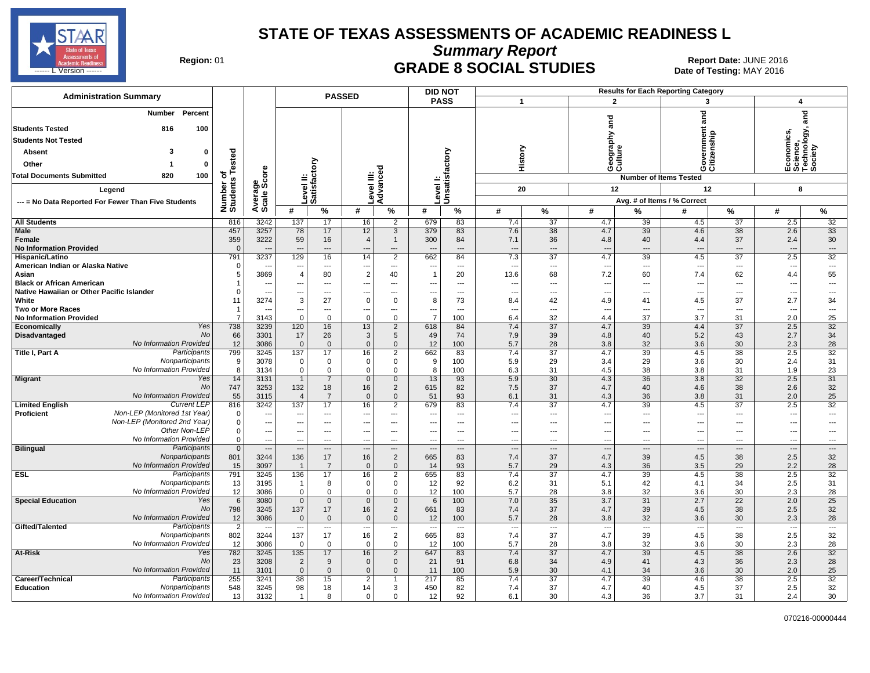

**Summary Report**

Region: 01 **Region: 01 CRADE 8 SOCIAL STUDIES Report Date: JUNE 2016 Report Date: JUNE 2016** المستقال المستقال المستقال المستقال المستقال المستقال المستقال المستقال المستقال المستقال المستقال المستقال ال<br>المستقال المستقال المستقال المستقال المستقال المستقال المستقال المستقال المستقال المستقال المستقال المستقال ال

| <b>Administration Summary</b>                               |                       |                                  |                                 |                                | <b>PASSED</b>              |                                            |                          | <b>DID NOT</b><br><b>Results for Each Reporting Category</b> |              |                                |                                 |                                |                                 |                                |                                                               |                              |
|-------------------------------------------------------------|-----------------------|----------------------------------|---------------------------------|--------------------------------|----------------------------|--------------------------------------------|--------------------------|--------------------------------------------------------------|--------------|--------------------------------|---------------------------------|--------------------------------|---------------------------------|--------------------------------|---------------------------------------------------------------|------------------------------|
|                                                             |                       |                                  |                                 |                                |                            |                                            |                          | <b>PASS</b>                                                  | $\mathbf{1}$ |                                | $\overline{2}$                  |                                | 3                               |                                | 4                                                             |                              |
| Percent<br>Number<br><b>Students Tested</b><br>816<br>100   |                       |                                  |                                 |                                |                            |                                            |                          |                                                              |              |                                | and                             |                                | and                             |                                |                                                               | ក្ត<br>ត                     |
| <b>Students Not Tested</b>                                  |                       |                                  |                                 |                                |                            |                                            |                          |                                                              |              |                                |                                 |                                |                                 |                                |                                                               |                              |
| з<br><b>Absent</b><br>$\Omega$                              |                       |                                  |                                 |                                |                            |                                            |                          |                                                              |              |                                | Geography<br>Culture            |                                | vernment                        | itizenship                     | Economics,<br>Science,<br>Technology, <sub>•</sub><br>Society |                              |
| $\Omega$                                                    | ested                 |                                  |                                 |                                |                            |                                            |                          |                                                              | History      |                                |                                 |                                |                                 |                                |                                                               |                              |
| Other                                                       |                       |                                  |                                 |                                |                            |                                            |                          |                                                              |              |                                |                                 |                                | ပ ပ                             |                                |                                                               |                              |
| <b>Total Documents Submitted</b><br>820<br>100              | ৳                     |                                  |                                 |                                |                            |                                            |                          |                                                              |              |                                |                                 |                                | <b>Number of Items Tested</b>   |                                |                                                               |                              |
| Legend                                                      |                       |                                  |                                 |                                |                            |                                            |                          | Unsatisfactory                                               | 20           |                                | 12                              |                                | 12                              |                                | 8                                                             |                              |
| --- = No Data Reported For Fewer Than Five Students         | Number<br>Students    | Average<br>Scale Score           | Level II:<br>Satisfactory       |                                | Level III:<br>Advanced     |                                            | Level I:                 |                                                              |              |                                |                                 |                                | Avg. # of Items / % Correct     |                                |                                                               |                              |
|                                                             |                       |                                  | #                               | %                              | #                          | %                                          | #                        | %                                                            | #            | $\%$                           | #                               | $\%$                           | #                               | $\%$                           | #                                                             | %                            |
| <b>All Students</b>                                         | 816                   | 3242                             | 137                             | 17                             | 16                         | 2                                          | 679                      | 83                                                           | 7.4          | 37                             | 4.7                             | 39                             | 4.5                             | 37                             | 2.5                                                           | 32                           |
| Male                                                        | 457                   | 3257                             | 78                              | 17                             | 12                         | $\mathbf{3}$                               | 379                      | 83                                                           | 7.6          | 38                             | 4.7                             | 39                             | 4.6                             | 38                             | 2.6                                                           | 33                           |
| Female                                                      | 359                   | 3222                             | 59                              | 16                             | $\overline{4}$             | $\overline{1}$                             | 300                      | 84                                                           | 7.1          | 36                             | 4.8                             | 40                             | 4.4                             | 37                             | 2.4                                                           | 30                           |
| <b>No Information Provided</b>                              | $\Omega$              |                                  |                                 | $\overline{a}$                 |                            | $\overline{\phantom{a}}$                   |                          | $\overline{a}$                                               | ---          | $\overline{a}$                 | $---$                           | $\overline{a}$                 |                                 | $\overline{\phantom{a}}$       | $\overline{a}$                                                | $\overline{a}$               |
| Hispanic/Latino<br>American Indian or Alaska Native         | 791<br>$\Omega$       | 3237                             | 129                             | 16                             | 14                         | 2<br>---                                   | 662                      | 84                                                           | 7.3          | 37                             | 4.7                             | 39<br>$\overline{a}$           | 4.5                             | 37<br>---                      | 2.5                                                           | 32                           |
| Asian                                                       | 5                     | 3869                             | $\overline{4}$                  | $\qquad \qquad \cdots$<br>80   | $\overline{2}$             | 40                                         | $\overline{1}$           | $\scriptstyle\cdots$<br>20                                   | ---<br>13.6  | ---<br>68                      | $\overline{\phantom{a}}$<br>7.2 | 60                             | $\sim$<br>7.4                   | 62                             | ---<br>4.4                                                    | $\qquad \qquad \cdots$<br>55 |
| <b>Black or African American</b>                            |                       |                                  |                                 | ---                            |                            | $\overline{\phantom{a}}$                   |                          | $\sim$                                                       | ---          | $\overline{\phantom{a}}$       | --                              | $\overline{a}$                 |                                 | $\overline{\phantom{a}}$       | …                                                             | ---                          |
| Native Hawaiian or Other Pacific Islander                   |                       | $\overline{\phantom{a}}$         | ---                             | $\overline{a}$                 |                            | $\overline{a}$                             |                          | $\sim$                                                       | −−           | ---                            | --                              | $\overline{a}$                 | --                              | $\overline{\phantom{a}}$       | $\overline{\phantom{a}}$                                      | ---                          |
| White                                                       | 11                    | 3274                             | 3                               | 27                             | $\Omega$                   | $\mathbf 0$                                | 8                        | 73                                                           | 8.4          | 42                             | 4.9                             | 41                             | 4.5                             | 37                             | 2.7                                                           | 34                           |
| <b>Two or More Races</b>                                    | -1                    | $\overline{\phantom{a}}$         | ---                             | ---                            |                            | ---                                        |                          | $\overline{\phantom{a}}$                                     | ---          | ---                            | $\overline{\phantom{a}}$        | $\overline{a}$                 | $\overline{a}$                  | ---                            | ---                                                           | ---                          |
| <b>No Information Provided</b><br>Yes                       | $\overline{7}$        | 3143                             | $\Omega$                        | $\mathbf 0$                    | $\Omega$                   | $\mathbf 0$                                | $\overline{7}$           | 100                                                          | 6.4          | 32<br>$\overline{37}$          | 4.4                             | 37<br>39                       | 3.7                             | 31<br>$\overline{37}$          | 2.0                                                           | 25                           |
| Economically<br><b>No</b><br>Disadvantaged                  | 738<br>66             | 3239<br>3301                     | 120<br>17                       | 16<br>26                       | 13<br>3                    | $\overline{2}$<br>5                        | 618<br>49                | 84<br>74                                                     | 7.4<br>7.9   | 39                             | 4.7<br>4.8                      | 40                             | 4.4<br>5.2                      | 43                             | 2.5<br>2.7                                                    | 32<br>34                     |
| No Information Provided                                     | 12                    | 3086                             | $\Omega$                        | $\mathbf{0}$                   | $\mathbf{0}$               | $\mathbf{0}$                               | 12                       | 100                                                          | 5.7          | 28                             | 3.8                             | 32                             | 3.6                             | 30                             | 2.3                                                           | 28                           |
| Participants<br>Title I, Part A                             | 799                   | 3245                             | 137                             | 17                             | 16                         | $\overline{2}$                             | 662                      | 83                                                           | 7.4          | $\overline{37}$                | 4.7                             | 39                             | 4.5                             | 38                             | 2.5                                                           | 32                           |
| Nonparticipants                                             | 9                     | 3078                             | 0                               | $\mathbf 0$                    | 0                          | $\mathbf 0$                                | 9                        | 100                                                          | 5.9          | 29                             | 3.4                             | 29                             | 3.6                             | 30                             | 2.4                                                           | 31                           |
| No Information Provided                                     | 8                     | 3134                             | $\Omega$                        | $\mathbf 0$                    | $\mathbf 0$                | $\mathbf 0$                                | 8                        | 100                                                          | 6.3          | 31                             | 4.5                             | 38                             | 3.8                             | 31                             | 1.9                                                           | 23                           |
| <b>Migrant</b><br>Yes                                       | 14                    | 3131                             | $\overline{1}$                  | $\overline{7}$                 | $\mathbf 0$                | $\overline{0}$                             | 13                       | 93                                                           | 5.9          | 30                             | 4.3                             | 36                             | 3.8                             | 32                             | 2.5                                                           | 31                           |
| No<br>No Information Provided                               | 747<br>55             | 3253<br>3115                     | 132<br>$\overline{4}$           | 18<br>$\overline{7}$           | 16<br>$\Omega$             | $\overline{2}$<br>$\mathbf{0}$             | 615<br>51                | 82<br>93                                                     | 7.5<br>6.1   | 37<br>31                       | 4.7<br>4.3                      | 40<br>36                       | 4.6<br>3.8                      | 38<br>31                       | 2.6<br>2.0                                                    | 32<br>25                     |
| <b>Current LEP</b><br><b>Limited English</b>                | 816                   | 3242                             | 137                             | 17                             | 16                         | $\overline{2}$                             | 679                      | 83                                                           | 7.4          | 37                             | 4.7                             | 39                             | 4.5                             | 37                             | 2.5                                                           | 32                           |
| Non-LEP (Monitored 1st Year)<br>Proficient                  | $\Omega$              | $\overline{\phantom{a}}$         | ---                             | $\qquad \qquad \cdots$         | ---                        | $\qquad \qquad \cdots$                     |                          | $\scriptstyle\cdots$                                         | ---          | ---                            | ---                             | $\cdots$                       | ---                             | ---                            | $\overline{\phantom{a}}$                                      | $\qquad \qquad \cdots$       |
| Non-LEP (Monitored 2nd Year)                                | $\Omega$              | $\overline{\phantom{a}}$         |                                 | $\overline{a}$                 |                            | $---$                                      |                          | $---$                                                        | ---          | $\overline{a}$                 | $\sim$                          | $\overline{a}$                 | --                              | $\overline{\phantom{a}}$       | $\overline{\phantom{a}}$                                      | ---                          |
| Other Non-LEP                                               | $\Omega$              | $\hspace{0.05cm} \cdots$         |                                 | $\qquad \qquad \cdots$         | ---                        | ---                                        |                          | $\scriptstyle\cdots$                                         | ⊷            | ---                            | ---                             | $\overline{a}$                 | ---                             | ---                            | ---                                                           | ---                          |
| No Information Provided                                     | $\Omega$              | $\overline{\phantom{a}}$         |                                 | $\overline{a}$                 |                            | $\overline{a}$                             |                          | $\overline{\phantom{a}}$                                     | ---          | ---                            | $\overline{a}$                  | $\overline{a}$                 | $\overline{\phantom{a}}$        | $\overline{\phantom{a}}$       | ---                                                           | ---                          |
| <b>Bilingual</b><br>Participants<br>Nonparticipants         | $\overline{0}$<br>801 | $\overline{\phantom{a}}$<br>3244 | $\overline{\phantom{a}}$<br>136 | $\hspace{0.05cm} \ldots$<br>17 | 16                         | $\hspace{0.05cm} \ldots$<br>$\overline{2}$ | 665                      | $\hspace{0.05cm} \cdots$<br>83                               | <br>7.4      | $\overline{\phantom{a}}$<br>37 | $\overline{\phantom{a}}$<br>4.7 | $\hspace{0.05cm} \ldots$<br>39 | $\overline{\phantom{a}}$<br>4.5 | $\overline{\phantom{a}}$<br>38 | <br>2.5                                                       | $\cdots$<br>32               |
| No Information Provided                                     | 15                    | 3097                             |                                 | $\overline{7}$                 | $\overline{0}$             | $\mathbf 0$                                | 14                       | 93                                                           | 5.7          | 29                             | 4.3                             | 36                             | 3.5                             | 29                             | 2.2                                                           | 28                           |
| <b>ESL</b><br>Participants                                  | 791                   | 3245                             | 136                             | 17                             | 16                         | $\overline{2}$                             | 655                      | 83                                                           | 7.4          | 37                             | 4.7                             | 39                             | 4.5                             | 38                             | 2.5                                                           | 32                           |
| Nonparticipants                                             | 13                    | 3195                             | -1                              | 8                              | $\mathbf 0$                | $\overline{0}$                             | 12                       | 92                                                           | 6.2          | 31                             | 5.1                             | 42                             | 4.1                             | 34                             | 2.5                                                           | 31                           |
| No Information Provided                                     | 12                    | 3086                             | $\Omega$                        | $\mathbf{0}$                   | $\Omega$                   | $\overline{0}$                             | 12                       | 100                                                          | 5.7          | 28                             | 3.8                             | 32                             | 3.6                             | 30                             | 2.3                                                           | 28                           |
| Yes<br><b>Special Education</b>                             | 6                     | 3080                             | $\mathbf{0}$                    | $\overline{0}$                 | $\mathbf{0}$               | $\mathbf{0}$                               | 6                        | 100                                                          | 7.0          | 35                             | 3.7                             | 31                             | 2.7                             | 22                             | 2.0                                                           | 25                           |
| No<br>No Information Provided                               | 798<br>12             | 3245<br>3086                     | 137<br>$\mathbf{0}$             | 17<br>$\mathbf 0$              | 16<br>$\Omega$             | $\overline{2}$<br>$\mathbf 0$              | 661<br>12                | 83<br>100                                                    | 7.4<br>5.7   | 37<br>28                       | 4.7<br>3.8                      | 39<br>32                       | 4.5<br>3.6                      | 38<br>30                       | 2.5<br>2.3                                                    | 32<br>28                     |
| Gifted/Talented<br>Participants                             | $\overline{2}$        | $\overline{\phantom{a}}$         | ---                             | $\sim$                         | ---                        | $\overline{\phantom{a}}$                   | $\overline{\phantom{a}}$ | $\overline{\phantom{a}}$                                     | ---          | ---                            | ---                             | $\overline{a}$                 | $\overline{\phantom{a}}$        | $\overline{\phantom{a}}$       | $\overline{a}$                                                | $\overline{\phantom{a}}$     |
| Nonparticipants                                             | 802                   | 3244                             | 137                             | 17                             | 16                         | $\overline{2}$                             | 665                      | 83                                                           | 7.4          | 37                             | 4.7                             | 39                             | 4.5                             | 38                             | 2.5                                                           | 32                           |
| No Information Provided                                     | 12                    | 3086                             | $\Omega$                        | $\mathbf 0$                    | 0                          | $\mathbf 0$                                | 12                       | 100                                                          | 5.7          | 28                             | 3.8                             | 32                             | 3.6                             | 30                             | 2.3                                                           | 28                           |
| At-Risk<br>Yes                                              | 782                   | 3245                             | 135                             | 17                             | 16                         | $\overline{2}$                             | 647                      | 83                                                           | 7.4          | 37                             | 4.7                             | 39                             | 4.5                             | 38                             | 2.6                                                           | 32                           |
| <b>No</b>                                                   | 23                    | 3208                             | $\overline{2}$                  | 9                              | $\mathbf{0}$               | $\overline{0}$                             | 21                       | 91                                                           | 6.8          | 34                             | 4.9                             | 41                             | 4.3                             | 36                             | 2.3                                                           | 28                           |
| No Information Provided<br>Participants<br>Career/Technical | 11<br>255             | 3101<br>3241                     | $\Omega$<br>38                  | $\mathbf{0}$<br>15             | $\Omega$<br>$\overline{2}$ | $\mathbf{0}$                               | 11<br>217                | 100<br>85                                                    | 5.9<br>7.4   | 30<br>37                       | 4.1<br>4.7                      | 34<br>39                       | 3.6<br>4.6                      | 30<br>38                       | 2.0<br>2.5                                                    | 25<br>32                     |
| <b>Education</b><br>Nonparticipants                         | 548                   | 3245                             | 98                              | 18                             | 14                         | 3                                          | 450                      | 82                                                           | 7.4          | 37                             | 4.7                             | 40                             | 4.5                             | 37                             | 2.5                                                           | 32                           |
| No Information Provided                                     | 13                    | 3132                             | $\mathbf{1}$                    | 8                              | 0                          | $\mathbf 0$                                | 12                       | 92                                                           | 6.1          | 30                             | 4.3                             | 36                             | 3.7                             | 31                             | 2.4                                                           | 30                           |
|                                                             |                       |                                  |                                 |                                |                            |                                            |                          |                                                              |              |                                |                                 |                                |                                 |                                |                                                               |                              |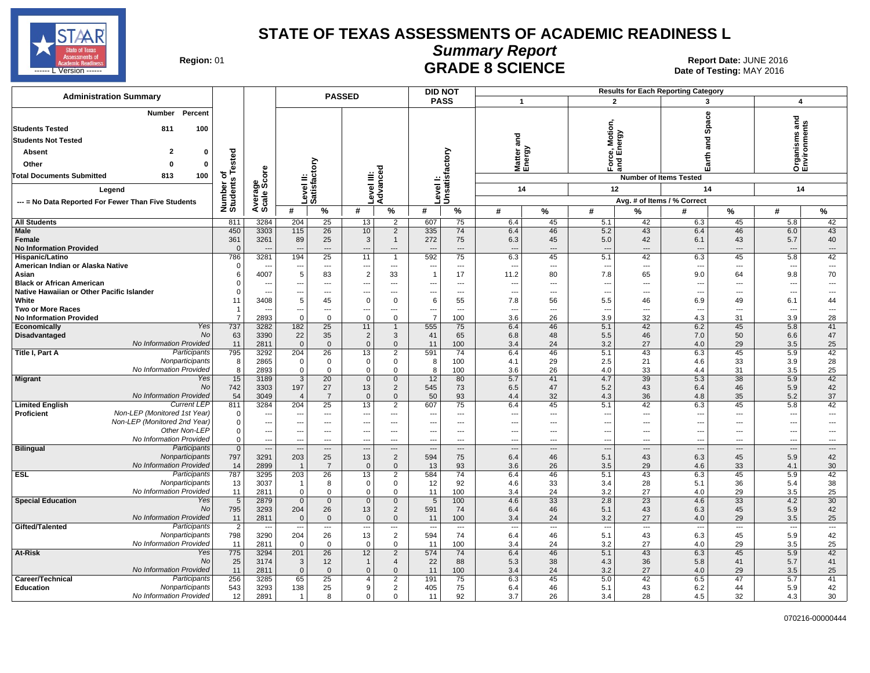

### **Summary Report**

**GRADE 8 SCIENCE Date: JUNE 2016 Date: JUNE 2016 Date: JUNE 2016 CRADE 8 SCIENCE** ------ L'Version ------ **Date of Testing:** MAY 2016

| <b>Administration Summary</b>                             |                       |                          |                                 |                                | <b>PASSED</b>                |                                |                                 | <b>Results for Each Reporting Category</b><br><b>DID NOT</b> |                          |                   |                                     |                                |                                 |                                |                                   |                |
|-----------------------------------------------------------|-----------------------|--------------------------|---------------------------------|--------------------------------|------------------------------|--------------------------------|---------------------------------|--------------------------------------------------------------|--------------------------|-------------------|-------------------------------------|--------------------------------|---------------------------------|--------------------------------|-----------------------------------|----------------|
|                                                           |                       |                          |                                 |                                |                              |                                |                                 | <b>PASS</b>                                                  | $\overline{1}$           |                   | $\overline{2}$                      |                                | 3                               |                                | $\overline{\mathbf{4}}$           |                |
| Percent<br>Number<br>100<br><b>Students Tested</b><br>811 |                       |                          |                                 |                                |                              |                                |                                 |                                                              |                          |                   | <b>Force, Motion,</b><br>Ind Energy |                                | Space                           |                                | ত<br>Organisms an<br>Environments |                |
| <b>Students Not Tested</b>                                |                       |                          |                                 |                                |                              |                                |                                 |                                                              | and                      |                   |                                     |                                | and                             |                                |                                   |                |
| 2<br><b>Absent</b><br>0                                   |                       |                          |                                 |                                |                              |                                |                                 |                                                              |                          |                   |                                     |                                |                                 |                                |                                   |                |
|                                                           | Tested                |                          |                                 |                                |                              |                                |                                 |                                                              |                          | latter a<br>nergy |                                     | 곁                              | Earth                           |                                |                                   |                |
| Other<br>$\Omega$                                         |                       |                          |                                 |                                |                              | ဥ                              |                                 |                                                              | ∑ ພັ                     |                   |                                     | $\mathfrak{m}$                 |                                 |                                |                                   |                |
| <b>Total Documents Submitted</b><br>813<br>100            | ৳                     |                          |                                 |                                |                              |                                |                                 |                                                              |                          |                   |                                     |                                | <b>Number of Items Tested</b>   |                                |                                   |                |
| Legend                                                    | Number of<br>Students |                          |                                 | Level II:<br>Satisfactory      | evel III:                    | Advanc                         | <b>Lieve</b>                    | Level I:<br>Unsatisfactory                                   |                          | 14                | 12                                  |                                | 14                              |                                | 14                                |                |
| --- = No Data Reported For Fewer Than Five Students       |                       |                          |                                 |                                |                              |                                |                                 |                                                              |                          |                   |                                     |                                | Avg. # of Items / % Correct     |                                |                                   |                |
|                                                           |                       | Average<br>Scale Score   | #                               | $\%$                           | #                            | %                              | #                               | $\%$                                                         | #                        | %                 | #                                   | %                              | #                               | $\%$                           | #                                 | %              |
| <b>All Students</b>                                       | 811                   | 3284                     | 204                             | 25                             | 13                           | 2                              | 607                             | 75                                                           | 6.4                      | 45                | 5.1                                 | 42                             | 6.3                             | 45                             | 5.8                               | 42             |
| <b>Male</b>                                               | 450                   | 3303                     | 115                             | 26                             | 10                           | $\overline{2}$                 | 335                             | 74                                                           | 6.4                      | 46                | 5.2                                 | 43                             | 6.4                             | 46                             | 6.0                               | 43             |
| Female                                                    | 361                   | 3261                     | 89                              | 25                             | 3                            | $\mathbf{1}$                   | 272                             | 75                                                           | 6.3                      | 45                | 5.0                                 | 42                             | 6.1                             | 43                             | 5.7                               | 40             |
| <b>No Information Provided</b>                            | $\Omega$              |                          | $\overline{a}$                  | $\overline{\phantom{a}}$       |                              | ---                            |                                 | $\overline{a}$                                               | $\overline{\phantom{a}}$ | ---               | $\overline{\phantom{a}}$            | $\overline{a}$                 |                                 | $\overline{\phantom{a}}$       | $\overline{a}$                    | $\overline{a}$ |
| Hispanic/Latino                                           | 786                   | 3281                     | 194                             | 25                             | 11                           | $\mathbf{1}$                   | 592                             | 75                                                           | 6.3                      | 45                | 5.1                                 | 42                             | 6.3                             | 45                             | 5.8                               | 42             |
| American Indian or Alaska Native<br>Asian                 | $\overline{0}$<br>6   | --<br>4007               | $\hspace{0.05cm} \cdots$<br>5   | $\overline{\phantom{a}}$<br>83 | ---<br>$\overline{2}$        | $\cdots$<br>33                 | -1                              | $---$<br>17                                                  | ---<br>11.2              | ---<br>80         | $\overline{\phantom{a}}$<br>7.8     | $\overline{a}$<br>65           | $\overline{\phantom{a}}$<br>9.0 | $---$<br>64                    | $\overline{\phantom{a}}$<br>9.8   | $\ldots$<br>70 |
| <b>Black or African American</b>                          | $\Omega$              |                          | ---                             | ---                            | ---                          | $\overline{\phantom{a}}$       |                                 | ---                                                          |                          | ---               | $\overline{\phantom{a}}$            | $---$                          |                                 | $\overline{a}$                 | $\overline{\phantom{a}}$          | ---            |
| Native Hawaiian or Other Pacific Islander                 | 0                     | ---                      | $\overline{a}$                  | $---$                          | $\overline{a}$               | $---$                          | ---                             | $\overline{a}$                                               | ---                      | ---               | $\overline{a}$                      | $---$                          | $\overline{\phantom{a}}$        | $\overline{a}$                 | $\overline{\phantom{a}}$          | $\overline{a}$ |
| White                                                     | 11                    | 3408                     | $\,$ 5 $\,$                     | 45                             | $\mathbf 0$                  | $\mathbf 0$                    | 6                               | 55                                                           | 7.8                      | 56                | 5.5                                 | 46                             | 6.9                             | 49                             | 6.1                               | 44             |
| <b>Two or More Races</b>                                  | $\overline{1}$        | ---                      | $\qquad \qquad -$               | $\overline{\phantom{a}}$       | $\hspace{0.05cm} \ldots$     | ---                            | ---                             | ---                                                          | --                       | ---               | $\overline{\phantom{a}}$            | $---$                          | ---                             | $---$                          | ---                               | ---            |
| <b>No Information Provided</b>                            | $\overline{7}$        | 2893                     | $\Omega$                        | $\mathbf 0$                    | $\Omega$                     | $\mathbf 0$                    | $\overline{7}$                  | 100                                                          | 3.6                      | 26                | 3.9                                 | 32                             | 4.3                             | 31                             | 3.9                               | 28             |
| Yes<br>Economically<br>No                                 | 737                   | 3282                     | 182                             | 25                             | 11                           | $\mathbf{1}$                   | 555                             | 75                                                           | 6.4                      | 46                | 5.1                                 | 42                             | 6.2                             | 45                             | 5.8                               | 41<br>47       |
| Disadvantaged<br>No Information Provided                  | 63<br>11              | 3390<br>2811             | 22<br>$\mathbf{0}$              | 35<br>$\mathbf{0}$             | $\overline{2}$<br>$\Omega$   | 3<br>$\mathbf{0}$              | 41<br>11                        | 65<br>100                                                    | 6.8<br>3.4               | 48<br>24          | 5.5<br>3.2                          | 46<br>27                       | 7.0<br>4.0                      | 50<br>29                       | 6.6<br>3.5                        | 25             |
| Participants<br>Title I, Part A                           | 795                   | 3292                     | 204                             | $\overline{26}$                | 13                           | $\overline{2}$                 | 591                             | 74                                                           | 6.4                      | 46                | 5.1                                 | 43                             | 6.3                             | 45                             | 5.9                               | 42             |
| Nonparticipants                                           | 8                     | 2865                     | $\mathbf 0$                     | $\mathbf 0$                    | $\mathbf 0$                  | $\mathbf 0$                    | 8                               | 100                                                          | 4.1                      | 29                | 2.5                                 | 21                             | 4.6                             | 33                             | 3.9                               | 28             |
| No Information Provided                                   | 8                     | 2893                     | $\mathbf 0$                     | $\mathbf 0$                    | $\mathbf 0$                  | 0                              | 8                               | 100                                                          | 3.6                      | 26                | 4.0                                 | 33                             | 4.4                             | 31                             | 3.5                               | 25             |
| Migrant<br>Yes                                            | 15                    | 3189                     | $\overline{3}$                  | 20                             | $\overline{0}$               | $\mathbf 0$                    | 12                              | 80                                                           | 5.7                      | 41                | 4.7                                 | $\overline{39}$                | 5.3                             | 38                             | 5.9                               | 42             |
| No<br>No Information Provided                             | 742                   | 3303                     | 197                             | 27                             | 13<br>$\mathbf{0}$           | $\overline{2}$                 | 545                             | 73                                                           | 6.5                      | 47                | 5.2                                 | 43                             | 6.4                             | 46                             | 5.9                               | 42             |
| <b>Current LEP</b><br><b>Limited English</b>              | 54<br>811             | 3049<br>3284             | $\overline{4}$<br>204           | $\overline{7}$<br>25           | 13                           | $\mathbf{0}$<br>$\overline{2}$ | 50<br>607                       | 93<br>75                                                     | 4.4<br>6.4               | 32<br>45          | 4.3<br>5.1                          | 36<br>42                       | 4.8<br>6.3                      | 35<br>45                       | 5.2<br>5.8                        | 37<br>42       |
| Non-LEP (Monitored 1st Year)<br>Proficient                | 0                     | ---                      | $\sim$                          | $---$                          | $\overline{a}$               | $\overline{\phantom{a}}$       |                                 | $---$                                                        | $\overline{a}$           | ---               | $\overline{a}$                      | $---$                          | --                              | $\overline{\phantom{a}}$       | ---                               | $\overline{a}$ |
| Non-LEP (Monitored 2nd Year)                              | 0                     | $\overline{\phantom{a}}$ | $- - -$                         | $---$                          | $---$                        | $---$                          | ---                             | $---$                                                        | ---                      | ---               | $---$                               | $---$                          | $\sim$                          | $\overline{\phantom{a}}$       | ---                               | $\overline{a}$ |
| Other Non-LEP                                             | 0                     | ---                      | $-$                             | $---$                          | $---$                        | $---$                          |                                 | $---$                                                        | ---                      | ---               | $---$                               | $---$                          | ---                             | $\overline{\phantom{a}}$       | ---                               | ---            |
| No Information Provided                                   | 0                     | $\overline{\phantom{a}}$ | $- - -$                         | $---$                          | $---$                        | $---$                          | ---                             | $---$                                                        | ---                      | ---               | $---$                               | $---$                          | $\sim$                          | $-$                            | $\overline{a}$                    | $\cdots$       |
| <b>Bilingual</b><br>Participants                          | $\mathbf 0$           | ---                      | $---$                           | $---$                          | $\overline{a}$               | $---$                          |                                 | $---$                                                        | ---                      | ---               | $\overline{a}$                      | $\overline{a}$                 | $\sim$                          | $---$                          | $\overline{a}$                    | $\overline{a}$ |
| Nonparticipants<br>No Information Provided                | 797<br>14             | 3291<br>2899             | 203<br>$\overline{1}$           | 25<br>$\overline{7}$           | 13<br>$\mathbf 0$            | $\overline{2}$<br>$\mathbf{0}$ | 594<br>13                       | 75<br>93                                                     | 6.4<br>3.6               | 46<br>26          | 5.1<br>3.5                          | 43<br>29                       | 6.3<br>4.6                      | 45<br>33                       | 5.9<br>4.1                        | 42<br>30       |
| <b>ESL</b><br>Participants                                | 787                   | 3295                     | 203                             | 26                             | 13                           | $\overline{2}$                 | 584                             | 74                                                           | 6.4                      | 46                | 5.1                                 | 43                             | 6.3                             | 45                             | 5.9                               | 42             |
| Nonparticipants                                           | 13                    | 3037                     | $\overline{1}$                  | 8                              | $\mathsf 0$                  | 0                              | 12                              | 92                                                           | 4.6                      | 33                | 3.4                                 | 28                             | 5.1                             | 36                             | 5.4                               | 38             |
| No Information Provided                                   | 11                    | 2811                     | $\Omega$                        | $\mathbf 0$                    | $\mathbf 0$                  | $\mathbf 0$                    | 11                              | 100                                                          | 3.4                      | 24                | 3.2                                 | 27                             | 4.0                             | 29                             | 3.5                               | 25             |
| Yes<br><b>Special Education</b>                           | 5                     | 2879                     | $\Omega$                        | $\mathbf 0$                    | $\overline{0}$               | $\mathbf 0$                    | 5                               | 100                                                          | 4.6                      | 33                | 2.8                                 | 23                             | 4.6                             | 33                             | 4.2                               | 30             |
| No                                                        | 795                   | 3293                     | 204                             | 26                             | 13                           | $\overline{2}$                 | 591                             | 74                                                           | 6.4                      | 46                | 5.1                                 | 43                             | 6.3                             | 45                             | 5.9                               | 42             |
| No Information Provided                                   | 11                    | 2811                     | $\mathbf 0$                     | $\mathbf 0$                    | $\mathbf{0}$                 | $\mathbf 0$                    | 11                              | 100                                                          | 3.4                      | 24                | 3.2                                 | 27                             | 4.0<br>$\overline{\phantom{a}}$ | 29                             | 3.5                               | 25             |
| Gifted/Talented<br>Participants<br>Nonparticipants        | $\overline{2}$<br>798 | ÷.,<br>3290              | $\overline{\phantom{a}}$<br>204 | ---<br>26                      | $\qquad \qquad \cdots$<br>13 | ---<br>$\overline{2}$          | $\overline{\phantom{a}}$<br>594 | $\overline{\phantom{a}}$<br>74                               | ---<br>6.4               | ---<br>46         | $\overline{\phantom{a}}$<br>5.1     | $\overline{\phantom{a}}$<br>43 | 6.3                             | $\overline{\phantom{a}}$<br>45 | ---<br>5.9                        | ---<br>42      |
| No Information Provided                                   | 11                    | 2811                     | $\Omega$                        | $\Omega$                       | $\Omega$                     | 0                              | 11                              | 100                                                          | 3.4                      | 24                | 3.2                                 | 27                             | 4.0                             | 29                             | 3.5                               | 25             |
| At-Risk<br>Yes                                            | 775                   | 3294                     | 201                             | 26                             | 12                           | $\overline{2}$                 | 574                             | 74                                                           | 6.4                      | 46                | 5.1                                 | 43                             | 6.3                             | 45                             | 5.9                               | 42             |
| No                                                        | 25                    | 3174                     | 3                               | 12                             | $\mathbf{1}$                 | $\overline{4}$                 | 22                              | 88                                                           | 5.3                      | 38                | 4.3                                 | 36                             | 5.8                             | 41                             | 5.7                               | 41             |
| <b>No Information Provided</b>                            | 11                    | 2811                     | $\mathbf{0}$                    | $\Omega$                       | $\Omega$                     | $\Omega$                       | 11                              | 100                                                          | 3.4                      | 24                | 3.2                                 | 27                             | 4.0                             | 29                             | 3.5                               | 25             |
| Participants<br>Career/Technical                          | 256                   | 3285                     | 65                              | 25                             | $\overline{4}$               | $\overline{2}$                 | 191                             | 75                                                           | 6.3                      | 45                | 5.0                                 | 42                             | 6.5                             | 47                             | 5.7                               | 41             |
| Education<br>Nonparticipants<br>No Information Provided   | 543                   | 3293<br>2891             | 138<br>$\mathbf{1}$             | 25<br>8                        | 9<br>$\mathbf 0$             | $\overline{2}$<br>$\Omega$     | 405                             | 75<br>92                                                     | 6.4                      | 46                | 5.1                                 | 43                             | 6.2                             | 44                             | 5.9                               | 42             |
|                                                           | 12                    |                          |                                 |                                |                              |                                | 11                              |                                                              | 3.7                      | 26                | 3.4                                 | 28                             | 4.5                             | 32                             | 4.3                               | 30             |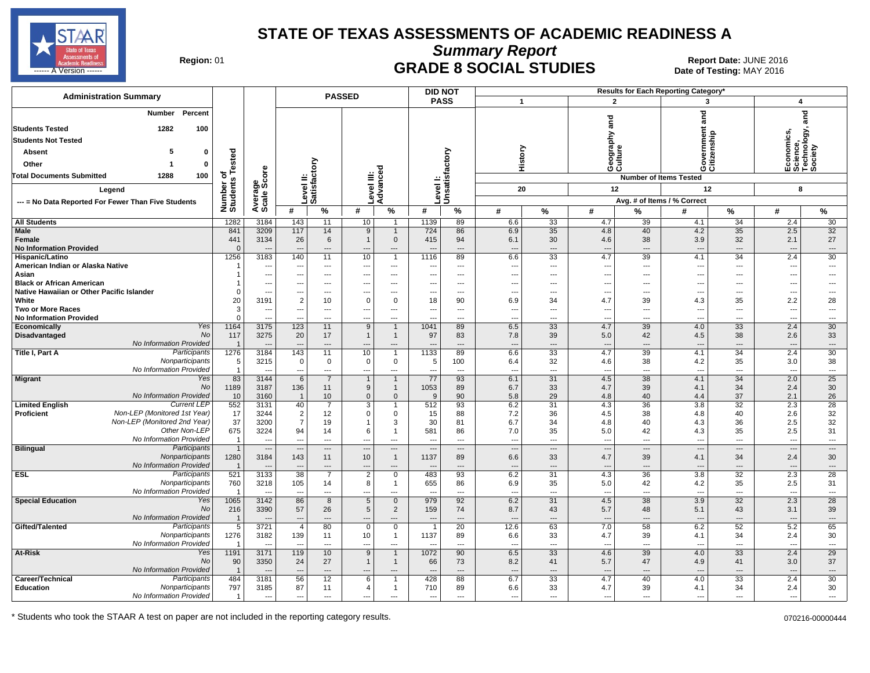

**Summary Report**

Region: 01 **Region: 01 CRADE 8 SOCIAL STUDIES Report Date: JUNE 2016 Report Date: JUNE 2016** المستقال المستقال المستقال المستقال المستقال المستقال المستقال المستقال المستقال المستقال المستقال المستقال ال<br>المستقال المستقال المستقال المستقال المستقال المستقال المستقال المستقال المستقال المستقال المستقال المستقال ال

| <b>Administration Summary</b>                                                 |                        |                                                      |                                       |                                   | <b>PASSED</b>     |                                    |                                 | <b>DID NOT</b><br>Results for Each Reporting Category' |                                        |                              |                                 |                            |                                 |                                      |                                                               |                                |
|-------------------------------------------------------------------------------|------------------------|------------------------------------------------------|---------------------------------------|-----------------------------------|-------------------|------------------------------------|---------------------------------|--------------------------------------------------------|----------------------------------------|------------------------------|---------------------------------|----------------------------|---------------------------------|--------------------------------------|---------------------------------------------------------------|--------------------------------|
|                                                                               |                        |                                                      |                                       |                                   |                   |                                    |                                 | <b>PASS</b>                                            | $\overline{1}$                         |                              |                                 | $\overline{2}$             | 3                               |                                      | 4                                                             |                                |
| Percent<br><b>Number</b><br><b>Students Tested</b><br>1282<br>100             |                        |                                                      |                                       |                                   |                   |                                    |                                 |                                                        |                                        |                              | and                             |                            | and                             |                                      | Economics,<br>Science,<br>Technology, <sub>i</sub><br>Society | ក្ត<br>ត                       |
| <b>Students Not Tested</b>                                                    |                        |                                                      |                                       |                                   |                   |                                    |                                 |                                                        |                                        |                              |                                 |                            |                                 |                                      |                                                               |                                |
| Absent<br>0                                                                   |                        |                                                      |                                       |                                   |                   |                                    |                                 |                                                        |                                        |                              | Geography<br>Culture            |                            |                                 | enship                               |                                                               |                                |
| Other<br>0                                                                    | ested                  |                                                      |                                       |                                   |                   |                                    |                                 |                                                        |                                        | History                      |                                 |                            | Gove<br>Citize                  |                                      |                                                               |                                |
|                                                                               |                        |                                                      |                                       |                                   |                   |                                    |                                 |                                                        |                                        |                              |                                 |                            |                                 |                                      |                                                               |                                |
| Total Documents Submitted<br>1288<br>100                                      | ৳                      |                                                      |                                       |                                   |                   |                                    |                                 |                                                        |                                        |                              |                                 |                            | <b>Number of Items Tested</b>   |                                      |                                                               |                                |
| Legend                                                                        | Number o<br>Students   | Average<br>Scale Score                               |                                       | Level II:<br>Satisfactory         |                   | Level III:<br>Advanced             |                                 | Level I:<br>Unsatisfactory                             | 20                                     |                              |                                 | 12                         | 12                              |                                      | 8                                                             |                                |
| --- = No Data Reported For Fewer Than Five Students                           |                        |                                                      |                                       |                                   |                   |                                    |                                 |                                                        |                                        |                              |                                 |                            | Avg. # of Items / % Correct     |                                      |                                                               |                                |
|                                                                               |                        |                                                      | #                                     | $\%$                              | #                 | %                                  | #                               | %                                                      | #                                      | ℅                            | #                               | %                          | #                               | $\%$                                 | #                                                             | %                              |
| <b>All Students</b>                                                           | 1282                   | 3184                                                 | 143                                   | 11                                | 10                | $\overline{1}$                     | 1139                            | 89                                                     | 6.6                                    | 33                           | 4.7                             | 39                         | 4.1                             | 34                                   | 2.4                                                           | 30                             |
| <b>Male</b><br><b>Female</b><br><b>No Information Provided</b>                | 841<br>441<br>$\Omega$ | 3209<br>3134<br>---                                  | 117<br>26<br>$\overline{\phantom{a}}$ | 14<br>6<br>---                    | 9<br>$\mathbf{1}$ | $\mathbf 1$<br>$\mathbf{0}$<br>--- | 724<br>415                      | 86<br>94<br>$\overline{a}$                             | 6.9<br>6.1<br>$\overline{\phantom{a}}$ | $\overline{35}$<br>30<br>--- | 4.8<br>4.6<br>$\overline{a}$    | 40<br>38<br>$\overline{a}$ | 4.2<br>3.9                      | 35<br>32<br>$\overline{\phantom{a}}$ | 2.5<br>2.1<br>$\overline{a}$                                  | 32<br>27<br>---                |
| Hispanic/Latino                                                               | 1256                   | 3183                                                 | 140                                   | 11                                | 10                | $\overline{1}$                     | 1116                            | 89                                                     | 6.6                                    | 33                           | 4.7                             | 39                         | 4.1                             | 34                                   | 2.4                                                           | 30                             |
| American Indian or Alaska Native                                              |                        | ---                                                  | $\sim$                                | $---$                             | ---               | $---$                              |                                 | $---$                                                  | ---                                    | ---                          | $---$                           | $---$                      | ---                             | $\sim$                               | $\overline{a}$                                                | $\overline{a}$                 |
| Asian                                                                         |                        | $\overline{\phantom{a}}$                             | ---                                   | $---$                             | ---               | $\cdots$                           | ---                             | $---$                                                  | ---                                    | ---                          | ---                             | $---$                      | ---                             | $\overline{\phantom{a}}$             | $\overline{a}$                                                | ---                            |
| <b>Black or African American</b><br>Native Hawaiian or Other Pacific Islander |                        | $\overline{\phantom{a}}$<br>$\overline{\phantom{a}}$ | $---$<br>---                          | $---$<br>$\overline{\phantom{a}}$ | ---<br>---        | $---$<br>$\overline{\phantom{a}}$  | ---                             | $---$<br>$\overline{\phantom{a}}$                      | ---<br>---                             | ---<br>---                   | $---$<br>---                    | $---$<br>$\overline{a}$    | $- - -$<br>---                  | $\sim$<br>$\overline{\phantom{a}}$   | ---<br>---                                                    | ---<br>---                     |
| White                                                                         | 20                     | 3191                                                 | $\overline{2}$                        | 10                                | 0                 | $\overline{0}$                     | 18                              | 90                                                     | 6.9                                    | 34                           | 4.7                             | 39                         | 4.3                             | 35                                   | 2.2                                                           | 28                             |
| <b>Two or More Races</b>                                                      | 3                      | ---                                                  | ---                                   | $\qquad \qquad \cdots$            |                   | $\cdots$                           |                                 | $---$                                                  | ---                                    | ---                          | ---                             | $\overline{a}$             |                                 | ---                                  | ---                                                           | ---                            |
| <b>No Information Provided</b>                                                | $\Omega$               | ---                                                  | ---                                   | ---                               | ---               | ---                                |                                 | $---$                                                  | $\overline{\phantom{a}}$               | ---                          | $\overline{a}$                  | $---$                      | ---                             | $\overline{\phantom{a}}$             | $\overline{\phantom{a}}$                                      | ---                            |
| Yes<br>Economically<br><b>No</b>                                              | 1164                   | 3175                                                 | 123                                   | 11                                | 9                 | $\overline{1}$                     | 1041                            | 89                                                     | 6.5                                    | 33                           | 4.7                             | 39                         | 4.0                             | 33                                   | 2.4                                                           | 30                             |
| Disadvantaged<br>No Information Provided                                      | 117<br>$\overline{1}$  | 3275<br>---                                          | 20<br>$\overline{\phantom{a}}$        | 17<br>$\hspace{1.5cm} \dots$      | $\mathbf{1}$      | $\overline{1}$<br>$\cdots$         | 97                              | 83<br>$\overline{a}$                                   | 7.8<br>---                             | 39<br>---                    | 5.0<br>$\overline{\phantom{a}}$ | 42<br>$---$                | 4.5<br>$\sim$                   | 38<br>---                            | 2.6<br>$\overline{a}$                                         | 33<br>$\qquad \qquad \cdots$   |
| Participants<br>Title I, Part A                                               | 1276                   | 3184                                                 | 143                                   | 11                                | 10                | $\overline{1}$                     | 1133                            | 89                                                     | 6.6                                    | 33                           | 4.7                             | 39                         | 4.1                             | 34                                   | 2.4                                                           | 30                             |
| Nonparticipants                                                               | 5                      | 3215                                                 | $\mathbf 0$                           | 0                                 | 0                 | $\mathbf 0$                        | 5                               | 100                                                    | 6.4                                    | 32                           | 4.6                             | 38                         | 4.2                             | 35                                   | 3.0                                                           | 38                             |
| No Information Provided                                                       | $\overline{1}$         | $\sim$                                               | $\overline{a}$                        | $\overline{\phantom{a}}$          | ---               | ---                                | $\overline{a}$                  | $\sim$                                                 | ---                                    | $\overline{\phantom{a}}$     | $\overline{a}$                  | $\sim$                     | $\overline{\phantom{a}}$        | $\sim$                               | $\overline{a}$                                                | $\overline{a}$                 |
| Migrant<br>Yes<br><b>No</b>                                                   | 83<br>1189             | 3144<br>3187                                         | 6<br>136                              | $\overline{7}$<br>11              | $\mathbf{1}$<br>9 | $\mathbf 1$<br>$\mathbf{1}$        | 77<br>1053                      | 93<br>89                                               | 6.1<br>6.7                             | 31<br>33                     | 4.5<br>4.7                      | $\overline{38}$<br>39      | 4.1<br>4.1                      | 34<br>34                             | 2.0<br>2.4                                                    | 25<br>30                       |
| No Information Provided                                                       | 10                     | 3160                                                 | $\overline{1}$                        | 10 <sup>1</sup>                   | $\mathbf 0$       | $\mathbf 0$                        | 9                               | 90                                                     | 5.8                                    | 29                           | 4.8                             | 40                         | 4.4                             | 37                                   | 2.1                                                           | 26                             |
| <b>Limited English</b><br><b>Current LEP</b>                                  | 552                    | 3131                                                 | 40                                    | $\overline{7}$                    | 3                 | $\overline{1}$                     | 512                             | 93                                                     | 6.2                                    | 31                           | 4.3                             | 36                         | 3.8                             | 32                                   | 2.3                                                           | 28                             |
| Non-LEP (Monitored 1st Year)<br><b>Proficient</b>                             | 17                     | 3244                                                 | $\overline{2}$                        | 12                                | $\mathbf 0$       | $\mathbf{0}$                       | 15                              | 88                                                     | 7.2                                    | 36                           | 4.5                             | 38                         | 4.8                             | 40                                   | 2.6                                                           | 32                             |
| Non-LEP (Monitored 2nd Year)                                                  | 37                     | 3200                                                 | $\overline{7}$                        | 19                                | $\mathbf{1}$      | 3                                  | 30                              | 81                                                     | 6.7                                    | 34                           | 4.8                             | 40                         | 4.3                             | 36                                   | 2.5                                                           | 32                             |
| Other Non-LEP<br>No Information Provided                                      | 675<br>$\overline{1}$  | 3224<br>$\overline{\phantom{a}}$                     | 94<br>$\overline{a}$                  | 14<br>$\overline{a}$              | 6<br>---          | $\overline{1}$<br>$\overline{a}$   | 581<br>$\overline{\phantom{a}}$ | 86<br>$\overline{a}$                                   | 7.0<br>$\overline{\phantom{a}}$        | 35<br>---                    | 5.0<br>$\overline{a}$           | 42<br>$\overline{a}$       | 4.3<br>$\overline{\phantom{a}}$ | 35<br>$\overline{\phantom{a}}$       | 2.5<br>$\overline{\phantom{a}}$                               | 31<br>$\hspace{0.05cm} \ldots$ |
| <b>Bilingual</b><br>Participants                                              | $\overline{1}$         | $\overline{\phantom{a}}$                             | $\sim$                                | $---$                             |                   | $\cdots$                           |                                 | $\overline{\phantom{a}}$                               | $\overline{\phantom{a}}$               | $\overline{a}$               | $\overline{\phantom{a}}$        | $\qquad \qquad \cdots$     |                                 | $\overline{\phantom{a}}$             | ---                                                           | $\qquad \qquad \cdots$         |
| Nonparticipants                                                               | 1280                   | 3184                                                 | 143                                   | 11                                | 10                | $\overline{1}$                     | 1137                            | 89                                                     | 6.6                                    | 33                           | 4.7                             | 39                         | 4.1                             | 34                                   | 2.4                                                           | 30                             |
| No Information Provided                                                       | $\overline{1}$         |                                                      |                                       | ---                               |                   | ---                                |                                 | $\overline{a}$                                         | $\overline{a}$                         | ---                          | $\overline{a}$                  | $\overline{a}$             |                                 | $\overline{\phantom{a}}$             | ---                                                           | $\overline{\phantom{a}}$       |
| Participants<br><b>ESL</b>                                                    | 521                    | 3133                                                 | 38                                    | $\overline{7}$                    | $\overline{2}$    | $\mathbf 0$                        | 483                             | 93                                                     | 6.2                                    | 31                           | 4.3                             | 36                         | 3.8                             | 32                                   | 2.3                                                           | 28                             |
| Nonparticipants<br>No Information Provided                                    | 760                    | 3218<br>$\sim$                                       | 105<br>$\sim$                         | 14<br>$---$                       | 8<br>---          | $\overline{1}$<br>$---$            | 655                             | 86<br>$\overline{\phantom{a}}$                         | 6.9<br>---                             | 35<br>---                    | 5.0<br>$\overline{a}$           | 42<br>$\overline{a}$       | 4.2<br>$\overline{\phantom{a}}$ | 35<br>$\overline{\phantom{a}}$       | 2.5<br>$\overline{a}$                                         | 31<br>$---$                    |
| <b>Special Education</b><br>Yes                                               | 1065                   | 3142                                                 | 86                                    | 8                                 | 5                 | $\overline{0}$                     | 979                             | 92                                                     | 6.2                                    | 31                           | 4.5                             | 38                         | 3.9                             | 32                                   | 2.3                                                           | 28                             |
| No                                                                            | 216                    | 3390                                                 | 57                                    | 26                                | 5                 | $\overline{2}$                     | 159                             | 74                                                     | 8.7                                    | 43                           | 5.7                             | 48                         | 5.1                             | 43                                   | 3.1                                                           | 39                             |
| No Information Provided                                                       | $\overline{1}$         |                                                      | ---                                   | ---                               |                   | $\overline{a}$                     |                                 |                                                        | $\overline{\phantom{a}}$               | ---                          | $\overline{a}$                  | $\overline{a}$             |                                 | $\overline{\phantom{a}}$             | ---                                                           | $\qquad \qquad \cdots$         |
| Gifted/Talented<br>Participants                                               | 5                      | 3721                                                 | 4                                     | 80                                | $\mathbf{0}$      | $\overline{0}$                     | -1                              | 20                                                     | 12.6                                   | 63                           | 7.0                             | 58                         | 6.2                             | 52                                   | 5.2                                                           | 65                             |
| Nonparticipants<br>No Information Provided                                    | 1276<br>$\overline{1}$ | 3182                                                 | 139<br>$\overline{\phantom{a}}$       | 11<br>$\overline{a}$              | 10<br>---         | $\overline{1}$<br>---              | 1137                            | 89<br>$\overline{a}$                                   | 6.6<br>---                             | 33<br>---                    | 4.7<br>---                      | 39<br>$\overline{a}$       | 4.1                             | 34<br>$\overline{\phantom{a}}$       | 2.4<br>$\overline{a}$                                         | 30<br>---                      |
| Yes<br>At-Risk                                                                | 1191                   | 3171                                                 | 119                                   | 10                                | 9                 | $\overline{1}$                     | 1072                            | 90                                                     | 6.5                                    | 33                           | 4.6                             | 39                         | 4.0                             | 33                                   | 2.4                                                           | 29                             |
| <b>No</b>                                                                     | 90                     | 3350                                                 | 24                                    | 27                                | $\mathbf{1}$      | $\mathbf{1}$                       | 66                              | 73                                                     | 8.2                                    | 41                           | 5.7                             | 47                         | 4.9                             | 41                                   | 3.0                                                           | 37                             |
| No Information Provided                                                       | $\overline{1}$         | $\overline{\phantom{a}}$                             | ---                                   | $---$                             |                   | $---$                              |                                 | $---$                                                  | ---                                    | ---                          | $---$                           | $---$                      |                                 | $---$                                | $\overline{a}$                                                | $\overline{\phantom{a}}$       |
| Career/Technical<br>Participants                                              | 484                    | 3181                                                 | 56                                    | 12                                | 6                 | $\overline{1}$                     | 428                             | 88                                                     | 6.7                                    | 33                           | 4.7                             | 40                         | 4.0                             | 33                                   | 2.4                                                           | 30                             |
| Education<br>Nonparticipants                                                  | 797                    | 3185                                                 | 87                                    | 11                                | 4                 | $\mathbf{1}$                       | 710                             | 89                                                     | 6.6                                    | 33                           | 4.7                             | 39                         | 4.1                             | 34                                   | 2.4                                                           | 30                             |
| No Information Provided                                                       | $\mathbf{1}$           | $\overline{\phantom{a}}$                             | ---                                   | $---$                             | ---               | $\overline{a}$                     | ---                             | $\overline{a}$                                         | $\overline{\phantom{a}}$               | ---                          | $---$                           | $\overline{a}$             | ---                             | $\overline{\phantom{a}}$             | $\overline{\phantom{a}}$                                      | ---                            |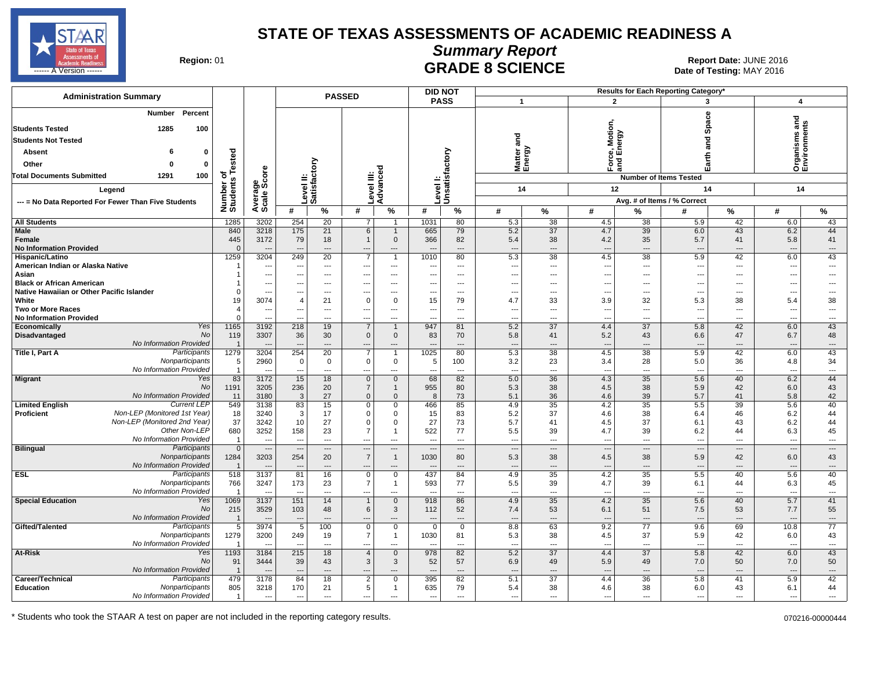

### **Summary Report**

**GRADE 8 SCIENCE Date: JUNE 2016 Date: JUNE 2016 Date: JUNE 2016 CRADE 8 SCIENCE** 

| <b>Administration Summary</b>                                                 |                            |                                          |                                 |                           | <b>PASSED</b>                    |                                    |                                 | <b>DID NOT</b><br>Results for Each Reporting Category' |                                                      |                                         |                                 |                                         |                               |                          |                                 |                                      |
|-------------------------------------------------------------------------------|----------------------------|------------------------------------------|---------------------------------|---------------------------|----------------------------------|------------------------------------|---------------------------------|--------------------------------------------------------|------------------------------------------------------|-----------------------------------------|---------------------------------|-----------------------------------------|-------------------------------|--------------------------|---------------------------------|--------------------------------------|
|                                                                               |                            |                                          |                                 |                           |                                  |                                    |                                 | <b>PASS</b>                                            |                                                      | $\mathbf{1}$                            |                                 | $\overline{2}$                          | 3                             |                          | 4                               |                                      |
| <b>Number</b><br>Percent<br><b>Students Tested</b><br>1285<br>100             |                            |                                          |                                 |                           |                                  |                                    |                                 |                                                        |                                                      |                                         | <b>Motion</b>                   |                                         |                               | Space                    | ъ<br>۴                          |                                      |
| <b>Students Not Tested</b>                                                    |                            |                                          |                                 |                           |                                  |                                    |                                 |                                                        | and                                                  |                                         |                                 | e, Moti<br>Energy                       |                               | ត<br>ត                   | Organisms<br>Environmen         |                                      |
| Absent                                                                        | 0                          |                                          |                                 |                           |                                  |                                    |                                 |                                                        |                                                      |                                         |                                 |                                         |                               |                          |                                 |                                      |
|                                                                               | ested                      |                                          |                                 |                           |                                  |                                    |                                 |                                                        |                                                      | Matter<br>Energy                        | š                               | ]                                       |                               | Earth                    |                                 |                                      |
| Other                                                                         | 0                          |                                          |                                 |                           |                                  |                                    |                                 |                                                        |                                                      |                                         |                                 |                                         |                               |                          |                                 |                                      |
| Total Documents Submitted<br>1291<br>100                                      | ৳                          | ge<br>Score                              |                                 |                           |                                  |                                    |                                 |                                                        |                                                      |                                         |                                 |                                         | <b>Number of Items Tested</b> |                          |                                 |                                      |
| Legend                                                                        | Number of<br>Students      |                                          |                                 | Level II:<br>Satisfactory | evel III:                        | Advanced                           |                                 | Level I:<br>Unsatisfactory                             |                                                      | 14                                      | 12                              |                                         |                               | 14                       | 14                              |                                      |
| --- = No Data Reported For Fewer Than Five Students                           |                            | Average<br>Scale 9                       |                                 |                           |                                  |                                    |                                 |                                                        |                                                      |                                         |                                 |                                         | Avg. # of Items / % Correct   |                          |                                 |                                      |
|                                                                               |                            |                                          | #                               | $\%$                      | #                                | %                                  | #                               | $\%$                                                   | #                                                    | %                                       | #                               | %                                       | #                             | %                        | #                               | %                                    |
| <b>All Students</b>                                                           | 1285                       | 3202                                     | 254                             | 20                        | $\overline{7}$                   | $\overline{1}$                     | 1031                            | 80                                                     | 5.3                                                  | 38                                      | 4.5                             | 38                                      | 5.9                           | 42                       | 6.0                             | 43                                   |
| <b>Male</b><br><b>Female</b><br><b>No Information Provided</b>                | 840<br>445<br>$\mathbf{0}$ | 3218<br>3172<br>$\overline{\phantom{a}}$ | 175<br>79                       | 21<br>18<br>$---$         | 6<br>$\mathbf{1}$                | $\mathbf{1}$<br>$\mathbf 0$<br>--- | 665<br>366                      | 79<br>82<br>$\overline{a}$                             | 5.2<br>5.4<br>$\overline{\phantom{a}}$               | $\overline{37}$<br>38<br>$\overline{a}$ | 4.7<br>4.2<br>$\overline{a}$    | $\overline{39}$<br>35<br>$\overline{a}$ | 6.0<br>5.7<br>---             | 43<br>41<br>---          | 6.2<br>5.8<br>$\overline{a}$    | 44<br>41<br>$\overline{\phantom{a}}$ |
| Hispanic/Latino                                                               | 1259                       | 3204                                     | 249                             | 20                        | $\overline{7}$                   | $\overline{1}$                     | 1010                            | 80                                                     | 5.3                                                  | 38                                      | 4.5                             | 38                                      | 5.9                           | 42                       | 6.0                             | 43                                   |
| American Indian or Alaska Native                                              |                            | ---                                      | $-$                             | $---$                     | $---$                            | $---$                              |                                 | $\overline{a}$                                         | $\overline{a}$                                       | ---                                     | $---$                           | $\overline{a}$                          | ---                           | $-$                      | $\overline{a}$                  | $---$                                |
| Asian                                                                         |                            | $\overline{\phantom{a}}$                 | ---                             | $---$                     | $---$                            | $\cdots$                           | ---                             | $---$                                                  | $\overline{\phantom{a}}$                             | $---$                                   | $\overline{\phantom{a}}$        | $---$                                   | ---                           | $---$                    | ---                             | $\overline{a}$                       |
| <b>Black or African American</b><br>Native Hawaiian or Other Pacific Islander | $\Omega$                   | ---<br>$\overline{\phantom{a}}$          | $\overline{\phantom{a}}$<br>--- | $---$<br>---              | $---$<br>---                     | $---$<br>---                       | ---                             | $---$<br>$---$                                         | $\overline{\phantom{a}}$<br>$\overline{\phantom{a}}$ | $\overline{a}$<br>---                   | $---$<br>---                    | $---$<br>$\overline{a}$                 | ---<br>---                    | $-$<br>---               | $\overline{a}$<br>---           | ---                                  |
| White                                                                         | 19                         | 3074                                     | $\overline{4}$                  | 21                        | $\mathbf 0$                      | 0                                  | 15                              | 79                                                     | 4.7                                                  | 33                                      | 3.9                             | 32                                      | 5.3                           | 38                       | 5.4                             | 38                                   |
| <b>Two or More Races</b>                                                      | $\overline{\mathcal{A}}$   | $\overline{\phantom{a}}$                 | $\overline{\phantom{a}}$        | $\qquad \qquad \cdots$    | ---                              | $\qquad \qquad \cdots$             |                                 | $\hspace{0.05cm} \ldots$                               | $\overline{\phantom{a}}$                             | ---                                     | $\overline{\phantom{a}}$        | $\overline{a}$                          | ---                           | ---                      | $\overline{\phantom{a}}$        | $\qquad \qquad \cdots$               |
| <b>No Information Provided</b>                                                | $\mathbf 0$                | ---                                      | ---                             | ---                       | ---                              | ---                                |                                 | $\overline{a}$                                         | ---                                                  | ---                                     | ---                             | $---$                                   | ---                           | ---                      | ---                             | $\overline{\phantom{a}}$             |
| Yes<br>Economically<br><b>No</b>                                              | 1165                       | 3192                                     | 218                             | 19                        | $\overline{7}$                   | $\mathbf{1}$                       | 947                             | 81                                                     | 5.2                                                  | $\overline{37}$                         | 4.4                             | $\overline{37}$                         | 5.8                           | 42                       | 6.0                             | 43                                   |
| Disadvantaged<br>No Information Provided                                      | 119<br>$\overline{1}$      | 3307<br>---                              | 36<br>---                       | 30<br>---                 | $\mathbf 0$<br>---               | $\mathbf 0$<br>---                 | 83                              | 70<br>$---$                                            | 5.8<br>---                                           | 41<br>---                               | 5.2<br>$\overline{\phantom{a}}$ | 43<br>$\overline{a}$                    | 6.6<br>---                    | 47<br>$---$              | 6.7<br>$\overline{\phantom{a}}$ | 48<br>$\overline{\phantom{a}}$       |
| Participants<br>Title I, Part A                                               | 1279                       | 3204                                     | 254                             | 20                        | 7                                | $\overline{1}$                     | 1025                            | 80                                                     | 5.3                                                  | 38                                      | 4.5                             | 38                                      | 5.9                           | 42                       | 6.0                             | 43                                   |
| Nonparticipants                                                               | 5                          | 2960                                     | $\pmb{0}$                       | $\mathbf 0$               | $\mathbf 0$                      | $\mathbf 0$                        | 5                               | 100                                                    | 3.2                                                  | 23                                      | 3.4                             | 28                                      | 5.0                           | 36                       | 4.8                             | 34                                   |
| No Information Provided                                                       | $\overline{1}$             |                                          | $\sim$                          | $\overline{a}$            | ---                              | $\overline{a}$                     | ---                             | $\overline{\phantom{a}}$                               | $\overline{a}$                                       | $\overline{a}$                          | $\sim$                          | $\sim$                                  | $\overline{a}$                | $\sim$                   | $\overline{a}$                  | $\overline{a}$                       |
| Yes<br>Migrant                                                                | 83<br><b>No</b><br>1191    | 3172<br>3205                             | 15<br>236                       | 18<br>20                  | $\mathbf 0$<br>$\overline{7}$    | $\mathbf{0}$<br>$\mathbf{1}$       | 68<br>955                       | 82<br>80                                               | 5.0<br>5.3                                           | 36<br>38                                | 4.3<br>4.5                      | $\overline{35}$<br>38                   | 5.6<br>5.9                    | 40<br>42                 | 6.2<br>6.0                      | 44<br>43                             |
| No Information Provided                                                       | 11                         | 3180                                     | 3                               | 27                        | $\mathbf 0$                      | $\mathbf{0}$                       | 8                               | 73                                                     | 5.1                                                  | 36                                      | 4.6                             | 39                                      | 5.7                           | 41                       | 5.8                             | 42                                   |
| <b>Current LEP</b><br><b>Limited English</b>                                  | 549                        | 3138                                     | 83                              | 15                        | $\mathbf 0$                      | $\mathbf 0$                        | 466                             | 85                                                     | 4.9                                                  | 35                                      | 4.2                             | 35                                      | 5.5                           | 39                       | 5.6                             | 40                                   |
| Non-LEP (Monitored 1st Year)<br><b>Proficient</b>                             | 18                         | 3240                                     | 3                               | 17                        | $\mathbf 0$                      | 0                                  | 15                              | 83                                                     | 5.2                                                  | 37                                      | 4.6                             | 38                                      | 6.4                           | 46                       | 6.2                             | 44                                   |
| Non-LEP (Monitored 2nd Year)                                                  | 37                         | 3242                                     | 10                              | 27                        | $\mathbf 0$                      | 0                                  | 27                              | 73                                                     | 5.7                                                  | 41                                      | 4.5                             | 37                                      | 6.1                           | 43                       | 6.2                             | 44                                   |
| Other Non-LEP<br>No Information Provided                                      | 680<br>$\overline{1}$      | 3252<br>$\overline{\phantom{a}}$         | 158<br>$\overline{a}$           | 23<br>$\overline{a}$      | $\overline{7}$<br>$\overline{a}$ | $\overline{1}$<br>$\overline{a}$   | 522<br>$\overline{a}$           | 77<br>$\overline{a}$                                   | 5.5<br>$\overline{\phantom{a}}$                      | 39<br>---                               | 4.7<br>$\overline{a}$           | 39<br>$\overline{a}$                    | 6.2<br>---                    | 44<br>---                | 6.3<br>$\overline{\phantom{a}}$ | 45<br>$\hspace{0.05cm} \ldots$       |
| <b>Bilingual</b><br>Participants                                              | $\Omega$                   | $\overline{\phantom{a}}$                 | $\overline{a}$                  | $\overline{\phantom{a}}$  | $\overline{a}$                   | $\cdots$                           |                                 | $\cdots$                                               | $\overline{a}$                                       | $\overline{a}$                          | $\overline{\phantom{a}}$        | $\hspace{0.05cm} \ldots$                | $\sim$                        | $\overline{\phantom{a}}$ | $\overline{a}$                  | $\overline{a}$                       |
| Nonparticipants                                                               | 1284                       | 3203                                     | 254                             | 20                        | $\overline{7}$                   | $\mathbf{1}$                       | 1030                            | 80                                                     | 5.3                                                  | 38                                      | 4.5                             | 38                                      | 5.9                           | 42                       | 6.0                             | 43                                   |
| No Information Provided                                                       | $\overline{1}$             |                                          |                                 | $\overline{a}$            | ---                              | ---                                |                                 | $---$                                                  | $\overline{\phantom{a}}$                             | $\overline{a}$                          | $\overline{a}$                  | $\overline{a}$                          | $\overline{\phantom{a}}$      | ---                      | $\overline{a}$                  | $\overline{\phantom{a}}$             |
| Participants<br><b>ESL</b>                                                    | 518                        | 3137                                     | 81                              | 16                        | $\mathbf 0$                      | 0                                  | 437                             | 84                                                     | 4.9                                                  | 35                                      | 4.2                             | 35                                      | 5.5                           | 40                       | 5.6                             | 40                                   |
| Nonparticipants<br>No Information Provided                                    | 766                        | 3247<br>$\overline{a}$                   | 173<br>$\sim$                   | 23<br>$---$               | $\overline{7}$<br>---            | $\mathbf{1}$<br>$\overline{a}$     | 593                             | 77<br>$-$                                              | 5.5<br>$\overline{a}$                                | 39<br>$\overline{a}$                    | 4.7<br>$\overline{a}$           | 39<br>$\overline{a}$                    | 6.1<br>---                    | 44<br>$\overline{a}$     | 6.3<br>$\overline{a}$           | 45<br>$\overline{\phantom{a}}$       |
| <b>Special Education</b><br>Yes                                               | 1069                       | 3137                                     | 151                             | 14                        | $\mathbf{1}$                     | $\overline{0}$                     | 918                             | 86                                                     | 4.9                                                  | 35                                      | 4.2                             | 35                                      | 5.6                           | 40                       | 5.7                             | 41                                   |
|                                                                               | No<br>215                  | 3529                                     | 103                             | 48                        | 6                                | 3                                  | 112                             | 52                                                     | 7.4                                                  | 53                                      | 6.1                             | 51                                      | 7.5                           | 53                       | 7.7                             | 55                                   |
| No Information Provided                                                       | $\overline{1}$             |                                          | $\overline{\phantom{a}}$        |                           |                                  | $---$                              |                                 | $\overline{a}$                                         | $\overline{\phantom{a}}$                             | $\overline{a}$                          |                                 | $\overline{a}$                          |                               | $\overline{\phantom{a}}$ | $\overline{\phantom{a}}$        | $\cdots$                             |
| Participants<br>Gifted/Talented                                               | 5                          | 3974                                     | 5                               | 100                       | $\mathbf 0$                      | $\mathbf 0$                        | $\Omega$                        | $\mathbf 0$                                            | 8.8                                                  | 63                                      | 9.2                             | 77                                      | 9.6                           | 69                       | 10.8                            | 77                                   |
| Nonparticipants<br>No Information Provided                                    | 1279<br>$\overline{1}$     | 3200                                     | 249<br>$\overline{\phantom{a}}$ | 19<br>$\overline{a}$      | $\overline{7}$<br>$\overline{a}$ | $\mathbf{1}$<br>---                | 1030                            | 81<br>$\overline{a}$                                   | 5.3<br>$\overline{\phantom{a}}$                      | 38<br>---                               | 4.5<br>$\overline{a}$           | 37<br>$\overline{a}$                    | 5.9<br>---                    | 42<br>$\overline{a}$     | 6.0<br>$\overline{a}$           | 43<br>$\overline{a}$                 |
| Yes<br>At-Risk                                                                | 1193                       | 3184                                     | 215                             | 18                        | $\overline{4}$                   | $\mathbf{0}$                       | 978                             | 82                                                     | 5.2                                                  | 37                                      | 4.4                             | 37                                      | 5.8                           | 42                       | 6.0                             | 43                                   |
| <b>No</b>                                                                     | 91                         | 3444                                     | 39                              | 43                        | 3                                | 3                                  | 52                              | 57                                                     | 6.9                                                  | 49                                      | 5.9                             | 49                                      | 7.0                           | 50                       | 7.0                             | 50                                   |
| No Information Provided                                                       | $\overline{1}$             | $\overline{\phantom{a}}$                 | $\overline{\phantom{a}}$        | $---$                     | $---$                            | $---$                              |                                 | $---$                                                  | $\overline{\phantom{a}}$                             | $\overline{a}$                          | $---$                           | $---$                                   | $\overline{\phantom{a}}$      | $---$                    | $---$                           | $---$                                |
| Career/Technical<br>Participants                                              | 479                        | 3178                                     | 84                              | 18                        | $\overline{2}$                   | $\Omega$                           | 395                             | 82                                                     | 5.1                                                  | 37                                      | 4.4                             | 36                                      | 5.8                           | 41                       | 5.9                             | 42                                   |
| Nonparticipants<br>Education<br>No Information Provided                       | 805<br>$\mathbf{1}$        | 3218<br>---                              | 170<br>$\qquad \qquad \cdots$   | 21<br>$---$               | 5<br>$\qquad \qquad \cdots$      | $\mathbf{1}$<br>$---$              | 635<br>$\overline{\phantom{a}}$ | 79<br>$---$                                            | 5.4<br>---                                           | 38<br>$\overline{a}$                    | 4.6<br>$\overline{\phantom{a}}$ | 38<br>$\overline{a}$                    | 6.0<br>---                    | 43<br>$\overline{a}$     | 6.1<br>$\overline{a}$           | 44<br>$\sim$                         |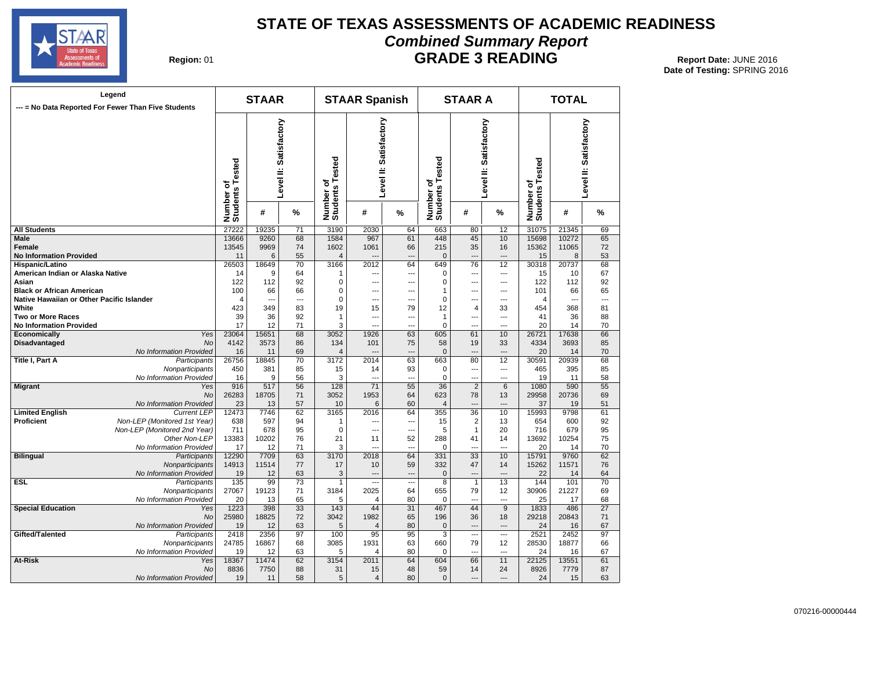

#### **STATE OF TEXAS ASSESSMENTS OF ACADEMIC READINESS Combined Summary Report GRADE 3 READING** Report Date: JUNE 2016

**Region: 01** 

|                                           | Legend<br>--- = No Data Reported For Fewer Than Five Students |                              | <b>STAAR</b>   |                        |                              | <b>STAAR Spanish</b>      |     |                              | <b>STAAR A</b>  |                          |                              | <b>TOTAL</b> |                        |
|-------------------------------------------|---------------------------------------------------------------|------------------------------|----------------|------------------------|------------------------------|---------------------------|-----|------------------------------|-----------------|--------------------------|------------------------------|--------------|------------------------|
|                                           |                                                               | Number of<br>Students Tested |                | Level II: Satisfactory | Number of<br>Students Tested | Satisfactory<br>Level II: |     | Number of<br>Students Tested |                 | Level II: Satisfactory   | Number of<br>Students Tested |              | Level II: Satisfactory |
|                                           |                                                               |                              | #              | %                      |                              | #                         | %   |                              | #               | %                        |                              | #            | %                      |
| <b>All Students</b>                       |                                                               | 27222                        | 19235          | 71                     | 3190                         | 2030                      | 64  | 663                          | 80              | 12                       | 31075                        | 21345        | 69                     |
| Male                                      |                                                               | 13666                        | 9260           | 68                     | 1584                         | 967                       | 61  | 448                          | 45              | 10                       | 15698                        | 10272        | 65                     |
| Female                                    |                                                               | 13545                        | 9969           | 74                     | 1602                         | 1061                      | 66  | 215                          | 35              | 16                       | 15362                        | 11065        | 72                     |
| <b>No Information Provided</b>            |                                                               | 11                           | 6              | 55                     | $\overline{4}$               |                           |     | $\mathbf{0}$                 | ---             | $\overline{a}$           | 15                           | 8            | 53                     |
| Hispanic/Latino                           |                                                               | 26503                        | 18649          | 70                     | 3166                         | 2012                      | 64  | 649                          | 76              | 12                       | 30318                        | 20737        | 68                     |
| American Indian or Alaska Native          |                                                               | 14                           | 9              | 64                     | 1                            | ---                       | --- | 0                            | ---             | $\overline{\phantom{a}}$ | 15                           | 10           | 67                     |
| Asian                                     |                                                               | 122                          | 112            | 92                     | $\mathbf 0$                  | $\overline{a}$            | --- | 0                            | ---             | $\overline{a}$           | 122                          | 112          | 92                     |
| Black or African American                 |                                                               | 100                          | 66             | 66                     | 0                            | ---                       | --- | 1                            | ---             | ---                      | 101                          | 66           | 65                     |
| Native Hawaiian or Other Pacific Islander |                                                               | 4                            | $\overline{a}$ | $\overline{a}$         | 0                            | $\overline{a}$            | --- | 0                            | ---             | $\overline{a}$           | 4                            |              | ---                    |
| White                                     |                                                               | 423                          | 349            | 83                     | 19                           | 15                        | 79  | 12                           | $\overline{4}$  | 33                       | 454                          | 368          | 81                     |
| Two or More Races                         |                                                               | 39                           | 36             | 92                     | $\mathbf{1}$                 | ---                       | --- | 1                            | ---             | ---                      | 41                           | 36           | 88                     |
| <b>No Information Provided</b>            |                                                               | 17                           | 12             | 71                     | 3                            | $\overline{a}$            | --- | $\Omega$                     | ---             | ---                      | 20                           | 14           | 70                     |
| Economically                              | Yes                                                           | 23064                        | 15651          | 68                     | 3052                         | 1926                      | 63  | 605                          | 61              | 10                       | 26721                        | 17638        | 66                     |
| Disadvantaged                             | No                                                            | 4142                         | 3573           | 86                     | 134                          | 101                       | 75  | 58                           | 19              | 33                       | 4334                         | 3693         | 85                     |
|                                           | No Information Provided                                       | 16                           | 11             | 69                     | $\overline{4}$               | $\sim$                    | --- | $\mathbf{0}$                 | $\overline{a}$  | $\overline{\phantom{a}}$ | 20                           | 14           | 70                     |
| Title I, Part A                           | Participants                                                  | 26756                        | 18845          | 70                     | 3172                         | 2014                      | 63  | 663                          | 80              | 12                       | 30591                        | 20939        | 68                     |
|                                           | Nonparticipants                                               | 450                          | 381            | 85                     | 15                           | 14                        | 93  | $\Omega$                     | ---             | $\overline{a}$           | 465                          | 395          | 85                     |
|                                           | No Information Provided                                       | 16                           | 9              | 56                     | 3                            | $\sim$                    | --- | $\Omega$                     | $\overline{a}$  | $-$                      | 19                           | 11           | 58                     |
| <b>Migrant</b>                            | Yes                                                           | 916                          | 517            | 56                     | 128                          | $\overline{71}$           | 55  | 36                           | $\overline{2}$  | 6                        | 1080                         | 590          | 55                     |
|                                           | No                                                            | 26283                        | 18705          | 71                     | 3052                         | 1953                      | 64  | 623                          | 78              | 13                       | 29958                        | 20736        | 69                     |
|                                           | No Information Provided                                       | 23                           | 13             | 57                     | 10                           | 6                         | 60  | $\overline{4}$               | $\overline{a}$  | $---$                    | 37                           | 19           | 51                     |
| <b>Limited English</b>                    | <b>Current LEP</b>                                            | 12473                        | 7746           | 62                     | 3165                         | 2016                      | 64  | 355                          | 36              | 10                       | 15993                        | 9798         | 61                     |
| Proficient                                | Non-LEP (Monitored 1st Year)                                  | 638                          | 597            | 94                     | 1                            | $\overline{a}$            | --- | 15                           | $\overline{2}$  | 13                       | 654                          | 600          | 92                     |
|                                           | Non-LEP (Monitored 2nd Year)                                  | 711                          | 678            | 95                     | $\mathbf 0$                  | ---                       | --- | 5                            | $\mathbf{1}$    | 20                       | 716                          | 679          | 95                     |
|                                           | Other Non-LEP                                                 | 13383                        | 10202          | 76                     | 21                           | 11                        | 52  | 288                          | 41              | 14                       | 13692                        | 10254        | 75                     |
|                                           | No Information Provided                                       | 17                           | 12             | 71                     | 3                            | $\overline{a}$            | --- | $\Omega$                     | ---             | $\sim$                   | 20                           | 14           | 70                     |
| <b>Bilingual</b>                          | Participants                                                  | 12290                        | 7709           | 63                     | 3170                         | 2018                      | 64  | 331                          | $\overline{33}$ | 10                       | 15791                        | 9760         | 62                     |
|                                           | Nonparticipants                                               | 14913                        | 11514          | 77                     | 17                           | 10                        | 59  | 332                          | 47              | 14                       | 15262                        | 11571        | 76                     |
|                                           | No Information Provided                                       | 19                           | 12             | 63                     | 3                            | $\overline{a}$            | --- | $\Omega$                     | $\overline{a}$  | $---$                    | 22                           | 14           | 64                     |
| ESL                                       | Participants                                                  | 135                          | 99             | 73                     | 1                            | ---                       | --- | 8                            | $\mathbf{1}$    | 13                       | 144                          | 101          | 70                     |
|                                           | Nonparticipants                                               | 27067                        | 19123          | 71                     | 3184                         | 2025                      | 64  | 655                          | 79              | 12                       | 30906                        | 21227        | 69                     |
|                                           | No Information Provided                                       | 20                           | 13             | 65                     | 5                            | 4                         | 80  | 0                            | ---             | ---                      | 25                           | 17           | 68                     |
| <b>Special Education</b>                  | Yes                                                           | 1223                         | 398            | 33                     | 143                          | 44                        | 31  | 467                          | 44              | 9                        | 1833                         | 486          | 27                     |
|                                           | No                                                            | 25980                        | 18825          | 72                     | 3042                         | 1982                      | 65  | 196                          | 36              | 18                       | 29218                        | 20843        | 71                     |
|                                           | No Information Provided                                       | 19                           | 12             | 63                     | 5                            | $\overline{4}$            | 80  | $\mathbf{0}$                 | ---             | ---                      | 24                           | 16           | 67                     |
| Gifted/Talented                           | Participants                                                  | 2418                         | 2356           | 97                     | 100                          | 95                        | 95  | 3                            | ---             | $\overline{\phantom{a}}$ | 2521                         | 2452         | 97                     |
|                                           | Nonparticipants                                               | 24785                        | 16867          | 68                     | 3085                         | 1931                      | 63  | 660                          | 79              | 12                       | 28530                        | 18877        | 66                     |
|                                           | No Information Provided                                       | 19                           | 12             | 63                     | 5                            | 4                         | 80  | 0                            | ---             | ---                      | 24                           | 16           | 67                     |
| At-Risk                                   | Yes                                                           | 18367                        | 11474          | 62                     | 3154                         | 2011                      | 64  | 604                          | 66              | 11                       | 22125                        | 13551        | 61                     |
|                                           | <b>No</b>                                                     | 8836                         | 7750           | 88                     | 31                           | 15                        | 48  | 59<br>$\Omega$               | 14<br>---       | 24<br>$-$                | 8926                         | 7779         | 87                     |
|                                           | No Information Provided                                       | 19                           | 11             | 58                     | 5                            | $\overline{4}$            | 80  |                              |                 |                          | 24                           | 15           | 63                     |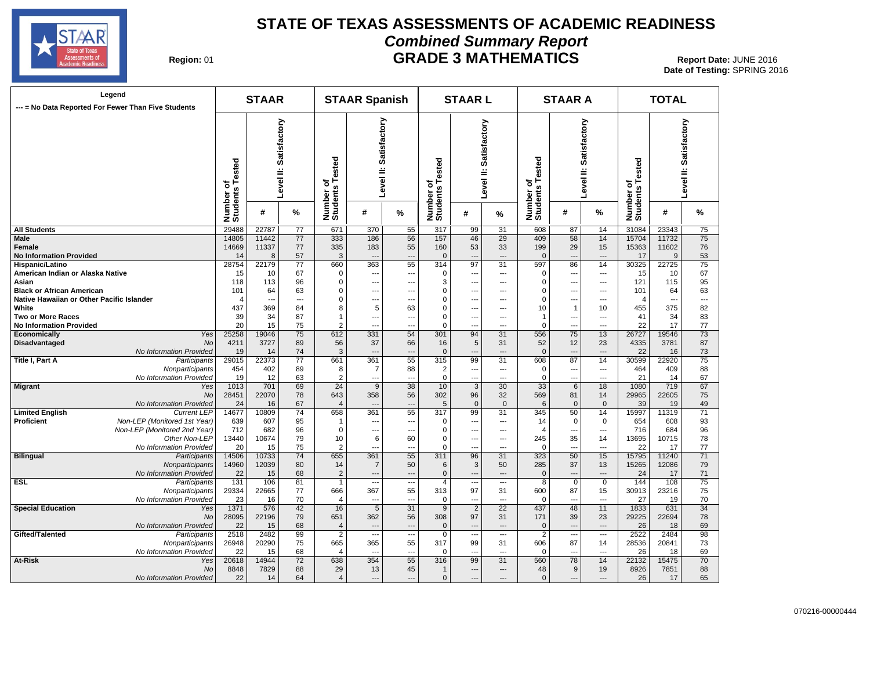

#### **STATE OF TEXAS ASSESSMENTS OF ACADEMIC READINESS Combined Summary Report GRADE 3 MATHEMATICS** Report Date: JUNE 2016

| Region: 01 |  |
|------------|--|
|------------|--|

| Legend<br>--- = No Data Reported For Fewer Than Five Students |                              | <b>STAAR</b> |                        |                              | <b>STAAR Spanish</b>      |                          |                              | <b>STAARL</b>            |                          |                    | <b>STAAR A</b>           |                |                                         | <b>TOTAL</b>             |                           |
|---------------------------------------------------------------|------------------------------|--------------|------------------------|------------------------------|---------------------------|--------------------------|------------------------------|--------------------------|--------------------------|--------------------|--------------------------|----------------|-----------------------------------------|--------------------------|---------------------------|
|                                                               | Number of<br>Students Tested |              | Level II: Satisfactory | Number of<br>Students Tested | Satisfactory<br>Level II: |                          | Number of<br>Students Tested | Level II: Satisfactory   |                          | Tested<br>৳<br>S   | Level II:                | Satisfactory   | of<br>s Tested<br>Number of<br>Students |                          | Satisfactory<br>Level II: |
|                                                               |                              | #            | %                      |                              | #                         | %                        |                              | #                        | %                        | Number<br>Students | #                        | ℅              |                                         | #                        | %                         |
| <b>All Students</b>                                           | 29488                        | 22787        | 77                     | 671                          | 370                       | 55                       | 317                          | 99                       | 31                       | 608                | 87                       | 14             | 31084                                   | 23343                    | 75                        |
| Male                                                          | 14805                        | 11442        | 77                     | 333                          | 186                       | 56                       | 157                          | 46                       | $\overline{29}$          | 409                | 58                       | 14             | 15704                                   | 11732                    | 75                        |
| Female                                                        | 14669                        | 11337        | 77                     | 335                          | 183                       | 55                       | 160                          | 53                       | 33                       | 199                | 29                       | 15             | 15363                                   | 11602                    | 76                        |
| <b>No Information Provided</b>                                | 14                           | 8            | 57                     | 3                            | $\sim$                    | $\overline{\phantom{a}}$ | $\mathbf{0}$                 | $\sim$                   | $\sim$                   | $\mathbf{0}$       | $\overline{a}$           | $\sim$         | 17                                      | 9                        | 53                        |
| Hispanic/Latino                                               | 28754                        | 22179        | 77                     | 660                          | 363                       | 55                       | 314                          | 97                       | 31                       | 597                | 86                       | 14             | 30325                                   | 22725                    | 75                        |
| American Indian or Alaska Native                              | 15                           | 10           | 67                     | $\mathbf 0$                  | ---                       | ---                      | $\Omega$                     | $\overline{\phantom{a}}$ | $\hspace{0.05cm} \ldots$ | 0                  | $\overline{\phantom{a}}$ | ---            | 15                                      | 10                       | 67                        |
| Asian                                                         | 118                          | 113          | 96                     | $\mathbf 0$                  | ---                       | ---                      | 3                            | ---                      | ---                      | $\mathbf 0$        |                          | ---            | 121                                     | 115                      | 95                        |
| <b>Black or African American</b>                              | 101                          | 64           | 63                     | $\mathbf 0$                  | ---                       | ---                      | $\Omega$                     | $\overline{\phantom{a}}$ | $\overline{a}$           | $\mathbf 0$        | ---                      | ---            | 101                                     | 64                       | 63                        |
| Native Hawaiian or Other Pacific Islander                     | 4                            | ---          | $\overline{a}$         | 0                            | $\overline{a}$            | ---                      | 0                            | ---                      | $---$                    | $\mathbf 0$        | ---                      | ---            | $\overline{4}$                          | $\overline{\phantom{a}}$ | $\overline{a}$            |
| White                                                         | 437                          | 369          | 84                     | 8                            | 5                         | 63                       | $\mathbf 0$                  | $---$                    | $---$                    | 10                 | $\mathbf{1}$             | 10             | 455                                     | 375                      | 82                        |
| Two or More Races                                             | 39                           | 34           | 87                     | $\mathbf{1}$                 | $\overline{a}$            | $\overline{\phantom{a}}$ | $\mathbf 0$                  | $\overline{a}$           | $\overline{a}$           | $\mathbf{1}$       | $\overline{a}$           | $\overline{a}$ | 41                                      | 34                       | 83                        |
| <b>No Information Provided</b>                                | 20                           | 15           | 75                     | $\overline{2}$               | $\overline{a}$            | $\overline{a}$           | $\mathbf 0$                  | $\overline{a}$           | $\overline{a}$           | $\mathbf 0$        |                          | $\overline{a}$ | 22                                      | 17                       | 77                        |
| Yes<br>Economically                                           | 25258                        | 19046        | 75                     | 612                          | 331                       | 54                       | 301                          | 94                       | 31                       | 556                | 75                       | 13             | 26727                                   | 19546                    | 73                        |
| Disadvantaged<br>No                                           | 4211                         | 3727         | 89                     | 56                           | 37                        | 66                       | 16                           | 5                        | 31                       | 52                 | 12                       | 23             | 4335                                    | 3781                     | 87                        |
| No Information Provided                                       | 19                           | 14           | 74                     | 3                            | $\overline{a}$            | $\overline{a}$           | $\mathbf{0}$                 | $---$                    | $\overline{a}$           | $\mathbf{0}$       | $---$                    | $\overline{a}$ | 22                                      | 16                       | 73                        |
| Title I, Part A<br>Participants                               | 29015                        | 22373        | 77                     | 661                          | 361                       | 55                       | 315                          | 99                       | 31                       | 608                | 87                       | 14             | 30599                                   | 22920                    | 75                        |
| Nonparticipants                                               | 454                          | 402          | 89                     | 8                            | $\overline{7}$            | 88                       | $\overline{2}$               | $\overline{\phantom{a}}$ | $\overline{a}$           | $\pmb{0}$          | $\overline{a}$           | ---            | 464                                     | 409                      | 88                        |
| No Information Provided                                       | 19                           | 12           | 63                     | $\overline{2}$               | ---                       | $\overline{\phantom{a}}$ | 0                            | $---$                    | $\overline{\phantom{a}}$ | $\mathbf 0$        | $\overline{\phantom{a}}$ | ---            | 21                                      | 14                       | 67                        |
| <b>Migrant</b><br>Yes                                         | 1013                         | 701          | 69                     | 24                           | 9                         | $\overline{38}$          | 10                           | $\overline{3}$           | 30                       | 33                 | 6                        | 18             | 1080                                    | 719                      | 67                        |
| <b>No</b>                                                     | 28451                        | 22070        | 78                     | 643                          | 358                       | 56                       | 302                          | 96                       | 32                       | 569                | 81                       | 14             | 29965                                   | 22605                    | 75                        |
|                                                               | 24                           |              |                        |                              | $\overline{a}$            |                          |                              |                          | $\mathbf{0}$             |                    |                          | $\mathbf{0}$   |                                         |                          |                           |
| No Information Provided                                       |                              | 16           | 67                     | $\overline{4}$               |                           | $\overline{\phantom{a}}$ | $\overline{5}$               | $\mathbf 0$              |                          | 6                  | $\mathbf{0}$             |                | 39                                      | 19                       | 49                        |
| <b>Limited English</b><br><b>Current LEP</b>                  | 14677                        | 10809        | 74                     | 658                          | 361                       | 55                       | 317                          | 99                       | 31                       | 345                | 50                       | 14             | 15997                                   | 11319                    | 71                        |
| Proficient<br>Non-LEP (Monitored 1st Year)                    | 639                          | 607          | 95                     | 1                            | $\overline{a}$            | $\overline{\phantom{a}}$ | 0                            | $\overline{a}$           | $\overline{a}$           | 14                 | 0                        | $\mathbf 0$    | 654                                     | 608                      | 93                        |
| Non-LEP (Monitored 2nd Year)                                  | 712                          | 682          | 96                     | $\mathbf 0$                  | $\overline{\phantom{a}}$  | $\overline{\phantom{a}}$ | $\mathbf 0$                  | $\overline{a}$           | $---$                    | $\overline{4}$     | ---                      | ---            | 716                                     | 684                      | 96                        |
| Other Non-LEP                                                 | 13440                        | 10674        | 79                     | 10                           | 6                         | 60                       | $\pmb{0}$                    | $\overline{a}$           | ---                      | 245                | 35                       | 14             | 13695                                   | 10715                    | 78                        |
| No Information Provided                                       | 20                           | 15           | 75                     | $\overline{2}$               | ---                       | ---                      | $\mathbf 0$                  | ---                      | ---                      | 0                  | $\overline{a}$           | ---            | 22                                      | 17                       | 77                        |
| <b>Bilingual</b><br>Participants                              | 14506                        | 10733        | 74                     | 655                          | 361                       | 55                       | 311                          | 96                       | 31                       | 323                | 50                       | 15             | 15795                                   | 11240                    | 71                        |
| Nonparticipants                                               | 14960                        | 12039        | 80                     | 14                           | $\overline{7}$            | 50                       | 6                            | 3                        | 50                       | 285                | 37                       | 13             | 15265                                   | 12086                    | 79                        |
| No Information Provided                                       | 22                           | 15           | 68                     | $\overline{2}$               | ---                       | ---                      | $\Omega$                     | $\overline{a}$           | $\overline{a}$           | $\mathbf{0}$       | ---                      | $\overline{a}$ | 24                                      | 17                       | 71                        |
| ESL<br>Participants                                           | 131                          | 106          | 81                     | $\overline{1}$               | ---                       | ---                      | $\overline{4}$               | $---$                    | $\cdots$                 | 8                  | $\mathbf 0$              | $\mathbf 0$    | 144                                     | 108                      | 75                        |
| Nonparticipants                                               | 29334                        | 22665        | 77                     | 666                          | 367                       | 55                       | 313                          | 97                       | 31                       | 600                | 87                       | 15             | 30913                                   | 23216                    | 75                        |
| No Information Provided                                       | 23                           | 16           | 70                     | 4                            | $\overline{a}$            | $\overline{\phantom{a}}$ | 0                            | $\overline{a}$           | $\sim$                   | $\mathbf 0$        | $-$                      | $\overline{a}$ | 27                                      | 19                       | 70                        |
| <b>Special Education</b><br>Yes                               | 1371                         | 576          | 42                     | 16                           | $5\overline{)}$           | 31                       | 9                            | $\overline{2}$           | $\overline{22}$          | 437                | 48                       | 11             | 1833                                    | 631                      | 34                        |
| No                                                            | 28095                        | 22196        | 79                     | 651                          | 362                       | 56                       | 308                          | 97                       | 31                       | 171                | 39                       | 23             | 29225                                   | 22694                    | 78                        |
| No Information Provided                                       | 22                           | 15           | 68                     | $\overline{4}$               | $\overline{a}$            | $\overline{\phantom{a}}$ | $\mathbf 0$                  | $\overline{a}$           | $---$                    | $\mathbf 0$        | $\overline{\phantom{a}}$ | $---$          | 26                                      | 18                       | 69                        |
| Gifted/Talented<br>Participants                               | 2518                         | 2482         | 99                     | $\overline{2}$               | ---                       | $\overline{\phantom{a}}$ | $\mathbf 0$                  | $\overline{\phantom{a}}$ | $\overline{\phantom{a}}$ | $\overline{2}$     | $\overline{\phantom{a}}$ | ---            | 2522                                    | 2484                     | 98                        |
| Nonparticipants                                               | 26948                        | 20290        | 75                     | 665                          | 365                       | 55                       | 317                          | 99                       | 31                       | 606                | 87                       | 14             | 28536                                   | 20841                    | 73                        |
| No Information Provided                                       | 22                           | 15           | 68                     | $\overline{4}$               | $\overline{a}$            | $\overline{\phantom{a}}$ | 0                            | $\overline{\phantom{a}}$ | $---$                    | $\mathbf 0$        | ---                      | ---            | 26                                      | 18                       | 69                        |
| At-Risk<br>Yes                                                | 20618                        | 14944        | 72                     | 638                          | 354                       | 55                       | 316                          | 99                       | 31                       | 560                | 78                       | 14             | 22132                                   | 15475                    | 70                        |
| No                                                            | 8848                         | 7829         | 88                     | 29                           | 13                        | 45                       | $\mathbf{1}$                 | $\overline{a}$           | $\qquad \qquad \cdots$   | 48                 | 9                        | 19             | 8926                                    | 7851                     | 88                        |
| No Information Provided                                       | 22                           | 14           | 64                     | $\overline{4}$               | $\overline{a}$            | $\overline{a}$           | $\mathbf{0}$                 | $---$                    | $---$                    | $\mathbf{0}$       | $---$                    | $\overline{a}$ | 26                                      | 17                       | 65                        |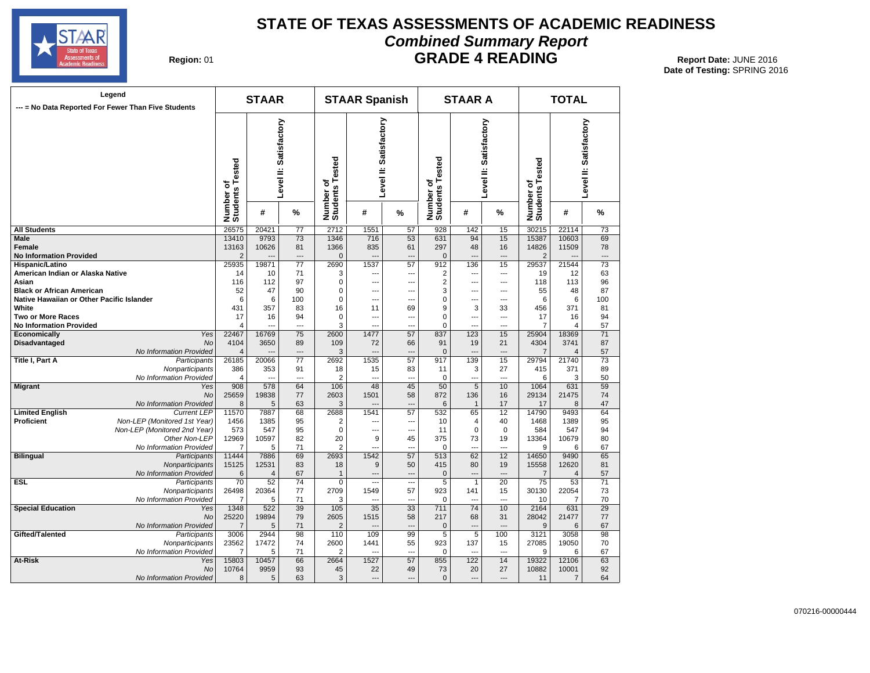

#### **STATE OF TEXAS ASSESSMENTS OF ACADEMIC READINESS Combined Summary Report GRADE 4 READING** Report Date: JUNE 2016

| Region: 01 |  |
|------------|--|
|------------|--|

| Legend<br>--- = No Data Reported For Fewer Than Five Students                 |                              |                                      | <b>STAAR</b>   |                        |                              | <b>STAAR Spanish</b>   |                          |                              | <b>STAAR A</b> |                        |                              | <b>TOTAL</b>          |                        |
|-------------------------------------------------------------------------------|------------------------------|--------------------------------------|----------------|------------------------|------------------------------|------------------------|--------------------------|------------------------------|----------------|------------------------|------------------------------|-----------------------|------------------------|
|                                                                               |                              | Tested<br>ō<br>Number of<br>Students |                | Level II: Satisfactory | Number of<br>Students Tested | Level II: Satisfactory |                          | Number of<br>Students Tested |                | Level II: Satisfactory | Number of<br>Students Tested |                       | Level II: Satisfactory |
|                                                                               |                              |                                      | #              | %                      |                              | #                      | %                        |                              | #              | %                      |                              | #                     | %                      |
| <b>All Students</b>                                                           |                              | 26575                                | 20421          | $\overline{77}$        | 2712                         | 1551                   | 57                       | 928                          | 142            | 15                     | 30215                        | 22114                 | 73                     |
| <b>Male</b>                                                                   |                              | 13410                                | 9793           | 73                     | 1346                         | 716                    | 53                       | 631                          | 94             | 15                     | 15387                        | 10603                 | 69                     |
| Female                                                                        |                              | 13163                                | 10626          | 81                     | 1366                         | 835                    | 61                       | 297                          | 48             | 16                     | 14826                        | 11509                 | 78                     |
| <b>No Information Provided</b>                                                |                              | $\overline{2}$                       |                |                        | $\mathbf 0$                  | ---                    | ---                      | $\mathbf 0$                  |                | ---                    | $\overline{2}$               |                       | ---                    |
| Hispanic/Latino                                                               |                              | 25935                                | 19871          | 77                     | 2690                         | 1537                   | 57                       | 912                          | 136            | 15                     | 29537                        | 21544                 | 73                     |
| American Indian or Alaska Native                                              |                              | 14                                   | 10             | 71                     | 3                            | ---                    | ---                      | 2                            | ---            | ---                    | 19                           | 12                    | 63                     |
| Asian                                                                         |                              | 116                                  | 112            | 97                     | 0                            | ---                    | ---                      | 2                            | ---            | ---                    | 118                          | 113                   | 96                     |
| <b>Black or African American</b><br>Native Hawaiian or Other Pacific Islander |                              | 52<br>6                              | 47<br>6        | 90<br>100              | 0<br>$\Omega$                | ---<br>---             | ---<br>                  | 3<br>0                       | ---<br>---     | ---<br>---             | 55<br>6                      | 48<br>6               | 87<br>100              |
| White                                                                         |                              | 431                                  | 357            | 83                     | 16                           | 11                     | 69                       | 9                            | 3              | 33                     | 456                          | 371                   | 81                     |
| <b>Two or More Races</b>                                                      |                              | 17                                   | 16             | 94                     | 0                            | ---                    | ---                      | 0                            | ---            | ---                    | 17                           | 16                    | 94                     |
| <b>No Information Provided</b>                                                |                              | $\overline{4}$                       |                | $\overline{a}$         | 3                            | $\sim$                 | $\sim$                   | 0                            | ---            | $\overline{a}$         | $\overline{7}$               | $\overline{4}$        | 57                     |
| Economically                                                                  | Yes                          | 22467                                | 16769          | 75                     | 2600                         | 1477                   | 57                       | 837                          | 123            | 15                     | 25904                        | 18369                 | 71                     |
| Disadvantaged                                                                 | <b>No</b>                    | 4104                                 | 3650           | 89                     | 109                          | 72                     | 66                       | 91                           | 19             | 21                     | 4304                         | 3741                  | 87                     |
|                                                                               | No Information Provided      | $\overline{4}$                       |                |                        | 3                            |                        |                          | $\mathbf{0}$                 | --             |                        | 7                            | $\overline{4}$        | 57                     |
| <b>Title I, Part A</b>                                                        | Participants                 | 26185                                | 20066          | $\overline{77}$        | 2692                         | 1535                   | $\overline{57}$          | 917                          | 139            | 15                     | 29794                        | 21740                 | 73                     |
|                                                                               | Nonparticipants              | 386                                  | 353            | 91                     | 18                           | 15                     | 83                       | 11                           | 3              | 27                     | 415                          | 371                   | 89                     |
|                                                                               | No Information Provided      | $\overline{4}$                       | ---            | $\overline{a}$         | $\overline{2}$               | ---                    | ---                      | 0                            | ---            | ---                    | 6                            | 3                     | 50                     |
| <b>Migrant</b>                                                                | Yes                          | 908                                  | 578            | 64                     | 106                          | 48                     | 45                       | 50                           | $\overline{5}$ | 10                     | 1064                         | 631                   | 59                     |
|                                                                               | <b>No</b>                    | 25659                                | 19838          | 77                     | 2603                         | 1501                   | 58                       | 872                          | 136            | 16                     | 29134                        | 21475                 | 74                     |
|                                                                               | No Information Provided      | 8                                    | 5              | 63                     | 3                            | $-$                    | ---                      | 6                            | $\mathbf{1}$   | 17                     | 17                           | 8                     | 47                     |
| <b>Limited English</b>                                                        | <b>Current LEP</b>           | 11570                                | 7887           | 68                     | 2688                         | 1541                   | 57                       | 532                          | 65             | 12 <sup>2</sup>        | 14790                        | 9493                  | 64                     |
| <b>Proficient</b>                                                             | Non-LEP (Monitored 1st Year) | 1456                                 | 1385           | 95                     | $\overline{2}$               |                        |                          | 10                           | 4              | 40                     | 1468                         | 1389                  | 95                     |
|                                                                               | Non-LEP (Monitored 2nd Year) | 573                                  | 547            | 95                     | $\mathbf 0$                  | ---                    | ---                      | 11                           | $\mathbf 0$    | $\mathbf 0$            | 584                          | 547                   | 94                     |
|                                                                               | Other Non-LEP                | 12969                                | 10597          | 82                     | 20                           | 9                      | 45                       | 375                          | 73             | 19                     | 13364                        | 10679                 | 80                     |
|                                                                               | No Information Provided      | 7                                    | 5              | 71                     | $\overline{2}$               | $\overline{a}$         | ---                      | 0                            | ---            | $\overline{a}$         | 9                            | 6                     | 67                     |
| <b>Bilingual</b>                                                              | Participants                 | 11444                                | 7886           | 69                     | 2693                         | 1542                   | 57                       | 513                          | 62             | $\overline{12}$        | 14650                        | 9490                  | 65                     |
|                                                                               | Nonparticipants              | 15125                                | 12531          | 83                     | 18                           | 9                      | 50                       | 415                          | 80             | 19                     | 15558                        | 12620                 | 81                     |
|                                                                               | No Information Provided      | 6                                    | $\overline{4}$ | 67                     | $\mathbf{1}$                 | ---                    | ---                      | 0                            | ÷÷             | $\overline{a}$         | $\overline{7}$               | $\overline{4}$        | 57                     |
| <b>ESL</b>                                                                    | Participants                 | 70                                   | 52             | 74                     | $\mathbf 0$                  | $\overline{a}$         | $\overline{\phantom{a}}$ | 5                            | $\mathbf{1}$   | 20                     | 75                           | 53                    | 71                     |
|                                                                               | Nonparticipants              | 26498                                | 20364          | 77                     | 2709                         | 1549                   | 57                       | 923                          | 141            | 15                     | 30130                        | 22054                 | 73                     |
| <b>Special Education</b>                                                      | No Information Provided      | 7<br>1348                            | 5<br>522       | 71<br>39               | 3<br>105                     | ---<br>35              | ---<br>33                | 0<br>711                     | ---<br>74      | ---<br>10              | 10<br>2164                   | $\overline{7}$<br>631 | 70<br>29               |
|                                                                               | Yes<br><b>No</b>             | 25220                                | 19894          | 79                     | 2605                         | 1515                   | 58                       | 217                          | 68             | 31                     | 28042                        | 21477                 | 77                     |
|                                                                               | No Information Provided      | $\overline{7}$                       | 5              | 71                     | $\overline{\mathbf{c}}$      |                        |                          | 0                            | $\overline{a}$ |                        | 9                            | 6                     | 67                     |
| Gifted/Talented                                                               | Participants                 | 3006                                 | 2944           | 98                     | 110                          | 109                    | 99                       | 5                            | 5              | 100                    | 3121                         | 3058                  | 98                     |
|                                                                               | Nonparticipants              | 23562                                | 17472          | 74                     | 2600                         | 1441                   | 55                       | 923                          | 137            | 15                     | 27085                        | 19050                 | 70                     |
|                                                                               | No Information Provided      | $\overline{7}$                       | 5              | 71                     | $\overline{2}$               | -−                     | ÷.,                      | $\Omega$                     |                | $\overline{a}$         | 9                            | 6                     | 67                     |
| At-Risk                                                                       | Yes                          | 15803                                | 10457          | 66                     | 2664                         | 1527                   | 57                       | 855                          | 122            | 14                     | 19322                        | 12106                 | 63                     |
|                                                                               | <b>No</b>                    | 10764                                | 9959           | 93                     | 45                           | 22                     | 49                       | 73                           | 20             | 27                     | 10882                        | 10001                 | 92                     |
|                                                                               | No Information Provided      | 8                                    | 5              | 63                     | 3                            | $-$                    | $\overline{a}$           | $\mathbf 0$                  | ---            | ---                    | 11                           | $\overline{7}$        | 64                     |
|                                                                               |                              |                                      |                |                        |                              |                        |                          |                              |                |                        |                              |                       |                        |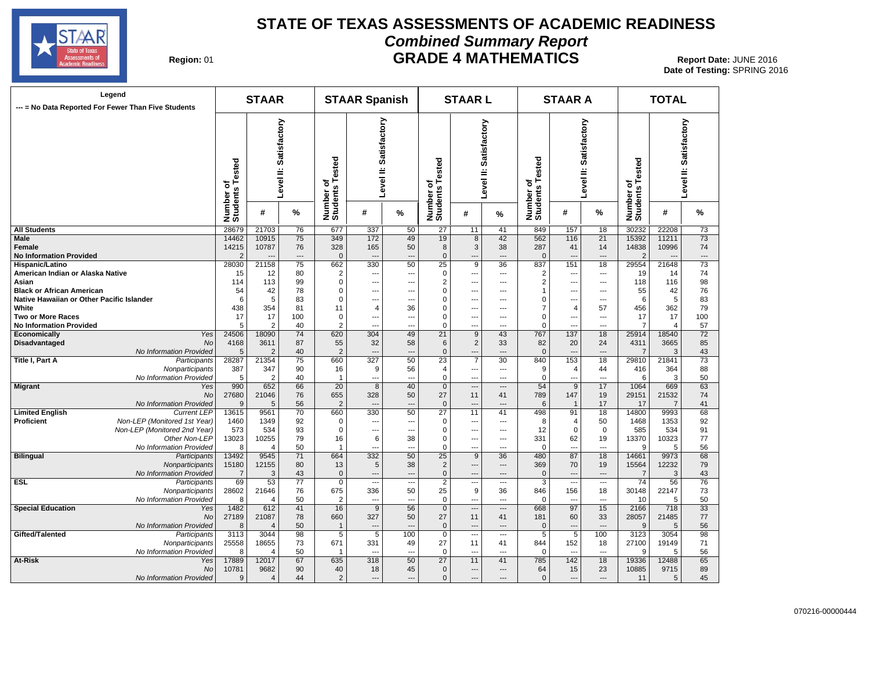

#### **STATE OF TEXAS ASSESSMENTS OF ACADEMIC READINESS Combined Summary Report GRADE 4 MATHEMATICS** Report Date: JUNE 2016

| Region: 01 |  |
|------------|--|
|------------|--|

| Legend<br>--- = No Data Reported For Fewer Than Five Students |                              | <b>STAAR</b>   |                        |                                      | <b>STAAR Spanish</b>      |                          |                              | <b>STAARL</b>            |                          |                              | <b>STAAR A</b>            |                          |                       | <b>TOTAL</b>   |                        |
|---------------------------------------------------------------|------------------------------|----------------|------------------------|--------------------------------------|---------------------------|--------------------------|------------------------------|--------------------------|--------------------------|------------------------------|---------------------------|--------------------------|-----------------------|----------------|------------------------|
|                                                               | Number of<br>Students Tested |                | Level II: Satisfactory | Tested<br>৳<br>Number of<br>Students | Satisfactory<br>Level II: |                          | Number of<br>Students Tested | Level II: Satisfactory   |                          | Number of<br>Students Tested | Satisfactory<br>Level II: |                          | ested<br>৳৺           |                | Level II: Satisfactory |
|                                                               |                              | #              | %                      |                                      | #                         | %                        |                              | #                        | %                        |                              | #                         | %                        | Number of<br>Students | #              | %                      |
| <b>All Students</b>                                           | 28679                        | 21703          | 76                     | 677                                  | 337                       | 50                       | 27                           | 11                       | 41                       | 849                          | 157                       | 18                       | 30232                 | 22208          | 73                     |
| Male                                                          | 14462                        | 10915          | 75                     | 349                                  | 172                       | 49                       | 19                           | 8                        | 42                       | 562                          | 116                       | 21                       | 15392                 | 11211          | 73                     |
| Female                                                        | 14215                        | 10787          | 76                     | 328                                  | 165                       | 50                       | 8                            | 3                        | 38                       | 287                          | 41                        | 14                       | 14838                 | 10996          | 74                     |
| <b>No Information Provided</b>                                | $\overline{2}$               |                | $\overline{a}$         | $\mathbf{0}$                         | $\overline{\phantom{a}}$  | $\overline{a}$           | $\mathbf 0$                  | $\overline{a}$           | $\overline{a}$           | $\mathbf{0}$                 | $\overline{\phantom{a}}$  | $\overline{a}$           | $\overline{2}$        |                | ---                    |
| Hispanic/Latino                                               | 28030                        | 21158          | $\overline{75}$        | 662                                  | 330                       | 50                       | 25                           | 9                        | 36                       | 837                          | 151                       | 18                       | 29554                 | 21648          | 73                     |
| American Indian or Alaska Native                              | 15                           | 12             | 80                     | $\overline{2}$                       | $\overline{\phantom{a}}$  | ---                      | $\mathbf 0$                  | $\overline{a}$           | $---$                    | $\overline{2}$               | $\overline{a}$            | ---                      | 19                    | 14             | 74                     |
| Asian                                                         | 114                          | 113            | 99                     | $\mathbf 0$                          | ---                       | ---                      | $\overline{2}$               | $\overline{\phantom{a}}$ | $\overline{a}$           | $\overline{2}$               | $\overline{a}$            | ---                      | 118                   | 116            | 98                     |
| <b>Black or African American</b>                              | 54                           | 42             | 78                     | $\pmb{0}$                            | $\overline{\phantom{a}}$  | ---                      | $\Omega$                     | $\overline{\phantom{a}}$ | $\hspace{0.05cm} \ldots$ | $\mathbf 1$                  | $\overline{\phantom{a}}$  | $\overline{\phantom{a}}$ | 55                    | 42             | 76                     |
| Native Hawaiian or Other Pacific Islander                     | 6                            | 5              | 83                     | $\mathbf 0$                          | $\overline{a}$            | ---                      | 0                            | ---                      | $---$                    | 0                            | $---$                     | ---                      | 6                     | 5              | 83                     |
| White                                                         | 438                          | 354            | 81                     | 11                                   | $\overline{4}$            | 36                       | $\Omega$                     | $\sim$                   | $---$                    | $\overline{7}$               | $\overline{4}$            | 57                       | 456                   | 362            | 79                     |
| Two or More Races                                             | 17                           | 17             | 100                    | $\mathbf 0$                          | $\overline{\phantom{a}}$  | ---                      | $\mathbf 0$                  | $\overline{\phantom{a}}$ | $---$                    | $\mathbf 0$                  | ---                       | ---                      | 17                    | 17             | 100                    |
| <b>No Information Provided</b>                                | 5                            | $\overline{2}$ | 40                     | $\overline{2}$                       | $\overline{a}$            | ---                      | $\Omega$                     | $\overline{a}$           | $\overline{a}$           | $\mathbf 0$                  |                           | $\overline{a}$           | $\overline{7}$        | $\overline{4}$ | 57                     |
| Yes<br>Economically                                           | 24506                        | 18090          | 74                     | 620                                  | 304                       | 49                       | 21                           | $\overline{9}$           | 43                       | 767                          | 137                       | 18                       | 25914                 | 18540          | $\overline{72}$        |
| Disadvantaged<br>No                                           | 4168                         | 3611           | 87                     | 55                                   | 32                        | 58                       | 6                            | $\overline{2}$           | 33                       | 82                           | 20                        | 24                       | 4311                  | 3665           | 85                     |
| No Information Provided                                       | 5                            | $\overline{2}$ | 40                     | $\overline{2}$                       | $\overline{a}$            | $\overline{a}$           | $\mathbf{0}$                 | $\overline{a}$           | $\overline{a}$           | $\mathbf{0}$                 | $\overline{a}$            | $\overline{a}$           | -7                    | 3              | 43                     |
| Title I, Part A<br>Participants                               | 28287                        | 21354          | 75                     | 660                                  | 327                       | 50                       | 23                           | $\overline{7}$           | 30                       | 840                          | 153                       | 18                       | 29810                 | 21841          | 73                     |
| Nonparticipants                                               | 387                          | 347            | 90                     | 16                                   | 9                         | 56                       | $\overline{4}$               | $\overline{\phantom{a}}$ | $\overline{a}$           | 9                            | 4                         | 44                       | 416                   | 364            | 88                     |
| No Information Provided                                       | 5                            | $\overline{2}$ | 40                     | $\mathbf{1}$                         | $\overline{a}$            | ---                      | 0                            | $\overline{a}$           | $---$                    | $\mathbf 0$                  | $---$                     | ---                      | 6                     | 3              | 50                     |
| <b>Migrant</b><br>Yes                                         | 990                          | 652            | 66                     | 20                                   | 8                         | 40                       | $\mathbf 0$                  | $\overline{\phantom{a}}$ | $\overline{a}$           | 54                           | 9                         | 17                       | 1064                  | 669            | 63                     |
| <b>No</b>                                                     | 27680                        | 21046          | 76                     | 655                                  | 328                       | 50                       | 27                           | 11                       | 41                       | 789                          | 147                       | 19                       | 29151                 | 21532          | 74                     |
| No Information Provided                                       | 9                            | 5              | 56                     | $\overline{2}$                       | $\overline{a}$            | ---                      | $\mathbf{0}$                 | $\overline{\phantom{a}}$ | $\overline{a}$           | 6                            | $\mathbf{1}$              | 17                       | 17                    | $\overline{7}$ | 41                     |
| <b>Limited English</b><br><b>Current LEP</b>                  | 13615                        | 9561           | 70                     | 660                                  | 330                       | 50                       | 27                           | 11                       | 41                       | 498                          | 91                        | 18                       | 14800                 | 9993           | 68                     |
| Proficient<br>Non-LEP (Monitored 1st Year)                    | 1460                         | 1349           | 92                     | 0                                    | $\overline{a}$            | ---                      | 0                            | $\ddotsc$                | $\overline{\phantom{a}}$ | 8                            | 4                         | 50                       | 1468                  | 1353           | 92                     |
| Non-LEP (Monitored 2nd Year)                                  | 573                          | 534            | 93                     | $\mathbf 0$                          | $\overline{a}$            | ---                      | $\mathbf 0$                  | $\overline{\phantom{a}}$ | $---$                    | 12                           | $\mathbf 0$               | $\mathbf 0$              | 585                   | 534            | 91                     |
| Other Non-LEP                                                 | 13023                        | 10255          | 79                     | 16                                   | 6                         | 38                       | $\mathbf 0$                  | $\overline{\phantom{a}}$ | $\overline{\phantom{a}}$ | 331                          | 62                        | 19                       | 13370                 | 10323          | 77                     |
| No Information Provided                                       | 8                            | 4              | 50                     | $\overline{1}$                       | $---$                     | ---                      | $\Omega$                     | $\overline{\phantom{a}}$ | $\overline{a}$           | $\Omega$                     | $\overline{a}$            | $\overline{a}$           | <sub>9</sub>          | 5              | 56                     |
| <b>Bilingual</b><br>Participants                              | 13492                        | 9545           | 71                     | 664                                  | 332                       | 50                       | $\overline{25}$              | $\overline{9}$           | $\overline{36}$          | 480                          | 87                        | 18                       | 14661                 | 9973           | 68                     |
| Nonparticipants                                               | 15180                        | 12155          | 80                     | 13                                   | 5                         | 38                       | $\overline{2}$               | $\overline{\phantom{a}}$ | $\hspace{1.5cm} \dots$   | 369                          | 70                        | 19                       | 15564                 | 12232          | 79                     |
| No Information Provided                                       | $\overline{7}$               | 3              | 43                     | $\mathbf{0}$                         | $\overline{a}$            | ---                      | $\Omega$                     | $\overline{\phantom{a}}$ | $\overline{\phantom{a}}$ | $\mathbf 0$                  | $\qquad \qquad \cdots$    | $---$                    | $\overline{7}$        | 3              | 43                     |
| ESL<br>Participants                                           | 69                           | 53             | 77                     | $\mathbf 0$                          | $\overline{\phantom{a}}$  | ---                      | $\overline{2}$               | $\overline{\phantom{a}}$ | $\overline{a}$           | 3                            | $\overline{\phantom{a}}$  | $\overline{\phantom{a}}$ | 74                    | 56             | 76                     |
| Nonparticipants                                               | 28602                        | 21646          | 76                     | 675                                  | 336                       | 50                       | 25                           | 9                        | 36                       | 846                          | 156                       | 18                       | 30148                 | 22147          | 73                     |
| No Information Provided                                       | 8                            | 4              | 50                     | $\overline{2}$                       | ---                       | $\overline{\phantom{a}}$ | $\mathbf 0$                  | $\overline{a}$           | $\overline{a}$           | $\mathbf 0$                  | $\overline{a}$            | $\overline{a}$           | 10                    | 5              | 50                     |
| <b>Special Education</b><br>Yes                               | 1482                         | 612            | 41                     | 16                                   | 9                         | 56                       | $\mathbf 0$                  | $\hspace{0.05cm} \ldots$ | $\overline{\phantom{a}}$ | 668                          | 97                        | 15                       | 2166                  | 718            | 33                     |
| No                                                            | 27189                        | 21087          | 78                     | 660                                  | 327                       | 50                       | 27                           | 11                       | 41                       | 181                          | 60                        | 33                       | 28057                 | 21485          | 77                     |
| No Information Provided                                       | 8                            | $\overline{4}$ | 50                     | $\mathbf{1}$                         | $\overline{a}$            |                          | $\mathbf{0}$                 | $\overline{a}$           | $\overline{a}$           | $\mathbf 0$                  | $\overline{a}$            | $\overline{a}$           | 9                     | 5              | 56                     |
| Gifted/Talented<br>Participants                               | 3113                         | 3044           | 98                     | $\overline{5}$                       | $\overline{5}$            | 100                      | $\mathbf 0$                  | $\overline{\phantom{a}}$ | $---$                    | $\overline{5}$               | 5                         | 100                      | 3123                  | 3054           | 98                     |
| Nonparticipants                                               | 25558                        | 18655          | 73                     | 671                                  | 331                       | 49                       | 27                           | 11                       | 41                       | 844                          | 152                       | 18                       | 27100                 | 19149          | 71                     |
| No Information Provided                                       | 8                            | 4              | 50                     | -1                                   | $\overline{a}$            | ---                      | $\mathbf 0$                  | $\overline{a}$           | ---                      | $\mathbf 0$                  | ---                       | ---                      | 9                     | 5              | 56                     |
| At-Risk<br>Yes                                                | 17889                        | 12017          | 67                     | 635                                  | 318                       | 50                       | 27                           | 11                       | 41                       | 785                          | 142                       | 18                       | 19336                 | 12488          | 65                     |
| No                                                            | 10781                        | 9682           | 90                     | 40                                   | 18                        | 45                       | $\mathbf 0$                  | $\overline{a}$           | $---$                    | 64                           | 15                        | 23                       | 10885                 | 9715           | 89                     |
| No Information Provided                                       | 9                            | $\overline{4}$ | 44                     | $\overline{2}$                       | $\overline{a}$            | $\overline{\phantom{a}}$ | $\mathbf{0}$                 | $\overline{a}$           | $---$                    | $\mathbf{0}$                 | $---$                     | $---$                    | 11                    | 5              | 45                     |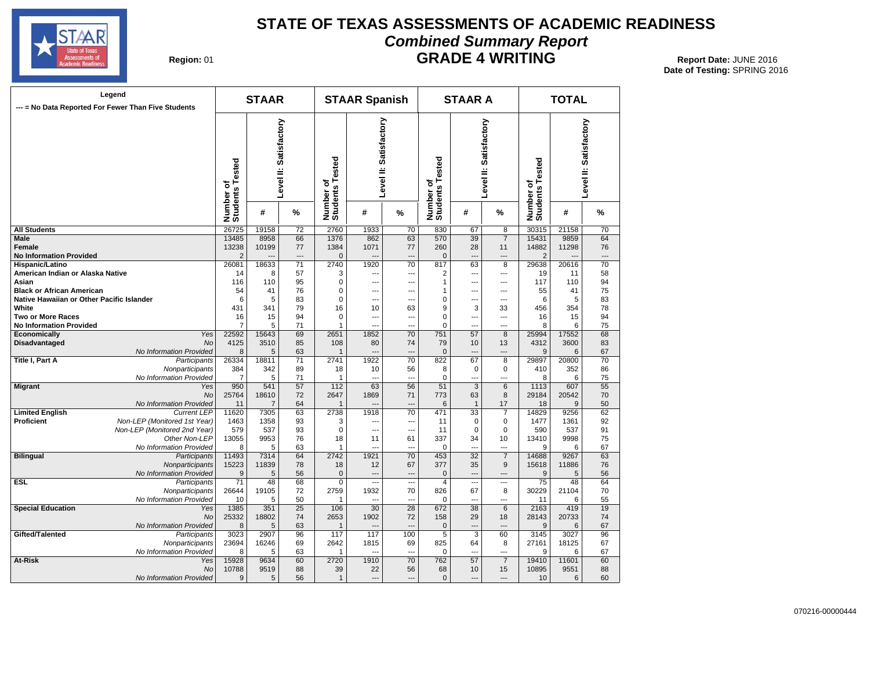

#### **STATE OF TEXAS ASSESSMENTS OF ACADEMIC READINESS Combined Summary Report** 01 **GRADE 4 WRITING Report Date:** JUNE 2016

**Date of Testing:**  SPRING 2016

**Region: 01** 

| inpined Summary Report |  |  |
|------------------------|--|--|
| <b>GRADE 4 WRITING</b> |  |  |

| Legend<br>--- = No Data Reported For Fewer Than Five Students                                     | <b>STAAR</b>                 |              |                        | <b>STAAR Spanish</b>         |                        |                 |                              | <b>STAAR A</b>    |                        | <b>TOTAL</b>                 |              |                        |  |
|---------------------------------------------------------------------------------------------------|------------------------------|--------------|------------------------|------------------------------|------------------------|-----------------|------------------------------|-------------------|------------------------|------------------------------|--------------|------------------------|--|
|                                                                                                   | Number of<br>Students Tested |              | Level II: Satisfactory | Number of<br>Students Tested | Level II: Satisfactory |                 | Number of<br>Students Tested |                   | Level II: Satisfactory | Number of<br>Students Tested |              | Level II: Satisfactory |  |
|                                                                                                   |                              | #            | %                      |                              | #                      | %               |                              | #                 | %                      |                              | #            | %                      |  |
| <b>All Students</b>                                                                               | 26725                        | 19158        | 72                     | 2760                         | 1933                   | 70              | 830                          | 67                | 8                      | 30315                        | 21158        | 70                     |  |
| <b>Male</b>                                                                                       | 13485                        | 8958         | 66                     | 1376                         | 862                    | 63              | 570                          | $\overline{39}$   | $\overline{7}$         | 15431                        | 9859         | 64                     |  |
| Female                                                                                            | 13238                        | 10199        | 77                     | 1384                         | 1071                   | 77              | 260                          | 28                | 11                     | 14882                        | 11298        | 76                     |  |
| <b>No Information Provided</b>                                                                    | $\overline{2}$               |              | ---                    | $\mathbf{0}$                 | $\overline{a}$         | ---             | $\mathbf 0$                  | ---               | ---                    | $\overline{2}$               |              | ---                    |  |
| <b>Hispanic/Latino</b>                                                                            | 26081                        | 18633        | 71                     | 2740                         | 1920                   | 70              | 817                          | 63                | 8                      | 29638                        | 20616        | 70                     |  |
| American Indian or Alaska Native                                                                  | 14                           | 8            | 57                     | 3                            | ---                    | ---             | 2                            | ---               | ---                    | 19                           | 11           | 58                     |  |
| Asian                                                                                             | 116                          | 110          | 95                     | 0                            | $\overline{a}$         | ---             | 1                            | ---               | ---                    | 117                          | 110          | 94                     |  |
| <b>Black or African American</b>                                                                  | 54                           | 41           | 76                     | 0                            | $\overline{a}$         | ÷.,             | 1                            |                   | $\overline{a}$         | 55                           | 41           | 75                     |  |
| Native Hawaiian or Other Pacific Islander                                                         | 6                            | 5            | 83                     | 0                            | ---                    | ÷.              | 0                            | ---               | ---                    | 6                            | 5            | 83                     |  |
| White                                                                                             | 431                          | 341          | 79                     | 16                           | 10                     | 63              | 9                            | 3                 | 33                     | 456                          | 354          | 78                     |  |
| <b>Two or More Races</b>                                                                          | 16                           | 15           | 94                     | $\Omega$                     | $\overline{a}$         | ÷.,             | $\mathbf 0$                  |                   | $\overline{a}$         | 16                           | 15           | 94                     |  |
| <b>No Information Provided</b>                                                                    | 7                            | 5            | 71                     | 1                            | $\overline{a}$         | ---             | 0                            | ---               | ---                    | 8                            | 6            | 75                     |  |
| Yes<br>Economically                                                                               | 22592                        | 15643        | 69                     | 2651                         | 1852                   | 70              | 751                          | 57                | 8                      | 25994                        | 17552        | 68                     |  |
| <b>Disadvantaged</b><br><b>No</b>                                                                 | 4125                         | 3510         | 85                     | 108                          | 80                     | 74              | 79                           | 10                | 13                     | 4312                         | 3600         | 83                     |  |
| No Information Provided                                                                           | 8                            | 5            | 63                     | 1                            | ---                    | …               | $\Omega$                     | -−                | ---                    | 9                            | 6            | 67                     |  |
| <b>Title I, Part A</b><br>Participants                                                            | 26334                        | 18811        | 71                     | 2741                         | 1922                   | 70              | 822                          | 67                | $\overline{8}$         | 29897                        | 20800        | 70                     |  |
| Nonparticipants                                                                                   | 384                          | 342          | 89                     | 18                           | 10                     | 56              | 8                            | $\mathbf 0$       | $\mathbf 0$            | 410                          | 352          | 86                     |  |
| No Information Provided                                                                           | $\overline{7}$               | 5            | 71                     | $\mathbf{1}$                 | $\overline{a}$         | ---             | 0                            | ---               | ---                    | 8                            | 6            | 75                     |  |
| <b>Migrant</b><br>Yes                                                                             | 950                          | 541          | 57                     | 112                          | 63                     | 56              | 51                           | 3                 | 6                      | 1113                         | 607          | 55                     |  |
| <b>No</b>                                                                                         | 25764                        | 18610        | 72                     | 2647                         | 1869                   | 71              | 773                          | 63                | 8                      | 29184                        | 20542        | 70                     |  |
| No Information Provided                                                                           | 11                           | 7            | 64                     | $\mathbf{1}$                 |                        | ---             | 6                            | $\mathbf{1}$      | 17                     | 18                           | 9            | 50                     |  |
| <b>Limited English</b><br><b>Current LEP</b><br><b>Proficient</b><br>Non-LEP (Monitored 1st Year) | 11620<br>1463                | 7305<br>1358 | 63<br>93               | 2738<br>3                    | 1918                   | 70<br>---       | 471                          | 33<br>$\mathbf 0$ | 7<br>$\mathbf 0$       | 14829<br>1477                | 9256<br>1361 | 62<br>92               |  |
| Non-LEP (Monitored 2nd Year)                                                                      | 579                          | 537          | 93                     | 0                            | ---                    | ⊷               | 11<br>11                     | $\mathbf 0$       | $\mathbf 0$            | 590                          | 537          | 91                     |  |
| Other Non-LEP                                                                                     | 13055                        | 9953         | 76                     | 18                           | ---<br>11              | 61              | 337                          | 34                | 10                     | 13410                        | 9998         | 75                     |  |
| No Information Provided                                                                           | 8                            | 5            | 63                     | $\mathbf{1}$                 | $\overline{a}$         |                 | $\Omega$                     | -−                | $\overline{a}$         | 9                            | 6            | 67                     |  |
| <b>Bilingual</b><br>Participants                                                                  | 11493                        | 7314         | 64                     | 2742                         | 1921                   | $\overline{70}$ | 453                          | 32                | $\overline{7}$         | 14688                        | 9267         | 63                     |  |
| Nonparticipants                                                                                   | 15223                        | 11839        | 78                     | 18                           | 12                     | 67              | 377                          | 35                | 9                      | 15618                        | 11886        | 76                     |  |
| No Information Provided                                                                           | 9                            | 5            | 56                     | $\Omega$                     | ---                    | $\sim$          | $\mathbf 0$                  | ---               | $\overline{a}$         | 9                            | 5            | 56                     |  |
| <b>ESL</b><br>Participants                                                                        | $\overline{71}$              | 48           | 68                     | $\mathbf 0$                  | Щ,                     | ---             | $\overline{4}$               |                   |                        | $\overline{75}$              | 48           | 64                     |  |
| Nonparticipants                                                                                   | 26644                        | 19105        | 72                     | 2759                         | 1932                   | 70              | 826                          | 67                | 8                      | 30229                        | 21104        | 70                     |  |
| No Information Provided                                                                           | 10                           | 5            | 50                     | 1                            | $\overline{a}$         | ---             | 0                            |                   | $\overline{a}$         | 11                           | 6            | 55                     |  |
| <b>Special Education</b><br>Yes                                                                   | 1385                         | 351          | 25                     | 106                          | 30                     | 28              | 672                          | 38                | 6                      | 2163                         | 419          | 19                     |  |
| <b>No</b>                                                                                         | 25332                        | 18802        | 74                     | 2653                         | 1902                   | 72              | 158                          | 29                | 18                     | 28143                        | 20733        | 74                     |  |
| No Information Provided                                                                           | 8                            | 5            | 63                     | $\mathbf{1}$                 | ---                    |                 | $\mathbf 0$                  |                   |                        | 9                            | 6            | 67                     |  |
| Gifted/Talented<br>Participants                                                                   | 3023                         | 2907         | 96                     | 117                          | 117                    | 100             | $\overline{5}$               | $\overline{3}$    | 60                     | 3145                         | 3027         | 96                     |  |
| Nonparticipants                                                                                   | 23694                        | 16246        | 69                     | 2642                         | 1815                   | 69              | 825                          | 64                | 8                      | 27161                        | 18125        | 67                     |  |
| No Information Provided                                                                           | 8                            | 5            | 63                     | $\mathbf{1}$                 | $\sim$                 | $\sim$          | 0                            | ---               | ---                    | 9                            | 6            | 67                     |  |
| At-Risk<br>Yes                                                                                    | 15928                        | 9634         | 60                     | 2720                         | 1910                   | 70              | 762                          | 57                | $\overline{7}$         | 19410                        | 11601        | 60                     |  |
| No                                                                                                | 10788                        | 9519         | 88                     | 39                           | 22                     | 56              | 68                           | 10                | 15                     | 10895                        | 9551         | 88                     |  |
| No Information Provided                                                                           | 9                            | 5            | 56                     | $\mathbf{1}$                 | $\overline{a}$         |                 | $\pmb{0}$                    | −−                |                        | 10                           | 6            | 60                     |  |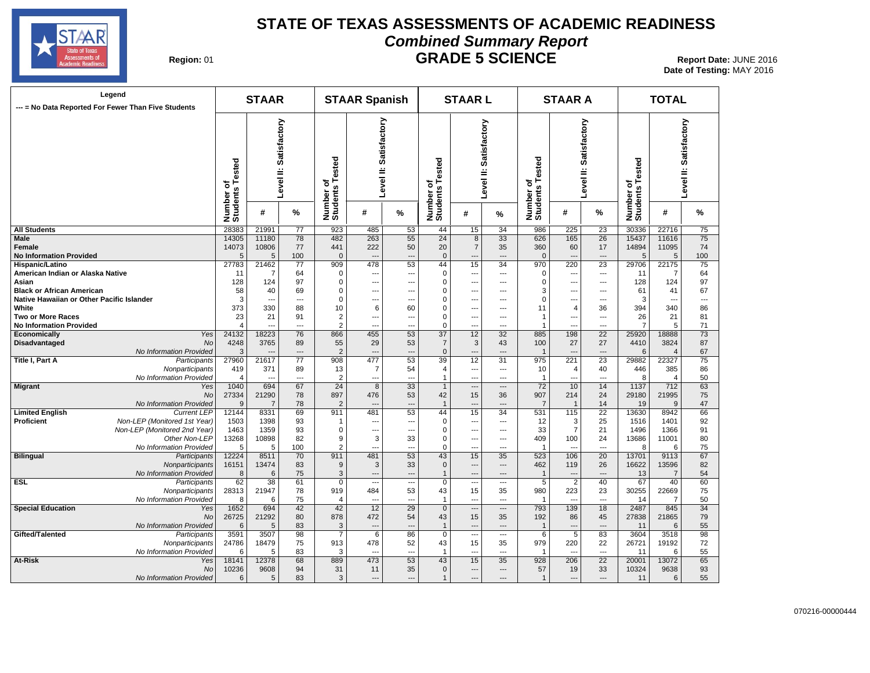

#### **STATE OF TEXAS ASSESSMENTS OF ACADEMIC READINESS Combined Summary Report GRADE 5 SCIENCE Report Date: JUNE 2016 Report Date: JUNE 2016**

**Date of Testing:**  MAY 2016

| Region: 01 |  |
|------------|--|
|------------|--|

| Legend<br>--- = No Data Reported For Fewer Than Five Students |                              | <b>STAAR</b>   |                        |                                      | <b>STAAR Spanish</b>      |                          |                              | <b>STAARL</b>            |                          | <b>STAAR A</b>             |                          |                        | <b>TOTAL</b>                        |                |                          |
|---------------------------------------------------------------|------------------------------|----------------|------------------------|--------------------------------------|---------------------------|--------------------------|------------------------------|--------------------------|--------------------------|----------------------------|--------------------------|------------------------|-------------------------------------|----------------|--------------------------|
|                                                               | Number of<br>Students Tested |                | Level II: Satisfactory | Tested<br>৳<br>Number of<br>Students | Satisfactory<br>Level II: |                          | Number of<br>Students Tested | Level II: Satisfactory   |                          | of<br>s Tested<br><b>S</b> |                          | Level II: Satisfactory | ested<br>৳<br>Number of<br>Students |                | Level II: Satisfactory   |
|                                                               |                              | #              | %                      |                                      | #                         | %                        |                              | #                        | ℅                        | Number<br>Students         | #                        | %                      |                                     | #              | %                        |
| <b>All Students</b>                                           | 28383                        | 21991          | 77                     | 923                                  | 485                       | 53                       | 44                           | 15                       | 34                       | 986                        | 225                      | 23                     | 30336                               | 22716          | 75                       |
| Male                                                          | 14305                        | 11180          | 78                     | 482                                  | 263                       | 55                       | 24                           | 8                        | $\overline{33}$          | 626                        | 165                      | $\overline{26}$        | 15437                               | 11616          | 75                       |
| Female                                                        | 14073                        | 10806          | 77                     | 441                                  | 222                       | 50                       | 20                           | $\overline{7}$           | 35                       | 360                        | 60                       | 17                     | 14894                               | 11095          | 74                       |
| <b>No Information Provided</b>                                | 5                            | 5              | 100                    | $\mathbf{0}$                         |                           | $\overline{a}$           | $\mathbf{0}$                 | $\overline{a}$           | $\sim$                   | $\Omega$                   | $\overline{a}$           | $\sim$                 | 5                                   | 5              | 100                      |
| Hispanic/Latino                                               | 27783                        | 21462          | 77                     | 909                                  | 478                       | 53                       | 44                           | 15                       | 34                       | 970                        | 220                      | 23                     | 29706                               | 22175          | 75                       |
| American Indian or Alaska Native                              | 11                           | 7              | 64                     | $\Omega$                             | $---$                     | ---                      | 0                            | $\qquad \qquad \cdots$   | $\hspace{0.05cm} \ldots$ | $\Omega$                   | $\qquad \qquad \cdots$   | ---                    | 11                                  | 7              | 64                       |
| Asian                                                         | 128                          | 124            | 97                     | $\mathbf 0$                          | $\overline{\phantom{a}}$  | ---                      | $\Omega$                     | $\overline{a}$           | ---                      | $\Omega$                   | ---                      | ---                    | 128                                 | 124            | 97                       |
| <b>Black or African American</b>                              | 58                           | 40             | 69                     | $\mathbf 0$                          | $- - -$                   | ---                      | $\Omega$                     | $---$                    | $---$                    | 3                          | ---                      | $---$                  | 61                                  | 41             | 67                       |
| Native Hawaiian or Other Pacific Islander                     | 3                            | $\overline{a}$ | $\overline{a}$         | $\mathbf 0$                          | $\overline{\phantom{a}}$  | ---                      | $\mathbf 0$                  | $\overline{\phantom{a}}$ | $---$                    | $\mathbf 0$                | ---                      | $\overline{a}$         | 3                                   | ---            | $\overline{\phantom{a}}$ |
| White                                                         | 373                          | 330            | 88                     | 10                                   | 6                         | 60                       | $\mathbf 0$                  | $\overline{\phantom{a}}$ | ---                      | 11                         | 4                        | 36                     | 394                                 | 340            | 86                       |
| <b>Two or More Races</b>                                      | 23                           | 21             | 91                     | $\overline{2}$                       | $\overline{\phantom{a}}$  | ---                      | $\mathbf 0$                  | $\cdots$                 | ---                      | $\overline{1}$             | ---                      | ---                    | 26                                  | 21             | 81                       |
| <b>No Information Provided</b>                                | $\overline{4}$               | $\overline{a}$ | $\overline{a}$         | $\overline{2}$                       | $\overline{a}$            | $\overline{a}$           | $\mathbf 0$                  | $\overline{a}$           | $\overline{a}$           | $\overline{1}$             | $\overline{a}$           | $\sim$                 | $\overline{7}$                      | 5              | 71                       |
| Yes<br>Economically                                           | 24132                        | 18223          | 76                     | 866                                  | 455                       | 53                       | 37                           | 12                       | 32                       | 885                        | 198                      | 22                     | 25920                               | 18888          | 73                       |
| Disadvantaged<br>No                                           | 4248                         | 3765           | 89                     | 55                                   | 29                        | 53                       | $\overline{7}$               | 3                        | 43                       | 100                        | 27                       | 27                     | 4410                                | 3824           | 87                       |
| No Information Provided                                       | 3                            |                | ---                    | $\overline{2}$                       | $\sim$                    | $\overline{a}$           | $\mathbf{0}$                 | $---$                    | $---$                    | $\overline{1}$             | $\overline{\phantom{a}}$ | $\overline{a}$         | 6                                   | $\overline{4}$ | 67                       |
| Participants                                                  | 27960                        | 21617          | $\overline{77}$        | 908                                  | 477                       | 53                       | 39                           | $\overline{12}$          | 31                       | 975                        | 221                      | $\overline{23}$        | 29882                               | 22327          | 75                       |
| Title I, Part A                                               |                              |                |                        |                                      |                           |                          |                              |                          |                          |                            |                          |                        |                                     |                |                          |
| Nonparticipants                                               | 419                          | 371            | 89                     | 13                                   | $\overline{7}$            | 54                       | 4                            | $\overline{a}$           | ---                      | 10                         | 4                        | 40                     | 446                                 | 385            | 86                       |
| No Information Provided                                       | 4                            | $\overline{a}$ | $\overline{a}$         | $\overline{2}$                       | $\overline{a}$            | $\overline{a}$           | $\mathbf 1$                  | $---$                    | $---$                    | $\overline{1}$             | $\overline{a}$           | $\overline{a}$         | 8                                   | $\overline{4}$ | 50                       |
| <b>Migrant</b><br>Yes                                         | 1040                         | 694            | 67                     | 24                                   | 8                         | 33                       | $\mathbf{1}$                 | $\hspace{0.05cm} \ldots$ | $\qquad \qquad \cdots$   | 72                         | 10                       | 14                     | 1137                                | 712            | 63                       |
| <b>No</b>                                                     | 27334                        | 21290          | 78                     | 897                                  | 476                       | 53                       | 42                           | 15                       | 36                       | 907                        | 214                      | 24                     | 29180                               | 21995          | 75                       |
| No Information Provided                                       | 9                            | $\overline{7}$ | 78                     | $\overline{2}$                       | $\overline{\phantom{a}}$  | $\overline{\phantom{a}}$ | $\overline{1}$               | $\overline{a}$           | $\overline{\phantom{a}}$ | $\overline{7}$             | $\overline{1}$           | 14                     | 19                                  | 9              | 47                       |
| <b>Limited English</b><br><b>Current LEP</b>                  | 12144                        | 8331           | 69                     | 911                                  | 481                       | 53                       | 44                           | 15                       | 34                       | 531                        | 115                      | 22                     | 13630                               | 8942           | 66                       |
| Proficient<br>Non-LEP (Monitored 1st Year)                    | 1503                         | 1398           | 93                     | $\mathbf{1}$                         | $\overline{\phantom{a}}$  | ---                      | $\mathbf 0$                  | $\overline{a}$           | $\overline{\phantom{a}}$ | 12                         | 3                        | 25                     | 1516                                | 1401           | 92                       |
| Non-LEP (Monitored 2nd Year)                                  | 1463                         | 1359           | 93                     | $\Omega$                             | $\overline{\phantom{a}}$  | ---                      | $\mathbf 0$                  | ---                      | $\overline{a}$           | 33                         | $\overline{7}$           | 21                     | 1496                                | 1366           | 91                       |
| Other Non-LEP                                                 | 13268                        | 10898          | 82                     | 9                                    | 3                         | 33                       | $\mathbf 0$                  | $\overline{\phantom{a}}$ | $\overline{a}$           | 409                        | 100                      | 24                     | 13686                               | 11001          | 80                       |
| No Information Provided                                       | 5                            | 5              | 100                    | $\overline{2}$                       | $\overline{a}$            | ---                      | $\mathbf 0$                  | $\overline{a}$           | ---                      | -1                         | $\overline{\phantom{a}}$ | ---                    | 8                                   | 6              | 75                       |
| <b>Bilingual</b><br>Participants                              | 12224                        | 8511           | 70                     | 911                                  | 481                       | 53                       | 43                           | 15                       | 35                       | 523                        | 106                      | 20                     | 13701                               | 9113           | 67                       |
| Nonparticipants                                               | 16151                        | 13474          | 83                     | 9                                    | 3                         | 33                       | $\mathbf{0}$                 | $\qquad \qquad \cdots$   | ---                      | 462                        | 119                      | 26                     | 16622                               | 13596          | 82                       |
| No Information Provided                                       | 8                            | 6              | 75                     | $\sqrt{3}$                           | $\overline{\phantom{a}}$  | ---                      |                              | $\overline{a}$           | ---                      | $\overline{\mathbf{1}}$    | $\overline{\phantom{a}}$ | $\overline{a}$         | 13                                  | $\overline{7}$ | 54                       |
| ESL<br>Participants                                           | 62                           | 38             | 61                     | $\mathbf 0$                          | $\overline{\phantom{a}}$  | ---                      | $\mathbf 0$                  | $---$                    | $\overline{\phantom{a}}$ | $\overline{5}$             | $\overline{2}$           | 40                     | 67                                  | 40             | 60                       |
| Nonparticipants                                               | 28313                        | 21947          | 78                     | 919                                  | 484                       | 53                       | 43                           | 15                       | 35                       | 980                        | 223                      | 23                     | 30255                               | 22669          | 75                       |
| No Information Provided                                       | 8                            | 6              | 75                     | $\overline{4}$                       | $\overline{\phantom{a}}$  | ---                      | $\mathbf{1}$                 | $\overline{a}$           | $\overline{a}$           | $\overline{1}$             | $\overline{a}$           | $\sim$                 | 14                                  | $\overline{7}$ | 50                       |
| <b>Special Education</b><br>Yes                               | 1652                         | 694            | 42                     | 42                                   | 12                        | 29                       | $\overline{0}$               | $\overline{a}$           | $\overline{\phantom{a}}$ | 793                        | 139                      | 18                     | 2487                                | 845            | 34                       |
| No                                                            | 26725                        | 21292          | 80                     | 878                                  | 472                       | 54                       | 43                           | 15                       | 35                       | 192                        | 86                       | 45                     | 27838                               | 21865          | 79                       |
| No Information Provided                                       | 6                            | 5              | 83                     | 3                                    | $\overline{a}$            | ---                      | $\mathbf{1}$                 | $\overline{a}$           | $\overline{a}$           | $\overline{1}$             | $\overline{a}$           | $\overline{a}$         | 11                                  | 6              | 55                       |
| Gifted/Talented<br>Participants                               | 3591                         | 3507           | 98                     | $\overline{7}$                       | 6                         | 86                       | $\mathbf 0$                  | $\cdots$                 | $\overline{\phantom{a}}$ | 6                          | 5                        | 83                     | 3604                                | 3518           | 98                       |
| Nonparticipants                                               | 24786                        | 18479          | 75                     | 913                                  | 478                       | 52                       | 43                           | 15                       | 35                       | 979                        | 220                      | 22                     | 26721                               | 19192          | 72                       |
| No Information Provided                                       | 6                            | 5              | 83                     | 3                                    | $\overline{\phantom{a}}$  | ---                      | 1                            | $\overline{a}$           | $\overline{\phantom{a}}$ | -1                         | $\overline{a}$           | ---                    | 11                                  | 6              | 55                       |
| At-Risk<br>Yes                                                | 18141                        | 12378          | 68                     | 889                                  | 473                       | 53                       | 43                           | 15                       | 35                       | 928                        | 206                      | 22                     | 20001                               | 13072          | 65                       |
| No                                                            | 10236                        | 9608           | 94                     | 31                                   | 11                        | 35                       | $\mathbf 0$                  | $\overline{a}$           | $\overline{a}$           | 57                         | 19                       | 33                     | 10324                               | 9638           | 93                       |
| No Information Provided                                       | 6                            | 5              | 83                     | 3                                    | $\overline{a}$            | $\overline{a}$           | $\mathbf{1}$                 | $---$                    | $\overline{a}$           | $\overline{1}$             | $\overline{a}$           | $\overline{a}$         | 11                                  | 6              | 55                       |
|                                                               |                              |                |                        |                                      |                           |                          |                              |                          |                          |                            |                          |                        |                                     |                |                          |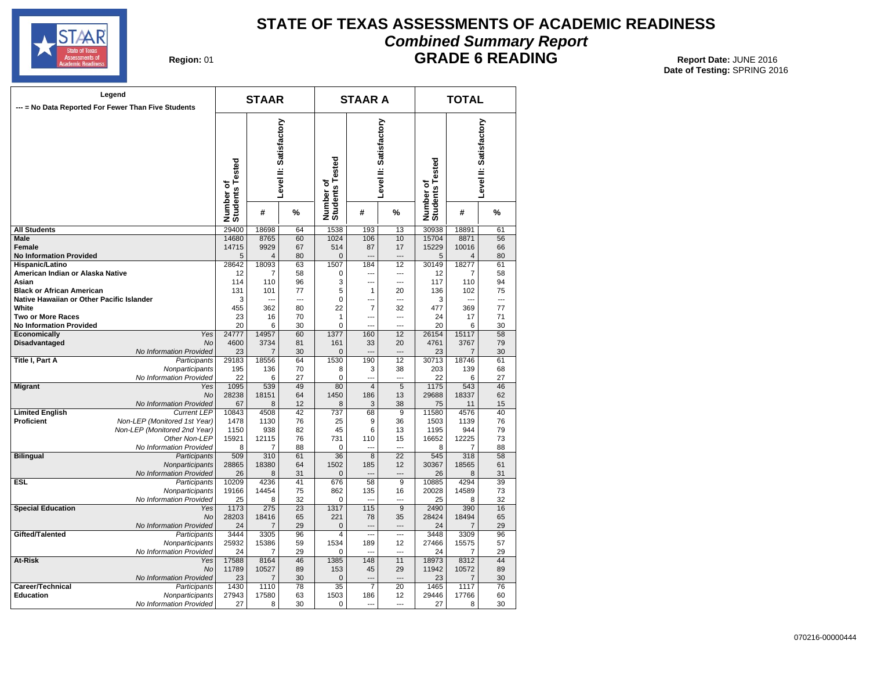

### **STATE OF TEXAS ASSESSMENTS OF ACADEMIC READINESS Combined Summary Report**

#### **GRADE 6 READING** Report Date: JUNE 2016

| Region: 01 |
|------------|
|------------|

| Legend<br>--- = No Data Reported For Fewer Than Five Students |                                                    |                              | <b>STAAR</b>            |                        |                              | <b>STAAR A</b>       |                        | <b>TOTAL</b>                 |                         |                        |  |
|---------------------------------------------------------------|----------------------------------------------------|------------------------------|-------------------------|------------------------|------------------------------|----------------------|------------------------|------------------------------|-------------------------|------------------------|--|
|                                                               |                                                    |                              |                         |                        |                              |                      |                        |                              |                         |                        |  |
|                                                               |                                                    | Number of<br>Students Tested |                         | Level II: Satisfactory | Number of<br>Students Tested |                      | Level II: Satisfactory | Number of<br>Students Tested |                         | Level II: Satisfactory |  |
|                                                               |                                                    |                              | #                       | %                      |                              | #                    | %                      |                              | #                       | %                      |  |
| <b>All Students</b>                                           |                                                    | 29400                        | 18698                   | 64                     | 1538                         | 193                  | $\overline{13}$        | 30938                        | 18891                   | 61                     |  |
| <b>Male</b>                                                   |                                                    | 14680                        | 8765                    | 60                     | 1024                         | 106                  | 10                     | 15704                        | 8871                    | 56                     |  |
| <b>Female</b>                                                 |                                                    | 14715                        | 9929                    | 67                     | 514                          | 87                   | 17                     | 15229                        | 10016                   | 66                     |  |
| <b>No Information Provided</b><br>Hispanic/Latino             |                                                    | 5<br>28642                   | $\overline{4}$<br>18093 | 80<br>63               | $\mathbf{0}$<br>1507         | 184                  | $\overline{a}$<br>12   | 5<br>30149                   | $\overline{4}$<br>18277 | 80<br>61               |  |
| American Indian or Alaska Native                              |                                                    | 12                           | 7                       | 58                     | 0                            | $\sim$               | ---                    | 12                           | 7                       | 58                     |  |
| Asian                                                         |                                                    | 114                          | 110                     | 96                     | 3                            | ---                  | $\overline{a}$         | 117                          | 110                     | 94                     |  |
| <b>Black or African American</b>                              |                                                    | 131                          | 101                     | 77                     | 5                            | 1                    | 20                     | 136                          | 102                     | 75                     |  |
| Native Hawaiian or Other Pacific Islander                     |                                                    | 3                            | $\overline{a}$          | $\overline{a}$         | 0                            | $\sim$               | ---                    | 3                            |                         | $\overline{a}$         |  |
| White                                                         |                                                    | 455                          | 362                     | 80                     | 22                           | 7                    | 32                     | 477                          | 369                     | 77                     |  |
| <b>Two or More Races</b>                                      |                                                    | 23                           | 16                      | 70                     | $\mathbf{1}$                 | $\overline{a}$       | $\overline{a}$         | 24                           | 17                      | 71                     |  |
| <b>No Information Provided</b>                                |                                                    | 20                           | 6                       | 30                     | $\mathbf 0$                  | $\sim$               | $\overline{a}$         | 20                           | 6                       | 30                     |  |
| <b>Economically</b><br>Disadvantaged                          | Yes<br>No                                          | 24777<br>4600                | 14957<br>3734           | 60<br>81               | 1377<br>161                  | 160<br>33            | 12<br>20               | 26154<br>4761                | 15117<br>3767           | 58<br>79               |  |
|                                                               | No Information Provided                            | 23                           | $\overline{7}$          | 30                     | $\mathbf 0$                  |                      |                        | 23                           | 7                       | 30                     |  |
| Title I, Part A                                               | Participants                                       | 29183                        | 18556                   | 64                     | 1530                         | 190                  | 12                     | 30713                        | 18746                   | 61                     |  |
|                                                               | Nonparticipants                                    | 195                          | 136                     | 70                     | 8                            | 3                    | 38                     | 203                          | 139                     | 68                     |  |
|                                                               | No Information Provided                            | 22                           | 6                       | 27                     | $\mathbf 0$                  | $\overline{a}$       | ---                    | 22                           | 6                       | 27                     |  |
| <b>Migrant</b>                                                | Yes                                                | 1095                         | 539                     | 49                     | 80                           | $\overline{4}$       | 5                      | 1175                         | 543                     | 46                     |  |
|                                                               | No                                                 | 28238                        | 18151                   | 64                     | 1450                         | 186                  | 13                     | 29688                        | 18337                   | 62                     |  |
|                                                               | No Information Provided                            | 67                           | 8                       | 12                     | 8                            | 3                    | 38                     | 75                           | 11                      | 15                     |  |
| <b>Limited English</b><br>Proficient                          | <b>Current LEP</b><br>Non-LEP (Monitored 1st Year) | 10843<br>1478                | 4508<br>1130            | 42<br>76               | 737<br>25                    | 68<br>9              | 9<br>36                | 11580<br>1503                | 4576<br>1139            | 40<br>76               |  |
|                                                               | Non-LEP (Monitored 2nd Year)                       | 1150                         | 938                     | 82                     | 45                           | 6                    | 13                     | 1195                         | 944                     | 79                     |  |
|                                                               | Other Non-LEP                                      | 15921                        | 12115                   | 76                     | 731                          | 110                  | 15                     | 16652                        | 12225                   | 73                     |  |
|                                                               | No Information Provided                            | 8                            | 7                       | 88                     | 0                            |                      | $\sim$                 | 8                            | 7                       | 88                     |  |
| <b>Bilingual</b>                                              | Participants                                       | 509                          | 310                     | 61                     | 36                           | 8                    | 22                     | 545                          | 318                     | 58                     |  |
|                                                               | Nonparticipants                                    | 28865                        | 18380                   | 64                     | 1502                         | 185                  | 12                     | 30367                        | 18565                   | 61                     |  |
|                                                               | No Information Provided                            | 26                           | 8                       | 31                     | $\Omega$                     |                      | $\overline{a}$         | 26                           | 8                       | 31                     |  |
| ESI.                                                          | Participants                                       | 10209                        | 4236                    | 41                     | 676                          | 58                   | 9                      | 10885                        | 4294                    | 39                     |  |
|                                                               | Nonparticipants<br>No Information Provided         | 19166<br>25                  | 14454<br>8              | 75<br>32               | 862<br>$\mathbf 0$           | 135                  | 16                     | 20028<br>25                  | 14589<br>8              | 73<br>32               |  |
| <b>Special Education</b>                                      | Yes                                                | 1173                         | 275                     | 23                     | 1317                         | 115                  | 9                      | 2490                         | 390                     | 16                     |  |
|                                                               | No                                                 | 28203                        | 18416                   | 65                     | 221                          | 78                   | 35                     | 28424                        | 18494                   | 65                     |  |
|                                                               | No Information Provided                            | 24                           | 7                       | 29                     | $\mathbf 0$                  | $\overline{a}$       | $\overline{a}$         | 24                           | 7                       | 29                     |  |
| Gifted/Talented                                               | Participants                                       | 3444                         | 3305                    | 96                     | $\overline{\mathbf{4}}$      | ---                  | $\overline{a}$         | 3448                         | 3309                    | 96                     |  |
|                                                               | Nonparticipants                                    | 25932                        | 15386                   | 59                     | 1534                         | 189                  | 12                     | 27466                        | 15575                   | 57                     |  |
|                                                               | No Information Provided                            | 24                           | 7                       | 29                     | $\mathbf 0$                  |                      | $\overline{a}$         | 24                           | 7                       | 29                     |  |
| At-Risk                                                       | Yes                                                | 17588                        | 8164                    | 46                     | 1385                         | 148                  | 11                     | 18973                        | 8312                    | 44                     |  |
|                                                               | No                                                 | 11789                        | 10527                   | 89<br>30               | 153                          | 45<br>$\overline{a}$ | 29<br>$\overline{a}$   | 11942                        | 10572                   | 89<br>30               |  |
| Career/Technical                                              | No Information Provided<br>Participants            | 23<br>1430                   | 7<br>1110               | 78                     | $\mathbf 0$<br>35            | $\overline{7}$       | 20                     | 23<br>1465                   | 7<br>1117               | 76                     |  |
| <b>Education</b>                                              | Nonparticipants                                    | 27943                        | 17580                   | 63                     | 1503                         | 186                  | 12                     | 29446                        | 17766                   | 60                     |  |
|                                                               | No Information Provided                            | 27                           | 8                       | 30                     | 0                            |                      | $\overline{a}$         | 27                           | 8                       | 30                     |  |
|                                                               |                                                    |                              |                         |                        |                              |                      |                        |                              |                         |                        |  |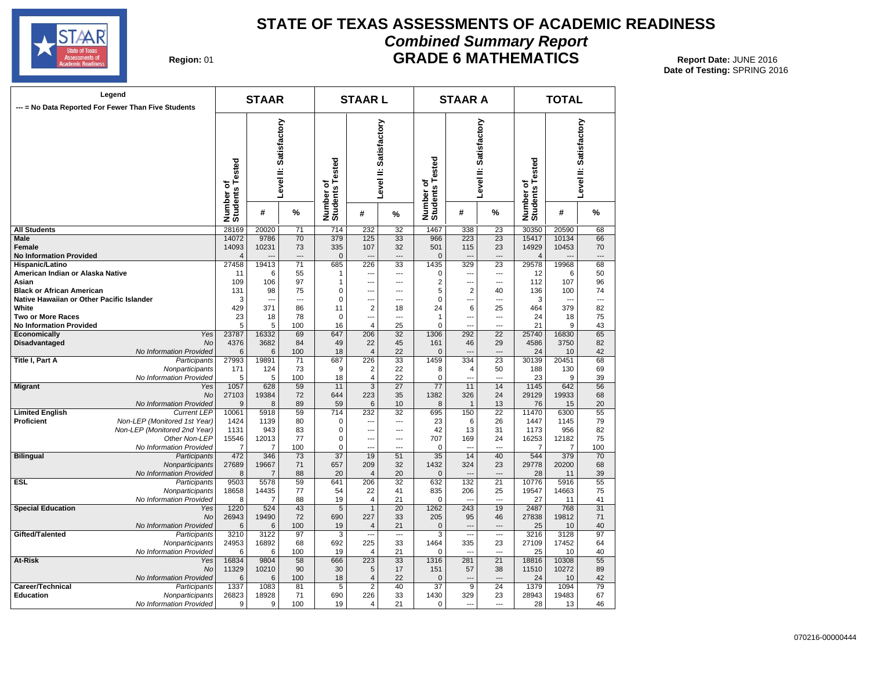

#### **STATE OF TEXAS ASSESSMENTS OF ACADEMIC READINESS Combined Summary Report GRADE 6 MATHEMATICS** Report Date: JUNE 2016

| Region: 01 |  |
|------------|--|
|------------|--|

| Legend<br>--- = No Data Reported For Fewer Than Five Students |                              |                                                        | <b>STAAR</b>   |                                   |                        | <b>STAARL</b>           |                              |                 | <b>STAAR A</b>           |                              | <b>TOTAL</b>           |                |                 |  |
|---------------------------------------------------------------|------------------------------|--------------------------------------------------------|----------------|-----------------------------------|------------------------|-------------------------|------------------------------|-----------------|--------------------------|------------------------------|------------------------|----------------|-----------------|--|
|                                                               |                              | Level II: Satisfactory<br>Number of<br>Students Tested |                | ested<br>Number of<br>Students Te | Level II: Satisfactory |                         | Number of<br>Students Tested |                 | Level II: Satisfactory   | Number of<br>Students Tested | Level II: Satisfactory |                |                 |  |
|                                                               |                              |                                                        | #              | %                                 |                        | #                       | %                            |                 | #                        | %                            |                        | #              | %               |  |
| <b>All Students</b>                                           |                              | 28169                                                  | 20020          | 71                                | 714                    | 232                     | 32                           | 1467            | 338                      | 23                           | 30350                  | 20590          | 68              |  |
| Male                                                          |                              | 14072                                                  | 9786           | 70                                | 379                    | 125                     | 33                           | 966             | 223                      | 23                           | 15417                  | 10134          | 66              |  |
| Female                                                        |                              | 14093                                                  | 10231          | 73                                | 335                    | 107                     | 32                           | 501             | 115                      | 23                           | 14929                  | 10453          | 70              |  |
| <b>No Information Provided</b>                                |                              | 4                                                      |                |                                   | $\mathbf 0$            |                         | ---                          | $\mathbf{0}$    | $\overline{a}$           | $\overline{a}$               | 4                      |                |                 |  |
| Hispanic/Latino                                               |                              | 27458                                                  | 19413          | 71                                | 685                    | 226                     | 33                           | 1435            | 329                      | 23                           | 29578                  | 19968          | 68              |  |
| American Indian or Alaska Native                              |                              | 11                                                     | 6              | 55                                | $\mathbf{1}$           | ---                     | ---                          | 0               | ---                      | ---                          | 12                     | 6              | 50              |  |
| Asian                                                         |                              | 109                                                    | 106            | 97                                | 1                      | ---                     | $\overline{a}$               | 2               | $\overline{a}$           | ---                          | 112                    | 107            | 96              |  |
| <b>Black or African American</b>                              |                              | 131                                                    | 98             | 75                                | 0                      | ---                     | ---                          | 5               | $\overline{2}$           | 40                           | 136                    | 100            | 74              |  |
| Native Hawaiian or Other Pacific Islander                     |                              | 3                                                      | $\overline{a}$ | $\sim$                            | $\mathbf 0$            | ---                     | $\overline{a}$               | 0               | $\overline{a}$           | $\overline{a}$               | 3                      | $\overline{a}$ | $\overline{a}$  |  |
|                                                               |                              |                                                        |                |                                   |                        |                         |                              |                 |                          |                              |                        |                |                 |  |
| White                                                         |                              | 429                                                    | 371            | 86                                | 11                     | 2                       | 18                           | 24              | 6                        | 25                           | 464                    | 379            | 82              |  |
| Two or More Races                                             |                              | 23                                                     | 18             | 78                                | 0                      | ---                     | ---                          | 1               | $\overline{a}$           | $\overline{a}$               | 24                     | 18             | 75              |  |
| <b>No Information Provided</b>                                |                              | 5                                                      | 5              | 100                               | 16                     | 4                       | 25                           | $\mathbf 0$     | ÷-                       | ---                          | 21                     | 9              | 43              |  |
| Economically                                                  | Yes                          | 23787                                                  | 16332          | 69                                | 647                    | 206                     | 32                           | 1306            | 292                      | 22                           | 25740                  | 16830          | 65              |  |
| <b>Disadvantaged</b>                                          | <b>No</b>                    | 4376                                                   | 3682           | 84                                | 49                     | 22                      | 45                           | 161             | 46                       | 29                           | 4586                   | 3750           | 82              |  |
|                                                               | No Information Provided      | 6                                                      | 6              | 100                               | 18                     | $\overline{4}$          | 22                           | $\Omega$        | $\overline{a}$           | $---$                        | 24                     | 10             | 42              |  |
| Title I, Part A                                               | Participants                 | 27993                                                  | 19891          | 71                                | 687                    | 226                     | 33                           | 1459            | 334                      | 23                           | 30139                  | 20451          | 68              |  |
|                                                               | Nonparticipants              | 171                                                    | 124            | 73                                | 9                      | $\overline{2}$          | 22                           | 8               | 4                        | 50                           | 188                    | 130            | 69              |  |
|                                                               | No Information Provided      | 5                                                      | 5              | 100                               | 18                     | 4                       | 22                           | $\Omega$        | $\overline{a}$           | ---                          | 23                     | 9              | 39              |  |
| <b>Migrant</b>                                                | Yes                          | 1057                                                   | 628            | 59                                | 11                     | $\overline{3}$          | 27                           | $\overline{77}$ | 11                       | 14                           | 1145                   | 642            | $\overline{56}$ |  |
|                                                               | No                           | 27103                                                  | 19384          | 72                                | 644                    | 223                     | 35                           | 1382            | 326                      | 24                           | 29129                  | 19933          | 68              |  |
|                                                               | No Information Provided      | 9                                                      | 8              | 89                                | 59                     | 6                       | 10                           | 8               | $\mathbf{1}$             | 13                           | 76                     | 15             | 20              |  |
| <b>Limited English</b>                                        | <b>Current LEP</b>           | 10061                                                  | 5918           | 59                                | 714                    | 232                     | 32                           | 695             | 150                      | 22                           | 11470                  | 6300           | 55              |  |
| Proficient                                                    | Non-LEP (Monitored 1st Year) | 1424                                                   | 1139           | 80                                | $\mathbf 0$            | ---                     | ---                          | 23              | 6                        | 26                           | 1447                   | 1145           | 79              |  |
|                                                               | Non-LEP (Monitored 2nd Year) | 1131                                                   | 943            | 83                                | 0                      | ---                     | ---                          | 42              | 13                       | 31                           | 1173                   | 956            | 82              |  |
|                                                               | Other Non-LEP                | 15546                                                  | 12013          | 77                                | 0                      | ---                     | ---                          | 707             | 169                      | 24                           | 16253                  | 12182          | 75              |  |
|                                                               | No Information Provided      | 7                                                      | 7              | 100                               | $\mathbf 0$            | ---                     | ---                          | 0               |                          | $\sim$                       | 7                      | 7              | 100             |  |
| <b>Bilingual</b>                                              | Participants                 | 472                                                    | 346            | 73                                | $\overline{37}$        | 19                      | 51                           | $\overline{35}$ | 14                       | 40                           | 544                    | 379            | 70              |  |
|                                                               | Nonparticipants              | 27689                                                  | 19667          | 71                                | 657                    | 209                     | 32                           | 1432            | 324                      | 23                           | 29778                  | 20200          | 68              |  |
|                                                               | No Information Provided      | 8                                                      | 7              | 88                                | 20                     | 4                       | 20                           | $\mathbf{0}$    | ---                      | ---                          | 28                     | 11             | 39              |  |
| ESL                                                           | Participants                 | 9503                                                   | 5578           | 59                                | 641                    | 206                     | 32                           | 632             | 132                      | 21                           | 10776                  | 5916           | 55              |  |
|                                                               | Nonparticipants              | 18658                                                  | 14435          | 77                                | 54                     | 22                      | 41                           | 835             | 206                      | 25                           | 19547                  | 14663          | 75              |  |
|                                                               | No Information Provided      | 8                                                      | 7              | 88                                | 19                     | 4                       | 21                           | 0               | $\overline{\phantom{a}}$ | $\overline{a}$               | 27                     | 11             | 41              |  |
| <b>Special Education</b>                                      | Yes                          | 1220                                                   | 524            | 43                                | 5                      | $\mathbf{1}$            | 20                           | 1262            | 243                      | 19                           | 2487                   | 768            | 31              |  |
|                                                               |                              |                                                        |                |                                   |                        |                         |                              |                 |                          |                              |                        |                |                 |  |
|                                                               | No                           | 26943                                                  | 19490          | 72                                | 690                    | 227                     | 33                           | 205             | 95                       | 46                           | 27838                  | 19812          | 71              |  |
|                                                               | No Information Provided      | 6                                                      | 6              | 100                               | 19                     | $\overline{4}$          | 21                           | $\mathbf{0}$    | $\overline{a}$           | $\overline{a}$               | 25                     | 10             | 40              |  |
| Gifted/Talented                                               | Participants                 | 3210                                                   | 3122           | 97                                | 3                      | ---                     | ---                          | 3               | ---                      | ---                          | 3216                   | 3128           | 97              |  |
|                                                               | Nonparticipants              | 24953                                                  | 16892          | 68                                | 692                    | 225                     | 33                           | 1464            | 335                      | 23                           | 27109                  | 17452          | 64              |  |
|                                                               | No Information Provided      | 6                                                      | 6              | 100                               | 19                     | 4                       | 21                           | 0               | ---                      | ---                          | 25                     | 10             | 40              |  |
| At-Risk                                                       | Yes                          | 16834                                                  | 9804           | 58                                | 666                    | 223                     | 33                           | 1316            | 281                      | 21                           | 18816                  | 10308          | 55              |  |
|                                                               | <b>No</b>                    | 11329                                                  | 10210          | 90                                | 30                     | 5                       | 17                           | 151             | 57                       | 38                           | 11510                  | 10272          | 89              |  |
|                                                               | No Information Provided      | 6                                                      | 6              | 100                               | 18                     | 4                       | 22                           | $\mathbf{0}$    | ---                      | $\overline{a}$               | 24                     | 10             | 42              |  |
| Career/Technical                                              | Participants                 | 1337                                                   | 1083           | 81                                | 5                      | $\overline{\mathbf{c}}$ | 40                           | 37              | 9                        | 24                           | 1379                   | 1094           | 79              |  |
| Education                                                     | Nonparticipants              | 26823                                                  | 18928          | 71                                | 690                    | 226                     | 33                           | 1430            | 329                      | 23                           | 28943                  | 19483          | 67              |  |
|                                                               | No Information Provided      | 9                                                      | 9              | 100                               | 19                     | 4                       | 21                           | 0               | ---                      | $\overline{a}$               | 28                     | 13             | 46              |  |
|                                                               |                              |                                                        |                |                                   |                        |                         |                              |                 |                          |                              |                        |                |                 |  |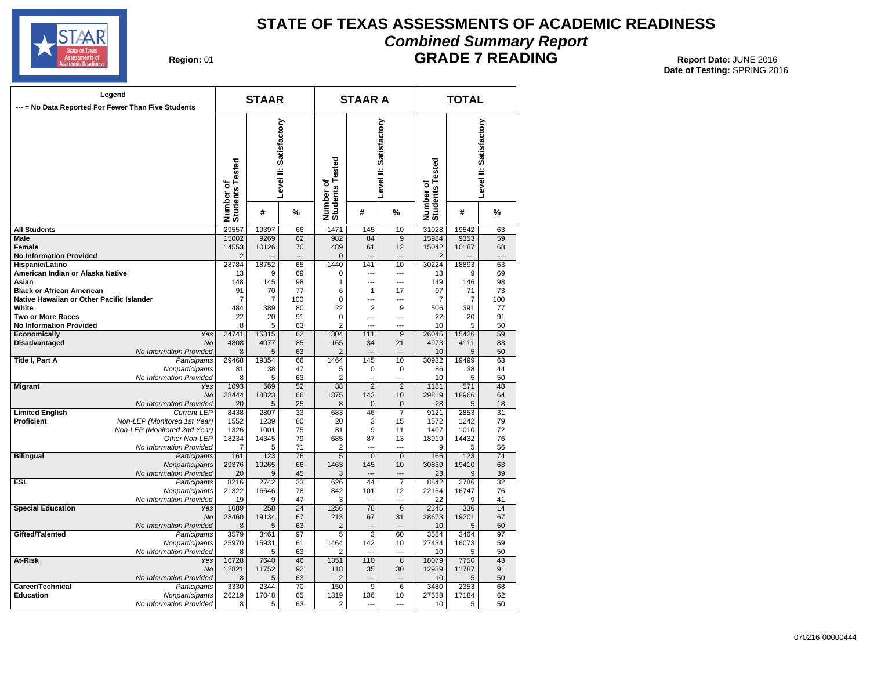

#### **STATE OF TEXAS ASSESSMENTS OF ACADEMIC READINESS Combined Summary Report**

#### **GRADE 7 READING** Report Date: JUNE 2016

| Legend<br>--- = No Data Reported For Fewer Than Five Students                 |                                               |                              | <b>STAAR</b>  |                        |                              | <b>STAAR A</b>     |                                | <b>TOTAL</b>                 |                      |                        |  |
|-------------------------------------------------------------------------------|-----------------------------------------------|------------------------------|---------------|------------------------|------------------------------|--------------------|--------------------------------|------------------------------|----------------------|------------------------|--|
|                                                                               |                                               | Number of<br>Students Tested |               | Level II: Satisfactory | Number of<br>Students Tested |                    | Level II: Satisfactory         | Number of<br>Students Tested |                      | Level II: Satisfactory |  |
|                                                                               |                                               |                              | #             | %                      |                              | #                  | %                              |                              | #                    | %                      |  |
| <b>All Students</b>                                                           |                                               | 29557                        | 19397         | 66                     | 1471                         | 145                | 10                             | 31028                        | 19542                | 63                     |  |
| <b>Male</b>                                                                   |                                               | 15002                        | 9269          | 62                     | 982                          | 84                 | $\overline{9}$                 | 15984                        | 9353                 | 59                     |  |
| <b>Female</b>                                                                 |                                               | 14553                        | 10126         | 70                     | 489                          | 61                 | 12                             | 15042                        | 10187                | 68                     |  |
| <b>No Information Provided</b>                                                |                                               | $\overline{2}$               |               | $\overline{a}$         | $\mathbf{0}$                 | $---$              | $\overline{\phantom{a}}$       | $\overline{2}$               |                      | $\overline{a}$         |  |
| Hispanic/Latino                                                               |                                               | 28784                        | 18752         | 65                     | 1440                         | 141                | 10                             | 30224                        | 18893                | 63                     |  |
| American Indian or Alaska Native                                              |                                               | 13                           | 9             | 69                     | 0                            | ---                | ---                            | 13                           | 9                    | 69                     |  |
| Asian                                                                         |                                               | 148                          | 145           | 98                     | 1                            | $\overline{a}$     | $-$                            | 149                          | 146                  | 98                     |  |
| <b>Black or African American</b><br>Native Hawaiian or Other Pacific Islander |                                               | 91                           | 70            | 77<br>100              | 6<br>$\mathbf 0$             | $\mathbf 1$<br>--- | 17<br>$\overline{\phantom{a}}$ | 97<br>$\overline{7}$         | 71<br>$\overline{7}$ | 73                     |  |
| White                                                                         |                                               | 7<br>484                     | 7<br>389      | 80                     | 22                           | $\overline{2}$     | 9                              | 506                          | 391                  | 100<br>77              |  |
| <b>Two or More Races</b>                                                      |                                               | 22                           | 20            | 91                     | $\mathbf 0$                  |                    | $\overline{a}$                 | 22                           | 20                   | 91                     |  |
| <b>No Information Provided</b>                                                |                                               | 8                            | 5             | 63                     | $\overline{2}$               | $\overline{a}$     | $---$                          | 10                           | 5                    | 50                     |  |
| Economically                                                                  | Yes                                           | 24741                        | 15315         | 62                     | 1304                         | 111                | 9                              | 26045                        | 15426                | 59                     |  |
| Disadvantaged                                                                 | No                                            | 4808                         | 4077          | 85                     | 165                          | 34                 | 21                             | 4973                         | 4111                 | 83                     |  |
|                                                                               | No Information Provided                       | 8                            | 5             | 63                     | $\overline{2}$               |                    |                                | 10                           | 5                    | 50                     |  |
| <b>Title I, Part A</b>                                                        | Participants                                  | 29468                        | 19354         | 66                     | 1464                         | 145                | 10                             | 30932                        | 19499                | 63                     |  |
|                                                                               | Nonparticipants                               | 81                           | 38            | 47                     | 5                            | 0                  | $\mathbf 0$                    | 86                           | 38                   | 44                     |  |
|                                                                               | No Information Provided                       | 8                            | 5             | 63                     | $\overline{2}$               | ---                | $\overline{a}$                 | 10                           | 5                    | 50                     |  |
| <b>Migrant</b>                                                                | Yes                                           | 1093                         | 569           | 52                     | 88                           | $\overline{2}$     | 2                              | 1181                         | 571                  | 48                     |  |
|                                                                               | No                                            | 28444                        | 18823         | 66                     | 1375                         | 143                | 10                             | 29819                        | 18966                | 64                     |  |
|                                                                               | No Information Provided                       | 20                           | 5             | 25                     | 8                            | $\mathbf{0}$       | $\mathbf{0}$                   | 28                           | 5                    | 18                     |  |
| <b>Limited English</b>                                                        | <b>Current LEP</b>                            | 8438                         | 2807          | 33                     | 683                          | 46                 | $\overline{7}$                 | 9121                         | 2853                 | 31                     |  |
| Proficient                                                                    | Non-LEP (Monitored 1st Year)                  | 1552                         | 1239          | 80                     | 20                           | 3                  | 15                             | 1572                         | 1242<br>1010         | 79                     |  |
|                                                                               | Non-LEP (Monitored 2nd Year)<br>Other Non-LEP | 1326                         | 1001<br>14345 | 75<br>79               | 81<br>685                    | 9<br>87            | 11<br>13                       | 1407<br>18919                | 14432                | 72<br>76               |  |
|                                                                               | No Information Provided                       | 18234<br>$\overline{7}$      | 5             | 71                     | $\overline{2}$               | $\overline{a}$     | $-$                            | 9                            | 5                    | 56                     |  |
| <b>Bilingual</b>                                                              | Participants                                  | 161                          | 123           | 76                     | 5                            | $\mathbf 0$        | $\mathbf{0}$                   | 166                          | 123                  | $\overline{74}$        |  |
|                                                                               | Nonparticipants                               | 29376                        | 19265         | 66                     | 1463                         | 145                | 10                             | 30839                        | 19410                | 63                     |  |
|                                                                               | No Information Provided                       | 20                           | 9             | 45                     | 3                            | $\overline{a}$     | $\overline{\phantom{a}}$       | 23                           | 9                    | 39                     |  |
| ESL.                                                                          | Participants                                  | 8216                         | 2742          | 33                     | 626                          | 44                 | $\overline{7}$                 | 8842                         | 2786                 | 32                     |  |
|                                                                               | Nonparticipants                               | 21322                        | 16646         | 78                     | 842                          | 101                | 12                             | 22164                        | 16747                | 76                     |  |
|                                                                               | No Information Provided                       | 19                           | 9             | 47                     | 3                            |                    |                                | 22                           | 9                    | 41                     |  |
| <b>Special Education</b>                                                      | Yes                                           | 1089                         | 258           | $\overline{24}$        | 1256                         | 78                 | 6                              | 2345                         | 336                  | 14                     |  |
|                                                                               | No                                            | 28460                        | 19134         | 67                     | 213                          | 67                 | 31                             | 28673                        | 19201                | 67                     |  |
| Gifted/Talented                                                               | No Information Provided                       | 8<br>3579                    | 5<br>3461     | 63<br>97               | $\overline{2}$<br>5          | ---<br>3           |                                | 10<br>3584                   | 5<br>3464            | 50<br>97               |  |
|                                                                               | Participants<br>Nonparticipants               | 25970                        | 15931         | 61                     | 1464                         | 142                | 60<br>10                       | 27434                        | 16073                | 59                     |  |
|                                                                               | No Information Provided                       | 8                            | 5             | 63                     | 2                            | $\sim$             | ---                            | 10                           | 5                    | 50                     |  |
| At-Risk                                                                       | Yes                                           | 16728                        | 7640          | 46                     | 1351                         | 110                | 8                              | 18079                        | 7750                 | 43                     |  |
|                                                                               | <b>No</b>                                     | 12821                        | 11752         | 92                     | 118                          | 35                 | 30                             | 12939                        | 11787                | 91                     |  |
|                                                                               | No Information Provided                       | 8                            | 5             | 63                     | $\overline{2}$               |                    | $\sim$                         | 10                           | 5                    | 50                     |  |
| Career/Technical                                                              | Participants                                  | 3330                         | 2344          | 70                     | 150                          | 9                  | 6                              | 3480                         | 2353                 | 68                     |  |
| <b>Education</b>                                                              | Nonparticipants                               | 26219                        | 17048         | 65                     | 1319                         | 136                | 10                             | 27538                        | 17184                | 62                     |  |
|                                                                               | No Information Provided                       | 8                            | 5             | 63                     | 2                            | $\overline{a}$     | $---$                          | 10                           | 5                    | 50                     |  |
|                                                                               |                                               |                              |               |                        |                              |                    |                                |                              |                      |                        |  |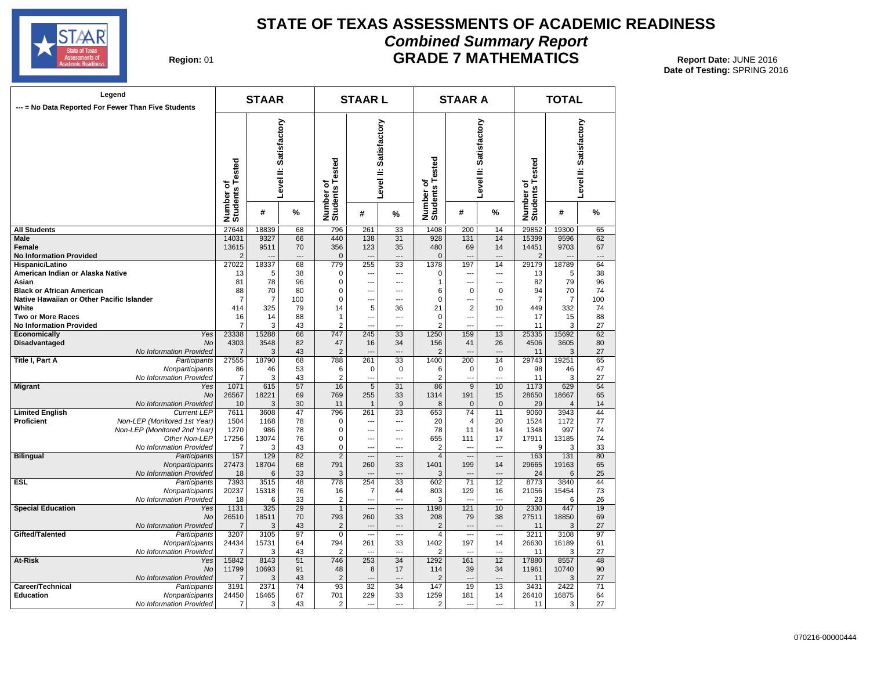

#### **STATE OF TEXAS ASSESSMENTS OF ACADEMIC READINESS Combined Summary Report GRADE 7 MATHEMATICS** Report Date: JUNE 2016

| Region: 01 |  |
|------------|--|
|------------|--|

|                                           | Legend<br>--- = No Data Reported For Fewer Than Five Students |                              | <b>STAAR</b> |                        |                              | <b>STAARL</b>            |                |                              | <b>STAAR A</b>         |                          | <b>TOTAL</b>                 |                |                        |  |
|-------------------------------------------|---------------------------------------------------------------|------------------------------|--------------|------------------------|------------------------------|--------------------------|----------------|------------------------------|------------------------|--------------------------|------------------------------|----------------|------------------------|--|
|                                           |                                                               | Number of<br>Students Tested |              | Level II: Satisfactory |                              | Level II: Satisfactory   |                | Number of<br>Students Tested | Level II: Satisfactory |                          | Number of<br>Students Tested |                | Level II: Satisfactory |  |
|                                           |                                                               |                              | #            | %                      | Number of<br>Students Tested | #                        | %              |                              | #                      | %                        |                              | #              | %                      |  |
| <b>All Students</b>                       |                                                               | 27648                        | 18839        | 68                     | 796                          | 261                      | 33             | 1408                         | 200                    | 14                       | 29852                        | 19300          | 65                     |  |
| Male                                      |                                                               | 14031                        | 9327         | 66                     | 440                          | 138                      | 31             | 928                          | 131                    | 14                       | 15399                        | 9596           | 62                     |  |
| Female                                    |                                                               | 13615                        | 9511         | 70                     | 356                          | 123                      | 35             | 480                          | 69                     | 14                       | 14451                        | 9703           | 67                     |  |
| <b>No Information Provided</b>            |                                                               | $\overline{2}$               |              | ---                    | $\pmb{0}$                    | $\overline{\phantom{a}}$ | ---            | $\mathbf{0}$                 | ---                    | ---                      | $\overline{2}$               |                | ---                    |  |
| Hispanic/Latino                           |                                                               | 27022                        | 18337        | 68                     | 779                          | 255                      | 33             | 1378                         | 197                    | 14                       | 29179                        | 18789          | 64                     |  |
|                                           |                                                               |                              |              |                        |                              |                          | ---            |                              |                        |                          |                              |                |                        |  |
| American Indian or Alaska Native          |                                                               | 13                           | 5            | 38                     | 0                            | $\overline{\phantom{a}}$ |                | 0                            | ---                    | ---                      | 13                           | 5              | 38                     |  |
| Asian                                     |                                                               | 81                           | 78           | 96                     | 0                            | ---                      | ---            | 1                            | ---                    | ---                      | 82                           | 79             | 96                     |  |
| <b>Black or African American</b>          |                                                               | 88                           | 70           | 80                     | 0                            | ---                      | ---            | 6                            | $\mathbf 0$            | 0                        | 94                           | 70             | 74                     |  |
| Native Hawaiian or Other Pacific Islander |                                                               | 7                            | 7            | 100                    | $\mathbf 0$                  | ---                      | ---            | $\Omega$                     | ---                    | $\overline{a}$           | 7                            | 7              | 100                    |  |
| White                                     |                                                               | 414                          | 325          | 79                     | 14                           | 5                        | 36             | 21                           | $\overline{2}$         | 10                       | 449                          | 332            | 74                     |  |
| Two or More Races                         |                                                               | 16                           | 14           | 88                     | $\mathbf{1}$                 | ---                      | ---            | 0                            | ---                    | $\overline{a}$           | 17                           | 15             | 88                     |  |
| <b>No Information Provided</b>            |                                                               | $\overline{7}$               | 3            | 43                     | $\overline{2}$               | ---                      | ---            | $\overline{2}$               | ---                    | $\overline{a}$           | 11                           | 3              | 27                     |  |
| Economically                              | Yes                                                           | 23338                        | 15288        | 66                     | 747                          | 245                      | 33             | 1250                         | 159                    | 13                       | 25335                        | 15692          | 62                     |  |
| <b>Disadvantaged</b>                      | No                                                            | 4303                         | 3548         | 82                     | 47                           | 16                       | 34             | 156                          | 41                     | 26                       | 4506                         | 3605           | 80                     |  |
|                                           | No Information Provided                                       | 7                            | 3            | 43                     | $\overline{2}$               | ---                      | $\overline{a}$ | $\overline{2}$               | $\overline{a}$         | $\overline{\phantom{a}}$ | 11                           | 3              | 27                     |  |
| Title I, Part A                           | <b>Participants</b>                                           | 27555                        | 18790        | 68                     | 788                          | 261                      | 33             | 1400                         | 200                    | 14                       | 29743                        | 19251          | 65                     |  |
|                                           | Nonparticipants                                               | 86                           | 46           | 53                     | 6                            | 0                        | $\mathbf 0$    | 6                            | 0                      | 0                        | 98                           | 46             | 47                     |  |
|                                           | No Information Provided                                       | $\overline{7}$               | 3            | 43                     | $\overline{2}$               | $\overline{a}$           | ---            | $\overline{2}$               | ---                    | $\overline{a}$           | 11                           | 3              | 27                     |  |
| <b>Migrant</b>                            | Yes                                                           | 1071                         | 615          | 57                     | 16                           | $\overline{5}$           | 31             | 86                           | $\overline{9}$         | 10                       | 1173                         | 629            | 54                     |  |
|                                           | No                                                            | 26567                        | 18221        | 69                     | 769                          | 255                      | 33             | 1314                         | 191                    | 15                       | 28650                        | 18667          | 65                     |  |
|                                           | No Information Provided                                       | 10                           | 3            | 30                     | 11                           | $\mathbf 1$              | 9              | 8                            | $\mathbf 0$            | $\pmb{0}$                | 29                           | $\overline{4}$ | 14                     |  |
| <b>Limited English</b>                    | <b>Current LEP</b>                                            | 7611                         | 3608         | 47                     | 796                          | 261                      | 33             | 653                          | 74                     | 11                       | 9060                         | 3943           | 44                     |  |
| Proficient                                |                                                               | 1504                         | 1168         | 78                     | $\mathbf 0$                  | $\overline{a}$           | ---            | 20                           | $\overline{4}$         | 20                       | 1524                         | 1172           | 77                     |  |
|                                           | Non-LEP (Monitored 1st Year)                                  |                              |              |                        |                              |                          | ---            |                              |                        |                          |                              |                |                        |  |
|                                           | Non-LEP (Monitored 2nd Year)                                  | 1270                         | 986          | 78                     | 0                            | $\overline{a}$           |                | 78                           | 11                     | 14                       | 1348                         | 997            | 74                     |  |
|                                           | Other Non-LEP                                                 | 17256                        | 13074        | 76                     | 0                            | ---                      | ---            | 655                          | 111                    | 17                       | 17911                        | 13185          | 74                     |  |
|                                           | No Information Provided                                       | 7                            | 3            | 43                     | $\mathbf 0$                  | ---                      | ---            | $\overline{2}$               | $\overline{a}$         | $\overline{a}$           | 9                            | 3              | 33                     |  |
| <b>Bilingual</b>                          | Participants                                                  | 157                          | 129          | 82                     | $\overline{2}$               |                          | ---            | $\overline{4}$               |                        | $\overline{\phantom{a}}$ | 163                          | 131            | 80                     |  |
|                                           | Nonparticipants                                               | 27473                        | 18704        | 68                     | 791                          | 260                      | 33             | 1401                         | 199                    | 14                       | 29665                        | 19163          | 65                     |  |
|                                           | No Information Provided                                       | 18                           | 6            | 33                     | 3                            | $\overline{a}$           | ---            | 3                            | ---                    | $\overline{\phantom{a}}$ | 24                           | 6              | 25                     |  |
| ESL                                       | Participants                                                  | 7393                         | 3515         | 48                     | 778                          | 254                      | 33             | 602                          | 71                     | 12                       | 8773                         | 3840           | 44                     |  |
|                                           | Nonparticipants                                               | 20237                        | 15318        | 76                     | 16                           | 7                        | 44             | 803                          | 129                    | 16                       | 21056                        | 15454          | 73                     |  |
|                                           | No Information Provided                                       | 18                           | 6            | 33                     | 2                            | ---                      | ---            | 3                            | ---                    | ---                      | 23                           | 6              | 26                     |  |
| <b>Special Education</b>                  | Yes                                                           | 1131                         | 325          | 29                     | $\mathbf{1}$                 | $\overline{\phantom{a}}$ | ---            | 1198                         | 121                    | 10                       | 2330                         | 447            | 19                     |  |
|                                           | No                                                            | 26510                        | 18511        | 70                     | 793                          | 260                      | 33             | 208                          | 79                     | 38                       | 27511                        | 18850          | 69                     |  |
|                                           | No Information Provided                                       | $\overline{7}$               | 3            | 43                     | $\sqrt{2}$                   | $\overline{a}$           |                | $\overline{2}$               | ---                    | $\sim$                   | 11                           | 3              | 27                     |  |
| Gifted/Talented                           | Participants                                                  | 3207                         | 3105         | $\overline{97}$        | $\mathbf 0$                  | $\overline{\phantom{a}}$ | ---            | 4                            | ---                    | $\overline{a}$           | 3211                         | 3108           | 97                     |  |
|                                           | Nonparticipants                                               | 24434                        | 15731        | 64                     | 794                          | 261                      | 33             | 1402                         | 197                    | 14                       | 26630                        | 16189          | 61                     |  |
|                                           | No Information Provided                                       | 7                            | 3            | 43                     | $\overline{2}$               | $\overline{a}$           | ---            | 2                            | ---                    | $\overline{a}$           | 11                           | 3              | 27                     |  |
| At-Risk                                   | Yes                                                           | 15842                        | 8143         | 51                     | 746                          | 253                      | 34             | 1292                         | 161                    | 12                       | 17880                        | 8557           | 48                     |  |
|                                           | <b>No</b>                                                     | 11799                        | 10693        | 91                     | 48                           | 8                        | 17             | 114                          | 39                     | 34                       | 11961                        | 10740          | 90                     |  |
|                                           | No Information Provided                                       | $\overline{7}$               | 3            | 43                     | $\overline{2}$               | ---                      |                | $\overline{2}$               | ---                    | $\overline{a}$           |                              |                | 27                     |  |
|                                           |                                                               |                              |              |                        |                              |                          |                |                              |                        |                          | 11                           | 3              |                        |  |
| Career/Technical                          | Participants                                                  | 3191                         | 2371         | 74                     | 93                           | 32                       | 34             | 147                          | 19                     | 13                       | 3431                         | 2422           | 71                     |  |
| Education                                 | Nonparticipants                                               | 24450                        | 16465        | 67                     | 701                          | 229                      | 33             | 1259                         | 181                    | 14                       | 26410                        | 16875          | 64                     |  |
|                                           | No Information Provided                                       | 7                            | 3            | 43                     | $\overline{2}$               | $\overline{a}$           | ---            | 2                            | ---                    | ---                      | 11                           | 3              | 27                     |  |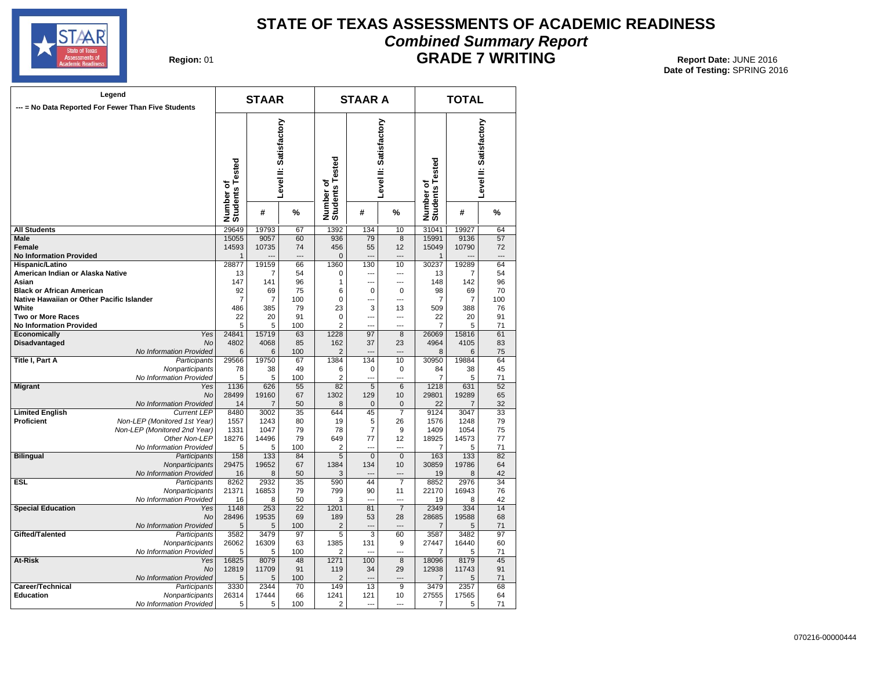

#### **STATE OF TEXAS ASSESSMENTS OF ACADEMIC READINESS Combined Summary Report GRADE 7 WRITING** 01 **Report Date:** JUNE 2016

**Region: 01** 

| Legend                                              |                                               |                              | <b>STAAR</b>  |                        |                              | <b>STAAR A</b>       |                        | <b>TOTAL</b>                 |                |                        |  |
|-----------------------------------------------------|-----------------------------------------------|------------------------------|---------------|------------------------|------------------------------|----------------------|------------------------|------------------------------|----------------|------------------------|--|
| --- = No Data Reported For Fewer Than Five Students |                                               |                              |               |                        |                              |                      |                        |                              |                |                        |  |
|                                                     |                                               | Number of<br>Students Tested |               | Level II: Satisfactory | Number of<br>Students Tested |                      | Level II: Satisfactory | Number of<br>Students Tested |                | Level II: Satisfactory |  |
|                                                     |                                               |                              | #             | %                      |                              | #                    | %                      |                              | #              | %                      |  |
| <b>All Students</b>                                 |                                               | 29649                        | 19793         | 67                     | 1392                         | 134                  | 10                     | 31041                        | 19927          | 64                     |  |
| <b>Male</b>                                         |                                               | 15055                        | 9057          | 60                     | 936                          | 79                   | 8                      | 15991                        | 9136           | 57                     |  |
| Female                                              |                                               | 14593                        | 10735         | 74                     | 456                          | 55                   | 12                     | 15049                        | 10790          | 72                     |  |
| <b>No Information Provided</b>                      |                                               | $\mathbf{1}$                 |               |                        | $\overline{0}$               |                      | ---<br>10              | $\mathbf{1}$<br>30237        | 19289          | 64                     |  |
| Hispanic/Latino<br>American Indian or Alaska Native |                                               | 28877<br>13                  | 19159<br>7    | 66<br>54               | 1360<br>$\mathbf 0$          | 130<br>              | ---                    | 13                           | 7              | 54                     |  |
| Asian                                               |                                               | 147                          | 141           | 96                     | 1                            | …                    | ---                    | 148                          | 142            | 96                     |  |
| <b>Black or African American</b>                    |                                               | 92                           | 69            | 75                     | 6                            | 0                    | $\mathbf 0$            | 98                           | 69             | 70                     |  |
| Native Hawaiian or Other Pacific Islander           |                                               | $\overline{7}$               | 7             | 100                    | $\mathbf 0$                  | ---                  | ---                    | 7                            | $\overline{7}$ | 100                    |  |
| White                                               |                                               | 486                          | 385           | 79                     | 23                           | 3                    | 13                     | 509                          | 388            | 76                     |  |
| <b>Two or More Races</b>                            |                                               | 22                           | 20            | 91                     | 0                            | ---                  | ---                    | 22                           | 20             | 91                     |  |
| <b>No Information Provided</b>                      |                                               | 5                            | 5             | 100                    | $\overline{2}$               |                      | ---                    | 7                            | 5              | 71                     |  |
| Economically                                        | Yes                                           | 24841                        | 15719         | 63                     | 1228                         | 97                   | 8                      | 26069                        | 15816          | 61                     |  |
| <b>Disadvantaged</b>                                | No                                            | 4802<br>6                    | 4068<br>6     | 85<br>100              | 162<br>$\overline{2}$        | 37                   | 23                     | 4964                         | 4105<br>6      | 83<br>75               |  |
| Title I, Part A                                     | No Information Provided<br>Participants       | 29566                        | 19750         | 67                     | 1384                         | 134                  | 10                     | 8<br>30950                   | 19884          | 64                     |  |
|                                                     | Nonparticipants                               | 78                           | 38            | 49                     | 6                            | 0                    | 0                      | 84                           | 38             | 45                     |  |
|                                                     | No Information Provided                       | 5                            | 5             | 100                    | $\overline{2}$               | ---                  | ---                    | $\overline{7}$               | 5              | 71                     |  |
| <b>Migrant</b>                                      | Yes                                           | 1136                         | 626           | 55                     | 82                           | $\overline{5}$       | 6                      | 1218                         | 631            | 52                     |  |
|                                                     | <b>No</b>                                     | 28499                        | 19160         | 67                     | 1302                         | 129                  | 10                     | 29801                        | 19289          | 65                     |  |
|                                                     | No Information Provided                       | 14                           | 7             | 50                     | 8                            | $\mathbf 0$          | $\mathbf 0$            | 22                           | 7              | 32                     |  |
| <b>Limited English</b>                              | <b>Current LEP</b>                            | 8480                         | 3002          | 35                     | 644                          | 45                   | $\overline{7}$         | 9124                         | 3047           | 33                     |  |
| Proficient                                          | Non-LEP (Monitored 1st Year)                  | 1557                         | 1243          | 80                     | 19                           | 5                    | 26                     | 1576                         | 1248           | 79                     |  |
|                                                     | Non-LEP (Monitored 2nd Year)<br>Other Non-LEP | 1331<br>18276                | 1047<br>14496 | 79<br>79               | 78<br>649                    | $\overline{7}$<br>77 | 9<br>12                | 1409<br>18925                | 1054<br>14573  | 75<br>77               |  |
|                                                     | No Information Provided                       | 5                            | 5             | 100                    | $\overline{2}$               | ---                  | ---                    | 7                            | 5              | 71                     |  |
| <b>Bilingual</b>                                    | Participants                                  | 158                          | 133           | 84                     | 5                            | $\overline{0}$       | $\mathbf{0}$           | 163                          | 133            | 82                     |  |
|                                                     | Nonparticipants                               | 29475                        | 19652         | 67                     | 1384                         | 134                  | 10                     | 30859                        | 19786          | 64                     |  |
|                                                     | No Information Provided                       | 16                           | 8             | 50                     | 3                            |                      |                        | 19                           | 8              | 42                     |  |
| <b>ESL</b>                                          | Participants                                  | 8262                         | 2932          | 35                     | 590                          | 44                   | 7                      | 8852                         | 2976           | 34                     |  |
|                                                     | Nonparticipants                               | 21371                        | 16853         | 79                     | 799                          | 90                   | 11                     | 22170                        | 16943          | 76                     |  |
|                                                     | No Information Provided                       | 16                           | 8             | 50                     | 3                            | $\overline{a}$       | ---                    | 19                           | 8              | 42                     |  |
| <b>Special Education</b>                            | Yes<br><b>No</b>                              | 1148<br>28496                | 253<br>19535  | 22<br>69               | 1201<br>189                  | 81<br>53             | $\overline{7}$<br>28   | 2349<br>28685                | 334<br>19588   | 14<br>68               |  |
|                                                     | No Information Provided                       | 5                            | 5             | 100                    | $\overline{c}$               |                      |                        | $\overline{7}$               | 5              | 71                     |  |
| Gifted/Talented                                     | Participants                                  | 3582                         | 3479          | 97                     | 5                            | 3                    | 60                     | 3587                         | 3482           | 97                     |  |
|                                                     | Nonparticipants                               | 26062                        | 16309         | 63                     | 1385                         | 131                  | 9                      | 27447                        | 16440          | 60                     |  |
|                                                     | No Information Provided                       | 5                            | 5             | 100                    | $\overline{2}$               | ---                  | ---                    | 7                            | 5              | 71                     |  |
| At-Risk                                             | Yes                                           | 16825                        | 8079          | 48                     | 1271                         | 100                  | 8                      | 18096                        | 8179           | 45                     |  |
|                                                     | <b>No</b>                                     | 12819                        | 11709         | 91                     | 119                          | 34                   | 29                     | 12938                        | 11743          | 91                     |  |
|                                                     | No Information Provided                       | 5                            | 5             | 100                    | $\overline{2}$               |                      | ---                    | $\overline{7}$               | 5              | 71                     |  |
| Career/Technical                                    | Participants                                  | 3330                         | 2344          | 70                     | 149                          | 13                   | 9                      | 3479                         | 2357           | 68                     |  |
| <b>Education</b>                                    | Nonparticipants                               | 26314                        | 17444         | 66                     | 1241                         | 121                  | 10<br>---              | 27555                        | 17565          | 64                     |  |
|                                                     | No Information Provided                       | 5                            | 5             | 100                    | $\overline{2}$               |                      |                        | 7                            | 5              | 71                     |  |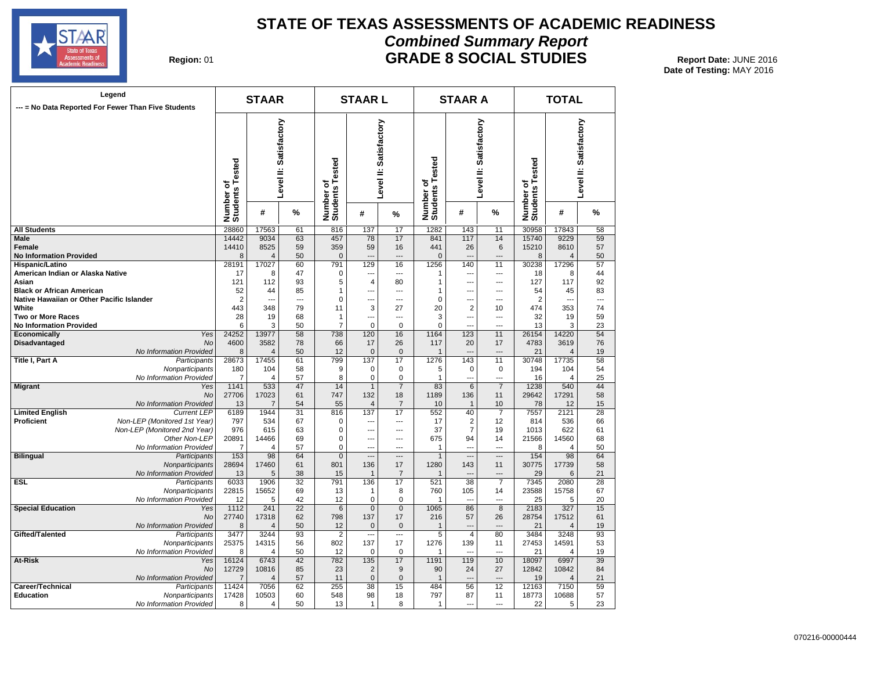

#### **STATE OF TEXAS ASSESSMENTS OF ACADEMIC READINESS Combined Summary Report GRADE 8 SOCIAL STUDIES** Report Date: JUNE 2016

**Date of Testing:**  MAY 2016

|  | Region: 01 |  |
|--|------------|--|
|--|------------|--|

| Legend<br>--- = No Data Reported For Fewer Than Five Students |                                            | <b>STAAR</b>                                                |                |                                                        |                                | <b>STAARL</b>                                          |                      |                 | <b>STAAR A</b>                                         |                                            | <b>TOTAL</b>   |                |          |  |
|---------------------------------------------------------------|--------------------------------------------|-------------------------------------------------------------|----------------|--------------------------------------------------------|--------------------------------|--------------------------------------------------------|----------------------|-----------------|--------------------------------------------------------|--------------------------------------------|----------------|----------------|----------|--|
|                                                               |                                            | Level II: Satisfactory<br>ested<br>Number of<br>Students Te |                | Level II: Satisfactory<br>Number of<br>Students Tested |                                | Level II: Satisfactory<br>Number of<br>Students Tested |                      |                 | Level II: Satisfactory<br>Number of<br>Students Tested |                                            |                |                |          |  |
|                                                               |                                            |                                                             | #              | %                                                      |                                | #                                                      | %                    |                 | #                                                      | $\frac{9}{6}$                              |                | #              | $\%$     |  |
| <b>All Students</b>                                           |                                            | 28860                                                       | 17563          | 61                                                     | 816                            | 137                                                    | 17                   | 1282            | 143                                                    | 11                                         | 30958          | 17843          | 58       |  |
| Male                                                          |                                            | 14442                                                       | 9034           | 63                                                     | 457                            | 78                                                     | 17                   | 841             | 117                                                    | 14                                         | 15740          | 9229           | 59       |  |
| Female                                                        |                                            | 14410                                                       | 8525           | 59                                                     | 359                            | 59                                                     | 16                   | 441             | 26                                                     | 6                                          | 15210          | 8610           | 57       |  |
| <b>No Information Provided</b>                                |                                            | 8                                                           | $\overline{4}$ | 50                                                     | $\mathbf 0$                    | $\overline{a}$                                         |                      | $\overline{0}$  |                                                        | $\overline{a}$                             | 8              | $\overline{4}$ | 50       |  |
| Hispanic/Latino                                               |                                            | 28191                                                       | 17027          | 60                                                     | 791                            | 129                                                    | 16                   | 1256            | 140                                                    | 11                                         | 30238          | 17296          | 57       |  |
| American Indian or Alaska Native                              |                                            | 17                                                          | 8              | 47                                                     | 0                              | $\overline{a}$                                         | $\sim$               | 1               |                                                        | $\overline{a}$                             | 18             | 8              | 44       |  |
| Asian                                                         |                                            | 121                                                         | 112            | 93                                                     | 5                              | $\overline{4}$                                         | 80                   | 1               | ---                                                    | ---                                        | 127            | 117            | 92       |  |
| <b>Black or African American</b>                              |                                            | 52                                                          | 44             | 85                                                     | $\overline{1}$                 | ---                                                    | $\overline{a}$       | 1               | --                                                     | $\overline{a}$                             | 54             | 45             | 83       |  |
| Native Hawaiian or Other Pacific Islander                     |                                            | $\overline{2}$                                              | ---            | ---                                                    | $\Omega$                       | ---                                                    | ---                  | 0               | ---                                                    | $---$                                      | $\overline{2}$ | ---            | ---      |  |
| White                                                         |                                            | 443<br>28                                                   | 348            | 79<br>68                                               | 11                             | 3                                                      | 27<br>---            | 20<br>3         | 2                                                      | 10                                         | 474<br>32      | 353            | 74<br>59 |  |
| <b>Two or More Races</b><br><b>No Information Provided</b>    |                                            | 6                                                           | 19<br>3        | 50                                                     | $\mathbf{1}$<br>$\overline{7}$ | ---<br>$\mathbf 0$                                     | $\mathbf 0$          | 0               | ---                                                    | $\overline{\phantom{a}}$<br>$\overline{a}$ | 13             | 19<br>3        | 23       |  |
| Economically                                                  | Yes                                        | 24252                                                       | 13977          | 58                                                     | 738                            | 120                                                    | 16                   | 1164            | 123                                                    | 11                                         | 26154          | 14220          | 54       |  |
| Disadvantaged                                                 | No                                         | 4600                                                        | 3582           | 78                                                     | 66                             | 17                                                     | 26                   | 117             | 20                                                     | 17                                         | 4783           | 3619           | 76       |  |
|                                                               | No Information Provided                    | 8                                                           | $\overline{4}$ | 50                                                     | 12                             | $\mathbf{0}$                                           | $\mathbf{0}$         | 1               |                                                        | $\overline{a}$                             | 21             | Δ              | 19       |  |
| Title I, Part A                                               | Participants                               | 28673                                                       | 17455          | 61                                                     | 799                            | 137                                                    | 17                   | 1276            | 143                                                    | 11                                         | 30748          | 17735          | 58       |  |
|                                                               | Nonparticipants                            | 180                                                         | 104            | 58                                                     | 9                              | $\mathbf 0$                                            | $\mathbf 0$          | 5               | 0                                                      | 0                                          | 194            | 104            | 54       |  |
|                                                               | No Information Provided                    | $\overline{7}$                                              | 4              | 57                                                     | 8                              | $\mathbf 0$                                            | 0                    | 1               | ---                                                    | ---                                        | 16             | 4              | 25       |  |
| <b>Migrant</b>                                                | Yes                                        | 1141                                                        | 533            | 47                                                     | 14                             | $\overline{1}$                                         | $\overline{7}$       | $\overline{83}$ | 6                                                      | $\overline{7}$                             | 1238           | 540            | 44       |  |
|                                                               | <b>No</b>                                  | 27706                                                       | 17023          | 61                                                     | 747                            | 132                                                    | 18                   | 1189            | 136                                                    | 11                                         | 29642          | 17291          | 58       |  |
|                                                               | No Information Provided                    | 13                                                          | $\overline{7}$ | 54                                                     | 55                             | $\overline{4}$                                         | $\overline{7}$       | 10              | $\mathbf{1}$                                           | 10                                         | 78             | 12             | 15       |  |
| <b>Limited English</b>                                        | <b>Current LEP</b>                         | 6189                                                        | 1944           | 31                                                     | 816                            | 137                                                    | 17                   | 552             | 40                                                     | $\overline{7}$                             | 7557           | 2121           | 28       |  |
| <b>Proficient</b>                                             | Non-LEP (Monitored 1st Year)               | 797                                                         | 534            | 67                                                     | $\mathbf 0$                    | ---                                                    | ---                  | 17              | 2                                                      | 12                                         | 814            | 536            | 66       |  |
|                                                               | Non-LEP (Monitored 2nd Year)               | 976                                                         | 615            | 63                                                     | $\mathbf 0$                    | ---                                                    | ---                  | 37              | $\overline{7}$                                         | 19                                         | 1013           | 622            | 61       |  |
|                                                               | Other Non-LEP                              | 20891                                                       | 14466          | 69                                                     | $\mathbf 0$                    | ---                                                    | ---                  | 675             | 94                                                     | 14                                         | 21566          | 14560          | 68       |  |
|                                                               | No Information Provided                    | 7                                                           | 4              | 57                                                     | $\mathbf 0$                    | $\overline{a}$                                         | $\overline{a}$       | 1               | ---                                                    | $-$                                        | 8              | 4              | 50       |  |
| <b>Bilingual</b>                                              | Participants                               | 153                                                         | 98             | 64                                                     | $\overline{0}$                 | $\overline{\phantom{a}}$                               | ---                  | $\mathbf{1}$    | ---                                                    | $\overline{\phantom{a}}$                   | 154            | 98             | 64       |  |
|                                                               | Nonparticipants<br>No Information Provided | 28694<br>13                                                 | 17460<br>5     | 61<br>38                                               | 801<br>15                      | 136<br>$\overline{1}$                                  | 17<br>$\overline{7}$ | 1280<br>1       | 143                                                    | 11                                         | 30775<br>29    | 17739<br>6     | 58<br>21 |  |
| <b>ESL</b>                                                    | Participants                               | 6033                                                        | 1906           | 32                                                     | 791                            | 136                                                    | 17                   | 521             | 38                                                     | $\overline{7}$                             | 7345           | 2080           | 28       |  |
|                                                               | Nonparticipants                            | 22815                                                       | 15652          | 69                                                     | 13                             | $\mathbf 1$                                            | 8                    | 760             | 105                                                    | 14                                         | 23588          | 15758          | 67       |  |
|                                                               | No Information Provided                    | 12                                                          | 5              | 42                                                     | 12                             | $\mathbf 0$                                            | $\pmb{0}$            | 1               | $\overline{a}$                                         | $\overline{\phantom{a}}$                   | 25             | 5              | 20       |  |
| <b>Special Education</b>                                      | Yes                                        | 1112                                                        | 241            | $\overline{22}$                                        | $6\phantom{1}6$                | $\overline{0}$                                         | $\overline{0}$       | 1065            | 86                                                     | 8                                          | 2183           | 327            | 15       |  |
|                                                               | <b>No</b>                                  | 27740                                                       | 17318          | 62                                                     | 798                            | 137                                                    | 17                   | 216             | 57                                                     | 26                                         | 28754          | 17512          | 61       |  |
|                                                               | No Information Provided                    | 8                                                           | $\overline{4}$ | 50                                                     | 12                             | $\mathbf{0}$                                           | $\mathbf{0}$         | $\mathbf{1}$    |                                                        | $\overline{a}$                             | 21             | $\overline{4}$ | 19       |  |
| Gifted/Talented                                               | Participants                               | 3477                                                        | 3244           | 93                                                     | $\overline{2}$                 | $\overline{a}$                                         | ---                  | 5               | $\overline{4}$                                         | 80                                         | 3484           | 3248           | 93       |  |
|                                                               | Nonparticipants                            | 25375                                                       | 14315          | 56                                                     | 802                            | 137                                                    | 17                   | 1276            | 139                                                    | 11                                         | 27453          | 14591          | 53       |  |
|                                                               | No Information Provided                    | 8                                                           | 4              | 50                                                     | 12                             | $\mathbf 0$                                            | $\mathbf 0$          | 1               | ---                                                    | ---                                        | 21             | 4              | 19       |  |
| At-Risk                                                       | Yes                                        | 16124                                                       | 6743           | 42                                                     | 782                            | 135                                                    | 17                   | 1191            | 119                                                    | 10                                         | 18097          | 6997           | 39       |  |
|                                                               | <b>No</b>                                  | 12729                                                       | 10816          | 85                                                     | 23                             | $\overline{2}$                                         | $9\,$                | 90              | 24                                                     | 27                                         | 12842          | 10842          | 84       |  |
|                                                               | No Information Provided                    | $\overline{7}$                                              | $\overline{4}$ | 57                                                     | 11                             | $\mathbf 0$                                            | $\mathbf{0}$         | $\mathbf{1}$    | $\overline{a}$                                         | $\overline{a}$                             | 19             | $\overline{4}$ | 21       |  |
| Career/Technical                                              | Participants                               | 11424                                                       | 7056           | 62                                                     | 255                            | 38                                                     | 15                   | 484             | 56                                                     | 12                                         | 12163          | 7150           | 59       |  |
| <b>Education</b>                                              | Nonparticipants                            | 17428                                                       | 10503          | 60                                                     | 548                            | 98                                                     | 18                   | 797             | 87                                                     | 11                                         | 18773          | 10688          | 57       |  |
|                                                               | No Information Provided                    | 8                                                           | 4              | 50                                                     | 13                             | $\mathbf{1}$                                           | 8                    | 1               | ---                                                    | ---                                        | 22             | 5              | 23       |  |